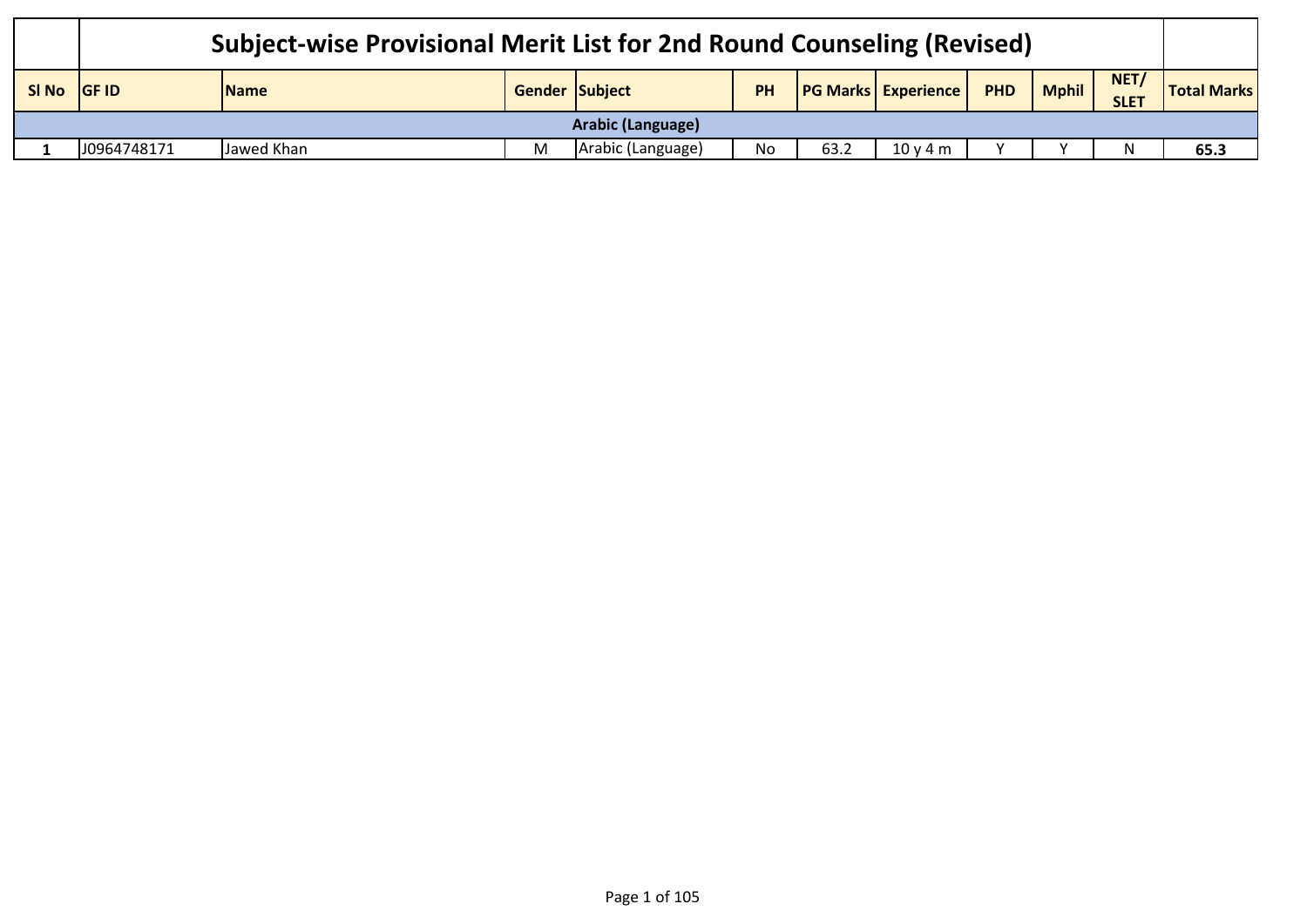|                   | Subject-wise Provisional Merit List for 2nd Round Counseling (Revised) |                                                                                                                                              |  |                    |    |      |       |  |  |  |      |  |
|-------------------|------------------------------------------------------------------------|----------------------------------------------------------------------------------------------------------------------------------------------|--|--------------------|----|------|-------|--|--|--|------|--|
| SI No             | <b>IGF ID</b>                                                          | NET/<br><b>PG Marks Experience</b><br><b>Mphil</b><br>PHD<br>Gender Subject<br><b>PH</b><br><b>Total Marks</b><br><b>Name</b><br><b>SLET</b> |  |                    |    |      |       |  |  |  |      |  |
| Arabic (Language) |                                                                        |                                                                                                                                              |  |                    |    |      |       |  |  |  |      |  |
|                   | J0964748171                                                            | Jawed Khan                                                                                                                                   |  | (Arabic (Language) | No | 63.2 | 10v4m |  |  |  | 65.3 |  |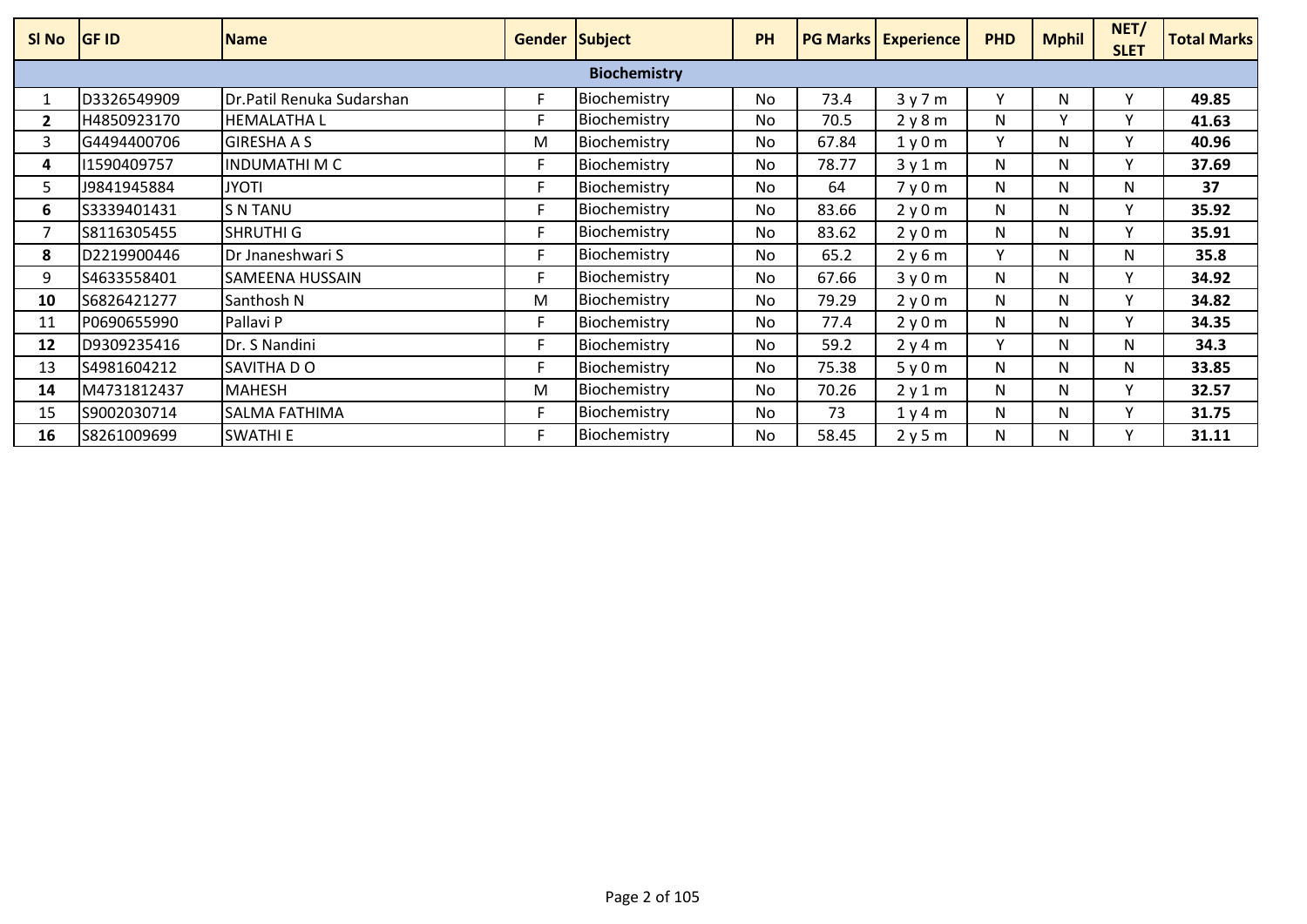| SI No        | <b>GF ID</b> | <b>Name</b>               | <b>Gender Subject</b> |                     | PH        |       | <b>PG Marks Experience</b> | <b>PHD</b> | <b>Mphil</b> | NET/<br><b>SLET</b> | <b>Total Marks</b> |
|--------------|--------------|---------------------------|-----------------------|---------------------|-----------|-------|----------------------------|------------|--------------|---------------------|--------------------|
|              |              |                           |                       | <b>Biochemistry</b> |           |       |                            |            |              |                     |                    |
|              | D3326549909  | Dr.Patil Renuka Sudarshan |                       | Biochemistry        | No.       | 73.4  | 3y7m                       | v          | N.           |                     | 49.85              |
| $\mathbf{2}$ | H4850923170  | <b>HEMALATHAL</b>         |                       | Biochemistry        | <b>No</b> | 70.5  | 2y8m                       | N          |              |                     | 41.63              |
|              | G4494400706  | <b>GIRESHA A S</b>        | M                     | Biochemistry        | No.       | 67.84 | 1y0m                       | v          | N            | $\checkmark$        | 40.96              |
| 4            | 11590409757  | INDUMATHI M C             |                       | Biochemistry        | <b>No</b> | 78.77 | 3y1m                       | N          | N            | $\checkmark$        | 37.69              |
| 5.           | J9841945884  | <b>JYOTI</b>              |                       | Biochemistry        | No.       | 64    | 7y0m                       | N          | N            | N                   | 37                 |
| 6            | S3339401431  | <b>S N TANU</b>           |                       | Biochemistry        | No.       | 83.66 | 2y0m                       | N          | N            | $\checkmark$        | 35.92              |
|              | S8116305455  | <b>SHRUTHI G</b>          |                       | Biochemistry        | No.       | 83.62 | 2y0m                       | N          | N.           |                     | 35.91              |
| 8            | D2219900446  | Dr Jnaneshwari S          |                       | Biochemistry        | <b>No</b> | 65.2  | 2y6m                       | v          | N            | N                   | 35.8               |
| 9            | S4633558401  | SAMEENA HUSSAIN           | F                     | Biochemistry        | No.       | 67.66 | 3y0m                       | N          | N            | v                   | 34.92              |
| 10           | S6826421277  | Santhosh N                | M                     | Biochemistry        | <b>No</b> | 79.29 | 2y0m                       | N          | N            | $\checkmark$        | 34.82              |
| 11           | P0690655990  | Pallavi P                 | F                     | Biochemistry        | No.       | 77.4  | 2y0m                       | N          | N            | v                   | 34.35              |
| 12           | D9309235416  | Dr. S Nandini             | F                     | Biochemistry        | <b>No</b> | 59.2  | 2y4m                       | v          | N            | N                   | 34.3               |
| 13           | S4981604212  | SAVITHA DO                | F                     | Biochemistry        | No.       | 75.38 | 5y0m                       | N          | N            | N                   | 33.85              |
| 14           | M4731812437  | <b>MAHESH</b>             | M                     | Biochemistry        | No.       | 70.26 | 2y1m                       | N          | N            | $\checkmark$        | 32.57              |
| 15           | S9002030714  | SALMA FATHIMA             |                       | Biochemistry        | No.       | 73    | 1y4m                       | N          | N            | v                   | 31.75              |
| 16           | S8261009699  | <b>SWATHI E</b>           |                       | Biochemistry        | No.       | 58.45 | 2y5m                       | N          | N.           |                     | 31.11              |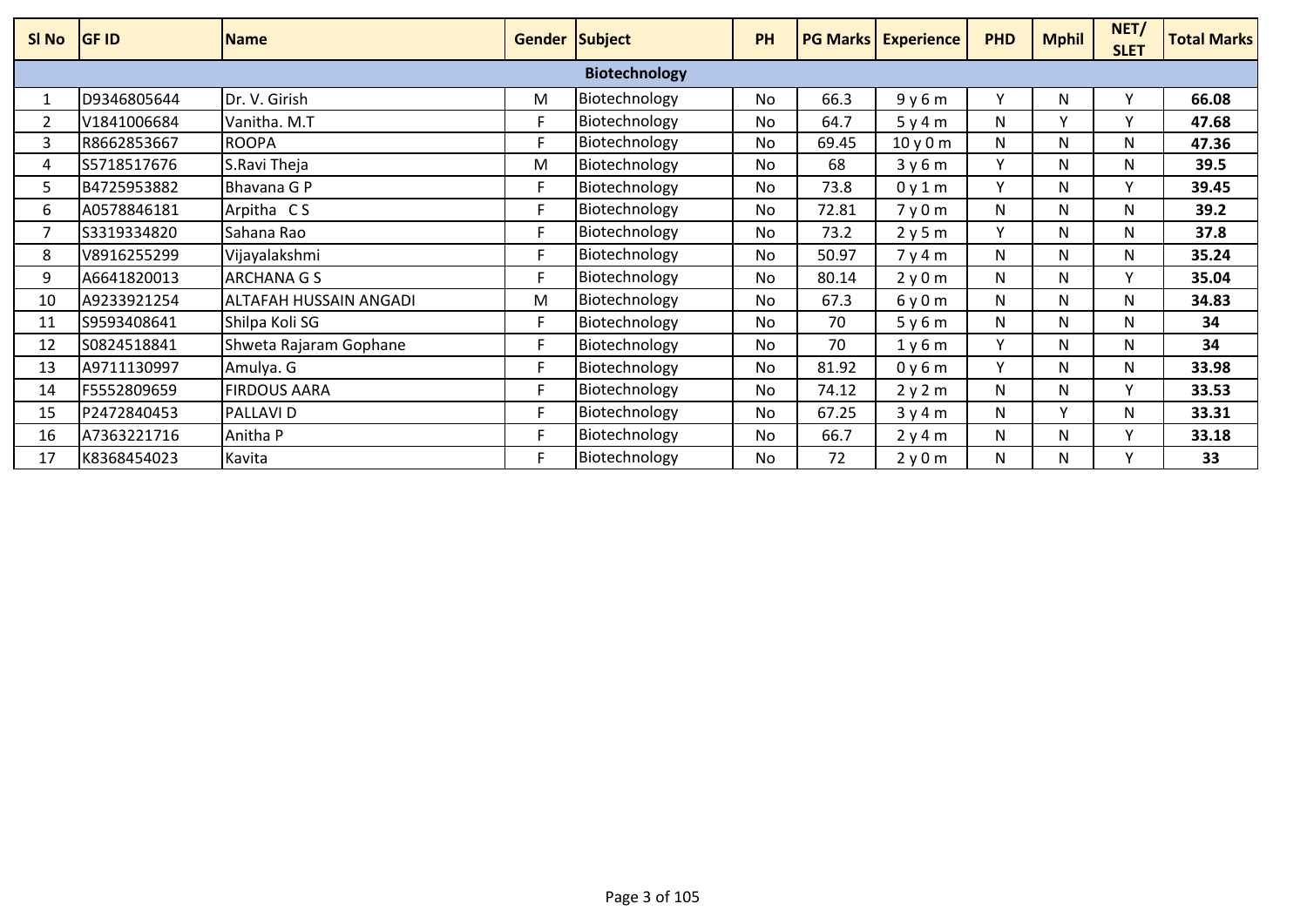| SI No | <b>GF ID</b> | <b>Name</b>            | <b>Gender Subject</b> |                      | PH        |       | <b>PG Marks Experience</b> | <b>PHD</b> | <b>Mphil</b> | NET/<br><b>SLET</b> | <b>Total Marks</b> |
|-------|--------------|------------------------|-----------------------|----------------------|-----------|-------|----------------------------|------------|--------------|---------------------|--------------------|
|       |              |                        |                       | <b>Biotechnology</b> |           |       |                            |            |              |                     |                    |
|       | D9346805644  | Dr. V. Girish          | M                     | Biotechnology        | <b>No</b> | 66.3  | 9y6m                       | v          | N            |                     | 66.08              |
| 2     | V1841006684  | Vanitha. M.T           |                       | Biotechnology        | No.       | 64.7  | 5y4m                       | N          |              | v                   | 47.68              |
| 3     | R8662853667  | <b>ROOPA</b>           | Е                     | Biotechnology        | <b>No</b> | 69.45 | 10y0m                      | N          | N            | N                   | 47.36              |
| 4     | S5718517676  | S.Ravi Theja           | M                     | Biotechnology        | <b>No</b> | 68    | 3y6m                       | v          | N            | N                   | 39.5               |
| 5.    | B4725953882  | Bhavana G P            |                       | Biotechnology        | No.       | 73.8  | 0y1m                       | v          | N            | $\mathsf{v}$        | 39.45              |
| 6     | A0578846181  | Arpitha CS             |                       | Biotechnology        | <b>No</b> | 72.81 | 7y0m                       | N          | N            | N                   | 39.2               |
|       | S3319334820  | Sahana Rao             |                       | Biotechnology        | <b>No</b> | 73.2  | 2y5m                       | ٧          | N            | N                   | 37.8               |
| 8     | V8916255299  | Vijayalakshmi          |                       | Biotechnology        | No        | 50.97 | 7y4m                       | N          | N            | N                   | 35.24              |
| 9     | A6641820013  | <b>ARCHANA G S</b>     | F                     | Biotechnology        | <b>No</b> | 80.14 | 2y0m                       | N          | N            | $\checkmark$        | 35.04              |
| 10    | A9233921254  | ALTAFAH HUSSAIN ANGADI | M                     | Biotechnology        | <b>No</b> | 67.3  | 6y0m                       | N          | N            | N                   | 34.83              |
| 11    | S9593408641  | Shilpa Koli SG         |                       | Biotechnology        | No.       | 70    | 5y6m                       | N          | N            | N                   | 34                 |
| 12    | S0824518841  | Shweta Rajaram Gophane | F                     | Biotechnology        | <b>No</b> | 70    | 1y6m                       | v          | N            | N                   | 34                 |
| 13    | A9711130997  | Amulya. G              | F                     | Biotechnology        | No.       | 81.92 | 0y6m                       | v          | N            | N                   | 33.98              |
| 14    | F5552809659  | <b>FIRDOUS AARA</b>    |                       | Biotechnology        | No.       | 74.12 | 2y2m                       | N          | N            | $\mathsf{v}$        | 33.53              |
| 15    | P2472840453  | <b>PALLAVID</b>        | Е                     | Biotechnology        | <b>No</b> | 67.25 | 3y4m                       | N          |              | N                   | 33.31              |
| 16    | A7363221716  | Anitha P               | F                     | Biotechnology        | <b>No</b> | 66.7  | 2y4m                       | N          | N            | v                   | 33.18              |
| 17    | K8368454023  | Kavita                 |                       | Biotechnology        | No.       | 72    | 2y0m                       | N          | N            |                     | 33                 |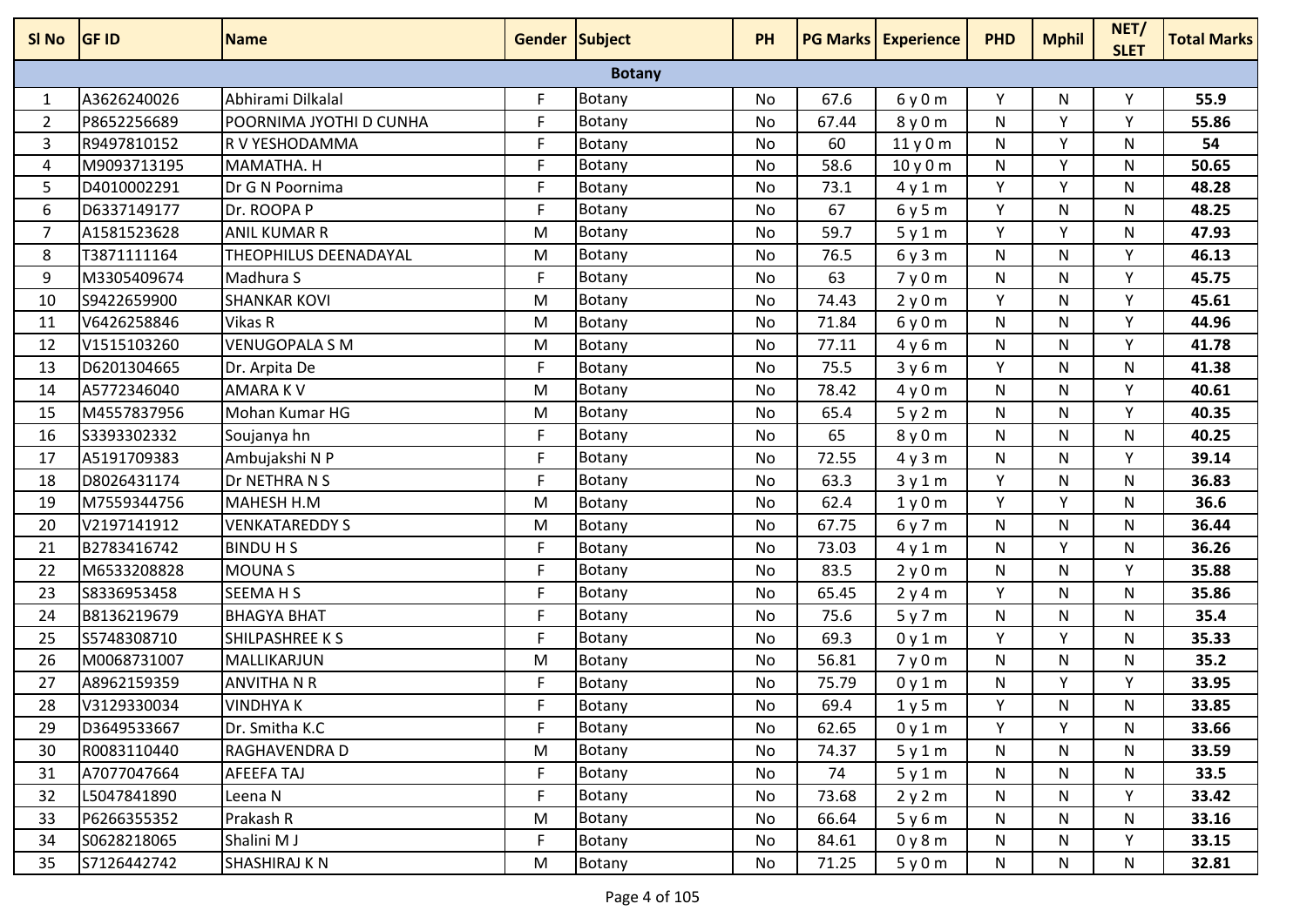| SI No          | <b>GF ID</b> | <b>Name</b>             | <b>Gender Subject</b> |               | PH        |       | <b>PG Marks Experience</b> | <b>PHD</b> | <b>Mphil</b> | NET/<br><b>SLET</b> | <b>Total Marks</b> |
|----------------|--------------|-------------------------|-----------------------|---------------|-----------|-------|----------------------------|------------|--------------|---------------------|--------------------|
|                |              |                         |                       | <b>Botany</b> |           |       |                            |            |              |                     |                    |
| 1              | A3626240026  | Abhirami Dilkalal       | F                     | Botany        | No        | 67.6  | 6y0m                       | Y          | N            | Υ                   | 55.9               |
| $\overline{2}$ | P8652256689  | POORNIMA JYOTHI D CUNHA | F                     | Botany        | No        | 67.44 | 8y0m                       | N          | Y            | ٧                   | 55.86              |
| 3              | R9497810152  | R V YESHODAMMA          | F                     | Botany        | <b>No</b> | 60    | 11y0m                      | N          | Y            | N                   | 54                 |
| 4              | M9093713195  | MAMATHA. H              | F                     | <b>Botany</b> | No        | 58.6  | 10y0m                      | N          | Y            | N                   | 50.65              |
| 5              | D4010002291  | Dr G N Poornima         | F                     | Botany        | No        | 73.1  | 4y1m                       | Y          | Y            | N                   | 48.28              |
| 6              | D6337149177  | Dr. ROOPA P             | F                     | Botany        | No        | 67    | 6y5m                       | Υ          | N            | N                   | 48.25              |
| $\overline{7}$ | A1581523628  | <b>ANIL KUMAR R</b>     | M                     | Botany        | No        | 59.7  | 5y1m                       | Y          | Υ            | N                   | 47.93              |
| 8              | T3871111164  | THEOPHILUS DEENADAYAL   | M                     | Botany        | No        | 76.5  | 6y3m                       | N          | N            | Y                   | 46.13              |
| 9              | M3305409674  | Madhura S               | F                     | Botany        | No        | 63    | 7y0m                       | N          | N            | Y                   | 45.75              |
| 10             | S9422659900  | <b>SHANKAR KOVI</b>     | M                     | Botany        | No        | 74.43 | 2y0m                       | Y          | N            | Y                   | 45.61              |
| 11             | V6426258846  | Vikas R                 | M                     | Botany        | No        | 71.84 | 6y0m                       | N          | N            | Y                   | 44.96              |
| 12             | V1515103260  | <b>VENUGOPALA S M</b>   | M                     | Botany        | No        | 77.11 | 4y6m                       | N          | N            | ٧                   | 41.78              |
| 13             | D6201304665  | Dr. Arpita De           | F                     | Botany        | <b>No</b> | 75.5  | 3y6m                       | Y          | N            | N                   | 41.38              |
| 14             | A5772346040  | <b>AMARAKV</b>          | M                     | Botany        | No        | 78.42 | 4y0m                       | N          | N            | Υ                   | 40.61              |
| 15             | M4557837956  | Mohan Kumar HG          | M                     | Botany        | No        | 65.4  | 5y2m                       | N          | N            | Y                   | 40.35              |
| 16             | S3393302332  | Soujanya hn             | F                     | Botany        | No        | 65    | 8y0m                       | N          | N            | N                   | 40.25              |
| 17             | A5191709383  | Ambujakshi N P          | F                     | Botany        | No        | 72.55 | 4y3m                       | N          | N            | Υ                   | 39.14              |
| 18             | D8026431174  | Dr NETHRA N S           | E                     | Botany        | No        | 63.3  | 3y1m                       | Y          | N            | N                   | 36.83              |
| 19             | M7559344756  | MAHESH H.M              | M                     | Botany        | No        | 62.4  | 1y0m                       | Y          | Y            | N                   | 36.6               |
| 20             | V2197141912  | <b>VENKATAREDDY S</b>   | M                     | Botany        | <b>No</b> | 67.75 | 6y7m                       | N          | N            | N                   | 36.44              |
| 21             | B2783416742  | <b>BINDU H S</b>        | F                     | Botany        | No        | 73.03 | 4y1m                       | N          | Y            | N                   | 36.26              |
| 22             | M6533208828  | <b>MOUNAS</b>           | F                     | <b>Botany</b> | No        | 83.5  | 2y0m                       | N          | N            | Y                   | 35.88              |
| 23             | S8336953458  | <b>SEEMAHS</b>          | F                     | Botany        | No        | 65.45 | 2y4m                       | Y          | N            | N                   | 35.86              |
| 24             | B8136219679  | <b>BHAGYA BHAT</b>      | F                     | <b>Botany</b> | No        | 75.6  | 5y7m                       | N          | N            | N                   | 35.4               |
| 25             | S5748308710  | SHILPASHREE K S         | F.                    | Botany        | No        | 69.3  | 0y1m                       | Y          | Y            | N                   | 35.33              |
| 26             | M0068731007  | MALLIKARJUN             | M                     | <b>Botany</b> | No        | 56.81 | 7y0m                       | N          | N            | N                   | 35.2               |
| 27             | A8962159359  | <b>ANVITHA N R</b>      | F                     | Botany        | No        | 75.79 | 0y1m                       | N          | Y            | Υ                   | 33.95              |
| 28             | V3129330034  | <b>VINDHYAK</b>         | F                     | Botany        | No        | 69.4  | 1y5m                       | Y          | N            | N                   | 33.85              |
| 29             | D3649533667  | Dr. Smitha K.C          | F.                    | Botany        | No        | 62.65 | 0y1m                       | Y          | Y            | N                   | 33.66              |
| 30             | R0083110440  | RAGHAVENDRA D           | M                     | Botany        | No        | 74.37 | 5y1m                       | N          | N            | N                   | 33.59              |
| 31             | A7077047664  | AFEEFA TAJ              | F                     | <b>Botany</b> | No        | 74    | 5y1m                       | N          | N            | N                   | 33.5               |
| 32             | L5047841890  | Leena N                 | F                     | Botany        | No        | 73.68 | 2y2m                       | N          | N            | Y                   | 33.42              |
| 33             | P6266355352  | Prakash R               | M                     | Botany        | No        | 66.64 | 5y6m                       | N          | N            | N                   | 33.16              |
| 34             | S0628218065  | Shalini M J             | F                     | Botany        | No        | 84.61 | 0y8m                       | N          | N            | Y                   | 33.15              |
| 35             | S7126442742  | <b>SHASHIRAJ K N</b>    | M                     | Botany        | No        | 71.25 | 5y0m                       | N          | N            | N                   | 32.81              |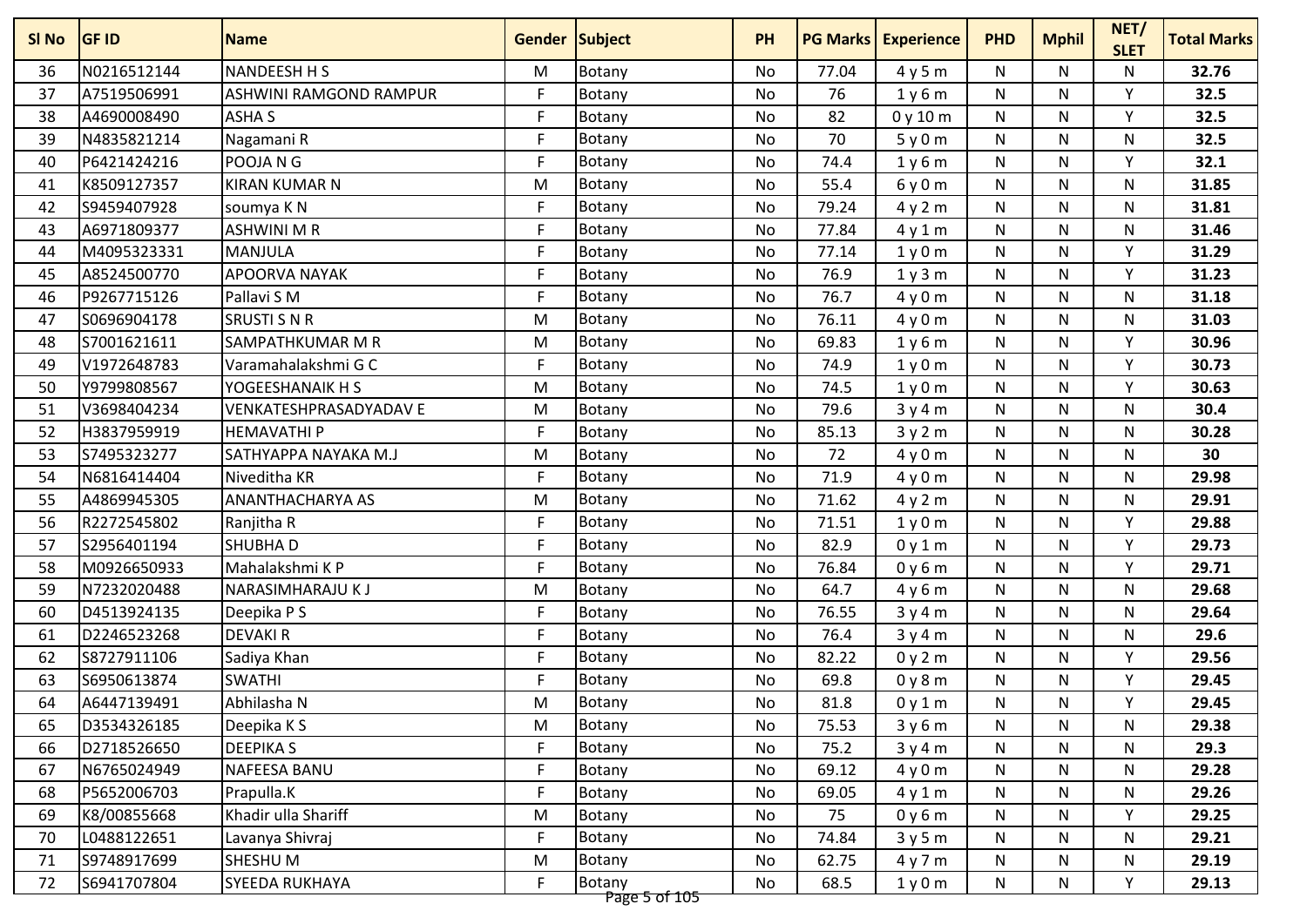| SI No | <b>GF ID</b> | <b>Name</b>             | <b>Gender Subject</b> |                         | <b>PH</b> |       | <b>PG Marks   Experience</b> | <b>PHD</b> | <b>Mphil</b> | NET/<br><b>SLET</b> | <b>Total Marks</b> |
|-------|--------------|-------------------------|-----------------------|-------------------------|-----------|-------|------------------------------|------------|--------------|---------------------|--------------------|
| 36    | N0216512144  | NANDEESH H S            | м                     | Botany                  | No        | 77.04 | 4y5m                         | N          | N            | N                   | 32.76              |
| 37    | A7519506991  | ASHWINI RAMGOND RAMPUR  | F                     | Botany                  | <b>No</b> | 76    | 1y6m                         | N          | N            | Y                   | 32.5               |
| 38    | A4690008490  | <b>ASHA S</b>           | F                     | Botany                  | <b>No</b> | 82    | 0y10m                        | N          | N            | Y                   | 32.5               |
| 39    | N4835821214  | Nagamani R              | F.                    | Botany                  | No        | 70    | 5y0m                         | N          | N            | N                   | 32.5               |
| 40    | P6421424216  | POOJA N G               | F                     | Botany                  | No        | 74.4  | 1y6m                         | N          | N            | Y                   | 32.1               |
| 41    | K8509127357  | <b>KIRAN KUMAR N</b>    | M                     | Botany                  | No        | 55.4  | 6y0m                         | N          | N            | N                   | 31.85              |
| 42    | S9459407928  | soumya K N              | F                     | Botany                  | No        | 79.24 | 4y2m                         | N          | N            | N                   | 31.81              |
| 43    | A6971809377  | <b>ASHWINI M R</b>      | F                     | Botany                  | <b>No</b> | 77.84 | 4y1m                         | N          | N            | N                   | 31.46              |
| 44    | M4095323331  | MANJULA                 | F                     | <b>Botany</b>           | No        | 77.14 | 1y0m                         | N          | N            | Υ                   | 31.29              |
| 45    | A8524500770  | <b>APOORVA NAYAK</b>    | F                     | Botany                  | No        | 76.9  | 1y3m                         | N          | N            | Y                   | 31.23              |
| 46    | P9267715126  | Pallavi S M             | F                     | Botany                  | No        | 76.7  | 4y0m                         | N          | N            | N                   | 31.18              |
| 47    | S0696904178  | <b>SRUSTI S N R</b>     | M                     | Botany                  | No        | 76.11 | 4y0m                         | N          | N            | N                   | 31.03              |
| 48    | S7001621611  | SAMPATHKUMAR M R        | M                     | Botany                  | No        | 69.83 | 1y6m                         | N          | N            | Υ                   | 30.96              |
| 49    | V1972648783  | Varamahalakshmi G C     | F                     | Botany                  | No        | 74.9  | 1y0m                         | N          | N            | v                   | 30.73              |
| 50    | Y9799808567  | <b>YOGEESHANAIK H S</b> | M                     | Botany                  | <b>No</b> | 74.5  | 1y0m                         | N          | N            | Υ                   | 30.63              |
| 51    | V3698404234  | VENKATESHPRASADYADAV E  | M                     | Botany                  | No        | 79.6  | 3y4m                         | N          | N            | N                   | 30.4               |
| 52    | H3837959919  | <b>HEMAVATHIP</b>       | F.                    | Botany                  | No        | 85.13 | 3y2m                         | N          | N            | N                   | 30.28              |
| 53    | S7495323277  | SATHYAPPA NAYAKA M.J    | M                     | Botany                  | <b>No</b> | 72    | 4y0m                         | N          | N            | N                   | 30                 |
| 54    | N6816414404  | Niveditha KR            | F                     | Botany                  | No        | 71.9  | 4y0m                         | N          | N            | N                   | 29.98              |
| 55    | A4869945305  | <b>ANANTHACHARYA AS</b> | M                     | Botany                  | No        | 71.62 | 4y2m                         | N          | N            | N                   | 29.91              |
| 56    | R2272545802  | Ranjitha R              | F                     | Botany                  | No        | 71.51 | 1y0m                         | N          | N            | Y                   | 29.88              |
| 57    | S2956401194  | <b>SHUBHAD</b>          | F.                    | Botany                  | <b>No</b> | 82.9  | 0y1m                         | N          | N            | Y                   | 29.73              |
| 58    | M0926650933  | Mahalakshmi K P         | F.                    | Botany                  | No        | 76.84 | 0y6m                         | N          | N            | Υ                   | 29.71              |
| 59    | N7232020488  | NARASIMHARAJU K J       | M                     | Botany                  | No        | 64.7  | 4y6m                         | N          | N            | N                   | 29.68              |
| 60    | D4513924135  | Deepika P S             | F.                    | Botany                  | No        | 76.55 | 3y4m                         | N          | N            | N                   | 29.64              |
| 61    | D2246523268  | <b>DEVAKIR</b>          | F                     | <b>Botany</b>           | No        | 76.4  | 3y4m                         | N          | N            | N                   | 29.6               |
| 62    | S8727911106  | Sadiya Khan             | F.                    | Botany                  | <b>No</b> | 82.22 | 0y2m                         | N          | N            | Y                   | 29.56              |
| 63    | S6950613874  | <b>SWATHI</b>           | F                     | Botany                  | <b>No</b> | 69.8  | 0y8m                         | N          | N            | Υ                   | 29.45              |
| 64    | A6447139491  | Abhilasha N             | M                     | Botany                  | No        | 81.8  | 0y1m                         | N          | N            | Υ                   | 29.45              |
| 65    | D3534326185  | Deepika K S             | M                     | Botany                  | No        | 75.53 | 3y6m                         | N          | N            | N                   | 29.38              |
| 66    | D2718526650  | <b>DEEPIKAS</b>         | F                     | Botany                  | No        | 75.2  | 3y4m                         | N          | N            | N                   | 29.3               |
| 67    | N6765024949  | NAFEESA BANU            | F.                    | Botany                  | No        | 69.12 | 4y0m                         | N          | N            | N                   | 29.28              |
| 68    | P5652006703  | Prapulla.K              | F                     | <b>Botany</b>           | No        | 69.05 | 4y1m                         | N          | N            | N                   | 29.26              |
| 69    | K8/00855668  | Khadir ulla Shariff     | M                     | Botany                  | No        | 75    | 0y6m                         | N          | N            | Y                   | 29.25              |
| 70    | L0488122651  | Lavanya Shivraj         | F                     | Botany                  | No        | 74.84 | 3y5m                         | N          | N            | N                   | 29.21              |
| 71    | S9748917699  | SHESHU M                | M                     | Botany                  | No        | 62.75 | 4y7m                         | N          | N            | N                   | 29.19              |
| 72    | S6941707804  | <b>SYEEDA RUKHAYA</b>   | F.                    | Botany<br>Page 5 of 105 | No        | 68.5  | 1y0m                         | N          | N            | Y                   | 29.13              |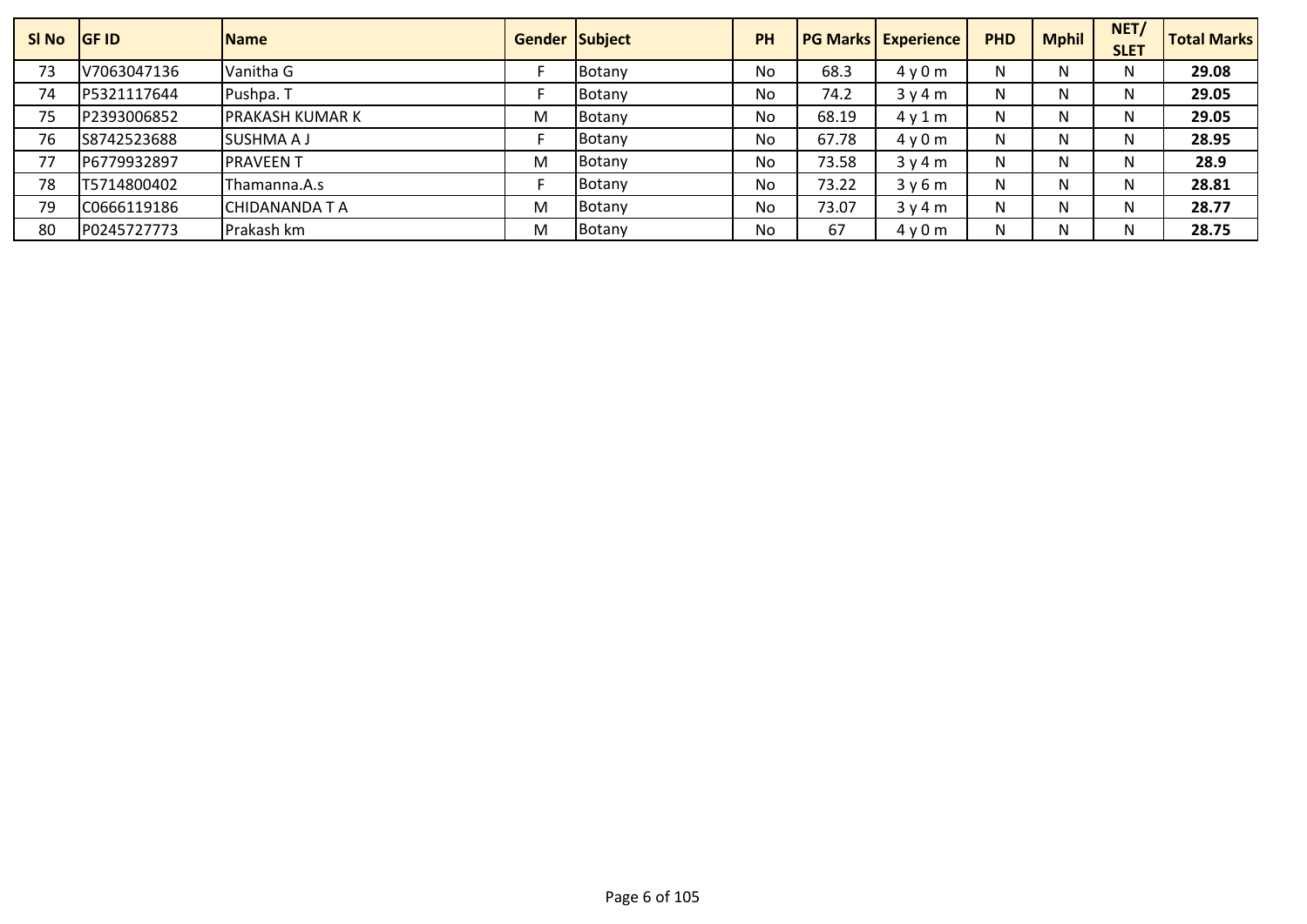| SI No | <b>IGF ID</b> | <b>Name</b>            |   | <b>Gender Subject</b> | <b>PH</b> |       | <b>PG Marks Experience</b> | <b>PHD</b> | <b>Mphil</b> | NET/<br><b>SLET</b> | <b>Total Marks</b> |
|-------|---------------|------------------------|---|-----------------------|-----------|-------|----------------------------|------------|--------------|---------------------|--------------------|
| 73    | V7063047136   | Vanitha G              |   | Botany                | No        | 68.3  | 4y0m                       | N          | N            | N                   | 29.08              |
| 74    | P5321117644   | Pushpa. T              |   | Botany                | No        | 74.2  | 3y4m                       | N          | N            | N                   | 29.05              |
| 75    | P2393006852   | <b>PRAKASH KUMAR K</b> | M | Botany                | No        | 68.19 | $4 \vee 1$ m               | N          | N            | N                   | 29.05              |
| 76    | S8742523688   | <b>SUSHMA A J</b>      |   | Botany                | No        | 67.78 | 4v0m                       | N          | N            | N                   | 28.95              |
| 77    | P6779932897   | <b>PRAVEENT</b>        | M | Botany                | No        | 73.58 | 3y4m                       | N          | N            | N                   | 28.9               |
| 78    | T5714800402   | Thamanna.A.s           |   | Botany                | No        | 73.22 | 3y6m                       | N          | N            | N                   | 28.81              |
| 79    | C0666119186   | CHIDANANDA T A         | M | Botany                | No        | 73.07 | 3y4m                       | N          | N            | N                   | 28.77              |
| 80    | P0245727773   | Prakash km             | M | Botany                | No        | 67    | 4y0m                       | N          | N            | N                   | 28.75              |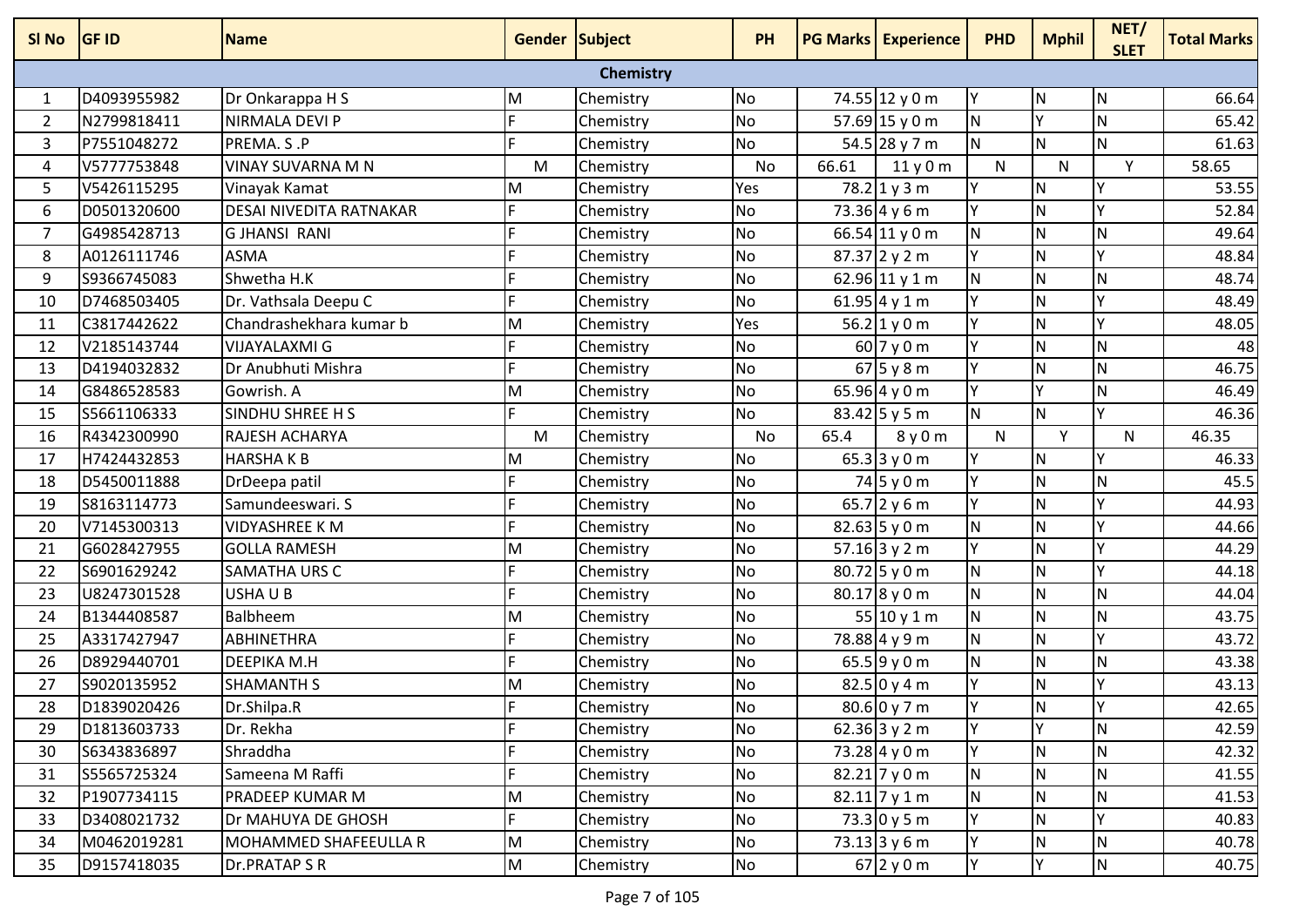| SI <sub>No</sub> | <b>GF ID</b> | <b>Name</b>                    | Gender Subject |                  | <b>PH</b> |       | <b>PG Marks   Experience</b> | <b>PHD</b>   | <b>Mphil</b> | NET/<br><b>SLET</b> | <b>Total Marks</b> |
|------------------|--------------|--------------------------------|----------------|------------------|-----------|-------|------------------------------|--------------|--------------|---------------------|--------------------|
|                  |              |                                |                | <b>Chemistry</b> |           |       |                              |              |              |                     |                    |
| 1                | D4093955982  | Dr Onkarappa H S               | M              | Chemistry        | <b>No</b> |       | 74.55 12 y 0 m               | Υ            | IN.          | N                   | 66.64              |
| $\overline{2}$   | N2799818411  | NIRMALA DEVI P                 |                | Chemistry        | No        |       | $57.69$ 15 y 0 m             | Ν            |              | $\mathsf{N}$        | 65.42              |
| $\mathbf{3}$     | P7551048272  | PREMA. S.P                     |                | Chemistry        | <b>No</b> |       | 54.5 28 y 7 m                | $\mathsf{N}$ | IN.          | N                   | 61.63              |
| 4                | V5777753848  | VINAY SUVARNA M N              | M              | Chemistry        | No        | 66.61 | 11y0m                        | N            | N            | Y                   | 58.65              |
| 5                | V5426115295  | Vinayak Kamat                  | M              | Chemistry        | Yes       |       | $78.2$ 1 y 3 m               | Υ            | <b>N</b>     | Y                   | 53.55              |
| 6                | D0501320600  | <b>DESAI NIVEDITA RATNAKAR</b> |                | Chemistry        | <b>No</b> |       | $73.36$ 4 y 6 m              |              | <b>N</b>     | Υ                   | 52.84              |
| $\overline{7}$   | G4985428713  | <b>GJHANSI RANI</b>            |                | Chemistry        | No        |       | 66.54 11 y 0 m               | N            | <b>N</b>     | $\mathsf{N}$        | 49.64              |
| 8                | A0126111746  | <b>ASMA</b>                    |                | Chemistry        | <b>No</b> |       | $87.37$ 2 y 2 m              | γ            | <b>N</b>     | Υ                   | 48.84              |
| 9                | S9366745083  | Shwetha H.K                    |                | Chemistry        | No        |       | 62.96 11 y 1 m               | N            | N            | $\mathsf{N}$        | 48.74              |
| 10               | D7468503405  | Dr. Vathsala Deepu C           |                | Chemistry        | <b>No</b> |       | 61.95 4 y 1 m                | γ            | N            | Y                   | 48.49              |
| 11               | C3817442622  | Chandrashekhara kumar b        | M              | Chemistry        | Yes       |       | $56.2$ 1 y 0 m               |              | N            | Υ                   | 48.05              |
| 12               | V2185143744  | VIJAYALAXMI G                  |                | Chemistry        | No        |       | 60 7 y 0 m                   | γ            | <b>N</b>     | $\mathsf{N}$        | 48                 |
| 13               | D4194032832  | Dr Anubhuti Mishra             |                | Chemistry        | <b>No</b> |       | $67$ 5 y 8 m                 | Y            | <b>N</b>     | N                   | 46.75              |
| 14               | G8486528583  | Gowrish. A                     | M              | Chemistry        | <b>No</b> |       | 65.96 4 y 0 m                | γ            | Y            | $\mathsf{N}$        | 46.49              |
| 15               | S5661106333  | SINDHU SHREE H S               |                | Chemistry        | <b>No</b> |       | $83.42$ 5 y 5 m              | N            | N            | Y                   | 46.36              |
| 16               | R4342300990  | RAJESH ACHARYA                 | M              | Chemistry        | <b>No</b> | 65.4  | 8y0m                         | N            | Y            | N                   | 46.35              |
| 17               | H7424432853  | <b>HARSHAKB</b>                | M              | Chemistry        | <b>No</b> |       | 65.3 3 y 0 m                 | γ            | N            | Y                   | 46.33              |
| 18               | D5450011888  | DrDeepa patil                  |                | Chemistry        | <b>No</b> |       | $74$ 5 y 0 m                 |              | N            | $\mathsf{N}$        | 45.5               |
| 19               | S8163114773  | Samundeeswari. S               |                | Chemistry        | <b>No</b> |       | 65.7 2 $y$ 6 m               | Υ            | <b>N</b>     | Y                   | 44.93              |
| 20               | V7145300313  | <b>VIDYASHREE K M</b>          |                | Chemistry        | <b>No</b> |       | 82.63 5 y 0 m                | N            | <b>N</b>     | Υ                   | 44.66              |
| 21               | G6028427955  | <b>GOLLA RAMESH</b>            | M              | Chemistry        | No        |       | 57.16 3 y 2 m                | γ            | <b>N</b>     | Y                   | 44.29              |
| 22               | S6901629242  | <b>SAMATHA URS C</b>           |                | Chemistry        | <b>No</b> |       | $80.72$ 5 y 0 m              | N            | N            | Y                   | 44.18              |
| 23               | U8247301528  | USHA U B                       |                | Chemistry        | <b>No</b> |       | 80.178y0m                    | N            | N            | ${\sf N}$           | 44.04              |
| 24               | B1344408587  | Balbheem                       | M              | Chemistry        | <b>No</b> |       | 55 10 y 1 m                  | N            | N            | $\mathsf{N}$        | 43.75              |
| 25               | A3317427947  | <b>ABHINETHRA</b>              |                | Chemistry        | <b>No</b> |       | 78.88 4 y 9 m                | N            | <b>N</b>     | Y                   | 43.72              |
| 26               | D8929440701  | <b>DEEPIKA M.H</b>             |                | Chemistry        | No        |       | 65.59 y 0 m                  | N            | <b>N</b>     | N                   | 43.38              |
| 27               | S9020135952  | <b>SHAMANTH S</b>              | M              | Chemistry        | <b>No</b> |       | $82.5$ 0 y 4 m               | Y            | <b>N</b>     | Υ                   | 43.13              |
| 28               | D1839020426  | Dr.Shilpa.R                    |                | Chemistry        | <b>No</b> |       | $80.6$ 0 y 7 m               | Y            | lΝ           | <b>V</b>            | 42.65              |
| 29               | D1813603733  | Dr. Rekha                      |                | Chemistry        | <b>No</b> |       | 62.36 3 y 2 m                | Y            | Y            | N                   | 42.59              |
| 30               | S6343836897  | Shraddha                       |                | Chemistry        | No        |       | 73.28 $4 y 0 m$              |              | N.           | ${\sf N}$           | 42.32              |
| 31               | S5565725324  | Sameena M Raffi                |                | Chemistry        | No        |       | $82.21$ 7 y 0 m              | N            | N.           | N                   | 41.55              |
| 32               | P1907734115  | <b>PRADEEP KUMAR M</b>         | M              | Chemistry        | No        |       | $82.11$ 7 y 1 m              | N            | N.           | ${\sf N}$           | 41.53              |
| 33               | D3408021732  | Dr MAHUYA DE GHOSH             |                | Chemistry        | No        |       | $73.3$ 0 y 5 m               | Υ            | N.           | Υ                   | 40.83              |
| 34               | M0462019281  | MOHAMMED SHAFEEULLA R          | M              | Chemistry        | No        |       | $73.13$ 3 y 6 m              | γ            | N            | N                   | 40.78              |
| 35               | D9157418035  | Dr.PRATAP S R                  | M              | Chemistry        | No        |       | 67 2 y 0 m                   | Υ            | Y            | N                   | 40.75              |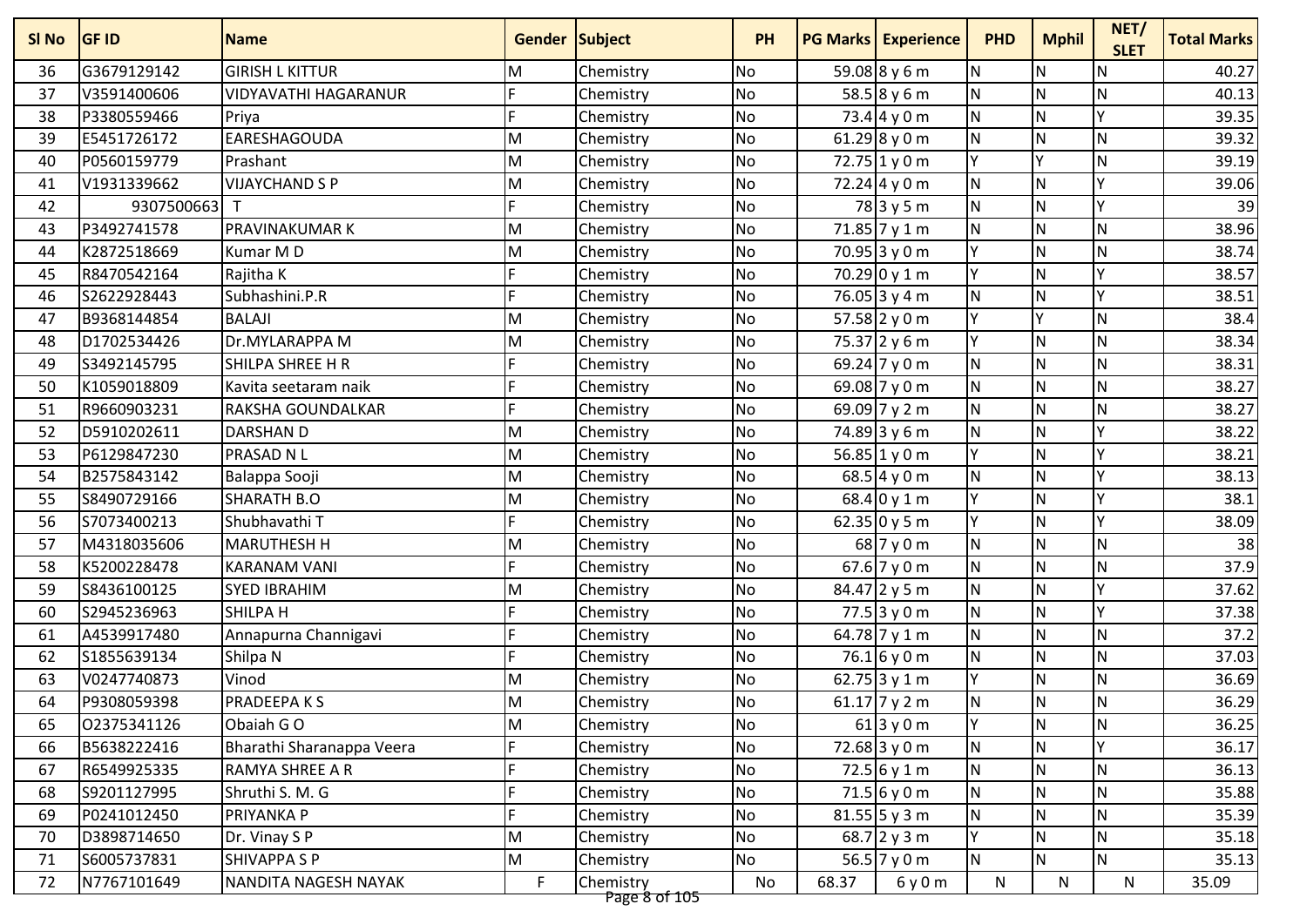| SI <sub>No</sub> | <b>GF ID</b> | <b>Name</b>                 | Gender Subject |                            | <b>PH</b> |       | <b>PG Marks Experience</b> | <b>PHD</b> | <b>Mphil</b> | NET/<br><b>SLET</b> | <b>Total Marks</b> |
|------------------|--------------|-----------------------------|----------------|----------------------------|-----------|-------|----------------------------|------------|--------------|---------------------|--------------------|
| 36               | G3679129142  | <b>GIRISH L KITTUR</b>      | M              | Chemistry                  | <b>No</b> |       | 59.08 8 y 6 m              | N          | ${\sf N}$    | N                   | 40.27              |
| 37               | V3591400606  | <b>VIDYAVATHI HAGARANUR</b> |                | Chemistry                  | <b>No</b> |       | $58.58 \times 6 m$         | N          | N            | N                   | 40.13              |
| 38               | P3380559466  | Priya                       |                | Chemistry                  | No        |       | $73.4$ 4 y 0 m             | N          | $\mathsf{N}$ | Υ                   | 39.35              |
| 39               | E5451726172  | <b>EARESHAGOUDA</b>         | M              | Chemistry                  | No        |       | 61.29 8 y 0 m              | N          | N            | $\mathsf{N}$        | 39.32              |
| 40               | P0560159779  | Prashant                    | M              | Chemistry                  | <b>No</b> |       | 72.75 1 y 0 m              | Y          | Y            | N.                  | 39.19              |
| 41               | V1931339662  | <b>VIJAYCHAND S P</b>       | M              | Chemistry                  | No        |       | $72.24$ 4 y 0 m            | N          | N            | v                   | 39.06              |
| 42               | 9307500663   | $\mathsf{T}$                |                | Chemistry                  | No        |       | 78 3 y 5 m                 | N          | N            | $\checkmark$        | 39                 |
| 43               | P3492741578  | <b>PRAVINAKUMARK</b>        | M              | Chemistry                  | <b>No</b> |       | 71.85 7 y 1 m              | N          | N            | <b>N</b>            | 38.96              |
| 44               | K2872518669  | Kumar MD                    | M              | Chemistry                  | No        |       | $70.95$ 3 y 0 m            | Y          | $\mathsf{N}$ | $\mathsf{N}$        | 38.74              |
| 45               | R8470542164  | Rajitha K                   |                | Chemistry                  | <b>No</b> |       | 70.29 0 y 1 m              | Y          | $\mathsf{N}$ | Y                   | 38.57              |
| 46               | S2622928443  | Subhashini.P.R              |                | Chemistry                  | <b>No</b> |       | 76.05 3 y 4 m              | N          | N            | v                   | 38.51              |
| 47               | B9368144854  | <b>BALAJI</b>               | M              | Chemistry                  | No        |       | 57.58 2 y 0 m              | lY.        | Y            | N                   | 38.4               |
| 48               | D1702534426  | Dr.MYLARAPPA M              | M              | Chemistry                  | <b>No</b> |       | $75.37$ 2 y 6 m            | Y          | N            | N                   | 38.34              |
| 49               | S3492145795  | SHILPA SHREE H R            |                | Chemistry                  | No        |       | 69.24 $7 y 0 m$            | N          | N            | N                   | 38.31              |
| 50               | K1059018809  | Kavita seetaram naik        |                | Chemistry                  | <b>No</b> |       | 69.08 $7 y 0 m$            | N          | $\mathsf{N}$ | N                   | 38.27              |
| 51               | R9660903231  | <b>RAKSHA GOUNDALKAR</b>    |                | Chemistry                  | <b>No</b> |       | 69.09 7 y 2 m              | N          | $\mathsf{N}$ | N                   | 38.27              |
| 52               | D5910202611  | <b>DARSHAN D</b>            | M              | Chemistry                  | <b>No</b> |       | 74.89 3 y 6 m              | N          | N            | v                   | 38.22              |
| 53               | P6129847230  | <b>PRASAD N L</b>           | M              | Chemistry                  | <b>No</b> |       | 56.85 1 y 0 m              | Y          | N            | v                   | 38.21              |
| 54               | B2575843142  | Balappa Sooji               | M              | Chemistry                  | No        |       | $68.5$ 4 y 0 m             | N          | N            | $\checkmark$        | 38.13              |
| 55               | S8490729166  | <b>SHARATH B.O</b>          | M              | Chemistry                  | No        |       | $68.4$ 0 y 1 m             | lγ         | N            | Y                   | 38.1               |
| 56               | S7073400213  | Shubhavathi T               |                | Chemistry                  | <b>No</b> |       | 62.35 0y5m                 | Y          | N            | v                   | 38.09              |
| 57               | M4318035606  | <b>MARUTHESH H</b>          | M              | Chemistry                  | No        |       | 68 7 y 0 m                 | N          | ${\sf N}$    | N                   | 38                 |
| 58               | K5200228478  | <b>KARANAM VANI</b>         |                | Chemistry                  | No        |       | $67.6$ 7 y 0 m             | N          | N            | N                   | 37.9               |
| 59               | S8436100125  | <b>SYED IBRAHIM</b>         | M              | Chemistry                  | <b>No</b> |       | $84.47$ 2 y 5 m            | N          | N            | v                   | 37.62              |
| 60               | S2945236963  | <b>SHILPA H</b>             |                | Chemistry                  | No        |       | $77.5$ 3 y 0 m             | N          | N            | v                   | 37.38              |
| 61               | A4539917480  | Annapurna Channigavi        |                | Chemistry                  | No        |       | 64.78 7 y 1 m              | N          | N            | $\mathsf{N}$        | 37.2               |
| 62               | S1855639134  | Shilpa N                    |                | Chemistry                  | <b>No</b> |       | $76.1$ 6 y 0 m             | N          | N            | N                   | 37.03              |
| 63               | V0247740873  | Vinod                       | M              | Chemistry                  | No        |       | 62.75 3 y 1 m              | Y          | ${\sf N}$    | N                   | 36.69              |
| 64               | P9308059398  | <b>PRADEEPAKS</b>           | M              | Chemistry                  | <b>No</b> |       | 61.17 $7 y 2 m$            | N          | N            | N                   | 36.29              |
| 65               | 02375341126  | Obaiah GO                   | M              | Chemistry                  | No        |       | $61$ 3 y 0 m               | İΥ.        | N            | IN.                 | 36.25              |
| 66               | B5638222416  | Bharathi Sharanappa Veera   |                | Chemistry                  | <b>No</b> |       | $72.68$ 3 y 0 m            | N          | N            |                     | 36.17              |
| 67               | R6549925335  | <b>RAMYA SHREE A R</b>      |                | Chemistry                  | No        |       | $72.5$ 6 y 1 m             | N          | N            | N                   | 36.13              |
| 68               | S9201127995  | Shruthi S. M. G             |                | Chemistry                  | <b>No</b> |       | $71.5$ 6 y 0 m             | N          | N            | N                   | 35.88              |
| 69               | P0241012450  | PRIYANKA P                  |                | Chemistry                  | No        |       | $81.55$ 5 y 3 m            | N          | $\mathsf{N}$ | N                   | 35.39              |
| 70               | D3898714650  | Dr. Vinay S P               | M              | Chemistry                  | <b>No</b> |       | 68.7 2 y 3 m               | Y          | $\mathsf{N}$ | N                   | 35.18              |
| 71               | S6005737831  | <b>SHIVAPPA S P</b>         | M              | Chemistry                  | No        |       | 56.5 $7 y 0 m$             | N          | N            | N                   | 35.13              |
| 72               | N7767101649  | NANDITA NAGESH NAYAK        | $\mathsf F$    | Chemistry<br>Page 8 of 105 | No        | 68.37 | 6y0m                       | N          | N            | N                   | 35.09              |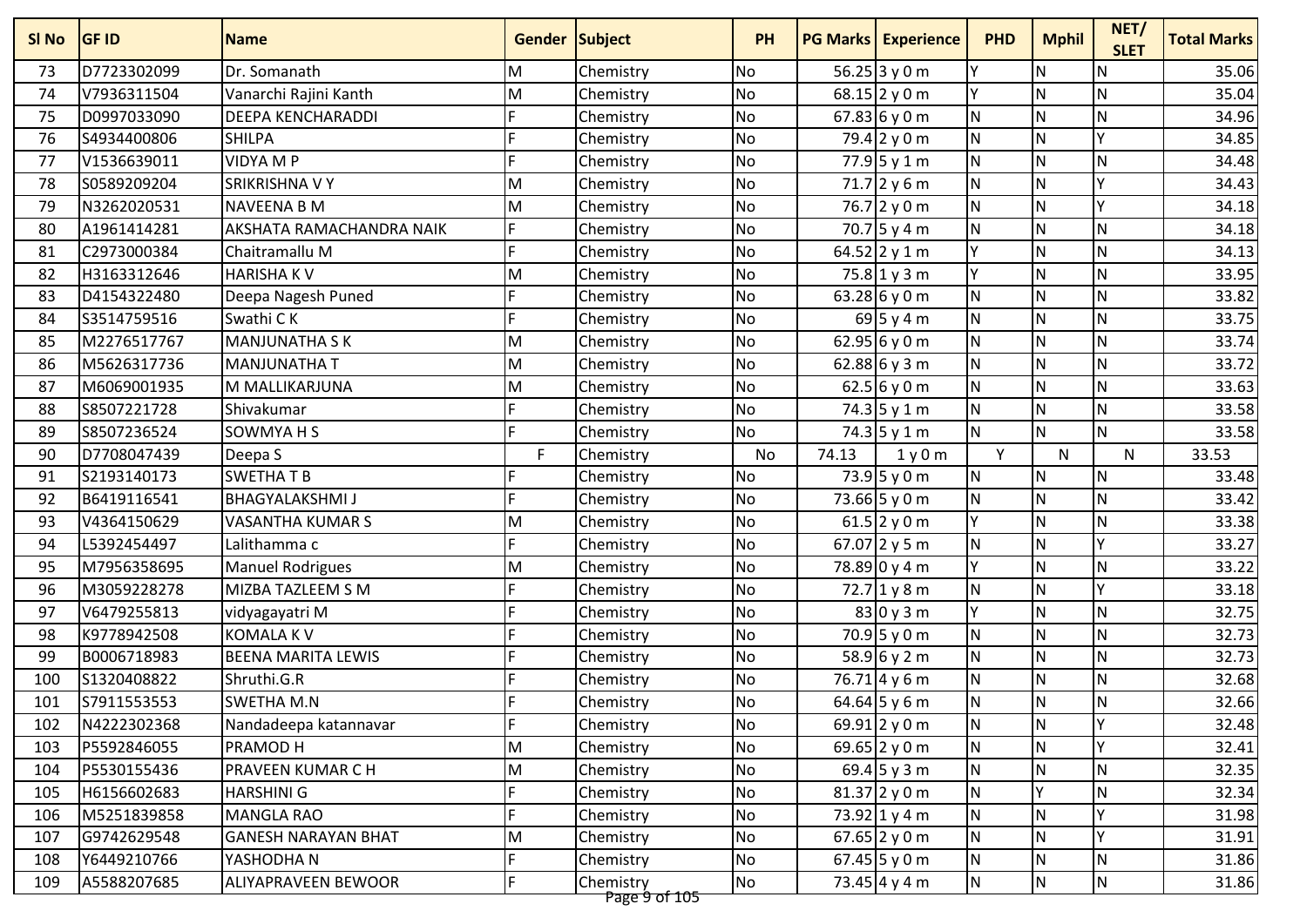| SI No | <b>GF ID</b> | <b>Name</b>                | <b>Gender Subject</b> |                            | <b>PH</b> |       | <b>PG Marks Experience</b> | <b>PHD</b> | <b>Mphil</b>            | NET/<br><b>SLET</b> | <b>Total Marks</b> |
|-------|--------------|----------------------------|-----------------------|----------------------------|-----------|-------|----------------------------|------------|-------------------------|---------------------|--------------------|
| 73    | D7723302099  | Dr. Somanath               | M                     | Chemistry                  | <b>No</b> |       | 56.25 3 y 0 m              | lΥ         | ${\sf N}$               | $\mathsf{N}$        | 35.06              |
| 74    | V7936311504  | Vanarchi Rajini Kanth      | M                     | Chemistry                  | <b>No</b> |       | $68.15$   2 y 0 m          | lΥ         | N                       | N                   | 35.04              |
| 75    | D0997033090  | <b>DEEPA KENCHARADDI</b>   |                       | Chemistry                  | <b>No</b> |       | 67.83 6y0m                 | N          | $\mathsf{N}$            | N                   | 34.96              |
| 76    | S4934400806  | <b>SHILPA</b>              |                       | Chemistry                  | <b>No</b> |       | 79.4 2 y 0 m               | <b>N</b>   | N                       | v                   | 34.85              |
| 77    | V1536639011  | <b>VIDYA M P</b>           | E                     | Chemistry                  | <b>No</b> |       | $77.9$ 5 y 1 m             | <b>N</b>   | N                       | N                   | 34.48              |
| 78    | S0589209204  | <b>SRIKRISHNA V Y</b>      | M                     | Chemistry                  | <b>No</b> |       | $71.7$ 2 y 6 m             | N          | N                       | v                   | 34.43              |
| 79    | N3262020531  | <b>NAVEENA B M</b>         | M                     | Chemistry                  | No        |       | $76.7$ 2 y 0 m             | N          | N                       | v                   | 34.18              |
| 80    | A1961414281  | AKSHATA RAMACHANDRA NAIK   |                       | Chemistry                  | <b>No</b> |       | 70.7 5 y 4 m               | N          | N                       | N                   | 34.18              |
| 81    | C2973000384  | Chaitramallu M             |                       | Chemistry                  | No        |       | 64.52 2 y 1 m              | lγ         | $\mathsf{N}$            | N                   | 34.13              |
| 82    | H3163312646  | <b>HARISHAKV</b>           | M                     | Chemistry                  | <b>No</b> |       | $75.8$ 1 y 3 m             | Y          | $\mathsf{N}$            | N                   | 33.95              |
| 83    | D4154322480  | Deepa Nagesh Puned         | E                     | Chemistry                  | <b>No</b> |       | 63.28 6 y 0 m              | N.         | N                       | N                   | 33.82              |
| 84    | S3514759516  | Swathi CK                  | F                     | Chemistry                  | No        |       | $69$ 5 y 4 m               | N          | N                       | N                   | 33.75              |
| 85    | M2276517767  | <b>MANJUNATHA SK</b>       | M                     | Chemistry                  | <b>No</b> |       | 62.95 6 y 0 m              | N          | N                       | N                   | 33.74              |
| 86    | M5626317736  | <b>MANJUNATHA T</b>        | M                     | Chemistry                  | No        |       | 62.88 6 y 3 m              | N          | N                       | N                   | 33.72              |
| 87    | M6069001935  | M MALLIKARJUNA             | M                     | Chemistry                  | <b>No</b> |       | 62.5 6y0m                  | N          | N                       | N                   | 33.63              |
| 88    | S8507221728  | Shivakumar                 | E                     | Chemistry                  | No        |       | 74.3 5 y 1 m               | N          | $\mathsf{N}$            | N                   | 33.58              |
| 89    | S8507236524  | SOWMYA H S                 | F                     | Chemistry                  | <b>No</b> |       | $74.3$ 5 y 1 m             | <b>N</b>   | N                       | N                   | 33.58              |
| 90    | D7708047439  | Deepa S                    | F                     | Chemistry                  | No        | 74.13 | 1y0m                       | Y          | N                       | $\mathsf{N}$        | 33.53              |
| 91    | S2193140173  | <b>SWETHATB</b>            |                       | Chemistry                  | No        |       | $73.9$ 5 y 0 m             | N          | N                       | N                   | 33.48              |
| 92    | B6419116541  | <b>BHAGYALAKSHMI J</b>     |                       | Chemistry                  | <b>No</b> |       | 73.66 5 y 0 m              | N          | N                       | N                   | 33.42              |
| 93    | V4364150629  | VASANTHA KUMAR S           | M                     | Chemistry                  | <b>No</b> |       | 61.5 2 y 0 m               | lγ         | N                       | N                   | 33.38              |
| 94    | L5392454497  | Lalithamma c               |                       | Chemistry                  | No        |       | 67.07 2 y 5 m              | N          | $\mathsf{N}$            | γ                   | 33.27              |
| 95    | M7956358695  | <b>Manuel Rodrigues</b>    | M                     | Chemistry                  | No        |       | 78.89 0 y 4 m              | lγ         | N                       | N                   | 33.22              |
| 96    | M3059228278  | MIZBA TAZLEEM S M          | E                     | Chemistry                  | <b>No</b> |       | $72.7$ 1 y 8 m             | N          | N                       | v                   | 33.18              |
| 97    | V6479255813  | vidyagayatri M             |                       | Chemistry                  | <b>No</b> |       | 830y3m                     | Y          | N                       | N                   | 32.75              |
| 98    | K9778942508  | <b>KOMALA KV</b>           |                       | Chemistry                  | No        |       | $70.9$ 5 y 0 m             | N          | N                       | N                   | 32.73              |
| 99    | B0006718983  | <b>BEENA MARITA LEWIS</b>  |                       | Chemistry                  | <b>No</b> |       | 58.96y2m                   | N          | N                       | N                   | 32.73              |
| 100   | S1320408822  | Shruthi.G.R                |                       | Chemistry                  | No        |       | $76.71$ 4 y 6 m            | N          | ${\sf N}$               | N                   | 32.68              |
| 101   | S7911553553  | <b>SWETHA M.N</b>          |                       | Chemistry                  | No        |       | 64.64 5 y 6 m              | N          | $\overline{\mathsf{N}}$ | N                   | 32.66              |
| 102   | N4222302368  | Nandadeepa katannavar      | F                     | Chemistry                  | No        |       | 69.91 2 y 0 m              | <b>N</b>   | IN.                     | IΥ                  | 32.48              |
| 103   | P5592846055  | PRAMOD H                   | M                     | Chemistry                  | <b>No</b> |       | 69.65 2 y 0 m              | N          | N                       |                     | 32.41              |
| 104   | P5530155436  | <b>PRAVEEN KUMAR C H</b>   | M                     | Chemistry                  | No        |       | 69.4 5 y 3 m               | N          | N                       | N                   | 32.35              |
| 105   | H6156602683  | HARSHINI G                 |                       | Chemistry                  | <b>No</b> |       | $81.37$ 2 y 0 m            | N          |                         | N                   | 32.34              |
| 106   | M5251839858  | <b>MANGLA RAO</b>          |                       | Chemistry                  | No        |       | 73.92 1 y 4 m              | N          | $\mathsf{N}$            | Y                   | 31.98              |
| 107   | G9742629548  | <b>GANESH NARAYAN BHAT</b> | M                     | Chemistry                  | No        |       | 67.65 2 y 0 m              | N.         | $\mathsf{N}$            | $\checkmark$        | 31.91              |
| 108   | Y6449210766  | YASHODHA N                 |                       | Chemistry                  | No        |       | 67.45 $5 y 0 m$            | N          | N                       | N                   | 31.86              |
| 109   | A5588207685  | ALIYAPRAVEEN BEWOOR        |                       | Chemistry<br>Daga à of 105 | No        |       | 73.45 $4 y 4 m$            | N          | N                       | N                   | 31.86              |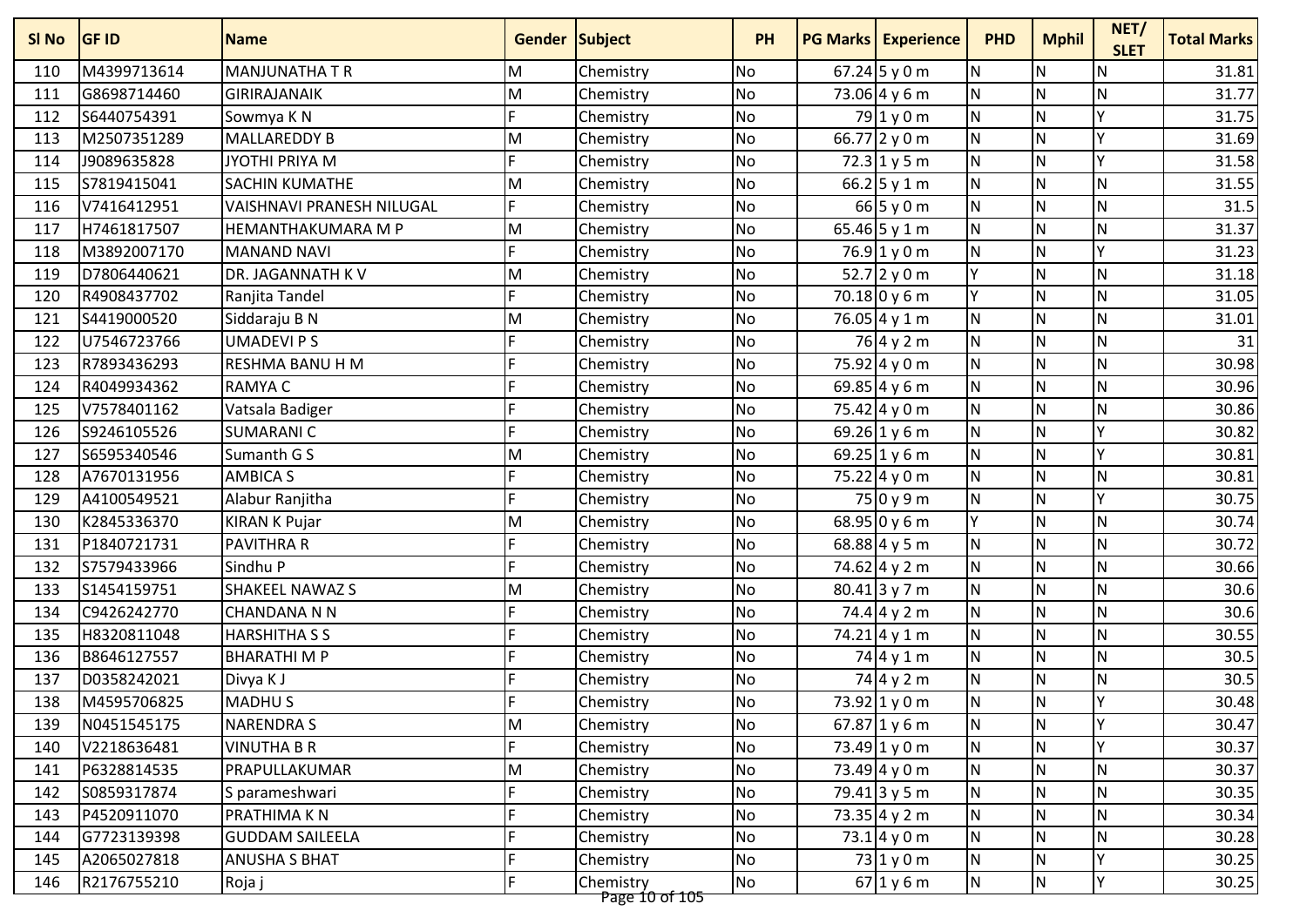| SI <sub>No</sub> | <b>GF ID</b> | <b>Name</b>                      | Gender Subject |                             | <b>PH</b> | <b>PG Marks Experience</b>       | <b>PHD</b> | <b>Mphil</b>            | NET/<br><b>SLET</b> | <b>Total Marks</b> |
|------------------|--------------|----------------------------------|----------------|-----------------------------|-----------|----------------------------------|------------|-------------------------|---------------------|--------------------|
| 110              | M4399713614  | <b>MANJUNATHA T R</b>            | M              | Chemistry                   | No        | $67.24$ 5 y 0 m                  | <b>N</b>   | ${\sf N}$               | $\mathsf{N}$        | 31.81              |
| 111              | G8698714460  | <b>GIRIRAJANAIK</b>              | M              | Chemistry                   | No        | 73.06 4 y 6 m                    | <b>N</b>   | N                       | N                   | 31.77              |
| 112              | S6440754391  | Sowmya K N                       |                | Chemistry                   | No        | $79$ 1 y 0 m                     | N          | ${\sf N}$               | Υ                   | 31.75              |
| 113              | M2507351289  | MALLAREDDY B                     | M              | Chemistry                   | No        | 66.77 2 y 0 m                    | <b>N</b>   | N                       | v                   | 31.69              |
| 114              | J9089635828  | JYOTHI PRIYA M                   | F              | Chemistry                   | <b>No</b> | $72.3$ 1 y 5 m                   | <b>N</b>   | N                       | Y                   | 31.58              |
| 115              | S7819415041  | <b>SACHIN KUMATHE</b>            | M              | Chemistry                   | No        | 66.2 $5 y 1 m$                   | N          | N                       | N                   | 31.55              |
| 116              | V7416412951  | <b>VAISHNAVI PRANESH NILUGAL</b> |                | Chemistry                   | No        | $66$ 5 y 0 m                     | <b>N</b>   | N                       | $\mathsf{N}$        | 31.5               |
| 117              | H7461817507  | HEMANTHAKUMARA M P               | M              | Chemistry                   | <b>No</b> | 65.46 5 y 1 m                    | N          | N                       | N                   | 31.37              |
| 118              | M3892007170  | <b>MANAND NAVI</b>               |                | Chemistry                   | No        | $76.9$ 1 y 0 m                   | <b>N</b>   | ${\sf N}$               | Y                   | 31.23              |
| 119              | D7806440621  | DR. JAGANNATH K V                | M              | Chemistry                   | <b>No</b> | 52.7 2 y 0 m                     | lγ         | $\mathsf{N}$            | N                   | 31.18              |
| 120              | R4908437702  | Ranjita Tandel                   |                | Chemistry                   | No        | $70.18$ 0 y 6 m                  | lγ         | $\mathsf{N}$            | $\mathsf{N}$        | 31.05              |
| 121              | S4419000520  | Siddaraju B N                    | M              | Chemistry                   | No        | 76.05 4 y 1 m                    | <b>N</b>   | N                       | N                   | 31.01              |
| 122              | U7546723766  | <b>UMADEVIPS</b>                 |                | Chemistry                   | <b>No</b> | 76 4 y 2 m                       | N          | N                       | N                   | 31                 |
| 123              | R7893436293  | RESHMA BANU H M                  |                | Chemistry                   | No        | 75.92 4 y 0 m                    | <b>N</b>   | $\mathsf{N}$            | N                   | 30.98              |
| 124              | R4049934362  | <b>RAMYAC</b>                    |                | Chemistry                   | <b>No</b> | 69.85 4 y 6 m                    | N          | $\mathsf{N}$            | N                   | 30.96              |
| 125              | V7578401162  | Vatsala Badiger                  |                | Chemistry                   | <b>No</b> | $75.42 \,   \, 4 \, y \, 0 \, m$ | N          | $\mathsf{N}$            | $\mathsf{N}$        | 30.86              |
| 126              | S9246105526  | <b>SUMARANIC</b>                 |                | Chemistry                   | No        | 69.26 1 y 6 m                    | <b>N</b>   | N                       | Y                   | 30.82              |
| 127              | S6595340546  | Sumanth G S                      | M              | Chemistry                   | <b>No</b> | 69.25 1 y 6 m                    | N          | N                       | v                   | 30.81              |
| 128              | A7670131956  | <b>AMBICA S</b>                  |                | Chemistry                   | No        | 75.22 4 y 0 m                    | <b>N</b>   | N                       | $\mathsf{N}$        | 30.81              |
| 129              | A4100549521  | Alabur Ranjitha                  |                | Chemistry                   | No        | 75 0 y 9 m                       | N          | N                       | Υ                   | 30.75              |
| 130              | K2845336370  | <b>KIRAN K Pujar</b>             | M              | Chemistry                   | No        | $68.95$ 0 y 6 m                  | lΥ         | N                       | N                   | 30.74              |
| 131              | P1840721731  | PAVITHRA R                       |                | Chemistry                   | No        | 68.88 4 y 5 m                    | N          | ${\sf N}$               | $\mathsf{N}$        | 30.72              |
| 132              | S7579433966  | Sindhu P                         |                | Chemistry                   | No        | 74.62 4 y 2 m                    | N          | N                       | $\mathsf{N}$        | 30.66              |
| 133              | S1454159751  | <b>SHAKEEL NAWAZ S</b>           | M              | Chemistry                   | <b>No</b> | $80.41$ 3 y 7 m                  | <b>N</b>   | N                       | N                   | 30.6               |
| 134              | C9426242770  | <b>CHANDANA N N</b>              |                | Chemistry                   | No        | 74.4 4 y 2 m                     | N          | N                       | N                   | 30.6               |
| 135              | H8320811048  | <b>HARSHITHA S S</b>             |                | Chemistry                   | No        | $74.21 \, 4 \, y \, 1 \, m$      | <b>N</b>   | N                       | $\mathsf{N}$        | 30.55              |
| 136              | B8646127557  | <b>BHARATHIMP</b>                |                | Chemistry                   | <b>No</b> | 74 4 y 1 m                       | N          | $\overline{\mathsf{N}}$ | $\mathsf{N}$        | 30.5               |
| 137              | D0358242021  | Divya K J                        |                | Chemistry                   | No        | 74 4 y 2 m                       | N          | ${\sf N}$               | ${\sf N}$           | 30.5               |
| 138              | M4595706825  | <b>MADHUS</b>                    |                | Chemistry                   | <b>No</b> | 73.92 1 y 0 m                    | N          | $\mathsf{N}$            | Υ                   | 30.48              |
| 139              | N0451545175  | <b>NARENDRAS</b>                 | M              | Chemistry                   | No        | $67.87$ 1 y 6 m                  | <b>N</b>   | N                       | ΙY                  | 30.47              |
| 140              | V2218636481  | <b>VINUTHA B R</b>               |                | Chemistry                   | No        | 73.49 1 y 0 m                    | IN.        | N                       |                     | 30.37              |
| 141              | P6328814535  | PRAPULLAKUMAR                    | M              | Chemistry                   | <b>No</b> | 73.49 $4 y 0 m$                  | <b>N</b>   | N                       | N                   | 30.37              |
| 142              | S0859317874  | S parameshwari                   |                | Chemistry                   | No        | $79.41$ 3 y 5 m                  | IN.        | N                       | N                   | 30.35              |
| 143              | P4520911070  | PRATHIMA K N                     |                | Chemistry                   | <b>No</b> | $73.35$ 4 y 2 m                  | IN.        | ${\sf N}$               | $\mathsf{N}$        | 30.34              |
| 144              | G7723139398  | <b>GUDDAM SAILEELA</b>           |                | Chemistry                   | No        | 73.14y0m                         | N.         | $\mathsf{N}$            | ${\sf N}$           | 30.28              |
| 145              | A2065027818  | <b>ANUSHA S BHAT</b>             |                | Chemistry                   | No        | $73$ 1 y 0 m                     | N.         | $\mathsf{N}$            | Y                   | 30.25              |
| 146              | R2176755210  | Roja j                           | F.             | Chemistry<br>Page 10 of 105 | No        | 67 1 y 6 m                       | N          | N                       | Y                   | 30.25              |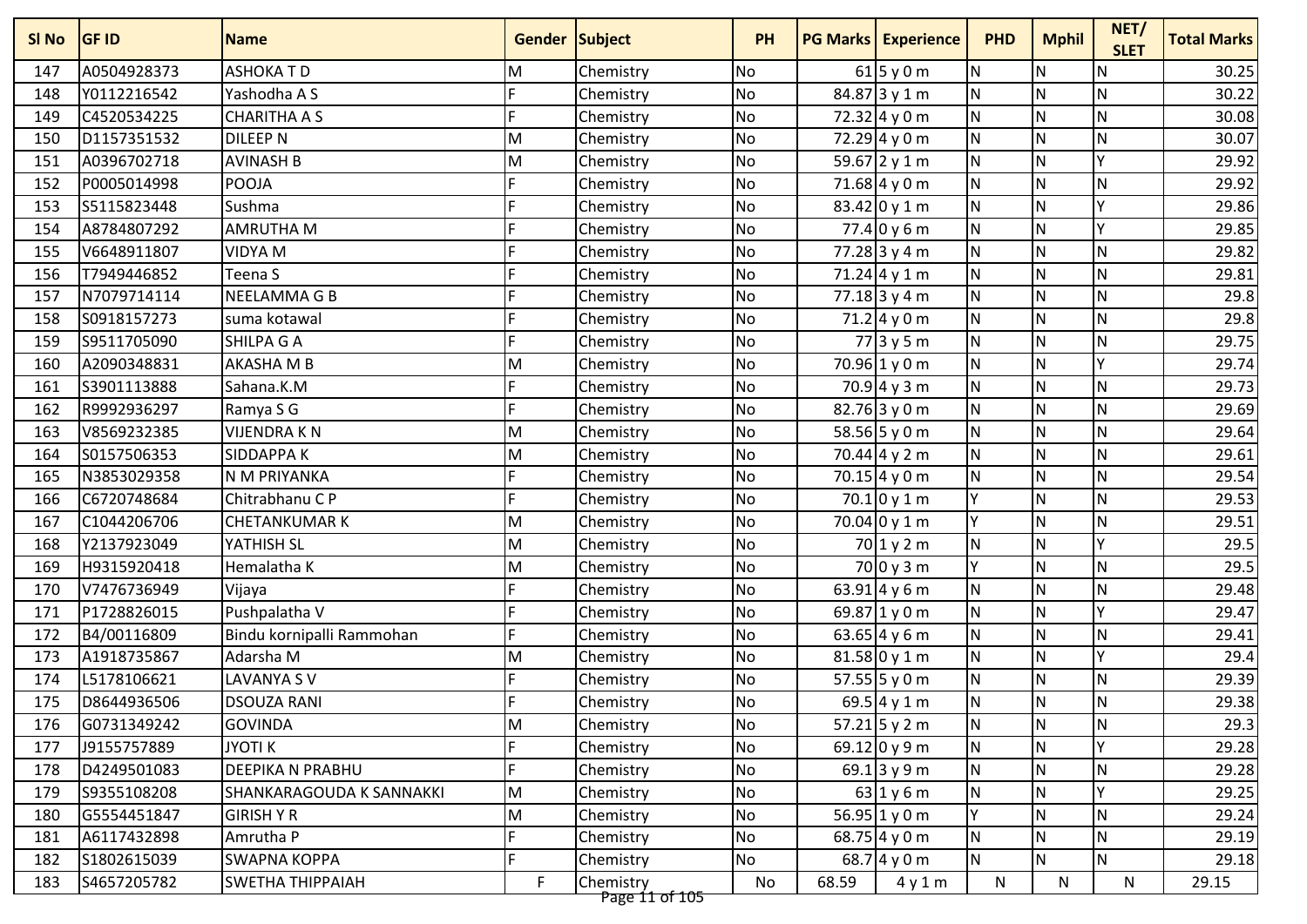| SI No | <b>GF ID</b> | <b>Name</b>               | <b>Gender Subject</b> |                             | <b>PH</b> |       | <b>PG Marks Experience</b>          | <b>PHD</b>     | <b>Mphil</b>            | NET/<br><b>SLET</b> | <b>Total Marks</b> |
|-------|--------------|---------------------------|-----------------------|-----------------------------|-----------|-------|-------------------------------------|----------------|-------------------------|---------------------|--------------------|
| 147   | A0504928373  | <b>ASHOKATD</b>           | M                     | Chemistry                   | <b>No</b> |       | $61$ 5 y 0 m                        | <b>N</b>       | ${\sf N}$               | N                   | 30.25              |
| 148   | Y0112216542  | Yashodha A S              |                       | Chemistry                   | <b>No</b> |       | 84.87 3 y 1 m                       | <b>N</b>       | N                       | $\mathsf{N}$        | 30.22              |
| 149   | C4520534225  | <b>CHARITHA A S</b>       |                       | Chemistry                   | <b>No</b> |       | $72.32 \mid 4 \mid 9 \mid 0 \mid m$ | N              | $\mathsf{N}$            | $\mathsf{N}$        | 30.08              |
| 150   | D1157351532  | <b>DILEEP N</b>           | M                     | Chemistry                   | <b>No</b> |       | $72.29$ 4 y 0 m                     | <b>N</b>       | N                       | $\mathsf{N}$        | 30.07              |
| 151   | A0396702718  | <b>AVINASH B</b>          | M                     | Chemistry                   | No        |       | 59.67 2 y 1 m                       | <b>N</b>       | N                       | Y                   | 29.92              |
| 152   | P0005014998  | <b>POOJA</b>              |                       | Chemistry                   | <b>No</b> |       | 71.68 4 y 0 m                       | <b>N</b>       | N                       | $\mathsf{N}$        | 29.92              |
| 153   | S5115823448  | Sushma                    |                       | Chemistry                   | <b>No</b> |       | 83.42 0 y 1 m                       | N              | $\mathsf{N}$            | $\checkmark$        | 29.86              |
| 154   | A8784807292  | <b>AMRUTHA M</b>          |                       | Chemistry                   | <b>No</b> |       | $77.4$ 0 y 6 m                      | N              | $\overline{\mathsf{N}}$ | Y                   | 29.85              |
| 155   | V6648911807  | <b>VIDYA M</b>            |                       | Chemistry                   | <b>No</b> |       | 77.28 3 y 4 m                       | N              | $\mathsf{N}$            | $\mathsf{N}$        | 29.82              |
| 156   | T7949446852  | Teena S                   |                       | Chemistry                   | <b>No</b> |       | $71.24$ 4 y 1 m                     | <b>N</b>       | $\mathsf{N}$            | $\mathsf{N}$        | 29.81              |
| 157   | N7079714114  | NEELAMMA G B              |                       | Chemistry                   | <b>No</b> |       | $77.18$ 3 y 4 m                     | <b>N</b>       | N                       | $\mathsf{N}$        | 29.8               |
| 158   | S0918157273  | suma kotawal              |                       | Chemistry                   | <b>No</b> |       | $71.2$ 4 y 0 m                      | N              | $\mathsf{N}$            | $\mathsf{N}$        | 29.8               |
| 159   | S9511705090  | SHILPA G A                |                       | Chemistry                   | <b>No</b> |       | 77 3 y 5 m                          | <b>N</b>       | N                       | $\mathsf{N}$        | 29.75              |
| 160   | A2090348831  | AKASHA M B                | M                     | Chemistry                   | No        |       | 70.96 1 y 0 m                       | <b>N</b>       | $\mathsf{N}$            | ٧                   | 29.74              |
| 161   | S3901113888  | Sahana.K.M                |                       | Chemistry                   | <b>No</b> |       | $70.9$ 4 y 3 m                      | N              | $\mathsf{N}$            | N                   | 29.73              |
| 162   | R9992936297  | Ramya S G                 |                       | Chemistry                   | <b>No</b> |       | 82.76 3 y 0 m                       | <b>N</b>       | $\mathsf{N}$            | $\mathsf{N}$        | 29.69              |
| 163   | V8569232385  | <b>VIJENDRAKN</b>         | M                     | Chemistry                   | <b>No</b> |       | 58.56 5 y 0 m                       | <b>N</b>       | $\mathsf{N}$            | $\mathsf{N}$        | 29.64              |
| 164   | S0157506353  | <b>SIDDAPPAK</b>          | M                     | Chemistry                   | <b>No</b> |       | 70.44 4 y 2 m                       | <b>N</b>       | N                       | $\mathsf{N}$        | 29.61              |
| 165   | N3853029358  | N M PRIYANKA              |                       | Chemistry                   | No        |       | 70.15 4 y 0 m                       | N              | N                       | $\mathsf{N}$        | 29.54              |
| 166   | C6720748684  | Chitrabhanu C P           |                       | Chemistry                   | <b>No</b> |       | $70.1$ 0 y 1 m                      | Y              | N                       | $\mathsf{N}$        | 29.53              |
| 167   | C1044206706  | <b>CHETANKUMAR K</b>      | M                     | Chemistry                   | <b>No</b> |       | $70.04$ 0 y 1 m                     | Y              | N                       | $\mathsf{N}$        | 29.51              |
| 168   | Y2137923049  | YATHISH SL                | M                     | Chemistry                   | <b>No</b> |       | $70$ 1 y 2 m                        | N              | $\mathsf{N}$            | Υ                   | 29.5               |
| 169   | H9315920418  | Hemalatha K               | M                     | Chemistry                   | <b>No</b> |       | $70$ 0 y 3 m                        | Y              | ${\sf N}$               | $\mathsf{N}$        | 29.5               |
| 170   | V7476736949  | Vijaya                    |                       | Chemistry                   | <b>No</b> |       | 63.91 4 y 6 m                       | IN.            | N                       | $\mathsf{N}$        | 29.48              |
| 171   | P1728826015  | Pushpalatha V             |                       | Chemistry                   | <b>No</b> |       | 69.87 1 y 0 m                       | <b>N</b>       | N                       | v                   | 29.47              |
| 172   | B4/00116809  | Bindu kornipalli Rammohan |                       | Chemistry                   | <b>No</b> |       | 63.65 4 y 6 m                       | N              | $\mathsf{N}$            | $\mathsf{N}$        | 29.41              |
| 173   | A1918735867  | Adarsha M                 | M                     | Chemistry                   | <b>No</b> |       | $81.58$ 0 y 1 m                     | N              | $\overline{\mathsf{N}}$ | Y                   | 29.4               |
| 174   | L5178106621  | LAVANYA SV                |                       | Chemistry                   | <b>No</b> |       | 57.55 $5$ y 0 m                     | N              | ${\sf N}$               | ${\sf N}$           | 29.39              |
| 175   | D8644936506  | <b>DSOUZA RANI</b>        |                       | Chemistry                   | <b>No</b> |       | 69.5 4 y 1 m                        | <b>N</b>       | $\mathsf{N}$            | ${\sf N}$           | 29.38              |
| 176   | G0731349242  | <b>GOVINDA</b>            | lм                    | Chemistry                   | No        |       | $57.21$ 5 y 2 m                     | I <sub>N</sub> | N                       | IN.                 | 29.3               |
| 177   | J9155757889  | <b>JYOTI K</b>            |                       | Chemistry                   | No        |       | 69.12 0 y 9 m                       | N              | ${\sf N}$               |                     | 29.28              |
| 178   | D4249501083  | DEEPIKA N PRABHU          | F                     | Chemistry                   | No        |       | 69.1 3 y 9 m                        | <b>N</b>       | $\mathsf{N}$            | $\mathsf{N}$        | 29.28              |
| 179   | S9355108208  | SHANKARAGOUDA K SANNAKKI  | M                     | Chemistry                   | No        |       | $63$ 1 y 6 m                        | <b>N</b>       | ${\sf N}$               |                     | 29.25              |
| 180   | G5554451847  | <b>GIRISH Y R</b>         | M                     | Chemistry                   | No        |       | 56.95 $1 y 0 m$                     | Y              | ${\sf N}$               | $\mathsf{N}$        | 29.24              |
| 181   | A6117432898  | Amrutha P                 |                       | Chemistry                   | No        |       | 68.75 4 y 0 m                       | IN.            | ${\sf N}$               | $\mathsf{N}$        | 29.19              |
| 182   | S1802615039  | <b>SWAPNA KOPPA</b>       | F.                    | Chemistry                   | No        |       | 68.7 $4 y 0 m$                      | N.             | $\mathsf{N}$            | N                   | 29.18              |
| 183   | S4657205782  | <b>SWETHA THIPPAIAH</b>   | F                     | Chemistry<br>Page 11 of 105 | No        | 68.59 | 4y1m                                | N              | $\mathsf{N}$            | $\mathsf{N}$        | 29.15              |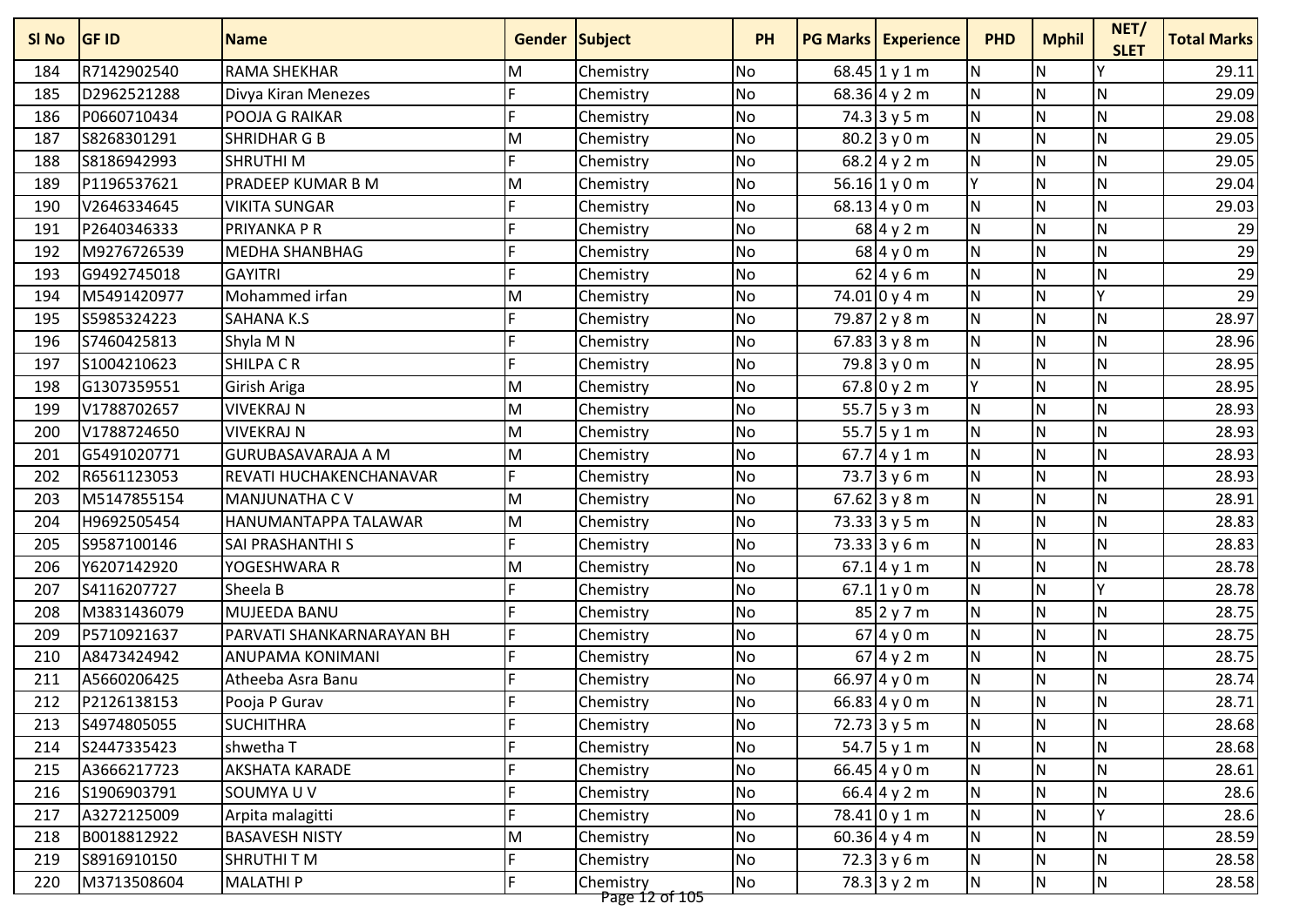| 29.11<br>R7142902540<br><b>RAMA SHEKHAR</b><br><b>No</b><br>N<br>184<br>68.45 1 y 1 m<br>${\sf N}$<br>Chemistry<br>M<br>N<br>$\mathsf{N}$<br>D2962521288<br>No<br>$68.36$ 4 y 2 m<br>$\mathsf{N}$<br>29.09<br>185<br>Divya Kiran Menezes<br>Chemistry<br>N<br>N<br>P0660710434<br><b>No</b><br>$74.3$ 3 y 5 m<br>$\mathsf{N}$<br>29.08<br>186<br>POOJA G RAIKAR<br>Chemistry<br>IN.<br>N<br>N<br><b>No</b><br>$80.2$ 3 y 0 m<br>187<br>S8268301291<br><b>SHRIDHAR G B</b><br>M<br>Chemistry<br>29.05<br>N<br>No<br>68.2 4 y 2 m<br>N<br>N<br>29.05<br>188<br>S8186942993<br><b>SHRUTHIM</b><br>Chemistry<br>Y<br>N<br>N<br>189<br>P1196537621<br><b>PRADEEP KUMAR B M</b><br>No<br>56.16 $1 y 0 m$<br>29.04<br>M<br>Chemistry<br>N<br>N<br>N<br>29.03<br>190<br>V2646334645<br><b>VIKITA SUNGAR</b><br>No<br>$68.13$ 4 y 0 m<br>Chemistry<br>N<br>${\sf N}$<br>$\mathsf{N}$<br>29<br>P2640346333<br>PRIYANKA P R<br>No<br>68 4 y 2 m<br>191<br>Chemistry<br>N<br>$\mathsf{N}$<br>$\mathsf{N}$<br>29<br>No<br>68 4 y 0 m<br>192<br>M9276726539<br><b>MEDHA SHANBHAG</b><br>Chemistry<br>29<br>N<br>N<br>G9492745018<br>No<br>62 4 y 6 m<br>$\mathsf{N}$<br>193<br><b>GAYITRI</b><br>Chemistry<br>$\overline{29}$<br>Mohammed irfan<br>N<br>v<br>N<br><b>No</b><br>$74.01$ 0 y 4 m<br>194<br>M5491420977<br>Chemistry<br>M<br>28.97<br>N<br>N<br>N<br>195<br>S5985324223<br>No<br>79.87 2 y 8 m<br><b>SAHANA K.S</b><br>Chemistry<br>N<br>N<br>N<br>196<br>S7460425813<br><b>No</b><br>67.83 3 y 8 m<br>28.96<br>Shyla M N<br>Chemistry<br>N<br>N<br>N<br>28.95<br>S1004210623<br><b>SHILPACR</b><br>$79.8$ 3 y 0 m<br>197<br>No<br>Chemistry<br>$67.8$ 0 y 2 m<br>Y<br>$\mathsf{N}$<br>G1307359551<br>No<br>$\mathsf{N}$<br>28.95<br>198<br>Girish Ariga<br>Chemistry<br>M<br>N<br>No<br>55.7 5 y 3 m<br>N<br>$\mathsf{N}$<br>199<br>V1788702657<br><b>VIVEKRAJ N</b><br>28.93<br>M<br>Chemistry<br>55.7 5 y 1 m<br>N<br>N<br>V1788724650<br><b>No</b><br>N<br>28.93<br>200<br><b>VIVEKRAJ N</b><br>M<br>Chemistry<br>N<br>N<br>N<br>G5491020771<br>No<br>$67.7$ 4 y 1 m<br>28.93<br>201<br><b>GURUBASAVARAJA A M</b><br>Chemistry<br>M<br>N<br>N<br>73.7 3 y 6 m<br>N<br>28.93<br>202<br>R6561123053<br>REVATI HUCHAKENCHANAVAR<br>No<br>Chemistry<br>N<br>M5147855154<br><b>No</b><br>67.62 3 y 8 m<br>$\mathsf{N}$<br>N<br>28.91<br>203<br><b>MANJUNATHA CV</b><br>M<br>Chemistry<br>N<br>$\mathsf{N}$<br>No<br>73.33 3y5m<br>$\mathsf{N}$<br>28.83<br>204<br>H9692505454<br>HANUMANTAPPA TALAWAR<br>M<br>Chemistry<br>N<br>N<br>205<br>S9587100146<br><b>No</b><br>$73.33$ 3 y 6 m<br>$\mathsf{N}$<br>28.83<br><b>SAI PRASHANTHI S</b><br>Chemistry<br>N<br>N<br>N<br><b>No</b><br>Y6207142920<br>Chemistry<br>$67.1$ 4 y 1 m<br>28.78<br>206<br>YOGESHWARA R<br>M<br>N<br>N<br>v<br>28.78<br>207<br>S4116207727<br>Sheela B<br>No<br>$67.1$ 1 y 0 m<br>Chemistry<br>N<br>$85$ 2 y 7 m<br>N<br>N<br>28.75<br>208<br>M3831436079<br>MUJEEDA BANU<br>No<br>Chemistry<br>N<br>P5710921637<br>N<br>N<br>28.75<br>209<br>PARVATI SHANKARNARAYAN BH<br>No<br>$67$ 4 y 0 m<br>Chemistry<br>N<br>${\sf N}$<br>N<br>A8473424942<br><b>ANUPAMA KONIMANI</b><br>No<br>$67$ 4 y 2 m<br>28.75<br>210<br>Chemistry<br>N<br>66.97 $4 y 0 m$<br>$\mathsf{N}$<br>A5660206425<br>No<br>${\sf N}$<br>28.74<br>211<br>Atheeba Asra Banu<br>Chemistry<br>N<br>$\overline{\mathsf{N}}$<br>N<br>No<br>66.83 4 y 0 m<br>28.71<br>212<br>P2126138153<br>Chemistry<br>Pooja P Gurav<br>IF<br>$72.73$ 3 y 5 m<br>N<br>No<br>IN.<br>S4974805055<br><b>SUCHITHRA</b><br>Chemistry<br>IN.<br>28.68<br>213<br>54.7 5 y 1 m<br>N<br>N<br>28.68<br>S2447335423<br>shwetha T<br>Chemistry<br><b>No</b><br>N<br>214<br>N<br>N<br>N<br><b>AKSHATA KARADE</b><br>No<br>66.45 4 y 0 m<br>28.61<br>215<br>A3666217723<br>Chemistry<br>$\mathsf{N}$<br>66.4 4 y 2 m<br>N<br>N<br>S1906903791<br>SOUMYA U V<br><b>No</b><br>28.6<br>216<br>Chemistry<br>$\mathsf{N}$<br>A3272125009<br>No<br>78.41 0 y 1 m<br>N<br>v<br>28.6<br>217<br>Arpita malagitti<br>Chemistry<br>N.<br>$\mathsf{N}$<br>No<br>60.36 4 y 4 m<br>N<br>B0018812922<br><b>BASAVESH NISTY</b><br>M<br>28.59<br>218<br>Chemistry<br>$\mathsf{N}$<br>$72.3$ 3 y 6 m<br>S8916910150<br>SHRUTHI T M<br><b>No</b><br>N<br><b>N</b><br>28.58<br>219<br>Chemistry<br>N<br>N<br>N.<br>M3713508604<br><b>MALATHIP</b><br>No<br>$78.3$ 3 y 2 m<br>28.58<br>220<br>Chemistry | SI No | <b>GF ID</b> | <b>Name</b> | Gender Subject |                | <b>PH</b> | <b>PG Marks   Experience</b> | <b>PHD</b> | <b>Mphil</b> | NET/<br><b>SLET</b> | <b>Total Marks</b> |
|----------------------------------------------------------------------------------------------------------------------------------------------------------------------------------------------------------------------------------------------------------------------------------------------------------------------------------------------------------------------------------------------------------------------------------------------------------------------------------------------------------------------------------------------------------------------------------------------------------------------------------------------------------------------------------------------------------------------------------------------------------------------------------------------------------------------------------------------------------------------------------------------------------------------------------------------------------------------------------------------------------------------------------------------------------------------------------------------------------------------------------------------------------------------------------------------------------------------------------------------------------------------------------------------------------------------------------------------------------------------------------------------------------------------------------------------------------------------------------------------------------------------------------------------------------------------------------------------------------------------------------------------------------------------------------------------------------------------------------------------------------------------------------------------------------------------------------------------------------------------------------------------------------------------------------------------------------------------------------------------------------------------------------------------------------------------------------------------------------------------------------------------------------------------------------------------------------------------------------------------------------------------------------------------------------------------------------------------------------------------------------------------------------------------------------------------------------------------------------------------------------------------------------------------------------------------------------------------------------------------------------------------------------------------------------------------------------------------------------------------------------------------------------------------------------------------------------------------------------------------------------------------------------------------------------------------------------------------------------------------------------------------------------------------------------------------------------------------------------------------------------------------------------------------------------------------------------------------------------------------------------------------------------------------------------------------------------------------------------------------------------------------------------------------------------------------------------------------------------------------------------------------------------------------------------------------------------------------------------------------------------------------------------------------------------------------------------------------------------------------------------------------------------------------------------------------------------------------------------------------------------------------------------------------------------------------------------------------------------------------------------------------------------------------------------------------------------------------------------------------------------------------------------------------------------------------------------------------------------------------------------------------------------------------------------------------------------------------------------------------------------------------|-------|--------------|-------------|----------------|----------------|-----------|------------------------------|------------|--------------|---------------------|--------------------|
|                                                                                                                                                                                                                                                                                                                                                                                                                                                                                                                                                                                                                                                                                                                                                                                                                                                                                                                                                                                                                                                                                                                                                                                                                                                                                                                                                                                                                                                                                                                                                                                                                                                                                                                                                                                                                                                                                                                                                                                                                                                                                                                                                                                                                                                                                                                                                                                                                                                                                                                                                                                                                                                                                                                                                                                                                                                                                                                                                                                                                                                                                                                                                                                                                                                                                                                                                                                                                                                                                                                                                                                                                                                                                                                                                                                                                                                                                                                                                                                                                                                                                                                                                                                                                                                                                                                                                                                              |       |              |             |                |                |           |                              |            |              |                     |                    |
|                                                                                                                                                                                                                                                                                                                                                                                                                                                                                                                                                                                                                                                                                                                                                                                                                                                                                                                                                                                                                                                                                                                                                                                                                                                                                                                                                                                                                                                                                                                                                                                                                                                                                                                                                                                                                                                                                                                                                                                                                                                                                                                                                                                                                                                                                                                                                                                                                                                                                                                                                                                                                                                                                                                                                                                                                                                                                                                                                                                                                                                                                                                                                                                                                                                                                                                                                                                                                                                                                                                                                                                                                                                                                                                                                                                                                                                                                                                                                                                                                                                                                                                                                                                                                                                                                                                                                                                              |       |              |             |                |                |           |                              |            |              |                     |                    |
|                                                                                                                                                                                                                                                                                                                                                                                                                                                                                                                                                                                                                                                                                                                                                                                                                                                                                                                                                                                                                                                                                                                                                                                                                                                                                                                                                                                                                                                                                                                                                                                                                                                                                                                                                                                                                                                                                                                                                                                                                                                                                                                                                                                                                                                                                                                                                                                                                                                                                                                                                                                                                                                                                                                                                                                                                                                                                                                                                                                                                                                                                                                                                                                                                                                                                                                                                                                                                                                                                                                                                                                                                                                                                                                                                                                                                                                                                                                                                                                                                                                                                                                                                                                                                                                                                                                                                                                              |       |              |             |                |                |           |                              |            |              |                     |                    |
|                                                                                                                                                                                                                                                                                                                                                                                                                                                                                                                                                                                                                                                                                                                                                                                                                                                                                                                                                                                                                                                                                                                                                                                                                                                                                                                                                                                                                                                                                                                                                                                                                                                                                                                                                                                                                                                                                                                                                                                                                                                                                                                                                                                                                                                                                                                                                                                                                                                                                                                                                                                                                                                                                                                                                                                                                                                                                                                                                                                                                                                                                                                                                                                                                                                                                                                                                                                                                                                                                                                                                                                                                                                                                                                                                                                                                                                                                                                                                                                                                                                                                                                                                                                                                                                                                                                                                                                              |       |              |             |                |                |           |                              |            |              |                     |                    |
|                                                                                                                                                                                                                                                                                                                                                                                                                                                                                                                                                                                                                                                                                                                                                                                                                                                                                                                                                                                                                                                                                                                                                                                                                                                                                                                                                                                                                                                                                                                                                                                                                                                                                                                                                                                                                                                                                                                                                                                                                                                                                                                                                                                                                                                                                                                                                                                                                                                                                                                                                                                                                                                                                                                                                                                                                                                                                                                                                                                                                                                                                                                                                                                                                                                                                                                                                                                                                                                                                                                                                                                                                                                                                                                                                                                                                                                                                                                                                                                                                                                                                                                                                                                                                                                                                                                                                                                              |       |              |             |                |                |           |                              |            |              |                     |                    |
|                                                                                                                                                                                                                                                                                                                                                                                                                                                                                                                                                                                                                                                                                                                                                                                                                                                                                                                                                                                                                                                                                                                                                                                                                                                                                                                                                                                                                                                                                                                                                                                                                                                                                                                                                                                                                                                                                                                                                                                                                                                                                                                                                                                                                                                                                                                                                                                                                                                                                                                                                                                                                                                                                                                                                                                                                                                                                                                                                                                                                                                                                                                                                                                                                                                                                                                                                                                                                                                                                                                                                                                                                                                                                                                                                                                                                                                                                                                                                                                                                                                                                                                                                                                                                                                                                                                                                                                              |       |              |             |                |                |           |                              |            |              |                     |                    |
|                                                                                                                                                                                                                                                                                                                                                                                                                                                                                                                                                                                                                                                                                                                                                                                                                                                                                                                                                                                                                                                                                                                                                                                                                                                                                                                                                                                                                                                                                                                                                                                                                                                                                                                                                                                                                                                                                                                                                                                                                                                                                                                                                                                                                                                                                                                                                                                                                                                                                                                                                                                                                                                                                                                                                                                                                                                                                                                                                                                                                                                                                                                                                                                                                                                                                                                                                                                                                                                                                                                                                                                                                                                                                                                                                                                                                                                                                                                                                                                                                                                                                                                                                                                                                                                                                                                                                                                              |       |              |             |                |                |           |                              |            |              |                     |                    |
|                                                                                                                                                                                                                                                                                                                                                                                                                                                                                                                                                                                                                                                                                                                                                                                                                                                                                                                                                                                                                                                                                                                                                                                                                                                                                                                                                                                                                                                                                                                                                                                                                                                                                                                                                                                                                                                                                                                                                                                                                                                                                                                                                                                                                                                                                                                                                                                                                                                                                                                                                                                                                                                                                                                                                                                                                                                                                                                                                                                                                                                                                                                                                                                                                                                                                                                                                                                                                                                                                                                                                                                                                                                                                                                                                                                                                                                                                                                                                                                                                                                                                                                                                                                                                                                                                                                                                                                              |       |              |             |                |                |           |                              |            |              |                     |                    |
|                                                                                                                                                                                                                                                                                                                                                                                                                                                                                                                                                                                                                                                                                                                                                                                                                                                                                                                                                                                                                                                                                                                                                                                                                                                                                                                                                                                                                                                                                                                                                                                                                                                                                                                                                                                                                                                                                                                                                                                                                                                                                                                                                                                                                                                                                                                                                                                                                                                                                                                                                                                                                                                                                                                                                                                                                                                                                                                                                                                                                                                                                                                                                                                                                                                                                                                                                                                                                                                                                                                                                                                                                                                                                                                                                                                                                                                                                                                                                                                                                                                                                                                                                                                                                                                                                                                                                                                              |       |              |             |                |                |           |                              |            |              |                     |                    |
|                                                                                                                                                                                                                                                                                                                                                                                                                                                                                                                                                                                                                                                                                                                                                                                                                                                                                                                                                                                                                                                                                                                                                                                                                                                                                                                                                                                                                                                                                                                                                                                                                                                                                                                                                                                                                                                                                                                                                                                                                                                                                                                                                                                                                                                                                                                                                                                                                                                                                                                                                                                                                                                                                                                                                                                                                                                                                                                                                                                                                                                                                                                                                                                                                                                                                                                                                                                                                                                                                                                                                                                                                                                                                                                                                                                                                                                                                                                                                                                                                                                                                                                                                                                                                                                                                                                                                                                              |       |              |             |                |                |           |                              |            |              |                     |                    |
|                                                                                                                                                                                                                                                                                                                                                                                                                                                                                                                                                                                                                                                                                                                                                                                                                                                                                                                                                                                                                                                                                                                                                                                                                                                                                                                                                                                                                                                                                                                                                                                                                                                                                                                                                                                                                                                                                                                                                                                                                                                                                                                                                                                                                                                                                                                                                                                                                                                                                                                                                                                                                                                                                                                                                                                                                                                                                                                                                                                                                                                                                                                                                                                                                                                                                                                                                                                                                                                                                                                                                                                                                                                                                                                                                                                                                                                                                                                                                                                                                                                                                                                                                                                                                                                                                                                                                                                              |       |              |             |                |                |           |                              |            |              |                     |                    |
|                                                                                                                                                                                                                                                                                                                                                                                                                                                                                                                                                                                                                                                                                                                                                                                                                                                                                                                                                                                                                                                                                                                                                                                                                                                                                                                                                                                                                                                                                                                                                                                                                                                                                                                                                                                                                                                                                                                                                                                                                                                                                                                                                                                                                                                                                                                                                                                                                                                                                                                                                                                                                                                                                                                                                                                                                                                                                                                                                                                                                                                                                                                                                                                                                                                                                                                                                                                                                                                                                                                                                                                                                                                                                                                                                                                                                                                                                                                                                                                                                                                                                                                                                                                                                                                                                                                                                                                              |       |              |             |                |                |           |                              |            |              |                     |                    |
|                                                                                                                                                                                                                                                                                                                                                                                                                                                                                                                                                                                                                                                                                                                                                                                                                                                                                                                                                                                                                                                                                                                                                                                                                                                                                                                                                                                                                                                                                                                                                                                                                                                                                                                                                                                                                                                                                                                                                                                                                                                                                                                                                                                                                                                                                                                                                                                                                                                                                                                                                                                                                                                                                                                                                                                                                                                                                                                                                                                                                                                                                                                                                                                                                                                                                                                                                                                                                                                                                                                                                                                                                                                                                                                                                                                                                                                                                                                                                                                                                                                                                                                                                                                                                                                                                                                                                                                              |       |              |             |                |                |           |                              |            |              |                     |                    |
|                                                                                                                                                                                                                                                                                                                                                                                                                                                                                                                                                                                                                                                                                                                                                                                                                                                                                                                                                                                                                                                                                                                                                                                                                                                                                                                                                                                                                                                                                                                                                                                                                                                                                                                                                                                                                                                                                                                                                                                                                                                                                                                                                                                                                                                                                                                                                                                                                                                                                                                                                                                                                                                                                                                                                                                                                                                                                                                                                                                                                                                                                                                                                                                                                                                                                                                                                                                                                                                                                                                                                                                                                                                                                                                                                                                                                                                                                                                                                                                                                                                                                                                                                                                                                                                                                                                                                                                              |       |              |             |                |                |           |                              |            |              |                     |                    |
|                                                                                                                                                                                                                                                                                                                                                                                                                                                                                                                                                                                                                                                                                                                                                                                                                                                                                                                                                                                                                                                                                                                                                                                                                                                                                                                                                                                                                                                                                                                                                                                                                                                                                                                                                                                                                                                                                                                                                                                                                                                                                                                                                                                                                                                                                                                                                                                                                                                                                                                                                                                                                                                                                                                                                                                                                                                                                                                                                                                                                                                                                                                                                                                                                                                                                                                                                                                                                                                                                                                                                                                                                                                                                                                                                                                                                                                                                                                                                                                                                                                                                                                                                                                                                                                                                                                                                                                              |       |              |             |                |                |           |                              |            |              |                     |                    |
|                                                                                                                                                                                                                                                                                                                                                                                                                                                                                                                                                                                                                                                                                                                                                                                                                                                                                                                                                                                                                                                                                                                                                                                                                                                                                                                                                                                                                                                                                                                                                                                                                                                                                                                                                                                                                                                                                                                                                                                                                                                                                                                                                                                                                                                                                                                                                                                                                                                                                                                                                                                                                                                                                                                                                                                                                                                                                                                                                                                                                                                                                                                                                                                                                                                                                                                                                                                                                                                                                                                                                                                                                                                                                                                                                                                                                                                                                                                                                                                                                                                                                                                                                                                                                                                                                                                                                                                              |       |              |             |                |                |           |                              |            |              |                     |                    |
|                                                                                                                                                                                                                                                                                                                                                                                                                                                                                                                                                                                                                                                                                                                                                                                                                                                                                                                                                                                                                                                                                                                                                                                                                                                                                                                                                                                                                                                                                                                                                                                                                                                                                                                                                                                                                                                                                                                                                                                                                                                                                                                                                                                                                                                                                                                                                                                                                                                                                                                                                                                                                                                                                                                                                                                                                                                                                                                                                                                                                                                                                                                                                                                                                                                                                                                                                                                                                                                                                                                                                                                                                                                                                                                                                                                                                                                                                                                                                                                                                                                                                                                                                                                                                                                                                                                                                                                              |       |              |             |                |                |           |                              |            |              |                     |                    |
|                                                                                                                                                                                                                                                                                                                                                                                                                                                                                                                                                                                                                                                                                                                                                                                                                                                                                                                                                                                                                                                                                                                                                                                                                                                                                                                                                                                                                                                                                                                                                                                                                                                                                                                                                                                                                                                                                                                                                                                                                                                                                                                                                                                                                                                                                                                                                                                                                                                                                                                                                                                                                                                                                                                                                                                                                                                                                                                                                                                                                                                                                                                                                                                                                                                                                                                                                                                                                                                                                                                                                                                                                                                                                                                                                                                                                                                                                                                                                                                                                                                                                                                                                                                                                                                                                                                                                                                              |       |              |             |                |                |           |                              |            |              |                     |                    |
|                                                                                                                                                                                                                                                                                                                                                                                                                                                                                                                                                                                                                                                                                                                                                                                                                                                                                                                                                                                                                                                                                                                                                                                                                                                                                                                                                                                                                                                                                                                                                                                                                                                                                                                                                                                                                                                                                                                                                                                                                                                                                                                                                                                                                                                                                                                                                                                                                                                                                                                                                                                                                                                                                                                                                                                                                                                                                                                                                                                                                                                                                                                                                                                                                                                                                                                                                                                                                                                                                                                                                                                                                                                                                                                                                                                                                                                                                                                                                                                                                                                                                                                                                                                                                                                                                                                                                                                              |       |              |             |                |                |           |                              |            |              |                     |                    |
|                                                                                                                                                                                                                                                                                                                                                                                                                                                                                                                                                                                                                                                                                                                                                                                                                                                                                                                                                                                                                                                                                                                                                                                                                                                                                                                                                                                                                                                                                                                                                                                                                                                                                                                                                                                                                                                                                                                                                                                                                                                                                                                                                                                                                                                                                                                                                                                                                                                                                                                                                                                                                                                                                                                                                                                                                                                                                                                                                                                                                                                                                                                                                                                                                                                                                                                                                                                                                                                                                                                                                                                                                                                                                                                                                                                                                                                                                                                                                                                                                                                                                                                                                                                                                                                                                                                                                                                              |       |              |             |                |                |           |                              |            |              |                     |                    |
|                                                                                                                                                                                                                                                                                                                                                                                                                                                                                                                                                                                                                                                                                                                                                                                                                                                                                                                                                                                                                                                                                                                                                                                                                                                                                                                                                                                                                                                                                                                                                                                                                                                                                                                                                                                                                                                                                                                                                                                                                                                                                                                                                                                                                                                                                                                                                                                                                                                                                                                                                                                                                                                                                                                                                                                                                                                                                                                                                                                                                                                                                                                                                                                                                                                                                                                                                                                                                                                                                                                                                                                                                                                                                                                                                                                                                                                                                                                                                                                                                                                                                                                                                                                                                                                                                                                                                                                              |       |              |             |                |                |           |                              |            |              |                     |                    |
|                                                                                                                                                                                                                                                                                                                                                                                                                                                                                                                                                                                                                                                                                                                                                                                                                                                                                                                                                                                                                                                                                                                                                                                                                                                                                                                                                                                                                                                                                                                                                                                                                                                                                                                                                                                                                                                                                                                                                                                                                                                                                                                                                                                                                                                                                                                                                                                                                                                                                                                                                                                                                                                                                                                                                                                                                                                                                                                                                                                                                                                                                                                                                                                                                                                                                                                                                                                                                                                                                                                                                                                                                                                                                                                                                                                                                                                                                                                                                                                                                                                                                                                                                                                                                                                                                                                                                                                              |       |              |             |                |                |           |                              |            |              |                     |                    |
|                                                                                                                                                                                                                                                                                                                                                                                                                                                                                                                                                                                                                                                                                                                                                                                                                                                                                                                                                                                                                                                                                                                                                                                                                                                                                                                                                                                                                                                                                                                                                                                                                                                                                                                                                                                                                                                                                                                                                                                                                                                                                                                                                                                                                                                                                                                                                                                                                                                                                                                                                                                                                                                                                                                                                                                                                                                                                                                                                                                                                                                                                                                                                                                                                                                                                                                                                                                                                                                                                                                                                                                                                                                                                                                                                                                                                                                                                                                                                                                                                                                                                                                                                                                                                                                                                                                                                                                              |       |              |             |                |                |           |                              |            |              |                     |                    |
|                                                                                                                                                                                                                                                                                                                                                                                                                                                                                                                                                                                                                                                                                                                                                                                                                                                                                                                                                                                                                                                                                                                                                                                                                                                                                                                                                                                                                                                                                                                                                                                                                                                                                                                                                                                                                                                                                                                                                                                                                                                                                                                                                                                                                                                                                                                                                                                                                                                                                                                                                                                                                                                                                                                                                                                                                                                                                                                                                                                                                                                                                                                                                                                                                                                                                                                                                                                                                                                                                                                                                                                                                                                                                                                                                                                                                                                                                                                                                                                                                                                                                                                                                                                                                                                                                                                                                                                              |       |              |             |                |                |           |                              |            |              |                     |                    |
|                                                                                                                                                                                                                                                                                                                                                                                                                                                                                                                                                                                                                                                                                                                                                                                                                                                                                                                                                                                                                                                                                                                                                                                                                                                                                                                                                                                                                                                                                                                                                                                                                                                                                                                                                                                                                                                                                                                                                                                                                                                                                                                                                                                                                                                                                                                                                                                                                                                                                                                                                                                                                                                                                                                                                                                                                                                                                                                                                                                                                                                                                                                                                                                                                                                                                                                                                                                                                                                                                                                                                                                                                                                                                                                                                                                                                                                                                                                                                                                                                                                                                                                                                                                                                                                                                                                                                                                              |       |              |             |                |                |           |                              |            |              |                     |                    |
|                                                                                                                                                                                                                                                                                                                                                                                                                                                                                                                                                                                                                                                                                                                                                                                                                                                                                                                                                                                                                                                                                                                                                                                                                                                                                                                                                                                                                                                                                                                                                                                                                                                                                                                                                                                                                                                                                                                                                                                                                                                                                                                                                                                                                                                                                                                                                                                                                                                                                                                                                                                                                                                                                                                                                                                                                                                                                                                                                                                                                                                                                                                                                                                                                                                                                                                                                                                                                                                                                                                                                                                                                                                                                                                                                                                                                                                                                                                                                                                                                                                                                                                                                                                                                                                                                                                                                                                              |       |              |             |                |                |           |                              |            |              |                     |                    |
|                                                                                                                                                                                                                                                                                                                                                                                                                                                                                                                                                                                                                                                                                                                                                                                                                                                                                                                                                                                                                                                                                                                                                                                                                                                                                                                                                                                                                                                                                                                                                                                                                                                                                                                                                                                                                                                                                                                                                                                                                                                                                                                                                                                                                                                                                                                                                                                                                                                                                                                                                                                                                                                                                                                                                                                                                                                                                                                                                                                                                                                                                                                                                                                                                                                                                                                                                                                                                                                                                                                                                                                                                                                                                                                                                                                                                                                                                                                                                                                                                                                                                                                                                                                                                                                                                                                                                                                              |       |              |             |                |                |           |                              |            |              |                     |                    |
|                                                                                                                                                                                                                                                                                                                                                                                                                                                                                                                                                                                                                                                                                                                                                                                                                                                                                                                                                                                                                                                                                                                                                                                                                                                                                                                                                                                                                                                                                                                                                                                                                                                                                                                                                                                                                                                                                                                                                                                                                                                                                                                                                                                                                                                                                                                                                                                                                                                                                                                                                                                                                                                                                                                                                                                                                                                                                                                                                                                                                                                                                                                                                                                                                                                                                                                                                                                                                                                                                                                                                                                                                                                                                                                                                                                                                                                                                                                                                                                                                                                                                                                                                                                                                                                                                                                                                                                              |       |              |             |                |                |           |                              |            |              |                     |                    |
|                                                                                                                                                                                                                                                                                                                                                                                                                                                                                                                                                                                                                                                                                                                                                                                                                                                                                                                                                                                                                                                                                                                                                                                                                                                                                                                                                                                                                                                                                                                                                                                                                                                                                                                                                                                                                                                                                                                                                                                                                                                                                                                                                                                                                                                                                                                                                                                                                                                                                                                                                                                                                                                                                                                                                                                                                                                                                                                                                                                                                                                                                                                                                                                                                                                                                                                                                                                                                                                                                                                                                                                                                                                                                                                                                                                                                                                                                                                                                                                                                                                                                                                                                                                                                                                                                                                                                                                              |       |              |             |                |                |           |                              |            |              |                     |                    |
|                                                                                                                                                                                                                                                                                                                                                                                                                                                                                                                                                                                                                                                                                                                                                                                                                                                                                                                                                                                                                                                                                                                                                                                                                                                                                                                                                                                                                                                                                                                                                                                                                                                                                                                                                                                                                                                                                                                                                                                                                                                                                                                                                                                                                                                                                                                                                                                                                                                                                                                                                                                                                                                                                                                                                                                                                                                                                                                                                                                                                                                                                                                                                                                                                                                                                                                                                                                                                                                                                                                                                                                                                                                                                                                                                                                                                                                                                                                                                                                                                                                                                                                                                                                                                                                                                                                                                                                              |       |              |             |                |                |           |                              |            |              |                     |                    |
|                                                                                                                                                                                                                                                                                                                                                                                                                                                                                                                                                                                                                                                                                                                                                                                                                                                                                                                                                                                                                                                                                                                                                                                                                                                                                                                                                                                                                                                                                                                                                                                                                                                                                                                                                                                                                                                                                                                                                                                                                                                                                                                                                                                                                                                                                                                                                                                                                                                                                                                                                                                                                                                                                                                                                                                                                                                                                                                                                                                                                                                                                                                                                                                                                                                                                                                                                                                                                                                                                                                                                                                                                                                                                                                                                                                                                                                                                                                                                                                                                                                                                                                                                                                                                                                                                                                                                                                              |       |              |             |                |                |           |                              |            |              |                     |                    |
|                                                                                                                                                                                                                                                                                                                                                                                                                                                                                                                                                                                                                                                                                                                                                                                                                                                                                                                                                                                                                                                                                                                                                                                                                                                                                                                                                                                                                                                                                                                                                                                                                                                                                                                                                                                                                                                                                                                                                                                                                                                                                                                                                                                                                                                                                                                                                                                                                                                                                                                                                                                                                                                                                                                                                                                                                                                                                                                                                                                                                                                                                                                                                                                                                                                                                                                                                                                                                                                                                                                                                                                                                                                                                                                                                                                                                                                                                                                                                                                                                                                                                                                                                                                                                                                                                                                                                                                              |       |              |             |                |                |           |                              |            |              |                     |                    |
|                                                                                                                                                                                                                                                                                                                                                                                                                                                                                                                                                                                                                                                                                                                                                                                                                                                                                                                                                                                                                                                                                                                                                                                                                                                                                                                                                                                                                                                                                                                                                                                                                                                                                                                                                                                                                                                                                                                                                                                                                                                                                                                                                                                                                                                                                                                                                                                                                                                                                                                                                                                                                                                                                                                                                                                                                                                                                                                                                                                                                                                                                                                                                                                                                                                                                                                                                                                                                                                                                                                                                                                                                                                                                                                                                                                                                                                                                                                                                                                                                                                                                                                                                                                                                                                                                                                                                                                              |       |              |             |                |                |           |                              |            |              |                     |                    |
|                                                                                                                                                                                                                                                                                                                                                                                                                                                                                                                                                                                                                                                                                                                                                                                                                                                                                                                                                                                                                                                                                                                                                                                                                                                                                                                                                                                                                                                                                                                                                                                                                                                                                                                                                                                                                                                                                                                                                                                                                                                                                                                                                                                                                                                                                                                                                                                                                                                                                                                                                                                                                                                                                                                                                                                                                                                                                                                                                                                                                                                                                                                                                                                                                                                                                                                                                                                                                                                                                                                                                                                                                                                                                                                                                                                                                                                                                                                                                                                                                                                                                                                                                                                                                                                                                                                                                                                              |       |              |             |                |                |           |                              |            |              |                     |                    |
|                                                                                                                                                                                                                                                                                                                                                                                                                                                                                                                                                                                                                                                                                                                                                                                                                                                                                                                                                                                                                                                                                                                                                                                                                                                                                                                                                                                                                                                                                                                                                                                                                                                                                                                                                                                                                                                                                                                                                                                                                                                                                                                                                                                                                                                                                                                                                                                                                                                                                                                                                                                                                                                                                                                                                                                                                                                                                                                                                                                                                                                                                                                                                                                                                                                                                                                                                                                                                                                                                                                                                                                                                                                                                                                                                                                                                                                                                                                                                                                                                                                                                                                                                                                                                                                                                                                                                                                              |       |              |             |                |                |           |                              |            |              |                     |                    |
|                                                                                                                                                                                                                                                                                                                                                                                                                                                                                                                                                                                                                                                                                                                                                                                                                                                                                                                                                                                                                                                                                                                                                                                                                                                                                                                                                                                                                                                                                                                                                                                                                                                                                                                                                                                                                                                                                                                                                                                                                                                                                                                                                                                                                                                                                                                                                                                                                                                                                                                                                                                                                                                                                                                                                                                                                                                                                                                                                                                                                                                                                                                                                                                                                                                                                                                                                                                                                                                                                                                                                                                                                                                                                                                                                                                                                                                                                                                                                                                                                                                                                                                                                                                                                                                                                                                                                                                              |       |              |             |                |                |           |                              |            |              |                     |                    |
|                                                                                                                                                                                                                                                                                                                                                                                                                                                                                                                                                                                                                                                                                                                                                                                                                                                                                                                                                                                                                                                                                                                                                                                                                                                                                                                                                                                                                                                                                                                                                                                                                                                                                                                                                                                                                                                                                                                                                                                                                                                                                                                                                                                                                                                                                                                                                                                                                                                                                                                                                                                                                                                                                                                                                                                                                                                                                                                                                                                                                                                                                                                                                                                                                                                                                                                                                                                                                                                                                                                                                                                                                                                                                                                                                                                                                                                                                                                                                                                                                                                                                                                                                                                                                                                                                                                                                                                              |       |              |             |                | Page 12 of 105 |           |                              |            |              |                     |                    |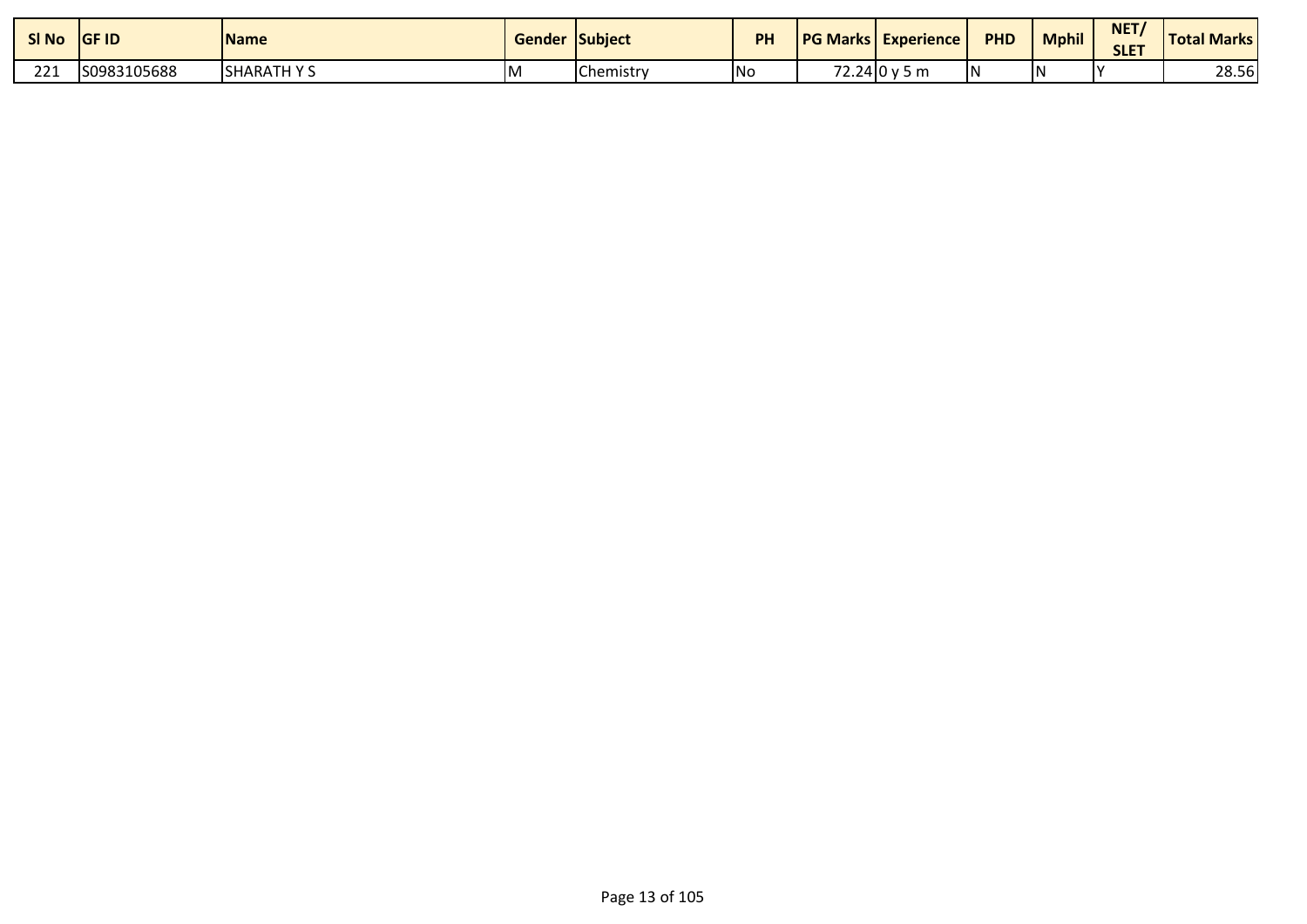| SI No              | <b>GF ID</b> | <b>Name</b>      | <b>Gender Subject</b> |           | PH  | <b>PG Marks Experience</b> | <b>PHD</b> | <b>Mphil</b> | NET<br><b>SLET</b> | <b>Total Marks</b> |
|--------------------|--------------|------------------|-----------------------|-----------|-----|----------------------------|------------|--------------|--------------------|--------------------|
| 221<br><u>__ _</u> | S0983105688  | <b>SHARATHYS</b> | ΙM                    | Chemistry | lNo | $72.24$ 0 y 5 m            | IN         |              |                    | 28.56              |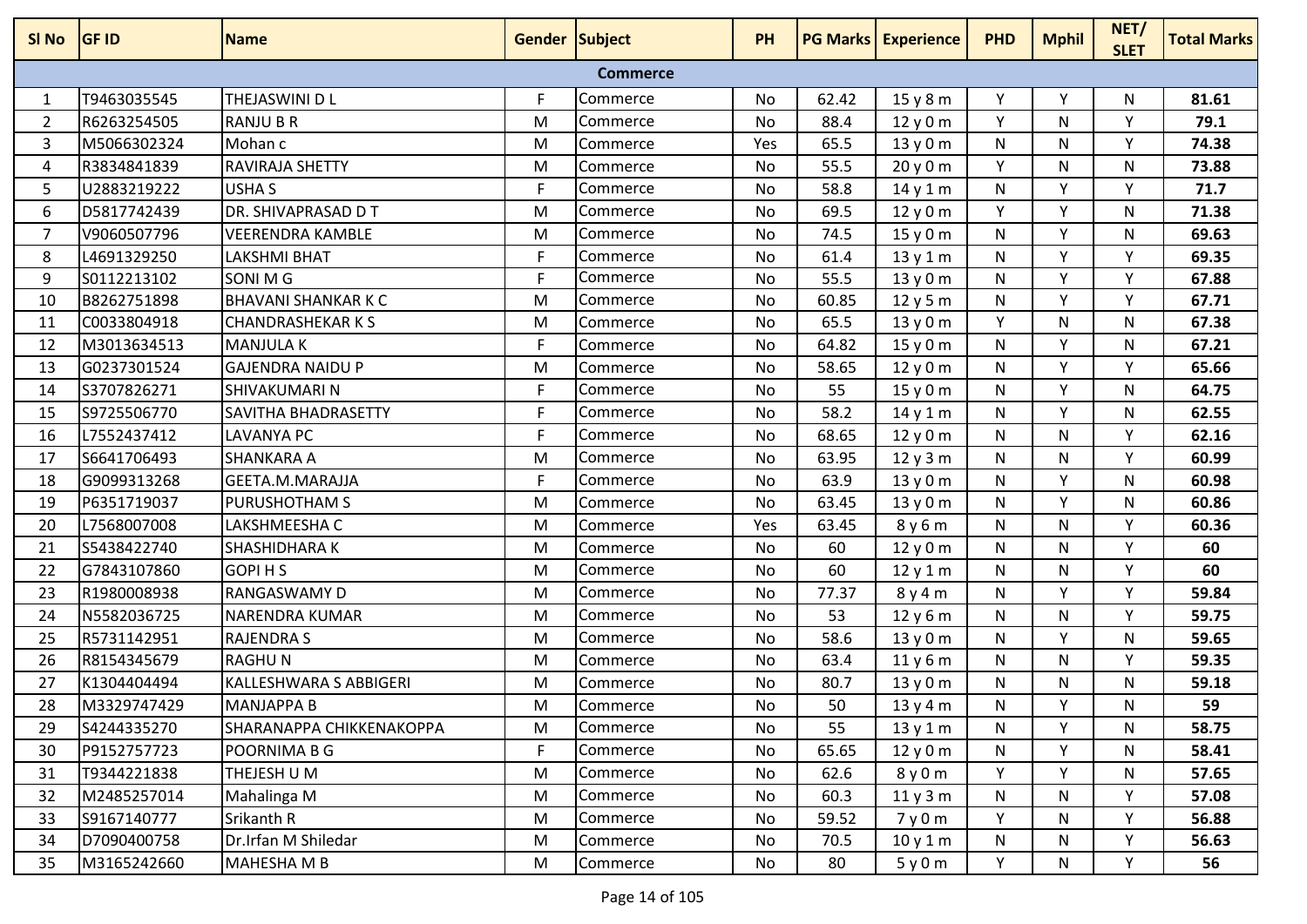| SI No          | <b>GF ID</b> | <b>Name</b>                   | <b>Gender Subject</b> |                 | <b>PH</b> |       | <b>PG Marks Experience</b> | <b>PHD</b> | <b>Mphil</b> | NET/<br><b>SLET</b> | <b>Total Marks</b> |
|----------------|--------------|-------------------------------|-----------------------|-----------------|-----------|-------|----------------------------|------------|--------------|---------------------|--------------------|
|                |              |                               |                       | <b>Commerce</b> |           |       |                            |            |              |                     |                    |
| 1              | T9463035545  | THEJASWINI D L                | F                     | Commerce        | No        | 62.42 | 15y8m                      | Υ          | Υ            | N                   | 81.61              |
| 2              | R6263254505  | <b>RANJU B R</b>              | M                     | Commerce        | No        | 88.4  | 12y0m                      | Y          | N            | Υ                   | 79.1               |
| 3              | M5066302324  | Mohan c                       | M                     | Commerce        | Yes       | 65.5  | 13y0m                      | N          | N            | Υ                   | 74.38              |
| 4              | R3834841839  | <b>RAVIRAJA SHETTY</b>        | M                     | Commerce        | No        | 55.5  | 20y0m                      | Y          | N            | N                   | 73.88              |
| 5              | U2883219222  | USHA S                        | F                     | Commerce        | No        | 58.8  | 14y1m                      | N          | Y            | Y                   | 71.7               |
| 6              | D5817742439  | DR. SHIVAPRASAD D T           | M                     | Commerce        | No        | 69.5  | 12y0m                      | Y          | Y            | N                   | 71.38              |
| $\overline{7}$ | V9060507796  | <b>VEERENDRA KAMBLE</b>       | M                     | Commerce        | No        | 74.5  | 15y0m                      | N          | Y            | N                   | 69.63              |
| 8              | L4691329250  | <b>LAKSHMI BHAT</b>           | F                     | Commerce        | No        | 61.4  | 13y1m                      | N          | Y            | Υ                   | 69.35              |
| 9              | S0112213102  | SONI M G                      | F                     | Commerce        | No        | 55.5  | 13y0m                      | N          | Y            | Υ                   | 67.88              |
| 10             | B8262751898  | <b>BHAVANI SHANKAR K C</b>    | M                     | Commerce        | No        | 60.85 | 12y5m                      | N          | Y            | Y                   | 67.71              |
| 11             | C0033804918  | <b>CHANDRASHEKAR K S</b>      | M                     | Commerce        | No        | 65.5  | 13y0m                      | Y          | N            | N                   | 67.38              |
| 12             | M3013634513  | <b>MANJULAK</b>               | F                     | Commerce        | No        | 64.82 | 15y0m                      | N          | Y            | N                   | 67.21              |
| 13             | G0237301524  | <b>GAJENDRA NAIDU P</b>       | M                     | Commerce        | No        | 58.65 | 12y0m                      | N          | Y            | Y                   | 65.66              |
| 14             | S3707826271  | SHIVAKUMARI N                 | F                     | Commerce        | No        | 55    | 15y0m                      | N          | Υ            | N                   | 64.75              |
| 15             | \$9725506770 | <b>SAVITHA BHADRASETTY</b>    | F                     | Commerce        | No        | 58.2  | 14y1m                      | N          | Y            | N                   | 62.55              |
| 16             | L7552437412  | <b>LAVANYA PC</b>             | F                     | Commerce        | No        | 68.65 | 12y0m                      | N          | N            | Y                   | 62.16              |
| 17             | S6641706493  | <b>SHANKARA A</b>             | M                     | Commerce        | No        | 63.95 | 12y3m                      | N          | N            | Y                   | 60.99              |
| 18             | G9099313268  | GEETA.M.MARAJJA               | F                     | Commerce        | No        | 63.9  | 13y0m                      | N          | Y            | N                   | 60.98              |
| 19             | P6351719037  | <b>PURUSHOTHAM S</b>          | M                     | Commerce        | No        | 63.45 | 13y0m                      | N          | Y            | N                   | 60.86              |
| 20             | L7568007008  | LAKSHMEESHA C                 | M                     | Commerce        | Yes       | 63.45 | 8y6m                       | N          | N            | Y                   | 60.36              |
| 21             | S5438422740  | SHASHIDHARA K                 | M                     | Commerce        | No        | 60    | 12y0m                      | N          | N            | Υ                   | 60                 |
| 22             | G7843107860  | <b>GOPIHS</b>                 | M                     | Commerce        | No        | 60    | 12y1m                      | N          | N            | Y                   | 60                 |
| 23             | R1980008938  | <b>RANGASWAMY D</b>           | M                     | Commerce        | No        | 77.37 | 8y4m                       | N          | Y            | Y                   | 59.84              |
| 24             | N5582036725  | NARENDRA KUMAR                | M                     | Commerce        | No        | 53    | 12y6m                      | N          | N            | Υ                   | 59.75              |
| 25             | R5731142951  | <b>RAJENDRAS</b>              | M                     | Commerce        | No        | 58.6  | 13y0m                      | N          | Y            | N                   | 59.65              |
| 26             | R8154345679  | <b>RAGHUN</b>                 | M                     | Commerce        | No        | 63.4  | 11y6m                      | N          | N            | Y                   | 59.35              |
| 27             | K1304404494  | <b>KALLESHWARA S ABBIGERI</b> | M                     | Commerce        | No        | 80.7  | 13y0m                      | N          | N            | И                   | 59.18              |
| 28             | M3329747429  | <b>MANJAPPA B</b>             | м                     | Commerce        | No        | 50    | 13 y 4 m                   | N          | Υ            | N                   | 59                 |
| 29             | S4244335270  | SHARANAPPA CHIKKENAKOPPA      | M                     | Commerce        | No        | 55    | 13y1m                      | N          | Y            | N                   | 58.75              |
| 30             | P9152757723  | <b>POORNIMA B G</b>           | F.                    | Commerce        | No        | 65.65 | 12y0m                      | N          | Y            | N                   | 58.41              |
| 31             | T9344221838  | THEJESH U M                   | M                     | Commerce        | No        | 62.6  | 8y0m                       | Y          | Y            | N                   | 57.65              |
| 32             | M2485257014  | Mahalinga M                   | M                     | Commerce        | No        | 60.3  | 11y3m                      | N          | N            | Y                   | 57.08              |
| 33             | S9167140777  | Srikanth R                    | M                     | Commerce        | No        | 59.52 | 7y0m                       | Y          | N            | Υ                   | 56.88              |
| 34             | D7090400758  | Dr.Irfan M Shiledar           | M                     | Commerce        | No        | 70.5  | 10y1m                      | N          | N            | Y                   | 56.63              |
| 35             | M3165242660  | <b>MAHESHA M B</b>            | M                     | Commerce        | No        | 80    | 5y0m                       | Y          | N            | Y                   | 56                 |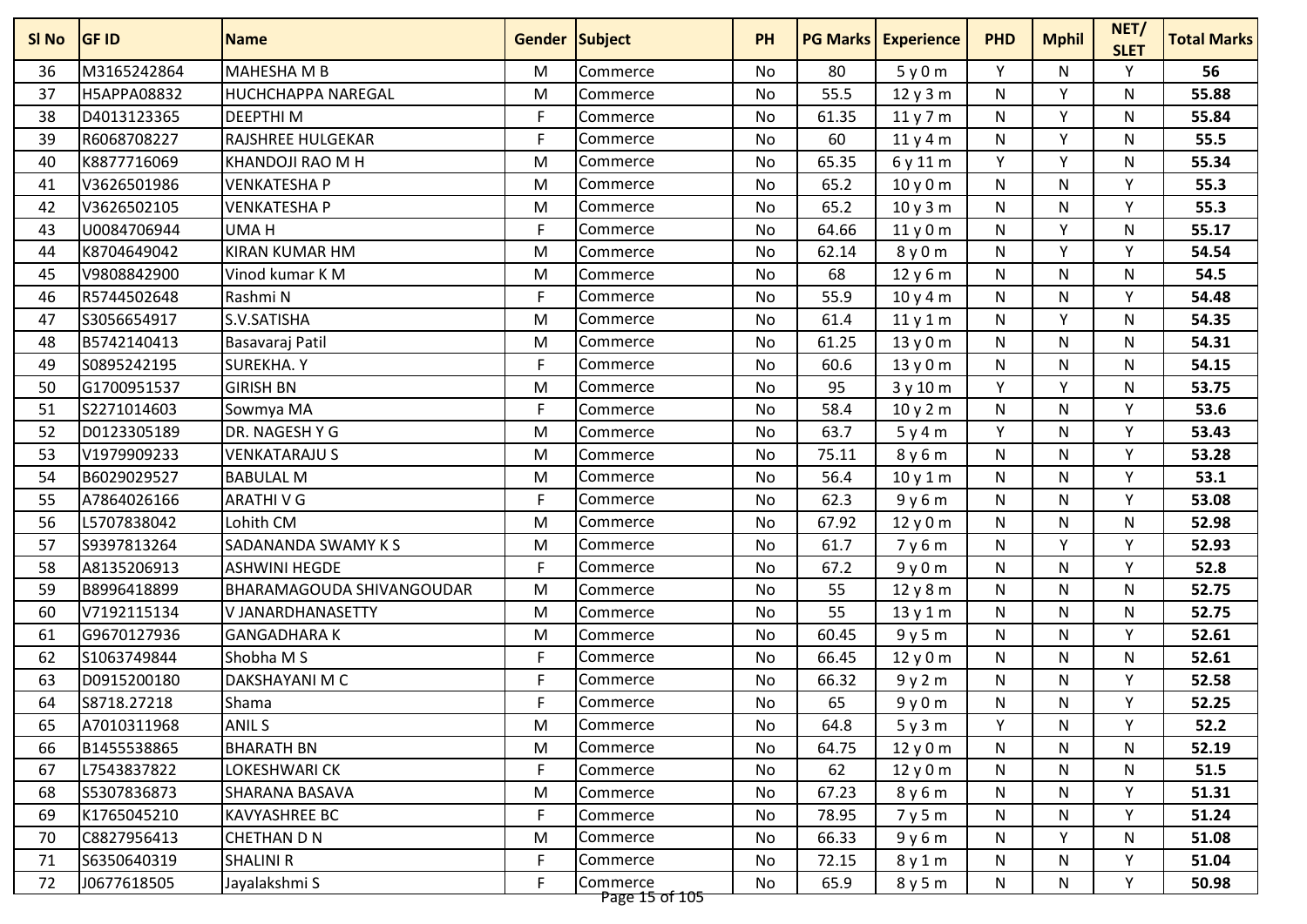| M3165242864<br>MAHESHA M B<br>Y<br>Υ<br>56<br>36<br>80<br>5y0m<br>N<br>M<br>Commerce<br>No<br>H5APPA08832<br>55.5<br>v<br>55.88<br>37<br><b>HUCHCHAPPA NAREGAL</b><br>M<br>N<br>N<br>No<br>12y3m<br>Commerce<br>Y<br>38<br>D4013123365<br><b>DEEPTHIM</b><br>F<br>61.35<br>11 y 7 m<br>N<br>55.84<br><b>No</b><br>N<br>Commerce<br>F<br>Y<br>60<br>55.5<br>39<br>R6068708227<br><b>RAJSHREE HULGEKAR</b><br>No<br>N<br>N<br>11y4m<br>Commerce<br>K8877716069<br>Y<br>Y<br>40<br>KHANDOJI RAO M H<br>65.35<br>6 y 11 m<br>55.34<br>M<br>Commerce<br>No<br>N<br>V3626501986<br><b>VENKATESHAP</b><br>65.2<br>N<br>N<br>Υ<br>55.3<br>41<br>M<br>No<br>10y0m<br>Commerce<br>65.2<br>N<br>v<br>55.3<br>42<br>V3626502105<br><b>VENKATESHA P</b><br>M<br>No<br>N<br>Commerce<br>10y3m<br>F<br>64.66<br>V<br>43<br>U0084706944<br>UMA H<br>N<br>55.17<br><b>No</b><br>11y0m<br>N<br>Commerce<br>$\mathsf{v}$<br>K8704649042<br><b>KIRAN KUMAR HM</b><br>M<br>No<br>62.14<br>N<br>Υ<br>54.54<br>44<br>8y0m<br>Commerce<br>V9808842900<br>Vinod kumar K M<br>68<br>12y6m<br>N<br>54.5<br>45<br>M<br>No<br>N<br>N<br>Commerce<br>F<br>55.9<br>Υ<br>46<br>R5744502648<br>N<br>N<br>54.48<br>Rashmi N<br>No<br>10y4m<br>Commerce<br>47<br>S3056654917<br>S.V.SATISHA<br>61.4<br>Y<br>54.35<br>M<br>No<br>11y1m<br>N<br>N<br>Commerce<br>48<br>B5742140413<br>61.25<br>N<br>N<br>54.31<br>Basavaraj Patil<br>M<br>No<br>13y0m<br>N<br>Commerce<br>49<br>S0895242195<br><b>SUREKHA.Y</b><br>F<br>60.6<br>N<br>N<br>N<br>54.15<br>No<br>13y0m<br>Commerce<br>95<br>Y<br>Y<br>50<br>G1700951537<br><b>GIRISH BN</b><br>53.75<br>M<br><b>No</b><br>3y10m<br>N<br>Commerce<br>F<br>58.4<br>53.6<br>51<br>S2271014603<br>10y2m<br>N<br>N<br>Υ<br>Sowmya MA<br>No<br>Commerce<br>52<br>D0123305189<br>DR. NAGESH Y G<br>Y<br>Y<br>53.43<br>M<br>No<br>63.7<br>N<br>5y4m<br><b>Commerce</b><br>75.11<br>Υ<br>53<br>V1979909233<br><b>VENKATARAJU S</b><br>M<br><b>No</b><br>8y6m<br>N<br>N<br>53.28<br><b>Commerce</b><br>B6029029527<br>56.4<br>N<br>N<br>Υ<br>53.1<br>54<br><b>BABULAL M</b><br>M<br>Commerce<br>No<br>10y1m<br>55<br>A7864026166<br>F.<br>62.3<br>v<br>53.08<br><b>ARATHIVG</b><br>9y6m<br>N<br>N<br>No<br>Commerce<br>56<br>L5707838042<br>Lohith CM<br>M<br>67.92<br>N<br>N<br>N<br>52.98<br>No<br>12y0m<br>Commerce<br>57<br>S9397813264<br>61.7<br>Υ<br>Y<br>52.93<br><b>SADANANDA SWAMY KS</b><br><b>No</b><br>7y6m<br>N<br>M<br>Commerce<br>F.<br>Υ<br>58<br>A8135206913<br>No<br>67.2<br>N<br>N<br>52.8<br><b>ASHWINI HEGDE</b><br>9y0m<br>Commerce<br>59<br>B8996418899<br><b>BHARAMAGOUDA SHIVANGOUDAR</b><br>N<br>N<br>52.75<br>M<br>No<br>55<br>12y8m<br>N<br><b>Commerce</b><br>55<br>60<br>V7192115134<br>N<br>N<br>52.75<br>V JANARDHANASETTY<br>M<br>No<br>13y1m<br>N<br>Commerce<br>G9670127936<br>60.45<br>N<br>Υ<br>52.61<br>61<br><b>GANGADHARAK</b><br>M<br>No<br>9y5m<br>N<br>Commerce<br>62<br>S1063749844<br>Shobha M S<br>F.<br>66.45<br>N<br>N<br>52.61<br><b>No</b><br>12 y 0 m<br>N<br>Commerce<br>63<br>D0915200180<br>DAKSHAYANI M C<br>F<br>66.32<br>N<br>Υ<br>52.58<br>No<br>9y2m<br>N<br>Commerce<br>F<br>65<br>Y<br>52.25<br>64<br>S8718.27218<br>Shama<br>9y0m<br>N<br>N<br>No<br>Commerce<br>Y<br>52.2<br>A7010311968<br><b>ANIL S</b><br>Y<br>65<br>M<br>Commerce<br>No<br>64.8<br>5y3m<br>N<br>B1455538865<br>64.75<br>66<br><b>BHARATH BN</b><br>M<br>Commerce<br>No<br>12y0m<br>N<br>N<br>N<br>52.19<br>F.<br>L7543837822<br>LOKESHWARI CK<br>67<br>Commerce<br>No<br>62<br>N<br>N<br>N<br>51.5<br>12y0m | SI No | <b>GF ID</b> | <b>Name</b>    | <b>Gender Subject</b> |          | <b>PH</b> |       | <b>PG Marks Experience</b> | <b>PHD</b> | <b>Mphil</b> | NET/<br><b>SLET</b> | <b>Total Marks</b> |
|-----------------------------------------------------------------------------------------------------------------------------------------------------------------------------------------------------------------------------------------------------------------------------------------------------------------------------------------------------------------------------------------------------------------------------------------------------------------------------------------------------------------------------------------------------------------------------------------------------------------------------------------------------------------------------------------------------------------------------------------------------------------------------------------------------------------------------------------------------------------------------------------------------------------------------------------------------------------------------------------------------------------------------------------------------------------------------------------------------------------------------------------------------------------------------------------------------------------------------------------------------------------------------------------------------------------------------------------------------------------------------------------------------------------------------------------------------------------------------------------------------------------------------------------------------------------------------------------------------------------------------------------------------------------------------------------------------------------------------------------------------------------------------------------------------------------------------------------------------------------------------------------------------------------------------------------------------------------------------------------------------------------------------------------------------------------------------------------------------------------------------------------------------------------------------------------------------------------------------------------------------------------------------------------------------------------------------------------------------------------------------------------------------------------------------------------------------------------------------------------------------------------------------------------------------------------------------------------------------------------------------------------------------------------------------------------------------------------------------------------------------------------------------------------------------------------------------------------------------------------------------------------------------------------------------------------------------------------------------------------------------------------------------------------------------------------------------------------------------------------------------------------------------------------------------------------------------------------------------------------------------------------------------------------------------------------------------------------------------------------------------------------------------------------------------------------------------------------------------------------------------------------------------------------------|-------|--------------|----------------|-----------------------|----------|-----------|-------|----------------------------|------------|--------------|---------------------|--------------------|
|                                                                                                                                                                                                                                                                                                                                                                                                                                                                                                                                                                                                                                                                                                                                                                                                                                                                                                                                                                                                                                                                                                                                                                                                                                                                                                                                                                                                                                                                                                                                                                                                                                                                                                                                                                                                                                                                                                                                                                                                                                                                                                                                                                                                                                                                                                                                                                                                                                                                                                                                                                                                                                                                                                                                                                                                                                                                                                                                                                                                                                                                                                                                                                                                                                                                                                                                                                                                                                                                                                                                               |       |              |                |                       |          |           |       |                            |            |              |                     |                    |
|                                                                                                                                                                                                                                                                                                                                                                                                                                                                                                                                                                                                                                                                                                                                                                                                                                                                                                                                                                                                                                                                                                                                                                                                                                                                                                                                                                                                                                                                                                                                                                                                                                                                                                                                                                                                                                                                                                                                                                                                                                                                                                                                                                                                                                                                                                                                                                                                                                                                                                                                                                                                                                                                                                                                                                                                                                                                                                                                                                                                                                                                                                                                                                                                                                                                                                                                                                                                                                                                                                                                               |       |              |                |                       |          |           |       |                            |            |              |                     |                    |
|                                                                                                                                                                                                                                                                                                                                                                                                                                                                                                                                                                                                                                                                                                                                                                                                                                                                                                                                                                                                                                                                                                                                                                                                                                                                                                                                                                                                                                                                                                                                                                                                                                                                                                                                                                                                                                                                                                                                                                                                                                                                                                                                                                                                                                                                                                                                                                                                                                                                                                                                                                                                                                                                                                                                                                                                                                                                                                                                                                                                                                                                                                                                                                                                                                                                                                                                                                                                                                                                                                                                               |       |              |                |                       |          |           |       |                            |            |              |                     |                    |
|                                                                                                                                                                                                                                                                                                                                                                                                                                                                                                                                                                                                                                                                                                                                                                                                                                                                                                                                                                                                                                                                                                                                                                                                                                                                                                                                                                                                                                                                                                                                                                                                                                                                                                                                                                                                                                                                                                                                                                                                                                                                                                                                                                                                                                                                                                                                                                                                                                                                                                                                                                                                                                                                                                                                                                                                                                                                                                                                                                                                                                                                                                                                                                                                                                                                                                                                                                                                                                                                                                                                               |       |              |                |                       |          |           |       |                            |            |              |                     |                    |
|                                                                                                                                                                                                                                                                                                                                                                                                                                                                                                                                                                                                                                                                                                                                                                                                                                                                                                                                                                                                                                                                                                                                                                                                                                                                                                                                                                                                                                                                                                                                                                                                                                                                                                                                                                                                                                                                                                                                                                                                                                                                                                                                                                                                                                                                                                                                                                                                                                                                                                                                                                                                                                                                                                                                                                                                                                                                                                                                                                                                                                                                                                                                                                                                                                                                                                                                                                                                                                                                                                                                               |       |              |                |                       |          |           |       |                            |            |              |                     |                    |
|                                                                                                                                                                                                                                                                                                                                                                                                                                                                                                                                                                                                                                                                                                                                                                                                                                                                                                                                                                                                                                                                                                                                                                                                                                                                                                                                                                                                                                                                                                                                                                                                                                                                                                                                                                                                                                                                                                                                                                                                                                                                                                                                                                                                                                                                                                                                                                                                                                                                                                                                                                                                                                                                                                                                                                                                                                                                                                                                                                                                                                                                                                                                                                                                                                                                                                                                                                                                                                                                                                                                               |       |              |                |                       |          |           |       |                            |            |              |                     |                    |
|                                                                                                                                                                                                                                                                                                                                                                                                                                                                                                                                                                                                                                                                                                                                                                                                                                                                                                                                                                                                                                                                                                                                                                                                                                                                                                                                                                                                                                                                                                                                                                                                                                                                                                                                                                                                                                                                                                                                                                                                                                                                                                                                                                                                                                                                                                                                                                                                                                                                                                                                                                                                                                                                                                                                                                                                                                                                                                                                                                                                                                                                                                                                                                                                                                                                                                                                                                                                                                                                                                                                               |       |              |                |                       |          |           |       |                            |            |              |                     |                    |
|                                                                                                                                                                                                                                                                                                                                                                                                                                                                                                                                                                                                                                                                                                                                                                                                                                                                                                                                                                                                                                                                                                                                                                                                                                                                                                                                                                                                                                                                                                                                                                                                                                                                                                                                                                                                                                                                                                                                                                                                                                                                                                                                                                                                                                                                                                                                                                                                                                                                                                                                                                                                                                                                                                                                                                                                                                                                                                                                                                                                                                                                                                                                                                                                                                                                                                                                                                                                                                                                                                                                               |       |              |                |                       |          |           |       |                            |            |              |                     |                    |
|                                                                                                                                                                                                                                                                                                                                                                                                                                                                                                                                                                                                                                                                                                                                                                                                                                                                                                                                                                                                                                                                                                                                                                                                                                                                                                                                                                                                                                                                                                                                                                                                                                                                                                                                                                                                                                                                                                                                                                                                                                                                                                                                                                                                                                                                                                                                                                                                                                                                                                                                                                                                                                                                                                                                                                                                                                                                                                                                                                                                                                                                                                                                                                                                                                                                                                                                                                                                                                                                                                                                               |       |              |                |                       |          |           |       |                            |            |              |                     |                    |
|                                                                                                                                                                                                                                                                                                                                                                                                                                                                                                                                                                                                                                                                                                                                                                                                                                                                                                                                                                                                                                                                                                                                                                                                                                                                                                                                                                                                                                                                                                                                                                                                                                                                                                                                                                                                                                                                                                                                                                                                                                                                                                                                                                                                                                                                                                                                                                                                                                                                                                                                                                                                                                                                                                                                                                                                                                                                                                                                                                                                                                                                                                                                                                                                                                                                                                                                                                                                                                                                                                                                               |       |              |                |                       |          |           |       |                            |            |              |                     |                    |
|                                                                                                                                                                                                                                                                                                                                                                                                                                                                                                                                                                                                                                                                                                                                                                                                                                                                                                                                                                                                                                                                                                                                                                                                                                                                                                                                                                                                                                                                                                                                                                                                                                                                                                                                                                                                                                                                                                                                                                                                                                                                                                                                                                                                                                                                                                                                                                                                                                                                                                                                                                                                                                                                                                                                                                                                                                                                                                                                                                                                                                                                                                                                                                                                                                                                                                                                                                                                                                                                                                                                               |       |              |                |                       |          |           |       |                            |            |              |                     |                    |
|                                                                                                                                                                                                                                                                                                                                                                                                                                                                                                                                                                                                                                                                                                                                                                                                                                                                                                                                                                                                                                                                                                                                                                                                                                                                                                                                                                                                                                                                                                                                                                                                                                                                                                                                                                                                                                                                                                                                                                                                                                                                                                                                                                                                                                                                                                                                                                                                                                                                                                                                                                                                                                                                                                                                                                                                                                                                                                                                                                                                                                                                                                                                                                                                                                                                                                                                                                                                                                                                                                                                               |       |              |                |                       |          |           |       |                            |            |              |                     |                    |
|                                                                                                                                                                                                                                                                                                                                                                                                                                                                                                                                                                                                                                                                                                                                                                                                                                                                                                                                                                                                                                                                                                                                                                                                                                                                                                                                                                                                                                                                                                                                                                                                                                                                                                                                                                                                                                                                                                                                                                                                                                                                                                                                                                                                                                                                                                                                                                                                                                                                                                                                                                                                                                                                                                                                                                                                                                                                                                                                                                                                                                                                                                                                                                                                                                                                                                                                                                                                                                                                                                                                               |       |              |                |                       |          |           |       |                            |            |              |                     |                    |
|                                                                                                                                                                                                                                                                                                                                                                                                                                                                                                                                                                                                                                                                                                                                                                                                                                                                                                                                                                                                                                                                                                                                                                                                                                                                                                                                                                                                                                                                                                                                                                                                                                                                                                                                                                                                                                                                                                                                                                                                                                                                                                                                                                                                                                                                                                                                                                                                                                                                                                                                                                                                                                                                                                                                                                                                                                                                                                                                                                                                                                                                                                                                                                                                                                                                                                                                                                                                                                                                                                                                               |       |              |                |                       |          |           |       |                            |            |              |                     |                    |
|                                                                                                                                                                                                                                                                                                                                                                                                                                                                                                                                                                                                                                                                                                                                                                                                                                                                                                                                                                                                                                                                                                                                                                                                                                                                                                                                                                                                                                                                                                                                                                                                                                                                                                                                                                                                                                                                                                                                                                                                                                                                                                                                                                                                                                                                                                                                                                                                                                                                                                                                                                                                                                                                                                                                                                                                                                                                                                                                                                                                                                                                                                                                                                                                                                                                                                                                                                                                                                                                                                                                               |       |              |                |                       |          |           |       |                            |            |              |                     |                    |
|                                                                                                                                                                                                                                                                                                                                                                                                                                                                                                                                                                                                                                                                                                                                                                                                                                                                                                                                                                                                                                                                                                                                                                                                                                                                                                                                                                                                                                                                                                                                                                                                                                                                                                                                                                                                                                                                                                                                                                                                                                                                                                                                                                                                                                                                                                                                                                                                                                                                                                                                                                                                                                                                                                                                                                                                                                                                                                                                                                                                                                                                                                                                                                                                                                                                                                                                                                                                                                                                                                                                               |       |              |                |                       |          |           |       |                            |            |              |                     |                    |
|                                                                                                                                                                                                                                                                                                                                                                                                                                                                                                                                                                                                                                                                                                                                                                                                                                                                                                                                                                                                                                                                                                                                                                                                                                                                                                                                                                                                                                                                                                                                                                                                                                                                                                                                                                                                                                                                                                                                                                                                                                                                                                                                                                                                                                                                                                                                                                                                                                                                                                                                                                                                                                                                                                                                                                                                                                                                                                                                                                                                                                                                                                                                                                                                                                                                                                                                                                                                                                                                                                                                               |       |              |                |                       |          |           |       |                            |            |              |                     |                    |
|                                                                                                                                                                                                                                                                                                                                                                                                                                                                                                                                                                                                                                                                                                                                                                                                                                                                                                                                                                                                                                                                                                                                                                                                                                                                                                                                                                                                                                                                                                                                                                                                                                                                                                                                                                                                                                                                                                                                                                                                                                                                                                                                                                                                                                                                                                                                                                                                                                                                                                                                                                                                                                                                                                                                                                                                                                                                                                                                                                                                                                                                                                                                                                                                                                                                                                                                                                                                                                                                                                                                               |       |              |                |                       |          |           |       |                            |            |              |                     |                    |
|                                                                                                                                                                                                                                                                                                                                                                                                                                                                                                                                                                                                                                                                                                                                                                                                                                                                                                                                                                                                                                                                                                                                                                                                                                                                                                                                                                                                                                                                                                                                                                                                                                                                                                                                                                                                                                                                                                                                                                                                                                                                                                                                                                                                                                                                                                                                                                                                                                                                                                                                                                                                                                                                                                                                                                                                                                                                                                                                                                                                                                                                                                                                                                                                                                                                                                                                                                                                                                                                                                                                               |       |              |                |                       |          |           |       |                            |            |              |                     |                    |
|                                                                                                                                                                                                                                                                                                                                                                                                                                                                                                                                                                                                                                                                                                                                                                                                                                                                                                                                                                                                                                                                                                                                                                                                                                                                                                                                                                                                                                                                                                                                                                                                                                                                                                                                                                                                                                                                                                                                                                                                                                                                                                                                                                                                                                                                                                                                                                                                                                                                                                                                                                                                                                                                                                                                                                                                                                                                                                                                                                                                                                                                                                                                                                                                                                                                                                                                                                                                                                                                                                                                               |       |              |                |                       |          |           |       |                            |            |              |                     |                    |
|                                                                                                                                                                                                                                                                                                                                                                                                                                                                                                                                                                                                                                                                                                                                                                                                                                                                                                                                                                                                                                                                                                                                                                                                                                                                                                                                                                                                                                                                                                                                                                                                                                                                                                                                                                                                                                                                                                                                                                                                                                                                                                                                                                                                                                                                                                                                                                                                                                                                                                                                                                                                                                                                                                                                                                                                                                                                                                                                                                                                                                                                                                                                                                                                                                                                                                                                                                                                                                                                                                                                               |       |              |                |                       |          |           |       |                            |            |              |                     |                    |
|                                                                                                                                                                                                                                                                                                                                                                                                                                                                                                                                                                                                                                                                                                                                                                                                                                                                                                                                                                                                                                                                                                                                                                                                                                                                                                                                                                                                                                                                                                                                                                                                                                                                                                                                                                                                                                                                                                                                                                                                                                                                                                                                                                                                                                                                                                                                                                                                                                                                                                                                                                                                                                                                                                                                                                                                                                                                                                                                                                                                                                                                                                                                                                                                                                                                                                                                                                                                                                                                                                                                               |       |              |                |                       |          |           |       |                            |            |              |                     |                    |
|                                                                                                                                                                                                                                                                                                                                                                                                                                                                                                                                                                                                                                                                                                                                                                                                                                                                                                                                                                                                                                                                                                                                                                                                                                                                                                                                                                                                                                                                                                                                                                                                                                                                                                                                                                                                                                                                                                                                                                                                                                                                                                                                                                                                                                                                                                                                                                                                                                                                                                                                                                                                                                                                                                                                                                                                                                                                                                                                                                                                                                                                                                                                                                                                                                                                                                                                                                                                                                                                                                                                               |       |              |                |                       |          |           |       |                            |            |              |                     |                    |
|                                                                                                                                                                                                                                                                                                                                                                                                                                                                                                                                                                                                                                                                                                                                                                                                                                                                                                                                                                                                                                                                                                                                                                                                                                                                                                                                                                                                                                                                                                                                                                                                                                                                                                                                                                                                                                                                                                                                                                                                                                                                                                                                                                                                                                                                                                                                                                                                                                                                                                                                                                                                                                                                                                                                                                                                                                                                                                                                                                                                                                                                                                                                                                                                                                                                                                                                                                                                                                                                                                                                               |       |              |                |                       |          |           |       |                            |            |              |                     |                    |
|                                                                                                                                                                                                                                                                                                                                                                                                                                                                                                                                                                                                                                                                                                                                                                                                                                                                                                                                                                                                                                                                                                                                                                                                                                                                                                                                                                                                                                                                                                                                                                                                                                                                                                                                                                                                                                                                                                                                                                                                                                                                                                                                                                                                                                                                                                                                                                                                                                                                                                                                                                                                                                                                                                                                                                                                                                                                                                                                                                                                                                                                                                                                                                                                                                                                                                                                                                                                                                                                                                                                               |       |              |                |                       |          |           |       |                            |            |              |                     |                    |
|                                                                                                                                                                                                                                                                                                                                                                                                                                                                                                                                                                                                                                                                                                                                                                                                                                                                                                                                                                                                                                                                                                                                                                                                                                                                                                                                                                                                                                                                                                                                                                                                                                                                                                                                                                                                                                                                                                                                                                                                                                                                                                                                                                                                                                                                                                                                                                                                                                                                                                                                                                                                                                                                                                                                                                                                                                                                                                                                                                                                                                                                                                                                                                                                                                                                                                                                                                                                                                                                                                                                               |       |              |                |                       |          |           |       |                            |            |              |                     |                    |
|                                                                                                                                                                                                                                                                                                                                                                                                                                                                                                                                                                                                                                                                                                                                                                                                                                                                                                                                                                                                                                                                                                                                                                                                                                                                                                                                                                                                                                                                                                                                                                                                                                                                                                                                                                                                                                                                                                                                                                                                                                                                                                                                                                                                                                                                                                                                                                                                                                                                                                                                                                                                                                                                                                                                                                                                                                                                                                                                                                                                                                                                                                                                                                                                                                                                                                                                                                                                                                                                                                                                               |       |              |                |                       |          |           |       |                            |            |              |                     |                    |
|                                                                                                                                                                                                                                                                                                                                                                                                                                                                                                                                                                                                                                                                                                                                                                                                                                                                                                                                                                                                                                                                                                                                                                                                                                                                                                                                                                                                                                                                                                                                                                                                                                                                                                                                                                                                                                                                                                                                                                                                                                                                                                                                                                                                                                                                                                                                                                                                                                                                                                                                                                                                                                                                                                                                                                                                                                                                                                                                                                                                                                                                                                                                                                                                                                                                                                                                                                                                                                                                                                                                               |       |              |                |                       |          |           |       |                            |            |              |                     |                    |
|                                                                                                                                                                                                                                                                                                                                                                                                                                                                                                                                                                                                                                                                                                                                                                                                                                                                                                                                                                                                                                                                                                                                                                                                                                                                                                                                                                                                                                                                                                                                                                                                                                                                                                                                                                                                                                                                                                                                                                                                                                                                                                                                                                                                                                                                                                                                                                                                                                                                                                                                                                                                                                                                                                                                                                                                                                                                                                                                                                                                                                                                                                                                                                                                                                                                                                                                                                                                                                                                                                                                               |       |              |                |                       |          |           |       |                            |            |              |                     |                    |
|                                                                                                                                                                                                                                                                                                                                                                                                                                                                                                                                                                                                                                                                                                                                                                                                                                                                                                                                                                                                                                                                                                                                                                                                                                                                                                                                                                                                                                                                                                                                                                                                                                                                                                                                                                                                                                                                                                                                                                                                                                                                                                                                                                                                                                                                                                                                                                                                                                                                                                                                                                                                                                                                                                                                                                                                                                                                                                                                                                                                                                                                                                                                                                                                                                                                                                                                                                                                                                                                                                                                               |       |              |                |                       |          |           |       |                            |            |              |                     |                    |
|                                                                                                                                                                                                                                                                                                                                                                                                                                                                                                                                                                                                                                                                                                                                                                                                                                                                                                                                                                                                                                                                                                                                                                                                                                                                                                                                                                                                                                                                                                                                                                                                                                                                                                                                                                                                                                                                                                                                                                                                                                                                                                                                                                                                                                                                                                                                                                                                                                                                                                                                                                                                                                                                                                                                                                                                                                                                                                                                                                                                                                                                                                                                                                                                                                                                                                                                                                                                                                                                                                                                               |       |              |                |                       |          |           |       |                            |            |              |                     |                    |
|                                                                                                                                                                                                                                                                                                                                                                                                                                                                                                                                                                                                                                                                                                                                                                                                                                                                                                                                                                                                                                                                                                                                                                                                                                                                                                                                                                                                                                                                                                                                                                                                                                                                                                                                                                                                                                                                                                                                                                                                                                                                                                                                                                                                                                                                                                                                                                                                                                                                                                                                                                                                                                                                                                                                                                                                                                                                                                                                                                                                                                                                                                                                                                                                                                                                                                                                                                                                                                                                                                                                               |       |              |                |                       |          |           |       |                            |            |              |                     |                    |
|                                                                                                                                                                                                                                                                                                                                                                                                                                                                                                                                                                                                                                                                                                                                                                                                                                                                                                                                                                                                                                                                                                                                                                                                                                                                                                                                                                                                                                                                                                                                                                                                                                                                                                                                                                                                                                                                                                                                                                                                                                                                                                                                                                                                                                                                                                                                                                                                                                                                                                                                                                                                                                                                                                                                                                                                                                                                                                                                                                                                                                                                                                                                                                                                                                                                                                                                                                                                                                                                                                                                               | 68    | S5307836873  | SHARANA BASAVA | M                     | Commerce | No        | 67.23 | 8y6m                       | N          | N            | Υ                   | 51.31              |
| K1765045210<br>F<br>78.95<br>Y<br>69<br><b>KAVYASHREE BC</b><br>No<br>N<br>N<br>51.24<br>Commerce<br>7y5m                                                                                                                                                                                                                                                                                                                                                                                                                                                                                                                                                                                                                                                                                                                                                                                                                                                                                                                                                                                                                                                                                                                                                                                                                                                                                                                                                                                                                                                                                                                                                                                                                                                                                                                                                                                                                                                                                                                                                                                                                                                                                                                                                                                                                                                                                                                                                                                                                                                                                                                                                                                                                                                                                                                                                                                                                                                                                                                                                                                                                                                                                                                                                                                                                                                                                                                                                                                                                                     |       |              |                |                       |          |           |       |                            |            |              |                     |                    |
| C8827956413<br>66.33<br>Y<br>51.08<br>70<br><b>CHETHAN D N</b><br>M<br>No<br>9y6m<br>N<br>N<br>Commerce                                                                                                                                                                                                                                                                                                                                                                                                                                                                                                                                                                                                                                                                                                                                                                                                                                                                                                                                                                                                                                                                                                                                                                                                                                                                                                                                                                                                                                                                                                                                                                                                                                                                                                                                                                                                                                                                                                                                                                                                                                                                                                                                                                                                                                                                                                                                                                                                                                                                                                                                                                                                                                                                                                                                                                                                                                                                                                                                                                                                                                                                                                                                                                                                                                                                                                                                                                                                                                       |       |              |                |                       |          |           |       |                            |            |              |                     |                    |
| \$6350640319<br>F<br>Y<br>71<br><b>SHALINI R</b><br>Commerce<br>No<br>72.15<br>N<br>N<br>51.04<br>8y1m                                                                                                                                                                                                                                                                                                                                                                                                                                                                                                                                                                                                                                                                                                                                                                                                                                                                                                                                                                                                                                                                                                                                                                                                                                                                                                                                                                                                                                                                                                                                                                                                                                                                                                                                                                                                                                                                                                                                                                                                                                                                                                                                                                                                                                                                                                                                                                                                                                                                                                                                                                                                                                                                                                                                                                                                                                                                                                                                                                                                                                                                                                                                                                                                                                                                                                                                                                                                                                        |       |              |                |                       |          |           |       |                            |            |              |                     |                    |
| F.<br>Υ<br>72<br>J0677618505<br>Jayalakshmi S<br>No<br>65.9<br>N<br>N<br>50.98<br><b>Commerce</b><br>8y5m<br>Page 15 of 105                                                                                                                                                                                                                                                                                                                                                                                                                                                                                                                                                                                                                                                                                                                                                                                                                                                                                                                                                                                                                                                                                                                                                                                                                                                                                                                                                                                                                                                                                                                                                                                                                                                                                                                                                                                                                                                                                                                                                                                                                                                                                                                                                                                                                                                                                                                                                                                                                                                                                                                                                                                                                                                                                                                                                                                                                                                                                                                                                                                                                                                                                                                                                                                                                                                                                                                                                                                                                   |       |              |                |                       |          |           |       |                            |            |              |                     |                    |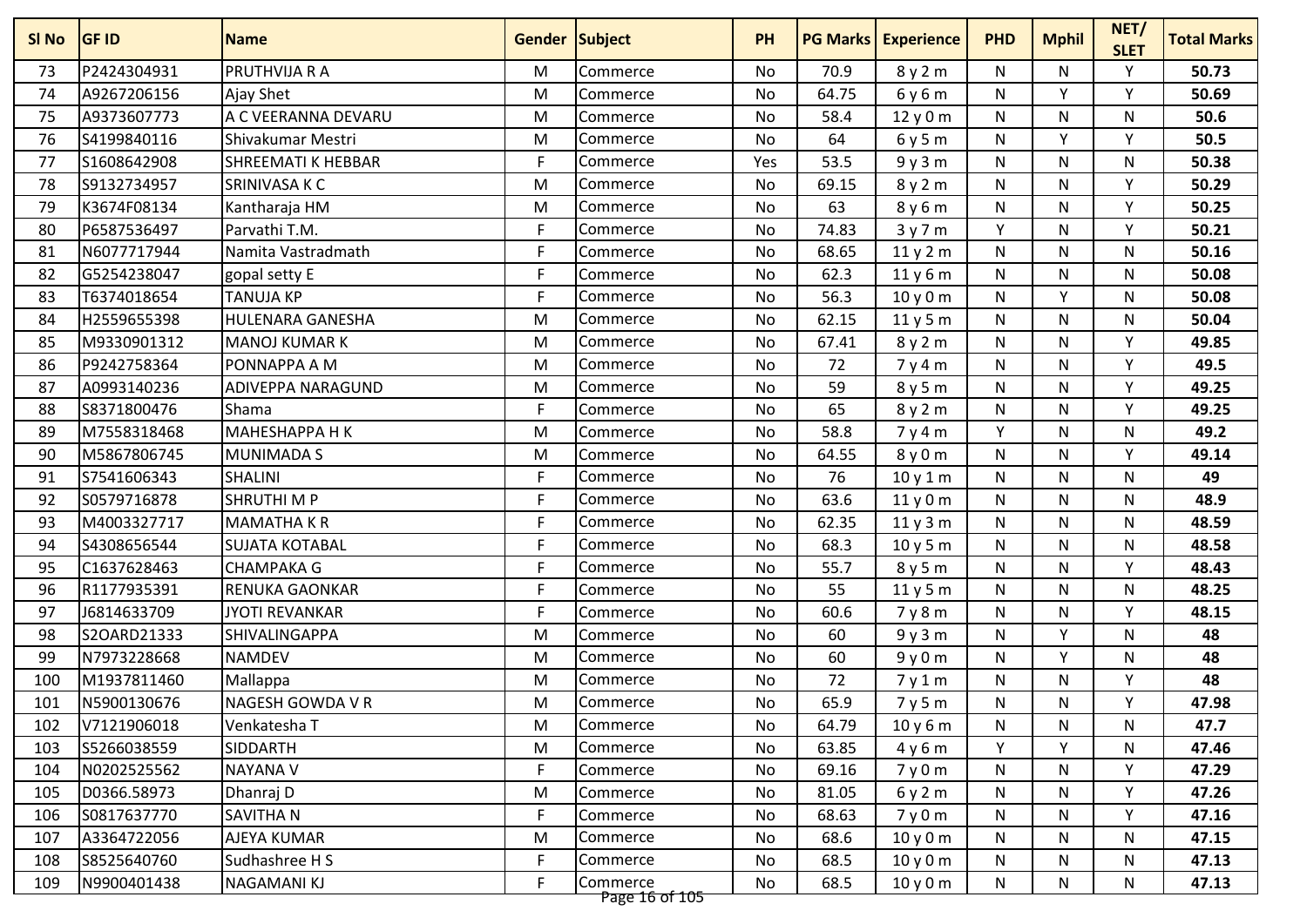| SI No | <b>GF ID</b> | <b>Name</b>           | <b>Gender Subject</b> |                            | <b>PH</b> |       | <b>PG Marks   Experience</b> | <b>PHD</b>   | <b>Mphil</b> | NET/<br><b>SLET</b> | <b>Total Marks</b> |
|-------|--------------|-----------------------|-----------------------|----------------------------|-----------|-------|------------------------------|--------------|--------------|---------------------|--------------------|
| 73    | P2424304931  | PRUTHVIJA R A         | M                     | Commerce                   | No        | 70.9  | 8y2m                         | N            | N            | Y                   | 50.73              |
| 74    | A9267206156  | Ajay Shet             | M                     | Commerce                   | No        | 64.75 | 6y6m                         | N            | ٧            | Υ                   | 50.69              |
| 75    | A9373607773  | A C VEERANNA DEVARU   | M                     | Commerce                   | <b>No</b> | 58.4  | 12y0m                        | ${\sf N}$    | N            | N                   | 50.6               |
| 76    | S4199840116  | Shivakumar Mestri     | M                     | Commerce                   | No        | 64    | 6y5m                         | N            | Y            | Υ                   | 50.5               |
| 77    | S1608642908  | SHREEMATI K HEBBAR    | F                     | Commerce                   | Yes       | 53.5  | 9y3m                         | N            | N            | N                   | 50.38              |
| 78    | S9132734957  | SRINIVASA K C         | M                     | Commerce                   | No        | 69.15 | 8y2m                         | N            | N            | Υ                   | 50.29              |
| 79    | K3674F08134  | Kantharaja HM         | M                     | Commerce                   | No        | 63    | 8y6m                         | N            | N            | $\mathsf{v}$        | 50.25              |
| 80    | P6587536497  | Parvathi T.M.         | F                     | Commerce                   | <b>No</b> | 74.83 | 3y7m                         | Y            | N            | Υ                   | 50.21              |
| 81    | N6077717944  | Namita Vastradmath    | F                     | Commerce                   | No        | 68.65 | 11y2m                        | N            | N            | N                   | 50.16              |
| 82    | G5254238047  | gopal setty E         | F                     | Commerce                   | No        | 62.3  | 11y6m                        | N            | N            | N                   | 50.08              |
| 83    | T6374018654  | <b>TANUJA KP</b>      | F                     | Commerce                   | No        | 56.3  | 10y0m                        | N            | Y            | N                   | 50.08              |
| 84    | H2559655398  | HULENARA GANESHA      | M                     | Commerce                   | No        | 62.15 | 11y5m                        | N            | N            | N                   | 50.04              |
| 85    | M9330901312  | <b>MANOJ KUMAR K</b>  | M                     | Commerce                   | No        | 67.41 | 8y2m                         | ${\sf N}$    | N            | ٧                   | 49.85              |
| 86    | P9242758364  | PONNAPPA A M          | M                     | Commerce                   | No        | 72    | 7y4m                         | N            | N            | Y                   | 49.5               |
| 87    | A0993140236  | ADIVEPPA NARAGUND     | M                     | Commerce                   | <b>No</b> | 59    | 8y5m                         | ${\sf N}$    | N            | Y                   | 49.25              |
| 88    | S8371800476  | Shama                 | F                     | Commerce                   | No        | 65    | 8y2m                         | N            | N            | Y                   | 49.25              |
| 89    | M7558318468  | <b>MAHESHAPPA H K</b> | M                     | Commerce                   | No        | 58.8  | 7y4m                         | Y            | N            | N                   | 49.2               |
| 90    | M5867806745  | <b>MUNIMADA S</b>     | M                     | Commerce                   | <b>No</b> | 64.55 | 8y0m                         | N            | N.           | Y                   | 49.14              |
| 91    | S7541606343  | <b>SHALINI</b>        | F                     | Commerce                   | No        | 76    | 10y1m                        | N            | N            | N                   | 49                 |
| 92    | S0579716878  | <b>SHRUTHI MP</b>     | F                     | Commerce                   | No        | 63.6  | 11y0m                        | N            | N            | N                   | 48.9               |
| 93    | M4003327717  | <b>MAMATHAKR</b>      | F                     | Commerce                   | No        | 62.35 | 11y3m                        | N            | N            | N                   | 48.59              |
| 94    | S4308656544  | <b>SUJATA KOTABAL</b> | F                     | Commerce                   | <b>No</b> | 68.3  | 10 y 5 m                     | ${\sf N}$    | N            | ${\sf N}$           | 48.58              |
| 95    | C1637628463  | <b>CHAMPAKA G</b>     | F                     | Commerce                   | No        | 55.7  | 8y5m                         | N            | N            | Y                   | 48.43              |
| 96    | R1177935391  | <b>RENUKA GAONKAR</b> | F                     | Commerce                   | No        | 55    | 11y5m                        | N            | N            | N                   | 48.25              |
| 97    | J6814633709  | <b>JYOTI REVANKAR</b> | F                     | Commerce                   | No        | 60.6  | 7y8m                         | N            | N.           | Υ                   | 48.15              |
| 98    | S2OARD21333  | SHIVALINGAPPA         | M                     | Commerce                   | No        | 60    | 9y3m                         | N            | v            | N                   | 48                 |
| 99    | N7973228668  | <b>NAMDEV</b>         | M                     | Commerce                   | <b>No</b> | 60    | 9y0m                         | $\mathsf{N}$ | Y            | N                   | 48                 |
| 100   | M1937811460  | Mallappa              | M                     | Commerce                   | No        | 72    | 7y1m                         | N            | N            | Υ                   | 48                 |
| 101   | N5900130676  | NAGESH GOWDA V R      | M                     | Commerce                   | No        | 65.9  | 7y5m                         | N            | N            | Υ                   | 47.98              |
| 102   | V7121906018  | Venkatesha T          | M                     | Commerce                   | No        | 64.79 | 10y6m                        | N            | N            | N                   | 47.7               |
| 103   | S5266038559  | SIDDARTH              | M                     | Commerce                   | No        | 63.85 | 4y6m                         | Y            | Υ            | N                   | 47.46              |
| 104   | N0202525562  | <b>NAYANA V</b>       | F                     | Commerce                   | No        | 69.16 | 7y0m                         | N            | N            | Υ                   | 47.29              |
| 105   | D0366.58973  | Dhanraj D             | M                     | Commerce                   | No        | 81.05 | 6y2m                         | N            | N            | Y                   | 47.26              |
| 106   | S0817637770  | SAVITHA N             | F                     | Commerce                   | No        | 68.63 | 7y0m                         | N            | N            | Y                   | 47.16              |
| 107   | A3364722056  | AJEYA KUMAR           | M                     | Commerce                   | No        | 68.6  | 10y0m                        | N            | N            | N                   | 47.15              |
| 108   | S8525640760  | Sudhashree H S        | F                     | Commerce                   | No        | 68.5  | 10y0m                        | N            | N            | N                   | 47.13              |
| 109   | N9900401438  | NAGAMANI KJ           | F                     | Commerce<br>Page 16 of 105 | No        | 68.5  | 10y0m                        | N            | N            | N                   | 47.13              |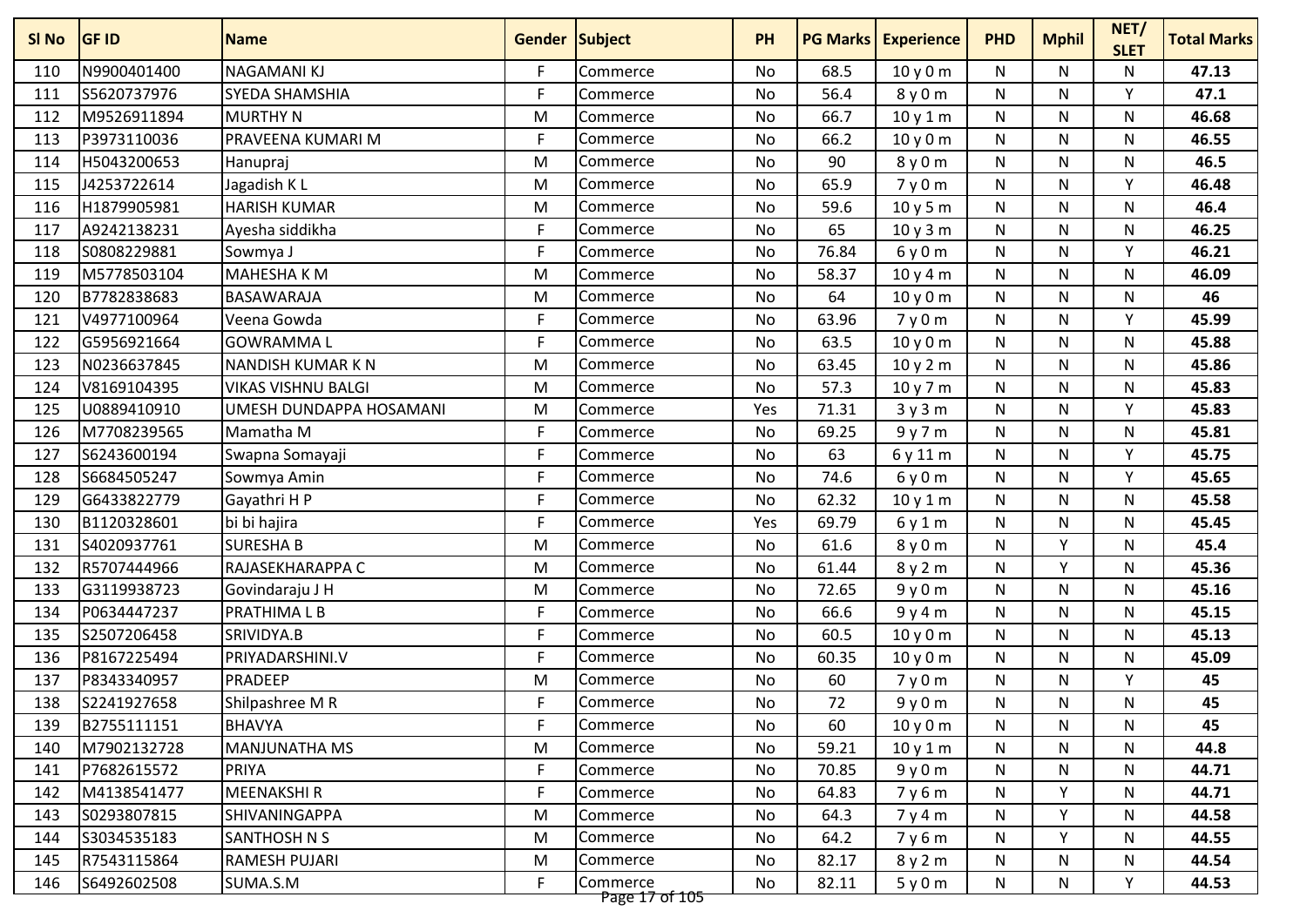| SI <sub>No</sub> | <b>GF ID</b> | <b>Name</b>               | <b>Gender Subject</b> |                            | <b>PH</b> | <b>PG Marks</b> | <b>Experience</b> | <b>PHD</b> | <b>Mphil</b> | NET/<br><b>SLET</b> | <b>Total Marks</b> |
|------------------|--------------|---------------------------|-----------------------|----------------------------|-----------|-----------------|-------------------|------------|--------------|---------------------|--------------------|
| 110              | N9900401400  | <b>NAGAMANIKJ</b>         | F                     | Commerce                   | No        | 68.5            | 10y0m             | N          | N            | N                   | 47.13              |
| 111              | S5620737976  | <b>SYEDA SHAMSHIA</b>     | F                     | Commerce                   | No        | 56.4            | 8y0m              | N          | N            | Y                   | 47.1               |
| 112              | M9526911894  | <b>MURTHY N</b>           | M                     | Commerce                   | <b>No</b> | 66.7            | 10y1m             | N          | N            | N                   | 46.68              |
| 113              | P3973110036  | PRAVEENA KUMARI M         | F                     | Commerce                   | No        | 66.2            | 10 y 0 m          | N          | N            | N                   | 46.55              |
| 114              | H5043200653  | Hanupraj                  | M                     | Commerce                   | No        | 90              | 8y0m              | N          | N            | N                   | 46.5               |
| 115              | J4253722614  | Jagadish K L              | M                     | Commerce                   | <b>No</b> | 65.9            | 7y0m              | N          | N            | Υ                   | 46.48              |
| 116              | H1879905981  | <b>HARISH KUMAR</b>       | M                     | Commerce                   | No        | 59.6            | 10y5m             | N          | N            | N                   | 46.4               |
| 117              | A9242138231  | Ayesha siddikha           | F                     | Commerce                   | <b>No</b> | 65              | 10y3m             | N          | N            | $\mathsf{N}$        | 46.25              |
| 118              | S0808229881  | Sowmya J                  | F                     | Commerce                   | No        | 76.84           | 6y0m              | N          | N            | Y                   | 46.21              |
| 119              | M5778503104  | <b>MAHESHA KM</b>         | M                     | Commerce                   | No        | 58.37           | 10y4m             | N          | N            | N                   | 46.09              |
| 120              | B7782838683  | BASAWARAJA                | M                     | Commerce                   | No        | 64              | 10y0m             | N          | N            | N                   | 46                 |
| 121              | V4977100964  | Veena Gowda               | F                     | Commerce                   | No        | 63.96           | 7y0m              | N          | N            | Υ                   | 45.99              |
| 122              | G5956921664  | <b>GOWRAMMAL</b>          | F                     | Commerce                   | No        | 63.5            | 10y0m             | N          | N            | N                   | 45.88              |
| 123              | N0236637845  | <b>NANDISH KUMAR K N</b>  | M                     | Commerce                   | No        | 63.45           | 10y2m             | N          | N            | N                   | 45.86              |
| 124              | V8169104395  | <b>VIKAS VISHNU BALGI</b> | M                     | Commerce                   | <b>No</b> | 57.3            | 10 y 7 m          | N          | N            | ${\sf N}$           | 45.83              |
| 125              | U0889410910  | UMESH DUNDAPPA HOSAMANI   | M                     | Commerce                   | Yes       | 71.31           | 3y3m              | N          | N            | Υ                   | 45.83              |
| 126              | M7708239565  | Mamatha M                 | F                     | Commerce                   | No        | 69.25           | 9y7m              | N          | N            | N                   | 45.81              |
| 127              | S6243600194  | Swapna Somayaji           | F                     | Commerce                   | No        | 63              | 6 y 11 m          | N          | N.           | Y                   | 45.75              |
| 128              | S6684505247  | Sowmya Amin               | F                     | Commerce                   | No        | 74.6            | 6y0m              | N          | N            | Υ                   | 45.65              |
| 129              | G6433822779  | Gayathri H P              | F                     | Commerce                   | No        | 62.32           | 10 y 1 m          | N          | N            | N                   | 45.58              |
| 130              | B1120328601  | bi bi hajira              | F                     | Commerce                   | Yes       | 69.79           | 6y1m              | N          | N            | N                   | 45.45              |
| 131              | S4020937761  | <b>SURESHA B</b>          | M                     | Commerce                   | <b>No</b> | 61.6            | 8y0m              | N          | v            | N                   | 45.4               |
| 132              | R5707444966  | RAJASEKHARAPPA C          | M                     | Commerce                   | No        | 61.44           | 8y2m              | N          | Y            | N                   | 45.36              |
| 133              | G3119938723  | Govindaraju J H           | M                     | Commerce                   | No        | 72.65           | 9y0m              | N          | N            | N                   | 45.16              |
| 134              | P0634447237  | <b>PRATHIMALB</b>         | F                     | Commerce                   | No        | 66.6            | 9y4m              | N          | N            | N                   | 45.15              |
| 135              | S2507206458  | SRIVIDYA.B                | F                     | Commerce                   | No        | 60.5            | 10y0m             | N          | N            | N                   | 45.13              |
| 136              | P8167225494  | PRIYADARSHINI.V           | F                     | Commerce                   | <b>No</b> | 60.35           | 10 y 0 m          | N          | N            | N                   | 45.09              |
| 137              | P8343340957  | <b>PRADEEP</b>            | M                     | Commerce                   | No        | 60              | 7y0m              | N          | N            | Υ                   | 45                 |
| 138              | S2241927658  | Shilpashree M R           | F                     | Commerce                   | No        | 72              | 9y0m              | N          | N            | N                   | 45                 |
| 139              | B2755111151  | <b>BHAVYA</b>             | F                     | Commerce                   | No        | 60              | 10y0m             | N          | N            | N                   | 45                 |
| 140              | M7902132728  | <b>MANJUNATHA MS</b>      | M                     | Commerce                   | No        | 59.21           | 10y1m             | N          | N            | N                   | 44.8               |
| 141              | P7682615572  | <b>PRIYA</b>              | F                     | Commerce                   | No        | 70.85           | 9y0m              | N          | N            | N                   | 44.71              |
| 142              | M4138541477  | <b>MEENAKSHIR</b>         | F                     | Commerce                   | No        | 64.83           | 7y6m              | N          |              | N                   | 44.71              |
| 143              | S0293807815  | SHIVANINGAPPA             | M                     | Commerce                   | No        | 64.3            | 7 y 4 m           | N          | Y            | N                   | 44.58              |
| 144              | S3034535183  | SANTHOSH N S              | M                     | Commerce                   | No        | 64.2            | 7y6m              | N          | Υ            | N                   | 44.55              |
| 145              | R7543115864  | <b>RAMESH PUJARI</b>      | M                     | Commerce                   | No        | 82.17           | 8y2m              | N          | N            | N                   | 44.54              |
| 146              | S6492602508  | SUMA.S.M                  | F                     | Commerce<br>Page 17 of 105 | No        | 82.11           | 5y0m              | N          | N            | Y                   | 44.53              |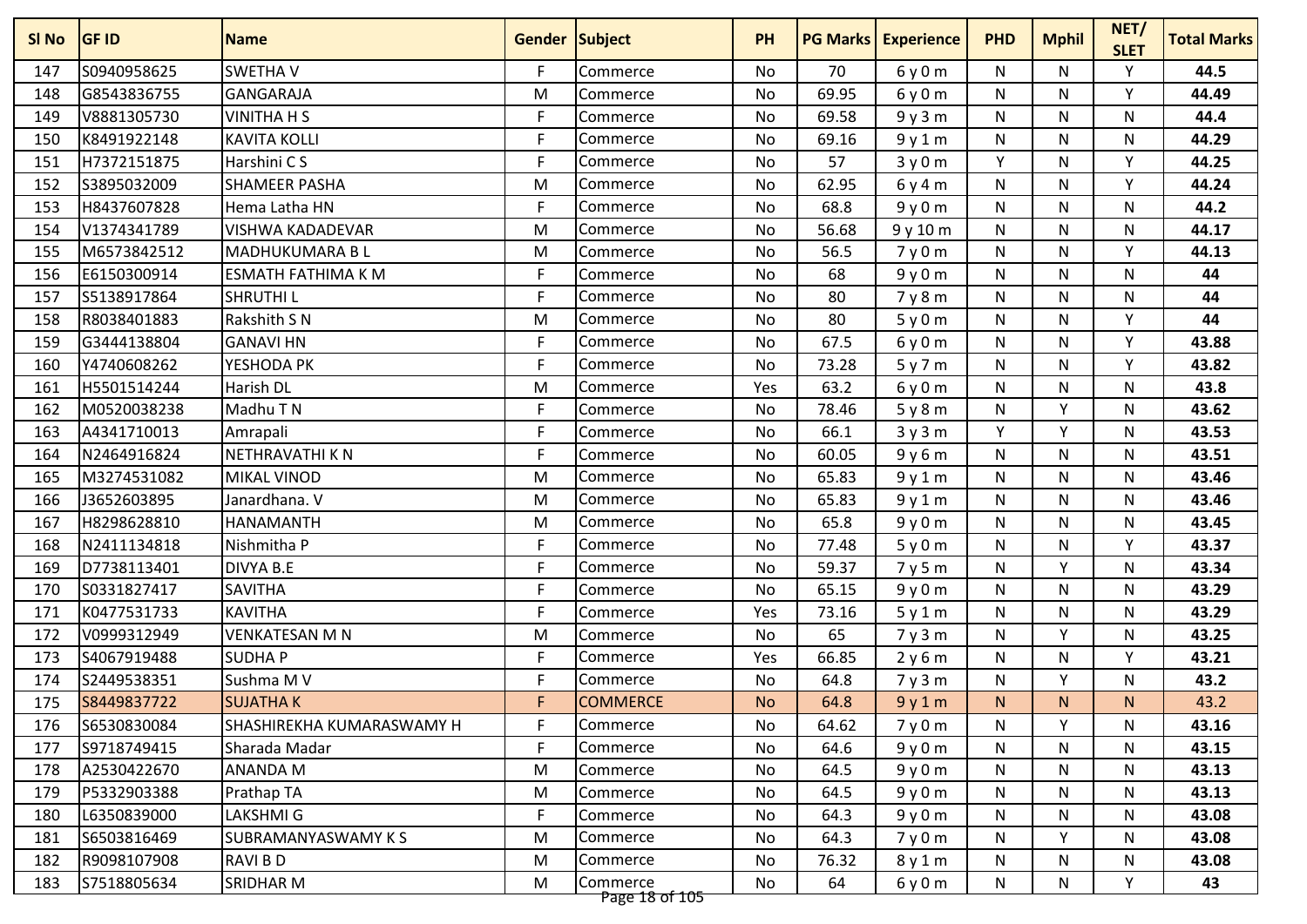| SI No | <b>GF ID</b> | <b>Name</b>               | <b>Gender Subject</b> |                            | <b>PH</b> |       | <b>PG Marks   Experience</b> | <b>PHD</b>   | <b>Mphil</b> | NET/<br><b>SLET</b> | <b>Total Marks</b> |
|-------|--------------|---------------------------|-----------------------|----------------------------|-----------|-------|------------------------------|--------------|--------------|---------------------|--------------------|
| 147   | S0940958625  | <b>SWETHAV</b>            | F                     | Commerce                   | No        | 70    | 6y0m                         | N            | N            | Y                   | 44.5               |
| 148   | G8543836755  | GANGARAJA                 | M                     | Commerce                   | No        | 69.95 | 6y0m                         | N            | N            | Y                   | 44.49              |
| 149   | V8881305730  | <b>VINITHA H S</b>        | F                     | Commerce                   | No        | 69.58 | 9y3m                         | ${\sf N}$    | N            | N                   | 44.4               |
| 150   | K8491922148  | <b>KAVITA KOLLI</b>       | F                     | Commerce                   | No        | 69.16 | 9y1m                         | N            | N            | N                   | 44.29              |
| 151   | H7372151875  | Harshini C S              | F                     | Commerce                   | No        | 57    | 3y0m                         | Y            | N            | Y                   | 44.25              |
| 152   | S3895032009  | <b>SHAMEER PASHA</b>      | M                     | Commerce                   | No        | 62.95 | 6y4m                         | N            | N            | Υ                   | 44.24              |
| 153   | H8437607828  | Hema Latha HN             | F                     | Commerce                   | No        | 68.8  | 9y0m                         | N            | N            | N                   | 44.2               |
| 154   | V1374341789  | <b>VISHWA KADADEVAR</b>   | M                     | Commerce                   | <b>No</b> | 56.68 | 9y10m                        | $\mathsf{N}$ | N            | $\mathsf{N}$        | 44.17              |
| 155   | M6573842512  | MADHUKUMARA B L           | M                     | Commerce                   | No        | 56.5  | 7y0m                         | N            | N            | Y                   | 44.13              |
| 156   | E6150300914  | <b>ESMATH FATHIMA K M</b> | F                     | Commerce                   | No        | 68    | 9y0m                         | N            | N            | N                   | 44                 |
| 157   | S5138917864  | <b>SHRUTHIL</b>           | F                     | Commerce                   | No        | 80    | 7y8m                         | N            | N            | N                   | 44                 |
| 158   | R8038401883  | Rakshith S N              | M                     | Commerce                   | No        | 80    | 5y0m                         | N            | N            | Υ                   | 44                 |
| 159   | G3444138804  | <b>GANAVI HN</b>          | F                     | Commerce                   | No        | 67.5  | 6y0m                         | ${\sf N}$    | N            | Y                   | 43.88              |
| 160   | Y4740608262  | YESHODA PK                | F                     | Commerce                   | No        | 73.28 | 5y7m                         | N            | N            | Y                   | 43.82              |
| 161   | H5501514244  | Harish DL                 | M                     | Commerce                   | Yes       | 63.2  | 6y0m                         | ${\sf N}$    | N            | N                   | 43.8               |
| 162   | M0520038238  | Madhu T N                 | F                     | Commerce                   | No        | 78.46 | 5y8m                         | N            | v            | N                   | 43.62              |
| 163   | A4341710013  | Amrapali                  | F                     | Commerce                   | No        | 66.1  | 3y3m                         | Y            | Y            | N                   | 43.53              |
| 164   | N2464916824  | NETHRAVATHI K N           | F                     | Commerce                   | <b>No</b> | 60.05 | 9y6m                         | N            | N.           | N                   | 43.51              |
| 165   | M3274531082  | MIKAL VINOD               | M                     | Commerce                   | No        | 65.83 | 9y1m                         | N            | N            | N                   | 43.46              |
| 166   | J3652603895  | Janardhana. V             | M                     | Commerce                   | No        | 65.83 | 9y1m                         | N            | N            | N                   | 43.46              |
| 167   | H8298628810  | <b>HANAMANTH</b>          | M                     | Commerce                   | No        | 65.8  | 9y0m                         | N            | N            | N                   | 43.45              |
| 168   | N2411134818  | Nishmitha P               | F                     | Commerce                   | No        | 77.48 | 5y0m                         | ${\sf N}$    | N            | Y                   | 43.37              |
| 169   | D7738113401  | DIVYA B.E                 | F                     | Commerce                   | No        | 59.37 | 7y5m                         | N            | Y            | N                   | 43.34              |
| 170   | S0331827417  | <b>SAVITHA</b>            | F                     | Commerce                   | No        | 65.15 | 9y0m                         | N            | N            | N                   | 43.29              |
| 171   | K0477531733  | <b>KAVITHA</b>            | F                     | Commerce                   | Yes       | 73.16 | 5y1m                         | N            | N.           | N                   | 43.29              |
| 172   | V0999312949  | <b>VENKATESAN M N</b>     | M                     | Commerce                   | No        | 65    | 7y3m                         | N            | ٧            | N                   | 43.25              |
| 173   | S4067919488  | <b>SUDHAP</b>             | F                     | Commerce                   | Yes       | 66.85 | 2y6m                         | $\mathsf{N}$ | N            | Y                   | 43.21              |
| 174   | S2449538351  | Sushma M V                | F                     | Commerce                   | No        | 64.8  | 7y3m                         | N            | ٧            | N                   | 43.2               |
| 175   | S8449837722  | <b>SUJATHAK</b>           | F                     | <b>COMMERCE</b>            | <b>No</b> | 64.8  | 9y1m                         | N.           | N.           | N.                  | 43.2               |
| 176   | S6530830084  | SHASHIREKHA KUMARASWAMY H | F                     | Commerce                   | No        | 64.62 | 7y0m                         | N            | Y            | N                   | 43.16              |
| 177   | S9718749415  | Sharada Madar             | F                     | Commerce                   | No        | 64.6  | 9y0m                         | N            | N            | N                   | 43.15              |
| 178   | A2530422670  | <b>ANANDA M</b>           | M                     | Commerce                   | No        | 64.5  | 9y0m                         | N            | N            | N                   | 43.13              |
| 179   | P5332903388  | Prathap TA                | M                     | Commerce                   | No        | 64.5  | 9y0m                         | N            | N            | N                   | 43.13              |
| 180   | L6350839000  | LAKSHMI G                 | F                     | Commerce                   | No        | 64.3  | 9y0m                         | N            | N            | N                   | 43.08              |
| 181   | S6503816469  | SUBRAMANYASWAMY K S       | M                     | Commerce                   | No        | 64.3  | 7y0m                         | N            | Υ            | N                   | 43.08              |
| 182   | R9098107908  | RAVI B D                  | M                     | Commerce                   | No        | 76.32 | 8y1m                         | N            | N            | N                   | 43.08              |
| 183   | S7518805634  | SRIDHAR M                 | M                     | Commerce<br>Page 18 of 105 | No        | 64    | 6y0m                         | N            | N            | Y                   | 43                 |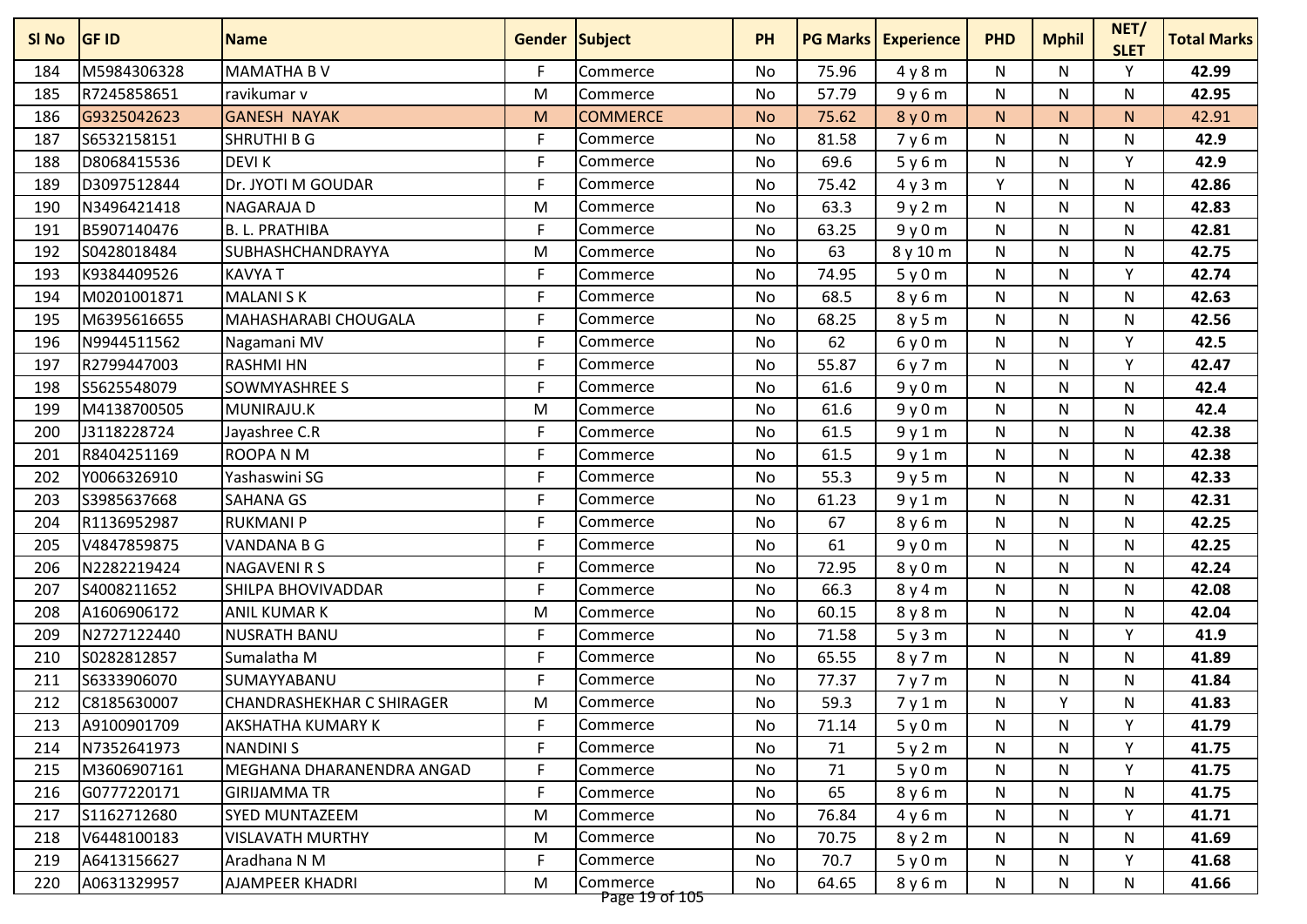| SI No | <b>GF ID</b> | <b>Name</b>                      | <b>Gender Subject</b> |                                   | <b>PH</b> |       | <b>PG Marks   Experience</b> | <b>PHD</b>   | <b>Mphil</b> | NET/<br><b>SLET</b> | <b>Total Marks</b> |
|-------|--------------|----------------------------------|-----------------------|-----------------------------------|-----------|-------|------------------------------|--------------|--------------|---------------------|--------------------|
| 184   | M5984306328  | <b>MAMATHA BV</b>                | F.                    | Commerce                          | No        | 75.96 | 4y8m                         | N            | N            | Y                   | 42.99              |
| 185   | R7245858651  | ravikumar v                      | M                     | Commerce                          | No        | 57.79 | 9y6m                         | ${\sf N}$    | N            | N                   | 42.95              |
| 186   | G9325042623  | <b>GANESH NAYAK</b>              | M                     | <b>COMMERCE</b>                   | <b>No</b> | 75.62 | 8y0m                         | N            | N.           | N.                  | 42.91              |
| 187   | S6532158151  | <b>SHRUTHI B G</b>               | F                     | Commerce                          | No        | 81.58 | 7y6m                         | N            | N.           | N                   | 42.9               |
| 188   | D8068415536  | <b>DEVIK</b>                     | F                     | Commerce                          | No        | 69.6  | 5y6m                         | ${\sf N}$    | N            | Y                   | 42.9               |
| 189   | D3097512844  | Dr. JYOTI M GOUDAR               | F.                    | Commerce                          | No        | 75.42 | 4y3m                         | Υ            | N            | N                   | 42.86              |
| 190   | N3496421418  | <b>NAGARAJA D</b>                | M                     | Commerce                          | No        | 63.3  | 9y2m                         | N            | N            | N                   | 42.83              |
| 191   | B5907140476  | <b>B. L. PRATHIBA</b>            | F                     | Commerce                          | <b>No</b> | 63.25 | 9y0m                         | ${\sf N}$    | N            | ${\sf N}$           | 42.81              |
| 192   | S0428018484  | SUBHASHCHANDRAYYA                | M                     | Commerce                          | No        | 63    | 8 y 10 m                     | ${\sf N}$    | N            | N                   | 42.75              |
| 193   | K9384409526  | <b>KAVYAT</b>                    | F                     | Commerce                          | No        | 74.95 | 5y0m                         | ${\sf N}$    | N            | Y                   | 42.74              |
| 194   | M0201001871  | <b>MALANISK</b>                  | F.                    | Commerce                          | No        | 68.5  | 8y6m                         | N            | N            | N                   | 42.63              |
| 195   | M6395616655  | MAHASHARABI CHOUGALA             | F                     | Commerce                          | No        | 68.25 | 8y5m                         | N            | N            | N                   | 42.56              |
| 196   | N9944511562  | Nagamani MV                      | F.                    | Commerce                          | No        | 62    | 6y0m                         | N            | N            | Y                   | 42.5               |
| 197   | R2799447003  | <b>RASHMI HN</b>                 | F                     | Commerce                          | No        | 55.87 | 6y7m                         | N            | N            | Y                   | 42.47              |
| 198   | S5625548079  | SOWMYASHREE S                    | F                     | Commerce                          | No        | 61.6  | 9y0m                         | ${\sf N}$    | N            | N                   | 42.4               |
| 199   | M4138700505  | MUNIRAJU.K                       | M                     | Commerce                          | No        | 61.6  | 9y0m                         | ${\sf N}$    | N            | N                   | 42.4               |
| 200   | J3118228724  | Jayashree C.R                    | F                     | Commerce                          | No        | 61.5  | 9y1m                         | N            | N            | N                   | 42.38              |
| 201   | R8404251169  | <b>ROOPANM</b>                   | F                     | Commerce                          | No        | 61.5  | 9y1m                         | N            | N            | N                   | 42.38              |
| 202   | Y0066326910  | Yashaswini SG                    | F                     | Commerce                          | No        | 55.3  | 9y5m                         | N            | N            | N                   | 42.33              |
| 203   | S3985637668  | <b>SAHANA GS</b>                 | F.                    | Commerce                          | No        | 61.23 | 9y1m                         | $\mathsf{N}$ | N            | N                   | 42.31              |
| 204   | R1136952987  | <b>RUKMANI P</b>                 | F                     | Commerce                          | No        | 67    | 8y6m                         | ${\sf N}$    | N            | N                   | 42.25              |
| 205   | V4847859875  | <b>VANDANA B G</b>               | F                     | Commerce                          | No        | 61    | 9y0m                         | ${\sf N}$    | N            | N                   | 42.25              |
| 206   | N2282219424  | <b>NAGAVENIRS</b>                | F.                    | Commerce                          | No        | 72.95 | 8y0m                         | N            | N.           | N                   | 42.24              |
| 207   | S4008211652  | SHILPA BHOVIVADDAR               | F                     | Commerce                          | No        | 66.3  | 8y4m                         | ${\sf N}$    | N            | N                   | 42.08              |
| 208   | A1606906172  | <b>ANIL KUMAR K</b>              | M                     | Commerce                          | No        | 60.15 | 8y8m                         | $\mathsf{N}$ | N            | N                   | 42.04              |
| 209   | N2727122440  | <b>NUSRATH BANU</b>              | F                     | Commerce                          | No        | 71.58 | 5y3m                         | N            | N            | Υ                   | 41.9               |
| 210   | S0282812857  | Sumalatha M                      | F                     | Commerce                          | No        | 65.55 | 8 y 7 m                      | ${\sf N}$    | N            | ${\sf N}$           | 41.89              |
| 211   | S6333906070  | SUMAYYABANU                      | F                     | Commerce                          | No        | 77.37 | 7y7m                         | N            | N            | N                   | 41.84              |
| 212   | C8185630007  | <b>CHANDRASHEKHAR C SHIRAGER</b> | M                     | <b>Commerce</b>                   | No        | 59.3  | 7y1m                         | N            | Υ            | N                   | 41.83              |
| 213   | A9100901709  | <b>AKSHATHA KUMARY K</b>         | F                     | Commerce                          | No        | 71.14 | 5y0m                         | N            | N            | Y                   | 41.79              |
| 214   | N7352641973  | <b>NANDINI S</b>                 | F                     | Commerce                          | No        | 71    | 5y2m                         | N            | N.           | Υ                   | 41.75              |
| 215   | M3606907161  | MEGHANA DHARANENDRA ANGAD        | F.                    | Commerce                          | No        | 71    | 5y0m                         | N            | N            | Υ                   | 41.75              |
| 216   | G0777220171  | <b>GIRIJAMMA TR</b>              | F                     | Commerce                          | No        | 65    | 8y6m                         | N            | N            | N                   | 41.75              |
| 217   | S1162712680  | SYED MUNTAZEEM                   | M                     | Commerce                          | No        | 76.84 | 4y6m                         | N            | N            | Y                   | 41.71              |
| 218   | V6448100183  | <b>VISLAVATH MURTHY</b>          | M                     | Commerce                          | No        | 70.75 | 8y2m                         | N            | N            | N                   | 41.69              |
| 219   | A6413156627  | Aradhana N M                     | F                     | Commerce                          | No        | 70.7  | 5y0m                         | N            | N            | Y                   | 41.68              |
| 220   | A0631329957  | <b>AJAMPEER KHADRI</b>           | M                     | <b>Commerce</b><br>Page 19 of 105 | No        | 64.65 | 8 y 6 m                      | N            | N            | N                   | 41.66              |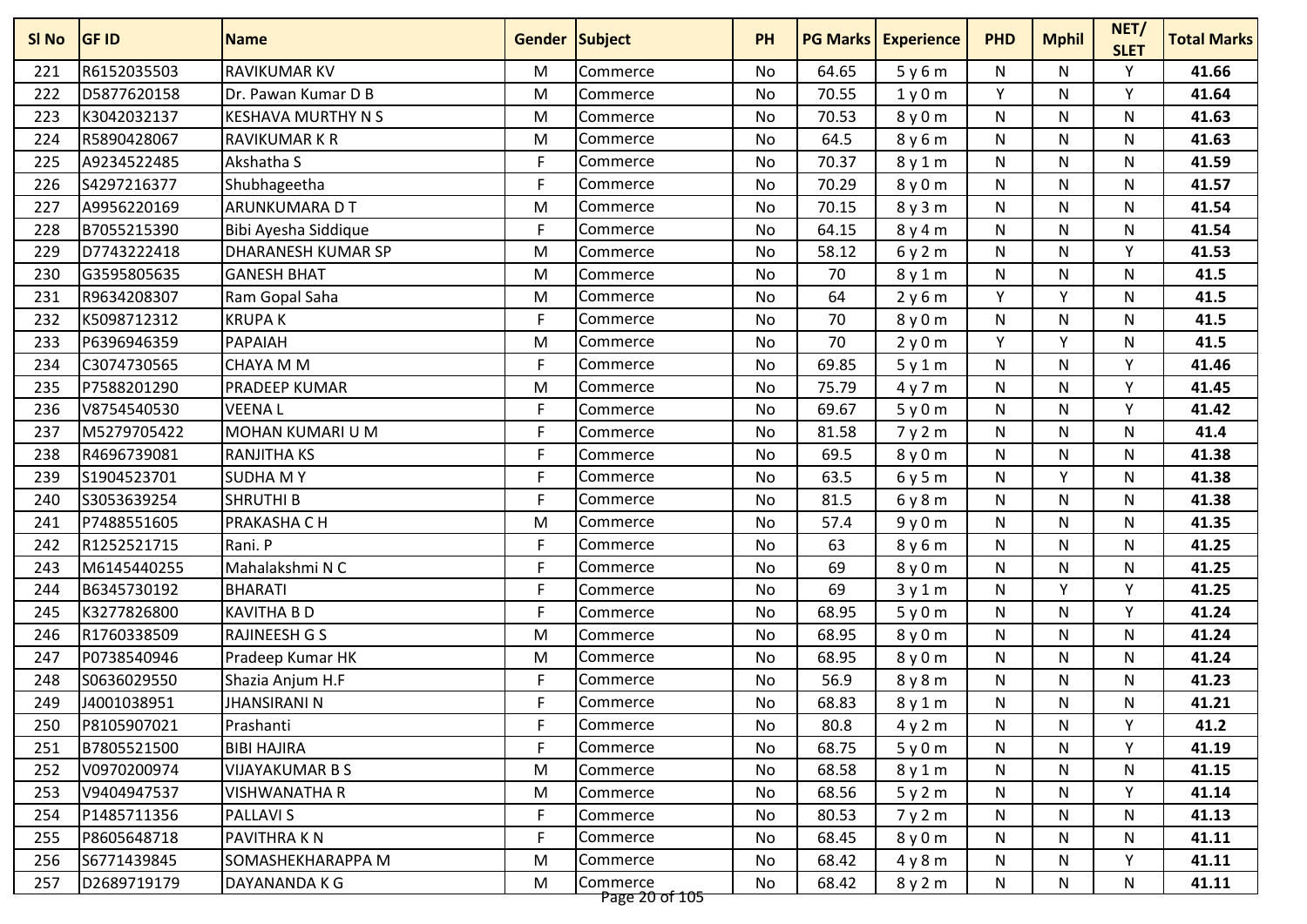| SI No | <b>GF ID</b> | <b>Name</b>               | <b>Gender Subject</b> |                            | <b>PH</b> | <b>PG Marks</b> | <b>Experience</b> | <b>PHD</b> | <b>Mphil</b> | NET/<br><b>SLET</b> | <b>Total Marks</b> |
|-------|--------------|---------------------------|-----------------------|----------------------------|-----------|-----------------|-------------------|------------|--------------|---------------------|--------------------|
| 221   | R6152035503  | <b>RAVIKUMAR KV</b>       | M                     | Commerce                   | No        | 64.65           | 5y6m              | N          | N            | Υ                   | 41.66              |
| 222   | D5877620158  | Dr. Pawan Kumar D B       | M                     | Commerce                   | No        | 70.55           | 1y0m              | Y          | N            | Y                   | 41.64              |
| 223   | K3042032137  | <b>KESHAVA MURTHY N S</b> | M                     | Commerce                   | <b>No</b> | 70.53           | 8y0m              | N          | N            | Ν                   | 41.63              |
| 224   | R5890428067  | <b>RAVIKUMAR K R</b>      | M                     | Commerce                   | <b>No</b> | 64.5            | 8 y 6 m           | N          | N            | Ν                   | 41.63              |
| 225   | A9234522485  | Akshatha S                | F                     | Commerce                   | No        | 70.37           | 8y1m              | N          | N            | N                   | 41.59              |
| 226   | S4297216377  | Shubhageetha              | F                     | Commerce                   | No        | 70.29           | 8y0m              | N          | N            | Ν                   | 41.57              |
| 227   | A9956220169  | ARUNKUMARA D T            | M                     | Commerce                   | No        | 70.15           | 8y3m              | N          | N            | Ν                   | 41.54              |
| 228   | B7055215390  | Bibi Ayesha Siddique      | F                     | Commerce                   | No        | 64.15           | 8y4m              | N          | N            | N                   | 41.54              |
| 229   | D7743222418  | DHARANESH KUMAR SP        | M                     | Commerce                   | No        | 58.12           | 6y2m              | N          | N            | Υ                   | 41.53              |
| 230   | G3595805635  | <b>GANESH BHAT</b>        | M                     | Commerce                   | No        | 70              | 8y1m              | N          | N            | N                   | 41.5               |
| 231   | R9634208307  | Ram Gopal Saha            | M                     | Commerce                   | No        | 64              | 2y6m              | Y          | Y            | N                   | 41.5               |
| 232   | K5098712312  | <b>KRUPAK</b>             | F                     | Commerce                   | No        | 70              | 8y0m              | N          | N            | N                   | 41.5               |
| 233   | P6396946359  | PAPAIAH                   | M                     | Commerce                   | No        | 70              | 2y0m              | Y          | v            | Ν                   | 41.5               |
| 234   | C3074730565  | <b>CHAYA M M</b>          | F                     | Commerce                   | No        | 69.85           | 5y1m              | N          | N            | Y                   | 41.46              |
| 235   | P7588201290  | PRADEEP KUMAR             | M                     | Commerce                   | <b>No</b> | 75.79           | 4y7m              | N          | N            | Y                   | 41.45              |
| 236   | V8754540530  | <b>VEENAL</b>             | F                     | Commerce                   | No        | 69.67           | 5y0m              | N          | N            | Υ                   | 41.42              |
| 237   | M5279705422  | MOHAN KUMARI U M          | F                     | Commerce                   | No        | 81.58           | 7y2m              | N          | N            | N                   | 41.4               |
| 238   | R4696739081  | <b>RANJITHA KS</b>        | F                     | Commerce                   | No        | 69.5            | 8y0m              | N          | N            | N                   | 41.38              |
| 239   | S1904523701  | <b>SUDHAMY</b>            | F                     | Commerce                   | No        | 63.5            | 6y5m              | N          | Y            | Ν                   | 41.38              |
| 240   | S3053639254  | <b>SHRUTHI B</b>          | F                     | Commerce                   | No        | 81.5            | 6y8m              | N          | N            | N                   | 41.38              |
| 241   | P7488551605  | PRAKASHA C H              | M                     | Commerce                   | No        | 57.4            | 9y0m              | N          | N            | N                   | 41.35              |
| 242   | R1252521715  | Rani. P                   | F                     | Commerce                   | No        | 63              | 8y6m              | N          | N            | Ν                   | 41.25              |
| 243   | M6145440255  | Mahalakshmi N C           | F                     | Commerce                   | No        | 69              | 8 y 0 m           | N          | N            | Ν                   | 41.25              |
| 244   | B6345730192  | <b>BHARATI</b>            | F                     | Commerce                   | No        | 69              | 3y1m              | N          | Y            | Y                   | 41.25              |
| 245   | K3277826800  | <b>KAVITHA B D</b>        | F                     | Commerce                   | No        | 68.95           | 5y0m              | N          | N            | Υ                   | 41.24              |
| 246   | R1760338509  | <b>RAJINEESH G S</b>      | M                     | Commerce                   | No        | 68.95           | 8y0m              | N          | N            | Ν                   | 41.24              |
| 247   | P0738540946  | Pradeep Kumar HK          | M                     | Commerce                   | No        | 68.95           | 8y0m              | N          | N            | N                   | 41.24              |
| 248   | S0636029550  | Shazia Anjum H.F          | F                     | Commerce                   | No        | 56.9            | 8y8m              | N          | N            | N                   | 41.23              |
| 249   | J4001038951  | <b>JHANSIRANI N</b>       | F                     | Commerce                   | No        | 68.83           | 8y1m              | N          | N            | Ν                   | 41.21              |
| 250   | P8105907021  | Prashanti                 | F                     | Commerce                   | No        | 80.8            | 4y2m              | N          | N            | Y                   | 41.2               |
| 251   | B7805521500  | <b>BIBI HAJIRA</b>        | F                     | Commerce                   | No        | 68.75           | 5y0m              | N          | N            | Y                   | 41.19              |
| 252   | V0970200974  | <b>VIJAYAKUMAR B S</b>    | M                     | Commerce                   | No        | 68.58           | 8y1m              | N          | N            | N                   | 41.15              |
| 253   | V9404947537  | <b>VISHWANATHA R</b>      | M                     | Commerce                   | No        | 68.56           | 5y2m              | N          | N            | Υ                   | 41.14              |
| 254   | P1485711356  | <b>PALLAVI S</b>          | F                     | Commerce                   | No        | 80.53           | 7y2m              | N          | N            | N                   | 41.13              |
| 255   | P8605648718  | PAVITHRA K N              | F                     | Commerce                   | No        | 68.45           | 8y0m              | N          | N            | N                   | 41.11              |
| 256   | S6771439845  | SOMASHEKHARAPPA M         | M                     | Commerce                   | No        | 68.42           | 4y8m              | N          | N            | Y                   | 41.11              |
| 257   | D2689719179  | DAYANANDA K G             | М                     | Commerce<br>Page 20 of 105 | No        | 68.42           | 8y2m              | N          | N            | N                   | 41.11              |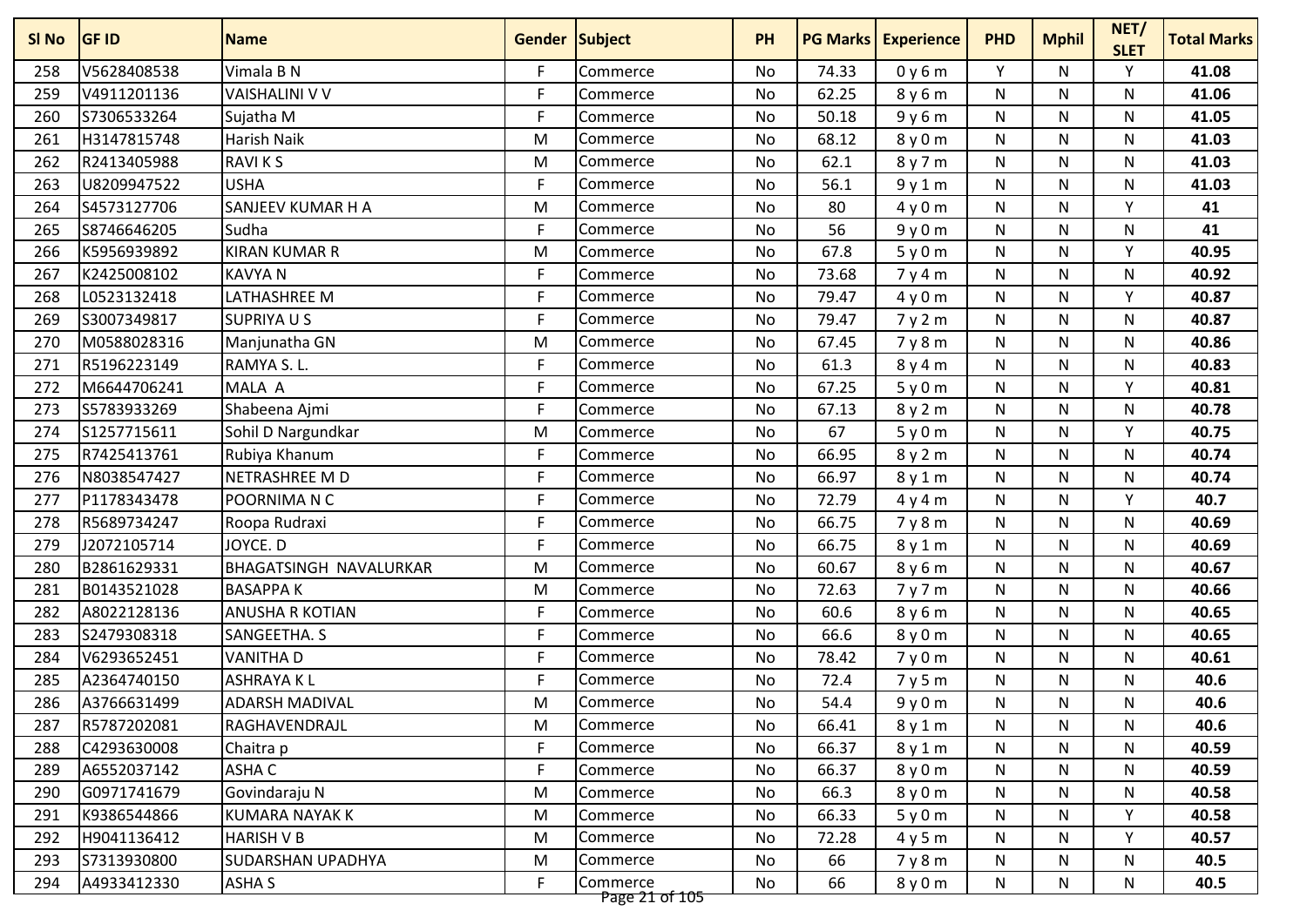| SI No | <b>GF ID</b> | <b>Name</b>            | <b>Gender Subject</b> |                            | <b>PH</b> |       | <b>PG Marks   Experience</b> | <b>PHD</b>   | <b>Mphil</b> | NET/<br><b>SLET</b> | <b>Total Marks</b> |
|-------|--------------|------------------------|-----------------------|----------------------------|-----------|-------|------------------------------|--------------|--------------|---------------------|--------------------|
| 258   | V5628408538  | Vimala B N             | F                     | Commerce                   | <b>No</b> | 74.33 | 0y6m                         | Y            | N            | Y                   | 41.08              |
| 259   | V4911201136  | <b>VAISHALINI V V</b>  | F                     | Commerce                   | No        | 62.25 | 8y6m                         | N            | N            | N                   | 41.06              |
| 260   | S7306533264  | Sujatha M              | F                     | Commerce                   | No        | 50.18 | 9y6m                         | ${\sf N}$    | N            | N                   | 41.05              |
| 261   | H3147815748  | Harish Naik            | M                     | Commerce                   | No        | 68.12 | 8y0m                         | N            | N.           | N                   | 41.03              |
| 262   | R2413405988  | <b>RAVIKS</b>          | M                     | Commerce                   | No        | 62.1  | 8y7m                         | N            | N            | N                   | 41.03              |
| 263   | U8209947522  | <b>USHA</b>            | F                     | Commerce                   | No        | 56.1  | 9y1m                         | N            | N            | N                   | 41.03              |
| 264   | S4573127706  | SANJEEV KUMAR H A      | M                     | Commerce                   | No        | 80    | 4y0m                         | N            | N            | Y                   | 41                 |
| 265   | S8746646205  | Sudha                  | F                     | Commerce                   | <b>No</b> | 56    | 9y0m                         | ${\sf N}$    | N            | N                   | 41                 |
| 266   | K5956939892  | <b>KIRAN KUMAR R</b>   | M                     | Commerce                   | No        | 67.8  | 5y0m                         | N            | N            | Υ                   | 40.95              |
| 267   | K2425008102  | <b>KAVYAN</b>          | F                     | Commerce                   | No        | 73.68 | 7y4m                         | N            | N            | N                   | 40.92              |
| 268   | L0523132418  | LATHASHREE M           | F                     | Commerce                   | No        | 79.47 | 4y0m                         | N            | N.           | Y                   | 40.87              |
| 269   | S3007349817  | SUPRIYA U S            | F                     | Commerce                   | No        | 79.47 | 7y2m                         | N            | N            | N                   | 40.87              |
| 270   | M0588028316  | Manjunatha GN          | M                     | Commerce                   | No        | 67.45 | 7y8m                         | N            | N            | N                   | 40.86              |
| 271   | R5196223149  | RAMYA S. L.            | F                     | Commerce                   | No        | 61.3  | 8y4m                         | N            | N            | N                   | 40.83              |
| 272   | M6644706241  | MALA A                 | F                     | Commerce                   | No        | 67.25 | 5y0m                         | ${\sf N}$    | N            | Y                   | 40.81              |
| 273   | S5783933269  | Shabeena Ajmi          | F                     | Commerce                   | No        | 67.13 | 8y2m                         | N            | N            | N                   | 40.78              |
| 274   | S1257715611  | Sohil D Nargundkar     | M                     | Commerce                   | No        | 67    | 5y0m                         | N            | N            | Y                   | 40.75              |
| 275   | R7425413761  | Rubiya Khanum          | F                     | Commerce                   | No        | 66.95 | 8y2m                         | ${\sf N}$    | N            | N                   | 40.74              |
| 276   | N8038547427  | NETRASHREE M D         | F                     | Commerce                   | No        | 66.97 | 8y1m                         | N            | N            | N                   | 40.74              |
| 277   | P1178343478  | POORNIMA N C           | F                     | Commerce                   | <b>No</b> | 72.79 | 4y4m                         | $\mathsf{N}$ | N            | Y                   | 40.7               |
| 278   | R5689734247  | Roopa Rudraxi          | F                     | Commerce                   | No        | 66.75 | 7y8m                         | ${\sf N}$    | N            | N                   | 40.69              |
| 279   | J2072105714  | JOYCE. D               | F                     | Commerce                   | No        | 66.75 | 8y1m                         | N            | N            | N                   | 40.69              |
| 280   | B2861629331  | BHAGATSINGH NAVALURKAR | M                     | Commerce                   | No        | 60.67 | 8y6m                         | N            | N.           | N                   | 40.67              |
| 281   | B0143521028  | <b>BASAPPAK</b>        | M                     | Commerce                   | No        | 72.63 | 7y7m                         | ${\sf N}$    | N            | N                   | 40.66              |
| 282   | A8022128136  | ANUSHA R KOTIAN        | F                     | Commerce                   | No        | 60.6  | 8y6m                         | $\mathsf{N}$ | N            | N                   | 40.65              |
| 283   | S2479308318  | SANGEETHA. S           | F                     | Commerce                   | No        | 66.6  | 8y0m                         | N            | N            | N                   | 40.65              |
| 284   | V6293652451  | <b>VANITHA D</b>       | F                     | Commerce                   | <b>No</b> | 78.42 | 7y0m                         | ${\sf N}$    | N            | ${\sf N}$           | 40.61              |
| 285   | A2364740150  | <b>ASHRAYAKL</b>       | F                     | Commerce                   | No        | 72.4  | 7y5m                         | N            | N            | N                   | 40.6               |
| 286   | A3766631499  | <b>ADARSH MADIVAL</b>  | M                     | Commerce                   | No        | 54.4  | 9y0m                         | N            | N            | N                   | 40.6               |
| 287   | R5787202081  | RAGHAVENDRAJL          | M                     | Commerce                   | No        | 66.41 | 8y1m                         | N            | N            | N                   | 40.6               |
| 288   | C4293630008  | Chaitra p              | F                     | Commerce                   | No        | 66.37 | 8y1m                         | N            | N            | N                   | 40.59              |
| 289   | A6552037142  | ASHA C                 | F                     | Commerce                   | No        | 66.37 | 8y0m                         | N            | N            | N                   | 40.59              |
| 290   | G0971741679  | Govindaraju N          | M                     | Commerce                   | No        | 66.3  | 8 y 0 m                      | N            | N            | N                   | 40.58              |
| 291   | K9386544866  | <b>KUMARA NAYAK K</b>  | M                     | Commerce                   | No        | 66.33 | 5y0m                         | N            | N            | Y                   | 40.58              |
| 292   | H9041136412  | <b>HARISH V B</b>      | M                     | Commerce                   | No        | 72.28 | 4y5m                         | N            | N            | Y                   | 40.57              |
| 293   | S7313930800  | SUDARSHAN UPADHYA      | M                     | Commerce                   | No        | 66    | 7y8m                         | N            | N            | N                   | 40.5               |
| 294   | A4933412330  | <b>ASHA S</b>          | F                     | Commerce<br>Page 21 of 105 | No        | 66    | 8y0m                         | N            | N            | N                   | 40.5               |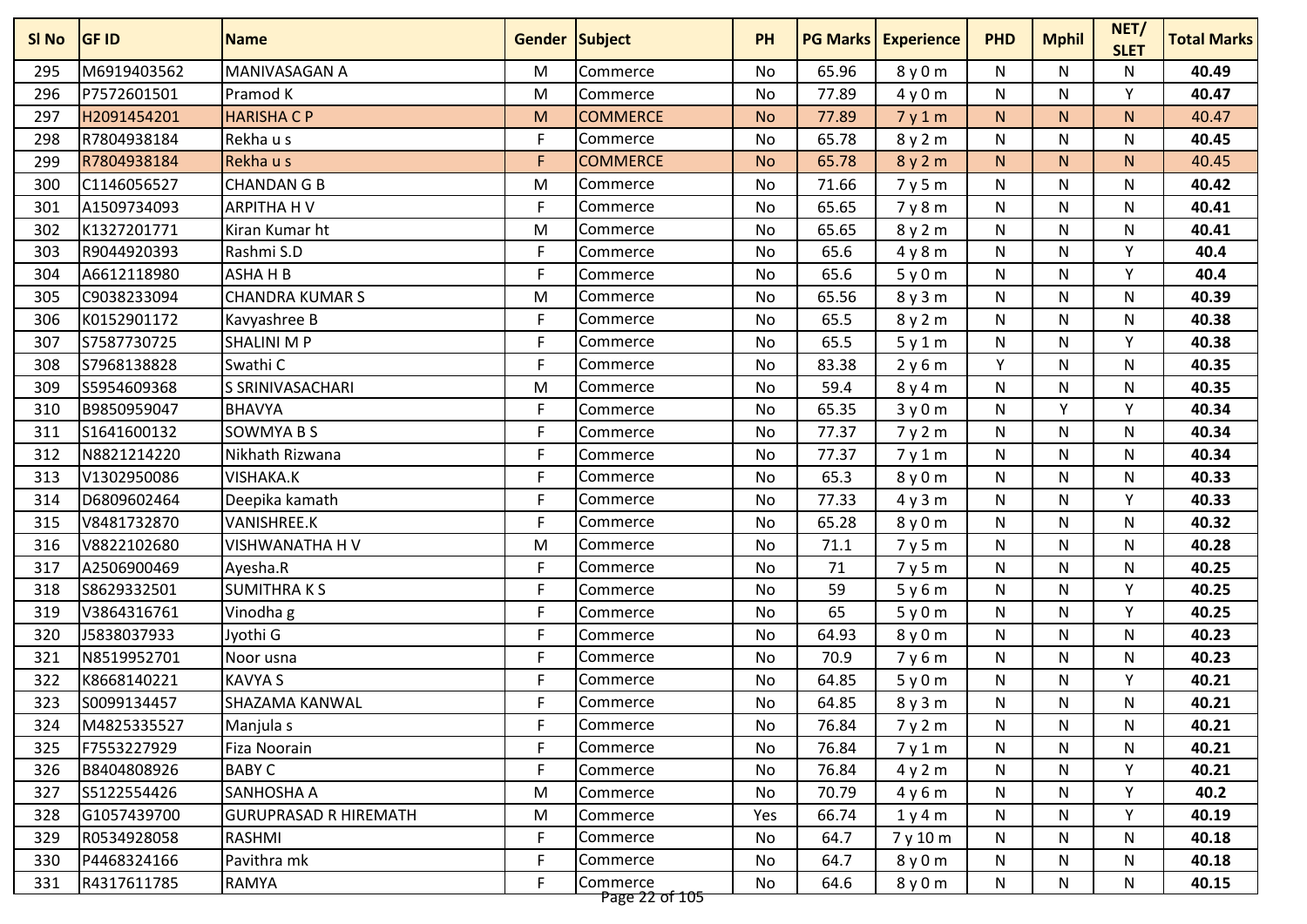| SI No | <b>GF ID</b> | <b>Name</b>                  | <b>Gender Subject</b> |                            | <b>PH</b> |       | <b>PG Marks   Experience</b> | <b>PHD</b> | <b>Mphil</b> | NET/<br><b>SLET</b> | <b>Total Marks</b> |
|-------|--------------|------------------------------|-----------------------|----------------------------|-----------|-------|------------------------------|------------|--------------|---------------------|--------------------|
| 295   | M6919403562  | MANIVASAGAN A                | M                     | Commerce                   | <b>No</b> | 65.96 | 8y0m                         | N          | N            | N                   | 40.49              |
| 296   | P7572601501  | Pramod K                     | M                     | Commerce                   | No        | 77.89 | 4y0m                         | N          | N            | Υ                   | 40.47              |
| 297   | H2091454201  | <b>HARISHA C P</b>           | M                     | <b>COMMERCE</b>            | <b>No</b> | 77.89 | 7y1m                         | N.         | N            | N                   | 40.47              |
| 298   | R7804938184  | Rekha u s                    | F                     | Commerce                   | <b>No</b> | 65.78 | 8y2m                         | N          | N            | N                   | 40.45              |
| 299   | R7804938184  | Rekha u s                    | F                     | <b>COMMERCE</b>            | <b>No</b> | 65.78 | 8y2m                         | N.         | N.           | N.                  | 40.45              |
| 300   | C1146056527  | <b>CHANDAN G B</b>           | M                     | Commerce                   | No        | 71.66 | 7y5m                         | N          | N            | N                   | 40.42              |
| 301   | A1509734093  | <b>ARPITHA HV</b>            | F                     | Commerce                   | No        | 65.65 | 7y8m                         | N          | N            | N                   | 40.41              |
| 302   | K1327201771  | Kiran Kumar ht               | M                     | Commerce                   | <b>No</b> | 65.65 | 8y2m                         | N          | N            | N                   | 40.41              |
| 303   | R9044920393  | Rashmi S.D                   | F                     | Commerce                   | No        | 65.6  | 4y8m                         | N          | N            | Υ                   | 40.4               |
| 304   | A6612118980  | ASHAHB                       | F                     | Commerce                   | No        | 65.6  | 5y0m                         | N          | N            | Y                   | 40.4               |
| 305   | C9038233094  | <b>CHANDRA KUMAR S</b>       | M                     | Commerce                   | No        | 65.56 | 8y3m                         | N          | N            | N                   | 40.39              |
| 306   | K0152901172  | Kavyashree B                 | F                     | Commerce                   | No        | 65.5  | 8y2m                         | N          | N            | N                   | 40.38              |
| 307   | S7587730725  | <b>SHALINI M P</b>           | F                     | Commerce                   | No        | 65.5  | 5y1m                         | N          | N            | Y                   | 40.38              |
| 308   | S7968138828  | Swathi C                     | F                     | Commerce                   | No        | 83.38 | 2y6m                         | Y          | N            | N                   | 40.35              |
| 309   | S5954609368  | S SRINIVASACHARI             | M                     | Commerce                   | No        | 59.4  | 8y4m                         | N          | N            | N                   | 40.35              |
| 310   | B9850959047  | <b>BHAVYA</b>                | F                     | Commerce                   | No        | 65.35 | 3y0m                         | N          | Y            | Υ                   | 40.34              |
| 311   | S1641600132  | <b>SOWMYA B S</b>            | F                     | Commerce                   | No        | 77.37 | 7y2m                         | N          | N            | N                   | 40.34              |
| 312   | N8821214220  | Nikhath Rizwana              | F                     | Commerce                   | No        | 77.37 | 7y1m                         | N          | N            | N                   | 40.34              |
| 313   | V1302950086  | VISHAKA.K                    | F                     | Commerce                   | No        | 65.3  | 8y0m                         | N          | N            | N                   | 40.33              |
| 314   | D6809602464  | Deepika kamath               | F                     | Commerce                   | <b>No</b> | 77.33 | 4y3m                         | N          | N            | Υ                   | 40.33              |
| 315   | V8481732870  | VANISHREE.K                  | F                     | Commerce                   | No        | 65.28 | 8y0m                         | N          | N            | N                   | 40.32              |
| 316   | V8822102680  | VISHWANATHA H V              | M                     | Commerce                   | No        | 71.1  | 7y5m                         | N          | N            | N                   | 40.28              |
| 317   | A2506900469  | Ayesha.R                     | F                     | Commerce                   | No        | 71    | 7y5m                         | N          | N            | N                   | 40.25              |
| 318   | S8629332501  | <b>SUMITHRAKS</b>            | F                     | Commerce                   | No        | 59    | 5y6m                         | N          | N            | Υ                   | 40.25              |
| 319   | V3864316761  | Vinodha g                    | F                     | Commerce                   | No        | 65    | 5y0m                         | N          | N            | Y                   | 40.25              |
| 320   | J5838037933  | Jyothi G                     | F                     | Commerce                   | No        | 64.93 | 8y0m                         | N          | N            | N                   | 40.23              |
| 321   | N8519952701  | Noor usna                    | F                     | Commerce                   | <b>No</b> | 70.9  | 7y6m                         | N          | N            | N                   | 40.23              |
| 322   | K8668140221  | <b>KAVYA S</b>               | F                     | Commerce                   | No        | 64.85 | 5y0m                         | N          | N            | Υ                   | 40.21              |
| 323   | S0099134457  | SHAZAMA KANWAL               | F                     | Commerce                   | No        | 64.85 | 8y3m                         | N          | N            | N                   | 40.21              |
| 324   | M4825335527  | Manjula s                    | F                     | Commerce                   | No        | 76.84 | 7y2m                         | N          | N            | N                   | 40.21              |
| 325   | F7553227929  | Fiza Noorain                 | F                     | Commerce                   | No        | 76.84 | 7y1m                         | N          | N            | N                   | 40.21              |
| 326   | B8404808926  | <b>BABY C</b>                | F                     | Commerce                   | No        | 76.84 | 4y2m                         | N          | N            | Υ                   | 40.21              |
| 327   | S5122554426  | SANHOSHA A                   | M                     | Commerce                   | No        | 70.79 | 4y6m                         | N          | N            | Y                   | 40.2               |
| 328   | G1057439700  | <b>GURUPRASAD R HIREMATH</b> | M                     | Commerce                   | Yes       | 66.74 | 1y4m                         | N          | N            | Y                   | 40.19              |
| 329   | R0534928058  | RASHMI                       | F                     | Commerce                   | No        | 64.7  | 7 y 10 m                     | N          | N            | N                   | 40.18              |
| 330   | P4468324166  | Pavithra mk                  | F                     | Commerce                   | No        | 64.7  | 8y0m                         | N          | N            | N                   | 40.18              |
| 331   | R4317611785  | <b>RAMYA</b>                 | F                     | Commerce<br>Page 22 of 105 | No        | 64.6  | 8y0m                         | N          | N            | N                   | 40.15              |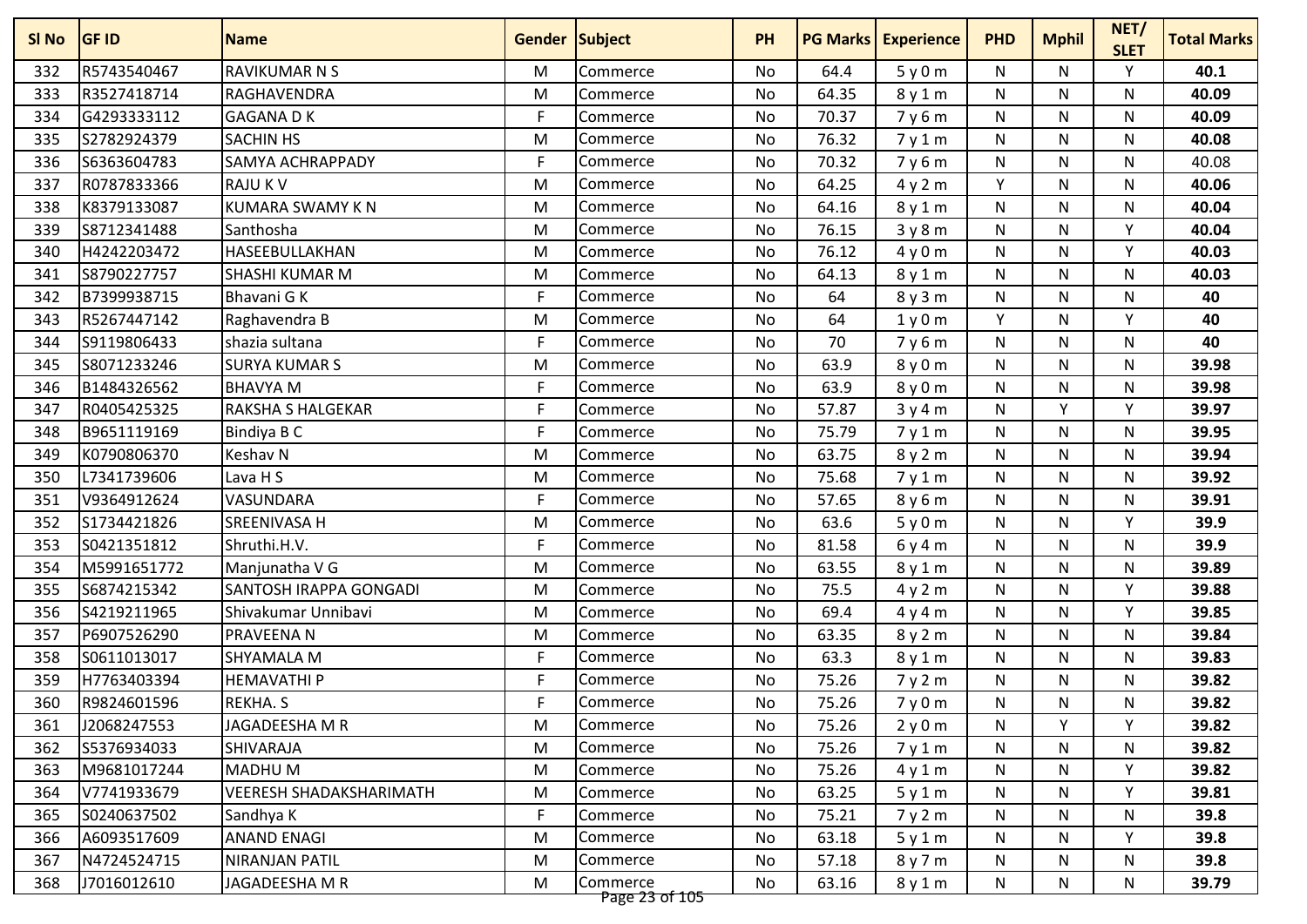| SI No | <b>GF ID</b> | <b>Name</b>                    | <b>Gender Subject</b> |                            | <b>PH</b> | <b>PG Marks</b> | <b>Experience</b> | <b>PHD</b> | <b>Mphil</b> | NET/<br><b>SLET</b> | <b>Total Marks</b> |
|-------|--------------|--------------------------------|-----------------------|----------------------------|-----------|-----------------|-------------------|------------|--------------|---------------------|--------------------|
| 332   | R5743540467  | <b>RAVIKUMAR N S</b>           | M                     | Commerce                   | No        | 64.4            | 5y0m              | N          | N            | Υ                   | 40.1               |
| 333   | R3527418714  | RAGHAVENDRA                    | M                     | Commerce                   | <b>No</b> | 64.35           | 8y1m              | N          | N            | N                   | 40.09              |
| 334   | G4293333112  | <b>GAGANADK</b>                | F                     | Commerce                   | <b>No</b> | 70.37           | 7y6m              | N          | N            | N                   | 40.09              |
| 335   | S2782924379  | <b>SACHIN HS</b>               | M                     | Commerce                   | No        | 76.32           | 7y1m              | N          | N            | N                   | 40.08              |
| 336   | S6363604783  | SAMYA ACHRAPPADY               | F                     | Commerce                   | No        | 70.32           | 7y6m              | N          | N            | N                   | 40.08              |
| 337   | R0787833366  | <b>RAJU K V</b>                | M                     | Commerce                   | No        | 64.25           | 4y2m              | Y          | N.           | N                   | 40.06              |
| 338   | K8379133087  | <b>KUMARA SWAMY KN</b>         | M                     | Commerce                   | No        | 64.16           | 8y1m              | N          | N            | N                   | 40.04              |
| 339   | S8712341488  | Santhosha                      | M                     | Commerce                   | No        | 76.15           | 3y8m              | N          | N            | Y                   | 40.04              |
| 340   | H4242203472  | HASEEBULLAKHAN                 | M                     | Commerce                   | <b>No</b> | 76.12           | 4y0m              | N          | N            | Y                   | 40.03              |
| 341   | S8790227757  | SHASHI KUMAR M                 | M                     | Commerce                   | <b>No</b> | 64.13           | 8y1m              | N          | N            | N                   | 40.03              |
| 342   | B7399938715  | Bhavani G K                    | F                     | Commerce                   | No        | 64              | 8y3m              | N          | N.           | N                   | 40                 |
| 343   | R5267447142  | Raghavendra B                  | M                     | Commerce                   | No        | 64              | 1y0m              | Y          | N            | Y                   | 40                 |
| 344   | S9119806433  | shazia sultana                 | F                     | Commerce                   | No        | 70              | 7y6m              | N          | N.           | N                   | 40                 |
| 345   | S8071233246  | <b>SURYA KUMAR S</b>           | M                     | Commerce                   | No        | 63.9            | 8y0m              | N          | N            | N                   | 39.98              |
| 346   | B1484326562  | <b>BHAVYA M</b>                | F                     | Commerce                   | <b>No</b> | 63.9            | 8y0m              | N          | N            | N                   | 39.98              |
| 347   | R0405425325  | RAKSHA S HALGEKAR              | F                     | Commerce                   | No        | 57.87           | 3y4m              | N          | ٧            | Υ                   | 39.97              |
| 348   | B9651119169  | Bindiya B C                    | F                     | Commerce                   | No        | 75.79           | 7y1m              | N          | N            | N                   | 39.95              |
| 349   | K0790806370  | Keshav N                       | M                     | Commerce                   | <b>No</b> | 63.75           | 8y2m              | N          | N            | N                   | 39.94              |
| 350   | L7341739606  | Lava H S                       | M                     | Commerce                   | No        | 75.68           | 7y1m              | N          | N            | N                   | 39.92              |
| 351   | V9364912624  | VASUNDARA                      | F                     | Commerce                   | No        | 57.65           | 8y6m              | N          | N            | N                   | 39.91              |
| 352   | S1734421826  | SREENIVASA H                   | M                     | Commerce                   | No        | 63.6            | 5y0m              | N          | N            | Y                   | 39.9               |
| 353   | S0421351812  | Shruthi.H.V.                   | F                     | Commerce                   | <b>No</b> | 81.58           | 6y4m              | N          | N            | N                   | 39.9               |
| 354   | M5991651772  | Manjunatha V G                 | M                     | Commerce                   | No        | 63.55           | 8y1m              | N          | N            | N                   | 39.89              |
| 355   | S6874215342  | SANTOSH IRAPPA GONGADI         | M                     | Commerce                   | No        | 75.5            | 4y2m              | N          | N            | Υ                   | 39.88              |
| 356   | S4219211965  | Shivakumar Unnibavi            | M                     | Commerce                   | No        | 69.4            | 4y4m              | N          | N.           | Y                   | 39.85              |
| 357   | P6907526290  | <b>PRAVEENA N</b>              | M                     | Commerce                   | No        | 63.35           | 8y2m              | N          | N            | N                   | 39.84              |
| 358   | S0611013017  | <b>SHYAMALA M</b>              | F                     | Commerce                   | No        | 63.3            | 8 y 1 m           | N          | N            | N                   | 39.83              |
| 359   | H7763403394  | <b>HEMAVATHI P</b>             | F                     | Commerce                   | No        | 75.26           | 7y2m              | N          | N            | N                   | 39.82              |
| 360   | R9824601596  | REKHA. S                       | F                     | Commerce                   | No        | 75.26           | 7y0m              | N          | N            | N                   | 39.82              |
| 361   | J2068247553  | JAGADEESHA M R                 | М                     | Commerce                   | No        | 75.26           | 2y0m              | N.         | Υ            | Y                   | 39.82              |
| 362   | S5376934033  | SHIVARAJA                      | M                     | Commerce                   | No        | 75.26           | 7y1m              | N          | N            | N                   | 39.82              |
| 363   | M9681017244  | <b>MADHUM</b>                  | M                     | Commerce                   | No        | 75.26           | 4y1m              | N          | N            | Y                   | 39.82              |
| 364   | V7741933679  | <b>VEERESH SHADAKSHARIMATH</b> | M                     | Commerce                   | No        | 63.25           | 5y1m              | N          | N            | v                   | 39.81              |
| 365   | S0240637502  | Sandhya K                      | F                     | Commerce                   | No        | 75.21           | 7y2m              | N          | N            | N                   | 39.8               |
| 366   | A6093517609  | <b>ANAND ENAGI</b>             | M                     | Commerce                   | No        | 63.18           | 5y1m              | N          | N            | Y                   | 39.8               |
| 367   | N4724524715  | NIRANJAN PATIL                 | M                     | Commerce                   | No        | 57.18           | 8y7m              | N          | N            | N                   | 39.8               |
| 368   | J7016012610  | JAGADEESHA M R                 | M                     | Commerce<br>Page 23 of 105 | No        | 63.16           | 8y1m              | N          | N            | N                   | 39.79              |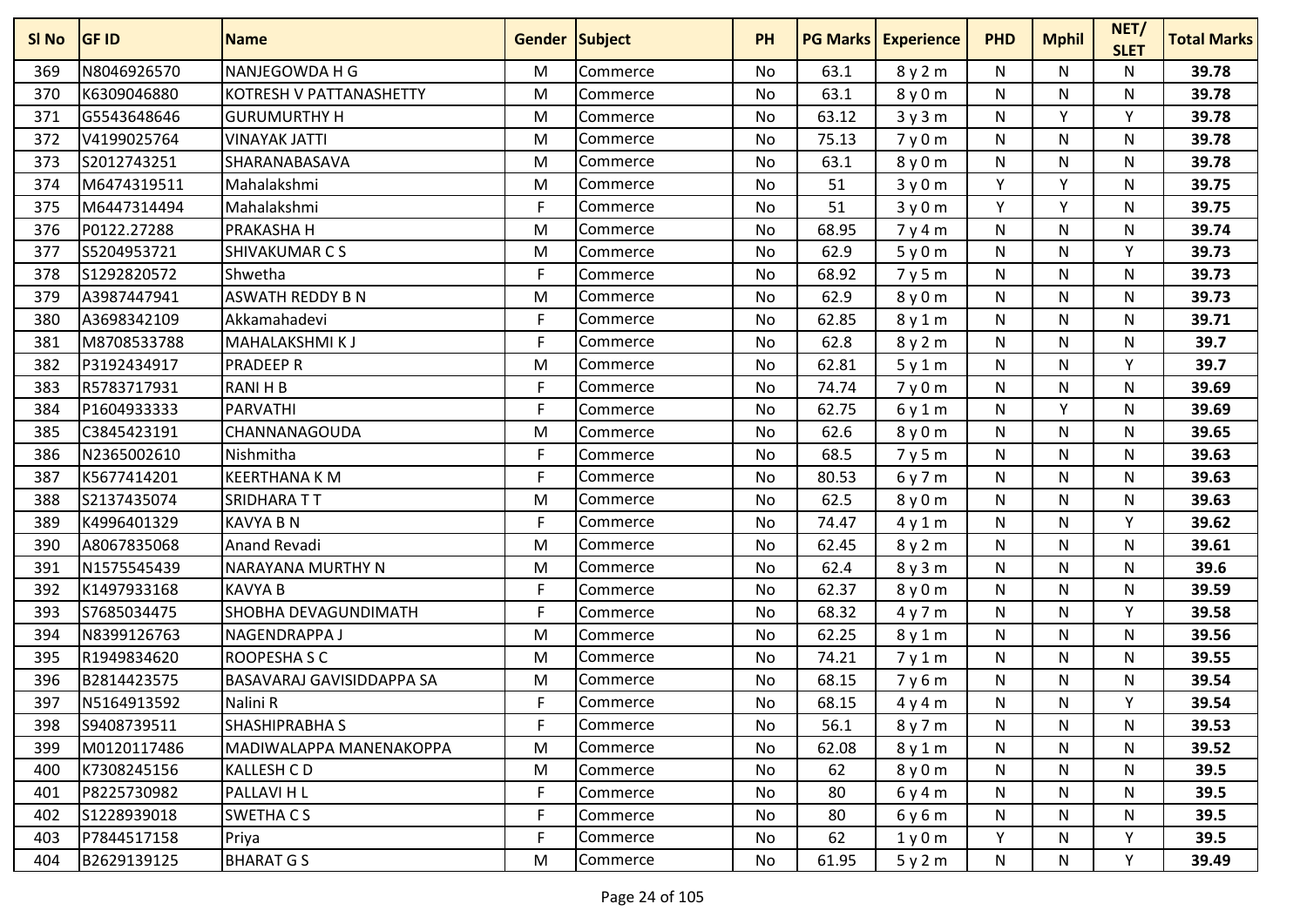| SI No | <b>GF ID</b> | <b>Name</b>                 | <b>Gender Subject</b> |          | <b>PH</b> | <b>PG Marks</b> | <b>Experience</b> | <b>PHD</b> | <b>Mphil</b> | NET/<br><b>SLET</b> | <b>Total Marks</b> |
|-------|--------------|-----------------------------|-----------------------|----------|-----------|-----------------|-------------------|------------|--------------|---------------------|--------------------|
| 369   | N8046926570  | NANJEGOWDA H G              | M                     | Commerce | No        | 63.1            | 8y2m              | N          | N            | N                   | 39.78              |
| 370   | K6309046880  | KOTRESH V PATTANASHETTY     | M                     | Commerce | No        | 63.1            | 8 y 0 m           | N          | N            | N                   | 39.78              |
| 371   | G5543648646  | <b>GURUMURTHY H</b>         | M                     | Commerce | No        | 63.12           | 3y3m              | N          | Y            | Y                   | 39.78              |
| 372   | V4199025764  | <b>VINAYAK JATTI</b>        | M                     | Commerce | No        | 75.13           | 7y0m              | N          | N            | N                   | 39.78              |
| 373   | S2012743251  | SHARANABASAVA               | M                     | Commerce | No        | 63.1            | 8y0m              | N          | N            | N                   | 39.78              |
| 374   | M6474319511  | Mahalakshmi                 | M                     | Commerce | No        | 51              | 3y0m              | Y          | Y            | N                   | 39.75              |
| 375   | M6447314494  | Mahalakshmi                 | F                     | Commerce | No        | 51              | 3y0m              | Y          | v            | N                   | 39.75              |
| 376   | P0122.27288  | PRAKASHA H                  | M                     | Commerce | No        | 68.95           | 7y4m              | N          | N            | N                   | 39.74              |
| 377   | S5204953721  | SHIVAKUMAR C S              | M                     | Commerce | No        | 62.9            | 5y0m              | N          | N            | Υ                   | 39.73              |
| 378   | S1292820572  | Shwetha                     | F                     | Commerce | No        | 68.92           | 7y5m              | N          | N            | Ν                   | 39.73              |
| 379   | A3987447941  | <b>ASWATH REDDY B N</b>     | M                     | Commerce | No        | 62.9            | 8y0m              | N          | N            | N                   | 39.73              |
| 380   | A3698342109  | Akkamahadevi                | F                     | Commerce | No        | 62.85           | 8y1m              | N          | N            | Ν                   | 39.71              |
| 381   | M8708533788  | <b>MAHALAKSHMIKJ</b>        | F                     | Commerce | No        | 62.8            | 8y2m              | N          | N            | Ν                   | 39.7               |
| 382   | P3192434917  | <b>PRADEEP R</b>            | M                     | Commerce | No        | 62.81           | 5y1m              | N          | N            | Y                   | 39.7               |
| 383   | R5783717931  | <b>RANIHB</b>               | F                     | Commerce | <b>No</b> | 74.74           | 7y0m              | N          | N            | Ν                   | 39.69              |
| 384   | P1604933333  | <b>PARVATHI</b>             | F                     | Commerce | No        | 62.75           | 6y1m              | N          | Y            | Ν                   | 39.69              |
| 385   | C3845423191  | CHANNANAGOUDA               | M                     | Commerce | No        | 62.6            | 8y0m              | N          | N            | N                   | 39.65              |
| 386   | N2365002610  | Nishmitha                   | F                     | Commerce | No        | 68.5            | 7y5m              | N          | N            | N                   | 39.63              |
| 387   | K5677414201  | <b>KEERTHANA K M</b>        | F                     | Commerce | No        | 80.53           | 6y7m              | N          | N            | Ν                   | 39.63              |
| 388   | S2137435074  | SRIDHARA TT                 | M                     | Commerce | No        | 62.5            | 8y0m              | N          | N            | N                   | 39.63              |
| 389   | K4996401329  | <b>KAVYA B N</b>            | F                     | Commerce | No        | 74.47           | 4y1m              | N          | N            | Υ                   | 39.62              |
| 390   | A8067835068  | Anand Revadi                | M                     | Commerce | No        | 62.45           | 8y2m              | N          | N            | Ν                   | 39.61              |
| 391   | N1575545439  | NARAYANA MURTHY N           | M                     | Commerce | No        | 62.4            | 8y3m              | N          | N            | Ν                   | 39.6               |
| 392   | K1497933168  | <b>KAVYA B</b>              | F                     | Commerce | No        | 62.37           | 8y0m              | N          | N            | N                   | 39.59              |
| 393   | S7685034475  | <b>SHOBHA DEVAGUNDIMATH</b> | F                     | Commerce | No        | 68.32           | 4y7m              | N          | N            | Υ                   | 39.58              |
| 394   | N8399126763  | NAGENDRAPPA J               | M                     | Commerce | No        | 62.25           | 8y1m              | N          | N            | Ν                   | 39.56              |
| 395   | R1949834620  | ROOPESHA S C                | M                     | Commerce | No        | 74.21           | 7y1m              | N          | N            | N                   | 39.55              |
| 396   | B2814423575  | BASAVARAJ GAVISIDDAPPA SA   | M                     | Commerce | No        | 68.15           | 7y6m              | N          | N            | N                   | 39.54              |
| 397   | N5164913592  | Nalini R                    | F                     | Commerce | No        | 68.15           | 4y4m              | N          | N            | Υ                   | 39.54              |
| 398   | S9408739511  | <b>SHASHIPRABHA S</b>       | F                     | Commerce | No        | 56.1            | 8y7m              | N          | N            | Ν                   | 39.53              |
| 399   | M0120117486  | MADIWALAPPA MANENAKOPPA     | M                     | Commerce | No        | 62.08           | 8y1m              | N          | N            | N                   | 39.52              |
| 400   | K7308245156  | <b>KALLESH CD</b>           | M                     | Commerce | No        | 62              | 8y0m              | N          | N            | N                   | 39.5               |
| 401   | P8225730982  | PALLAVI H L                 | F                     | Commerce | No        | 80              | 6y4m              | N          | N            | N                   | 39.5               |
| 402   | S1228939018  | SWETHA CS                   | F                     | Commerce | No        | 80              | 6y6m              | N          | N            | N                   | 39.5               |
| 403   | P7844517158  | Priya                       | F                     | Commerce | No        | 62              | 1y0m              | Y.         | N            | Y                   | 39.5               |
| 404   | B2629139125  | <b>BHARAT G S</b>           | M                     | Commerce | No        | 61.95           | 5y2m              | N          | N            | Y                   | 39.49              |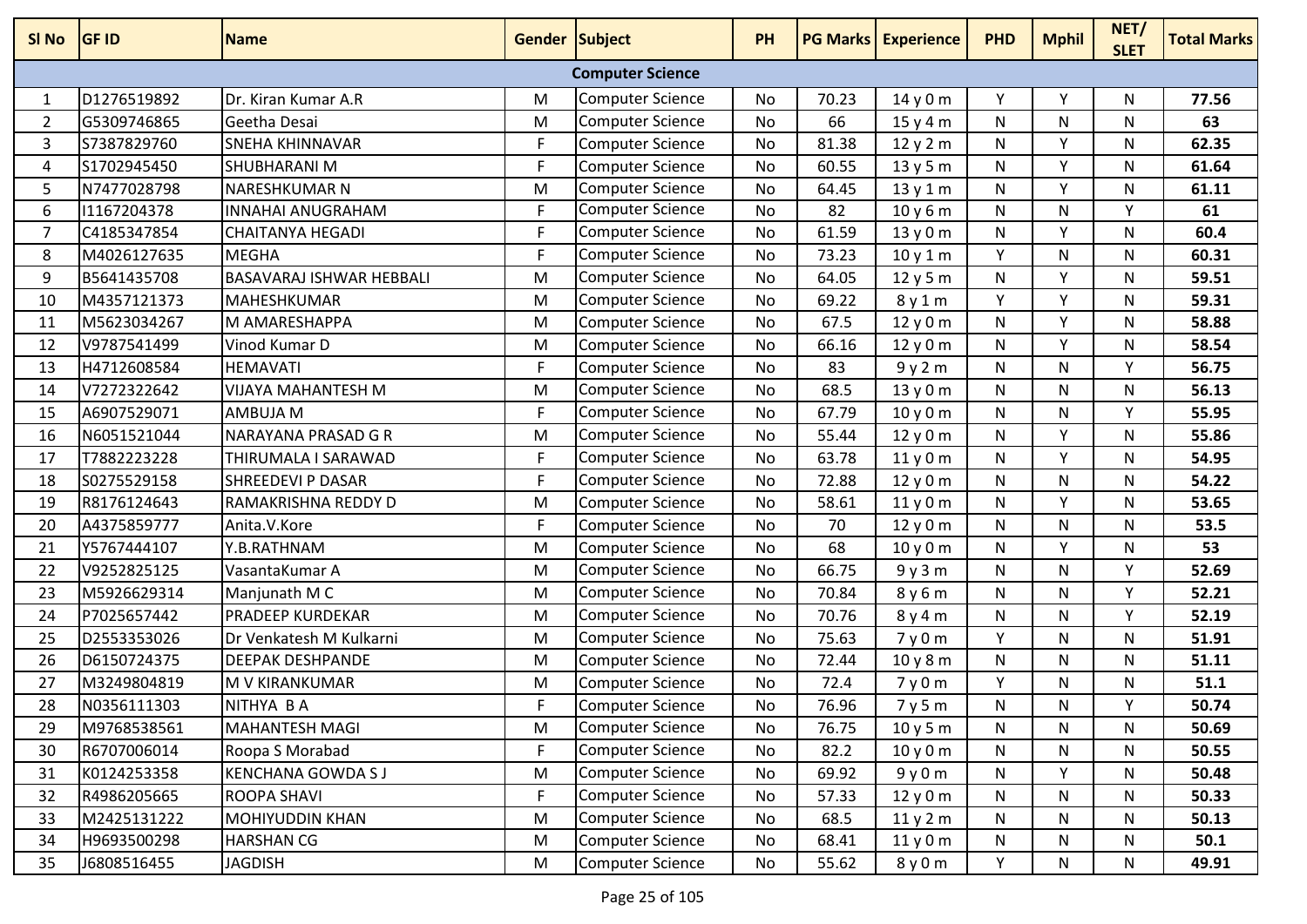| SI No          | <b>GF ID</b> | <b>Name</b>              | Gender Subject |                         | <b>PH</b> |       | <b>PG Marks Experience</b> | <b>PHD</b> | <b>Mphil</b> | NET/<br><b>SLET</b> | <b>Total Marks</b> |
|----------------|--------------|--------------------------|----------------|-------------------------|-----------|-------|----------------------------|------------|--------------|---------------------|--------------------|
|                |              |                          |                | <b>Computer Science</b> |           |       |                            |            |              |                     |                    |
| 1              | D1276519892  | Dr. Kiran Kumar A.R      | M              | <b>Computer Science</b> | No        | 70.23 | 14 y 0 m                   | Y          | Υ            | N                   | 77.56              |
| 2              | G5309746865  | Geetha Desai             | M              | <b>Computer Science</b> | No        | 66    | 15y4m                      | N          | N            | N                   | 63                 |
| 3              | S7387829760  | <b>SNEHA KHINNAVAR</b>   | F.             | <b>Computer Science</b> | <b>No</b> | 81.38 | 12y2m                      | N          | Y            | N.                  | 62.35              |
| 4              | S1702945450  | SHUBHARANI M             | F              | <b>Computer Science</b> | No        | 60.55 | 13y5m                      | N          | Y            | N                   | 61.64              |
| 5              | N7477028798  | NARESHKUMAR N            | M              | <b>Computer Science</b> | No        | 64.45 | 13y1m                      | N          | Y            | N                   | 61.11              |
| 6              | 11167204378  | INNAHAI ANUGRAHAM        | F.             | <b>Computer Science</b> | <b>No</b> | 82    | 10y6m                      | N          | N            | Y.                  | 61                 |
| $\overline{7}$ | C4185347854  | CHAITANYA HEGADI         | F.             | <b>Computer Science</b> | <b>No</b> | 61.59 | 13y0m                      | N          | Y            | N                   | 60.4               |
| 8              | M4026127635  | <b>MEGHA</b>             | F              | <b>Computer Science</b> | <b>No</b> | 73.23 | 10y1m                      | Y          | N            | N                   | 60.31              |
| 9              | B5641435708  | BASAVARAJ ISHWAR HEBBALI | M              | <b>Computer Science</b> | No        | 64.05 | 12y5m                      | N          | Y            | N                   | 59.51              |
| 10             | M4357121373  | <b>MAHESHKUMAR</b>       | M              | <b>Computer Science</b> | No        | 69.22 | 8y1m                       | Y          | Y            | N                   | 59.31              |
| 11             | M5623034267  | M AMARESHAPPA            | M              | <b>Computer Science</b> | No        | 67.5  | 12y0m                      | N          | Y            | N                   | 58.88              |
| 12             | V9787541499  | Vinod Kumar D            | M              | <b>Computer Science</b> | No        | 66.16 | 12y0m                      | N          | Y            | N                   | 58.54              |
| 13             | H4712608584  | <b>HEMAVATI</b>          | F.             | <b>Computer Science</b> | No        | 83    | 9y2m                       | N          | N            | Y                   | 56.75              |
| 14             | V7272322642  | VIJAYA MAHANTESH M       | M              | <b>Computer Science</b> | No        | 68.5  | 13y0m                      | N          | N            | N                   | 56.13              |
| 15             | A6907529071  | AMBUJA M                 | F              | <b>Computer Science</b> | No        | 67.79 | 10y0m                      | N          | N            | Y                   | 55.95              |
| 16             | N6051521044  | NARAYANA PRASAD G R      | M              | <b>Computer Science</b> | No        | 55.44 | 12y0m                      | N          | Y            | N                   | 55.86              |
| 17             | T7882223228  | THIRUMALA I SARAWAD      | F              | <b>Computer Science</b> | No        | 63.78 | 11y0m                      | N          | Y            | N                   | 54.95              |
| 18             | S0275529158  | <b>SHREEDEVI P DASAR</b> | F.             | <b>Computer Science</b> | No        | 72.88 | 12y0m                      | N          | N            | N                   | 54.22              |
| 19             | R8176124643  | RAMAKRISHNA REDDY D      | M              | <b>Computer Science</b> | No        | 58.61 | 11y0m                      | N          | v            | N                   | 53.65              |
| 20             | A4375859777  | Anita.V.Kore             | F              | <b>Computer Science</b> | <b>No</b> | 70    | 12y0m                      | N          | N            | N                   | 53.5               |
| 21             | Y5767444107  | Y.B.RATHNAM              | M              | <b>Computer Science</b> | <b>No</b> | 68    | 10y0m                      | N          | Y            | N                   | 53                 |
| 22             | V9252825125  | VasantaKumar A           | M              | <b>Computer Science</b> | No        | 66.75 | 9y3m                       | N          | N            | Y                   | 52.69              |
| 23             | M5926629314  | Manjunath M C            | M              | <b>Computer Science</b> | No        | 70.84 | 8y6m                       | N          | N            | Y                   | 52.21              |
| 24             | P7025657442  | <b>PRADEEP KURDEKAR</b>  | M              | Computer Science        | No        | 70.76 | 8y4m                       | N          | N            | Υ                   | 52.19              |
| 25             | D2553353026  | Dr Venkatesh M Kulkarni  | M              | <b>Computer Science</b> | No        | 75.63 | 7y0m                       | Y          | N            | N                   | 51.91              |
| 26             | D6150724375  | <b>DEEPAK DESHPANDE</b>  | M              | <b>Computer Science</b> | <b>No</b> | 72.44 | 10y8m                      | N          | N            | N                   | 51.11              |
| 27             | M3249804819  | M V KIRANKUMAR           | M              | <b>Computer Science</b> | <b>No</b> | 72.4  | 7y0m                       | Y          | N            | И                   | 51.1               |
| 28             | N0356111303  | NITHYA B A               | F              | <b>Computer Science</b> | No        | 76.96 | 7y5m                       | N          | N            | v                   | 50.74              |
| 29             | M9768538561  | <b>MAHANTESH MAGI</b>    | M              | Computer Science        | No        | 76.75 | 10y5m                      | N          | N            | N                   | 50.69              |
| 30             | R6707006014  | Roopa S Morabad          | F.             | <b>Computer Science</b> | No        | 82.2  | 10y0m                      | N          | N            | N                   | 50.55              |
| 31             | K0124253358  | <b>KENCHANA GOWDA SJ</b> | M              | <b>Computer Science</b> | No        | 69.92 | 9y0m                       | N          | Y            | N                   | 50.48              |
| 32             | R4986205665  | ROOPA SHAVI              | F.             | <b>Computer Science</b> | No        | 57.33 | 12y0m                      | N          | N            | N                   | 50.33              |
| 33             | M2425131222  | MOHIYUDDIN KHAN          | M              | <b>Computer Science</b> | No        | 68.5  | 11y2m                      | N          | N            | N                   | 50.13              |
| 34             | H9693500298  | <b>HARSHAN CG</b>        | M              | <b>Computer Science</b> | No        | 68.41 | 11y0m                      | N          | N            | N                   | 50.1               |
| 35             | J6808516455  | <b>JAGDISH</b>           | M              | <b>Computer Science</b> | No        | 55.62 | 8 y 0 m                    | Y.         | N            | N                   | 49.91              |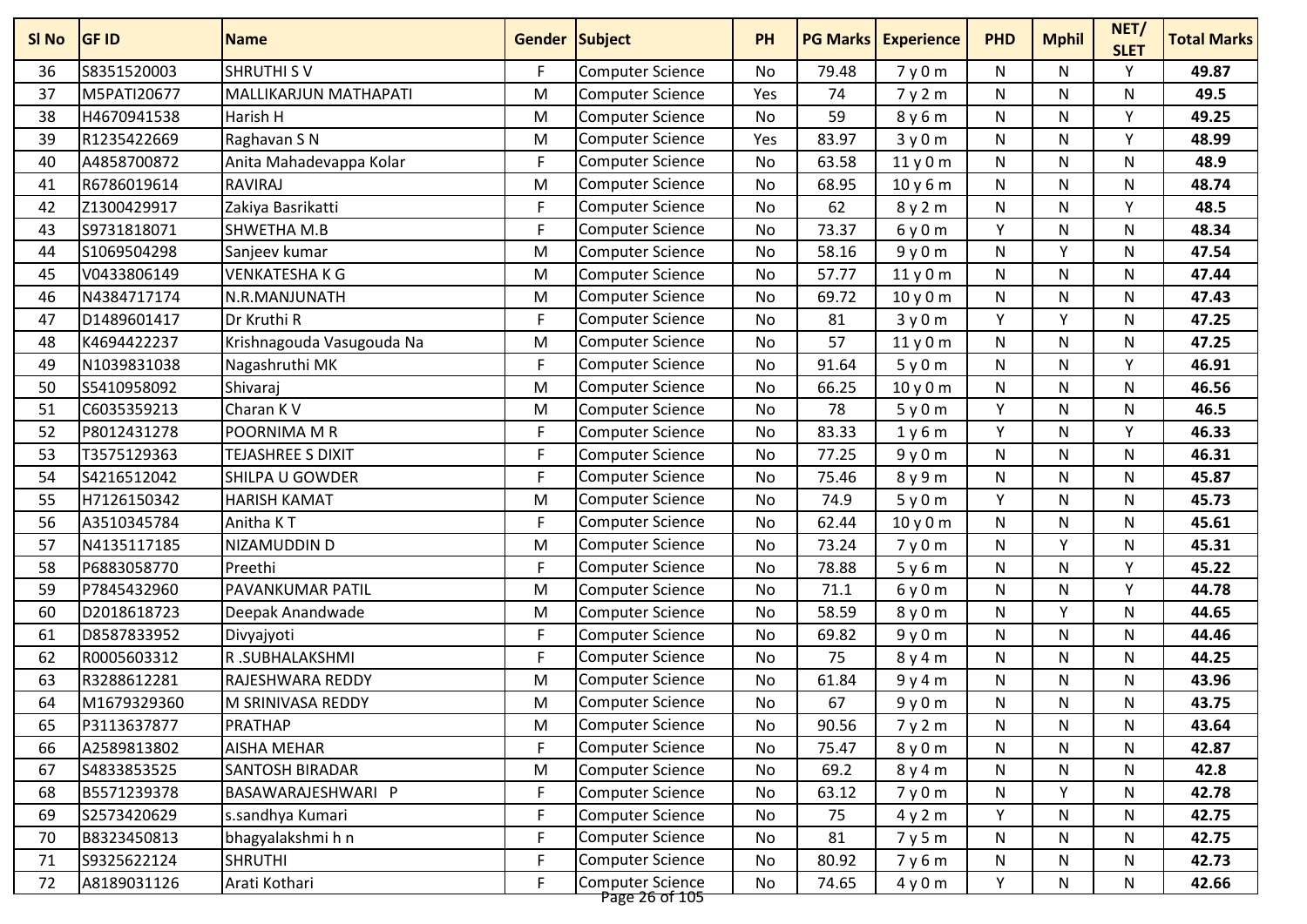| SI No | <b>GF ID</b> | <b>Name</b>               | Gender Subject |                                           | <b>PH</b> | <b>PG Marks</b> | <b>Experience</b> | <b>PHD</b>   | <b>Mphil</b> | NET/<br><b>SLET</b> | <b>Total Marks</b> |
|-------|--------------|---------------------------|----------------|-------------------------------------------|-----------|-----------------|-------------------|--------------|--------------|---------------------|--------------------|
| 36    | S8351520003  | <b>SHRUTHI SV</b>         | F.             | <b>Computer Science</b>                   | No        | 79.48           | 7y0m              | N            | N            | V                   | 49.87              |
| 37    | M5PATI20677  | MALLIKARJUN MATHAPATI     | M              | <b>Computer Science</b>                   | Yes       | 74              | 7y2m              | N            | N            | N                   | 49.5               |
| 38    | H4670941538  | Harish H                  | M              | <b>Computer Science</b>                   | No        | 59              | 8y6m              | $\mathsf{N}$ | N            | Υ                   | 49.25              |
| 39    | R1235422669  | Raghavan S N              | M              | <b>Computer Science</b>                   | Yes       | 83.97           | 3y0m              | N            | N            | Y                   | 48.99              |
| 40    | A4858700872  | Anita Mahadevappa Kolar   | F              | <b>Computer Science</b>                   | No        | 63.58           | 11y0m             | N            | N            | N                   | 48.9               |
| 41    | R6786019614  | <b>RAVIRAJ</b>            | M              | <b>Computer Science</b>                   | No        | 68.95           | 10y6m             | N            | N            | N                   | 48.74              |
| 42    | Z1300429917  | Zakiya Basrikatti         | F              | <b>Computer Science</b>                   | No        | 62              | 8y2m              | N            | N            | Υ                   | 48.5               |
| 43    | S9731818071  | <b>SHWETHA M.B</b>        | F.             | <b>Computer Science</b>                   | No        | 73.37           | 6y0m              | Υ            | N            | N                   | 48.34              |
| 44    | S1069504298  | Sanjeev kumar             | M              | <b>Computer Science</b>                   | No        | 58.16           | 9y0m              | N            | Υ            | N                   | 47.54              |
| 45    | V0433806149  | <b>VENKATESHAKG</b>       | M              | <b>Computer Science</b>                   | <b>No</b> | 57.77           | 11y0m             | $\mathsf{N}$ | N            | N                   | 47.44              |
| 46    | N4384717174  | N.R.MANJUNATH             | M              | <b>Computer Science</b>                   | No        | 69.72           | 10y0m             | ${\sf N}$    | N            | N                   | 47.43              |
| 47    | D1489601417  | Dr Kruthi R               | F              | <b>Computer Science</b>                   | No        | 81              | 3y0m              | Y            | Y            | N                   | 47.25              |
| 48    | K4694422237  | Krishnagouda Vasugouda Na | M              | <b>Computer Science</b>                   | No        | 57              | 11y0m             | N            | N            | N                   | 47.25              |
| 49    | N1039831038  | Nagashruthi MK            | F              | <b>Computer Science</b>                   | No        | 91.64           | 5y0m              | N            | N            | $\mathsf{v}$        | 46.91              |
| 50    | S5410958092  | Shivaraj                  | M              | <b>Computer Science</b>                   | No        | 66.25           | 10y0m             | $\mathsf{N}$ | N            | N                   | 46.56              |
| 51    | C6035359213  | Charan K V                | M              | <b>Computer Science</b>                   | No        | 78              | 5y0m              | Y            | N            | N                   | 46.5               |
| 52    | P8012431278  | POORNIMA M R              | F              | <b>Computer Science</b>                   | No        | 83.33           | 1y6m              | Y            | N            | Y                   | 46.33              |
| 53    | T3575129363  | <b>TEJASHREE S DIXIT</b>  | F.             | <b>Computer Science</b>                   | No        | 77.25           | 9y0m              | N            | N            | N                   | 46.31              |
| 54    | S4216512042  | <b>SHILPA U GOWDER</b>    | F              | <b>Computer Science</b>                   | No        | 75.46           | 8y9m              | N            | N            | N                   | 45.87              |
| 55    | H7126150342  | <b>HARISH KAMAT</b>       | M              | <b>Computer Science</b>                   | No        | 74.9            | 5y0m              | Υ            | N            | N                   | 45.73              |
| 56    | A3510345784  | Anitha KT                 | F              | <b>Computer Science</b>                   | No        | 62.44           | 10y0m             | N            | N            | N                   | 45.61              |
| 57    | N4135117185  | NIZAMUDDIN D              | M              | <b>Computer Science</b>                   | No        | 73.24           | 7y0m              | ${\sf N}$    | Y            | $\mathsf{N}$        | 45.31              |
| 58    | P6883058770  | Preethi                   | F.             | <b>Computer Science</b>                   | No        | 78.88           | 5y6m              | N            | N            | Y                   | 45.22              |
| 59    | P7845432960  | <b>PAVANKUMAR PATIL</b>   | M              | <b>Computer Science</b>                   | No        | 71.1            | 6y0m              | N            | N            | Y                   | 44.78              |
| 60    | D2018618723  | Deepak Anandwade          | M              | <b>Computer Science</b>                   | No        | 58.59           | 8 y 0 m           | N            | Y            | N                   | 44.65              |
| 61    | D8587833952  | Divyajyoti                | F              | <b>Computer Science</b>                   | No        | 69.82           | 9y0m              | ${\sf N}$    | N            | N                   | 44.46              |
| 62    | R0005603312  | R.SUBHALAKSHMI            | F.             | <b>Computer Science</b>                   | No        | 75              | 8y4m              | N            | N            | N                   | 44.25              |
| 63    | R3288612281  | RAJESHWARA REDDY          | M              | <b>Computer Science</b>                   | No        | 61.84           | 9y4m              | N            | N            | N                   | 43.96              |
| 64    | M1679329360  | M SRINIVASA REDDY         | M              | <b>Computer Science</b>                   | No        | 67              | 9y0m              | N            | N            | N                   | 43.75              |
| 65    | P3113637877  | <b>PRATHAP</b>            | M              | Computer Science                          | No        | 90.56           | 7y2m              | N            | N            | N                   | 43.64              |
| 66    | A2589813802  | <b>AISHA MEHAR</b>        | F              | <b>Computer Science</b>                   | No        | 75.47           | 8y0m              | N            | N            | N                   | 42.87              |
| 67    | S4833853525  | <b>SANTOSH BIRADAR</b>    | M              | <b>Computer Science</b>                   | No        | 69.2            | 8y4m              | N            | N            | N                   | 42.8               |
| 68    | B5571239378  | BASAWARAJESHWARI P        | F              | <b>Computer Science</b>                   | No        | 63.12           | 7y0m              | N            | Υ            | N                   | 42.78              |
| 69    | S2573420629  | s.sandhya Kumari          | F              | <b>Computer Science</b>                   | No        | 75              | 4y2m              | Y            | N            | $\mathsf{N}$        | 42.75              |
| 70    | B8323450813  | bhagyalakshmi h n         | F              | <b>Computer Science</b>                   | No        | 81              | 7y5m              | N            | N            | N                   | 42.75              |
| 71    | S9325622124  | <b>SHRUTHI</b>            | F              | Computer Science                          | No        | 80.92           | 7y6m              | N            | N            | N                   | 42.73              |
| 72    | A8189031126  | Arati Kothari             | F              | <b>Computer Science</b><br>Page 26 of 105 | No        | 74.65           | 4y0m              | Υ            | N            | N                   | 42.66              |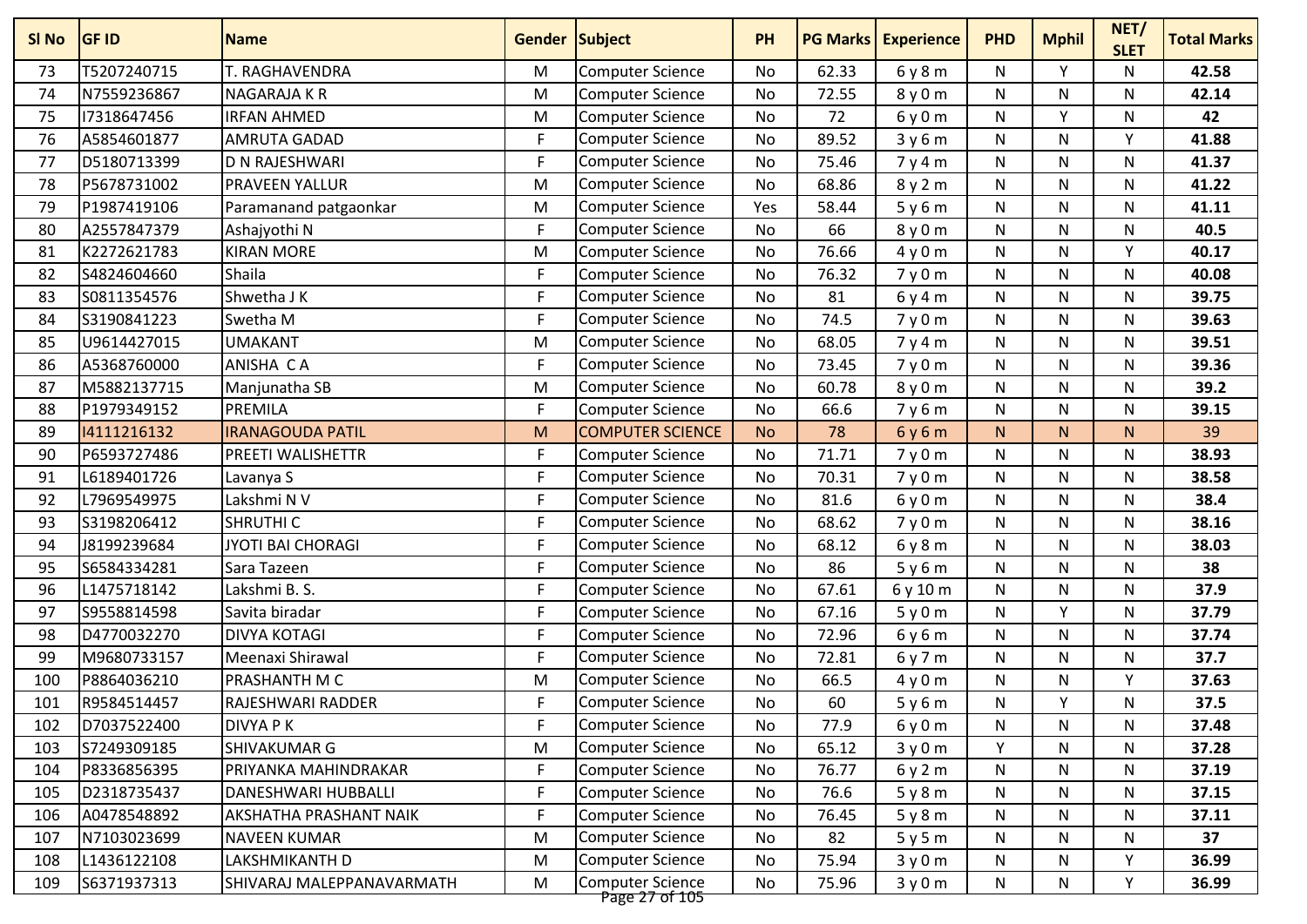| SI <sub>No</sub> | <b>GF ID</b> | <b>Name</b>               | Gender Subject |                                           | <b>PH</b> | <b>PG Marks</b> | <b>Experience</b> | <b>PHD</b> | <b>Mphil</b> | NET/<br><b>SLET</b> | <b>Total Marks</b> |
|------------------|--------------|---------------------------|----------------|-------------------------------------------|-----------|-----------------|-------------------|------------|--------------|---------------------|--------------------|
| 73               | T5207240715  | T. RAGHAVENDRA            | M              | Computer Science                          | No        | 62.33           | 6y8m              | N          | $\vee$       | N                   | 42.58              |
| 74               | N7559236867  | NAGARAJA K R              | M              | <b>Computer Science</b>                   | No        | 72.55           | 8y0m              | N          | N            | N                   | 42.14              |
| 75               | 17318647456  | <b>IRFAN AHMED</b>        | M              | <b>Computer Science</b>                   | <b>No</b> | 72              | 6y0m              | N          | <b>V</b>     | N                   | 42                 |
| 76               | A5854601877  | AMRUTA GADAD              | F              | <b>Computer Science</b>                   | No        | 89.52           | 3y6m              | N          | N            | Υ                   | 41.88              |
| 77               | D5180713399  | D N RAJESHWARI            | F              | <b>Computer Science</b>                   | No        | 75.46           | 7y4m              | N          | N            | N                   | 41.37              |
| 78               | P5678731002  | <b>PRAVEEN YALLUR</b>     | M              | <b>Computer Science</b>                   | No        | 68.86           | 8y2m              | N          | N            | N                   | 41.22              |
| 79               | P1987419106  | Paramanand patgaonkar     | M              | <b>Computer Science</b>                   | Yes       | 58.44           | 5y6m              | N          | N            | N                   | 41.11              |
| 80               | A2557847379  | Ashajyothi N              | F              | <b>Computer Science</b>                   | No        | 66              | 8y0m              | N          | N            | N                   | 40.5               |
| 81               | K2272621783  | <b>KIRAN MORE</b>         | M              | <b>Computer Science</b>                   | <b>No</b> | 76.66           | 4y0m              | N          | N            | Υ                   | 40.17              |
| 82               | S4824604660  | Shaila                    | F              | <b>Computer Science</b>                   | <b>No</b> | 76.32           | 7y0m              | N          | N            | Ν                   | 40.08              |
| 83               | S0811354576  | Shwetha J K               | F              | <b>Computer Science</b>                   | No        | 81              | 6y4m              | N          | N            | Ν                   | 39.75              |
| 84               | S3190841223  | Swetha M                  | F              | <b>Computer Science</b>                   | No        | 74.5            | 7y0m              | N          | N            | N                   | 39.63              |
| 85               | U9614427015  | <b>UMAKANT</b>            | M              | <b>Computer Science</b>                   | No        | 68.05           | 7y4m              | N          | N            | Ν                   | 39.51              |
| 86               | A5368760000  | ANISHA CA                 | F              | <b>Computer Science</b>                   | No        | 73.45           | 7y0m              | N          | N            | N                   | 39.36              |
| 87               | M5882137715  | Manjunatha SB             | M              | <b>Computer Science</b>                   | <b>No</b> | 60.78           | 8y0m              | N          | N            | Ν                   | 39.2               |
| 88               | P1979349152  | PREMILA                   | F              | <b>Computer Science</b>                   | <b>No</b> | 66.6            | 7y6m              | N          | N            | N                   | 39.15              |
| 89               | 14111216132  | <b>IRANAGOUDA PATIL</b>   | M              | <b>COMPUTER SCIENCE</b>                   | <b>No</b> | 78              | 6y6m              | N.         | N.           | N.                  | 39                 |
| 90               | P6593727486  | PREETI WALISHETTR         | F              | <b>Computer Science</b>                   | <b>No</b> | 71.71           | 7y0m              | N          | N            | N                   | 38.93              |
| 91               | L6189401726  | Lavanya S                 | F              | <b>Computer Science</b>                   | No        | 70.31           | 7y0m              | N          | N            | N                   | 38.58              |
| 92               | L7969549975  | Lakshmi N V               | F              | <b>Computer Science</b>                   | No        | 81.6            | 6y0m              | N          | N            | Ν                   | 38.4               |
| 93               | S3198206412  | SHRUTHI C                 | F              | <b>Computer Science</b>                   | No        | 68.62           | 7y0m              | N          | N            | N                   | 38.16              |
| 94               | J8199239684  | <b>JYOTI BAI CHORAGI</b>  | F              | <b>Computer Science</b>                   | <b>No</b> | 68.12           | 6y8m              | N          | N            | Ν                   | 38.03              |
| 95               | S6584334281  | Sara Tazeen               | F              | Computer Science                          | No        | 86              | 5y6m              | N          | N            | N                   | 38                 |
| 96               | L1475718142  | Lakshmi B. S.             | F              | Computer Science                          | No        | 67.61           | 6 y 10 m          | N          | N            | N                   | 37.9               |
| 97               | S9558814598  | Savita biradar            | F              | <b>Computer Science</b>                   | No        | 67.16           | 5y0m              | N          | Y            | N                   | 37.79              |
| 98               | D4770032270  | <b>DIVYA KOTAGI</b>       | F              | <b>Computer Science</b>                   | No        | 72.96           | 6y6m              | N          | N            | Ν                   | 37.74              |
| 99               | M9680733157  | Meenaxi Shirawal          | F              | <b>Computer Science</b>                   | No        | 72.81           | 6y7m              | N          | N            | Ν                   | 37.7               |
| 100              | P8864036210  | PRASHANTH M C             | M              | <b>Computer Science</b>                   | <b>No</b> | 66.5            | 4y0m              | N          | N            | Y                   | 37.63              |
| 101              | R9584514457  | RAJESHWARI RADDER         | F              | <b>Computer Science</b>                   | <b>No</b> | 60              | 5y6m              | N          | Y            | Ν                   | 37.5               |
| 102              | D7037522400  | DIVYA P K                 | F              | <b>Computer Science</b>                   | No        | 77.9            | 6y0m              | N          | N            | Ν                   | 37.48              |
| 103              | S7249309185  | SHIVAKUMAR G              | M              | <b>Computer Science</b>                   | No        | 65.12           | 3y0m              | Y          | N            | N                   | 37.28              |
| 104              | P8336856395  | PRIYANKA MAHINDRAKAR      | F              | <b>Computer Science</b>                   | No        | 76.77           | 6y2m              | N          | N            | N                   | 37.19              |
| 105              | D2318735437  | DANESHWARI HUBBALLI       | F              | <b>Computer Science</b>                   | No        | 76.6            | 5y8m              | N          | N            | N                   | 37.15              |
| 106              | A0478548892  | AKSHATHA PRASHANT NAIK    | F              | <b>Computer Science</b>                   | <b>No</b> | 76.45           | 5y8m              | N          | N            | N                   | 37.11              |
| 107              | N7103023699  | <b>NAVEEN KUMAR</b>       | M              | <b>Computer Science</b>                   | No        | 82              | 5y5m              | N          | N            | N                   | 37                 |
| 108              | L1436122108  | LAKSHMIKANTH D            | M              | <b>Computer Science</b>                   | No        | 75.94           | 3y0m              | N          | N            | Y                   | 36.99              |
| 109              | S6371937313  | SHIVARAJ MALEPPANAVARMATH | M              | <b>Computer Science</b><br>Page 27 of 105 | No        | 75.96           | 3y0m              | N          | N            | Y                   | 36.99              |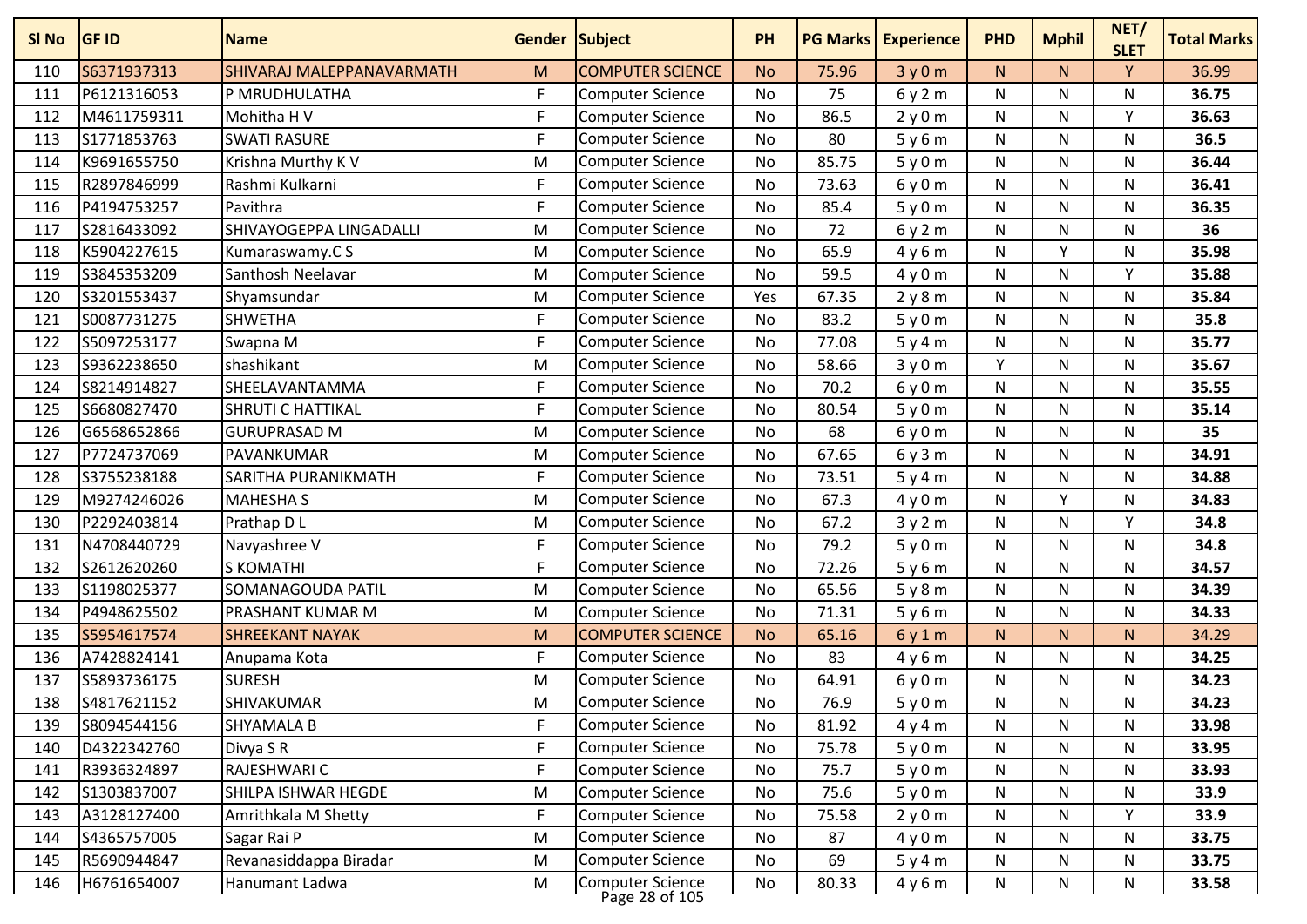| SI No | <b>GF ID</b> | <b>Name</b>               | Gender Subject |                                           | <b>PH</b> | <b>PG Marks</b> | <b>Experience</b> | <b>PHD</b> | <b>Mphil</b> | NET/<br><b>SLET</b> | <b>Total Marks</b> |
|-------|--------------|---------------------------|----------------|-------------------------------------------|-----------|-----------------|-------------------|------------|--------------|---------------------|--------------------|
| 110   | S6371937313  | SHIVARAJ MALEPPANAVARMATH | M              | <b>COMPUTER SCIENCE</b>                   | <b>No</b> | 75.96           | 3y0m              | N.         | N.           | Y                   | 36.99              |
| 111   | P6121316053  | P MRUDHULATHA             | F              | <b>Computer Science</b>                   | No        | 75              | 6y2m              | N          | N            | N                   | 36.75              |
| 112   | M4611759311  | Mohitha H V               | F              | <b>Computer Science</b>                   | <b>No</b> | 86.5            | 2y0m              | N          | N            | Y                   | 36.63              |
| 113   | S1771853763  | <b>SWATI RASURE</b>       | F              | <b>Computer Science</b>                   | <b>No</b> | 80              | 5y6m              | N          | N            | N                   | 36.5               |
| 114   | K9691655750  | Krishna Murthy K V        | M              | <b>Computer Science</b>                   | No        | 85.75           | 5y0m              | N          | N            | N                   | 36.44              |
| 115   | R2897846999  | Rashmi Kulkarni           | F              | <b>Computer Science</b>                   | No        | 73.63           | 6y0m              | N          | N            | Ν                   | 36.41              |
| 116   | P4194753257  | Pavithra                  | F              | <b>Computer Science</b>                   | No        | 85.4            | 5y0m              | N          | N            | Ν                   | 36.35              |
| 117   | S2816433092  | SHIVAYOGEPPA LINGADALLI   | M              | <b>Computer Science</b>                   | <b>No</b> | 72              | 6y2m              | N          | N            | $\mathsf{N}$        | 36                 |
| 118   | K5904227615  | Kumaraswamy.C S           | M              | <b>Computer Science</b>                   | <b>No</b> | 65.9            | 4y6m              | N          | v            | N                   | 35.98              |
| 119   | S3845353209  | Santhosh Neelavar         | M              | Computer Science                          | No        | 59.5            | 4y0m              | N          | N            | Y                   | 35.88              |
| 120   | S3201553437  | Shyamsundar               | M              | <b>Computer Science</b>                   | Yes       | 67.35           | 2y8m              | N          | N            | N                   | 35.84              |
| 121   | S0087731275  | <b>SHWETHA</b>            | F              | <b>Computer Science</b>                   | No        | 83.2            | 5y0m              | N          | N            | N                   | 35.8               |
| 122   | S5097253177  | Swapna M                  | F              | <b>Computer Science</b>                   | No        | 77.08           | 5y4m              | N          | N            | N                   | 35.77              |
| 123   | S9362238650  | shashikant                | M              | <b>Computer Science</b>                   | No        | 58.66           | 3y0m              | Y          | N            | N                   | 35.67              |
| 124   | S8214914827  | SHEELAVANTAMMA            | F              | <b>Computer Science</b>                   | <b>No</b> | 70.2            | 6y0m              | N          | N            | N                   | 35.55              |
| 125   | S6680827470  | SHRUTI C HATTIKAL         | F              | <b>Computer Science</b>                   | No        | 80.54           | 5y0m              | N          | N            | N                   | 35.14              |
| 126   | G6568652866  | <b>GURUPRASAD M</b>       | M              | <b>Computer Science</b>                   | No        | 68              | 6y0m              | N          | N            | N                   | 35                 |
| 127   | P7724737069  | PAVANKUMAR                | M              | <b>Computer Science</b>                   | <b>No</b> | 67.65           | 6y3m              | N          | N            | N                   | 34.91              |
| 128   | S3755238188  | SARITHA PURANIKMATH       | F              | Computer Science                          | No        | 73.51           | 5y4m              | N          | N            | N                   | 34.88              |
| 129   | M9274246026  | <b>MAHESHA S</b>          | M              | <b>Computer Science</b>                   | No        | 67.3            | 4y0m              | N          | $\mathsf{v}$ | N                   | 34.83              |
| 130   | P2292403814  | Prathap D L               | M              | <b>Computer Science</b>                   | <b>No</b> | 67.2            | 3y2m              | N          | N            | Y                   | 34.8               |
| 131   | N4708440729  | Navyashree V              | F              | Computer Science                          | <b>No</b> | 79.2            | 5y0m              | N          | N            | N                   | 34.8               |
| 132   | S2612620260  | <b>S KOMATHI</b>          | F              | Computer Science                          | <b>No</b> | 72.26           | 5y6m              | N          | N            | Ν                   | 34.57              |
| 133   | S1198025377  | SOMANAGOUDA PATIL         | M              | <b>Computer Science</b>                   | No        | 65.56           | 5y8m              | N          | N            | N                   | 34.39              |
| 134   | P4948625502  | PRASHANT KUMAR M          | M              | <b>Computer Science</b>                   | No        | 71.31           | 5y6m              | N          | N            | N                   | 34.33              |
| 135   | S5954617574  | <b>SHREEKANT NAYAK</b>    | M              | <b>COMPUTER SCIENCE</b>                   | <b>No</b> | 65.16           | 6y1m              | N.         | N.           | N.                  | 34.29              |
| 136   | A7428824141  | Anupama Kota              | F              | <b>Computer Science</b>                   | <b>No</b> | 83              | 4y6m              | N          | N            | N                   | 34.25              |
| 137   | S5893736175  | <b>SURESH</b>             | M              | Computer Science                          | No        | 64.91           | 6y0m              | N          | N            | N                   | 34.23              |
| 138   | S4817621152  | SHIVAKUMAR                | M              | <b>Computer Science</b>                   | No        | 76.9            | 5y0m              | N          | N            | N                   | 34.23              |
| 139   | S8094544156  | <b>SHYAMALA B</b>         | F              | <b>Computer Science</b>                   | No        | 81.92           | 4y4m              | N          | N            | Ν                   | 33.98              |
| 140   | D4322342760  | Divya S R                 | F              | <b>Computer Science</b>                   | No        | 75.78           | 5y0m              | N          | N            | N                   | 33.95              |
| 141   | R3936324897  | RAJESHWARI C              | F              | <b>Computer Science</b>                   | No        | 75.7            | 5y0m              | N          | N            | N                   | 33.93              |
| 142   | S1303837007  | SHILPA ISHWAR HEGDE       | M              | <b>Computer Science</b>                   | No        | 75.6            | 5y0m              | N          | N            | N                   | 33.9               |
| 143   | A3128127400  | Amrithkala M Shetty       | F              | Computer Science                          | No        | 75.58           | 2y0m              | N          | N            | Y                   | 33.9               |
| 144   | S4365757005  | Sagar Rai P               | M              | <b>Computer Science</b>                   | No        | 87              | 4y0m              | N          | N            | N                   | 33.75              |
| 145   | R5690944847  | Revanasiddappa Biradar    | M              | <b>Computer Science</b>                   | No        | 69              | 5y4m              | N          | N            | N                   | 33.75              |
| 146   | H6761654007  | Hanumant Ladwa            | M              | <b>Computer Science</b><br>Page 28 of 105 | No        | 80.33           | 4y6m              | N          | N            | N                   | 33.58              |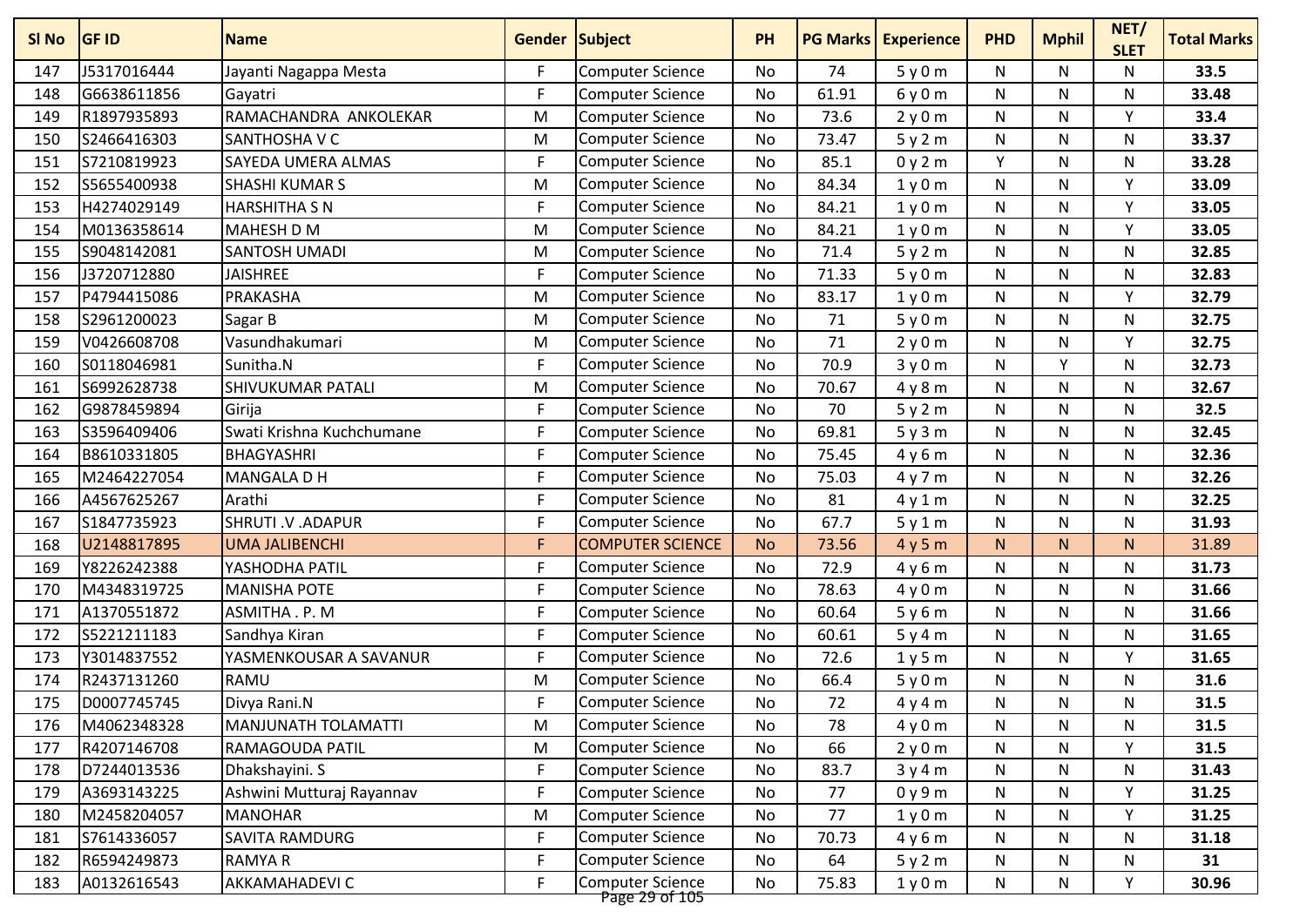| SI <sub>No</sub> | <b>GF ID</b> | <b>Name</b>               | Gender Subject |                                           | <b>PH</b> | <b>PG Marks</b> | <b>Experience</b> | <b>PHD</b>   | <b>Mphil</b> | NET/<br><b>SLET</b> | <b>Total Marks</b> |
|------------------|--------------|---------------------------|----------------|-------------------------------------------|-----------|-----------------|-------------------|--------------|--------------|---------------------|--------------------|
| 147              | J5317016444  | Jayanti Nagappa Mesta     | F.             | <b>Computer Science</b>                   | No        | 74              | 5y0m              | N            | N            | N                   | 33.5               |
| 148              | G6638611856  | Gayatri                   | F.             | <b>Computer Science</b>                   | No        | 61.91           | 6y0m              | N            | N            | N                   | 33.48              |
| 149              | R1897935893  | RAMACHANDRA ANKOLEKAR     | M              | <b>Computer Science</b>                   | <b>No</b> | 73.6            | 2y0m              | $\mathsf{N}$ | N            | Y                   | 33.4               |
| 150              | S2466416303  | <b>SANTHOSHA V C</b>      | M              | <b>Computer Science</b>                   | No        | 73.47           | 5y2m              | N            | N            | N                   | 33.37              |
| 151              | S7210819923  | <b>SAYEDA UMERA ALMAS</b> | F.             | <b>Computer Science</b>                   | No        | 85.1            | 0y2m              | Y            | N            | N                   | 33.28              |
| 152              | S5655400938  | <b>SHASHI KUMAR S</b>     | M              | <b>Computer Science</b>                   | No        | 84.34           | 1y0m              | N            | N            | Y                   | 33.09              |
| 153              | H4274029149  | <b>HARSHITHA S N</b>      | F              | <b>Computer Science</b>                   | No        | 84.21           | 1y0m              | N            | N            | Y                   | 33.05              |
| 154              | M0136358614  | <b>MAHESH D M</b>         | M              | <b>Computer Science</b>                   | No        | 84.21           | 1y0m              | N            | N            | Υ                   | 33.05              |
| 155              | S9048142081  | SANTOSH UMADI             | M              | <b>Computer Science</b>                   | No        | 71.4            | 5y2m              | N            | N            | N                   | 32.85              |
| 156              | J3720712880  | <b>JAISHREE</b>           | F              | <b>Computer Science</b>                   | <b>No</b> | 71.33           | 5y0m              | $\mathsf{N}$ | N            | $\mathsf{N}$        | 32.83              |
| 157              | P4794415086  | PRAKASHA                  | M              | <b>Computer Science</b>                   | No        | 83.17           | 1y0m              | ${\sf N}$    | N            | $\mathsf{v}$        | 32.79              |
| 158              | S2961200023  | Sagar B                   | M              | Computer Science                          | No        | 71              | 5y0m              | N            | N            | $\mathsf{N}$        | 32.75              |
| 159              | V0426608708  | Vasundhakumari            | M              | <b>Computer Science</b>                   | No        | 71              | 2y0m              | N            | N            | Υ                   | 32.75              |
| 160              | S0118046981  | Sunitha.N                 | F              | <b>Computer Science</b>                   | No        | 70.9            | 3y0m              | ${\sf N}$    | v            | N                   | 32.73              |
| 161              | S6992628738  | <b>SHIVUKUMAR PATALI</b>  | M              | <b>Computer Science</b>                   | No        | 70.67           | 4y8m              | $\mathsf{N}$ | N            | N                   | 32.67              |
| 162              | G9878459894  | Girija                    | F              | <b>Computer Science</b>                   | <b>No</b> | 70              | 5y2m              | ${\sf N}$    | N            | N                   | 32.5               |
| 163              | S3596409406  | Swati Krishna Kuchchumane | F.             | <b>Computer Science</b>                   | No        | 69.81           | 5y3m              | N            | N            | N                   | 32.45              |
| 164              | B8610331805  | <b>BHAGYASHRI</b>         | F              | <b>Computer Science</b>                   | <b>No</b> | 75.45           | 4y6m              | N            | N            | N                   | 32.36              |
| 165              | M2464227054  | <b>MANGALA D H</b>        | F              | <b>Computer Science</b>                   | No        | 75.03           | 4y7m              | N            | N            | N                   | 32.26              |
| 166              | A4567625267  | Arathi                    | F.             | <b>Computer Science</b>                   | No        | 81              | 4y1m              | N            | N            | N                   | 32.25              |
| 167              | S1847735923  | SHRUTI .V .ADAPUR         | F              | <b>Computer Science</b>                   | No        | 67.7            | 5y1m              | N            | N            | N                   | 31.93              |
| 168              | U2148817895  | <b>UMA JALIBENCHI</b>     | F              | <b>COMPUTER SCIENCE</b>                   | <b>No</b> | 73.56           | 4y5m              | N            | N.           | N                   | 31.89              |
| 169              | Y8226242388  | YASHODHA PATIL            | F              | <b>Computer Science</b>                   | <b>No</b> | 72.9            | 4y6m              | N            | N            | N                   | 31.73              |
| 170              | M4348319725  | <b>MANISHA POTE</b>       | F.             | <b>Computer Science</b>                   | No        | 78.63           | 4y0m              | N            | N            | N                   | 31.66              |
| 171              | A1370551872  | ASMITHA . P. M            | F.             | <b>Computer Science</b>                   | No        | 60.64           | 5y6m              | $\mathsf{N}$ | N            | N                   | 31.66              |
| 172              | S5221211183  | Sandhya Kiran             | F              | <b>Computer Science</b>                   | No        | 60.61           | 5y4m              | ${\sf N}$    | N            | N                   | 31.65              |
| 173              | Y3014837552  | YASMENKOUSAR A SAVANUR    | F.             | <b>Computer Science</b>                   | No        | 72.6            | 1y5m              | N            | N            | v                   | 31.65              |
| 174              | R2437131260  | <b>RAMU</b>               | M              | <b>Computer Science</b>                   | No        | 66.4            | 5y0m              | N            | N            | N                   | 31.6               |
| 175              | D0007745745  | Divya Rani.N              | F              | <b>Computer Science</b>                   | No        | 72              | 4y4m              | ${\sf N}$    | N            | N                   | 31.5               |
| 176              | M4062348328  | MANJUNATH TOLAMATTI       | M              | Computer Science                          | No        | 78              | 4y0m              | N            | N            | N                   | 31.5               |
| 177              | R4207146708  | <b>RAMAGOUDA PATIL</b>    | M              | <b>Computer Science</b>                   | No        | 66              | 2y0m              | N            | N            | Y                   | 31.5               |
| 178              | D7244013536  | Dhakshayini. S            | F.             | <b>Computer Science</b>                   | No        | 83.7            | 3y4m              | N            | N            | N                   | 31.43              |
| 179              | A3693143225  | Ashwini Mutturaj Rayannav | F.             | <b>Computer Science</b>                   | No        | 77              | 0y9m              | N            | N            | Y                   | 31.25              |
| 180              | M2458204057  | <b>MANOHAR</b>            | M              | <b>Computer Science</b>                   | No        | 77              | 1y0m              | ${\sf N}$    | N            | Y                   | 31.25              |
| 181              | S7614336057  | SAVITA RAMDURG            | F              | <b>Computer Science</b>                   | No        | 70.73           | 4y6m              | N            | N            | N                   | 31.18              |
| 182              | R6594249873  | <b>RAMYAR</b>             | F              | <b>Computer Science</b>                   | No        | 64              | 5y2m              | N            | N            | N                   | 31                 |
| 183              | A0132616543  | AKKAMAHADEVI C            | F              | <b>Computer Science</b><br>Page 29 of 105 | No        | 75.83           | 1y0m              | N            | N            | Υ                   | 30.96              |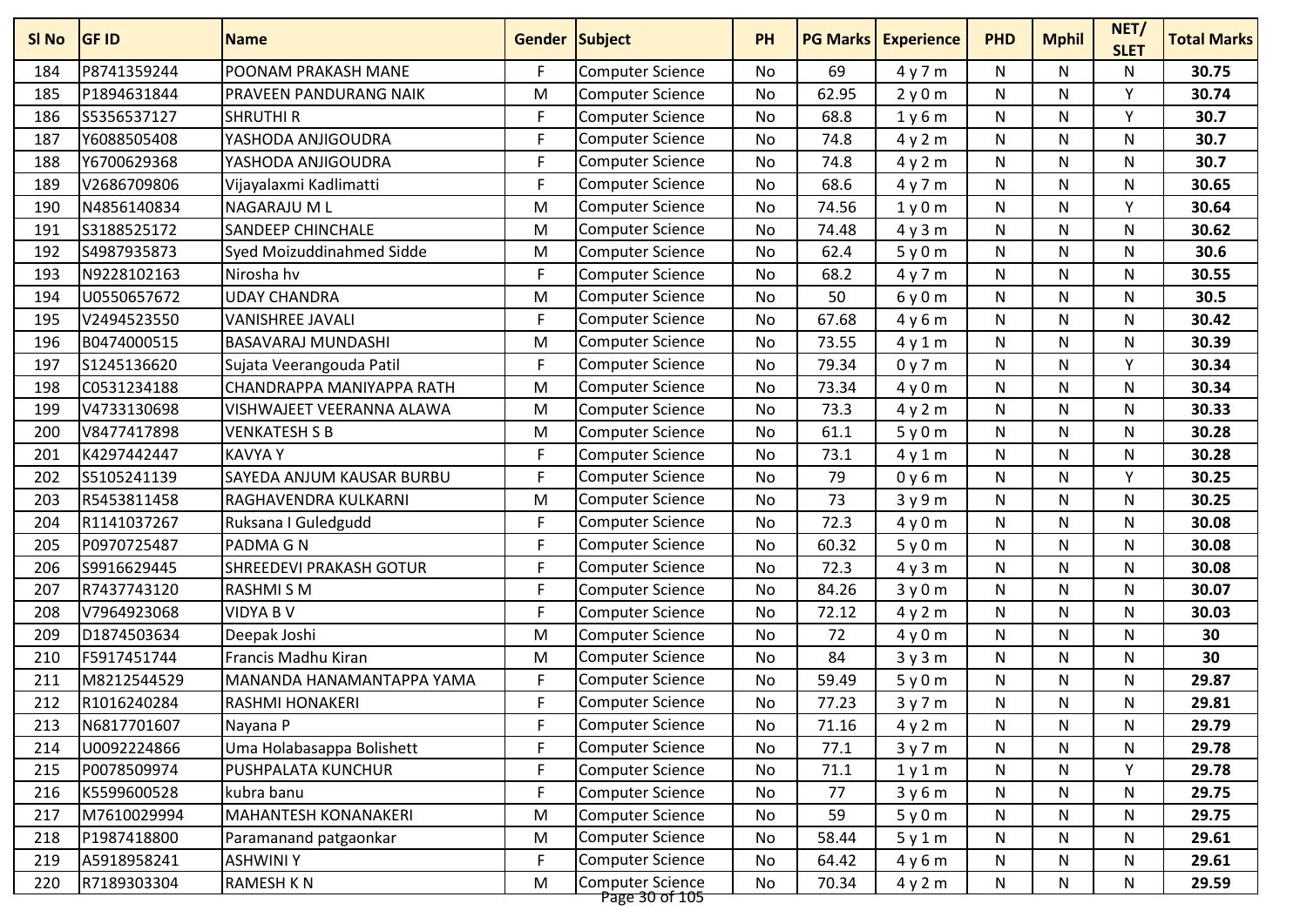| SI No | <b>GF ID</b> | <b>Name</b>                      | <b>Gender Subject</b> |                                           | <b>PH</b> | <b>PG Marks</b> | <b>Experience</b> | <b>PHD</b> | <b>Mphil</b> | NET/<br><b>SLET</b> | <b>Total Marks</b> |
|-------|--------------|----------------------------------|-----------------------|-------------------------------------------|-----------|-----------------|-------------------|------------|--------------|---------------------|--------------------|
| 184   | P8741359244  | POONAM PRAKASH MANE              | F                     | <b>Computer Science</b>                   | No        | 69              | 4y7m              | N          | N            | N                   | 30.75              |
| 185   | P1894631844  | PRAVEEN PANDURANG NAIK           | M                     | <b>Computer Science</b>                   | <b>No</b> | 62.95           | 2y0m              | N          | N            | ٧                   | 30.74              |
| 186   | S5356537127  | <b>SHRUTHI R</b>                 | F                     | <b>Computer Science</b>                   | <b>No</b> | 68.8            | 1y6m              | N          | N            | Y                   | 30.7               |
| 187   | Y6088505408  | YASHODA ANJIGOUDRA               | F                     | <b>Computer Science</b>                   | <b>No</b> | 74.8            | 4y2m              | N          | N            | N                   | 30.7               |
| 188   | Y6700629368  | YASHODA ANJIGOUDRA               | F                     | <b>Computer Science</b>                   | <b>No</b> | 74.8            | 4y2m              | N          | N            | N                   | 30.7               |
| 189   | V2686709806  | Vijayalaxmi Kadlimatti           | F                     | <b>Computer Science</b>                   | No        | 68.6            | 4y7m              | N          | N            | N                   | 30.65              |
| 190   | N4856140834  | NAGARAJU M L                     | M                     | <b>Computer Science</b>                   | <b>No</b> | 74.56           | 1y0m              | N          | N            | Υ                   | 30.64              |
| 191   | S3188525172  | <b>SANDEEP CHINCHALE</b>         | M                     | <b>Computer Science</b>                   | No        | 74.48           | 4y3m              | N          | N            | N                   | 30.62              |
| 192   | S4987935873  | Syed Moizuddinahmed Sidde        | M                     | <b>Computer Science</b>                   | <b>No</b> | 62.4            | 5y0m              | N          | N            | N                   | 30.6               |
| 193   | N9228102163  | Nirosha hv                       | F                     | <b>Computer Science</b>                   | <b>No</b> | 68.2            | 4y7m              | N          | N            | N                   | 30.55              |
| 194   | U0550657672  | <b>UDAY CHANDRA</b>              | M                     | <b>Computer Science</b>                   | No        | 50              | 6y0m              | N          | N            | N                   | 30.5               |
| 195   | V2494523550  | <b>VANISHREE JAVALI</b>          | F                     | <b>Computer Science</b>                   | <b>No</b> | 67.68           | 4y6m              | N          | N            | N                   | 30.42              |
| 196   | B0474000515  | <b>BASAVARAJ MUNDASHI</b>        | M                     | <b>Computer Science</b>                   | <b>No</b> | 73.55           | 4y1m              | N          | N            | N                   | 30.39              |
| 197   | S1245136620  | Sujata Veerangouda Patil         | F                     | <b>Computer Science</b>                   | No        | 79.34           | 0y7m              | N          | N            | ۷                   | 30.34              |
| 198   | C0531234188  | CHANDRAPPA MANIYAPPA RATH        | M                     | <b>Computer Science</b>                   | <b>No</b> | 73.34           | 4y0m              | N          | N            | N                   | 30.34              |
| 199   | V4733130698  | VISHWAJEET VEERANNA ALAWA        | M                     | <b>Computer Science</b>                   | <b>No</b> | 73.3            | 4y2m              | N          | N            | N                   | 30.33              |
| 200   | V8477417898  | <b>VENKATESH S B</b>             | M                     | <b>Computer Science</b>                   | No        | 61.1            | 5y0m              | N          | N            | N                   | 30.28              |
| 201   | K4297442447  | <b>KAVYAY</b>                    | F                     | <b>Computer Science</b>                   | <b>No</b> | 73.1            | 4y1m              | N          | N            | N                   | 30.28              |
| 202   | S5105241139  | <b>SAYEDA ANJUM KAUSAR BURBU</b> | F                     | <b>Computer Science</b>                   | <b>No</b> | 79              | 0y6m              | N          | N            | Υ                   | 30.25              |
| 203   | R5453811458  | RAGHAVENDRA KULKARNI             | M                     | <b>Computer Science</b>                   | No        | 73              | 3y9m              | N          | N            | N                   | 30.25              |
| 204   | R1141037267  | Ruksana I Guledgudd              | F                     | <b>Computer Science</b>                   | <b>No</b> | 72.3            | 4y0m              | N          | N            | N                   | 30.08              |
| 205   | P0970725487  | PADMA G N                        | F                     | <b>Computer Science</b>                   | <b>No</b> | 60.32           | 5y0m              | N          | N            | N                   | 30.08              |
| 206   | S9916629445  | <b>SHREEDEVI PRAKASH GOTUR</b>   | F                     | Computer Science                          | <b>No</b> | 72.3            | 4y3m              | N          | N            | N                   | 30.08              |
| 207   | R7437743120  | <b>RASHMI S M</b>                | F                     | Computer Science                          | <b>No</b> | 84.26           | 3y0m              | N          | N            | N                   | 30.07              |
| 208   | V7964923068  | <b>VIDYA B V</b>                 | F                     | <b>Computer Science</b>                   | No        | 72.12           | 4y2m              | N          | N            | N                   | 30.03              |
| 209   | D1874503634  | Deepak Joshi                     | M                     | <b>Computer Science</b>                   | No        | 72              | 4y0m              | N          | N            | N                   | 30                 |
| 210   | F5917451744  | Francis Madhu Kiran              | M                     | <b>Computer Science</b>                   | No        | 84              | 3y3m              | N          | N            | N                   | 30                 |
| 211   | M8212544529  | MANANDA HANAMANTAPPA YAMA        | F                     | <b>Computer Science</b>                   | No        | 59.49           | 5y0m              | N          | N            | N                   | 29.87              |
| 212   | R1016240284  | <b>RASHMI HONAKERI</b>           | F                     | <b>Computer Science</b>                   | <b>No</b> | 77.23           | 3y7m              | N          | N            | N                   | 29.81              |
| 213   | N6817701607  | Nayana P                         | F                     | <b>Computer Science</b>                   | No        | 71.16           | 4y2m              | N          | N            | N                   | 29.79              |
| 214   | U0092224866  | Uma Holabasappa Bolishett        | F                     | <b>Computer Science</b>                   | No        | 77.1            | 3y7m              | N          | N            | N                   | 29.78              |
| 215   | P0078509974  | PUSHPALATA KUNCHUR               | F                     | <b>Computer Science</b>                   | No        | 71.1            | 1y1m              | N          | N            | Y                   | 29.78              |
| 216   | K5599600528  | kubra banu                       | F                     | Computer Science                          | No        | 77              | 3y6m              | N          | N            | N                   | 29.75              |
| 217   | M7610029994  | MAHANTESH KONANAKERI             | M                     | <b>Computer Science</b>                   | No        | 59              | 5y0m              | N          | N            | N                   | 29.75              |
| 218   | P1987418800  | Paramanand patgaonkar            | M                     | Computer Science                          | No        | 58.44           | 5y1m              | N          | N            | N                   | 29.61              |
| 219   | A5918958241  | <b>ASHWINIY</b>                  | F                     | Computer Science                          | No        | 64.42           | 4y6m              | N          | N            | N                   | 29.61              |
| 220   | R7189303304  | <b>RAMESH KN</b>                 | M                     | <b>Computer Science</b><br>Page 30 of 105 | No        | 70.34           | 4y2m              | N          | N            | N                   | 29.59              |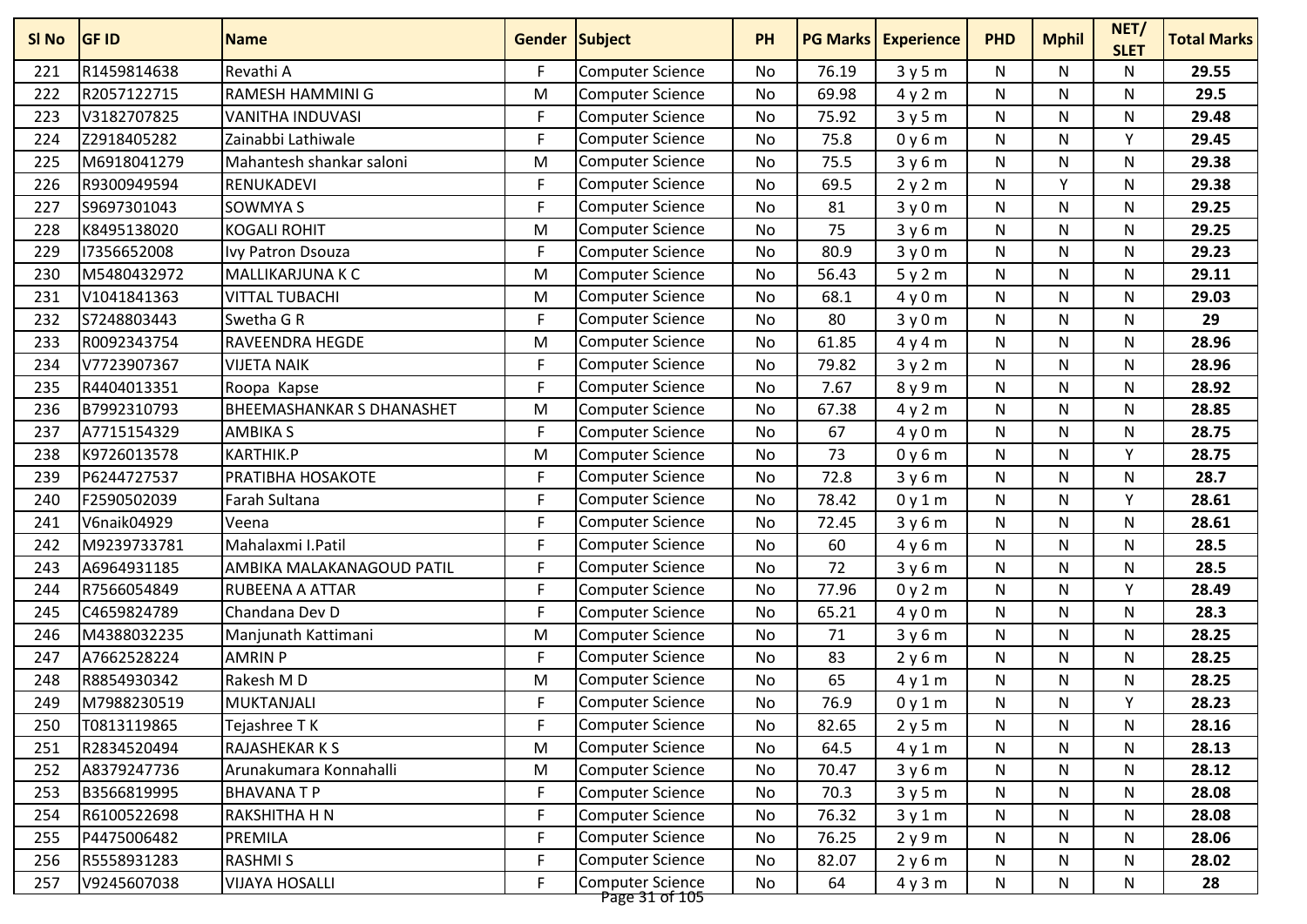| SI <sub>No</sub> | <b>GF ID</b> | <b>Name</b>                      | <b>Gender Subject</b> |                                           | <b>PH</b> |       | <b>PG Marks Experience</b> | <b>PHD</b> | <b>Mphil</b> | NET/<br><b>SLET</b> | <b>Total Marks</b> |
|------------------|--------------|----------------------------------|-----------------------|-------------------------------------------|-----------|-------|----------------------------|------------|--------------|---------------------|--------------------|
| 221              | R1459814638  | Revathi A                        | F                     | Computer Science                          | No        | 76.19 | 3y5m                       | N          | N            | N                   | 29.55              |
| 222              | R2057122715  | RAMESH HAMMINI G                 | M                     | <b>Computer Science</b>                   | No        | 69.98 | 4y2m                       | N          | N            | N                   | 29.5               |
| 223              | V3182707825  | <b>VANITHA INDUVASI</b>          | F                     | <b>Computer Science</b>                   | <b>No</b> | 75.92 | 3y5m                       | N          | N            | N                   | 29.48              |
| 224              | Z2918405282  | Zainabbi Lathiwale               | F                     | <b>Computer Science</b>                   | No        | 75.8  | 0y6m                       | N          | N            | Y                   | 29.45              |
| 225              | M6918041279  | Mahantesh shankar saloni         | M                     | <b>Computer Science</b>                   | <b>No</b> | 75.5  | 3y6m                       | N          | N            | N                   | 29.38              |
| 226              | R9300949594  | RENUKADEVI                       | F                     | <b>Computer Science</b>                   | No        | 69.5  | 2y2m                       | N          | Y            | N                   | 29.38              |
| 227              | S9697301043  | <b>SOWMYA S</b>                  | F                     | <b>Computer Science</b>                   | No        | 81    | 3y0m                       | ${\sf N}$  | N            | $\mathsf{N}$        | 29.25              |
| 228              | K8495138020  | <b>KOGALI ROHIT</b>              | M                     | <b>Computer Science</b>                   | No        | 75    | 3y6m                       | N          | N            | N                   | 29.25              |
| 229              | 17356652008  | Ivy Patron Dsouza                | F                     | <b>Computer Science</b>                   | <b>No</b> | 80.9  | 3y0m                       | N          | N            | N                   | 29.23              |
| 230              | M5480432972  | MALLIKARJUNA K C                 | M                     | <b>Computer Science</b>                   | <b>No</b> | 56.43 | 5y2m                       | N          | N            | N                   | 29.11              |
| 231              | V1041841363  | <b>VITTAL TUBACHI</b>            | M                     | <b>Computer Science</b>                   | No        | 68.1  | 4y0m                       | N          | N            | N                   | 29.03              |
| 232              | S7248803443  | Swetha G R                       | F                     | <b>Computer Science</b>                   | No        | 80    | 3y0m                       | N          | N            | N                   | 29                 |
| 233              | R0092343754  | RAVEENDRA HEGDE                  | M                     | <b>Computer Science</b>                   | No        | 61.85 | 4y4m                       | N          | N            | N                   | 28.96              |
| 234              | V7723907367  | <b>VIJETA NAIK</b>               | F                     | <b>Computer Science</b>                   | No        | 79.82 | 3y2m                       | ${\sf N}$  | N            | N                   | 28.96              |
| 235              | R4404013351  | Roopa Kapse                      | F                     | <b>Computer Science</b>                   | <b>No</b> | 7.67  | 8y9m                       | N          | N            | N                   | 28.92              |
| 236              | B7992310793  | <b>BHEEMASHANKAR S DHANASHET</b> | M                     | <b>Computer Science</b>                   | No        | 67.38 | 4y2m                       | N          | N            | N                   | 28.85              |
| 237              | A7715154329  | <b>AMBIKA S</b>                  | F                     | <b>Computer Science</b>                   | No        | 67    | 4y0m                       | N          | N            | N                   | 28.75              |
| 238              | K9726013578  | <b>KARTHIK.P</b>                 | M                     | <b>Computer Science</b>                   | <b>No</b> | 73    | 0y6m                       | N          | N            | Υ                   | 28.75              |
| 239              | P6244727537  | PRATIBHA HOSAKOTE                | F                     | <b>Computer Science</b>                   | No        | 72.8  | 3y6m                       | N          | N            | $\mathsf{N}$        | 28.7               |
| 240              | F2590502039  | Farah Sultana                    | F                     | <b>Computer Science</b>                   | No        | 78.42 | 0y1m                       | N          | N            | v                   | 28.61              |
| 241              | V6naik04929  | Veena                            | F                     | <b>Computer Science</b>                   | No        | 72.45 | 3y6m                       | N          | N            | N                   | 28.61              |
| 242              | M9239733781  | Mahalaxmi I.Patil                | F                     | <b>Computer Science</b>                   | <b>No</b> | 60    | 4y6m                       | N          | N            | N                   | 28.5               |
| 243              | A6964931185  | AMBIKA MALAKANAGOUD PATIL        | F                     | Computer Science                          | No        | 72    | 3y6m                       | N          | N            | N                   | 28.5               |
| 244              | R7566054849  | RUBEENA A ATTAR                  | F                     | <b>Computer Science</b>                   | No        | 77.96 | 0y2m                       | N          | N            | Υ                   | 28.49              |
| 245              | C4659824789  | Chandana Dev D                   | F                     | <b>Computer Science</b>                   | No        | 65.21 | 4y0m                       | N          | N            | N                   | 28.3               |
| 246              | M4388032235  | Manjunath Kattimani              | M                     | <b>Computer Science</b>                   | No        | 71    | 3y6m                       | ${\sf N}$  | N            | $\mathsf{N}$        | 28.25              |
| 247              | A7662528224  | <b>AMRIN P</b>                   | F                     | <b>Computer Science</b>                   | No        | 83    | 2y6m                       | N          | N            | N                   | 28.25              |
| 248              | R8854930342  | Rakesh M D                       | M                     | <b>Computer Science</b>                   | No        | 65    | 4y1m                       | N          | N            | N                   | 28.25              |
| 249              | M7988230519  | <b>MUKTANJALI</b>                | F                     | <b>Computer Science</b>                   | <b>No</b> | 76.9  | 0y1m                       | N          | N            | Υ                   | 28.23              |
| 250              | T0813119865  | Tejashree TK                     | F                     | <b>Computer Science</b>                   | No        | 82.65 | 2y5m                       | N          | N            | N                   | 28.16              |
| 251              | R2834520494  | RAJASHEKAR K S                   | M                     | <b>Computer Science</b>                   | No        | 64.5  | 4y1m                       | N          | N            | N                   | 28.13              |
| 252              | A8379247736  | Arunakumara Konnahalli           | M                     | <b>Computer Science</b>                   | No        | 70.47 | 3y6m                       | N          | N            | N                   | 28.12              |
| 253              | B3566819995  | <b>BHAVANATP</b>                 | F                     | <b>Computer Science</b>                   | No        | 70.3  | 3y5m                       | N          | N            | N                   | 28.08              |
| 254              | R6100522698  | RAKSHITHA H N                    | F                     | <b>Computer Science</b>                   | No        | 76.32 | 3y1m                       | N          | N            | $\mathsf{N}$        | 28.08              |
| 255              | P4475006482  | PREMILA                          | F                     | <b>Computer Science</b>                   | No        | 76.25 | 2y9m                       | N          | N            | N                   | 28.06              |
| 256              | R5558931283  | <b>RASHMIS</b>                   | F                     | <b>Computer Science</b>                   | No        | 82.07 | 2y6m                       | N          | N            | N                   | 28.02              |
| 257              | V9245607038  | <b>VIJAYA HOSALLI</b>            | F                     | <b>Computer Science</b><br>Page 31 of 105 | No        | 64    | 4y3m                       | N          | N            | N                   | 28                 |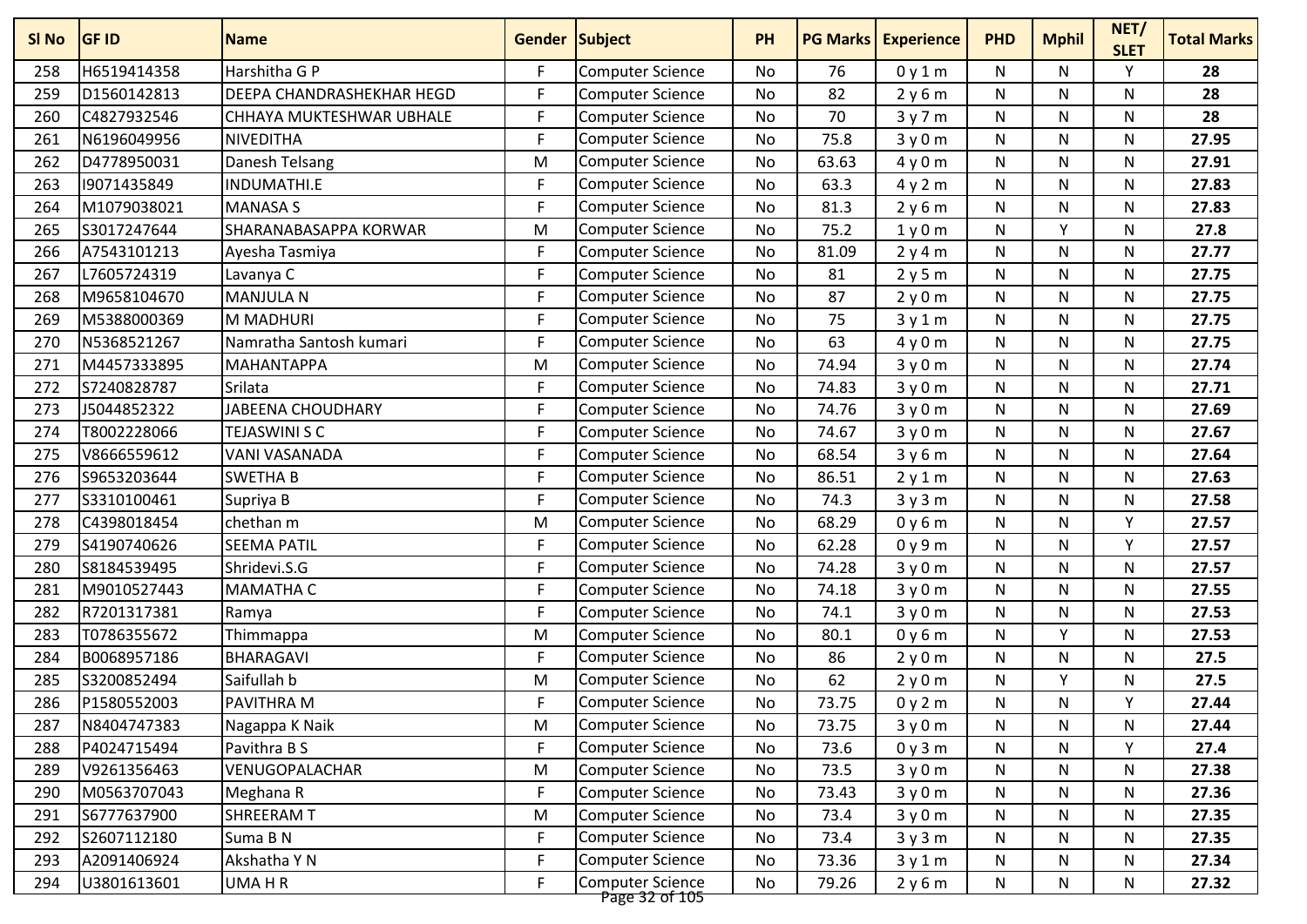| SI No | <b>GF ID</b> | <b>Name</b>               | <b>Gender Subject</b> |                                    | <b>PH</b> |       | <b>PG Marks Experience</b> | <b>PHD</b>   | <b>Mphil</b> | NET/<br><b>SLET</b> | <b>Total Marks</b> |
|-------|--------------|---------------------------|-----------------------|------------------------------------|-----------|-------|----------------------------|--------------|--------------|---------------------|--------------------|
| 258   | H6519414358  | Harshitha G P             | F.                    | <b>Computer Science</b>            | No        | 76    | 0y1m                       | N            | N            | Y                   | 28                 |
| 259   | D1560142813  | DEEPA CHANDRASHEKHAR HEGD | F                     | <b>Computer Science</b>            | No        | 82    | 2y6m                       | N            | N            | N                   | 28                 |
| 260   | C4827932546  | CHHAYA MUKTESHWAR UBHALE  | F                     | <b>Computer Science</b>            | <b>No</b> | 70    | 3y7m                       | ${\sf N}$    | N            | N                   | 28                 |
| 261   | N6196049956  | NIVEDITHA                 | F.                    | Computer Science                   | No        | 75.8  | 3y0m                       | N            | N            | N                   | 27.95              |
| 262   | D4778950031  | Danesh Telsang            | M                     | Computer Science                   | No        | 63.63 | 4y0m                       | N            | N            | N                   | 27.91              |
| 263   | 19071435849  | INDUMATHI.E               | F.                    | <b>Computer Science</b>            | No        | 63.3  | 4y2m                       | N            | N            | N                   | 27.83              |
| 264   | M1079038021  | <b>MANASA S</b>           | F.                    | <b>Computer Science</b>            | No        | 81.3  | 2y6m                       | N            | N            | N                   | 27.83              |
| 265   | S3017247644  | SHARANABASAPPA KORWAR     | M                     | <b>Computer Science</b>            | <b>No</b> | 75.2  | 1y0m                       | $\mathsf{N}$ | <b>V</b>     | N                   | 27.8               |
| 266   | A7543101213  | Ayesha Tasmiya            | F.                    | <b>Computer Science</b>            | <b>No</b> | 81.09 | 2y4m                       | N            | N            | N                   | 27.77              |
| 267   | L7605724319  | Lavanya C                 | F                     | <b>Computer Science</b>            | No        | 81    | 2y5m                       | ${\sf N}$    | N            | N                   | 27.75              |
| 268   | M9658104670  | <b>MANJULA N</b>          | F.                    | <b>Computer Science</b>            | No        | 87    | 2y0m                       | N            | N            | N                   | 27.75              |
| 269   | M5388000369  | <b>M MADHURI</b>          | F.                    | <b>Computer Science</b>            | No        | 75    | 3y1m                       | N            | N            | N                   | 27.75              |
| 270   | N5368521267  | Namratha Santosh kumari   | F.                    | <b>Computer Science</b>            | No        | 63    | 4y0m                       | N            | N            | N                   | 27.75              |
| 271   | M4457333895  | <b>MAHANTAPPA</b>         | M                     | <b>Computer Science</b>            | No        | 74.94 | 3y0m                       | N            | N            | N                   | 27.74              |
| 272   | S7240828787  | Srilata                   | F                     | <b>Computer Science</b>            | <b>No</b> | 74.83 | 3y0m                       | ${\sf N}$    | N            | $\mathsf{N}$        | 27.71              |
| 273   | J5044852322  | JABEENA CHOUDHARY         | F.                    | <b>Computer Science</b>            | No        | 74.76 | 3y0m                       | ${\sf N}$    | N            | N                   | 27.69              |
| 274   | T8002228066  | <b>TEJASWINI S C</b>      | F                     | <b>Computer Science</b>            | No        | 74.67 | 3y0m                       | N            | N            | N                   | 27.67              |
| 275   | V8666559612  | <b>VANI VASANADA</b>      | F.                    | <b>Computer Science</b>            | <b>No</b> | 68.54 | 3y6m                       | N            | N            | N                   | 27.64              |
| 276   | S9653203644  | <b>SWETHA B</b>           | F.                    | <b>Computer Science</b>            | No        | 86.51 | 2y1m                       | N            | N            | N                   | 27.63              |
| 277   | S3310100461  | Supriya B                 | F.                    | <b>Computer Science</b>            | No        | 74.3  | 3y3m                       | N            | N            | N                   | 27.58              |
| 278   | C4398018454  | chethan m                 | M                     | <b>Computer Science</b>            | No        | 68.29 | 0y6m                       | N            | N            | Y                   | 27.57              |
| 279   | S4190740626  | <b>SEEMA PATIL</b>        | F                     | <b>Computer Science</b>            | No        | 62.28 | 0y9m                       | ${\sf N}$    | N            | Y                   | 27.57              |
| 280   | S8184539495  | Shridevi.S.G              | F.                    | Computer Science                   | No        | 74.28 | 3y0m                       | N            | N            | N                   | 27.57              |
| 281   | M9010527443  | <b>MAMATHA C</b>          | F.                    | <b>Computer Science</b>            | No        | 74.18 | 3y0m                       | N            | N            | N                   | 27.55              |
| 282   | R7201317381  | Ramya                     | F.                    | <b>Computer Science</b>            | No        | 74.1  | 3y0m                       | N            | N            | N                   | 27.53              |
| 283   | T0786355672  | Thimmappa                 | M                     | <b>Computer Science</b>            | No        | 80.1  | 0y6m                       | N            | v            | N                   | 27.53              |
| 284   | B0068957186  | <b>BHARAGAVI</b>          | F.                    | <b>Computer Science</b>            | <b>No</b> | 86    | 2y0m                       | $\mathsf{N}$ | N            | N                   | 27.5               |
| 285   | S3200852494  | Saifullah b               | M                     | Computer Science                   | No        | 62    | 2y0m                       | N            | ٧            | N                   | 27.5               |
| 286   | P1580552003  | PAVITHRA M                | F                     | <b>Computer Science</b>            | No        | 73.75 | 0y2m                       | N            | N            | Υ                   | 27.44              |
| 287   | N8404747383  | Nagappa K Naik            | M                     | Computer Science                   | No        | 73.75 | 3y0m                       | N            | N            | N                   | 27.44              |
| 288   | P4024715494  | Pavithra B S              | F.                    | Computer Science                   | No        | 73.6  | 0y3m                       | N            | N            | Υ                   | 27.4               |
| 289   | V9261356463  | VENUGOPALACHAR            | M                     | Computer Science                   | No        | 73.5  | 3y0m                       | N            | N            | N                   | 27.38              |
| 290   | M0563707043  | Meghana R                 | F                     | <b>Computer Science</b>            | No        | 73.43 | 3y0m                       | N            | N            | N                   | 27.36              |
| 291   | S6777637900  | SHREERAM T                | M                     | Computer Science                   | No        | 73.4  | 3y0m                       | $\mathsf{N}$ | N            | N                   | 27.35              |
| 292   | S2607112180  | Suma B N                  | F                     | Computer Science                   | No        | 73.4  | 3y3m                       | N            | N            | N                   | 27.35              |
| 293   | A2091406924  | Akshatha Y N              | F                     | Computer Science                   | No        | 73.36 | 3y1m                       | N            | N            | N                   | 27.34              |
| 294   | U3801613601  | UMA H R                   | F.                    | Computer Science<br>Page 32 of 105 | No        | 79.26 | 2y6m                       | N            | N            | N                   | 27.32              |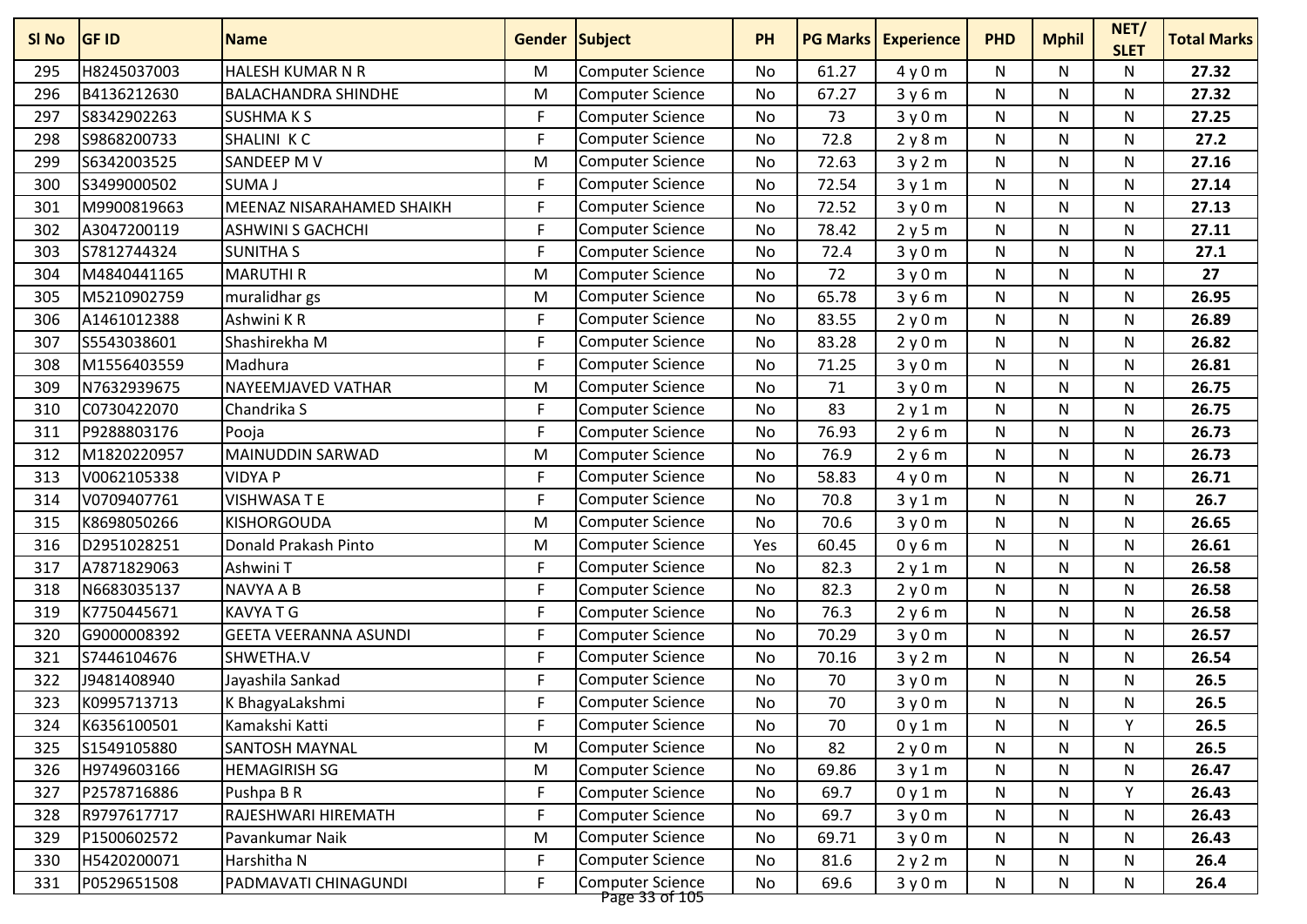| SI No | <b>GF ID</b> | <b>Name</b>                      | Gender Subject |                                           | <b>PH</b> | <b>PG Marks</b> | <b>Experience</b> | <b>PHD</b>   | <b>Mphil</b> | NET/<br><b>SLET</b> | <b>Total Marks</b> |
|-------|--------------|----------------------------------|----------------|-------------------------------------------|-----------|-----------------|-------------------|--------------|--------------|---------------------|--------------------|
| 295   | H8245037003  | <b>HALESH KUMAR N R</b>          | M              | <b>Computer Science</b>                   | No        | 61.27           | 4y0m              | N            | N            | N                   | 27.32              |
| 296   | B4136212630  | <b>BALACHANDRA SHINDHE</b>       | M              | <b>Computer Science</b>                   | No        | 67.27           | 3y6m              | N            | N            | N                   | 27.32              |
| 297   | S8342902263  | <b>SUSHMAKS</b>                  | F.             | <b>Computer Science</b>                   | No        | 73              | 3y0m              | $\mathsf{N}$ | N            | N                   | 27.25              |
| 298   | S9868200733  | SHALINI KC                       | F              | <b>Computer Science</b>                   | No        | 72.8            | 2y8m              | N            | N            | N                   | 27.2               |
| 299   | S6342003525  | SANDEEP M V                      | M              | <b>Computer Science</b>                   | No        | 72.63           | 3y2m              | N            | N            | N                   | 27.16              |
| 300   | S3499000502  | <b>SUMA J</b>                    | F              | <b>Computer Science</b>                   | No        | 72.54           | 3y1m              | N            | N            | N                   | 27.14              |
| 301   | M9900819663  | <b>MEENAZ NISARAHAMED SHAIKH</b> | F              | <b>Computer Science</b>                   | No        | 72.52           | 3y0m              | N            | N            | N                   | 27.13              |
| 302   | A3047200119  | <b>ASHWINI S GACHCHI</b>         | F.             | <b>Computer Science</b>                   | No        | 78.42           | 2y5m              | N            | N            | N                   | 27.11              |
| 303   | S7812744324  | <b>SUNITHA S</b>                 | F              | <b>Computer Science</b>                   | No        | 72.4            | 3y0m              | N            | N            | N                   | 27.1               |
| 304   | M4840441165  | <b>MARUTHIR</b>                  | M              | <b>Computer Science</b>                   | <b>No</b> | 72              | 3y0m              | $\mathsf{N}$ | N            | N                   | 27                 |
| 305   | M5210902759  | muralidhar gs                    | M              | <b>Computer Science</b>                   | No        | 65.78           | 3y6m              | ${\sf N}$    | N            | N                   | 26.95              |
| 306   | A1461012388  | Ashwini KR                       | F              | Computer Science                          | No        | 83.55           | 2y0m              | N            | N            | N                   | 26.89              |
| 307   | S5543038601  | Shashirekha M                    | F              | <b>Computer Science</b>                   | No        | 83.28           | 2y0m              | N            | N            | N                   | 26.82              |
| 308   | M1556403559  | Madhura                          | F              | <b>Computer Science</b>                   | No        | 71.25           | 3y0m              | ${\sf N}$    | N            | N                   | 26.81              |
| 309   | N7632939675  | NAYEEMJAVED VATHAR               | M              | <b>Computer Science</b>                   | No        | 71              | 3y0m              | $\mathsf{N}$ | N            | N                   | 26.75              |
| 310   | C0730422070  | Chandrika S                      | F              | <b>Computer Science</b>                   | No        | 83              | 2y1m              | ${\sf N}$    | N            | N                   | 26.75              |
| 311   | P9288803176  | Pooja                            | F              | <b>Computer Science</b>                   | No        | 76.93           | 2y6m              | ${\sf N}$    | N            | N                   | 26.73              |
| 312   | M1820220957  | <b>MAINUDDIN SARWAD</b>          | M              | <b>Computer Science</b>                   | No        | 76.9            | 2y6m              | N            | N            | N                   | 26.73              |
| 313   | V0062105338  | <b>VIDYA P</b>                   | F              | <b>Computer Science</b>                   | No        | 58.83           | 4y0m              | N            | N            | N                   | 26.71              |
| 314   | V0709407761  | <b>VISHWASA T E</b>              | F.             | <b>Computer Science</b>                   | No        | 70.8            | 3y1m              | N            | N            | N                   | 26.7               |
| 315   | K8698050266  | KISHORGOUDA                      | M              | <b>Computer Science</b>                   | No        | 70.6            | 3y0m              | N            | N            | N                   | 26.65              |
| 316   | D2951028251  | Donald Prakash Pinto             | M              | <b>Computer Science</b>                   | Yes       | 60.45           | 0y6m              | $\mathsf{N}$ | N            | $\mathsf{N}$        | 26.61              |
| 317   | A7871829063  | Ashwini T                        | F.             | <b>Computer Science</b>                   | No        | 82.3            | 2y1m              | N            | N            | N                   | 26.58              |
| 318   | N6683035137  | <b>NAVYA A B</b>                 | F.             | Computer Science                          | No        | 82.3            | 2y0m              | N            | N            | N                   | 26.58              |
| 319   | K7750445671  | <b>KAVYATG</b>                   | F.             | <b>Computer Science</b>                   | No        | 76.3            | 2y6m              | N            | N            | N                   | 26.58              |
| 320   | G9000008392  | <b>GEETA VEERANNA ASUNDI</b>     | F              | <b>Computer Science</b>                   | No        | 70.29           | 3y0m              | ${\sf N}$    | N            | N                   | 26.57              |
| 321   | S7446104676  | SHWETHA.V                        | F.             | <b>Computer Science</b>                   | No        | 70.16           | 3y2m              | N            | N            | $\mathsf{N}$        | 26.54              |
| 322   | J9481408940  | Jayashila Sankad                 | F              | <b>Computer Science</b>                   | No        | 70              | 3y0m              | N            | N            | N                   | 26.5               |
| 323   | K0995713713  | K BhagyaLakshmi                  | F              | <b>Computer Science</b>                   | No        | 70              | 3y0m              | ${\sf N}$    | N            | N                   | 26.5               |
| 324   | K6356100501  | Kamakshi Katti                   | F              | Computer Science                          | No        | 70              | 0y1m              | N            | N            | Y                   | 26.5               |
| 325   | S1549105880  | <b>SANTOSH MAYNAL</b>            | M              | <b>Computer Science</b>                   | No        | 82              | 2y0m              | N            | N            | N                   | 26.5               |
| 326   | H9749603166  | <b>HEMAGIRISH SG</b>             | M              | <b>Computer Science</b>                   | No        | 69.86           | 3y1m              | N            | N            | N                   | 26.47              |
| 327   | P2578716886  | Pushpa B R                       | F              | <b>Computer Science</b>                   | No        | 69.7            | 0y1m              | N            | N            | Υ                   | 26.43              |
| 328   | R9797617717  | RAJESHWARI HIREMATH              | F              | <b>Computer Science</b>                   | No        | 69.7            | 3y0m              | ${\sf N}$    | N            | $\mathsf{N}$        | 26.43              |
| 329   | P1500602572  | Pavankumar Naik                  | M              | <b>Computer Science</b>                   | No        | 69.71           | 3y0m              | N            | N            | N                   | 26.43              |
| 330   | H5420200071  | Harshitha N                      | F              | <b>Computer Science</b>                   | No        | 81.6            | 2y2m              | N            | N            | N                   | 26.4               |
| 331   | P0529651508  | PADMAVATI CHINAGUNDI             | F              | <b>Computer Science</b><br>Page 33 of 105 | No        | 69.6            | 3y0m              | N            | N            | N                   | 26.4               |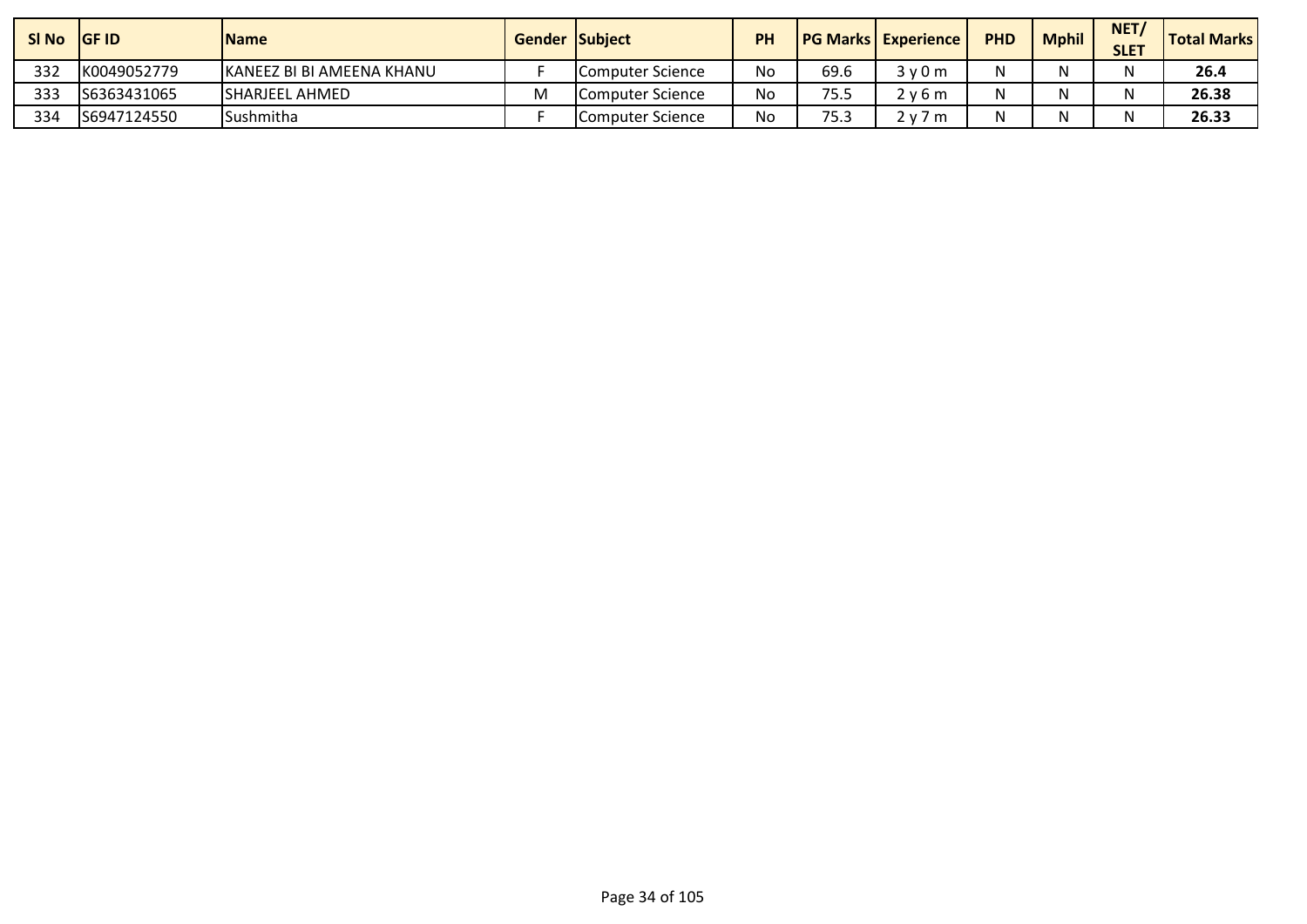| SI No | <b>IGF ID</b> | <b>Name</b>                | <b>Gender Subject</b> |                  | PH |      | <b>PG Marks Experience</b>           | <b>PHD</b> | <b>Mphil</b> | NET<br><b>SLET</b> | <b>Total Marks</b> |
|-------|---------------|----------------------------|-----------------------|------------------|----|------|--------------------------------------|------------|--------------|--------------------|--------------------|
| 332   | K0049052779   | IKANEEZ BI BI AMEENA KHANU |                       | Computer Science | No | 69.6 | 3v0m                                 |            |              |                    | 26.4               |
| 333   | S6363431065   | ISHARJEEL AHMED            | M                     | Computer Science | No | 75.5 | 2 v 6 m                              |            |              |                    | 26.38              |
| 334   | S6947124550   | <b>Sushmitha</b>           |                       | Computer Science | No | 75.3 | 7 m<br>$\overline{J}$ $\overline{M}$ |            |              |                    | 26.33              |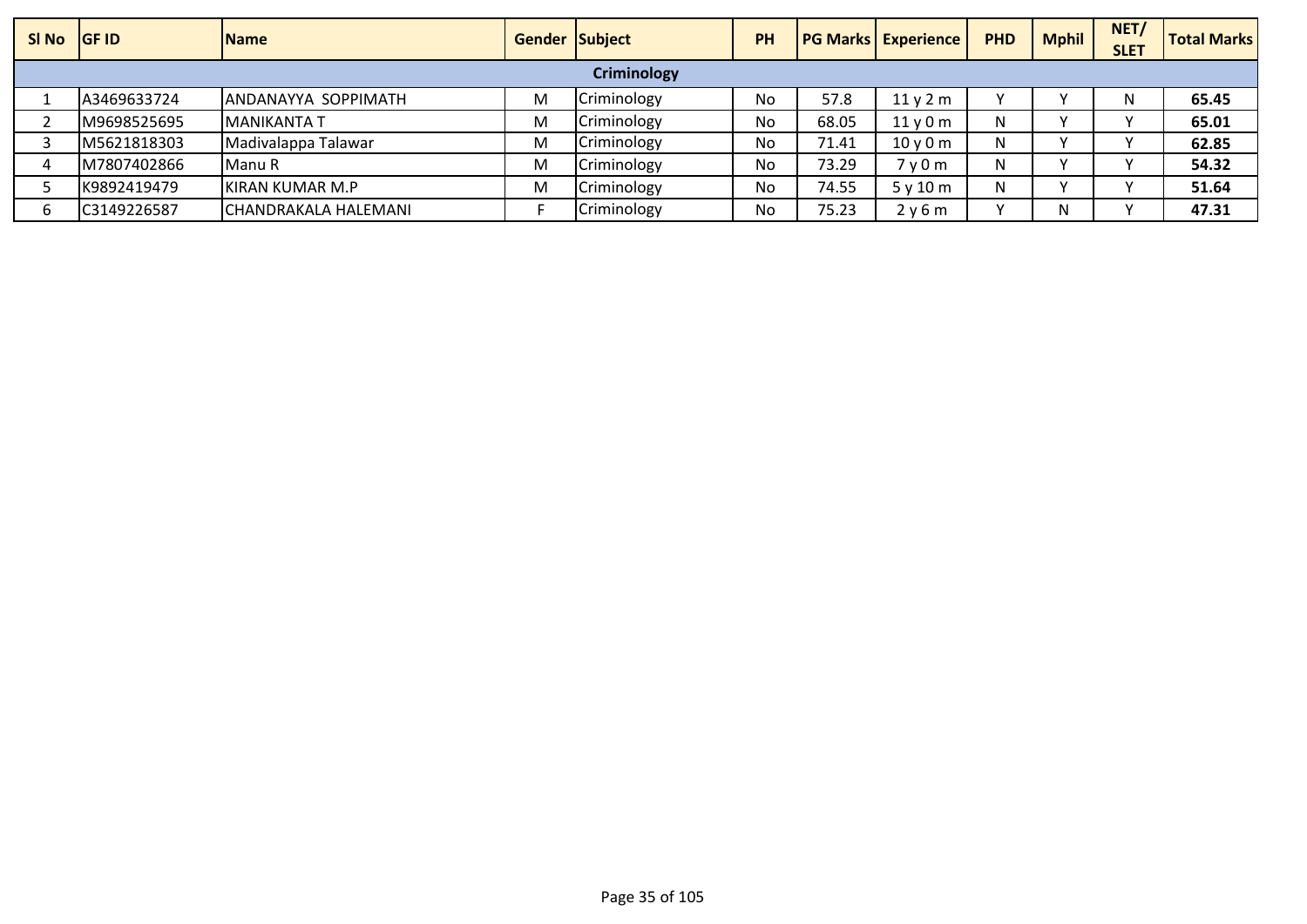| SI No | <b>IGF ID</b> | <b>IName</b>         | <b>Gender Subject</b> |                    | <b>PH</b> |       | <b>PG Marks Experience</b>    | <b>PHD</b> | <b>Mphil</b> | NET/<br><b>SLET</b> | <b>Total Marks</b> |
|-------|---------------|----------------------|-----------------------|--------------------|-----------|-------|-------------------------------|------------|--------------|---------------------|--------------------|
|       |               |                      |                       | <b>Criminology</b> |           |       |                               |            |              |                     |                    |
|       | A3469633724   | ANDANAYYA SOPPIMATH  | М                     | Criminology        | No        | 57.8  | 11v2m                         |            |              | N                   | 65.45              |
|       | M9698525695   | <b>IMANIKANTA T</b>  | M                     | Criminology        | No        | 68.05 | 11v0m                         | N          |              |                     | 65.01              |
|       | M5621818303   | Madivalappa Talawar  | м                     | Criminology        | <b>No</b> | 71.41 | $10v$ 0 m                     | N          |              |                     | 62.85              |
|       | M7807402866   | Manu R               | M                     | Criminology        | No        | 73.29 | 7 <sub>V</sub> 0 <sub>m</sub> | N          |              |                     | 54.32              |
|       | K9892419479   | KIRAN KUMAR M.P      | M                     | Criminology        | No        | 74.55 | 5y10m                         | N          |              |                     | 51.64              |
|       | C3149226587   | CHANDRAKALA HALEMANI |                       | Criminology        | No        | 75.23 | 2y6m                          | $\lambda$  | N            |                     | 47.31              |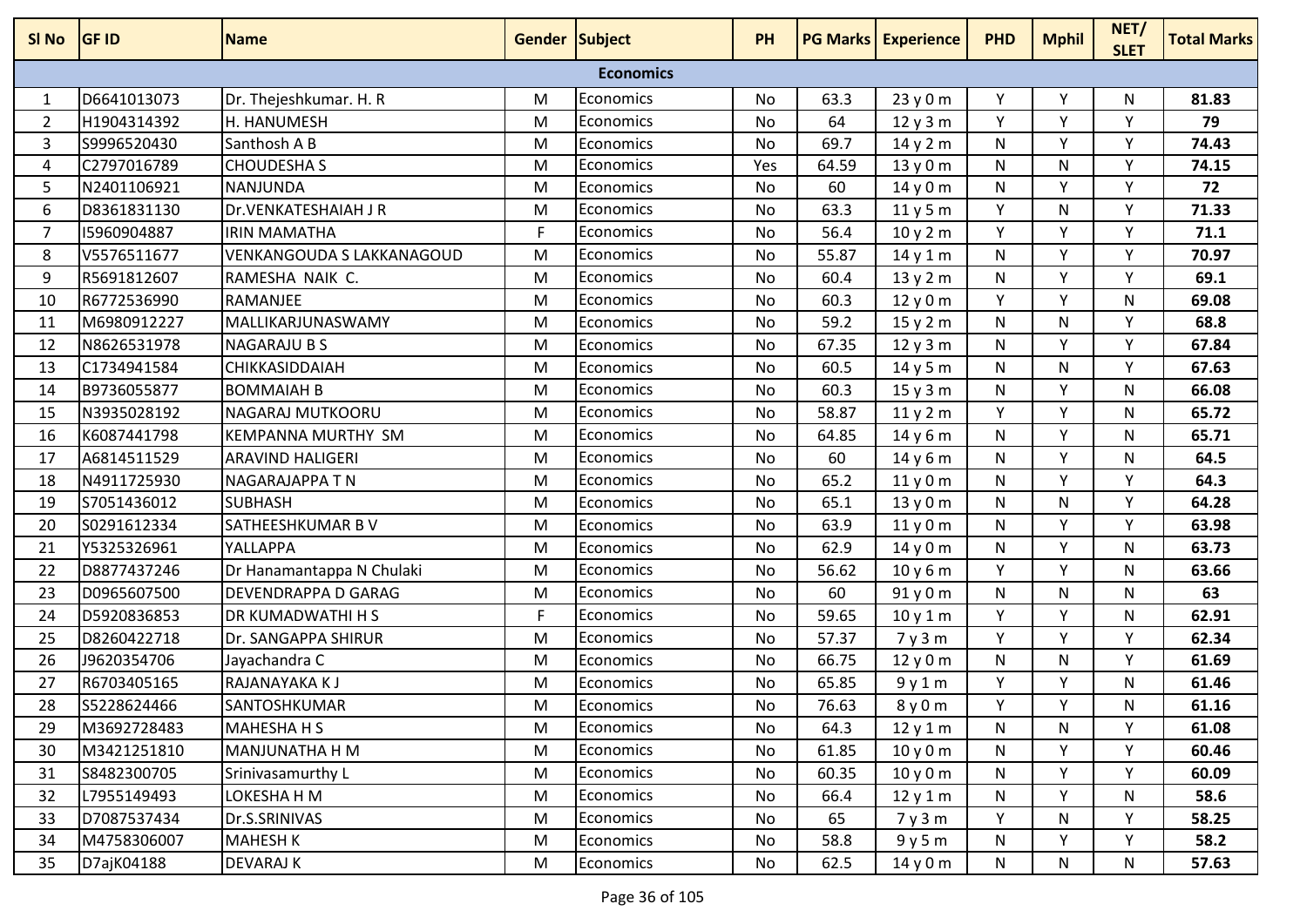| SI No          | <b>GF ID</b> | <b>Name</b>                | <b>Gender Subject</b> |                  | <b>PH</b> |       | <b>PG Marks Experience</b> | <b>PHD</b> | <b>Mphil</b> | NET/<br><b>SLET</b> | <b>Total Marks</b> |
|----------------|--------------|----------------------------|-----------------------|------------------|-----------|-------|----------------------------|------------|--------------|---------------------|--------------------|
|                |              |                            |                       | <b>Economics</b> |           |       |                            |            |              |                     |                    |
| 1              | D6641013073  | Dr. Thejeshkumar. H. R     | M                     | Economics        | No        | 63.3  | 23 y 0 m                   | Y          | Y            | N                   | 81.83              |
| $\overline{2}$ | H1904314392  | H. HANUMESH                | M                     | Economics        | No        | 64    | 12y3m                      | Y          | Y            | Υ                   | 79                 |
| 3              | S9996520430  | Santhosh A B               | M                     | Economics        | <b>No</b> | 69.7  | 14 y 2 m                   | N          | Y            | Y                   | 74.43              |
| 4              | C2797016789  | <b>CHOUDESHA S</b>         | M                     | Economics        | Yes       | 64.59 | 13y0m                      | N          | N            | Y                   | 74.15              |
| 5              | N2401106921  | <b>NANJUNDA</b>            | M                     | Economics        | No        | 60    | 14y0m                      | N          | Υ            | Υ                   | 72                 |
| 6              | D8361831130  | Dr.VENKATESHAIAH J R       | M                     | Economics        | No        | 63.3  | 11y5m                      | Y          | N            | Y                   | 71.33              |
| $\overline{7}$ | 15960904887  | <b>IRIN MAMATHA</b>        | F                     | Economics        | No        | 56.4  | 10y2m                      | Y          | Y            | Υ                   | 71.1               |
| 8              | V5576511677  | VENKANGOUDA S LAKKANAGOUD  | M                     | Economics        | No        | 55.87 | 14y1m                      | N          | Y            | Y                   | 70.97              |
| 9              | R5691812607  | RAMESHA NAIK C.            | M                     | Economics        | No        | 60.4  | 13y2m                      | N          | Y            | Y                   | 69.1               |
| 10             | R6772536990  | RAMANJEE                   | M                     | Economics        | No        | 60.3  | 12y0m                      | Y          | Y            | N                   | 69.08              |
| 11             | M6980912227  | MALLIKARJUNASWAMY          | M                     | Economics        | No        | 59.2  | 15y2m                      | N          | N            | Y                   | 68.8               |
| 12             | N8626531978  | <b>NAGARAJU B S</b>        | M                     | Economics        | No        | 67.35 | 12y3m                      | N          | v            | ٧                   | 67.84              |
| 13             | C1734941584  | CHIKKASIDDAIAH             | M                     | Economics        | <b>No</b> | 60.5  | 14 y 5 m                   | N          | N            | Y                   | 67.63              |
| 14             | B9736055877  | <b>BOMMAIAH B</b>          | M                     | Economics        | No        | 60.3  | 15y3m                      | N          | Y            | N                   | 66.08              |
| 15             | N3935028192  | NAGARAJ MUTKOORU           | M                     | Economics        | No        | 58.87 | 11y2m                      | Y          | Y            | N                   | 65.72              |
| 16             | K6087441798  | <b>KEMPANNA MURTHY SM</b>  | M                     | Economics        | <b>No</b> | 64.85 | 14 y 6 m                   | N          | Y            | N                   | 65.71              |
| 17             | A6814511529  | <b>ARAVIND HALIGERI</b>    | M                     | Economics        | No        | 60    | 14y6m                      | N          | Y            | N                   | 64.5               |
| 18             | N4911725930  | <b>NAGARAJAPPA TN</b>      | M                     | Economics        | No        | 65.2  | 11y0m                      | N          | Y            | Υ                   | 64.3               |
| 19             | S7051436012  | <b>SUBHASH</b>             | M                     | <b>Economics</b> | No        | 65.1  | 13y0m                      | N          | N            | Υ                   | 64.28              |
| 20             | S0291612334  | SATHEESHKUMAR BV           | M                     | Economics        | <b>No</b> | 63.9  | 11y0m                      | N          | Y            | Y                   | 63.98              |
| 21             | Y5325326961  | YALLAPPA                   | M                     | Economics        | No        | 62.9  | 14 y 0 m                   | N          | Y            | N                   | 63.73              |
| 22             | D8877437246  | Dr Hanamantappa N Chulaki  | M                     | Economics        | No        | 56.62 | 10y6m                      | Y          | Y            | N                   | 63.66              |
| 23             | D0965607500  | <b>DEVENDRAPPA D GARAG</b> | M                     | Economics        | No        | 60    | 91 y 0 m                   | N          | N            | N                   | 63                 |
| 24             | D5920836853  | DR KUMADWATHI H S          | F                     | Economics        | No        | 59.65 | 10y1m                      | Y          | Y            | N                   | 62.91              |
| 25             | D8260422718  | Dr. SANGAPPA SHIRUR        | M                     | Economics        | No        | 57.37 | 7y3m                       | Y          | Y            | Y                   | 62.34              |
| 26             | J9620354706  | Jayachandra C              | M                     | Economics        | No        | 66.75 | 12y0m                      | N          | N            | Y                   | 61.69              |
| 27             | R6703405165  | RAJANAYAKA K J             | M                     | Economics        | No        | 65.85 | 9y1m                       | Y          | Y            | N                   | 61.46              |
| 28             | S5228624466  | <b>SANTOSHKUMAR</b>        | M                     | Economics        | No        | 76.63 | 8y0m                       | Y          | Y            | N                   | 61.16              |
| 29             | M3692728483  | <b>MAHESHA H S</b>         | M                     | Economics        | No        | 64.3  | 12y1m                      | N          | N            | Y                   | 61.08              |
| 30             | M3421251810  | <b>MANJUNATHA H M</b>      | M                     | Economics        | No        | 61.85 | 10y0m                      | N          | Y            | Y                   | 60.46              |
| 31             | S8482300705  | Srinivasamurthy L          | M                     | Economics        | No        | 60.35 | 10y0m                      | N          | Υ            | Υ                   | 60.09              |
| 32             | L7955149493  | LOKESHA H M                | M                     | Economics        | No        | 66.4  | 12y1m                      | N          | Y            | N                   | 58.6               |
| 33             | D7087537434  | Dr.S.SRINIVAS              | M                     | Economics        | No        | 65    | 7y3m                       | Y          | N            | Y                   | 58.25              |
| 34             | M4758306007  | <b>MAHESH K</b>            | M                     | Economics        | No        | 58.8  | 9y5m                       | N          | Y            | Y                   | 58.2               |
| 35             | D7ajK04188   | <b>DEVARAJ K</b>           | M                     | Economics        | No        | 62.5  | 14 y 0 m                   | N          | N            | N                   | 57.63              |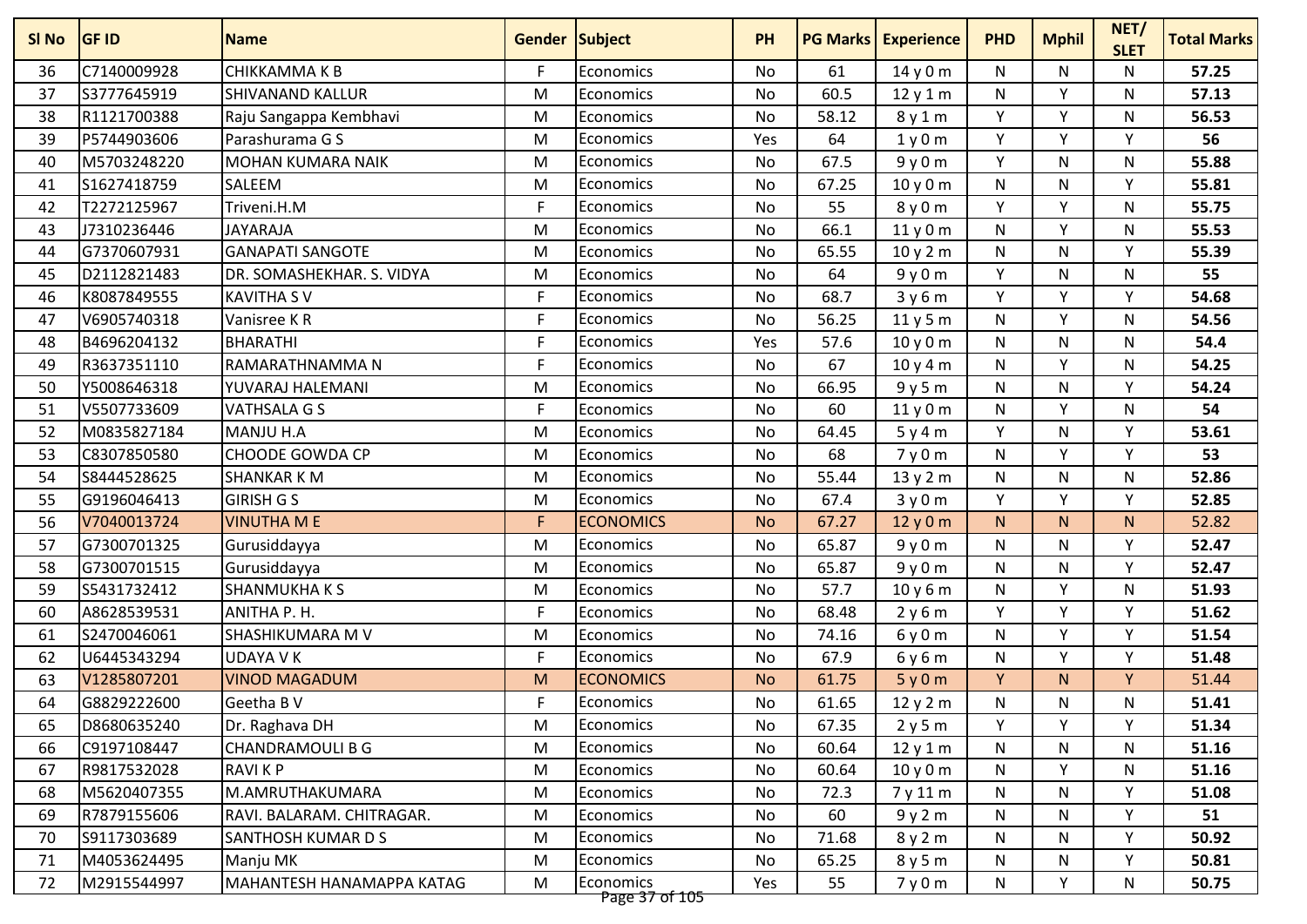| SI No | <b>GF ID</b> | <b>Name</b>                      | <b>Gender Subject</b> |                             | <b>PH</b> | <b>PG Marks</b> | <b>Experience</b> | <b>PHD</b>   | <b>Mphil</b> | NET/<br><b>SLET</b> | <b>Total Marks</b> |
|-------|--------------|----------------------------------|-----------------------|-----------------------------|-----------|-----------------|-------------------|--------------|--------------|---------------------|--------------------|
| 36    | C7140009928  | <b>CHIKKAMMAKB</b>               | F.                    | Economics                   | No        | 61              | 14 y 0 m          | N            | N            | N                   | 57.25              |
| 37    | S3777645919  | <b>SHIVANAND KALLUR</b>          | M                     | Economics                   | No        | 60.5            | 12y1m             | N            | ٧            | N                   | 57.13              |
| 38    | R1121700388  | Raju Sangappa Kembhavi           | M                     | Economics                   | <b>No</b> | 58.12           | 8y1m              | Y            | Y            | $\mathsf{N}$        | 56.53              |
| 39    | P5744903606  | Parashurama G S                  | M                     | Economics                   | Yes       | 64              | 1y0m              | Y            | Y            | Y                   | 56                 |
| 40    | M5703248220  | <b>MOHAN KUMARA NAIK</b>         | M                     | Economics                   | No        | 67.5            | 9y0m              | Y            | N            | N                   | 55.88              |
| 41    | S1627418759  | <b>SALEEM</b>                    | M                     | Economics                   | No        | 67.25           | 10y0m             | N            | N            | Y                   | 55.81              |
| 42    | T2272125967  | Triveni.H.M                      | F                     | Economics                   | No        | 55              | 8y0m              | Y            | Υ            | N                   | 55.75              |
| 43    | J7310236446  | <b>JAYARAJA</b>                  | M                     | <b>Economics</b>            | No        | 66.1            | 11y0m             | N            | Υ            | N                   | 55.53              |
| 44    | G7370607931  | <b>GANAPATI SANGOTE</b>          | M                     | <b>Economics</b>            | No        | 65.55           | 10y2m             | $\mathsf{N}$ | N            | Y                   | 55.39              |
| 45    | D2112821483  | DR. SOMASHEKHAR. S. VIDYA        | M                     | Economics                   | <b>No</b> | 64              | 9y0m              | Y            | N            | N                   | 55                 |
| 46    | K8087849555  | <b>KAVITHA SV</b>                | F                     | <b>Economics</b>            | No        | 68.7            | 3y6m              | Υ            | v            | v                   | 54.68              |
| 47    | V6905740318  | Vanisree KR                      | $\mathsf F$           | Economics                   | No        | 56.25           | 11y5m             | N            | Y            | N                   | 54.56              |
| 48    | B4696204132  | <b>BHARATHI</b>                  | E                     | Economics                   | Yes       | 57.6            | 10y0m             | N            | N            | N                   | 54.4               |
| 49    | R3637351110  | RAMARATHNAMMA N                  | F                     | <b>Economics</b>            | No        | 67              | 10y4m             | ${\sf N}$    | v            | N                   | 54.25              |
| 50    | Y5008646318  | YUVARAJ HALEMANI                 | M                     | Economics                   | No        | 66.95           | 9y5m              | $\mathsf{N}$ | N            | Y                   | 54.24              |
| 51    | V5507733609  | VATHSALA G S                     | F                     | Economics                   | No        | 60              | 11y0m             | ${\sf N}$    | v            | N                   | 54                 |
| 52    | M0835827184  | MANJU H.A                        | M                     | Economics                   | No        | 64.45           | 5y4m              | Y            | N            | Y                   | 53.61              |
| 53    | C8307850580  | <b>CHOODE GOWDA CP</b>           | M                     | Economics                   | No        | 68              | 7y0m              | N            | Y            | Y                   | 53                 |
| 54    | S8444528625  | <b>SHANKAR K M</b>               | M                     | Economics                   | No        | 55.44           | 13y2m             | ${\sf N}$    | N            | $\mathsf{N}$        | 52.86              |
| 55    | G9196046413  | <b>GIRISH G S</b>                | M                     | Economics                   | No        | 67.4            | 3y0m              | Y            | v            | Y                   | 52.85              |
| 56    | V7040013724  | <b>VINUTHA M E</b>               | F                     | <b>ECONOMICS</b>            | <b>No</b> | 67.27           | 12y0m             | N            | N            | N                   | 52.82              |
| 57    | G7300701325  | Gurusiddayya                     | M                     | Economics                   | No        | 65.87           | 9y0m              | ${\sf N}$    | N            | Y                   | 52.47              |
| 58    | G7300701515  | Gurusiddayya                     | M                     | Economics                   | No        | 65.87           | 9y0m              | ${\sf N}$    | N            | Y                   | 52.47              |
| 59    | S5431732412  | <b>SHANMUKHAKS</b>               | M                     | Economics                   | No        | 57.7            | 10 y 6 m          | N            | Y            | N                   | 51.93              |
| 60    | A8628539531  | ANITHA P. H.                     | F                     | Economics                   | No        | 68.48           | 2y6m              | Y            | Y            | Y                   | 51.62              |
| 61    | S2470046061  | <b>SHASHIKUMARA M V</b>          | M                     | Economics                   | No        | 74.16           | 6y0m              | ${\sf N}$    | Υ            | Y                   | 51.54              |
| 62    | U6445343294  | <b>UDAYA V K</b>                 | F.                    | <b>Economics</b>            | No        | 67.9            | 6y6m              | $\mathsf{N}$ | Y            | Y                   | 51.48              |
| 63    | V1285807201  | <b>VINOD MAGADUM</b>             | M                     | <b>ECONOMICS</b>            | <b>No</b> | 61.75           | 5y0m              | Y            | N.           | Y                   | 51.44              |
| 64    | G8829222600  | Geetha B V                       | F.                    | Economics                   | No        | 61.65           | 12 y 2 m          | ${\sf N}$    | N            | N                   | 51.41              |
| 65    | D8680635240  | Dr. Raghava DH                   | M                     | Economics                   | No        | 67.35           | 2y5m              | Y            | Υ            | Y                   | 51.34              |
| 66    | C9197108447  | <b>CHANDRAMOULI B G</b>          | M                     | Economics                   | No        | 60.64           | 12y1m             | N            | N            | N                   | 51.16              |
| 67    | R9817532028  | <b>RAVIKP</b>                    | M                     | Economics                   | No        | 60.64           | 10y0m             | N            | Υ            | N                   | 51.16              |
| 68    | M5620407355  | M.AMRUTHAKUMARA                  | M                     | Economics                   | No        | 72.3            | 7 y 11 m          | N            | N            | v                   | 51.08              |
| 69    | R7879155606  | RAVI. BALARAM. CHITRAGAR.        | M                     | Economics                   | No        | 60              | 9y2m              | N            | N            | Y                   | 51                 |
| 70    | S9117303689  | SANTHOSH KUMAR D S               | M                     | Economics                   | No        | 71.68           | 8y2m              | N            | N            | Y                   | 50.92              |
| 71    | M4053624495  | Manju MK                         | M                     | Economics                   | No        | 65.25           | 8y5m              | N            | N            | Y                   | 50.81              |
| 72    | M2915544997  | <b>MAHANTESH HANAMAPPA KATAG</b> | M                     | Economics<br>Page 37 of 105 | Yes       | 55              | 7y0m              | N            | Y            | N                   | 50.75              |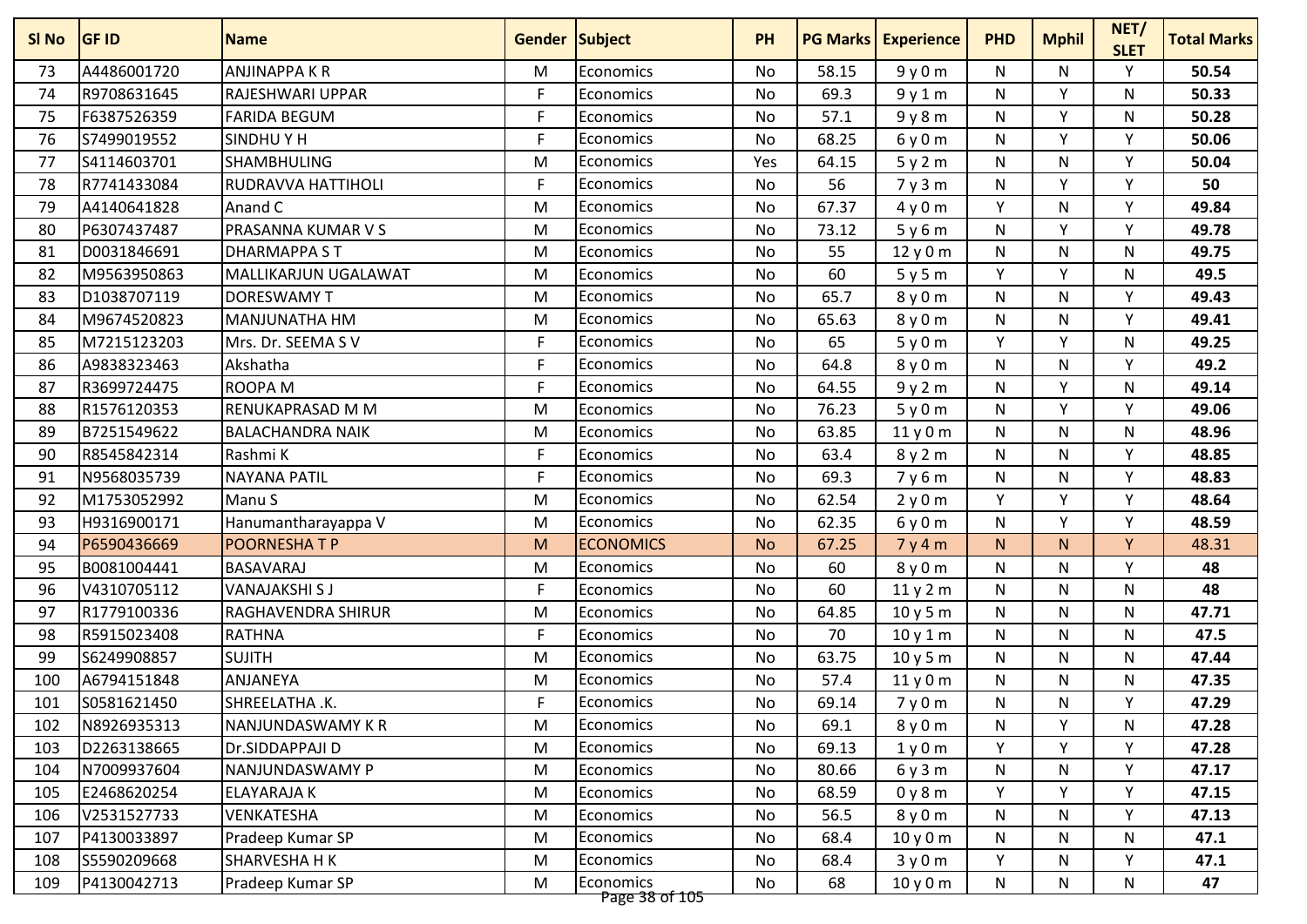| SI No | <b>GF ID</b> | <b>Name</b>               | <b>Gender Subject</b> |                             | <b>PH</b> | <b>PG Marks</b> | <b>Experience</b> | <b>PHD</b>   | <b>Mphil</b> | NET/<br><b>SLET</b> | <b>Total Marks</b> |
|-------|--------------|---------------------------|-----------------------|-----------------------------|-----------|-----------------|-------------------|--------------|--------------|---------------------|--------------------|
| 73    | A4486001720  | <b>ANJINAPPA K R</b>      | м                     | Economics                   | No        | 58.15           | 9y0m              | N            | N            | Y                   | 50.54              |
| 74    | R9708631645  | <b>RAJESHWARI UPPAR</b>   | F                     | <b>Economics</b>            | No        | 69.3            | 9y1m              | N            | Y            | N                   | 50.33              |
| 75    | F6387526359  | <b>FARIDA BEGUM</b>       | F                     | Economics                   | <b>No</b> | 57.1            | 9y8m              | ${\sf N}$    | Y            | N                   | 50.28              |
| 76    | S7499019552  | <b>SINDHUYH</b>           | F                     | <b>Economics</b>            | No        | 68.25           | 6y0m              | N            | Y            | Y                   | 50.06              |
| 77    | S4114603701  | <b>SHAMBHULING</b>        | M                     | Economics                   | Yes       | 64.15           | 5y2m              | ${\sf N}$    | N            | Y                   | 50.04              |
| 78    | R7741433084  | <b>RUDRAVVA HATTIHOLI</b> | F                     | <b>Economics</b>            | No        | 56              | 7y3m              | N            | ٧            | Υ                   | 50                 |
| 79    | A4140641828  | Anand C                   | M                     | <b>Economics</b>            | No        | 67.37           | 4y0m              | Υ            | N            | $\checkmark$        | 49.84              |
| 80    | P6307437487  | <b>PRASANNA KUMAR V S</b> | M                     | Economics                   | <b>No</b> | 73.12           | 5y6m              | $\mathsf{N}$ | Y            | Y                   | 49.78              |
| 81    | D0031846691  | <b>DHARMAPPA ST</b>       | M                     | <b>Economics</b>            | No        | 55              | 12y0m             | ${\sf N}$    | N            | N                   | 49.75              |
| 82    | M9563950863  | MALLIKARJUN UGALAWAT      | M                     | Economics                   | <b>No</b> | 60              | 5y5m              | Y            | Y            | N                   | 49.5               |
| 83    | D1038707119  | <b>DORESWAMY T</b>        | M                     | Economics                   | No        | 65.7            | 8y0m              | N            | N            | Y                   | 49.43              |
| 84    | M9674520823  | <b>MANJUNATHA HM</b>      | M                     | Economics                   | No        | 65.63           | 8y0m              | ${\sf N}$    | N            | Y                   | 49.41              |
| 85    | M7215123203  | Mrs. Dr. SEEMA S V        | F                     | <b>Economics</b>            | No        | 65              | 5y0m              | Y            | v            | N                   | 49.25              |
| 86    | A9838323463  | Akshatha                  | F                     | Economics                   | No        | 64.8            | 8y0m              | N            | N            | Y                   | 49.2               |
| 87    | R3699724475  | <b>ROOPA M</b>            | F                     | Economics                   | <b>No</b> | 64.55           | 9y2m              | $\mathsf{N}$ | Y            | $\mathsf{N}$        | 49.14              |
| 88    | R1576120353  | RENUKAPRASAD M M          | M                     | Economics                   | No        | 76.23           | 5y0m              | ${\sf N}$    | Υ            | Y                   | 49.06              |
| 89    | B7251549622  | <b>BALACHANDRA NAIK</b>   | M                     | Economics                   | No        | 63.85           | 11 y 0 m          | N            | N            | N                   | 48.96              |
| 90    | R8545842314  | Rashmi K                  | F                     | Economics                   | <b>No</b> | 63.4            | 8y2m              | N            | N            | Y                   | 48.85              |
| 91    | N9568035739  | <b>NAYANA PATIL</b>       | F                     | <b>Economics</b>            | No        | 69.3            | 7y6m              | N            | N            | $\mathsf{v}$        | 48.83              |
| 92    | M1753052992  | Manu S                    | M                     | <b>Economics</b>            | No        | 62.54           | 2y0m              | Υ            | v            | $\mathsf{v}$        | 48.64              |
| 93    | H9316900171  | Hanumantharayappa V       | M                     | <b>Economics</b>            | No        | 62.35           | 6y0m              | N            | v            | $\mathsf{v}$        | 48.59              |
| 94    | P6590436669  | <b>POORNESHATP</b>        | M                     | <b>ECONOMICS</b>            | <b>No</b> | 67.25           | 7y4m              | N            | N.           | Y                   | 48.31              |
| 95    | B0081004441  | <b>BASAVARAJ</b>          | M                     | Economics                   | No        | 60              | 8y0m              | N            | N            | Y                   | 48                 |
| 96    | V4310705112  | <b>VANAJAKSHISJ</b>       | F                     | Economics                   | No        | 60              | 11y2m             | N            | N            | N                   | 48                 |
| 97    | R1779100336  | <b>RAGHAVENDRA SHIRUR</b> | M                     | Economics                   | No        | 64.85           | 10y5m             | N            | N            | N                   | 47.71              |
| 98    | R5915023408  | <b>RATHNA</b>             | F                     | Economics                   | No        | 70              | 10 y 1 m          | N            | N            | N                   | 47.5               |
| 99    | S6249908857  | <b>SUJITH</b>             | M                     | <b>Economics</b>            | No        | 63.75           | 10y5m             | $\mathsf{N}$ | N            | N                   | 47.44              |
| 100   | A6794151848  | ANJANEYA                  | M                     | Economics                   | No        | 57.4            | 11y0m             | ${\sf N}$    | N            | N                   | 47.35              |
| 101   | S0581621450  | SHREELATHA .K.            | F                     | Economics                   | No        | 69.14           | 7y0m              | ${\sf N}$    | N            | Υ                   | 47.29              |
| 102   | N8926935313  | NANJUNDASWAMY KR          | M                     | Economics                   | No        | 69.1            | 8y0m              | N            | Υ            | N                   | 47.28              |
| 103   | D2263138665  | Dr.SIDDAPPAJI D           | M                     | Economics                   | No        | 69.13           | 1y0m              | Y            | Υ            | Υ                   | 47.28              |
| 104   | N7009937604  | NANJUNDASWAMY P           | M                     | Economics                   | No        | 80.66           | 6y3m              | N            | N            | Υ                   | 47.17              |
| 105   | E2468620254  | <b>ELAYARAJA K</b>        | M                     | Economics                   | No        | 68.59           | 0y8m              | Υ            | Υ            | Y                   | 47.15              |
| 106   | V2531527733  | VENKATESHA                | M                     | Economics                   | No        | 56.5            | 8y0m              | N            | N            | Y                   | 47.13              |
| 107   | P4130033897  | Pradeep Kumar SP          | M                     | Economics                   | No        | 68.4            | 10y0m             | N            | N            | N                   | 47.1               |
| 108   | S5590209668  | <b>SHARVESHA H K</b>      | M                     | Economics                   | No        | 68.4            | 3y0m              | Y            | N            | Y                   | 47.1               |
| 109   | P4130042713  | <b>Pradeep Kumar SP</b>   | M                     | Economics<br>Page 38 of 105 | No        | 68              | 10y0m             | N            | N            | N                   | 47                 |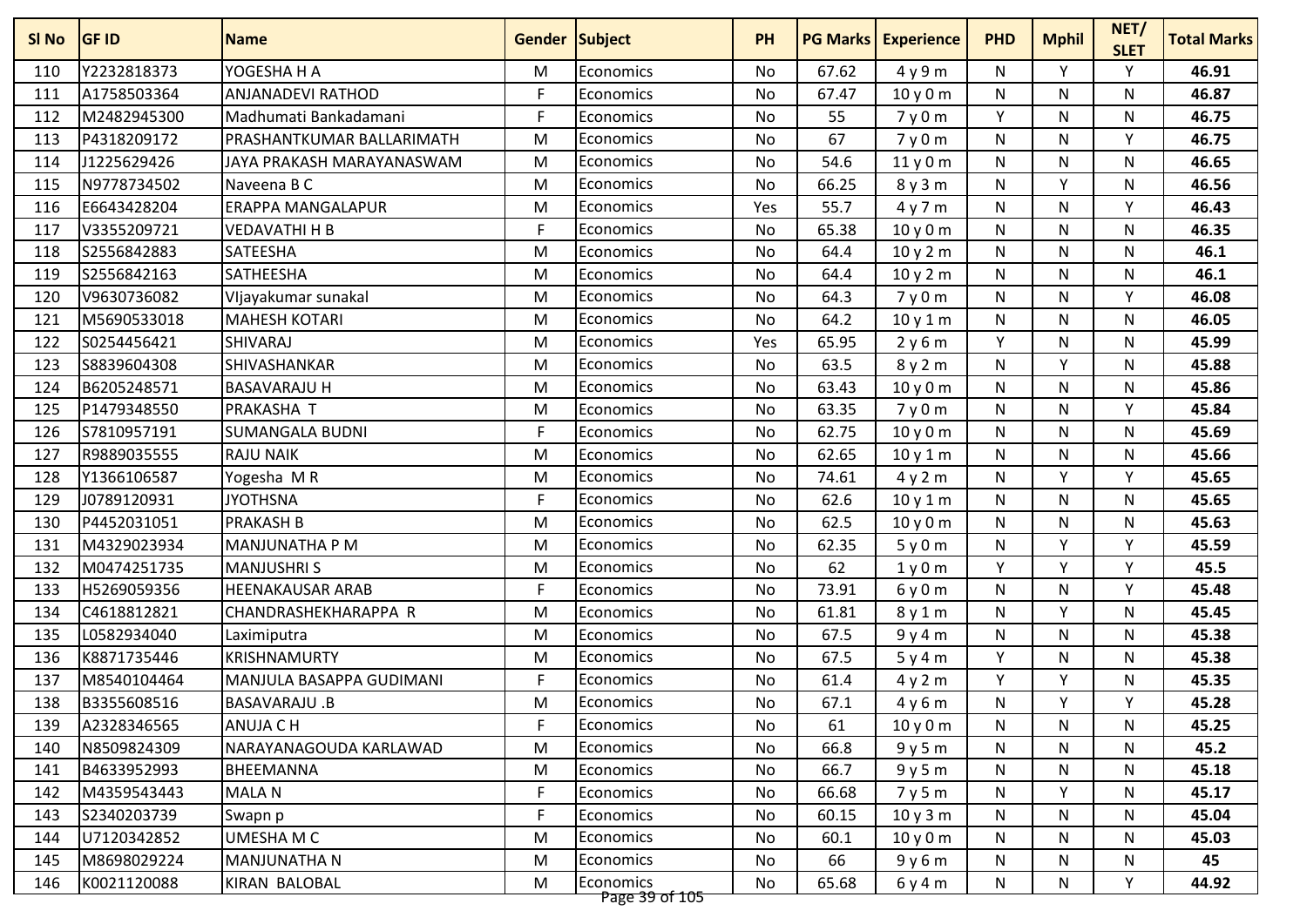| SI No | <b>GF ID</b> | <b>Name</b>               | <b>Gender Subject</b> |                             | <b>PH</b> |       | <b>PG Marks   Experience</b> | <b>PHD</b>   | <b>Mphil</b> | NET/<br><b>SLET</b> | <b>Total Marks</b> |
|-------|--------------|---------------------------|-----------------------|-----------------------------|-----------|-------|------------------------------|--------------|--------------|---------------------|--------------------|
| 110   | Y2232818373  | YOGESHA H A               | M                     | Economics                   | No        | 67.62 | 4y9m                         | N            | Y            | Y                   | 46.91              |
| 111   | A1758503364  | ANJANADEVI RATHOD         | F                     | Economics                   | No        | 67.47 | 10y0m                        | N            | N            | N                   | 46.87              |
| 112   | M2482945300  | Madhumati Bankadamani     | F                     | Economics                   | <b>No</b> | 55    | 7y0m                         | Y            | N            | N                   | 46.75              |
| 113   | P4318209172  | PRASHANTKUMAR BALLARIMATH | M                     | Economics                   | No        | 67    | 7y0m                         | N            | N            | Y                   | 46.75              |
| 114   | J1225629426  | JAYA PRAKASH MARAYANASWAM | M                     | Economics                   | No        | 54.6  | 11y0m                        | N            | N            | N                   | 46.65              |
| 115   | N9778734502  | Naveena B C               | M                     | Economics                   | No        | 66.25 | 8y3m                         | N            | v            | N                   | 46.56              |
| 116   | E6643428204  | ERAPPA MANGALAPUR         | M                     | Economics                   | Yes       | 55.7  | 4y7m                         | N            | N            | $\checkmark$        | 46.43              |
| 117   | V3355209721  | <b>VEDAVATHI H B</b>      | F                     | Economics                   | <b>No</b> | 65.38 | 10y0m                        | $\mathsf{N}$ | N            | N                   | 46.35              |
| 118   | S2556842883  | SATEESHA                  | M                     | Economics                   | No        | 64.4  | 10y2m                        | ${\sf N}$    | N            | N                   | 46.1               |
| 119   | S2556842163  | SATHEESHA                 | M                     | Economics                   | No        | 64.4  | 10 y 2 m                     | N            | N            | N                   | 46.1               |
| 120   | V9630736082  | Vljayakumar sunakal       | M                     | Economics                   | No        | 64.3  | 7y0m                         | N            | N            | Υ                   | 46.08              |
| 121   | M5690533018  | <b>MAHESH KOTARI</b>      | M                     | Economics                   | No        | 64.2  | 10y1m                        | ${\sf N}$    | N            | N                   | 46.05              |
| 122   | S0254456421  | <b>SHIVARAJ</b>           | M                     | Economics                   | Yes       | 65.95 | 2y6m                         | Y            | N            | N                   | 45.99              |
| 123   | S8839604308  | SHIVASHANKAR              | M                     | Economics                   | No        | 63.5  | 8y2m                         | N            | ٧            | N                   | 45.88              |
| 124   | B6205248571  | <b>BASAVARAJU H</b>       | M                     | Economics                   | <b>No</b> | 63.43 | 10y0m                        | ${\sf N}$    | N            | $\mathsf{N}$        | 45.86              |
| 125   | P1479348550  | PRAKASHA T                | M                     | Economics                   | No        | 63.35 | 7y0m                         | N            | N            | Y                   | 45.84              |
| 126   | S7810957191  | <b>SUMANGALA BUDNI</b>    | F                     | Economics                   | No        | 62.75 | 10 y 0 m                     | N            | N            | N                   | 45.69              |
| 127   | R9889035555  | <b>RAJU NAIK</b>          | M                     | Economics                   | <b>No</b> | 62.65 | 10y1m                        | N            | N.           | N                   | 45.66              |
| 128   | Y1366106587  | Yogesha MR                | M                     | <b>Economics</b>            | No        | 74.61 | 4y2m                         | N            | ۷            | Y                   | 45.65              |
| 129   | J0789120931  | <b>JYOTHSNA</b>           | F                     | Economics                   | No        | 62.6  | 10 y 1 m                     | N            | N            | N                   | 45.65              |
| 130   | P4452031051  | <b>PRAKASH B</b>          | M                     | Economics                   | No        | 62.5  | 10y0m                        | N            | N            | N                   | 45.63              |
| 131   | M4329023934  | MANJUNATHA P M            | M                     | Economics                   | <b>No</b> | 62.35 | 5y0m                         | ${\sf N}$    | Y            | Y                   | 45.59              |
| 132   | M0474251735  | <b>MANJUSHRIS</b>         | M                     | Economics                   | No        | 62    | 1y0m                         | Y            | Y            | Υ                   | 45.5               |
| 133   | H5269059356  | <b>HEENAKAUSAR ARAB</b>   | F                     | Economics                   | No        | 73.91 | 6y0m                         | N            | N            | Y                   | 45.48              |
| 134   | C4618812821  | CHANDRASHEKHARAPPA R      | M                     | Economics                   | No        | 61.81 | 8y1m                         | N            | v            | N                   | 45.45              |
| 135   | L0582934040  | Laximiputra               | M                     | Economics                   | No        | 67.5  | 9y4m                         | N            | N            | N                   | 45.38              |
| 136   | K8871735446  | KRISHNAMURTY              | M                     | Economics                   | <b>No</b> | 67.5  | 5y4m                         | Y            | N            | $\mathsf{N}$        | 45.38              |
| 137   | M8540104464  | MANJULA BASAPPA GUDIMANI  | F                     | Economics                   | No        | 61.4  | 4y2m                         | Υ            | ٧            | N                   | 45.35              |
| 138   | B3355608516  | <b>BASAVARAJU.B</b>       | M                     | <b>Economics</b>            | No        | 67.1  | 4y6m                         | N            | Y            | Y                   | 45.28              |
| 139   | A2328346565  | <b>ANUJA C H</b>          | F                     | Economics                   | No        | 61    | 10y0m                        | N            | N            | N                   | 45.25              |
| 140   | N8509824309  | NARAYANAGOUDA KARLAWAD    | M                     | Economics                   | No        | 66.8  | 9y5m                         | N            | N            | N                   | 45.2               |
| 141   | B4633952993  | BHEEMANNA                 | M                     | Economics                   | No        | 66.7  | 9y5m                         | N            | N            | N                   | 45.18              |
| 142   | M4359543443  | MALA N                    | F                     | Economics                   | No        | 66.68 | 7y5m                         | N            | Υ            | N                   | 45.17              |
| 143   | S2340203739  | Swapn p                   | F                     | Economics                   | No        | 60.15 | 10y3m                        | N            | N            | N                   | 45.04              |
| 144   | U7120342852  | UMESHA M C                | M                     | Economics                   | No        | 60.1  | 10y0m                        | N            | N            | N                   | 45.03              |
| 145   | M8698029224  | <b>MANJUNATHA N</b>       | M                     | Economics                   | No        | 66    | 9y6m                         | N            | N            | N                   | 45                 |
| 146   | K0021120088  | KIRAN BALOBAL             | M                     | Economics<br>Page 39 of 105 | No        | 65.68 | 6 y 4 m                      | N            | N            | Y                   | 44.92              |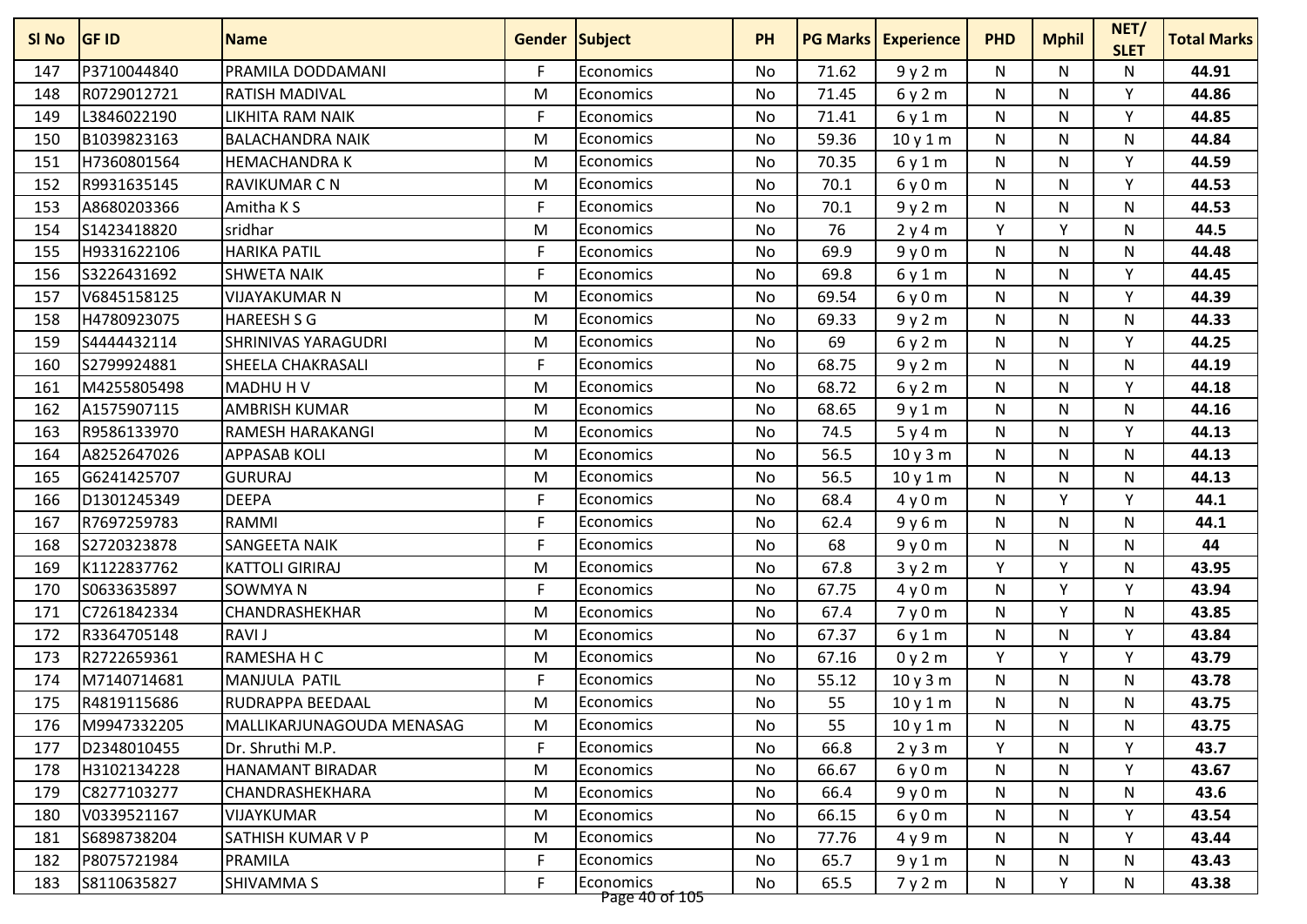| SI No | <b>GF ID</b> | <b>Name</b>                | <b>Gender Subject</b> |                             | <b>PH</b> |       | <b>PG Marks   Experience</b> | <b>PHD</b>   | <b>Mphil</b> | NET/<br><b>SLET</b> | <b>Total Marks</b> |
|-------|--------------|----------------------------|-----------------------|-----------------------------|-----------|-------|------------------------------|--------------|--------------|---------------------|--------------------|
| 147   | P3710044840  | PRAMILA DODDAMANI          | F                     | Economics                   | No        | 71.62 | 9y2m                         | N            | N            | N                   | 44.91              |
| 148   | R0729012721  | RATISH MADIVAL             | M                     | Economics                   | No        | 71.45 | 6y2m                         | N            | N            | Y                   | 44.86              |
| 149   | L3846022190  | <b>LIKHITA RAM NAIK</b>    | F                     | Economics                   | <b>No</b> | 71.41 | 6y1m                         | ${\sf N}$    | N            | Y                   | 44.85              |
| 150   | B1039823163  | <b>BALACHANDRA NAIK</b>    | M                     | Economics                   | No        | 59.36 | 10 y 1 m                     | N            | N            | N                   | 44.84              |
| 151   | H7360801564  | <b>HEMACHANDRA K</b>       | M                     | Economics                   | No        | 70.35 | 6y1m                         | N            | N            | Y                   | 44.59              |
| 152   | R9931635145  | <b>RAVIKUMAR C N</b>       | M                     | Economics                   | No        | 70.1  | 6y0m                         | N            | N            | Υ                   | 44.53              |
| 153   | A8680203366  | Amitha K S                 | F                     | Economics                   | No        | 70.1  | 9y2m                         | N            | N            | N                   | 44.53              |
| 154   | S1423418820  | sridhar                    | M                     | Economics                   | <b>No</b> | 76    | 2y4m                         | Y            | Y            | N                   | 44.5               |
| 155   | H9331622106  | <b>HARIKA PATIL</b>        | F                     | Economics                   | No        | 69.9  | 9y0m                         | N            | N            | N                   | 44.48              |
| 156   | S3226431692  | <b>SHWETA NAIK</b>         | F                     | Economics                   | No        | 69.8  | 6y1m                         | N            | N            | Y                   | 44.45              |
| 157   | V6845158125  | <b>VIJAYAKUMAR N</b>       | M                     | Economics                   | No        | 69.54 | 6y0m                         | N            | N            | Υ                   | 44.39              |
| 158   | H4780923075  | <b>HAREESH S G</b>         | M                     | Economics                   | No        | 69.33 | 9y2m                         | N            | N            | N                   | 44.33              |
| 159   | S4444432114  | <b>SHRINIVAS YARAGUDRI</b> | M                     | Economics                   | No        | 69    | 6y2m                         | $\mathsf{N}$ | N            | Υ                   | 44.25              |
| 160   | S2799924881  | SHEELA CHAKRASALI          | F                     | Economics                   | No        | 68.75 | 9y2m                         | N            | N            | N                   | 44.19              |
| 161   | M4255805498  | <b>MADHUHV</b>             | M                     | Economics                   | <b>No</b> | 68.72 | 6y2m                         | ${\sf N}$    | N            | Y                   | 44.18              |
| 162   | A1575907115  | <b>AMBRISH KUMAR</b>       | M                     | Economics                   | No        | 68.65 | 9y1m                         | N            | N            | N                   | 44.16              |
| 163   | R9586133970  | RAMESH HARAKANGI           | M                     | Economics                   | No        | 74.5  | 5y4m                         | N            | N            | Y                   | 44.13              |
| 164   | A8252647026  | <b>APPASAB KOLI</b>        | M                     | Economics                   | <b>No</b> | 56.5  | 10y3m                        | N            | N.           | N                   | 44.13              |
| 165   | G6241425707  | <b>GURURAJ</b>             | M                     | Economics                   | No        | 56.5  | 10y1m                        | N            | N            | N                   | 44.13              |
| 166   | D1301245349  | <b>DEEPA</b>               | F                     | Economics                   | No        | 68.4  | 4y0m                         | N            | Y            | Y                   | 44.1               |
| 167   | R7697259783  | RAMMI                      | F                     | Economics                   | No        | 62.4  | 9y6m                         | N            | N            | N                   | 44.1               |
| 168   | S2720323878  | SANGEETA NAIK              | F                     | Economics                   | <b>No</b> | 68    | 9y0m                         | ${\sf N}$    | N            | N                   | 44                 |
| 169   | K1122837762  | <b>KATTOLI GIRIRAJ</b>     | M                     | Economics                   | No        | 67.8  | 3y2m                         | Y            | Y            | N                   | 43.95              |
| 170   | S0633635897  | SOWMYA N                   | F                     | Economics                   | No        | 67.75 | 4y0m                         | N            | Y            | Y                   | 43.94              |
| 171   | C7261842334  | CHANDRASHEKHAR             | M                     | Economics                   | No        | 67.4  | 7y0m                         | N            | Y            | N                   | 43.85              |
| 172   | R3364705148  | <b>RAVI J</b>              | M                     | Economics                   | No        | 67.37 | 6y1m                         | N            | N.           | $\mathsf{v}$        | 43.84              |
| 173   | R2722659361  | RAMESHA H C                | M                     | Economics                   | <b>No</b> | 67.16 | 0y2m                         | Y            | Y            | Y                   | 43.79              |
| 174   | M7140714681  | MANJULA PATIL              | F                     | Economics                   | No        | 55.12 | 10y3m                        | N            | N            | $\mathsf{N}$        | 43.78              |
| 175   | R4819115686  | RUDRAPPA BEEDAAL           | M                     | Economics                   | No        | 55    | 10y1m                        | N            | N            | N                   | 43.75              |
| 176   | M9947332205  | MALLIKARJUNAGOUDA MENASAG  | M                     | Economics                   | No        | 55    | 10y1m                        | N            | N            | N                   | 43.75              |
| 177   | D2348010455  | Dr. Shruthi M.P.           | F                     | Economics                   | No        | 66.8  | 2y3m                         | Y            | N            | Υ                   | 43.7               |
| 178   | H3102134228  | HANAMANT BIRADAR           | M                     | Economics                   | No        | 66.67 | 6y0m                         | N            | N            | Υ                   | 43.67              |
| 179   | C8277103277  | CHANDRASHEKHARA            | M                     | Economics                   | No        | 66.4  | 9y0m                         | N            | N            | N                   | 43.6               |
| 180   | V0339521167  | VIJAYKUMAR                 | M                     | Economics                   | No        | 66.15 | 6y0m                         | N            | N            | Y                   | 43.54              |
| 181   | S6898738204  | SATHISH KUMAR V P          | M                     | Economics                   | No        | 77.76 | 4y9m                         | N            | N            | Y                   | 43.44              |
| 182   | P8075721984  | PRAMILA                    | F                     | Economics                   | No        | 65.7  | 9y1m                         | N            | N            | N                   | 43.43              |
| 183   | S8110635827  | SHIVAMMA S                 | F                     | Economics<br>Page 40 of 105 | No        | 65.5  | 7y2m                         | N            | Y            | N                   | 43.38              |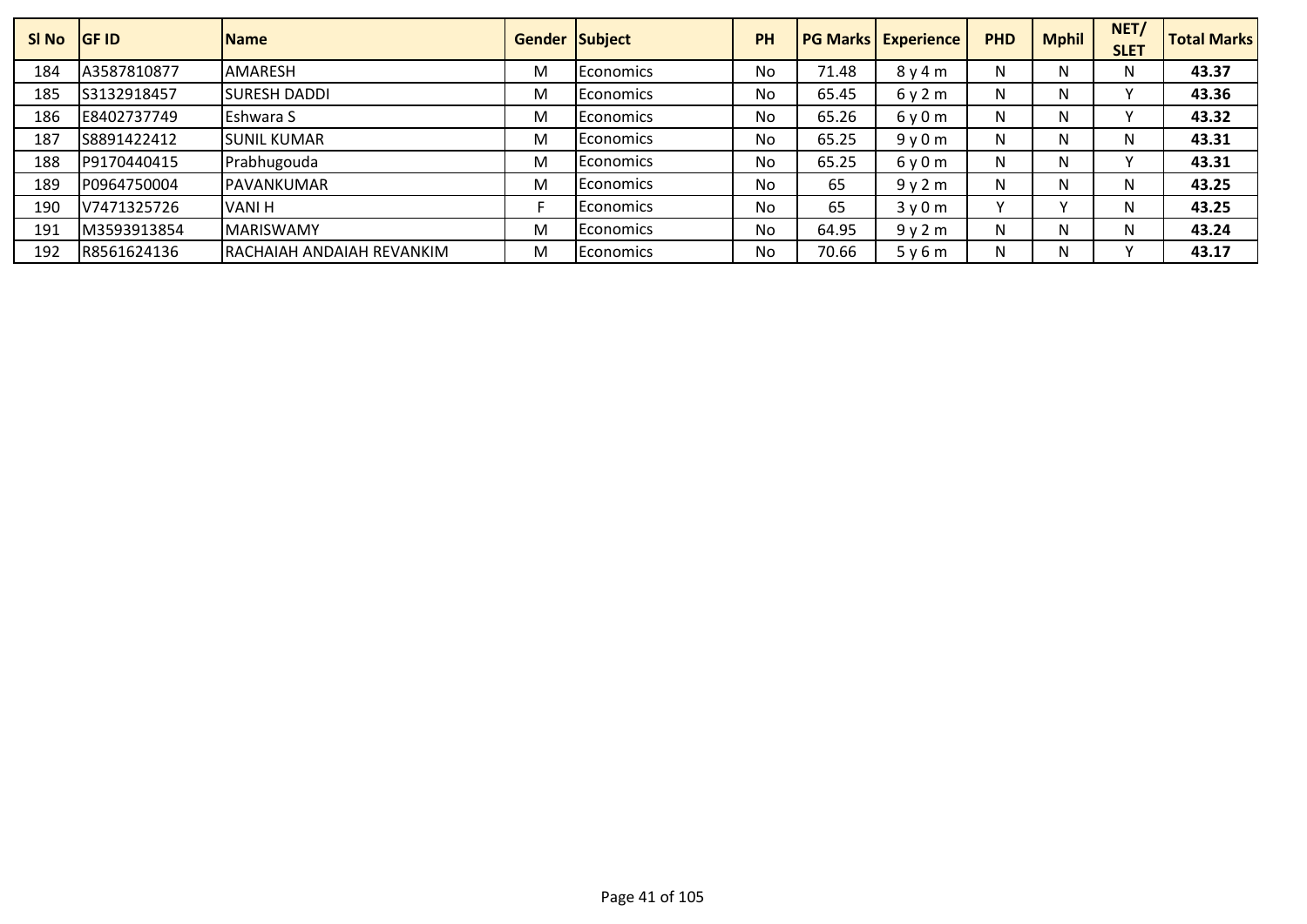| SI No | <b>IGF ID</b> | <b>Name</b>                |   | Gender Subject    | <b>PH</b> | <b>PG Marks</b> | <b>Experience</b> | <b>PHD</b> | <b>Mphil</b> | NET/<br><b>SLET</b> | <b>Total Marks</b> |
|-------|---------------|----------------------------|---|-------------------|-----------|-----------------|-------------------|------------|--------------|---------------------|--------------------|
| 184   | A3587810877   | <b>AMARESH</b>             | M | <b>IEconomics</b> | No        | 71.48           | 8y4m              | N          | N            | N.                  | 43.37              |
| 185   | S3132918457   | <b>SURESH DADDI</b>        | M | <b>IEconomics</b> | No        | 65.45           | 6y2m              | N          | N            |                     | 43.36              |
| 186   | E8402737749   | Eshwara S                  | M | <b>Economics</b>  | No        | 65.26           | 6y0m              | N.         | N            |                     | 43.32              |
| 187   | S8891422412   | <b>SUNIL KUMAR</b>         | M | <b>IEconomics</b> | No        | 65.25           | 9y0m              | N          | N            | N.                  | 43.31              |
| 188   | P9170440415   | Prabhugouda                | M | <b>IEconomics</b> | No        | 65.25           | 6y0m              | N          | N            |                     | 43.31              |
| 189   | P0964750004   | PAVANKUMAR                 | M | l Economics       | No        | 65              | 9y2m              | N          | N            | N.                  | 43.25              |
| 190   | V7471325726   | <b>VANIH</b>               |   | <b>Economics</b>  | <b>No</b> | 65              | 3y0m              |            |              | N.                  | 43.25              |
| 191   | M3593913854   | <b>MARISWAMY</b>           | M | <b>IEconomics</b> | <b>No</b> | 64.95           | 9y2m              | N          | N            | N.                  | 43.24              |
| 192   | R8561624136   | IRACHAIAH ANDAIAH REVANKIM | M | <b>IEconomics</b> | No        | 70.66           | 5y6m              | N          | N            |                     | 43.17              |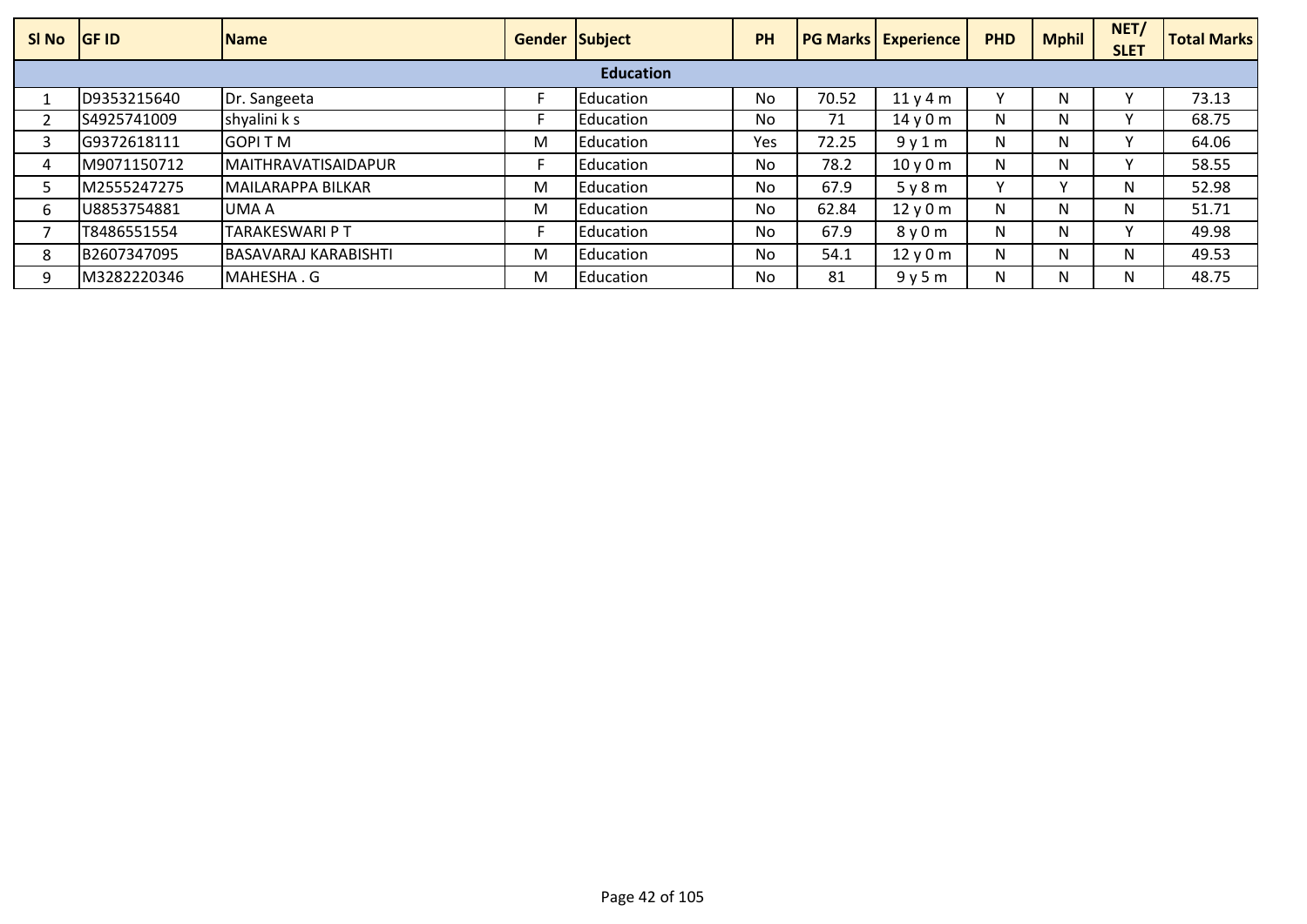| SI No | <b>GF ID</b> | <b>Name</b>              | <b>Gender Subject</b> |                   | PH  |       | <b>PG Marks Experience</b>     | <b>PHD</b> | <b>Mphil</b> | NET/<br><b>SLET</b> | <b>Total Marks</b> |
|-------|--------------|--------------------------|-----------------------|-------------------|-----|-------|--------------------------------|------------|--------------|---------------------|--------------------|
|       |              |                          |                       | <b>Education</b>  |     |       |                                |            |              |                     |                    |
|       | D9353215640  | Dr. Sangeeta             |                       | Education         | No  | 70.52 | 11y4m                          |            | N            |                     | 73.13              |
|       | S4925741009  | shyalini k s             |                       | Education         | No  | 71    | 14y0m                          | N          | N            |                     | 68.75              |
|       | G9372618111  | <b>GOPITM</b>            | M                     | <b>IEducation</b> | Yes | 72.25 | 9y1m                           | N          | N            |                     | 64.06              |
| 4     | M9071150712  | MAITHRAVATISAIDAPUR      |                       | Education         | No  | 78.2  | 10 <sub>V</sub> 0 <sub>m</sub> | N          | N            |                     | 58.55              |
|       | M2555247275  | <b>MAILARAPPA BILKAR</b> | M                     | Education         | No  | 67.9  | 5y8m                           |            |              | N.                  | 52.98              |
| 6     | U8853754881  | UMA A                    | M                     | <b>IEducation</b> | No  | 62.84 | 12y0m                          | N          | N            | N                   | 51.71              |
|       | T8486551554  | <b>TARAKESWARI P T</b>   |                       | Education         | No  | 67.9  | 8y0m                           | N          | N            |                     | 49.98              |
| 8     | B2607347095  | BASAVARAJ KARABISHTI     | M                     | Education         | No  | 54.1  | 12y0m                          | N          | N            | N.                  | 49.53              |
| 9     | M3282220346  | MAHESHA.G                | M                     | Education         | No  | 81    | 9y5m                           | N          |              | N.                  | 48.75              |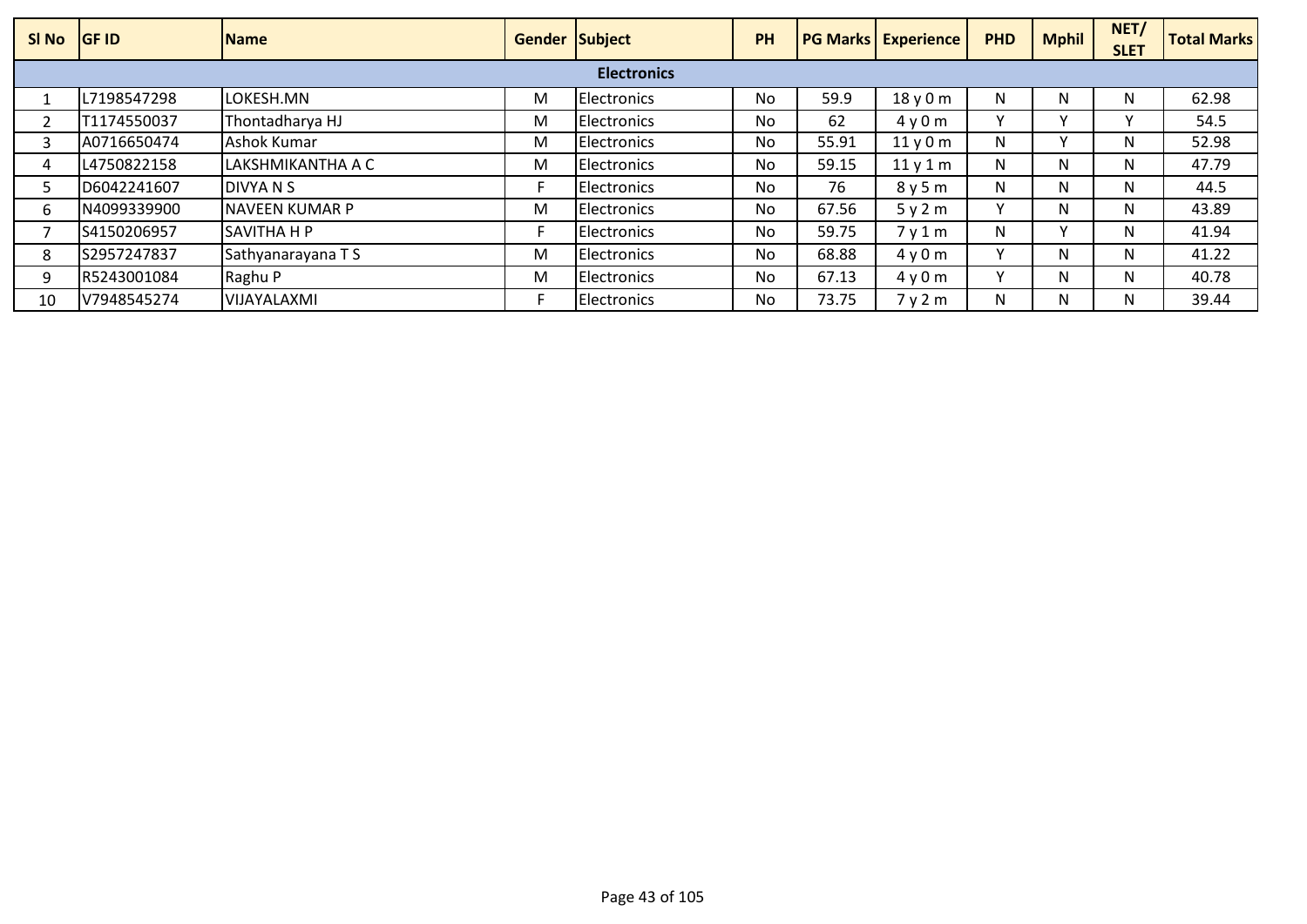| SI No | <b>IGF ID</b> | <b>Name</b>        | Gender Subject |                    | PH        |       | <b>PG Marks   Experience</b> | <b>PHD</b>   | <b>Mphil</b> | NET/<br><b>SLET</b> | <b>Total Marks</b> |
|-------|---------------|--------------------|----------------|--------------------|-----------|-------|------------------------------|--------------|--------------|---------------------|--------------------|
|       |               |                    |                | <b>Electronics</b> |           |       |                              |              |              |                     |                    |
|       | L7198547298   | LOKESH.MN          | M              | Electronics        | No        | 59.9  | 18y0m                        | N            | N            | N.                  | 62.98              |
|       | T1174550037   | Thontadharya HJ    | M              | Electronics        | No        | 62    | 4y0m                         | $\mathbf{v}$ |              |                     | 54.5               |
| 3     | A0716650474   | Ashok Kumar        | м              | <b>Electronics</b> | No        | 55.91 | 11y0m                        | N            |              | N.                  | 52.98              |
| 4     | L4750822158   | LAKSHMIKANTHA A C  | M              | <b>Electronics</b> | <b>No</b> | 59.15 | 11y1m                        | N            | N            | N.                  | 47.79              |
|       | D6042241607   | <b>IDIVYA N S</b>  |                | <b>Electronics</b> | No.       | 76    | 8y5m                         | N            | N            | N.                  | 44.5               |
| 6     | N4099339900   | INAVEEN KUMAR P    | M              | Electronics        | No.       | 67.56 | 5y2m                         |              | N            | N.                  | 43.89              |
|       | S4150206957   | <b>SAVITHA H P</b> |                | Electronics        | No        | 59.75 | 7y1m                         | N            |              | N                   | 41.94              |
| 8     | S2957247837   | Sathyanarayana TS  | M              | <b>Electronics</b> | No        | 68.88 | 4y0m                         | $\mathbf{v}$ | N            | N.                  | 41.22              |
| 9     | R5243001084   | Raghu P            | M              | Electronics        | No.       | 67.13 | 4y0m                         |              | N            | N.                  | 40.78              |
| 10    | V7948545274   | VIJAYALAXMI        |                | Electronics        | No        | 73.75 | 7v2m                         | N            | N            | N.                  | 39.44              |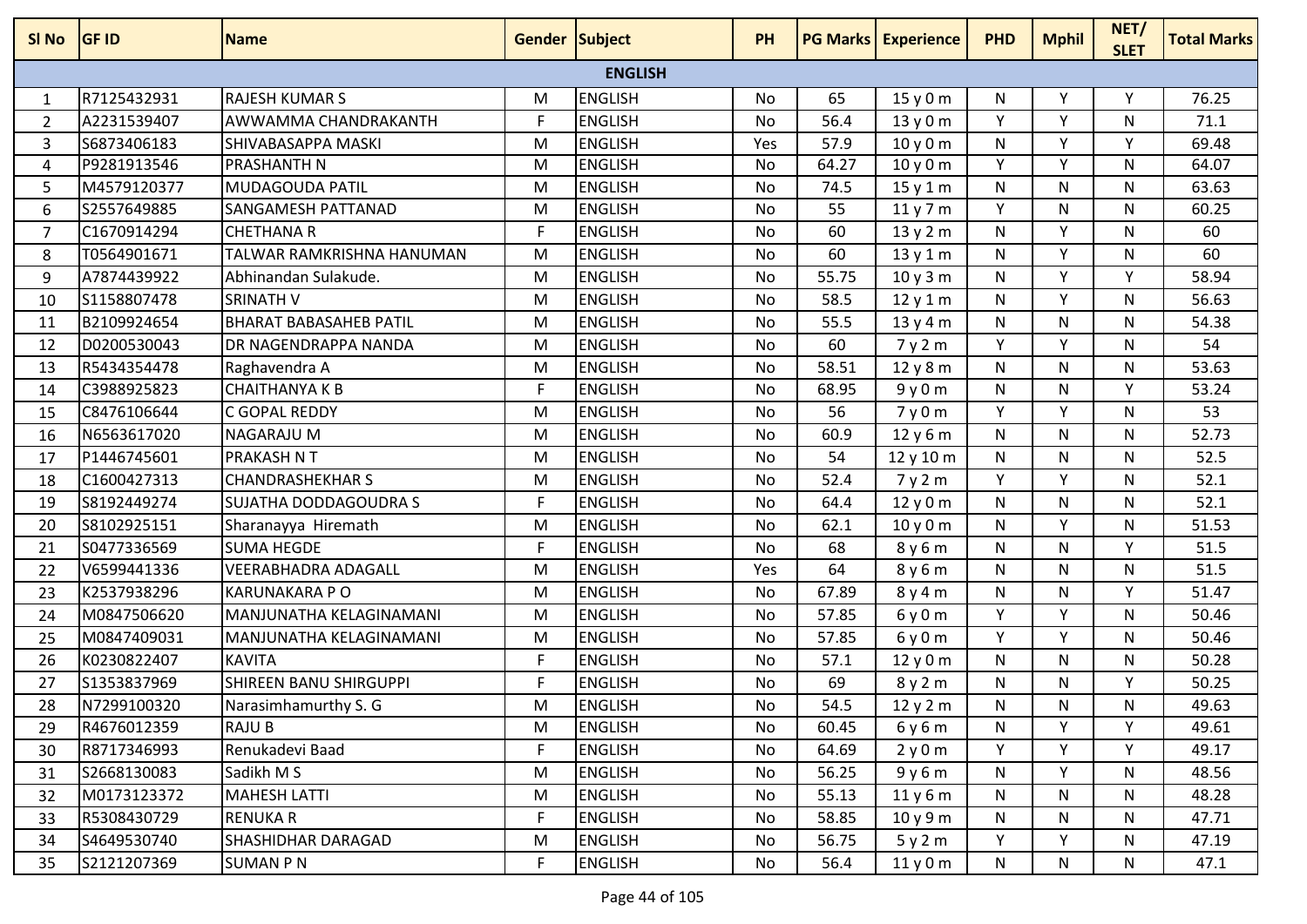| SI No          | <b>GF ID</b> | <b>Name</b>                   | <b>Gender Subject</b> |                | <b>PH</b> |       | <b>PG Marks Experience</b> | <b>PHD</b> | <b>Mphil</b> | NET/<br><b>SLET</b> | <b>Total Marks</b> |
|----------------|--------------|-------------------------------|-----------------------|----------------|-----------|-------|----------------------------|------------|--------------|---------------------|--------------------|
|                |              |                               |                       | <b>ENGLISH</b> |           |       |                            |            |              |                     |                    |
| 1              | R7125432931  | <b>RAJESH KUMAR S</b>         | M                     | <b>ENGLISH</b> | No        | 65    | 15y0m                      | N          | Υ            | Υ                   | 76.25              |
| 2              | A2231539407  | AWWAMMA CHANDRAKANTH          | F                     | <b>ENGLISH</b> | No        | 56.4  | 13y0m                      | Υ          | v            | N                   | 71.1               |
| 3              | S6873406183  | SHIVABASAPPA MASKI            | M                     | <b>ENGLISH</b> | Yes       | 57.9  | 10y0m                      | N          | Y            | Y                   | 69.48              |
| 4              | P9281913546  | <b>PRASHANTH N</b>            | M                     | <b>ENGLISH</b> | No        | 64.27 | 10y0m                      | Y          | Y            | N                   | 64.07              |
| 5              | M4579120377  | <b>MUDAGOUDA PATIL</b>        | M                     | <b>ENGLISH</b> | No        | 74.5  | 15y1m                      | N          | N            | N                   | 63.63              |
| 6              | S2557649885  | SANGAMESH PATTANAD            | M                     | <b>ENGLISH</b> | No        | 55    | 11y7m                      | Y          | N            | N                   | 60.25              |
| $\overline{7}$ | C1670914294  | <b>CHETHANA R</b>             | F                     | <b>ENGLISH</b> | No        | 60    | 13y2m                      | N          | Y            | N                   | 60                 |
| 8              | T0564901671  | TALWAR RAMKRISHNA HANUMAN     | M                     | <b>ENGLISH</b> | No        | 60    | 13y1m                      | N          | Y            | N                   | 60                 |
| 9              | A7874439922  | Abhinandan Sulakude.          | M                     | <b>ENGLISH</b> | No        | 55.75 | 10y3m                      | N          | Y            | Y                   | 58.94              |
| 10             | S1158807478  | <b>SRINATH V</b>              | M                     | <b>ENGLISH</b> | No        | 58.5  | 12y1m                      | N          | Y            | N                   | 56.63              |
| 11             | B2109924654  | <b>BHARAT BABASAHEB PATIL</b> | M                     | <b>ENGLISH</b> | No        | 55.5  | 13y4m                      | N          | N            | N                   | 54.38              |
| 12             | D0200530043  | DR NAGENDRAPPA NANDA          | M                     | <b>ENGLISH</b> | No        | 60    | 7y2m                       | Y          | Y            | N                   | 54                 |
| 13             | R5434354478  | Raghavendra A                 | M                     | <b>ENGLISH</b> | No        | 58.51 | 12y8m                      | N          | N            | N                   | 53.63              |
| 14             | C3988925823  | <b>CHAITHANYA K B</b>         | F                     | <b>ENGLISH</b> | No        | 68.95 | 9y0m                       | N          | N            | Y                   | 53.24              |
| 15             | C8476106644  | C GOPAL REDDY                 | M                     | <b>ENGLISH</b> | No        | 56    | 7y0m                       | Y          | Y            | N                   | 53                 |
| 16             | N6563617020  | <b>NAGARAJU M</b>             | M                     | <b>ENGLISH</b> | <b>No</b> | 60.9  | 12y6m                      | N          | N            | N                   | 52.73              |
| 17             | P1446745601  | <b>PRAKASH N T</b>            | M                     | <b>ENGLISH</b> | No        | 54    | 12 y 10 m                  | N          | N            | N                   | 52.5               |
| 18             | C1600427313  | <b>CHANDRASHEKHAR S</b>       | M                     | <b>ENGLISH</b> | No        | 52.4  | 7y2m                       | Y          | Y            | N                   | 52.1               |
| 19             | S8192449274  | SUJATHA DODDAGOUDRA S         | F                     | <b>ENGLISH</b> | No        | 64.4  | 12y0m                      | N          | N            | N                   | 52.1               |
| 20             | S8102925151  | Sharanayya Hiremath           | M                     | <b>ENGLISH</b> | <b>No</b> | 62.1  | 10y0m                      | N          | Y            | N                   | 51.53              |
| 21             | S0477336569  | <b>SUMA HEGDE</b>             | F                     | <b>ENGLISH</b> | No        | 68    | 8y6m                       | N          | N            | Υ                   | 51.5               |
| 22             | V6599441336  | <b>VEERABHADRA ADAGALL</b>    | M                     | <b>ENGLISH</b> | Yes       | 64    | 8 y 6 m                    | N          | N            | N                   | 51.5               |
| 23             | K2537938296  | <b>KARUNAKARA PO</b>          | M                     | <b>ENGLISH</b> | No        | 67.89 | 8 y 4 m                    | N          | N            | Y                   | 51.47              |
| 24             | M0847506620  | MANJUNATHA KELAGINAMANI       | M                     | <b>ENGLISH</b> | No        | 57.85 | 6y0m                       | Y          | Y            | N                   | 50.46              |
| 25             | M0847409031  | MANJUNATHA KELAGINAMANI       | M                     | <b>ENGLISH</b> | No        | 57.85 | 6y0m                       | Y          | Y            | N                   | 50.46              |
| 26             | K0230822407  | <b>KAVITA</b>                 | F                     | <b>ENGLISH</b> | No        | 57.1  | 12y0m                      | N          | N            | N                   | 50.28              |
| 27             | S1353837969  | SHIREEN BANU SHIRGUPPI        | F                     | <b>ENGLISH</b> | No        | 69    | 8y2m                       | N          | N            | Υ                   | 50.25              |
| 28             | N7299100320  | Narasimhamurthy S. G          | м                     | <b>ENGLISH</b> | No        | 54.5  | 12y2m                      | N          | N            | N                   | 49.63              |
| 29             | R4676012359  | <b>RAJU B</b>                 | M                     | <b>ENGLISH</b> | No        | 60.45 | 6y6m                       | N          | Y            | Y                   | 49.61              |
| 30             | R8717346993  | Renukadevi Baad               | F.                    | <b>ENGLISH</b> | No        | 64.69 | 2y0m                       | Y          | Y            | Y                   | 49.17              |
| 31             | S2668130083  | Sadikh M S                    | M                     | <b>ENGLISH</b> | No        | 56.25 | 9y6m                       | N          | Y            | N                   | 48.56              |
| 32             | M0173123372  | <b>MAHESH LATTI</b>           | M                     | <b>ENGLISH</b> | No        | 55.13 | 11y6m                      | N          | N            | N                   | 48.28              |
| 33             | R5308430729  | <b>RENUKAR</b>                | F                     | <b>ENGLISH</b> | No        | 58.85 | 10y9m                      | N          | N            | N                   | 47.71              |
| 34             | S4649530740  | SHASHIDHAR DARAGAD            | M                     | <b>ENGLISH</b> | No        | 56.75 | 5y2m                       | Y          | Y.           | N                   | 47.19              |
| 35             | S2121207369  | <b>SUMAN P N</b>              | F                     | <b>ENGLISH</b> | No        | 56.4  | 11y0m                      | N          | N            | N                   | 47.1               |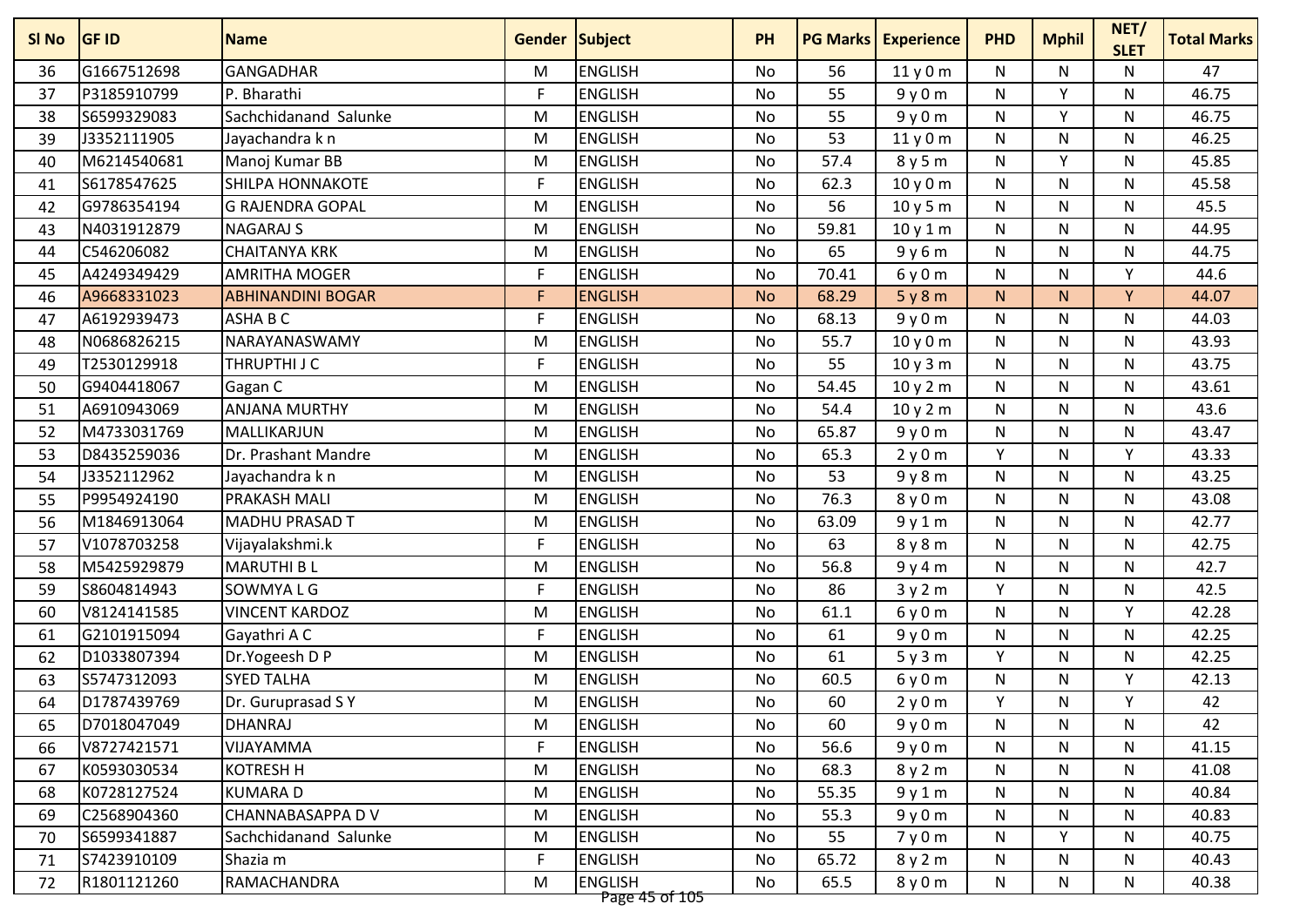| G1667512698<br><b>GANGADHAR</b><br><b>ENGLISH</b><br>47<br>56<br>11y0m<br>N<br>N<br>N<br>36<br>M<br>No<br>F<br><b>ENGLISH</b><br>55<br>Y<br>46.75<br>P3185910799<br>P. Bharathi<br>No<br>9y0m<br>N<br>N<br>37<br><b>ENGLISH</b><br>S6599329083<br>Sachchidanand Salunke<br>55<br>${\sf N}$<br>Y<br>46.75<br>38<br>M<br><b>No</b><br>9y0m<br>N<br><b>ENGLISH</b><br>53<br>46.25<br>39<br>J3352111905<br>N<br>N<br>N<br>Jayachandra k n<br>M<br>No<br>11y0m<br>Y<br>M6214540681<br>Manoj Kumar BB<br><b>ENGLISH</b><br>57.4<br>N<br>N<br>45.85<br>40<br>M<br>No<br>8y5m<br>S6178547625<br>F<br><b>ENGLISH</b><br><b>SHILPA HONNAKOTE</b><br>62.3<br>N<br>N<br>N<br>45.58<br>41<br>No<br>10y0m<br>G9786354194<br>56<br>45.5<br><b>G RAJENDRA GOPAL</b><br>M<br><b>ENGLISH</b><br>N<br>N<br>No<br>10y5m<br>N<br>42<br><b>ENGLISH</b><br>$\mathsf{N}$<br>44.95<br>N4031912879<br><b>NAGARAJ S</b><br>59.81<br>N<br>N<br>43<br>M<br><b>No</b><br>10y1m<br>C546206082<br><b>ENGLISH</b><br>65<br>44.75<br><b>CHAITANYA KRK</b><br>M<br>No<br>9y6m<br>${\sf N}$<br>N<br>N<br>44<br><b>ENGLISH</b><br>A4249349429<br><b>AMRITHA MOGER</b><br>$\mathsf{F}$<br>70.41<br>6y0m<br>${\sf N}$<br>N<br>44.6<br>Y<br>45<br>No<br>F<br>A9668331023<br><b>ENGLISH</b><br>68.29<br>5y8m<br>N<br>N.<br>Y<br>44.07<br>46<br><b>ABHINANDINI BOGAR</b><br><b>No</b><br>F<br>A6192939473<br>ASHA B C<br><b>ENGLISH</b><br>68.13<br>9y0m<br>${\sf N}$<br>N<br>N<br>44.03<br>47<br>No<br>N0686826215<br><b>ENGLISH</b><br>55.7<br>43.93<br>NARAYANASWAMY<br>N<br>N<br>N<br>48<br>M<br>No<br>10y0m<br>T2530129918<br>THRUPTHI J C<br>F<br><b>ENGLISH</b><br>55<br>N<br>N<br>N<br>43.75<br>49<br>No<br>10y3m<br><b>ENGLISH</b><br>54.45<br>43.61<br>G9404418067<br>M<br>10 y 2 m<br>${\sf N}$<br>N<br>$\mathsf{N}$<br>50<br>Gagan C<br><b>No</b><br>A6910943069<br><b>ENGLISH</b><br>54.4<br>43.6<br><b>ANJANA MURTHY</b><br>10 y 2 m<br>N<br>N<br>N<br>51<br>M<br>No<br>M4733031769<br><b>ENGLISH</b><br>43.47<br>52<br>MALLIKARJUN<br>65.87<br>9y0m<br>N<br>N<br>N<br>M<br>No<br>Y<br><b>ENGLISH</b><br>Y<br>43.33<br>D8435259036<br><b>No</b><br>65.3<br>2y0m<br>N<br>53<br>Dr. Prashant Mandre<br>M<br>43.25<br>J3352112962<br><b>ENGLISH</b><br>53<br>N<br>N<br>54<br>Jayachandra k n<br>M<br>No<br>9y8m<br>N<br><b>ENGLISH</b><br>76.3<br>P9954924190<br>43.08<br>55<br><b>PRAKASH MALI</b><br>M<br>8y0m<br>N<br>N<br>N<br>No<br>42.77<br>M1846913064<br><b>MADHU PRASAD T</b><br>M<br><b>ENGLISH</b><br>63.09<br>9y1m<br>N<br>N<br>N<br>56<br>No<br>V1078703258<br><b>ENGLISH</b><br>F<br>63<br>${\sf N}$<br>N<br>42.75<br>57<br>Vijayalakshmi.k<br>No<br>8y8m<br>N<br><b>ENGLISH</b><br>56.8<br>42.7<br>M5425929879<br><b>MARUTHI BL</b><br>N<br>N<br>N<br>58<br>M<br>No<br>9y4m<br>Y<br>S8604814943<br>SOWMYA L G<br>F<br><b>ENGLISH</b><br>86<br>N<br>N<br>42.5<br>59<br>No<br>3y2m<br>V8124141585<br><b>VINCENT KARDOZ</b><br><b>ENGLISH</b><br>61.1<br>$\mathsf{N}$<br>V<br>42.28<br>M<br>N<br>60<br>No<br>6y0m<br>G2101915094<br>F<br><b>ENGLISH</b><br>61<br>${\sf N}$<br>N<br>42.25<br>Gayathri A C<br>No<br>9y0m<br>N<br>61<br><b>ENGLISH</b><br>61<br>Y<br>42.25<br>D1033807394<br>Dr.Yogeesh D P<br>M<br>N<br>$\mathsf{N}$<br>62<br><b>No</b><br>5y3m<br><b>ENGLISH</b><br>S5747312093<br><b>SYED TALHA</b><br>60.5<br>${\sf N}$<br>N<br>Y<br>42.13<br>63<br>M<br>No<br>6y0m<br><b>ENGLISH</b><br>Y<br>42<br>D1787439769<br>Dr. Guruprasad SY<br>60<br>2y0m<br>N<br>Υ<br>64<br>M<br>No<br>D7018047049<br><b>DHANRAJ</b><br><b>ENGLISH</b><br>9y0m<br>N<br>N<br>42<br>65<br>M<br>No<br>60<br>N<br>F<br><b>ENGLISH</b><br>66<br>V8727421571<br>VIJAYAMMA<br>No<br>56.6<br>9y0m<br>N<br>N<br>N<br>41.15<br><b>ENGLISH</b><br>K0593030534<br><b>KOTRESH H</b><br>68.3<br>41.08<br>67<br>M<br>8y2m<br>N<br>N<br>N<br>No<br>K0728127524<br><b>ENGLISH</b><br>40.84<br><b>KUMARAD</b><br>M<br>55.35<br>N<br>N<br>N<br>No | SI No | <b>GF ID</b> | <b>Name</b> | <b>Gender Subject</b> | <b>PH</b> | <b>PG Marks</b> | <b>Experience</b> | <b>PHD</b> | <b>Mphil</b> | NET/<br><b>SLET</b> | <b>Total Marks</b> |
|--------------------------------------------------------------------------------------------------------------------------------------------------------------------------------------------------------------------------------------------------------------------------------------------------------------------------------------------------------------------------------------------------------------------------------------------------------------------------------------------------------------------------------------------------------------------------------------------------------------------------------------------------------------------------------------------------------------------------------------------------------------------------------------------------------------------------------------------------------------------------------------------------------------------------------------------------------------------------------------------------------------------------------------------------------------------------------------------------------------------------------------------------------------------------------------------------------------------------------------------------------------------------------------------------------------------------------------------------------------------------------------------------------------------------------------------------------------------------------------------------------------------------------------------------------------------------------------------------------------------------------------------------------------------------------------------------------------------------------------------------------------------------------------------------------------------------------------------------------------------------------------------------------------------------------------------------------------------------------------------------------------------------------------------------------------------------------------------------------------------------------------------------------------------------------------------------------------------------------------------------------------------------------------------------------------------------------------------------------------------------------------------------------------------------------------------------------------------------------------------------------------------------------------------------------------------------------------------------------------------------------------------------------------------------------------------------------------------------------------------------------------------------------------------------------------------------------------------------------------------------------------------------------------------------------------------------------------------------------------------------------------------------------------------------------------------------------------------------------------------------------------------------------------------------------------------------------------------------------------------------------------------------------------------------------------------------------------------------------------------------------------------------------------------------------------------------------------------------------------------------------------------------------------------------------------------------------------------------------------------------------------------------------------------------------------------------------------------------------------------------------------------------------------------------------------------------------------------------------------------------------------------------------|-------|--------------|-------------|-----------------------|-----------|-----------------|-------------------|------------|--------------|---------------------|--------------------|
|                                                                                                                                                                                                                                                                                                                                                                                                                                                                                                                                                                                                                                                                                                                                                                                                                                                                                                                                                                                                                                                                                                                                                                                                                                                                                                                                                                                                                                                                                                                                                                                                                                                                                                                                                                                                                                                                                                                                                                                                                                                                                                                                                                                                                                                                                                                                                                                                                                                                                                                                                                                                                                                                                                                                                                                                                                                                                                                                                                                                                                                                                                                                                                                                                                                                                                                                                                                                                                                                                                                                                                                                                                                                                                                                                                                                                                                                                                        |       |              |             |                       |           |                 |                   |            |              |                     |                    |
|                                                                                                                                                                                                                                                                                                                                                                                                                                                                                                                                                                                                                                                                                                                                                                                                                                                                                                                                                                                                                                                                                                                                                                                                                                                                                                                                                                                                                                                                                                                                                                                                                                                                                                                                                                                                                                                                                                                                                                                                                                                                                                                                                                                                                                                                                                                                                                                                                                                                                                                                                                                                                                                                                                                                                                                                                                                                                                                                                                                                                                                                                                                                                                                                                                                                                                                                                                                                                                                                                                                                                                                                                                                                                                                                                                                                                                                                                                        |       |              |             |                       |           |                 |                   |            |              |                     |                    |
|                                                                                                                                                                                                                                                                                                                                                                                                                                                                                                                                                                                                                                                                                                                                                                                                                                                                                                                                                                                                                                                                                                                                                                                                                                                                                                                                                                                                                                                                                                                                                                                                                                                                                                                                                                                                                                                                                                                                                                                                                                                                                                                                                                                                                                                                                                                                                                                                                                                                                                                                                                                                                                                                                                                                                                                                                                                                                                                                                                                                                                                                                                                                                                                                                                                                                                                                                                                                                                                                                                                                                                                                                                                                                                                                                                                                                                                                                                        |       |              |             |                       |           |                 |                   |            |              |                     |                    |
|                                                                                                                                                                                                                                                                                                                                                                                                                                                                                                                                                                                                                                                                                                                                                                                                                                                                                                                                                                                                                                                                                                                                                                                                                                                                                                                                                                                                                                                                                                                                                                                                                                                                                                                                                                                                                                                                                                                                                                                                                                                                                                                                                                                                                                                                                                                                                                                                                                                                                                                                                                                                                                                                                                                                                                                                                                                                                                                                                                                                                                                                                                                                                                                                                                                                                                                                                                                                                                                                                                                                                                                                                                                                                                                                                                                                                                                                                                        |       |              |             |                       |           |                 |                   |            |              |                     |                    |
|                                                                                                                                                                                                                                                                                                                                                                                                                                                                                                                                                                                                                                                                                                                                                                                                                                                                                                                                                                                                                                                                                                                                                                                                                                                                                                                                                                                                                                                                                                                                                                                                                                                                                                                                                                                                                                                                                                                                                                                                                                                                                                                                                                                                                                                                                                                                                                                                                                                                                                                                                                                                                                                                                                                                                                                                                                                                                                                                                                                                                                                                                                                                                                                                                                                                                                                                                                                                                                                                                                                                                                                                                                                                                                                                                                                                                                                                                                        |       |              |             |                       |           |                 |                   |            |              |                     |                    |
|                                                                                                                                                                                                                                                                                                                                                                                                                                                                                                                                                                                                                                                                                                                                                                                                                                                                                                                                                                                                                                                                                                                                                                                                                                                                                                                                                                                                                                                                                                                                                                                                                                                                                                                                                                                                                                                                                                                                                                                                                                                                                                                                                                                                                                                                                                                                                                                                                                                                                                                                                                                                                                                                                                                                                                                                                                                                                                                                                                                                                                                                                                                                                                                                                                                                                                                                                                                                                                                                                                                                                                                                                                                                                                                                                                                                                                                                                                        |       |              |             |                       |           |                 |                   |            |              |                     |                    |
|                                                                                                                                                                                                                                                                                                                                                                                                                                                                                                                                                                                                                                                                                                                                                                                                                                                                                                                                                                                                                                                                                                                                                                                                                                                                                                                                                                                                                                                                                                                                                                                                                                                                                                                                                                                                                                                                                                                                                                                                                                                                                                                                                                                                                                                                                                                                                                                                                                                                                                                                                                                                                                                                                                                                                                                                                                                                                                                                                                                                                                                                                                                                                                                                                                                                                                                                                                                                                                                                                                                                                                                                                                                                                                                                                                                                                                                                                                        |       |              |             |                       |           |                 |                   |            |              |                     |                    |
|                                                                                                                                                                                                                                                                                                                                                                                                                                                                                                                                                                                                                                                                                                                                                                                                                                                                                                                                                                                                                                                                                                                                                                                                                                                                                                                                                                                                                                                                                                                                                                                                                                                                                                                                                                                                                                                                                                                                                                                                                                                                                                                                                                                                                                                                                                                                                                                                                                                                                                                                                                                                                                                                                                                                                                                                                                                                                                                                                                                                                                                                                                                                                                                                                                                                                                                                                                                                                                                                                                                                                                                                                                                                                                                                                                                                                                                                                                        |       |              |             |                       |           |                 |                   |            |              |                     |                    |
|                                                                                                                                                                                                                                                                                                                                                                                                                                                                                                                                                                                                                                                                                                                                                                                                                                                                                                                                                                                                                                                                                                                                                                                                                                                                                                                                                                                                                                                                                                                                                                                                                                                                                                                                                                                                                                                                                                                                                                                                                                                                                                                                                                                                                                                                                                                                                                                                                                                                                                                                                                                                                                                                                                                                                                                                                                                                                                                                                                                                                                                                                                                                                                                                                                                                                                                                                                                                                                                                                                                                                                                                                                                                                                                                                                                                                                                                                                        |       |              |             |                       |           |                 |                   |            |              |                     |                    |
|                                                                                                                                                                                                                                                                                                                                                                                                                                                                                                                                                                                                                                                                                                                                                                                                                                                                                                                                                                                                                                                                                                                                                                                                                                                                                                                                                                                                                                                                                                                                                                                                                                                                                                                                                                                                                                                                                                                                                                                                                                                                                                                                                                                                                                                                                                                                                                                                                                                                                                                                                                                                                                                                                                                                                                                                                                                                                                                                                                                                                                                                                                                                                                                                                                                                                                                                                                                                                                                                                                                                                                                                                                                                                                                                                                                                                                                                                                        |       |              |             |                       |           |                 |                   |            |              |                     |                    |
|                                                                                                                                                                                                                                                                                                                                                                                                                                                                                                                                                                                                                                                                                                                                                                                                                                                                                                                                                                                                                                                                                                                                                                                                                                                                                                                                                                                                                                                                                                                                                                                                                                                                                                                                                                                                                                                                                                                                                                                                                                                                                                                                                                                                                                                                                                                                                                                                                                                                                                                                                                                                                                                                                                                                                                                                                                                                                                                                                                                                                                                                                                                                                                                                                                                                                                                                                                                                                                                                                                                                                                                                                                                                                                                                                                                                                                                                                                        |       |              |             |                       |           |                 |                   |            |              |                     |                    |
|                                                                                                                                                                                                                                                                                                                                                                                                                                                                                                                                                                                                                                                                                                                                                                                                                                                                                                                                                                                                                                                                                                                                                                                                                                                                                                                                                                                                                                                                                                                                                                                                                                                                                                                                                                                                                                                                                                                                                                                                                                                                                                                                                                                                                                                                                                                                                                                                                                                                                                                                                                                                                                                                                                                                                                                                                                                                                                                                                                                                                                                                                                                                                                                                                                                                                                                                                                                                                                                                                                                                                                                                                                                                                                                                                                                                                                                                                                        |       |              |             |                       |           |                 |                   |            |              |                     |                    |
|                                                                                                                                                                                                                                                                                                                                                                                                                                                                                                                                                                                                                                                                                                                                                                                                                                                                                                                                                                                                                                                                                                                                                                                                                                                                                                                                                                                                                                                                                                                                                                                                                                                                                                                                                                                                                                                                                                                                                                                                                                                                                                                                                                                                                                                                                                                                                                                                                                                                                                                                                                                                                                                                                                                                                                                                                                                                                                                                                                                                                                                                                                                                                                                                                                                                                                                                                                                                                                                                                                                                                                                                                                                                                                                                                                                                                                                                                                        |       |              |             |                       |           |                 |                   |            |              |                     |                    |
|                                                                                                                                                                                                                                                                                                                                                                                                                                                                                                                                                                                                                                                                                                                                                                                                                                                                                                                                                                                                                                                                                                                                                                                                                                                                                                                                                                                                                                                                                                                                                                                                                                                                                                                                                                                                                                                                                                                                                                                                                                                                                                                                                                                                                                                                                                                                                                                                                                                                                                                                                                                                                                                                                                                                                                                                                                                                                                                                                                                                                                                                                                                                                                                                                                                                                                                                                                                                                                                                                                                                                                                                                                                                                                                                                                                                                                                                                                        |       |              |             |                       |           |                 |                   |            |              |                     |                    |
|                                                                                                                                                                                                                                                                                                                                                                                                                                                                                                                                                                                                                                                                                                                                                                                                                                                                                                                                                                                                                                                                                                                                                                                                                                                                                                                                                                                                                                                                                                                                                                                                                                                                                                                                                                                                                                                                                                                                                                                                                                                                                                                                                                                                                                                                                                                                                                                                                                                                                                                                                                                                                                                                                                                                                                                                                                                                                                                                                                                                                                                                                                                                                                                                                                                                                                                                                                                                                                                                                                                                                                                                                                                                                                                                                                                                                                                                                                        |       |              |             |                       |           |                 |                   |            |              |                     |                    |
|                                                                                                                                                                                                                                                                                                                                                                                                                                                                                                                                                                                                                                                                                                                                                                                                                                                                                                                                                                                                                                                                                                                                                                                                                                                                                                                                                                                                                                                                                                                                                                                                                                                                                                                                                                                                                                                                                                                                                                                                                                                                                                                                                                                                                                                                                                                                                                                                                                                                                                                                                                                                                                                                                                                                                                                                                                                                                                                                                                                                                                                                                                                                                                                                                                                                                                                                                                                                                                                                                                                                                                                                                                                                                                                                                                                                                                                                                                        |       |              |             |                       |           |                 |                   |            |              |                     |                    |
|                                                                                                                                                                                                                                                                                                                                                                                                                                                                                                                                                                                                                                                                                                                                                                                                                                                                                                                                                                                                                                                                                                                                                                                                                                                                                                                                                                                                                                                                                                                                                                                                                                                                                                                                                                                                                                                                                                                                                                                                                                                                                                                                                                                                                                                                                                                                                                                                                                                                                                                                                                                                                                                                                                                                                                                                                                                                                                                                                                                                                                                                                                                                                                                                                                                                                                                                                                                                                                                                                                                                                                                                                                                                                                                                                                                                                                                                                                        |       |              |             |                       |           |                 |                   |            |              |                     |                    |
|                                                                                                                                                                                                                                                                                                                                                                                                                                                                                                                                                                                                                                                                                                                                                                                                                                                                                                                                                                                                                                                                                                                                                                                                                                                                                                                                                                                                                                                                                                                                                                                                                                                                                                                                                                                                                                                                                                                                                                                                                                                                                                                                                                                                                                                                                                                                                                                                                                                                                                                                                                                                                                                                                                                                                                                                                                                                                                                                                                                                                                                                                                                                                                                                                                                                                                                                                                                                                                                                                                                                                                                                                                                                                                                                                                                                                                                                                                        |       |              |             |                       |           |                 |                   |            |              |                     |                    |
|                                                                                                                                                                                                                                                                                                                                                                                                                                                                                                                                                                                                                                                                                                                                                                                                                                                                                                                                                                                                                                                                                                                                                                                                                                                                                                                                                                                                                                                                                                                                                                                                                                                                                                                                                                                                                                                                                                                                                                                                                                                                                                                                                                                                                                                                                                                                                                                                                                                                                                                                                                                                                                                                                                                                                                                                                                                                                                                                                                                                                                                                                                                                                                                                                                                                                                                                                                                                                                                                                                                                                                                                                                                                                                                                                                                                                                                                                                        |       |              |             |                       |           |                 |                   |            |              |                     |                    |
|                                                                                                                                                                                                                                                                                                                                                                                                                                                                                                                                                                                                                                                                                                                                                                                                                                                                                                                                                                                                                                                                                                                                                                                                                                                                                                                                                                                                                                                                                                                                                                                                                                                                                                                                                                                                                                                                                                                                                                                                                                                                                                                                                                                                                                                                                                                                                                                                                                                                                                                                                                                                                                                                                                                                                                                                                                                                                                                                                                                                                                                                                                                                                                                                                                                                                                                                                                                                                                                                                                                                                                                                                                                                                                                                                                                                                                                                                                        |       |              |             |                       |           |                 |                   |            |              |                     |                    |
|                                                                                                                                                                                                                                                                                                                                                                                                                                                                                                                                                                                                                                                                                                                                                                                                                                                                                                                                                                                                                                                                                                                                                                                                                                                                                                                                                                                                                                                                                                                                                                                                                                                                                                                                                                                                                                                                                                                                                                                                                                                                                                                                                                                                                                                                                                                                                                                                                                                                                                                                                                                                                                                                                                                                                                                                                                                                                                                                                                                                                                                                                                                                                                                                                                                                                                                                                                                                                                                                                                                                                                                                                                                                                                                                                                                                                                                                                                        |       |              |             |                       |           |                 |                   |            |              |                     |                    |
|                                                                                                                                                                                                                                                                                                                                                                                                                                                                                                                                                                                                                                                                                                                                                                                                                                                                                                                                                                                                                                                                                                                                                                                                                                                                                                                                                                                                                                                                                                                                                                                                                                                                                                                                                                                                                                                                                                                                                                                                                                                                                                                                                                                                                                                                                                                                                                                                                                                                                                                                                                                                                                                                                                                                                                                                                                                                                                                                                                                                                                                                                                                                                                                                                                                                                                                                                                                                                                                                                                                                                                                                                                                                                                                                                                                                                                                                                                        |       |              |             |                       |           |                 |                   |            |              |                     |                    |
|                                                                                                                                                                                                                                                                                                                                                                                                                                                                                                                                                                                                                                                                                                                                                                                                                                                                                                                                                                                                                                                                                                                                                                                                                                                                                                                                                                                                                                                                                                                                                                                                                                                                                                                                                                                                                                                                                                                                                                                                                                                                                                                                                                                                                                                                                                                                                                                                                                                                                                                                                                                                                                                                                                                                                                                                                                                                                                                                                                                                                                                                                                                                                                                                                                                                                                                                                                                                                                                                                                                                                                                                                                                                                                                                                                                                                                                                                                        |       |              |             |                       |           |                 |                   |            |              |                     |                    |
|                                                                                                                                                                                                                                                                                                                                                                                                                                                                                                                                                                                                                                                                                                                                                                                                                                                                                                                                                                                                                                                                                                                                                                                                                                                                                                                                                                                                                                                                                                                                                                                                                                                                                                                                                                                                                                                                                                                                                                                                                                                                                                                                                                                                                                                                                                                                                                                                                                                                                                                                                                                                                                                                                                                                                                                                                                                                                                                                                                                                                                                                                                                                                                                                                                                                                                                                                                                                                                                                                                                                                                                                                                                                                                                                                                                                                                                                                                        |       |              |             |                       |           |                 |                   |            |              |                     |                    |
|                                                                                                                                                                                                                                                                                                                                                                                                                                                                                                                                                                                                                                                                                                                                                                                                                                                                                                                                                                                                                                                                                                                                                                                                                                                                                                                                                                                                                                                                                                                                                                                                                                                                                                                                                                                                                                                                                                                                                                                                                                                                                                                                                                                                                                                                                                                                                                                                                                                                                                                                                                                                                                                                                                                                                                                                                                                                                                                                                                                                                                                                                                                                                                                                                                                                                                                                                                                                                                                                                                                                                                                                                                                                                                                                                                                                                                                                                                        |       |              |             |                       |           |                 |                   |            |              |                     |                    |
|                                                                                                                                                                                                                                                                                                                                                                                                                                                                                                                                                                                                                                                                                                                                                                                                                                                                                                                                                                                                                                                                                                                                                                                                                                                                                                                                                                                                                                                                                                                                                                                                                                                                                                                                                                                                                                                                                                                                                                                                                                                                                                                                                                                                                                                                                                                                                                                                                                                                                                                                                                                                                                                                                                                                                                                                                                                                                                                                                                                                                                                                                                                                                                                                                                                                                                                                                                                                                                                                                                                                                                                                                                                                                                                                                                                                                                                                                                        |       |              |             |                       |           |                 |                   |            |              |                     |                    |
|                                                                                                                                                                                                                                                                                                                                                                                                                                                                                                                                                                                                                                                                                                                                                                                                                                                                                                                                                                                                                                                                                                                                                                                                                                                                                                                                                                                                                                                                                                                                                                                                                                                                                                                                                                                                                                                                                                                                                                                                                                                                                                                                                                                                                                                                                                                                                                                                                                                                                                                                                                                                                                                                                                                                                                                                                                                                                                                                                                                                                                                                                                                                                                                                                                                                                                                                                                                                                                                                                                                                                                                                                                                                                                                                                                                                                                                                                                        |       |              |             |                       |           |                 |                   |            |              |                     |                    |
|                                                                                                                                                                                                                                                                                                                                                                                                                                                                                                                                                                                                                                                                                                                                                                                                                                                                                                                                                                                                                                                                                                                                                                                                                                                                                                                                                                                                                                                                                                                                                                                                                                                                                                                                                                                                                                                                                                                                                                                                                                                                                                                                                                                                                                                                                                                                                                                                                                                                                                                                                                                                                                                                                                                                                                                                                                                                                                                                                                                                                                                                                                                                                                                                                                                                                                                                                                                                                                                                                                                                                                                                                                                                                                                                                                                                                                                                                                        |       |              |             |                       |           |                 |                   |            |              |                     |                    |
|                                                                                                                                                                                                                                                                                                                                                                                                                                                                                                                                                                                                                                                                                                                                                                                                                                                                                                                                                                                                                                                                                                                                                                                                                                                                                                                                                                                                                                                                                                                                                                                                                                                                                                                                                                                                                                                                                                                                                                                                                                                                                                                                                                                                                                                                                                                                                                                                                                                                                                                                                                                                                                                                                                                                                                                                                                                                                                                                                                                                                                                                                                                                                                                                                                                                                                                                                                                                                                                                                                                                                                                                                                                                                                                                                                                                                                                                                                        |       |              |             |                       |           |                 |                   |            |              |                     |                    |
|                                                                                                                                                                                                                                                                                                                                                                                                                                                                                                                                                                                                                                                                                                                                                                                                                                                                                                                                                                                                                                                                                                                                                                                                                                                                                                                                                                                                                                                                                                                                                                                                                                                                                                                                                                                                                                                                                                                                                                                                                                                                                                                                                                                                                                                                                                                                                                                                                                                                                                                                                                                                                                                                                                                                                                                                                                                                                                                                                                                                                                                                                                                                                                                                                                                                                                                                                                                                                                                                                                                                                                                                                                                                                                                                                                                                                                                                                                        |       |              |             |                       |           |                 |                   |            |              |                     |                    |
|                                                                                                                                                                                                                                                                                                                                                                                                                                                                                                                                                                                                                                                                                                                                                                                                                                                                                                                                                                                                                                                                                                                                                                                                                                                                                                                                                                                                                                                                                                                                                                                                                                                                                                                                                                                                                                                                                                                                                                                                                                                                                                                                                                                                                                                                                                                                                                                                                                                                                                                                                                                                                                                                                                                                                                                                                                                                                                                                                                                                                                                                                                                                                                                                                                                                                                                                                                                                                                                                                                                                                                                                                                                                                                                                                                                                                                                                                                        |       |              |             |                       |           |                 |                   |            |              |                     |                    |
|                                                                                                                                                                                                                                                                                                                                                                                                                                                                                                                                                                                                                                                                                                                                                                                                                                                                                                                                                                                                                                                                                                                                                                                                                                                                                                                                                                                                                                                                                                                                                                                                                                                                                                                                                                                                                                                                                                                                                                                                                                                                                                                                                                                                                                                                                                                                                                                                                                                                                                                                                                                                                                                                                                                                                                                                                                                                                                                                                                                                                                                                                                                                                                                                                                                                                                                                                                                                                                                                                                                                                                                                                                                                                                                                                                                                                                                                                                        |       |              |             |                       |           |                 |                   |            |              |                     |                    |
|                                                                                                                                                                                                                                                                                                                                                                                                                                                                                                                                                                                                                                                                                                                                                                                                                                                                                                                                                                                                                                                                                                                                                                                                                                                                                                                                                                                                                                                                                                                                                                                                                                                                                                                                                                                                                                                                                                                                                                                                                                                                                                                                                                                                                                                                                                                                                                                                                                                                                                                                                                                                                                                                                                                                                                                                                                                                                                                                                                                                                                                                                                                                                                                                                                                                                                                                                                                                                                                                                                                                                                                                                                                                                                                                                                                                                                                                                                        | 68    |              |             |                       |           |                 | 9y1m              |            |              |                     |                    |
| C2568904360<br><b>ENGLISH</b><br><b>CHANNABASAPPA DV</b><br>55.3<br>N<br>N<br>N<br>40.83<br>69<br>M<br>No<br>9y0m                                                                                                                                                                                                                                                                                                                                                                                                                                                                                                                                                                                                                                                                                                                                                                                                                                                                                                                                                                                                                                                                                                                                                                                                                                                                                                                                                                                                                                                                                                                                                                                                                                                                                                                                                                                                                                                                                                                                                                                                                                                                                                                                                                                                                                                                                                                                                                                                                                                                                                                                                                                                                                                                                                                                                                                                                                                                                                                                                                                                                                                                                                                                                                                                                                                                                                                                                                                                                                                                                                                                                                                                                                                                                                                                                                                      |       |              |             |                       |           |                 |                   |            |              |                     |                    |
| S6599341887<br><b>ENGLISH</b><br>55<br>Y.<br>40.75<br>Sachchidanand Salunke<br>M<br>No<br>7y0m<br>N<br>N<br>70                                                                                                                                                                                                                                                                                                                                                                                                                                                                                                                                                                                                                                                                                                                                                                                                                                                                                                                                                                                                                                                                                                                                                                                                                                                                                                                                                                                                                                                                                                                                                                                                                                                                                                                                                                                                                                                                                                                                                                                                                                                                                                                                                                                                                                                                                                                                                                                                                                                                                                                                                                                                                                                                                                                                                                                                                                                                                                                                                                                                                                                                                                                                                                                                                                                                                                                                                                                                                                                                                                                                                                                                                                                                                                                                                                                         |       |              |             |                       |           |                 |                   |            |              |                     |                    |
| S7423910109<br>F<br><b>ENGLISH</b><br>40.43<br>Shazia m<br>No<br>65.72<br>8y2m<br>N<br>N<br>N<br>71                                                                                                                                                                                                                                                                                                                                                                                                                                                                                                                                                                                                                                                                                                                                                                                                                                                                                                                                                                                                                                                                                                                                                                                                                                                                                                                                                                                                                                                                                                                                                                                                                                                                                                                                                                                                                                                                                                                                                                                                                                                                                                                                                                                                                                                                                                                                                                                                                                                                                                                                                                                                                                                                                                                                                                                                                                                                                                                                                                                                                                                                                                                                                                                                                                                                                                                                                                                                                                                                                                                                                                                                                                                                                                                                                                                                    |       |              |             |                       |           |                 |                   |            |              |                     |                    |
| R1801121260<br>RAMACHANDRA<br><b>ENGLISH</b><br>65.5<br>40.38<br>M<br>No<br>8 y 0 m<br>N<br>N<br>N<br>72<br>Page 45 of 105                                                                                                                                                                                                                                                                                                                                                                                                                                                                                                                                                                                                                                                                                                                                                                                                                                                                                                                                                                                                                                                                                                                                                                                                                                                                                                                                                                                                                                                                                                                                                                                                                                                                                                                                                                                                                                                                                                                                                                                                                                                                                                                                                                                                                                                                                                                                                                                                                                                                                                                                                                                                                                                                                                                                                                                                                                                                                                                                                                                                                                                                                                                                                                                                                                                                                                                                                                                                                                                                                                                                                                                                                                                                                                                                                                             |       |              |             |                       |           |                 |                   |            |              |                     |                    |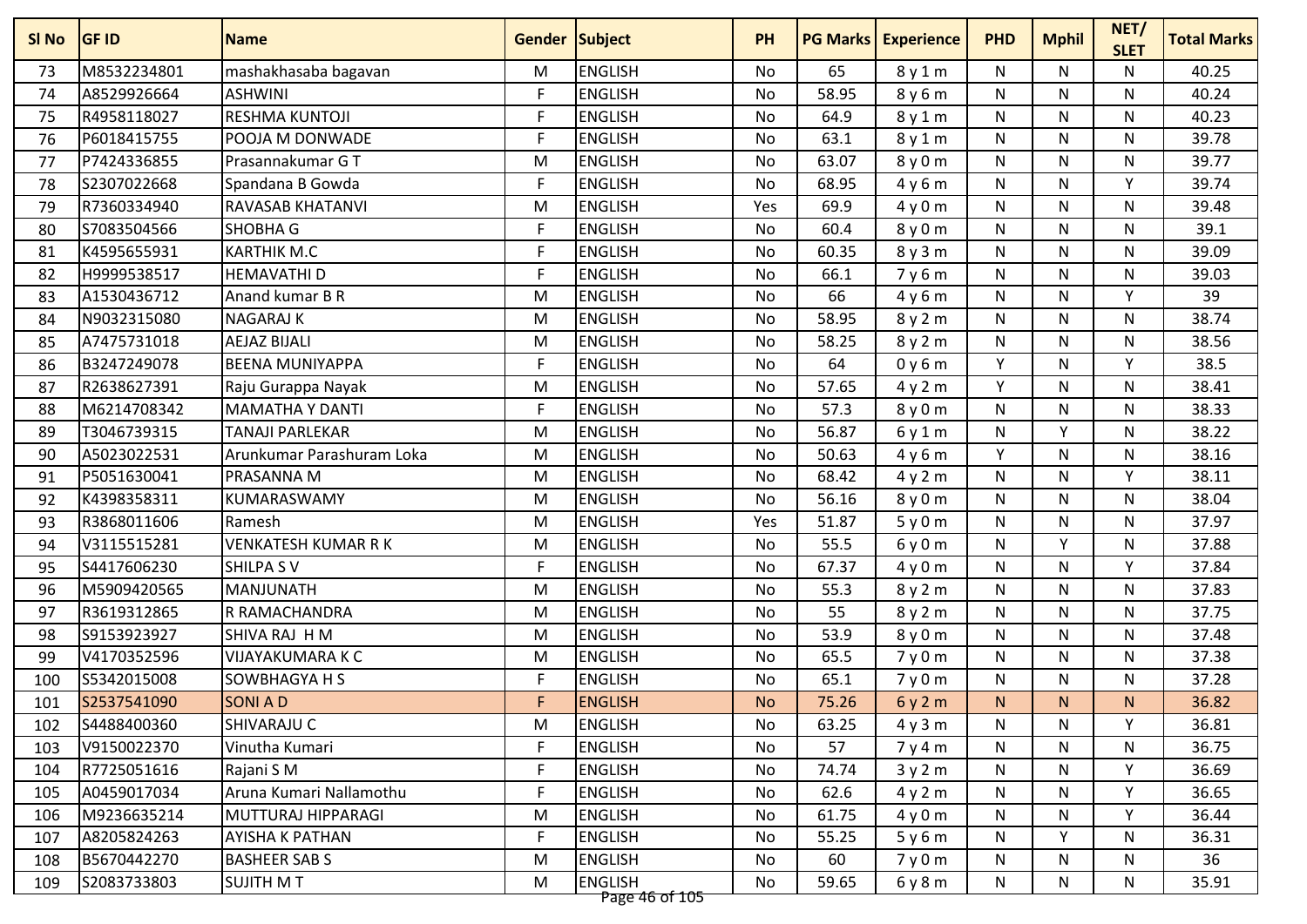| M8532234801<br>73  |                            |    |                                  | <b>PH</b> | <b>PG Marks</b> | <b>Experience</b> | <b>PHD</b> | <b>Mphil</b> | <b>SLET</b>  | <b>Total Marks</b> |
|--------------------|----------------------------|----|----------------------------------|-----------|-----------------|-------------------|------------|--------------|--------------|--------------------|
|                    | mashakhasaba bagavan       | M  | <b>ENGLISH</b>                   | No        | 65              | 8y1m              | N          | N            | N            | 40.25              |
| A8529926664<br>74  | <b>ASHWINI</b>             | F  | <b>ENGLISH</b>                   | No        | 58.95           | 8y6m              | N          | N            | N            | 40.24              |
| R4958118027<br>75  | RESHMA KUNTOJI             | F  | <b>ENGLISH</b>                   | No        | 64.9            | 8y1m              | N          | N            | N            | 40.23              |
| P6018415755<br>76  | POOJA M DONWADE            | F  | <b>ENGLISH</b>                   | No        | 63.1            | 8y1m              | N          | N            | N            | 39.78              |
| P7424336855<br>77  | Prasannakumar GT           | M  | <b>ENGLISH</b>                   | No        | 63.07           | 8y0m              | N          | N            | N            | 39.77              |
| S2307022668<br>78  | Spandana B Gowda           | F  | <b>ENGLISH</b>                   | No        | 68.95           | 4y6m              | N          | N            | Y            | 39.74              |
| R7360334940<br>79  | RAVASAB KHATANVI           | M  | <b>ENGLISH</b>                   | Yes       | 69.9            | 4y0m              | N          | N            | N            | 39.48              |
| S7083504566<br>80  | <b>SHOBHA G</b>            | F  | <b>ENGLISH</b>                   | <b>No</b> | 60.4            | 8 y 0 m           | N          | N            | N.           | 39.1               |
| K4595655931<br>81  | <b>KARTHIK M.C</b>         | F  | <b>ENGLISH</b>                   | No        | 60.35           | 8y3m              | N          | N            | N            | 39.09              |
| H9999538517<br>82  | <b>HEMAVATHI D</b>         | F  | <b>ENGLISH</b>                   | No        | 66.1            | 7y6m              | N          | N            | N            | 39.03              |
| A1530436712<br>83  | Anand kumar B R            | M  | <b>ENGLISH</b>                   | No        | 66              | 4y6m              | N          | N            | Y            | 39                 |
| N9032315080<br>84  | <b>NAGARAJ K</b>           | M  | <b>ENGLISH</b>                   | No        | 58.95           | 8y2m              | N          | N            | N            | 38.74              |
| A7475731018<br>85  | <b>AEJAZ BIJALI</b>        | M  | <b>ENGLISH</b>                   | No        | 58.25           | 8 y 2 m           | N          | N            | N            | 38.56              |
| B3247249078<br>86  | <b>BEENA MUNIYAPPA</b>     | F  | <b>ENGLISH</b>                   | No        | 64              | 0y6m              | Y          | N            | v            | 38.5               |
| R2638627391<br>87  | Raju Gurappa Nayak         | M  | <b>ENGLISH</b>                   | <b>No</b> | 57.65           | 4y2m              | Y          | N            | $\mathsf{N}$ | 38.41              |
| M6214708342<br>88  | <b>MAMATHA Y DANTI</b>     | F  | <b>ENGLISH</b>                   | No        | 57.3            | 8 y 0 m           | N          | N            | N            | 38.33              |
| T3046739315<br>89  | <b>TANAJI PARLEKAR</b>     | M  | <b>ENGLISH</b>                   | No        | 56.87           | 6y1m              | N          | Y            | N            | 38.22              |
| A5023022531<br>90  | Arunkumar Parashuram Loka  | M  | <b>ENGLISH</b>                   | No        | 50.63           | 4y6m              | Y          | N            | N            | 38.16              |
| P5051630041<br>91  | PRASANNA M                 | M  | <b>ENGLISH</b>                   | No        | 68.42           | 4y2m              | N          | N            | v            | 38.11              |
| K4398358311<br>92  | KUMARASWAMY                | M  | <b>ENGLISH</b>                   | No        | 56.16           | 8 y 0 m           | N          | N            | N            | 38.04              |
| R3868011606<br>93  | Ramesh                     | M  | <b>ENGLISH</b>                   | Yes       | 51.87           | 5y0m              | N          | N            | N            | 37.97              |
| V3115515281<br>94  | <b>VENKATESH KUMAR R K</b> | M  | <b>ENGLISH</b>                   | No        | 55.5            | 6y0m              | N          | Y            | N            | 37.88              |
| S4417606230<br>95  | <b>SHILPA SV</b>           | F  | <b>ENGLISH</b>                   | No        | 67.37           | 4y0m              | N          | N            | Y            | 37.84              |
| M5909420565<br>96  | <b>MANJUNATH</b>           | M  | <b>ENGLISH</b>                   | No        | 55.3            | 8y2m              | N          | N            | N            | 37.83              |
| R3619312865<br>97  | R RAMACHANDRA              | M  | <b>ENGLISH</b>                   | No        | 55              | 8y2m              | N          | N            | N            | 37.75              |
| S9153923927<br>98  | SHIVA RAJ H M              | M  | <b>ENGLISH</b>                   | No        | 53.9            | 8 y 0 m           | N          | N            | N            | 37.48              |
| V4170352596<br>99  | <b>VIJAYAKUMARA K C</b>    | M  | <b>ENGLISH</b>                   | <b>No</b> | 65.5            | 7y0m              | N          | N            | N            | 37.38              |
| S5342015008<br>100 | SOWBHAGYA H S              | F  | <b>ENGLISH</b>                   | No        | 65.1            | 7y0m              | N          | N            | N            | 37.28              |
| S2537541090<br>101 | <b>SONIAD</b>              | F  | <b>ENGLISH</b>                   | <b>No</b> | 75.26           | 6y2m              | N.         | N.           | N.           | 36.82              |
| S4488400360<br>102 | SHIVARAJU C                | M  | ENGLISH                          | No        | 63.25           | 4y3m              | N          | N            | Y            | 36.81              |
| 103<br>V9150022370 | Vinutha Kumari             | F  | <b>ENGLISH</b>                   | No        | 57              | 7y4m              | N          | N            | N            | 36.75              |
| R7725051616<br>104 | Rajani S M                 | F  | <b>ENGLISH</b>                   | No        | 74.74           | 3y2m              | N          | N            | Y            | 36.69              |
| A0459017034<br>105 | Aruna Kumari Nallamothu    | F  | <b>ENGLISH</b>                   | No        | 62.6            | 4y2m              | N          | N            | Y            | 36.65              |
| M9236635214<br>106 | MUTTURAJ HIPPARAGI         | M  | <b>ENGLISH</b>                   | No        | 61.75           | 4y0m              | N          | N            | Y            | 36.44              |
| A8205824263<br>107 | AYISHA K PATHAN            | F. | <b>ENGLISH</b>                   | No        | 55.25           | 5y6m              | N          | Y.           | N            | 36.31              |
| B5670442270<br>108 | <b>BASHEER SABS</b>        | M  | <b>ENGLISH</b>                   | No        | 60              | 7y0m              | N          | N            | N            | 36                 |
| S2083733803<br>109 | <b>SUJITH MT</b>           | M  | <b>ENGLISH</b><br>Page 46 of 105 | No        | 59.65           | 6y8m              | N          | N            | N            | 35.91              |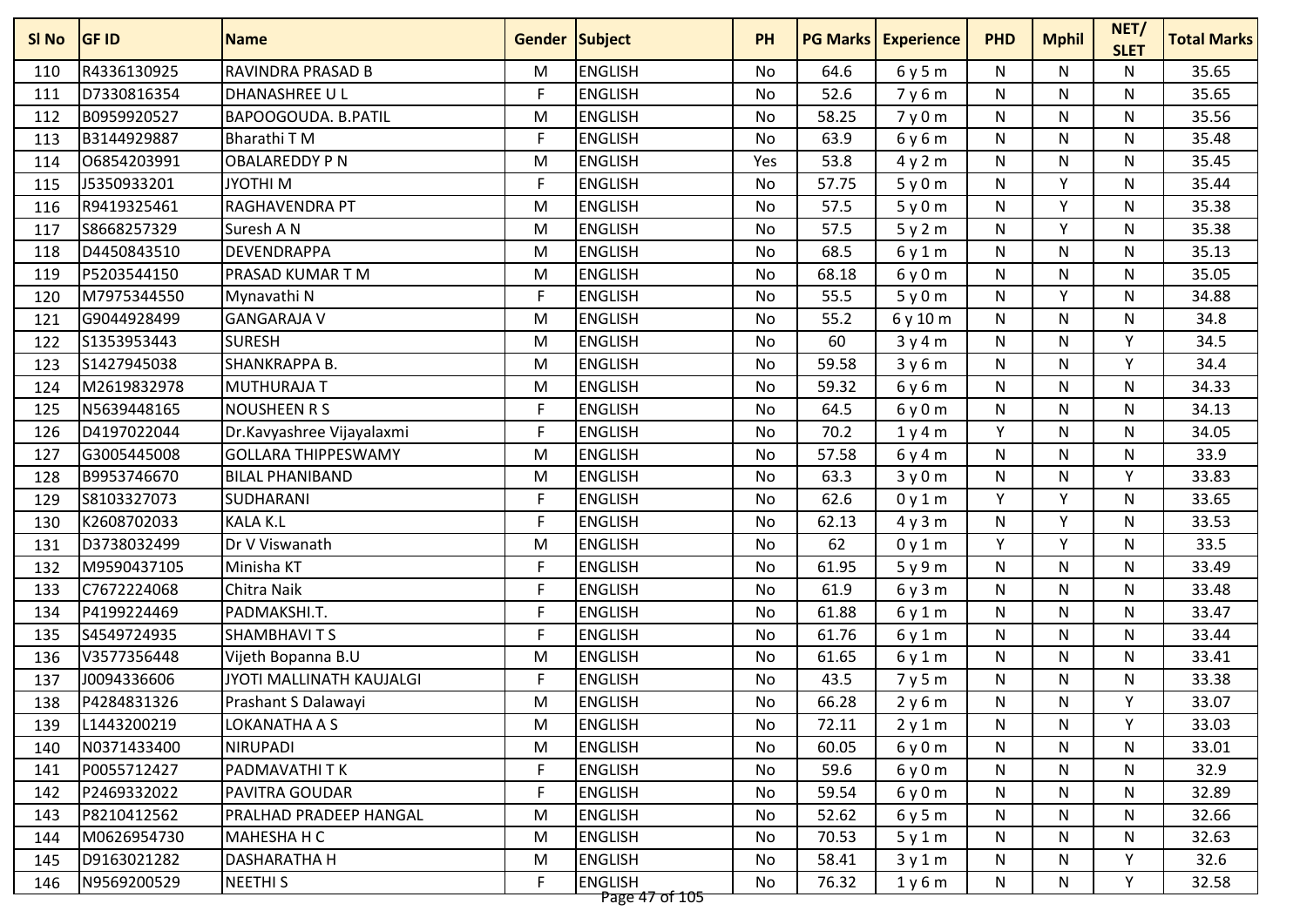| R4336130925<br><b>RAVINDRA PRASAD B</b><br><b>ENGLISH</b><br>M<br>64.6<br>6y5m<br>N<br>N<br>N<br><b>No</b><br>110<br>D7330816354<br>F<br><b>DHANASHREE U L</b><br><b>ENGLISH</b><br>52.6<br>N<br>N<br>No<br>7y6m<br>N<br>111<br><b>ENGLISH</b><br>B0959920527<br>BAPOOGOUDA. B.PATIL<br>58.25<br>${\sf N}$<br>N<br>$\mathsf{N}$<br>112<br>M<br><b>No</b><br>7y0m<br>B3144929887<br>F<br><b>ENGLISH</b><br>63.9<br><b>Bharathi TM</b><br>No<br>6y6m<br>N<br>N<br>N<br>113<br><b>ENGLISH</b><br>06854203991<br><b>OBALAREDDY PN</b><br>M<br>53.8<br>4y2m<br>${\sf N}$<br>N<br>N<br>114<br>Yes<br>F<br>Y<br>J5350933201<br><b>JYOTHIM</b><br><b>ENGLISH</b><br>57.75<br>N<br>115<br>No<br>5y0m<br>N<br>v<br>R9419325461<br>RAGHAVENDRA PT<br>M<br><b>ENGLISH</b><br>57.5<br>116<br>No<br>5y0m<br>N<br>N<br>S8668257329<br>Suresh A N<br><b>ENGLISH</b><br>57.5<br>v<br>M<br><b>No</b><br>N<br>N<br>117<br>5y2m<br><b>ENGLISH</b><br>68.5<br>D4450843510<br>DEVENDRAPPA<br>M<br>N<br>N.<br>N<br>118<br>No<br>6y1m<br>P5203544150<br><b>ENGLISH</b><br>PRASAD KUMAR T M<br>68.18<br>${\sf N}$<br>N<br>119<br>M<br>No<br>6y0m<br>N<br>M7975344550<br>F<br><b>ENGLISH</b><br>55.5<br>V<br>No<br>${\sf N}$<br>N<br>Mynavathi N<br>5y0m<br>120<br>G9044928499<br><b>GANGARAJA V</b><br><b>ENGLISH</b><br>55.2<br>N<br>N<br>$\mathsf{N}$<br>121<br>M<br>No<br>6y10m | <b>Total Marks</b> |
|-----------------------------------------------------------------------------------------------------------------------------------------------------------------------------------------------------------------------------------------------------------------------------------------------------------------------------------------------------------------------------------------------------------------------------------------------------------------------------------------------------------------------------------------------------------------------------------------------------------------------------------------------------------------------------------------------------------------------------------------------------------------------------------------------------------------------------------------------------------------------------------------------------------------------------------------------------------------------------------------------------------------------------------------------------------------------------------------------------------------------------------------------------------------------------------------------------------------------------------------------------------------------------------------------------------------------------------------------------------|--------------------|
|                                                                                                                                                                                                                                                                                                                                                                                                                                                                                                                                                                                                                                                                                                                                                                                                                                                                                                                                                                                                                                                                                                                                                                                                                                                                                                                                                           | 35.65              |
|                                                                                                                                                                                                                                                                                                                                                                                                                                                                                                                                                                                                                                                                                                                                                                                                                                                                                                                                                                                                                                                                                                                                                                                                                                                                                                                                                           | 35.65              |
|                                                                                                                                                                                                                                                                                                                                                                                                                                                                                                                                                                                                                                                                                                                                                                                                                                                                                                                                                                                                                                                                                                                                                                                                                                                                                                                                                           | 35.56              |
|                                                                                                                                                                                                                                                                                                                                                                                                                                                                                                                                                                                                                                                                                                                                                                                                                                                                                                                                                                                                                                                                                                                                                                                                                                                                                                                                                           | 35.48              |
|                                                                                                                                                                                                                                                                                                                                                                                                                                                                                                                                                                                                                                                                                                                                                                                                                                                                                                                                                                                                                                                                                                                                                                                                                                                                                                                                                           | 35.45              |
|                                                                                                                                                                                                                                                                                                                                                                                                                                                                                                                                                                                                                                                                                                                                                                                                                                                                                                                                                                                                                                                                                                                                                                                                                                                                                                                                                           | 35.44              |
|                                                                                                                                                                                                                                                                                                                                                                                                                                                                                                                                                                                                                                                                                                                                                                                                                                                                                                                                                                                                                                                                                                                                                                                                                                                                                                                                                           | 35.38              |
|                                                                                                                                                                                                                                                                                                                                                                                                                                                                                                                                                                                                                                                                                                                                                                                                                                                                                                                                                                                                                                                                                                                                                                                                                                                                                                                                                           | 35.38              |
|                                                                                                                                                                                                                                                                                                                                                                                                                                                                                                                                                                                                                                                                                                                                                                                                                                                                                                                                                                                                                                                                                                                                                                                                                                                                                                                                                           | 35.13              |
|                                                                                                                                                                                                                                                                                                                                                                                                                                                                                                                                                                                                                                                                                                                                                                                                                                                                                                                                                                                                                                                                                                                                                                                                                                                                                                                                                           | 35.05              |
|                                                                                                                                                                                                                                                                                                                                                                                                                                                                                                                                                                                                                                                                                                                                                                                                                                                                                                                                                                                                                                                                                                                                                                                                                                                                                                                                                           | 34.88              |
|                                                                                                                                                                                                                                                                                                                                                                                                                                                                                                                                                                                                                                                                                                                                                                                                                                                                                                                                                                                                                                                                                                                                                                                                                                                                                                                                                           | 34.8               |
| S1353953443<br><b>SURESH</b><br><b>ENGLISH</b><br>60<br>Υ<br>M<br>N<br>N<br>122<br>No<br>3y4m                                                                                                                                                                                                                                                                                                                                                                                                                                                                                                                                                                                                                                                                                                                                                                                                                                                                                                                                                                                                                                                                                                                                                                                                                                                             | 34.5               |
| S1427945038<br>SHANKRAPPA B.<br><b>ENGLISH</b><br>59.58<br>N<br>N<br>v<br>M<br>No<br>3y6m<br>123                                                                                                                                                                                                                                                                                                                                                                                                                                                                                                                                                                                                                                                                                                                                                                                                                                                                                                                                                                                                                                                                                                                                                                                                                                                          | 34.4               |
| <b>ENGLISH</b><br>M2619832978<br><b>MUTHURAJA T</b><br>59.32<br>$\mathsf{N}$<br>N<br>M<br><b>No</b><br>N<br>124<br>6y6m                                                                                                                                                                                                                                                                                                                                                                                                                                                                                                                                                                                                                                                                                                                                                                                                                                                                                                                                                                                                                                                                                                                                                                                                                                   | 34.33              |
| N5639448165<br><b>NOUSHEEN R S</b><br>F<br><b>ENGLISH</b><br>64.5<br>N<br>N<br>N<br>125<br>No<br>6y0m                                                                                                                                                                                                                                                                                                                                                                                                                                                                                                                                                                                                                                                                                                                                                                                                                                                                                                                                                                                                                                                                                                                                                                                                                                                     | 34.13              |
| D4197022044<br>F<br><b>ENGLISH</b><br>70.2<br>Y<br>126<br>Dr.Kavyashree Vijayalaxmi<br>N<br>N<br>No<br>1y4m                                                                                                                                                                                                                                                                                                                                                                                                                                                                                                                                                                                                                                                                                                                                                                                                                                                                                                                                                                                                                                                                                                                                                                                                                                               | 34.05              |
| <b>ENGLISH</b><br>G3005445008<br><b>GOLLARA THIPPESWAMY</b><br><b>No</b><br>57.58<br>N<br>N.<br>N<br>127<br>M<br>6y4m                                                                                                                                                                                                                                                                                                                                                                                                                                                                                                                                                                                                                                                                                                                                                                                                                                                                                                                                                                                                                                                                                                                                                                                                                                     | 33.9               |
| B9953746670<br><b>ENGLISH</b><br>Υ<br>128<br><b>BILAL PHANIBAND</b><br>M<br>No<br>63.3<br>3y0m<br>N<br>N                                                                                                                                                                                                                                                                                                                                                                                                                                                                                                                                                                                                                                                                                                                                                                                                                                                                                                                                                                                                                                                                                                                                                                                                                                                  | 33.83              |
| Y<br>S8103327073<br>F<br><b>ENGLISH</b><br>62.6<br>v<br>SUDHARANI<br>N<br>129<br>No<br>0y1m                                                                                                                                                                                                                                                                                                                                                                                                                                                                                                                                                                                                                                                                                                                                                                                                                                                                                                                                                                                                                                                                                                                                                                                                                                                               | 33.65              |
| F<br>K2608702033<br><b>KALA K.L</b><br><b>ENGLISH</b><br>62.13<br>N<br>٧<br>No<br>N<br>130<br>4y3m                                                                                                                                                                                                                                                                                                                                                                                                                                                                                                                                                                                                                                                                                                                                                                                                                                                                                                                                                                                                                                                                                                                                                                                                                                                        | 33.53              |
| <b>ENGLISH</b><br>62<br>Y<br>v<br>D3738032499<br>Dr V Viswanath<br>131<br>M<br><b>No</b><br>N<br>0y1m                                                                                                                                                                                                                                                                                                                                                                                                                                                                                                                                                                                                                                                                                                                                                                                                                                                                                                                                                                                                                                                                                                                                                                                                                                                     | 33.5               |
| M9590437105<br>F<br><b>ENGLISH</b><br>61.95<br>Minisha KT<br>No<br>N<br>N.<br>N<br>132<br>5y9m                                                                                                                                                                                                                                                                                                                                                                                                                                                                                                                                                                                                                                                                                                                                                                                                                                                                                                                                                                                                                                                                                                                                                                                                                                                            | 33.49              |
| F<br><b>ENGLISH</b><br>C7672224068<br>Chitra Naik<br>61.9<br>N<br>N<br>N<br>133<br>No<br>6y3m                                                                                                                                                                                                                                                                                                                                                                                                                                                                                                                                                                                                                                                                                                                                                                                                                                                                                                                                                                                                                                                                                                                                                                                                                                                             | 33.48              |
| F<br>P4199224469<br>PADMAKSHI.T.<br><b>ENGLISH</b><br>61.88<br>N<br>134<br>No<br>6y1m<br>N.<br>N                                                                                                                                                                                                                                                                                                                                                                                                                                                                                                                                                                                                                                                                                                                                                                                                                                                                                                                                                                                                                                                                                                                                                                                                                                                          | 33.47              |
| F<br>S4549724935<br><b>SHAMBHAVITS</b><br><b>ENGLISH</b><br>61.76<br>${\sf N}$<br>N<br>135<br>No<br>N<br>6y1m                                                                                                                                                                                                                                                                                                                                                                                                                                                                                                                                                                                                                                                                                                                                                                                                                                                                                                                                                                                                                                                                                                                                                                                                                                             | 33.44              |
| V3577356448<br><b>ENGLISH</b><br>61.65<br>136<br>Vijeth Bopanna B.U<br>N<br>N<br>N<br>M<br>No<br>6y1m                                                                                                                                                                                                                                                                                                                                                                                                                                                                                                                                                                                                                                                                                                                                                                                                                                                                                                                                                                                                                                                                                                                                                                                                                                                     | 33.41              |
| F<br>J0094336606<br>JYOTI MALLINATH KAUJALGI<br><b>ENGLISH</b><br>43.5<br>${\sf N}$<br>N<br>N<br>137<br>No<br>7y5m                                                                                                                                                                                                                                                                                                                                                                                                                                                                                                                                                                                                                                                                                                                                                                                                                                                                                                                                                                                                                                                                                                                                                                                                                                        | 33.38              |
| P4284831326<br><b>ENGLISH</b><br>66.28<br>138<br>Prashant S Dalawayi<br>M<br>N<br>N<br>Υ<br>No<br>2y6m                                                                                                                                                                                                                                                                                                                                                                                                                                                                                                                                                                                                                                                                                                                                                                                                                                                                                                                                                                                                                                                                                                                                                                                                                                                    | 33.07              |
| L1443200219<br><b>ENGLISH</b><br>Y<br>LOKANATHA A S<br>M<br>No<br>72.11<br>N<br>N<br>139<br>2y1m                                                                                                                                                                                                                                                                                                                                                                                                                                                                                                                                                                                                                                                                                                                                                                                                                                                                                                                                                                                                                                                                                                                                                                                                                                                          | 33.03              |
| N0371433400<br><b>NIRUPADI</b><br><b>ENGLISH</b><br>60.05<br>140<br>M<br>No<br>6y0m<br>N<br>N<br>N                                                                                                                                                                                                                                                                                                                                                                                                                                                                                                                                                                                                                                                                                                                                                                                                                                                                                                                                                                                                                                                                                                                                                                                                                                                        | 33.01              |
| F<br>P0055712427<br>PADMAVATHI TK<br><b>ENGLISH</b><br>59.6<br>N<br>N<br>N<br>No<br>6y0m<br>141                                                                                                                                                                                                                                                                                                                                                                                                                                                                                                                                                                                                                                                                                                                                                                                                                                                                                                                                                                                                                                                                                                                                                                                                                                                           | 32.9               |
| F<br>P2469332022<br>PAVITRA GOUDAR<br><b>ENGLISH</b><br>No<br>59.54<br>N<br>N<br>N<br>142<br>6y0m                                                                                                                                                                                                                                                                                                                                                                                                                                                                                                                                                                                                                                                                                                                                                                                                                                                                                                                                                                                                                                                                                                                                                                                                                                                         | 32.89              |
| <b>ENGLISH</b><br>52.62<br>$\mathsf{N}$<br>$\mathsf{N}$<br>N<br>P8210412562<br>PRALHAD PRADEEP HANGAL<br>M<br>143<br>No<br>6y5m                                                                                                                                                                                                                                                                                                                                                                                                                                                                                                                                                                                                                                                                                                                                                                                                                                                                                                                                                                                                                                                                                                                                                                                                                           | 32.66              |
| <b>ENGLISH</b><br>70.53<br>N<br>M0626954730<br>MAHESHA H C<br>M<br>No<br>N<br>N<br>144<br>5y1m                                                                                                                                                                                                                                                                                                                                                                                                                                                                                                                                                                                                                                                                                                                                                                                                                                                                                                                                                                                                                                                                                                                                                                                                                                                            | 32.63              |
| D9163021282<br><b>ENGLISH</b><br>58.41<br>Υ<br>145<br>DASHARATHA H<br>M<br>No<br>3y1m<br>N<br>N                                                                                                                                                                                                                                                                                                                                                                                                                                                                                                                                                                                                                                                                                                                                                                                                                                                                                                                                                                                                                                                                                                                                                                                                                                                           | 32.6               |
| F<br><b>ENGLISH</b><br>76.32<br>Υ<br>N9569200529<br><b>NEETHIS</b><br>No<br>N<br>N<br>146<br>1y6m<br>Page 47 of 105                                                                                                                                                                                                                                                                                                                                                                                                                                                                                                                                                                                                                                                                                                                                                                                                                                                                                                                                                                                                                                                                                                                                                                                                                                       | 32.58              |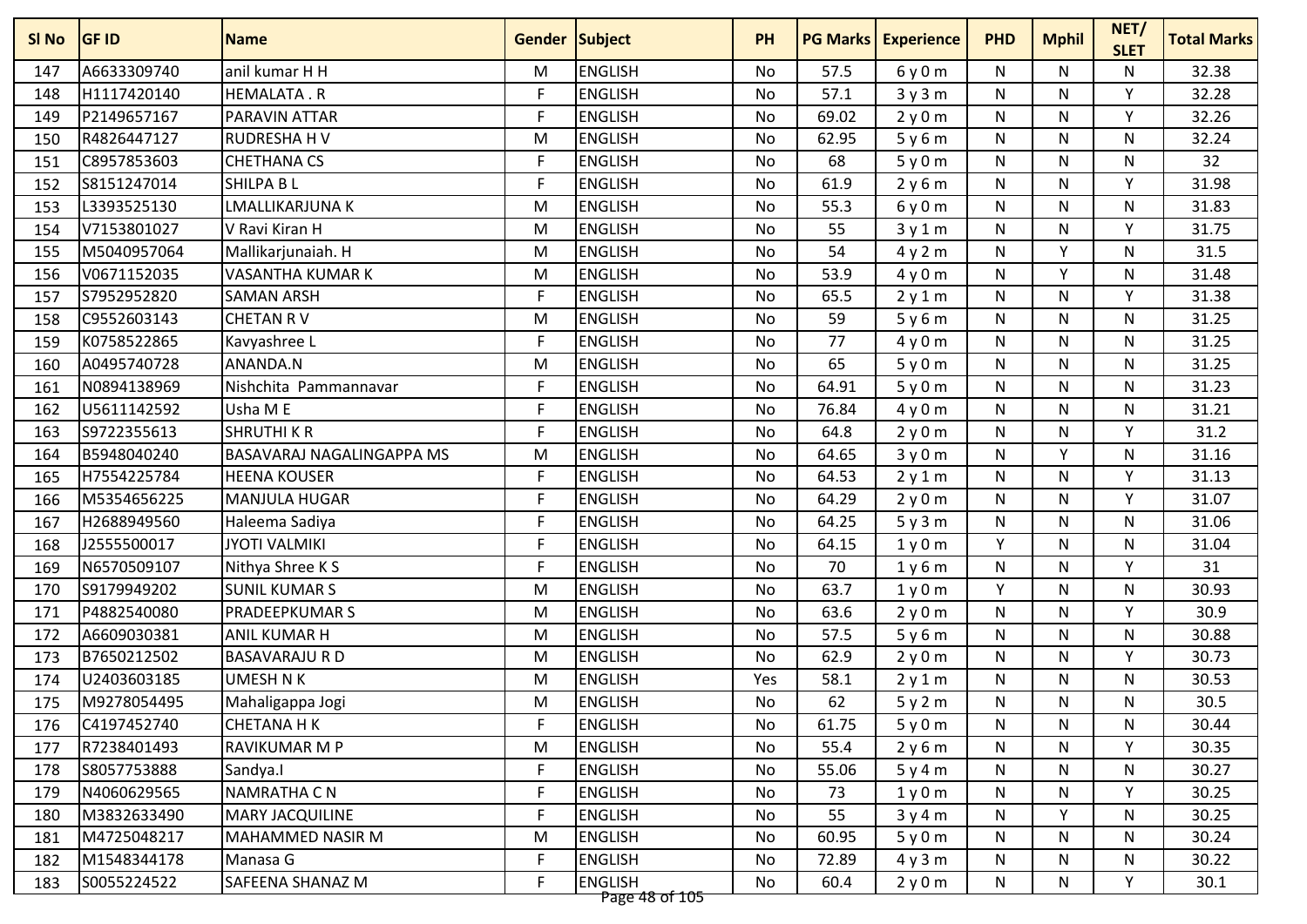| SI No | <b>GF ID</b> | <b>Name</b>               | <b>Gender Subject</b> |                | <b>PH</b> |       | <b>PG Marks   Experience</b> | <b>PHD</b>   | <b>Mphil</b> | NET/<br><b>SLET</b> | <b>Total Marks</b> |
|-------|--------------|---------------------------|-----------------------|----------------|-----------|-------|------------------------------|--------------|--------------|---------------------|--------------------|
| 147   | A6633309740  | anil kumar H H            | M                     | <b>ENGLISH</b> | No        | 57.5  | 6y0m                         | N            | N            | N                   | 32.38              |
| 148   | H1117420140  | <b>HEMALATA.R</b>         | F                     | <b>ENGLISH</b> | No        | 57.1  | 3y3m                         | ${\sf N}$    | N            | Y                   | 32.28              |
| 149   | P2149657167  | PARAVIN ATTAR             | F                     | <b>ENGLISH</b> | No        | 69.02 | 2y0m                         | ${\sf N}$    | N            | Y                   | 32.26              |
| 150   | R4826447127  | <b>RUDRESHAHV</b>         | M                     | <b>ENGLISH</b> | <b>No</b> | 62.95 | 5y6m                         | N            | N.           | N                   | 32.24              |
| 151   | C8957853603  | <b>CHETHANA CS</b>        | F                     | <b>ENGLISH</b> | No        | 68    | 5y0m                         | N            | N            | $\mathsf{N}$        | 32                 |
| 152   | S8151247014  | SHILPA B L                | F                     | <b>ENGLISH</b> | No        | 61.9  | 2y6m                         | N            | N            | Y                   | 31.98              |
| 153   | L3393525130  | LMALLIKARJUNA K           | M                     | <b>ENGLISH</b> | No        | 55.3  | 6y0m                         | N            | N            | N                   | 31.83              |
| 154   | V7153801027  | V Ravi Kiran H            | M                     | <b>ENGLISH</b> | <b>No</b> | 55    | 3y1m                         | $\mathsf{N}$ | N            | Y                   | 31.75              |
| 155   | M5040957064  | Mallikarjunaiah. H        | M                     | <b>ENGLISH</b> | No        | 54    | 4y2m                         | N            | v            | $\mathsf{N}$        | 31.5               |
| 156   | V0671152035  | <b>VASANTHA KUMAR K</b>   | M                     | <b>ENGLISH</b> | No        | 53.9  | 4y0m                         | N            | Y            | N                   | 31.48              |
| 157   | S7952952820  | <b>SAMAN ARSH</b>         | F                     | <b>ENGLISH</b> | No        | 65.5  | 2y1m                         | N            | N.           | Y                   | 31.38              |
| 158   | C9552603143  | <b>CHETAN RV</b>          | M                     | <b>ENGLISH</b> | No        | 59    | 5y6m                         | N            | N            | N.                  | 31.25              |
| 159   | K0758522865  | Kavyashree L              | F                     | <b>ENGLISH</b> | No        | 77    | 4y0m                         | N            | N            | N                   | 31.25              |
| 160   | A0495740728  | ANANDA.N                  | M                     | <b>ENGLISH</b> | No        | 65    | 5y0m                         | N            | N            | N                   | 31.25              |
| 161   | N0894138969  | Nishchita Pammannavar     | F                     | <b>ENGLISH</b> | No        | 64.91 | 5y0m                         | ${\sf N}$    | N            | N                   | 31.23              |
| 162   | U5611142592  | Usha ME                   | F                     | <b>ENGLISH</b> | No        | 76.84 | 4y0m                         | ${\sf N}$    | N.           | N                   | 31.21              |
| 163   | S9722355613  | <b>SHRUTHI K R</b>        | F                     | <b>ENGLISH</b> | No        | 64.8  | 2y0m                         | N            | N            | Y                   | 31.2               |
| 164   | B5948040240  | BASAVARAJ NAGALINGAPPA MS | M                     | <b>ENGLISH</b> | <b>No</b> | 64.65 | 3y0m                         | N            | Y            | N                   | 31.16              |
| 165   | H7554225784  | <b>HEENA KOUSER</b>       | F                     | <b>ENGLISH</b> | No        | 64.53 | 2y1m                         | ${\sf N}$    | N            | v                   | 31.13              |
| 166   | M5354656225  | <b>MANJULA HUGAR</b>      | F                     | <b>ENGLISH</b> | <b>No</b> | 64.29 | 2y0m                         | N            | N            | Y                   | 31.07              |
| 167   | H2688949560  | Haleema Sadiya            | F                     | <b>ENGLISH</b> | No        | 64.25 | 5y3m                         | N            | N            | N                   | 31.06              |
| 168   | J2555500017  | <b>JYOTI VALMIKI</b>      | F                     | <b>ENGLISH</b> | No        | 64.15 | 1y0m                         | Y            | N            | N                   | 31.04              |
| 169   | N6570509107  | Nithya Shree KS           | F                     | <b>ENGLISH</b> | <b>No</b> | 70    | 1y6m                         | N            | N.           | Y                   | 31                 |
| 170   | S9179949202  | <b>SUNIL KUMARS</b>       | M                     | <b>ENGLISH</b> | No        | 63.7  | 1y0m                         | Y            | N            | $\mathsf{N}$        | 30.93              |
| 171   | P4882540080  | PRADEEPKUMAR S            | M                     | <b>ENGLISH</b> | <b>No</b> | 63.6  | 2y0m                         | $\mathsf{N}$ | N            | Y                   | 30.9               |
| 172   | A6609030381  | ANIL KUMAR H              | M                     | <b>ENGLISH</b> | No        | 57.5  | 5y6m                         | ${\sf N}$    | N            | N                   | 30.88              |
| 173   | B7650212502  | <b>BASAVARAJU R D</b>     | M                     | <b>ENGLISH</b> | <b>No</b> | 62.9  | 2y0m                         | ${\sf N}$    | N            | Y                   | 30.73              |
| 174   | U2403603185  | <b>UMESH N K</b>          | M                     | <b>ENGLISH</b> | Yes       | 58.1  | 2y1m                         | N            | N            | N                   | 30.53              |
| 175   | M9278054495  | Mahaligappa Jogi          | M                     | <b>ENGLISH</b> | No        | 62    | 5y2m                         | N            | N            | N                   | 30.5               |
| 176   | C4197452740  | <b>CHETANA H K</b>        | F                     | <b>ENGLISH</b> | No        | 61.75 | 5y0m                         | N            | N            | N                   | 30.44              |
| 177   | R7238401493  | RAVIKUMAR M P             | M                     | <b>ENGLISH</b> | No        | 55.4  | 2y6m                         | N            | N            | Υ                   | 30.35              |
| 178   | S8057753888  | Sandya.I                  | F                     | <b>ENGLISH</b> | No        | 55.06 | 5y4m                         | N            | N            | N                   | 30.27              |
| 179   | N4060629565  | <b>NAMRATHA C N</b>       | F                     | <b>ENGLISH</b> | No        | 73    | 1y0m                         | N            | N            | Υ                   | 30.25              |
| 180   | M3832633490  | <b>MARY JACQUILINE</b>    | F                     | <b>ENGLISH</b> | No        | 55    | 3y4m                         | N            | Y            | N                   | 30.25              |
| 181   | M4725048217  | MAHAMMED NASIR M          | M                     | <b>ENGLISH</b> | No        | 60.95 | 5y0m                         | N            | N            | N                   | 30.24              |
| 182   | M1548344178  | Manasa G                  | F                     | <b>ENGLISH</b> | No        | 72.89 | 4y3m                         | N            | N            | N                   | 30.22              |
| 183   | S0055224522  | SAFEENA SHANAZ M          | F                     | <b>ENGLISH</b> | No        | 60.4  | 2y0m                         | N            | N            | Y                   | 30.1               |
|       |              |                           |                       | Page 48 of 105 |           |       |                              |              |              |                     |                    |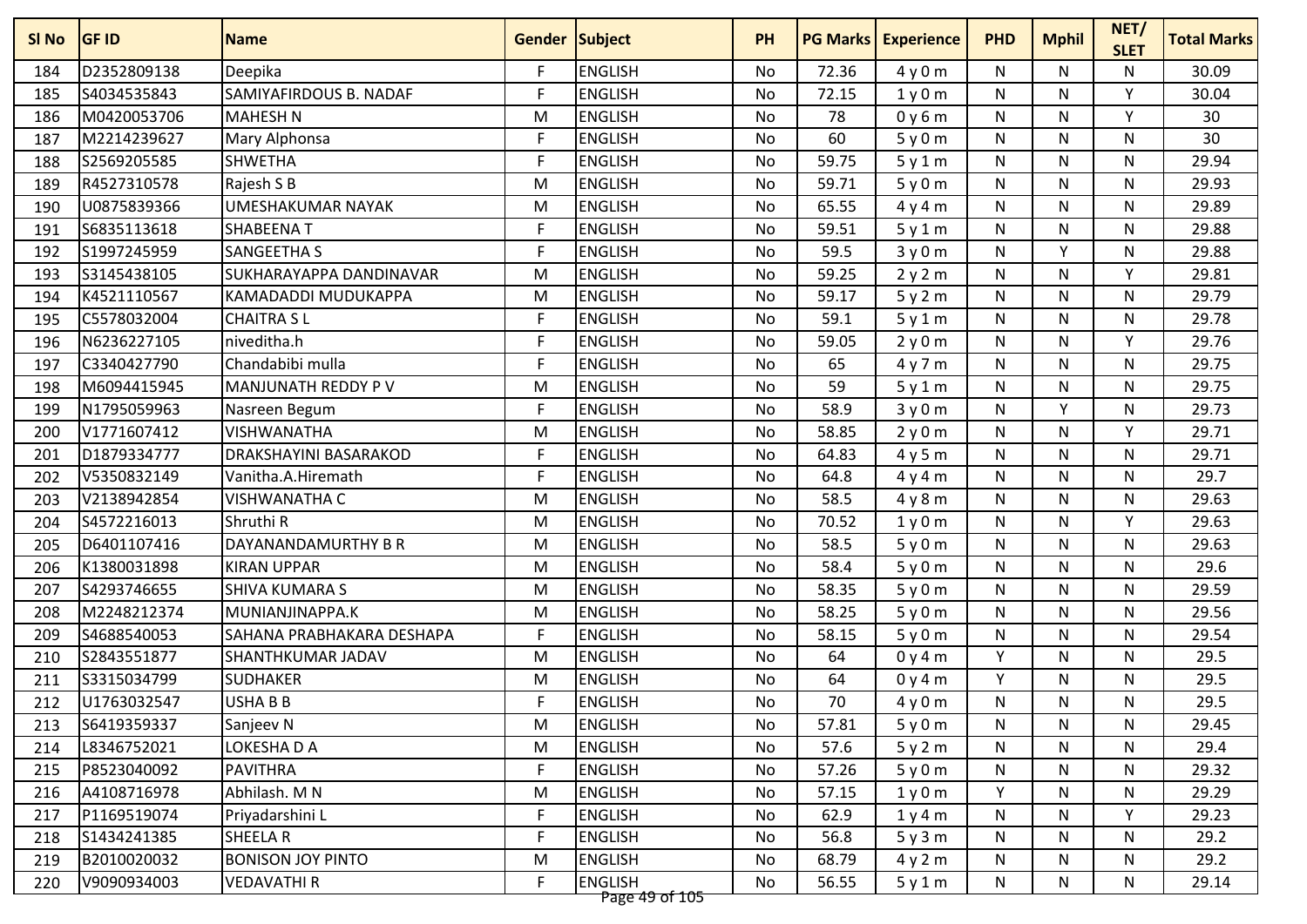| SI No | <b>GF ID</b> | <b>Name</b>                  | <b>Gender Subject</b> |                                  | <b>PH</b> | <b>PG Marks</b> | <b>Experience</b> | <b>PHD</b>   | <b>Mphil</b> | NET/<br><b>SLET</b> | <b>Total Marks</b> |
|-------|--------------|------------------------------|-----------------------|----------------------------------|-----------|-----------------|-------------------|--------------|--------------|---------------------|--------------------|
| 184   | D2352809138  | Deepika                      | F.                    | <b>ENGLISH</b>                   | No        | 72.36           | 4y0m              | N            | N            | N                   | 30.09              |
| 185   | S4034535843  | SAMIYAFIRDOUS B. NADAF       | F                     | <b>ENGLISH</b>                   | No        | 72.15           | 1y0m              | N            | N            | Y                   | 30.04              |
| 186   | M0420053706  | <b>MAHESH N</b>              | M                     | <b>ENGLISH</b>                   | <b>No</b> | 78              | 0y6m              | ${\sf N}$    | N            | Y                   | 30                 |
| 187   | M2214239627  | Mary Alphonsa                | F                     | <b>ENGLISH</b>                   | No        | 60              | 5y0m              | N            | N            | N                   | 30                 |
| 188   | S2569205585  | <b>SHWETHA</b>               | F                     | <b>ENGLISH</b>                   | No        | 59.75           | 5y1m              | N            | N            | N                   | 29.94              |
| 189   | R4527310578  | Rajesh S B                   | M                     | <b>ENGLISH</b>                   | No        | 59.71           | 5y0m              | N            | N            | N                   | 29.93              |
| 190   | U0875839366  | <b>UMESHAKUMAR NAYAK</b>     | M                     | <b>ENGLISH</b>                   | No        | 65.55           | 4y4m              | N            | N            | N                   | 29.89              |
| 191   | S6835113618  | <b>SHABEENAT</b>             | $\mathsf{F}$          | <b>ENGLISH</b>                   | <b>No</b> | 59.51           | 5y1m              | $\mathsf{N}$ | N            | N                   | 29.88              |
| 192   | S1997245959  | <b>SANGEETHA S</b>           | F                     | <b>ENGLISH</b>                   | No        | 59.5            | 3y0m              | ${\sf N}$    | Υ            | N                   | 29.88              |
| 193   | S3145438105  | SUKHARAYAPPA DANDINAVAR      | M                     | <b>ENGLISH</b>                   | No        | 59.25           | 2y2m              | ${\sf N}$    | N            | Y                   | 29.81              |
| 194   | K4521110567  | KAMADADDI MUDUKAPPA          | M                     | <b>ENGLISH</b>                   | No        | 59.17           | 5y2m              | N            | N            | N                   | 29.79              |
| 195   | C5578032004  | <b>CHAITRA SL</b>            | F                     | <b>ENGLISH</b>                   | No        | 59.1            | 5y1m              | ${\sf N}$    | N            | N                   | 29.78              |
| 196   | N6236227105  | niveditha.h                  | F.                    | <b>ENGLISH</b>                   | No        | 59.05           | 2y0m              | N            | N            | Y                   | 29.76              |
| 197   | C3340427790  | Chandabibi mulla             | F                     | <b>ENGLISH</b>                   | No        | 65              | 4y7m              | N            | N            | N                   | 29.75              |
| 198   | M6094415945  | MANJUNATH REDDY P V          | M                     | <b>ENGLISH</b>                   | <b>No</b> | 59              | 5y1m              | ${\sf N}$    | N            | $\mathsf{N}$        | 29.75              |
| 199   | N1795059963  | Nasreen Begum                | F.                    | <b>ENGLISH</b>                   | No        | 58.9            | 3y0m              | ${\sf N}$    | Y            | N                   | 29.73              |
| 200   | V1771607412  | <b>VISHWANATHA</b>           | M                     | <b>ENGLISH</b>                   | No        | 58.85           | 2y0m              | N            | N            | Y                   | 29.71              |
| 201   | D1879334777  | <b>DRAKSHAYINI BASARAKOD</b> | F                     | <b>ENGLISH</b>                   | No        | 64.83           | 4y5m              | N            | N            | N                   | 29.71              |
| 202   | V5350832149  | Vanitha.A.Hiremath           | F                     | <b>ENGLISH</b>                   | No        | 64.8            | 4y4m              | N            | N            | N                   | 29.7               |
| 203   | V2138942854  | <b>VISHWANATHA C</b>         | M                     | <b>ENGLISH</b>                   | No        | 58.5            | 4y8m              | N            | N            | N                   | 29.63              |
| 204   | S4572216013  | Shruthi R                    | M                     | <b>ENGLISH</b>                   | No        | 70.52           | 1y0m              | N            | N            | Y                   | 29.63              |
| 205   | D6401107416  | DAYANANDAMURTHY B R          | M                     | <b>ENGLISH</b>                   | No        | 58.5            | 5y0m              | ${\sf N}$    | N            | N                   | 29.63              |
| 206   | K1380031898  | <b>KIRAN UPPAR</b>           | M                     | <b>ENGLISH</b>                   | No        | 58.4            | 5y0m              | N            | N            | N                   | 29.6               |
| 207   | S4293746655  | <b>SHIVA KUMARA S</b>        | M                     | <b>ENGLISH</b>                   | No        | 58.35           | 5y0m              | ${\sf N}$    | N            | $\mathsf{N}$        | 29.59              |
| 208   | M2248212374  | MUNIANJINAPPA.K              | M                     | <b>ENGLISH</b>                   | No        | 58.25           | 5y0m              | N            | N            | N                   | 29.56              |
| 209   | S4688540053  | SAHANA PRABHAKARA DESHAPA    | F                     | <b>ENGLISH</b>                   | No        | 58.15           | 5y0m              | ${\sf N}$    | N            | N                   | 29.54              |
| 210   | S2843551877  | <b>SHANTHKUMAR JADAV</b>     | M                     | <b>ENGLISH</b>                   | <b>No</b> | 64              | 0y4m              | Y            | N            | $\mathsf{N}$        | 29.5               |
| 211   | S3315034799  | <b>SUDHAKER</b>              | M                     | <b>ENGLISH</b>                   | No        | 64              | 0y4m              | Y            | N            | N                   | 29.5               |
| 212   | U1763032547  | <b>USHABB</b>                | F                     | <b>ENGLISH</b>                   | No        | 70              | 4y0m              | N            | N            | N                   | 29.5               |
| 213   | S6419359337  | Sanjeev N                    | M                     | <b>ENGLISH</b>                   | No        | 57.81           | 5y0m              | N            | N            | N                   | 29.45              |
| 214   | L8346752021  | LOKESHA D A                  | M                     | <b>ENGLISH</b>                   | No        | 57.6            | 5y2m              | N            | N            | N                   | 29.4               |
| 215   | P8523040092  | <b>PAVITHRA</b>              | F                     | <b>ENGLISH</b>                   | No        | 57.26           | 5y0m              | N            | N            | N                   | 29.32              |
| 216   | A4108716978  | Abhilash. M N                | M                     | <b>ENGLISH</b>                   | No        | 57.15           | 1y0m              | Y            | N            | N                   | 29.29              |
| 217   | P1169519074  | Priyadarshini L              | F                     | <b>ENGLISH</b>                   | No        | 62.9            | 1y4m              | N            | N            | Y                   | 29.23              |
| 218   | S1434241385  | SHEELA R                     | $\mathsf{F}$          | <b>ENGLISH</b>                   | No        | 56.8            | 5y3m              | N            | N            | N                   | 29.2               |
| 219   | B2010020032  | <b>BONISON JOY PINTO</b>     | M                     | <b>ENGLISH</b>                   | No        | 68.79           | 4y2m              | N            | N            | N                   | 29.2               |
| 220   | V9090934003  | <b>VEDAVATHIR</b>            | F.                    | <b>ENGLISH</b><br>Page 49 of 105 | No        | 56.55           | 5y1m              | N            | N            | N                   | 29.14              |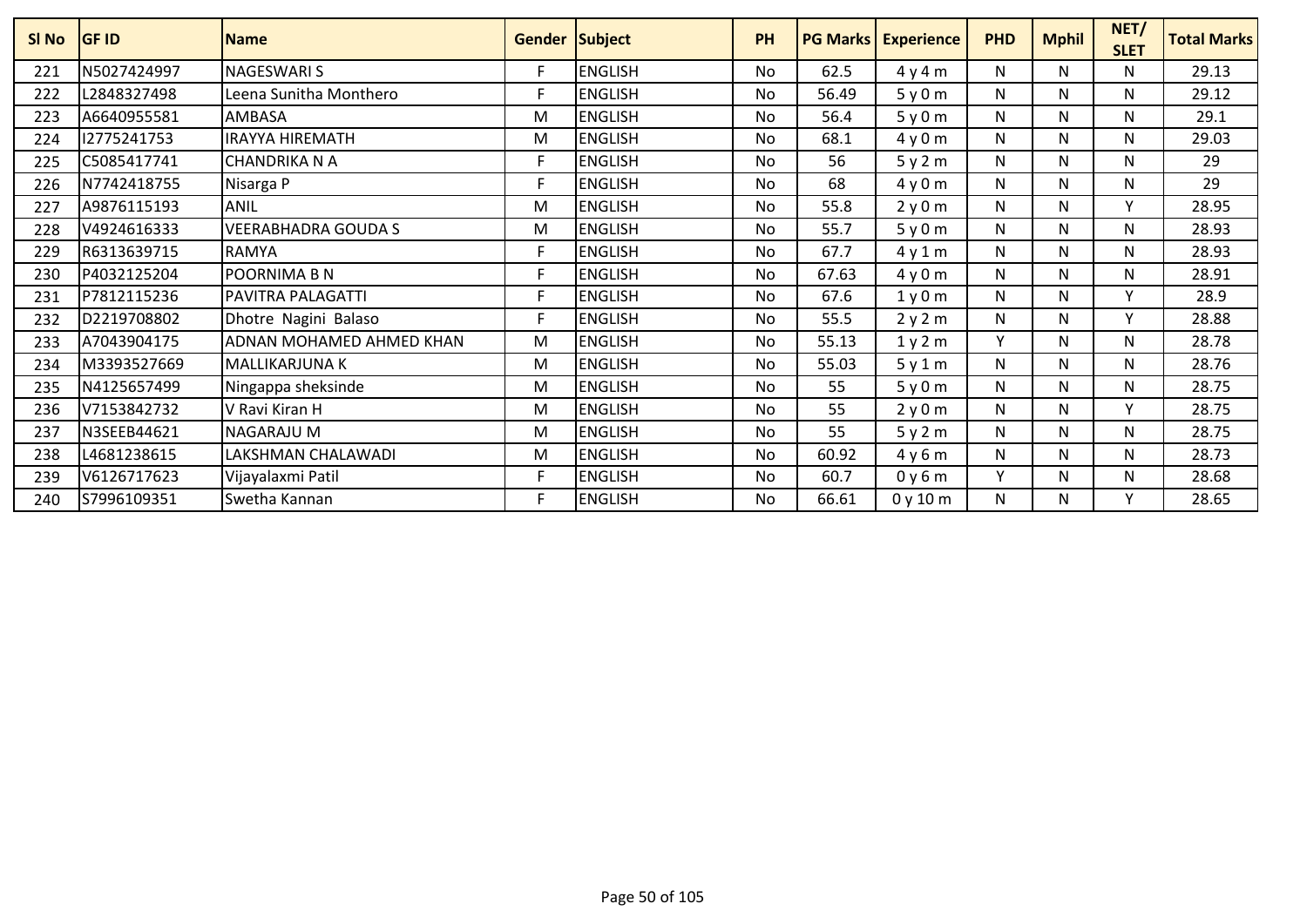| SI <sub>No</sub> | <b>GF ID</b> | <b>Name</b>                | <b>Gender Subject</b> |                | <b>PH</b> |       | <b>PG Marks Experience</b> | <b>PHD</b> | <b>Mphil</b> | NET/<br><b>SLET</b> | <b>Total Marks</b> |
|------------------|--------------|----------------------------|-----------------------|----------------|-----------|-------|----------------------------|------------|--------------|---------------------|--------------------|
| 221              | N5027424997  | <b>NAGESWARI S</b>         | F                     | <b>ENGLISH</b> | <b>No</b> | 62.5  | 4y4m                       | N          | N            | N                   | 29.13              |
| 222              | L2848327498  | Leena Sunitha Monthero     | E                     | <b>ENGLISH</b> | <b>No</b> | 56.49 | 5y0m                       | N          | N            | N                   | 29.12              |
| 223              | A6640955581  | AMBASA                     | M                     | <b>ENGLISH</b> | <b>No</b> | 56.4  | 5y0m                       | Ν          | N            | N                   | 29.1               |
| 224              | 12775241753  | <b>IRAYYA HIREMATH</b>     | M                     | <b>ENGLISH</b> | No        | 68.1  | 4y0m                       | N          | N            | N                   | 29.03              |
| 225              | C5085417741  | <b>CHANDRIKA N A</b>       | F                     | <b>ENGLISH</b> | <b>No</b> | 56    | 5y2m                       | N          | N            | $\mathsf{N}$        | 29                 |
| 226              | N7742418755  | Nisarga P                  | F                     | <b>ENGLISH</b> | <b>No</b> | 68    | 4y0m                       | N          | N            | N                   | 29                 |
| 227              | A9876115193  | <b>ANIL</b>                | M                     | <b>ENGLISH</b> | <b>No</b> | 55.8  | 2y0m                       | N          | N            | $\mathsf{v}$        | 28.95              |
| 228              | V4924616333  | <b>VEERABHADRA GOUDA S</b> | M                     | <b>ENGLISH</b> | No        | 55.7  | 5y0m                       | N          | N            | N                   | 28.93              |
| 229              | R6313639715  | <b>RAMYA</b>               | F                     | <b>ENGLISH</b> | <b>No</b> | 67.7  | 4y1m                       | N          | N            | N                   | 28.93              |
| 230              | P4032125204  | POORNIMA B N               | F                     | <b>ENGLISH</b> | <b>No</b> | 67.63 | 4y0m                       | N          | N            | N                   | 28.91              |
| 231              | P7812115236  | <b>PAVITRA PALAGATTI</b>   | F                     | <b>ENGLISH</b> | No        | 67.6  | 1y0m                       | N          | N            | v                   | 28.9               |
| 232              | D2219708802  | Dhotre Nagini Balaso       |                       | <b>ENGLISH</b> | <b>No</b> | 55.5  | 2y2m                       | N          | N            | $\checkmark$        | 28.88              |
| 233              | A7043904175  | ADNAN MOHAMED AHMED KHAN   | M                     | <b>ENGLISH</b> | No.       | 55.13 | 1y2m                       | Y          | N            | N                   | 28.78              |
| 234              | M3393527669  | MALLIKARJUNA K             | M                     | <b>ENGLISH</b> | <b>No</b> | 55.03 | 5y1m                       | N          | N            | N                   | 28.76              |
| 235              | N4125657499  | Ningappa sheksinde         | M                     | <b>ENGLISH</b> | <b>No</b> | 55    | 5y0m                       | N          | N            | N                   | 28.75              |
| 236              | V7153842732  | V Ravi Kiran H             | M                     | <b>ENGLISH</b> | No        | 55    | 2y0m                       | N          | N            | $\mathsf{v}$        | 28.75              |
| 237              | N3SEEB44621  | <b>NAGARAJU M</b>          | M                     | <b>ENGLISH</b> | No.       | 55    | 5y2m                       | N          | N            | N                   | 28.75              |
| 238              | L4681238615  | LAKSHMAN CHALAWADI         | M                     | <b>ENGLISH</b> | <b>No</b> | 60.92 | 4y6m                       | N          | N            | N                   | 28.73              |
| 239              | V6126717623  | Vijayalaxmi Patil          | F                     | <b>ENGLISH</b> | No        | 60.7  | 0y6m                       | v          | N            | N                   | 28.68              |
| 240              | S7996109351  | Swetha Kannan              | F                     | <b>ENGLISH</b> | <b>No</b> | 66.61 | 0y10m                      | N          | N            | $\mathsf{v}$        | 28.65              |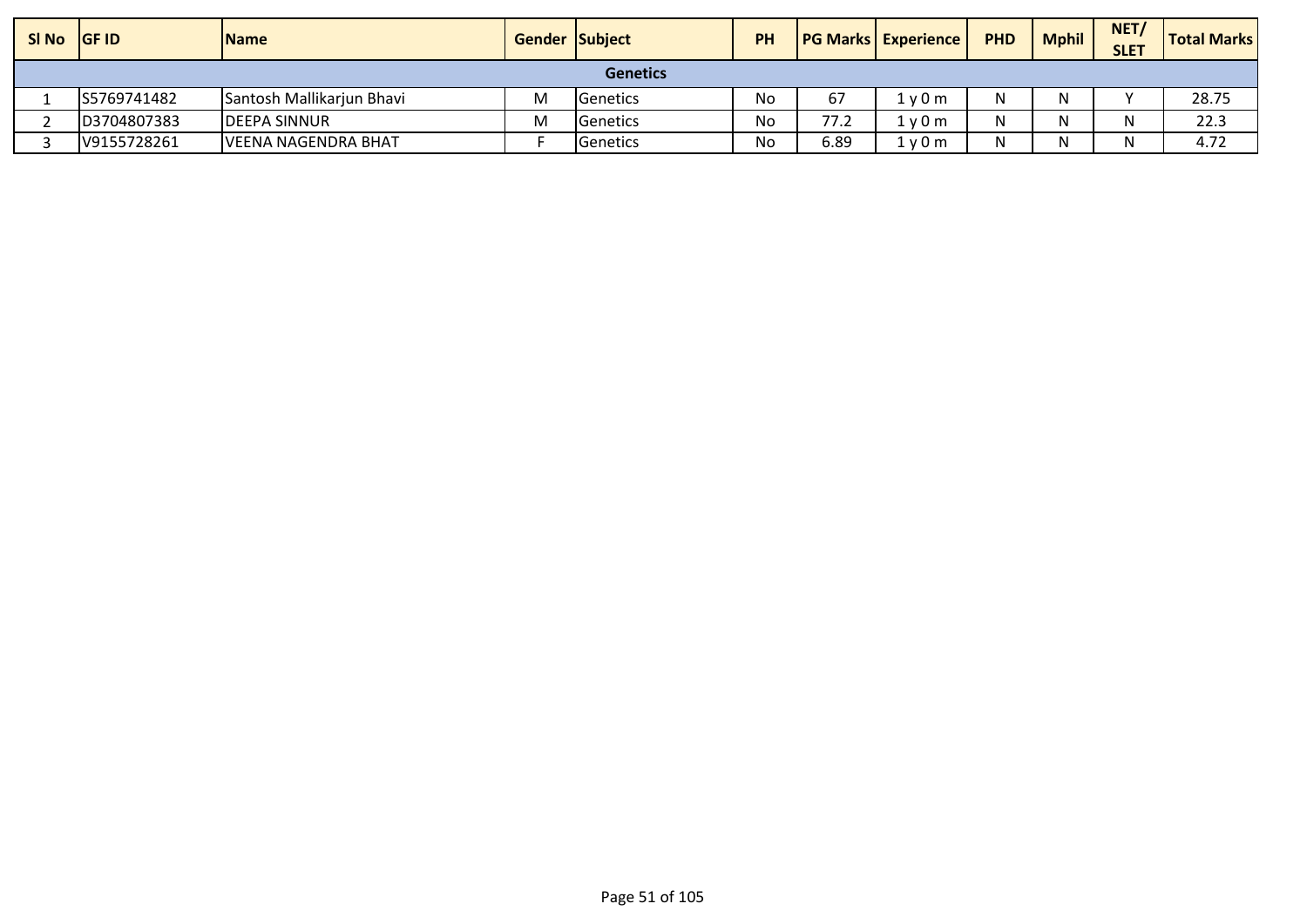| $SI$ No $ GF$ ID |             | <b>IName</b>              | <b>Gender Subject</b> |                   | <b>PH</b> |      | <b>PG Marks Experience</b> | <b>PHD</b> | <b>Mphil</b> | NET/<br><b>SLET</b> | <b>Total Marks</b> |
|------------------|-------------|---------------------------|-----------------------|-------------------|-----------|------|----------------------------|------------|--------------|---------------------|--------------------|
|                  |             |                           |                       | <b>Genetics</b>   |           |      |                            |            |              |                     |                    |
|                  | S5769741482 | Santosh Mallikarjun Bhavi | M                     | <b>I</b> Genetics | No        | 67   | l v 0 m                    | N          |              |                     | 28.75              |
|                  | D3704807383 | <b>DEEPA SINNUR</b>       | M                     | <b>Genetics</b>   | No        | 77.2 | 1v0m                       | N          |              |                     | 22.3               |
|                  | V9155728261 | IVEENA NAGENDRA BHAT      |                       | <b>Genetics</b>   | No        | 6.89 | 1y0m                       | N.         |              |                     | 4.72               |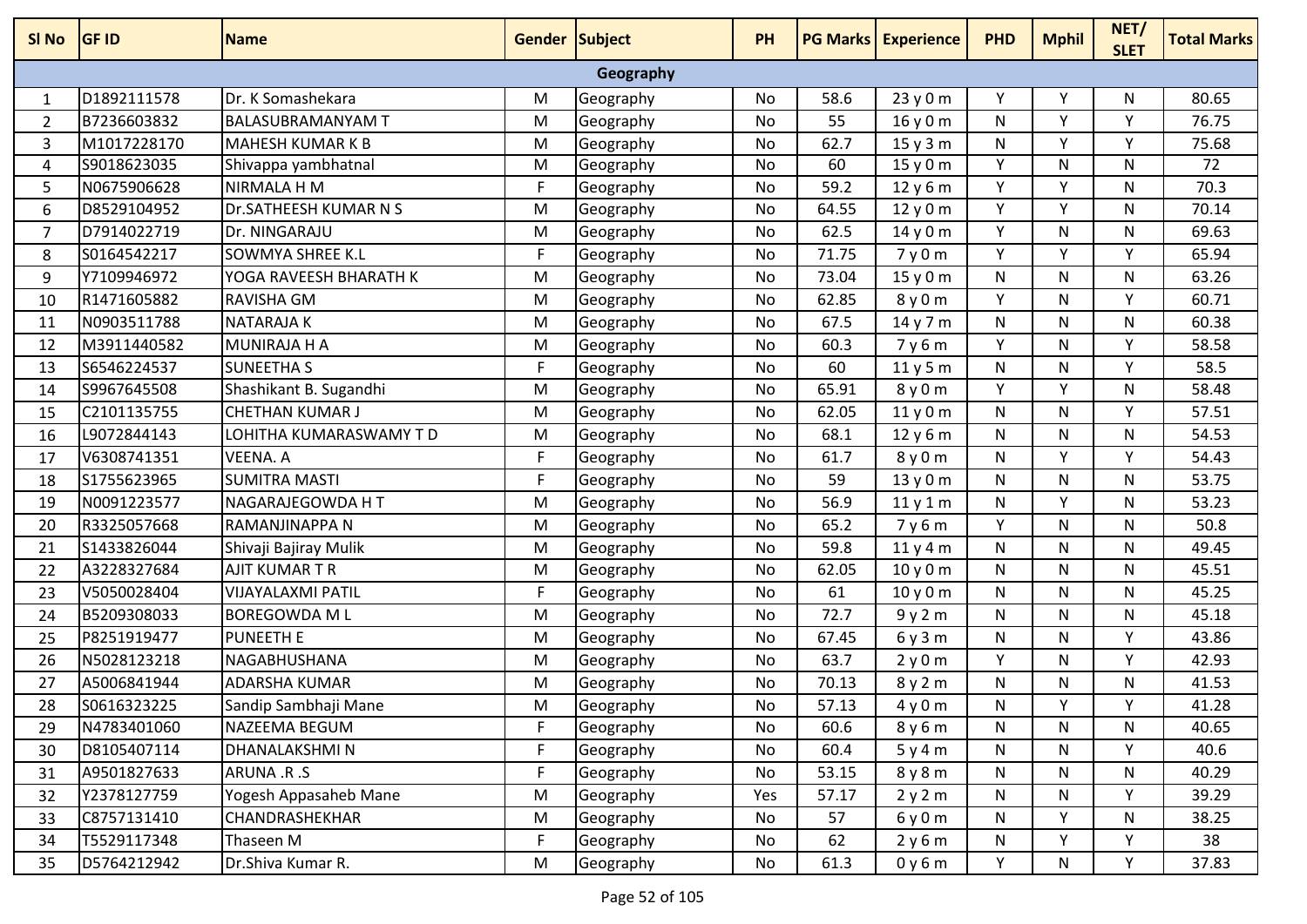| SI No     | <b>GF ID</b> | <b>Name</b>              | Gender Subject |           | <b>PH</b> |       | <b>PG Marks Experience</b> | <b>PHD</b> | <b>Mphil</b> | NET/<br><b>SLET</b> | <b>Total Marks</b> |
|-----------|--------------|--------------------------|----------------|-----------|-----------|-------|----------------------------|------------|--------------|---------------------|--------------------|
| Geography |              |                          |                |           |           |       |                            |            |              |                     |                    |
| 1         | D1892111578  | Dr. K Somashekara        | M              | Geography | No        | 58.6  | 23y0m                      | Y          | v            | N                   | 80.65              |
| 2         | B7236603832  | <b>BALASUBRAMANYAM T</b> | M              | Geography | <b>No</b> | 55    | 16y0m                      | N          | $\vee$       | v                   | 76.75              |
| 3         | M1017228170  | <b>MAHESH KUMAR K B</b>  | M              | Geography | <b>No</b> | 62.7  | 15y3m                      | N          | Y            | Y                   | 75.68              |
| 4         | S9018623035  | Shivappa yambhatnal      | M              | Geography | No        | 60    | 15y0m                      | Y          | N            | N                   | 72                 |
| 5         | N0675906628  | NIRMALA H M              | F              | Geography | No        | 59.2  | 12y6m                      | Y          | Y            | N                   | 70.3               |
| 6         | D8529104952  | Dr.SATHEESH KUMAR N S    | M              | Geography | <b>No</b> | 64.55 | 12y0m                      | Y          | V            | N                   | 70.14              |
| 7         | D7914022719  | Dr. NINGARAJU            | M              | Geography | No        | 62.5  | 14y0m                      | Y          | N            | N                   | 69.63              |
| 8         | S0164542217  | <b>SOWMYA SHREE K.L</b>  | F              | Geography | No        | 71.75 | 7y0m                       | Y          | Y            | Y                   | 65.94              |
| 9         | Y7109946972  | YOGA RAVEESH BHARATH K   | M              | Geography | No        | 73.04 | 15y0m                      | N          | N            | N                   | 63.26              |
| 10        | R1471605882  | <b>RAVISHA GM</b>        | M              | Geography | No        | 62.85 | 8y0m                       | Y          | N            | Υ                   | 60.71              |
| 11        | N0903511788  | <b>NATARAJAK</b>         | M              | Geography | No        | 67.5  | 14 y 7 m                   | N          | N            | N                   | 60.38              |
| 12        | M3911440582  | MUNIRAJA H A             | M              | Geography | No        | 60.3  | 7y6m                       | Y          | N            | ۷                   | 58.58              |
| 13        | S6546224537  | <b>SUNEETHA S</b>        | F.             | Geography | <b>No</b> | 60    | 11y5m                      | N          | N            | Y                   | 58.5               |
| 14        | S9967645508  | Shashikant B. Sugandhi   | M              | Geography | No        | 65.91 | 8y0m                       | Y          | Y            | N                   | 58.48              |
| 15        | C2101135755  | <b>CHETHAN KUMAR J</b>   | M              | Geography | No        | 62.05 | 11y0m                      | N          | N            | Y                   | 57.51              |
| 16        | L9072844143  | LOHITHA KUMARASWAMY T D  | M              | Geography | <b>No</b> | 68.1  | 12y6m                      | N          | N            | N                   | 54.53              |
| 17        | V6308741351  | <b>VEENA. A</b>          | F.             | Geography | No        | 61.7  | 8y0m                       | N          | Y            | Υ                   | 54.43              |
| 18        | S1755623965  | <b>SUMITRA MASTI</b>     | F.             | Geography | No        | 59    | 13y0m                      | N          | N            | N                   | 53.75              |
| 19        | N0091223577  | NAGARAJEGOWDA HT         | M              | Geography | No        | 56.9  | 11y1m                      | N          | v            | N                   | 53.23              |
| 20        | R3325057668  | RAMANJINAPPA N           | M              | Geography | <b>No</b> | 65.2  | 7y6m                       | Y          | N            | N                   | 50.8               |
| 21        | S1433826044  | Shivaji Bajiray Mulik    | M              | Geography | No        | 59.8  | 11y4m                      | N          | N            | N                   | 49.45              |
| 22        | A3228327684  | AJIT KUMAR T R           | M              | Geography | No        | 62.05 | 10y0m                      | N          | N            | N                   | 45.51              |
| 23        | V5050028404  | <b>VIJAYALAXMI PATIL</b> | F.             | Geography | No        | 61    | 10y0m                      | N          | N            | N                   | 45.25              |
| 24        | B5209308033  | <b>BOREGOWDA ML</b>      | M              | Geography | No        | 72.7  | 9y2m                       | N          | N            | N                   | 45.18              |
| 25        | P8251919477  | <b>PUNEETH E</b>         | M              | Geography | No        | 67.45 | 6y3m                       | N          | N            | Y                   | 43.86              |
| 26        | N5028123218  | NAGABHUSHANA             | M              | Geography | No        | 63.7  | 2y0m                       | Y          | N            | Υ                   | 42.93              |
| 27        | A5006841944  | <b>ADARSHA KUMAR</b>     | M              | Geography | No        | 70.13 | 8y2m                       | N          | N            | N                   | 41.53              |
| 28        | S0616323225  | Sandip Sambhaji Mane     | M              | Geography | No        | 57.13 | 4y0m                       | N          | Υ            | v                   | 41.28              |
| 29        | N4783401060  | NAZEEMA BEGUM            | F              | Geography | No        | 60.6  | 8y6m                       | N          | N            | N                   | 40.65              |
| 30        | D8105407114  | DHANALAKSHMIN            | F              | Geography | No        | 60.4  | 5y4m                       | N          | N            | Y                   | 40.6               |
| 31        | A9501827633  | ARUNA .R.S               | F.             | Geography | No        | 53.15 | 8y8m                       | N          | N            | N                   | 40.29              |
| 32        | Y2378127759  | Yogesh Appasaheb Mane    | M              | Geography | Yes       | 57.17 | 2y2m                       | N          | N            | Y                   | 39.29              |
| 33        | C8757131410  | CHANDRASHEKHAR           | M              | Geography | No        | 57    | 6y0m                       | N          | Y            | N                   | 38.25              |
| 34        | T5529117348  | Thaseen M                | $\mathsf F$    | Geography | No        | 62    | 2y6m                       | N          | Y            | Y                   | 38                 |
| 35        | D5764212942  | Dr.Shiva Kumar R.        | M              | Geography | No        | 61.3  | 0y6m                       | Y          | N            | Y                   | 37.83              |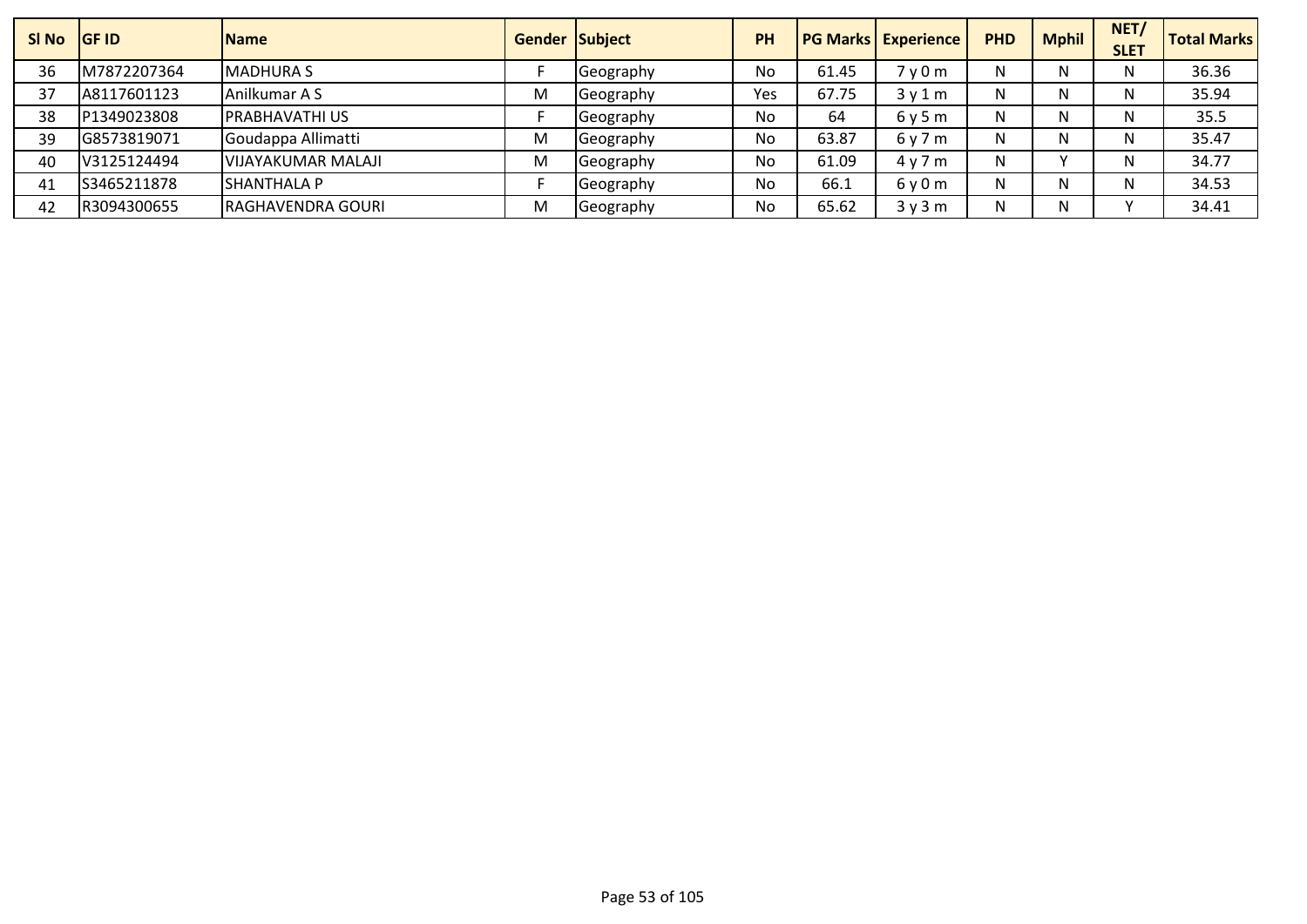| SI No | <b>IGF ID</b> | <b>Name</b>           |   | <b>Gender Subject</b> | <b>PH</b> |       | <b>PG Marks Experience</b>    | <b>PHD</b> | <b>Mphil</b> | NET/<br><b>SLET</b> | <b>Total Marks</b> |
|-------|---------------|-----------------------|---|-----------------------|-----------|-------|-------------------------------|------------|--------------|---------------------|--------------------|
| 36    | M7872207364   | <b>MADHURA S</b>      |   | <b>Seography</b>      | No        | 61.45 | 7 <sub>V</sub> 0 <sub>m</sub> | N          |              |                     | 36.36              |
| 37    | A8117601123   | Anilkumar A S         | M | Geography             | Yes       | 67.75 | 3v1m                          | N          |              |                     | 35.94              |
| 38    | P1349023808   | <b>PRABHAVATHI US</b> |   | Geography             | No        | 64    | 6y5m                          | N          |              |                     | 35.5               |
| 39    | G8573819071   | Goudappa Allimatti    | M | Geography             | No        | 63.87 | 6y7m                          | N          |              |                     | 35.47              |
| 40    | V3125124494   | VIJAYAKUMAR MALAJI    | M | Geography             | No        | 61.09 | 4y7m                          | N          |              |                     | 34.77              |
| 41    | S3465211878   | <b>SHANTHALA P</b>    |   | Geography             | No        | 66.1  | $6v$ 0 m                      | N          |              |                     | 34.53              |
| 42    | R3094300655   | RAGHAVENDRA GOURI     | M | <b>Geography</b>      | No        | 65.62 | 3y3m                          | N          |              |                     | 34.41              |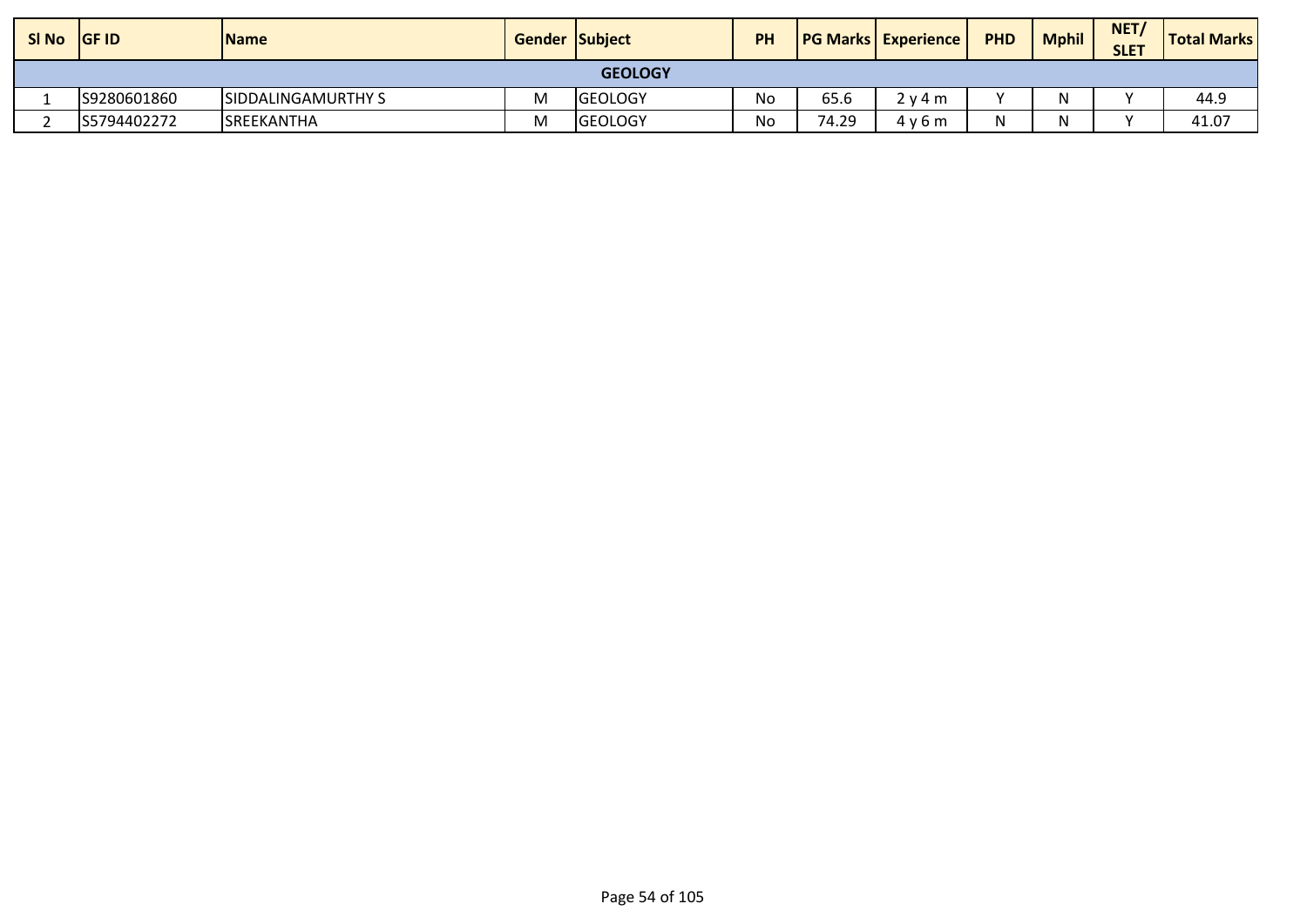| SI No | <b>SIGF ID</b> | <b>Name</b>                | <b>Gender Subject</b> |                | PH |       | <b>PG Marks Experience</b> | <b>PHD</b> | <b>Mphil</b> | NET/<br><b>SLET</b> | <b>Total Marks</b> |
|-------|----------------|----------------------------|-----------------------|----------------|----|-------|----------------------------|------------|--------------|---------------------|--------------------|
|       |                |                            |                       | <b>GEOLOGY</b> |    |       |                            |            |              |                     |                    |
|       | S9280601860    | <b>ISIDDALINGAMURTHY S</b> | M                     | <b>GEOLOGY</b> | No | 65.6  | 2 v 4 m                    |            | N            |                     | 44.9               |
|       | S5794402272    | <b>ISREEKANTHA</b>         | м                     | <b>GEOLOGY</b> | No | 74.29 | 4v6m                       |            |              |                     | 41.07              |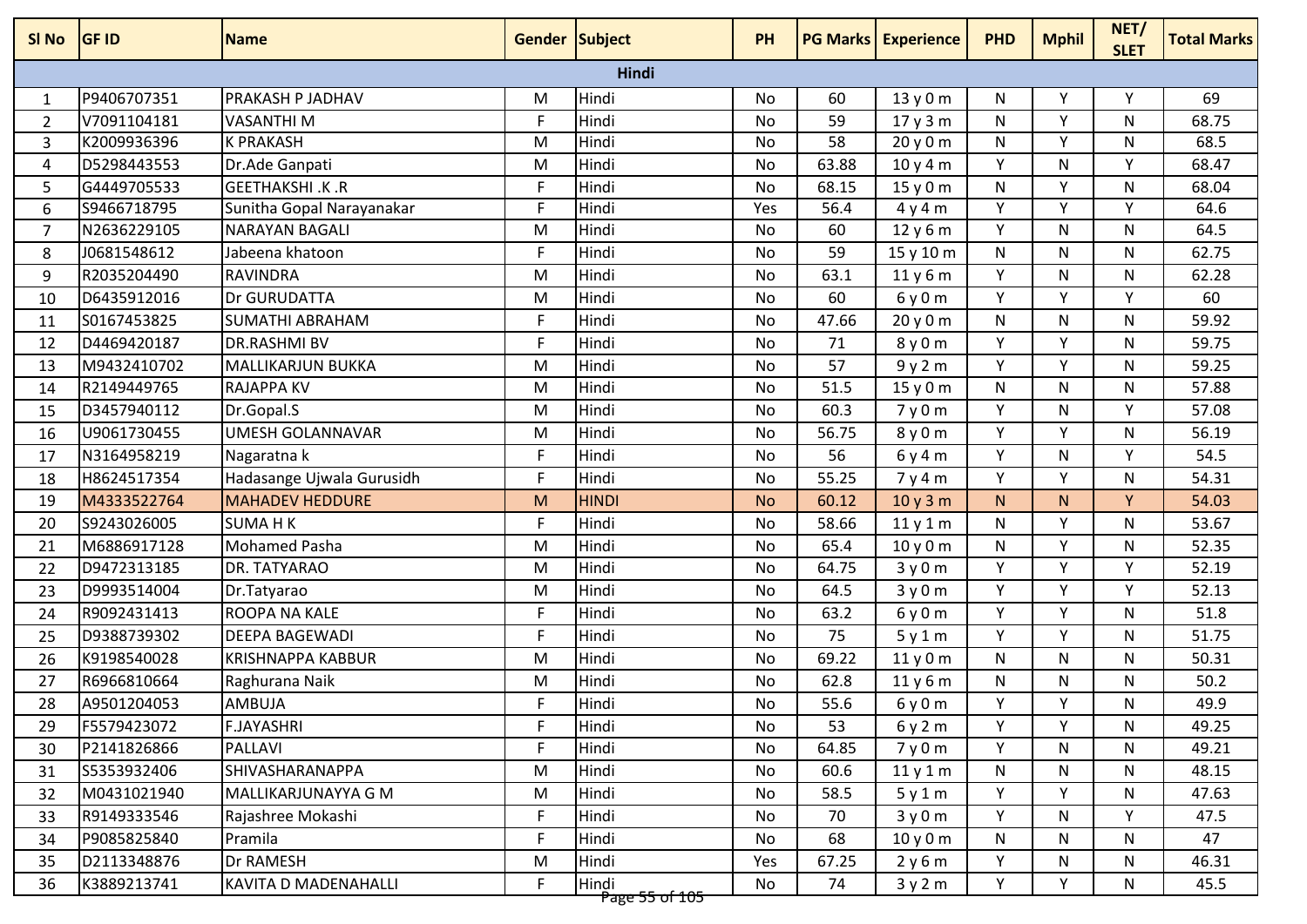| SI No          | <b>GF ID</b> | <b>Name</b>                | <b>Gender Subject</b> |                                      | <b>PH</b> |       | <b>PG Marks Experience</b> | <b>PHD</b> | <b>Mphil</b> | NET/<br><b>SLET</b> | <b>Total Marks</b> |
|----------------|--------------|----------------------------|-----------------------|--------------------------------------|-----------|-------|----------------------------|------------|--------------|---------------------|--------------------|
|                |              |                            |                       | Hindi                                |           |       |                            |            |              |                     |                    |
| $\mathbf{1}$   | P9406707351  | PRAKASH P JADHAV           | M                     | Hindi                                | No        | 60    | 13y0m                      | N          | Υ            | Υ                   | 69                 |
| 2              | V7091104181  | <b>VASANTHI M</b>          | F                     | Hindi                                | No        | 59    | 17y3m                      | N          | v            | N                   | 68.75              |
| 3              | K2009936396  | <b>K PRAKASH</b>           | M                     | Hindi                                | No        | 58    | 20y0m                      | N          | Y            | N                   | 68.5               |
| 4              | D5298443553  | Dr.Ade Ganpati             | M                     | Hindi                                | No        | 63.88 | 10y4m                      | Y          | N            | Υ                   | 68.47              |
| 5              | G4449705533  | <b>GEETHAKSHI .K .R</b>    | F                     | Hindi                                | No        | 68.15 | 15y0m                      | N          | Y            | N                   | 68.04              |
| 6              | S9466718795  | Sunitha Gopal Narayanakar  | F.                    | Hindi                                | Yes       | 56.4  | 4y4m                       | Y          | Y            | Y                   | 64.6               |
| $\overline{7}$ | N2636229105  | <b>NARAYAN BAGALI</b>      | M                     | Hindi                                | No        | 60    | 12y6m                      | Y          | N            | N                   | 64.5               |
| 8              | J0681548612  | Jabeena khatoon            | F                     | Hindi                                | No        | 59    | 15 y 10 m                  | N          | N            | N                   | 62.75              |
| 9              | R2035204490  | <b>RAVINDRA</b>            | M                     | Hindi                                | No        | 63.1  | 11y6m                      | Y          | N            | N                   | 62.28              |
| 10             | D6435912016  | Dr GURUDATTA               | M                     | Hindi                                | No        | 60    | 6y0m                       | Y          | V            | v                   | 60                 |
| 11             | S0167453825  | <b>SUMATHI ABRAHAM</b>     | F                     | Hindi                                | <b>No</b> | 47.66 | 20y0m                      | N          | N            | N                   | 59.92              |
| 12             | D4469420187  | <b>DR.RASHMI BV</b>        | F                     | Hindi                                | No        | 71    | 8y0m                       | Y          | Υ            | N                   | 59.75              |
| 13             | M9432410702  | MALLIKARJUN BUKKA          | M                     | Hindi                                | No        | 57    | 9y2m                       | Y          | Y            | N                   | 59.25              |
| 14             | R2149449765  | <b>RAJAPPA KV</b>          | M                     | Hindi                                | No        | 51.5  | 15y0m                      | N          | N            | N                   | 57.88              |
| 15             | D3457940112  | Dr.Gopal.S                 | M                     | Hindi                                | No        | 60.3  | 7y0m                       | Y          | N            | Υ                   | 57.08              |
| 16             | U9061730455  | <b>UMESH GOLANNAVAR</b>    | M                     | Hindi                                | No        | 56.75 | 8y0m                       | Y          | Y            | N                   | 56.19              |
| 17             | N3164958219  | Nagaratna k                | F                     | Hindi                                | No        | 56    | 6y4m                       | Υ          | N            | Υ                   | 54.5               |
| 18             | H8624517354  | Hadasange Ujwala Gurusidh  | F.                    | Hindi                                | No        | 55.25 | 7y4m                       | Y          | Y            | N                   | 54.31              |
| 19             | M4333522764  | <b>MAHADEV HEDDURE</b>     | M                     | <b>HINDI</b>                         | <b>No</b> | 60.12 | 10y3m                      | N.         | N.           | Y                   | 54.03              |
| 20             | S9243026005  | <b>SUMA HK</b>             | F.                    | Hindi                                | No        | 58.66 | 11y1m                      | N          | Y            | N                   | 53.67              |
| 21             | M6886917128  | <b>Mohamed Pasha</b>       | M                     | Hindi                                | No        | 65.4  | 10y0m                      | N          | Y            | N                   | 52.35              |
| 22             | D9472313185  | DR. TATYARAO               | M                     | Hindi                                | No        | 64.75 | 3y0m                       | Y          | Y            | Υ                   | 52.19              |
| 23             | D9993514004  | Dr.Tatyarao                | M                     | Hindi                                | <b>No</b> | 64.5  | 3y0m                       | Y          | Y            | Y                   | 52.13              |
| 24             | R9092431413  | <b>ROOPA NA KALE</b>       | F                     | Hindi                                | No        | 63.2  | 6y0m                       | Y          | Y            | N                   | 51.8               |
| 25             | D9388739302  | DEEPA BAGEWADI             | F                     | Hindi                                | No        | 75    | 5y1m                       | Y          | Y            | N                   | 51.75              |
| 26             | K9198540028  | <b>KRISHNAPPA KABBUR</b>   | M                     | Hindi                                | No        | 69.22 | 11y0m                      | N          | N            | N                   | 50.31              |
| 27             | R6966810664  | Raghurana Naik             | M                     | Hindi                                | No        | 62.8  | 11y6m                      | N          | N            | N                   | 50.2               |
| 28             | A9501204053  | AMBUJA                     | F                     | Hindi                                | No        | 55.6  | 6y0m                       | Y          | Y            | N                   | 49.9               |
| 29             | F5579423072  | <b>F.JAYASHRI</b>          | F.                    | Hindi                                | No        | 53    | 6y2m                       | Y          | Y            | N                   | 49.25              |
| 30             | P2141826866  | PALLAVI                    | F.                    | Hindi                                | No        | 64.85 | 7y0m                       | Y          | N            | N                   | 49.21              |
| 31             | S5353932406  | SHIVASHARANAPPA            | M                     | Hindi                                | No        | 60.6  | 11y1m                      | N          | N            | N                   | 48.15              |
| 32             | M0431021940  | <b>MALLIKARJUNAYYA G M</b> | M                     | Hindi                                | No        | 58.5  | 5y1m                       | Y          | Y.           | N                   | 47.63              |
| 33             | R9149333546  | Rajashree Mokashi          | F                     | Hindi                                | No        | 70    | 3y0m                       | Y          | N            | Y                   | 47.5               |
| 34             | P9085825840  | Pramila                    | F                     | Hindi                                | No        | 68    | 10y0m                      | N          | N            | N                   | 47                 |
| 35             | D2113348876  | <b>Dr RAMESH</b>           | M                     | Hindi                                | Yes       | 67.25 | 2y6m                       | Y          | N            | N                   | 46.31              |
| 36             | K3889213741  | KAVITA D MADENAHALLI       | F                     | Hindi<br><del>- Pape 55 of 105</del> | No        | 74    | 3y2m                       | Y          | Y            | N                   | 45.5               |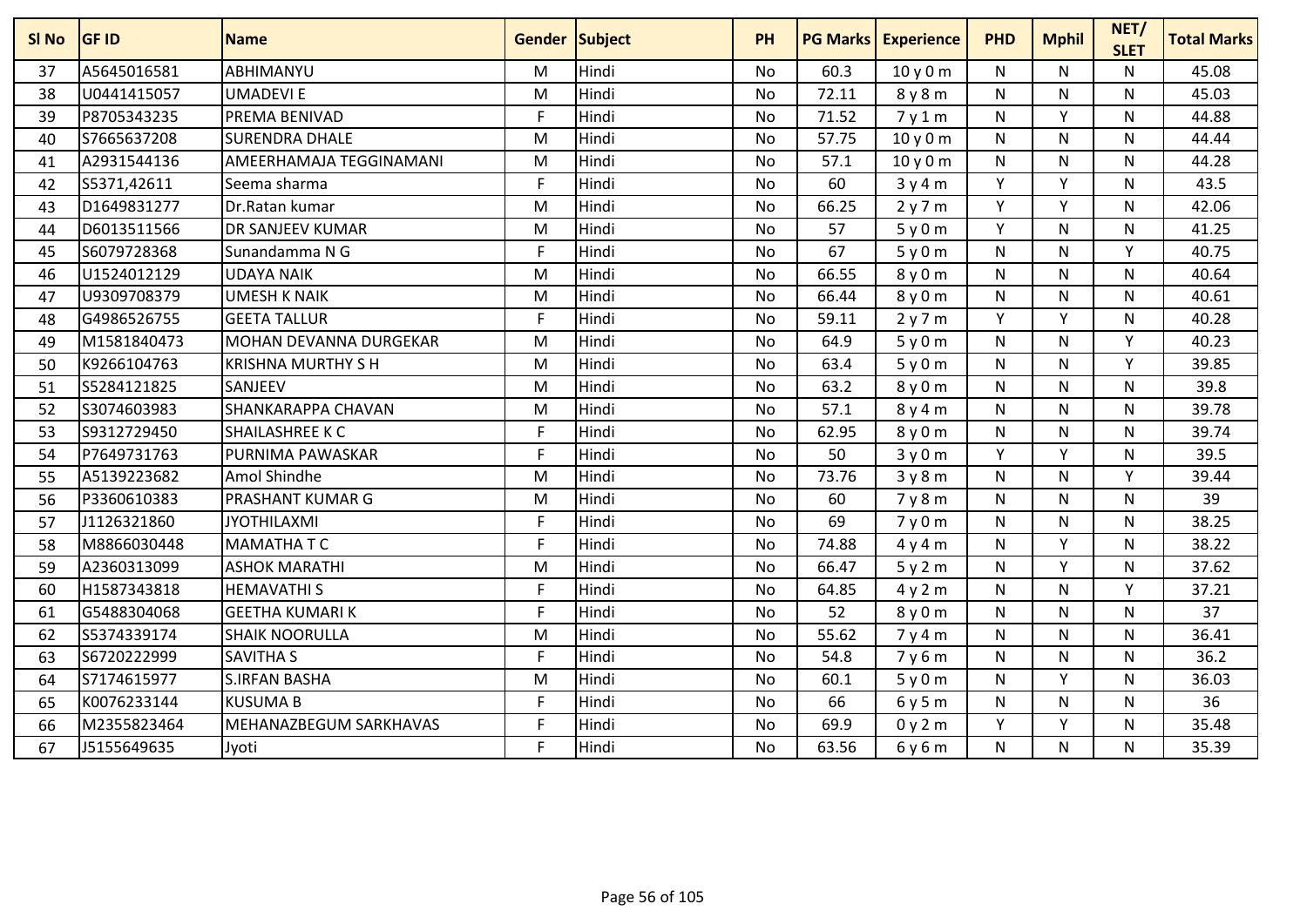| SI No | <b>GF ID</b> | <b>Name</b>               | Gender Subject |       | <b>PH</b> | <b>PG Marks</b> | <b>Experience</b> | <b>PHD</b> | <b>Mphil</b> | NET/<br><b>SLET</b> | <b>Total Marks</b> |
|-------|--------------|---------------------------|----------------|-------|-----------|-----------------|-------------------|------------|--------------|---------------------|--------------------|
| 37    | A5645016581  | ABHIMANYU                 | M              | Hindi | <b>No</b> | 60.3            | 10y0m             | N          | N            | N                   | 45.08              |
| 38    | U0441415057  | <b>UMADEVIE</b>           | M              | Hindi | <b>No</b> | 72.11           | 8y8m              | N          | N            | N                   | 45.03              |
| 39    | P8705343235  | <b>PREMA BENIVAD</b>      | F              | Hindi | <b>No</b> | 71.52           | 7y1m              | N          | Υ            | N                   | 44.88              |
| 40    | S7665637208  | <b>SURENDRA DHALE</b>     | M              | Hindi | <b>No</b> | 57.75           | 10y0m             | N          | N            | N                   | 44.44              |
| 41    | A2931544136  | AMEERHAMAJA TEGGINAMANI   | M              | Hindi | <b>No</b> | 57.1            | 10y0m             | N          | N            | N                   | 44.28              |
| 42    | S5371,42611  | Seema sharma              | E              | Hindi | <b>No</b> | 60              | 3y4m              | Y          | Y            | N                   | 43.5               |
| 43    | D1649831277  | Dr.Ratan kumar            | M              | Hindi | <b>No</b> | 66.25           | 2y7m              | Y          | Y            | N                   | 42.06              |
| 44    | D6013511566  | DR SANJEEV KUMAR          | M              | Hindi | <b>No</b> | 57              | 5y0m              | Y          | N            | N                   | 41.25              |
| 45    | S6079728368  | Sunandamma N G            | F              | Hindi | <b>No</b> | 67              | 5y0m              | N          | N            | Y                   | 40.75              |
| 46    | U1524012129  | <b>UDAYA NAIK</b>         | M              | Hindi | <b>No</b> | 66.55           | 8 y 0 m           | N          | N            | N                   | 40.64              |
| 47    | U9309708379  | <b>UMESH K NAIK</b>       | M              | Hindi | <b>No</b> | 66.44           | 8y0m              | N          | N            | N                   | 40.61              |
| 48    | G4986526755  | <b>GEETA TALLUR</b>       | F              | Hindi | <b>No</b> | 59.11           | 2y7m              | Y          | V            | N                   | 40.28              |
| 49    | M1581840473  | MOHAN DEVANNA DURGEKAR    | M              | Hindi | <b>No</b> | 64.9            | 5y0m              | N          | N            | Y                   | 40.23              |
| 50    | K9266104763  | <b>KRISHNA MURTHY S H</b> | M              | Hindi | <b>No</b> | 63.4            | 5y0m              | N          | N            | Y                   | 39.85              |
| 51    | S5284121825  | SANJEEV                   | M              | Hindi | <b>No</b> | 63.2            | 8y0m              | N          | N            | N                   | 39.8               |
| 52    | S3074603983  | <b>SHANKARAPPA CHAVAN</b> | M              | Hindi | <b>No</b> | 57.1            | 8y4m              | N          | N            | N                   | 39.78              |
| 53    | S9312729450  | SHAILASHREE K C           | $\mathsf{F}$   | Hindi | <b>No</b> | 62.95           | 8y0m              | N          | N            | N                   | 39.74              |
| 54    | P7649731763  | PURNIMA PAWASKAR          | E              | Hindi | <b>No</b> | 50              | 3y0m              | Y          | Y            | N                   | 39.5               |
| 55    | A5139223682  | Amol Shindhe              | M              | Hindi | <b>No</b> | 73.76           | 3y8m              | N          | N            | $\mathsf{v}$        | 39.44              |
| 56    | P3360610383  | <b>PRASHANT KUMAR G</b>   | M              | Hindi | <b>No</b> | 60              | 7y8m              | N          | N            | N                   | 39                 |
| 57    | J1126321860  | <b>JYOTHILAXMI</b>        | F.             | Hindi | <b>No</b> | 69              | 7y0m              | N          | N            | N                   | 38.25              |
| 58    | M8866030448  | <b>MAMATHATC</b>          | F              | Hindi | <b>No</b> | 74.88           | 4y4m              | N          | Y            | N                   | 38.22              |
| 59    | A2360313099  | <b>ASHOK MARATHI</b>      | M              | Hindi | <b>No</b> | 66.47           | 5y2m              | N          | Y            | N                   | 37.62              |
| 60    | H1587343818  | <b>HEMAVATHIS</b>         | F.             | Hindi | <b>No</b> | 64.85           | 4y2m              | N          | N            | Y                   | 37.21              |
| 61    | G5488304068  | <b>GEETHA KUMARI K</b>    | F              | Hindi | <b>No</b> | 52              | 8y0m              | N          | N            | N                   | 37                 |
| 62    | S5374339174  | <b>SHAIK NOORULLA</b>     | M              | Hindi | <b>No</b> | 55.62           | 7y4m              | N          | N            | N                   | 36.41              |
| 63    | S6720222999  | <b>SAVITHA S</b>          | F              | Hindi | <b>No</b> | 54.8            | 7y6m              | N          | N            | N                   | 36.2               |
| 64    | S7174615977  | <b>S.IRFAN BASHA</b>      | M              | Hindi | <b>No</b> | 60.1            | 5y0m              | N          | Y            | N.                  | 36.03              |
| 65    | K0076233144  | <b>KUSUMA B</b>           | E              | Hindi | <b>No</b> | 66              | 6y5m              | N          | N            | N                   | 36                 |
| 66    | M2355823464  | MEHANAZBEGUM SARKHAVAS    | F              | Hindi | <b>No</b> | 69.9            | 0y2m              | Y          | Υ            | N                   | 35.48              |
| 67    | J5155649635  | Jyoti                     | F              | Hindi | No        | 63.56           | 6y6m              | N          | N            | N                   | 35.39              |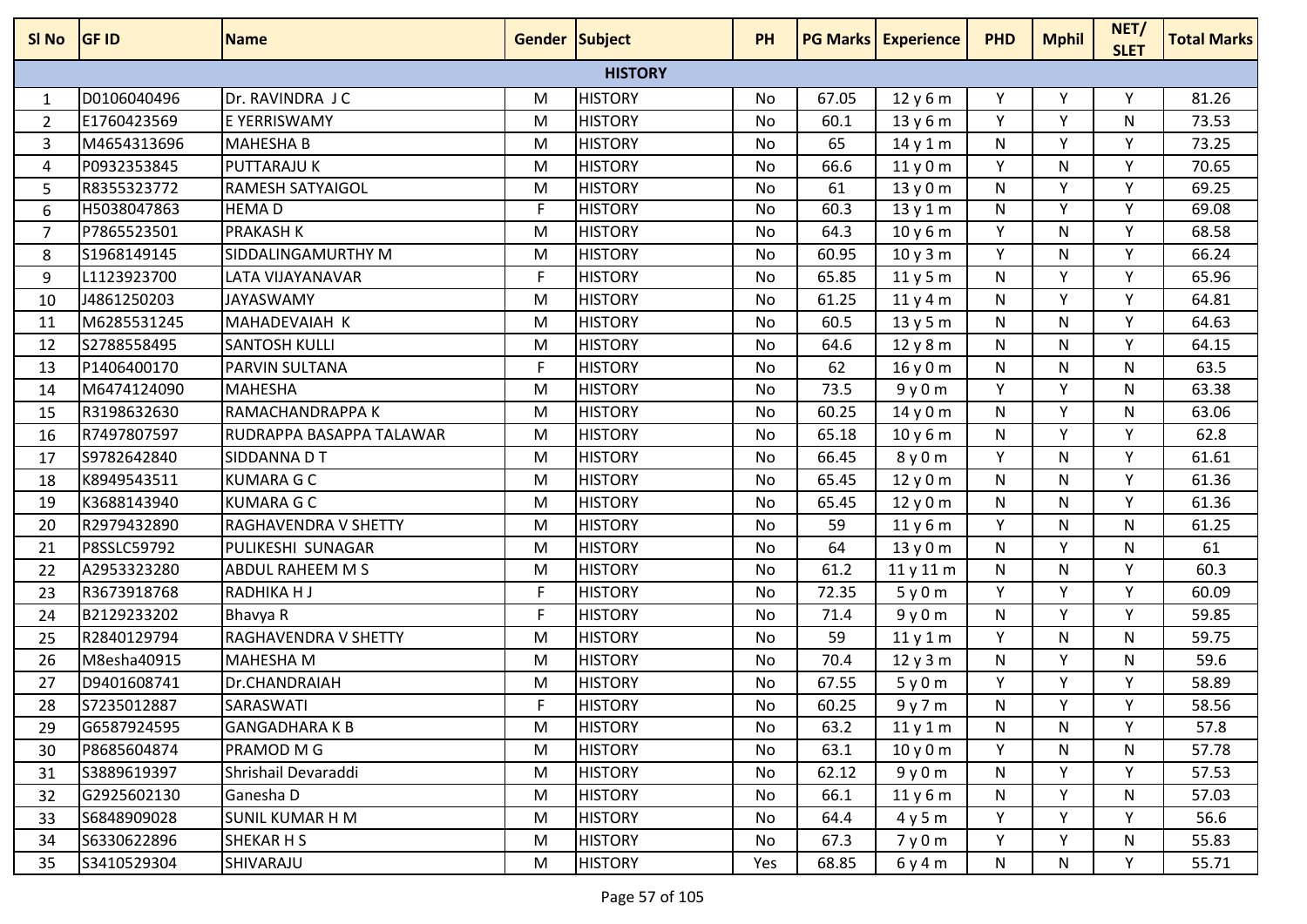| SI No          | <b>GF ID</b> | <b>Name</b>                 | <b>Gender Subject</b> |                | <b>PH</b> |       | <b>PG Marks Experience</b> | <b>PHD</b> | <b>Mphil</b> | NET/<br><b>SLET</b> | <b>Total Marks</b> |
|----------------|--------------|-----------------------------|-----------------------|----------------|-----------|-------|----------------------------|------------|--------------|---------------------|--------------------|
|                |              |                             |                       | <b>HISTORY</b> |           |       |                            |            |              |                     |                    |
| 1              | D0106040496  | Dr. RAVINDRA J C            | M                     | <b>HISTORY</b> | No        | 67.05 | 12y6m                      | Y          | Υ            | Υ                   | 81.26              |
| 2              | E1760423569  | E YERRISWAMY                | M                     | <b>HISTORY</b> | No        | 60.1  | 13y6m                      | Y          | Y            | N                   | 73.53              |
| 3              | M4654313696  | <b>MAHESHA B</b>            | M                     | <b>HISTORY</b> | No        | 65    | 14y1m                      | N          | Y            | Y                   | 73.25              |
| 4              | P0932353845  | <b>PUTTARAJU K</b>          | M                     | <b>HISTORY</b> | No        | 66.6  | 11y0m                      | Y          | N            | Y                   | 70.65              |
| 5              | R8355323772  | <b>RAMESH SATYAIGOL</b>     | M                     | <b>HISTORY</b> | No        | 61    | 13y0m                      | N          | Y            | Y                   | 69.25              |
| 6              | H5038047863  | <b>HEMAD</b>                | $\mathsf{F}$          | <b>HISTORY</b> | <b>No</b> | 60.3  | 13y1m                      | N          | Y            | Y                   | 69.08              |
| $\overline{7}$ | P7865523501  | <b>PRAKASH K</b>            | M                     | <b>HISTORY</b> | No        | 64.3  | 10y6m                      | Y          | N            | Υ                   | 68.58              |
| 8              | S1968149145  | SIDDALINGAMURTHY M          | M                     | <b>HISTORY</b> | No        | 60.95 | 10y3m                      | Y          | N            | Y                   | 66.24              |
| 9              | L1123923700  | LATA VIJAYANAVAR            | F.                    | <b>HISTORY</b> | No        | 65.85 | 11y5m                      | N          | Y            | Y                   | 65.96              |
| 10             | J4861250203  | <b>JAYASWAMY</b>            | M                     | <b>HISTORY</b> | No        | 61.25 | 11y4m                      | N          | Y            | Y                   | 64.81              |
| 11             | M6285531245  | <b>MAHADEVAIAH K</b>        | M                     | <b>HISTORY</b> | No        | 60.5  | 13y5m                      | N          | N            | Y                   | 64.63              |
| 12             | S2788558495  | <b>SANTOSH KULLI</b>        | M                     | <b>HISTORY</b> | No        | 64.6  | 12y8m                      | N          | N            | Υ                   | 64.15              |
| 13             | P1406400170  | PARVIN SULTANA              | F                     | <b>HISTORY</b> | <b>No</b> | 62    | 16y0m                      | N          | N            | N                   | 63.5               |
| 14             | M6474124090  | <b>MAHESHA</b>              | M                     | <b>HISTORY</b> | No        | 73.5  | 9y0m                       | Y          | Υ            | N                   | 63.38              |
| 15             | R3198632630  | RAMACHANDRAPPA K            | M                     | <b>HISTORY</b> | No        | 60.25 | 14 y 0 m                   | N          | Y            | N                   | 63.06              |
| 16             | R7497807597  | RUDRAPPA BASAPPA TALAWAR    | M                     | <b>HISTORY</b> | <b>No</b> | 65.18 | 10 y 6 m                   | N          | Y            | Y                   | 62.8               |
| 17             | S9782642840  | SIDDANNA D T                | M                     | <b>HISTORY</b> | No        | 66.45 | 8y0m                       | Y          | N            | Υ                   | 61.61              |
| 18             | K8949543511  | <b>KUMARA G C</b>           | M                     | <b>HISTORY</b> | No        | 65.45 | 12y0m                      | N          | N            | v                   | 61.36              |
| 19             | K3688143940  | <b>KUMARA G C</b>           | M                     | <b>HISTORY</b> | No        | 65.45 | 12y0m                      | N          | N            | Y                   | 61.36              |
| 20             | R2979432890  | RAGHAVENDRA V SHETTY        | M                     | <b>HISTORY</b> | No        | 59    | 11y6m                      | Y          | N            | N                   | 61.25              |
| 21             | P8SSLC59792  | PULIKESHI SUNAGAR           | M                     | <b>HISTORY</b> | <b>No</b> | 64    | 13y0m                      | N          | Y            | N                   | 61                 |
| 22             | A2953323280  | ABDUL RAHEEM M S            | M                     | <b>HISTORY</b> | No        | 61.2  | 11 y 11 m                  | N          | N            | Υ                   | 60.3               |
| 23             | R3673918768  | RADHIKA H J                 | F                     | <b>HISTORY</b> | No        | 72.35 | 5y0m                       | Y          | Y            | Y                   | 60.09              |
| 24             | B2129233202  | Bhavya R                    | F                     | <b>HISTORY</b> | No        | 71.4  | 9y0m                       | N          | Y            | Y                   | 59.85              |
| 25             | R2840129794  | <b>RAGHAVENDRA V SHETTY</b> | M                     | <b>HISTORY</b> | <b>No</b> | 59    | 11y1m                      | Y          | N            | N                   | 59.75              |
| 26             | M8esha40915  | <b>MAHESHA M</b>            | M                     | <b>HISTORY</b> | No        | 70.4  | 12y3m                      | N          | Y            | N                   | 59.6               |
| 27             | D9401608741  | Dr.CHANDRAIAH               | M                     | <b>HISTORY</b> | No        | 67.55 | 5y0m                       | Y          | Y            | Y                   | 58.89              |
| 28             | S7235012887  | SARASWATI                   | F.                    | <b>HISTORY</b> | No        | 60.25 | 9y7m                       | N          | Y            | Υ                   | 58.56              |
| 29             | G6587924595  | <b>GANGADHARAKB</b>         | M                     | <b>HISTORY</b> | No        | 63.2  | 11y1m                      | N          | N            | Y                   | 57.8               |
| 30             | P8685604874  | PRAMOD M G                  | M                     | <b>HISTORY</b> | No        | 63.1  | 10y0m                      | Y          | N            | N                   | 57.78              |
| 31             | S3889619397  | Shrishail Devaraddi         | M                     | <b>HISTORY</b> | No        | 62.12 | 9y0m                       | N          | Υ            | Υ                   | 57.53              |
| 32             | G2925602130  | Ganesha D                   | M                     | <b>HISTORY</b> | No        | 66.1  | 11y6m                      | N          | Y            | N                   | 57.03              |
| 33             | S6848909028  | SUNIL KUMAR H M             | M                     | <b>HISTORY</b> | No        | 64.4  | 4y5m                       | Y.         | Y            | Y                   | 56.6               |
| 34             | S6330622896  | SHEKAR H S                  | M                     | <b>HISTORY</b> | No        | 67.3  | 7y0m                       | Y          | Y.           | N                   | 55.83              |
| 35             | S3410529304  | SHIVARAJU                   | M                     | <b>HISTORY</b> | Yes       | 68.85 | 6 y 4 m                    | N          | N            | Y                   | 55.71              |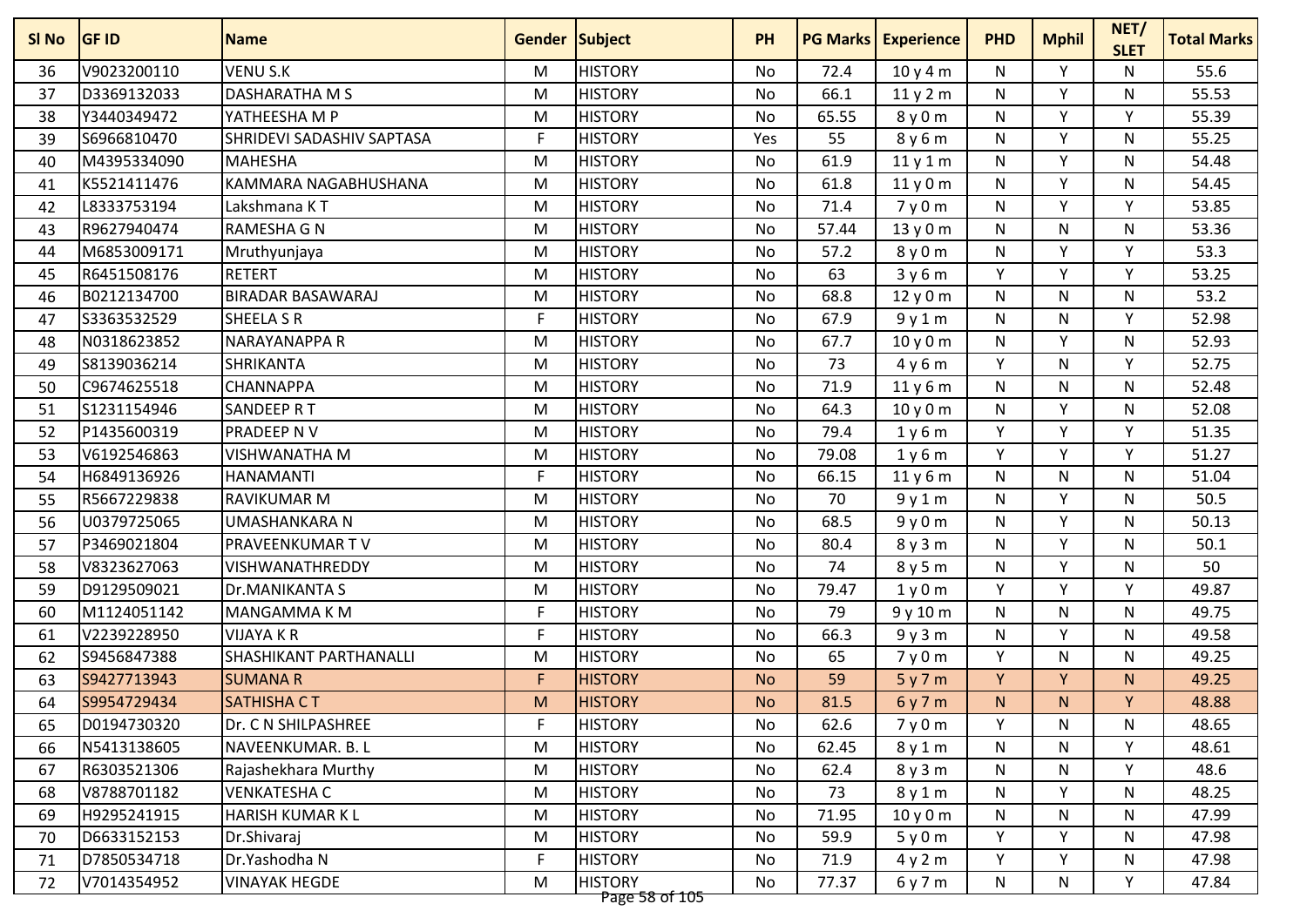| SI No | <b>GF ID</b> | <b>Name</b>                   | <b>Gender Subject</b> |                | <b>PH</b> | <b>PG Marks</b> | <b>Experience</b> | <b>PHD</b>   | <b>Mphil</b> | NET/<br><b>SLET</b> | <b>Total Marks</b> |
|-------|--------------|-------------------------------|-----------------------|----------------|-----------|-----------------|-------------------|--------------|--------------|---------------------|--------------------|
| 36    | V9023200110  | VENU S.K                      | M                     | <b>HISTORY</b> | No        | 72.4            | 10y4m             | N            | Y            | N                   | 55.6               |
| 37    | D3369132033  | <b>DASHARATHA M S</b>         | M                     | <b>HISTORY</b> | No        | 66.1            | 11y2m             | N            | Υ            | N                   | 55.53              |
| 38    | Y3440349472  | YATHEESHA M P                 | M                     | <b>HISTORY</b> | No        | 65.55           | 8 y 0 m           | N            | Y            | Y                   | 55.39              |
| 39    | S6966810470  | SHRIDEVI SADASHIV SAPTASA     | F                     | <b>HISTORY</b> | Yes       | 55              | 8 y 6 m           | N            | Y            | N                   | 55.25              |
| 40    | M4395334090  | <b>MAHESHA</b>                | M                     | <b>HISTORY</b> | No        | 61.9            | 11y1m             | N            | Υ            | N                   | 54.48              |
| 41    | K5521411476  | KAMMARA NAGABHUSHANA          | M                     | <b>HISTORY</b> | No        | 61.8            | 11y0m             | N            | v            | N                   | 54.45              |
| 42    | L8333753194  | Lakshmana KT                  | M                     | <b>HISTORY</b> | No        | 71.4            | 7y0m              | N            | ٧            | $\mathsf{v}$        | 53.85              |
| 43    | R9627940474  | <b>RAMESHA G N</b>            | M                     | <b>HISTORY</b> | <b>No</b> | 57.44           | 13y0m             | $\mathsf{N}$ | N            | $\mathsf{N}$        | 53.36              |
| 44    | M6853009171  | Mruthyunjaya                  | M                     | <b>HISTORY</b> | No        | 57.2            | 8y0m              | N            | Υ            | Y                   | 53.3               |
| 45    | R6451508176  | <b>RETERT</b>                 | M                     | <b>HISTORY</b> | No        | 63              | 3y6m              | Y            | Y            | Y                   | 53.25              |
| 46    | B0212134700  | <b>BIRADAR BASAWARAJ</b>      | M                     | <b>HISTORY</b> | No        | 68.8            | 12 y 0 m          | N            | N            | N                   | 53.2               |
| 47    | S3363532529  | <b>SHEELA S R</b>             | F                     | <b>HISTORY</b> | No        | 67.9            | 9y1m              | N            | N            | Y                   | 52.98              |
| 48    | N0318623852  | NARAYANAPPA R                 | M                     | <b>HISTORY</b> | No        | 67.7            | 10y0m             | N            | v            | N                   | 52.93              |
| 49    | S8139036214  | SHRIKANTA                     | M                     | <b>HISTORY</b> | No        | 73              | 4y6m              | Y            | N            | v                   | 52.75              |
| 50    | C9674625518  | CHANNAPPA                     | M                     | <b>HISTORY</b> | <b>No</b> | 71.9            | 11y6m             | ${\sf N}$    | N            | $\mathsf{N}$        | 52.48              |
| 51    | S1231154946  | SANDEEP RT                    | M                     | <b>HISTORY</b> | No        | 64.3            | 10y0m             | N            | Y            | N                   | 52.08              |
| 52    | P1435600319  | <b>PRADEEP NV</b>             | M                     | <b>HISTORY</b> | No        | 79.4            | 1y6m              | Y            | Y            | Y                   | 51.35              |
| 53    | V6192546863  | <b>VISHWANATHA M</b>          | M                     | <b>HISTORY</b> | No        | 79.08           | 1y6m              | Y            | Y            | Y                   | 51.27              |
| 54    | H6849136926  | HANAMANTI                     | F                     | <b>HISTORY</b> | No        | 66.15           | 11y6m             | N            | N            | N                   | 51.04              |
| 55    | R5667229838  | <b>RAVIKUMAR M</b>            | M                     | <b>HISTORY</b> | No        | 70              | 9y1m              | N            | Υ            | N                   | 50.5               |
| 56    | U0379725065  | UMASHANKARA N                 | M                     | <b>HISTORY</b> | No        | 68.5            | 9y0m              | N            | Y            | N                   | 50.13              |
| 57    | P3469021804  | PRAVEENKUMAR TV               | M                     | <b>HISTORY</b> | No        | 80.4            | 8y3m              | N            | Y            | N                   | 50.1               |
| 58    | V8323627063  | <b>VISHWANATHREDDY</b>        | M                     | <b>HISTORY</b> | No        | 74              | 8 y 5 m           | N            | Y            | N                   | 50                 |
| 59    | D9129509021  | Dr.MANIKANTA S                | M                     | <b>HISTORY</b> | No        | 79.47           | 1y0m              | Y            | Υ            | Y                   | 49.87              |
| 60    | M1124051142  | <b>MANGAMMAKM</b>             | F                     | <b>HISTORY</b> | No        | 79              | 9 y 10 m          | N            | N            | N                   | 49.75              |
| 61    | V2239228950  | VIJAYA K R                    | F                     | <b>HISTORY</b> | No        | 66.3            | 9y3m              | N            | v            | N                   | 49.58              |
| 62    | S9456847388  | <b>SHASHIKANT PARTHANALLI</b> | M                     | <b>HISTORY</b> | No        | 65              | 7y0m              | Y            | N            | $\mathsf{N}$        | 49.25              |
| 63    | S9427713943  | <b>SUMANA R</b>               | F                     | <b>HISTORY</b> | <b>No</b> | 59              | 5y7m              | Y            | Y            | N.                  | 49.25              |
| 64    | S9954729434  | <b>SATHISHA CT</b>            | M                     | <b>HISTORY</b> | <b>No</b> | 81.5            | 6y7m              | N.           | N.           | Y                   | 48.88              |
| 65    | D0194730320  | Dr. C N SHILPASHREE           | F                     | <b>HISTORY</b> | No        | 62.6            | 7y0m              | Y            | N            | N                   | 48.65              |
| 66    | N5413138605  | NAVEENKUMAR. B. L             | M                     | <b>HISTORY</b> | No        | 62.45           | 8y1m              | N            | N            | Υ                   | 48.61              |
| 67    | R6303521306  | Rajashekhara Murthy           | M                     | <b>HISTORY</b> | No        | 62.4            | 8y3m              | N            | N            | Y                   | 48.6               |
| 68    | V8788701182  | VENKATESHA C                  | M                     | <b>HISTORY</b> | No        | 73              | 8y1m              | N            | Υ            | N                   | 48.25              |
| 69    | H9295241915  | HARISH KUMAR K L              | M                     | <b>HISTORY</b> | No        | 71.95           | 10y0m             | N            | N            | N                   | 47.99              |
| 70    | D6633152153  | Dr.Shivaraj                   | M                     | <b>HISTORY</b> | No        | 59.9            | 5y0m              | Y            | Y            | N                   | 47.98              |
| 71    | D7850534718  | Dr.Yashodha N                 | F                     | <b>HISTORY</b> | No        | 71.9            | 4y2m              | Y            | Y            | N                   | 47.98              |
| 72    | V7014354952  | <b>VINAYAK HEGDE</b>          | M                     | <b>HISTORY</b> | No        | 77.37           | 6y7m              | N            | N            | Y                   | 47.84              |
|       |              |                               |                       | Page 58 of 105 |           |                 |                   |              |              |                     |                    |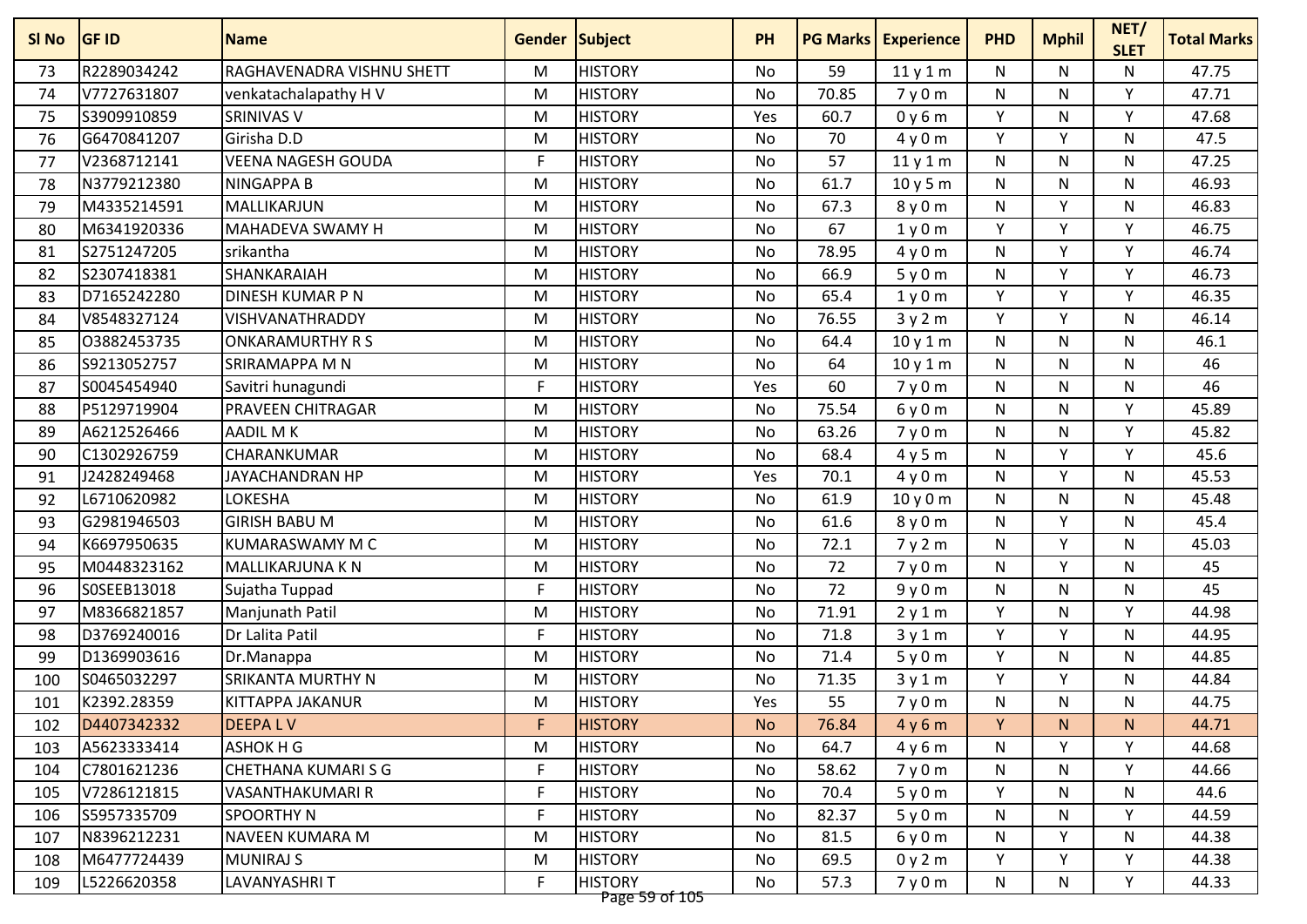| R2289034242<br>RAGHAVENADRA VISHNU SHETT<br><b>HISTORY</b><br>59<br>47.75<br>M<br><b>No</b><br>N<br>N<br>N<br>73<br>11y1m<br>V7727631807<br>70.85<br>Y<br>47.71<br>74<br>venkatachalapathy HV<br>M<br><b>HISTORY</b><br><b>No</b><br>7y0m<br>N<br>N<br>S3909910859<br><b>SRINIVAS V</b><br><b>HISTORY</b><br>60.7<br>Y<br>Y<br>47.68<br>75<br>M<br>Yes<br>0y6m<br>N<br>70<br>Y<br>Y<br>47.5<br>G6470841207<br>Girisha D.D<br>M<br><b>HISTORY</b><br><b>No</b><br>4y0m<br>N<br>76<br>V2368712141<br><b>VEENA NAGESH GOUDA</b><br>F<br><b>HISTORY</b><br>57<br>N<br>N<br>47.25<br>77<br>No<br>11y1m<br>N<br>61.7<br>46.93<br>N3779212380<br><b>NINGAPPA B</b><br>M<br><b>HISTORY</b><br>N<br>78<br>No<br>10y5m<br>N<br>N<br>v<br>46.83<br>M4335214591<br>MALLIKARJUN<br><b>HISTORY</b><br>67.3<br>8y0m<br>N<br>79<br>M<br>No<br>N<br>67<br>Y<br>Y<br>Y<br>46.75<br>M6341920336<br>MAHADEVA SWAMY H<br><b>HISTORY</b><br>80<br>M<br><b>No</b><br>1y0m<br><b>HISTORY</b><br>78.95<br>Y<br>Y<br>46.74<br>S2751247205<br>srikantha<br>No<br>N<br>81<br>M<br>4y0m<br>Y<br>46.73<br>S2307418381<br>SHANKARAIAH<br><b>HISTORY</b><br>66.9<br>5y0m<br>N<br>Y<br><b>No</b><br>82<br>M<br><b>HISTORY</b><br>65.4<br>Y<br>Y<br>Y<br>46.35<br>D7165242280<br><b>DINESH KUMAR P N</b><br>M<br>83<br>No<br>1y0m<br>Y<br>Y<br>46.14<br>V8548327124<br>VISHVANATHRADDY<br><b>HISTORY</b><br>76.55<br>84<br>M<br>No<br>3y2m<br>N<br>46.1<br>03882453735<br><b>HISTORY</b><br>64.4<br>N<br><b>ONKARAMURTHY R S</b><br>M<br>N<br>N<br>85<br>No<br>10y1m<br>46<br>S9213052757<br>SRIRAMAPPA M N<br>M<br><b>HISTORY</b><br>64<br>N<br>N<br>N<br>86<br>No<br>10y1m<br>46<br>S0045454940<br>F.<br><b>HISTORY</b><br>60<br>N<br>N<br>N<br>87<br>Savitri hunagundi<br>Yes<br>7y0m<br>P5129719904<br><b>HISTORY</b><br>75.54<br>Y<br>45.89<br>PRAVEEN CHITRAGAR<br>6y0m<br>N<br>88<br>M<br>No<br>N<br>A6212526466<br>AADIL M K<br><b>HISTORY</b><br>63.26<br>7y0m<br>N<br>Y<br>45.82<br>89<br>M<br>No<br>N<br>C1302926759<br><b>HISTORY</b><br>68.4<br>Y<br>Y<br>45.6<br>CHARANKUMAR<br>M<br><b>No</b><br>4y5m<br>N<br>90<br><b>HISTORY</b><br>70.1<br>V<br>45.53<br>J2428249468<br>M<br>N<br>N<br>JAYACHANDRAN HP<br>Yes<br>4y0m<br>91<br>LOKESHA<br>61.9<br>45.48<br>L6710620982<br><b>HISTORY</b><br>N<br>M<br><b>No</b><br>10y0m<br>N<br>N<br>92<br>45.4<br><b>GIRISH BABU M</b><br>61.6<br>Y<br>G2981946503<br>M<br><b>HISTORY</b><br>8y0m<br>N<br>N<br>93<br>No<br>K6697950635<br>KUMARASWAMY M C<br><b>HISTORY</b><br>72.1<br>Y<br>45.03<br>94<br>M<br>No<br>7y2m<br>N<br>N<br><b>HISTORY</b><br>72<br>Y<br>45<br>M0448323162<br><b>MALLIKARJUNA K N</b><br><b>No</b><br>7y0m<br>N<br>N<br>95<br>M<br>72<br>45<br>SOSEEB13018<br>Sujatha Tuppad<br>F<br><b>HISTORY</b><br>9y0m<br>N<br>N<br>96<br>No<br>N<br>Y<br>M8366821857<br><b>HISTORY</b><br>71.91<br><b>V</b><br>44.98<br>Manjunath Patil<br>M<br>N<br>97<br>No<br>2y1m<br>Y<br>v<br>D3769240016<br>Dr Lalita Patil<br>F<br><b>HISTORY</b><br>71.8<br>44.95<br>98<br>No<br>N<br>3y1m<br>71.4<br>Y<br>44.85<br>D1369903616<br><b>HISTORY</b><br>N<br>N<br>99<br>Dr.Manappa<br>M<br><b>No</b><br>5y0m<br>Y<br>Y<br>S0465032297<br>SRIKANTA MURTHY N<br><b>HISTORY</b><br>71.35<br>44.84<br>100<br>M<br>No<br>N<br>3y1m<br>K2392.28359<br><b>HISTORY</b><br>55<br>N<br>KITTAPPA JAKANUR<br>7y0m<br>N<br>44.75<br>101<br>M<br>N<br>Yes<br><b>DEEPALV</b><br>F<br><b>HISTORY</b><br>Y<br>D4407342332<br>76.84<br>4y6m<br>N.<br>44.71<br>102<br><b>No</b><br>N.<br>A5623333414<br>ASHOK H G<br>M<br><b>HISTORY</b><br>No<br>64.7<br>4y6m<br>Y<br>Y<br>44.68<br>103<br>N<br>F.<br>C7801621236<br><b>CHETHANA KUMARISG</b><br><b>HISTORY</b><br>58.62<br>Y<br>No<br>7y0m<br>N<br>44.66<br>104<br>N<br>F<br>Y<br>V7286121815<br>VASANTHAKUMARI R<br><b>HISTORY</b><br>No<br>70.4<br>44.6<br>5y0m<br>N<br>N<br>105<br>S5957335709<br>SPOORTHY N<br>F<br><b>HISTORY</b><br>82.37<br>Y<br>44.59<br>106<br>No<br>5y0m<br>N<br>N<br>Y<br>N8396212231<br><b>NAVEEN KUMARA M</b><br><b>HISTORY</b><br>No<br>81.5<br>6y0m<br>44.38<br>107<br>M<br>N<br>N<br>M6477724439<br><b>HISTORY</b><br>Y<br>Y<br><b>MUNIRAJ S</b><br>No<br>69.5<br>0y2m<br>Y<br>44.38<br>108<br>M<br>F.<br>Y | SI No | <b>GF ID</b> | <b>Name</b>         | <b>Gender Subject</b> |                | <b>PH</b> | <b>PG Marks</b> | <b>Experience</b> | <b>PHD</b> | <b>Mphil</b> | NET/<br><b>SLET</b> | <b>Total Marks</b> |
|-----------------------------------------------------------------------------------------------------------------------------------------------------------------------------------------------------------------------------------------------------------------------------------------------------------------------------------------------------------------------------------------------------------------------------------------------------------------------------------------------------------------------------------------------------------------------------------------------------------------------------------------------------------------------------------------------------------------------------------------------------------------------------------------------------------------------------------------------------------------------------------------------------------------------------------------------------------------------------------------------------------------------------------------------------------------------------------------------------------------------------------------------------------------------------------------------------------------------------------------------------------------------------------------------------------------------------------------------------------------------------------------------------------------------------------------------------------------------------------------------------------------------------------------------------------------------------------------------------------------------------------------------------------------------------------------------------------------------------------------------------------------------------------------------------------------------------------------------------------------------------------------------------------------------------------------------------------------------------------------------------------------------------------------------------------------------------------------------------------------------------------------------------------------------------------------------------------------------------------------------------------------------------------------------------------------------------------------------------------------------------------------------------------------------------------------------------------------------------------------------------------------------------------------------------------------------------------------------------------------------------------------------------------------------------------------------------------------------------------------------------------------------------------------------------------------------------------------------------------------------------------------------------------------------------------------------------------------------------------------------------------------------------------------------------------------------------------------------------------------------------------------------------------------------------------------------------------------------------------------------------------------------------------------------------------------------------------------------------------------------------------------------------------------------------------------------------------------------------------------------------------------------------------------------------------------------------------------------------------------------------------------------------------------------------------------------------------------------------------------------------------------------------------------------------------------------------------------------------------------------------------------------------------------------------------------------------------------------------------------------------------------------------------------------------------------------------------------------------------------------------------------------------------------------------------------------------|-------|--------------|---------------------|-----------------------|----------------|-----------|-----------------|-------------------|------------|--------------|---------------------|--------------------|
|                                                                                                                                                                                                                                                                                                                                                                                                                                                                                                                                                                                                                                                                                                                                                                                                                                                                                                                                                                                                                                                                                                                                                                                                                                                                                                                                                                                                                                                                                                                                                                                                                                                                                                                                                                                                                                                                                                                                                                                                                                                                                                                                                                                                                                                                                                                                                                                                                                                                                                                                                                                                                                                                                                                                                                                                                                                                                                                                                                                                                                                                                                                                                                                                                                                                                                                                                                                                                                                                                                                                                                                                                                                                                                                                                                                                                                                                                                                                                                                                                                                                                                                                                                                                     |       |              |                     |                       |                |           |                 |                   |            |              |                     |                    |
|                                                                                                                                                                                                                                                                                                                                                                                                                                                                                                                                                                                                                                                                                                                                                                                                                                                                                                                                                                                                                                                                                                                                                                                                                                                                                                                                                                                                                                                                                                                                                                                                                                                                                                                                                                                                                                                                                                                                                                                                                                                                                                                                                                                                                                                                                                                                                                                                                                                                                                                                                                                                                                                                                                                                                                                                                                                                                                                                                                                                                                                                                                                                                                                                                                                                                                                                                                                                                                                                                                                                                                                                                                                                                                                                                                                                                                                                                                                                                                                                                                                                                                                                                                                                     |       |              |                     |                       |                |           |                 |                   |            |              |                     |                    |
|                                                                                                                                                                                                                                                                                                                                                                                                                                                                                                                                                                                                                                                                                                                                                                                                                                                                                                                                                                                                                                                                                                                                                                                                                                                                                                                                                                                                                                                                                                                                                                                                                                                                                                                                                                                                                                                                                                                                                                                                                                                                                                                                                                                                                                                                                                                                                                                                                                                                                                                                                                                                                                                                                                                                                                                                                                                                                                                                                                                                                                                                                                                                                                                                                                                                                                                                                                                                                                                                                                                                                                                                                                                                                                                                                                                                                                                                                                                                                                                                                                                                                                                                                                                                     |       |              |                     |                       |                |           |                 |                   |            |              |                     |                    |
|                                                                                                                                                                                                                                                                                                                                                                                                                                                                                                                                                                                                                                                                                                                                                                                                                                                                                                                                                                                                                                                                                                                                                                                                                                                                                                                                                                                                                                                                                                                                                                                                                                                                                                                                                                                                                                                                                                                                                                                                                                                                                                                                                                                                                                                                                                                                                                                                                                                                                                                                                                                                                                                                                                                                                                                                                                                                                                                                                                                                                                                                                                                                                                                                                                                                                                                                                                                                                                                                                                                                                                                                                                                                                                                                                                                                                                                                                                                                                                                                                                                                                                                                                                                                     |       |              |                     |                       |                |           |                 |                   |            |              |                     |                    |
|                                                                                                                                                                                                                                                                                                                                                                                                                                                                                                                                                                                                                                                                                                                                                                                                                                                                                                                                                                                                                                                                                                                                                                                                                                                                                                                                                                                                                                                                                                                                                                                                                                                                                                                                                                                                                                                                                                                                                                                                                                                                                                                                                                                                                                                                                                                                                                                                                                                                                                                                                                                                                                                                                                                                                                                                                                                                                                                                                                                                                                                                                                                                                                                                                                                                                                                                                                                                                                                                                                                                                                                                                                                                                                                                                                                                                                                                                                                                                                                                                                                                                                                                                                                                     |       |              |                     |                       |                |           |                 |                   |            |              |                     |                    |
|                                                                                                                                                                                                                                                                                                                                                                                                                                                                                                                                                                                                                                                                                                                                                                                                                                                                                                                                                                                                                                                                                                                                                                                                                                                                                                                                                                                                                                                                                                                                                                                                                                                                                                                                                                                                                                                                                                                                                                                                                                                                                                                                                                                                                                                                                                                                                                                                                                                                                                                                                                                                                                                                                                                                                                                                                                                                                                                                                                                                                                                                                                                                                                                                                                                                                                                                                                                                                                                                                                                                                                                                                                                                                                                                                                                                                                                                                                                                                                                                                                                                                                                                                                                                     |       |              |                     |                       |                |           |                 |                   |            |              |                     |                    |
|                                                                                                                                                                                                                                                                                                                                                                                                                                                                                                                                                                                                                                                                                                                                                                                                                                                                                                                                                                                                                                                                                                                                                                                                                                                                                                                                                                                                                                                                                                                                                                                                                                                                                                                                                                                                                                                                                                                                                                                                                                                                                                                                                                                                                                                                                                                                                                                                                                                                                                                                                                                                                                                                                                                                                                                                                                                                                                                                                                                                                                                                                                                                                                                                                                                                                                                                                                                                                                                                                                                                                                                                                                                                                                                                                                                                                                                                                                                                                                                                                                                                                                                                                                                                     |       |              |                     |                       |                |           |                 |                   |            |              |                     |                    |
|                                                                                                                                                                                                                                                                                                                                                                                                                                                                                                                                                                                                                                                                                                                                                                                                                                                                                                                                                                                                                                                                                                                                                                                                                                                                                                                                                                                                                                                                                                                                                                                                                                                                                                                                                                                                                                                                                                                                                                                                                                                                                                                                                                                                                                                                                                                                                                                                                                                                                                                                                                                                                                                                                                                                                                                                                                                                                                                                                                                                                                                                                                                                                                                                                                                                                                                                                                                                                                                                                                                                                                                                                                                                                                                                                                                                                                                                                                                                                                                                                                                                                                                                                                                                     |       |              |                     |                       |                |           |                 |                   |            |              |                     |                    |
|                                                                                                                                                                                                                                                                                                                                                                                                                                                                                                                                                                                                                                                                                                                                                                                                                                                                                                                                                                                                                                                                                                                                                                                                                                                                                                                                                                                                                                                                                                                                                                                                                                                                                                                                                                                                                                                                                                                                                                                                                                                                                                                                                                                                                                                                                                                                                                                                                                                                                                                                                                                                                                                                                                                                                                                                                                                                                                                                                                                                                                                                                                                                                                                                                                                                                                                                                                                                                                                                                                                                                                                                                                                                                                                                                                                                                                                                                                                                                                                                                                                                                                                                                                                                     |       |              |                     |                       |                |           |                 |                   |            |              |                     |                    |
|                                                                                                                                                                                                                                                                                                                                                                                                                                                                                                                                                                                                                                                                                                                                                                                                                                                                                                                                                                                                                                                                                                                                                                                                                                                                                                                                                                                                                                                                                                                                                                                                                                                                                                                                                                                                                                                                                                                                                                                                                                                                                                                                                                                                                                                                                                                                                                                                                                                                                                                                                                                                                                                                                                                                                                                                                                                                                                                                                                                                                                                                                                                                                                                                                                                                                                                                                                                                                                                                                                                                                                                                                                                                                                                                                                                                                                                                                                                                                                                                                                                                                                                                                                                                     |       |              |                     |                       |                |           |                 |                   |            |              |                     |                    |
|                                                                                                                                                                                                                                                                                                                                                                                                                                                                                                                                                                                                                                                                                                                                                                                                                                                                                                                                                                                                                                                                                                                                                                                                                                                                                                                                                                                                                                                                                                                                                                                                                                                                                                                                                                                                                                                                                                                                                                                                                                                                                                                                                                                                                                                                                                                                                                                                                                                                                                                                                                                                                                                                                                                                                                                                                                                                                                                                                                                                                                                                                                                                                                                                                                                                                                                                                                                                                                                                                                                                                                                                                                                                                                                                                                                                                                                                                                                                                                                                                                                                                                                                                                                                     |       |              |                     |                       |                |           |                 |                   |            |              |                     |                    |
|                                                                                                                                                                                                                                                                                                                                                                                                                                                                                                                                                                                                                                                                                                                                                                                                                                                                                                                                                                                                                                                                                                                                                                                                                                                                                                                                                                                                                                                                                                                                                                                                                                                                                                                                                                                                                                                                                                                                                                                                                                                                                                                                                                                                                                                                                                                                                                                                                                                                                                                                                                                                                                                                                                                                                                                                                                                                                                                                                                                                                                                                                                                                                                                                                                                                                                                                                                                                                                                                                                                                                                                                                                                                                                                                                                                                                                                                                                                                                                                                                                                                                                                                                                                                     |       |              |                     |                       |                |           |                 |                   |            |              |                     |                    |
|                                                                                                                                                                                                                                                                                                                                                                                                                                                                                                                                                                                                                                                                                                                                                                                                                                                                                                                                                                                                                                                                                                                                                                                                                                                                                                                                                                                                                                                                                                                                                                                                                                                                                                                                                                                                                                                                                                                                                                                                                                                                                                                                                                                                                                                                                                                                                                                                                                                                                                                                                                                                                                                                                                                                                                                                                                                                                                                                                                                                                                                                                                                                                                                                                                                                                                                                                                                                                                                                                                                                                                                                                                                                                                                                                                                                                                                                                                                                                                                                                                                                                                                                                                                                     |       |              |                     |                       |                |           |                 |                   |            |              |                     |                    |
|                                                                                                                                                                                                                                                                                                                                                                                                                                                                                                                                                                                                                                                                                                                                                                                                                                                                                                                                                                                                                                                                                                                                                                                                                                                                                                                                                                                                                                                                                                                                                                                                                                                                                                                                                                                                                                                                                                                                                                                                                                                                                                                                                                                                                                                                                                                                                                                                                                                                                                                                                                                                                                                                                                                                                                                                                                                                                                                                                                                                                                                                                                                                                                                                                                                                                                                                                                                                                                                                                                                                                                                                                                                                                                                                                                                                                                                                                                                                                                                                                                                                                                                                                                                                     |       |              |                     |                       |                |           |                 |                   |            |              |                     |                    |
|                                                                                                                                                                                                                                                                                                                                                                                                                                                                                                                                                                                                                                                                                                                                                                                                                                                                                                                                                                                                                                                                                                                                                                                                                                                                                                                                                                                                                                                                                                                                                                                                                                                                                                                                                                                                                                                                                                                                                                                                                                                                                                                                                                                                                                                                                                                                                                                                                                                                                                                                                                                                                                                                                                                                                                                                                                                                                                                                                                                                                                                                                                                                                                                                                                                                                                                                                                                                                                                                                                                                                                                                                                                                                                                                                                                                                                                                                                                                                                                                                                                                                                                                                                                                     |       |              |                     |                       |                |           |                 |                   |            |              |                     |                    |
|                                                                                                                                                                                                                                                                                                                                                                                                                                                                                                                                                                                                                                                                                                                                                                                                                                                                                                                                                                                                                                                                                                                                                                                                                                                                                                                                                                                                                                                                                                                                                                                                                                                                                                                                                                                                                                                                                                                                                                                                                                                                                                                                                                                                                                                                                                                                                                                                                                                                                                                                                                                                                                                                                                                                                                                                                                                                                                                                                                                                                                                                                                                                                                                                                                                                                                                                                                                                                                                                                                                                                                                                                                                                                                                                                                                                                                                                                                                                                                                                                                                                                                                                                                                                     |       |              |                     |                       |                |           |                 |                   |            |              |                     |                    |
|                                                                                                                                                                                                                                                                                                                                                                                                                                                                                                                                                                                                                                                                                                                                                                                                                                                                                                                                                                                                                                                                                                                                                                                                                                                                                                                                                                                                                                                                                                                                                                                                                                                                                                                                                                                                                                                                                                                                                                                                                                                                                                                                                                                                                                                                                                                                                                                                                                                                                                                                                                                                                                                                                                                                                                                                                                                                                                                                                                                                                                                                                                                                                                                                                                                                                                                                                                                                                                                                                                                                                                                                                                                                                                                                                                                                                                                                                                                                                                                                                                                                                                                                                                                                     |       |              |                     |                       |                |           |                 |                   |            |              |                     |                    |
|                                                                                                                                                                                                                                                                                                                                                                                                                                                                                                                                                                                                                                                                                                                                                                                                                                                                                                                                                                                                                                                                                                                                                                                                                                                                                                                                                                                                                                                                                                                                                                                                                                                                                                                                                                                                                                                                                                                                                                                                                                                                                                                                                                                                                                                                                                                                                                                                                                                                                                                                                                                                                                                                                                                                                                                                                                                                                                                                                                                                                                                                                                                                                                                                                                                                                                                                                                                                                                                                                                                                                                                                                                                                                                                                                                                                                                                                                                                                                                                                                                                                                                                                                                                                     |       |              |                     |                       |                |           |                 |                   |            |              |                     |                    |
|                                                                                                                                                                                                                                                                                                                                                                                                                                                                                                                                                                                                                                                                                                                                                                                                                                                                                                                                                                                                                                                                                                                                                                                                                                                                                                                                                                                                                                                                                                                                                                                                                                                                                                                                                                                                                                                                                                                                                                                                                                                                                                                                                                                                                                                                                                                                                                                                                                                                                                                                                                                                                                                                                                                                                                                                                                                                                                                                                                                                                                                                                                                                                                                                                                                                                                                                                                                                                                                                                                                                                                                                                                                                                                                                                                                                                                                                                                                                                                                                                                                                                                                                                                                                     |       |              |                     |                       |                |           |                 |                   |            |              |                     |                    |
|                                                                                                                                                                                                                                                                                                                                                                                                                                                                                                                                                                                                                                                                                                                                                                                                                                                                                                                                                                                                                                                                                                                                                                                                                                                                                                                                                                                                                                                                                                                                                                                                                                                                                                                                                                                                                                                                                                                                                                                                                                                                                                                                                                                                                                                                                                                                                                                                                                                                                                                                                                                                                                                                                                                                                                                                                                                                                                                                                                                                                                                                                                                                                                                                                                                                                                                                                                                                                                                                                                                                                                                                                                                                                                                                                                                                                                                                                                                                                                                                                                                                                                                                                                                                     |       |              |                     |                       |                |           |                 |                   |            |              |                     |                    |
|                                                                                                                                                                                                                                                                                                                                                                                                                                                                                                                                                                                                                                                                                                                                                                                                                                                                                                                                                                                                                                                                                                                                                                                                                                                                                                                                                                                                                                                                                                                                                                                                                                                                                                                                                                                                                                                                                                                                                                                                                                                                                                                                                                                                                                                                                                                                                                                                                                                                                                                                                                                                                                                                                                                                                                                                                                                                                                                                                                                                                                                                                                                                                                                                                                                                                                                                                                                                                                                                                                                                                                                                                                                                                                                                                                                                                                                                                                                                                                                                                                                                                                                                                                                                     |       |              |                     |                       |                |           |                 |                   |            |              |                     |                    |
|                                                                                                                                                                                                                                                                                                                                                                                                                                                                                                                                                                                                                                                                                                                                                                                                                                                                                                                                                                                                                                                                                                                                                                                                                                                                                                                                                                                                                                                                                                                                                                                                                                                                                                                                                                                                                                                                                                                                                                                                                                                                                                                                                                                                                                                                                                                                                                                                                                                                                                                                                                                                                                                                                                                                                                                                                                                                                                                                                                                                                                                                                                                                                                                                                                                                                                                                                                                                                                                                                                                                                                                                                                                                                                                                                                                                                                                                                                                                                                                                                                                                                                                                                                                                     |       |              |                     |                       |                |           |                 |                   |            |              |                     |                    |
|                                                                                                                                                                                                                                                                                                                                                                                                                                                                                                                                                                                                                                                                                                                                                                                                                                                                                                                                                                                                                                                                                                                                                                                                                                                                                                                                                                                                                                                                                                                                                                                                                                                                                                                                                                                                                                                                                                                                                                                                                                                                                                                                                                                                                                                                                                                                                                                                                                                                                                                                                                                                                                                                                                                                                                                                                                                                                                                                                                                                                                                                                                                                                                                                                                                                                                                                                                                                                                                                                                                                                                                                                                                                                                                                                                                                                                                                                                                                                                                                                                                                                                                                                                                                     |       |              |                     |                       |                |           |                 |                   |            |              |                     |                    |
|                                                                                                                                                                                                                                                                                                                                                                                                                                                                                                                                                                                                                                                                                                                                                                                                                                                                                                                                                                                                                                                                                                                                                                                                                                                                                                                                                                                                                                                                                                                                                                                                                                                                                                                                                                                                                                                                                                                                                                                                                                                                                                                                                                                                                                                                                                                                                                                                                                                                                                                                                                                                                                                                                                                                                                                                                                                                                                                                                                                                                                                                                                                                                                                                                                                                                                                                                                                                                                                                                                                                                                                                                                                                                                                                                                                                                                                                                                                                                                                                                                                                                                                                                                                                     |       |              |                     |                       |                |           |                 |                   |            |              |                     |                    |
|                                                                                                                                                                                                                                                                                                                                                                                                                                                                                                                                                                                                                                                                                                                                                                                                                                                                                                                                                                                                                                                                                                                                                                                                                                                                                                                                                                                                                                                                                                                                                                                                                                                                                                                                                                                                                                                                                                                                                                                                                                                                                                                                                                                                                                                                                                                                                                                                                                                                                                                                                                                                                                                                                                                                                                                                                                                                                                                                                                                                                                                                                                                                                                                                                                                                                                                                                                                                                                                                                                                                                                                                                                                                                                                                                                                                                                                                                                                                                                                                                                                                                                                                                                                                     |       |              |                     |                       |                |           |                 |                   |            |              |                     |                    |
|                                                                                                                                                                                                                                                                                                                                                                                                                                                                                                                                                                                                                                                                                                                                                                                                                                                                                                                                                                                                                                                                                                                                                                                                                                                                                                                                                                                                                                                                                                                                                                                                                                                                                                                                                                                                                                                                                                                                                                                                                                                                                                                                                                                                                                                                                                                                                                                                                                                                                                                                                                                                                                                                                                                                                                                                                                                                                                                                                                                                                                                                                                                                                                                                                                                                                                                                                                                                                                                                                                                                                                                                                                                                                                                                                                                                                                                                                                                                                                                                                                                                                                                                                                                                     |       |              |                     |                       |                |           |                 |                   |            |              |                     |                    |
|                                                                                                                                                                                                                                                                                                                                                                                                                                                                                                                                                                                                                                                                                                                                                                                                                                                                                                                                                                                                                                                                                                                                                                                                                                                                                                                                                                                                                                                                                                                                                                                                                                                                                                                                                                                                                                                                                                                                                                                                                                                                                                                                                                                                                                                                                                                                                                                                                                                                                                                                                                                                                                                                                                                                                                                                                                                                                                                                                                                                                                                                                                                                                                                                                                                                                                                                                                                                                                                                                                                                                                                                                                                                                                                                                                                                                                                                                                                                                                                                                                                                                                                                                                                                     |       |              |                     |                       |                |           |                 |                   |            |              |                     |                    |
|                                                                                                                                                                                                                                                                                                                                                                                                                                                                                                                                                                                                                                                                                                                                                                                                                                                                                                                                                                                                                                                                                                                                                                                                                                                                                                                                                                                                                                                                                                                                                                                                                                                                                                                                                                                                                                                                                                                                                                                                                                                                                                                                                                                                                                                                                                                                                                                                                                                                                                                                                                                                                                                                                                                                                                                                                                                                                                                                                                                                                                                                                                                                                                                                                                                                                                                                                                                                                                                                                                                                                                                                                                                                                                                                                                                                                                                                                                                                                                                                                                                                                                                                                                                                     |       |              |                     |                       |                |           |                 |                   |            |              |                     |                    |
|                                                                                                                                                                                                                                                                                                                                                                                                                                                                                                                                                                                                                                                                                                                                                                                                                                                                                                                                                                                                                                                                                                                                                                                                                                                                                                                                                                                                                                                                                                                                                                                                                                                                                                                                                                                                                                                                                                                                                                                                                                                                                                                                                                                                                                                                                                                                                                                                                                                                                                                                                                                                                                                                                                                                                                                                                                                                                                                                                                                                                                                                                                                                                                                                                                                                                                                                                                                                                                                                                                                                                                                                                                                                                                                                                                                                                                                                                                                                                                                                                                                                                                                                                                                                     |       |              |                     |                       |                |           |                 |                   |            |              |                     |                    |
|                                                                                                                                                                                                                                                                                                                                                                                                                                                                                                                                                                                                                                                                                                                                                                                                                                                                                                                                                                                                                                                                                                                                                                                                                                                                                                                                                                                                                                                                                                                                                                                                                                                                                                                                                                                                                                                                                                                                                                                                                                                                                                                                                                                                                                                                                                                                                                                                                                                                                                                                                                                                                                                                                                                                                                                                                                                                                                                                                                                                                                                                                                                                                                                                                                                                                                                                                                                                                                                                                                                                                                                                                                                                                                                                                                                                                                                                                                                                                                                                                                                                                                                                                                                                     |       |              |                     |                       |                |           |                 |                   |            |              |                     |                    |
|                                                                                                                                                                                                                                                                                                                                                                                                                                                                                                                                                                                                                                                                                                                                                                                                                                                                                                                                                                                                                                                                                                                                                                                                                                                                                                                                                                                                                                                                                                                                                                                                                                                                                                                                                                                                                                                                                                                                                                                                                                                                                                                                                                                                                                                                                                                                                                                                                                                                                                                                                                                                                                                                                                                                                                                                                                                                                                                                                                                                                                                                                                                                                                                                                                                                                                                                                                                                                                                                                                                                                                                                                                                                                                                                                                                                                                                                                                                                                                                                                                                                                                                                                                                                     |       |              |                     |                       |                |           |                 |                   |            |              |                     |                    |
|                                                                                                                                                                                                                                                                                                                                                                                                                                                                                                                                                                                                                                                                                                                                                                                                                                                                                                                                                                                                                                                                                                                                                                                                                                                                                                                                                                                                                                                                                                                                                                                                                                                                                                                                                                                                                                                                                                                                                                                                                                                                                                                                                                                                                                                                                                                                                                                                                                                                                                                                                                                                                                                                                                                                                                                                                                                                                                                                                                                                                                                                                                                                                                                                                                                                                                                                                                                                                                                                                                                                                                                                                                                                                                                                                                                                                                                                                                                                                                                                                                                                                                                                                                                                     |       |              |                     |                       |                |           |                 |                   |            |              |                     |                    |
|                                                                                                                                                                                                                                                                                                                                                                                                                                                                                                                                                                                                                                                                                                                                                                                                                                                                                                                                                                                                                                                                                                                                                                                                                                                                                                                                                                                                                                                                                                                                                                                                                                                                                                                                                                                                                                                                                                                                                                                                                                                                                                                                                                                                                                                                                                                                                                                                                                                                                                                                                                                                                                                                                                                                                                                                                                                                                                                                                                                                                                                                                                                                                                                                                                                                                                                                                                                                                                                                                                                                                                                                                                                                                                                                                                                                                                                                                                                                                                                                                                                                                                                                                                                                     |       |              |                     |                       |                |           |                 |                   |            |              |                     |                    |
|                                                                                                                                                                                                                                                                                                                                                                                                                                                                                                                                                                                                                                                                                                                                                                                                                                                                                                                                                                                                                                                                                                                                                                                                                                                                                                                                                                                                                                                                                                                                                                                                                                                                                                                                                                                                                                                                                                                                                                                                                                                                                                                                                                                                                                                                                                                                                                                                                                                                                                                                                                                                                                                                                                                                                                                                                                                                                                                                                                                                                                                                                                                                                                                                                                                                                                                                                                                                                                                                                                                                                                                                                                                                                                                                                                                                                                                                                                                                                                                                                                                                                                                                                                                                     |       |              |                     |                       |                |           |                 |                   |            |              |                     |                    |
|                                                                                                                                                                                                                                                                                                                                                                                                                                                                                                                                                                                                                                                                                                                                                                                                                                                                                                                                                                                                                                                                                                                                                                                                                                                                                                                                                                                                                                                                                                                                                                                                                                                                                                                                                                                                                                                                                                                                                                                                                                                                                                                                                                                                                                                                                                                                                                                                                                                                                                                                                                                                                                                                                                                                                                                                                                                                                                                                                                                                                                                                                                                                                                                                                                                                                                                                                                                                                                                                                                                                                                                                                                                                                                                                                                                                                                                                                                                                                                                                                                                                                                                                                                                                     |       |              |                     |                       |                |           |                 |                   |            |              |                     |                    |
|                                                                                                                                                                                                                                                                                                                                                                                                                                                                                                                                                                                                                                                                                                                                                                                                                                                                                                                                                                                                                                                                                                                                                                                                                                                                                                                                                                                                                                                                                                                                                                                                                                                                                                                                                                                                                                                                                                                                                                                                                                                                                                                                                                                                                                                                                                                                                                                                                                                                                                                                                                                                                                                                                                                                                                                                                                                                                                                                                                                                                                                                                                                                                                                                                                                                                                                                                                                                                                                                                                                                                                                                                                                                                                                                                                                                                                                                                                                                                                                                                                                                                                                                                                                                     |       |              |                     |                       |                |           |                 |                   |            |              |                     |                    |
| Page 59 of 105                                                                                                                                                                                                                                                                                                                                                                                                                                                                                                                                                                                                                                                                                                                                                                                                                                                                                                                                                                                                                                                                                                                                                                                                                                                                                                                                                                                                                                                                                                                                                                                                                                                                                                                                                                                                                                                                                                                                                                                                                                                                                                                                                                                                                                                                                                                                                                                                                                                                                                                                                                                                                                                                                                                                                                                                                                                                                                                                                                                                                                                                                                                                                                                                                                                                                                                                                                                                                                                                                                                                                                                                                                                                                                                                                                                                                                                                                                                                                                                                                                                                                                                                                                                      | 109   | L5226620358  | <b>LAVANYASHRIT</b> |                       | <b>HISTORY</b> | No        | 57.3            | 7y0m              | N          | N            |                     | 44.33              |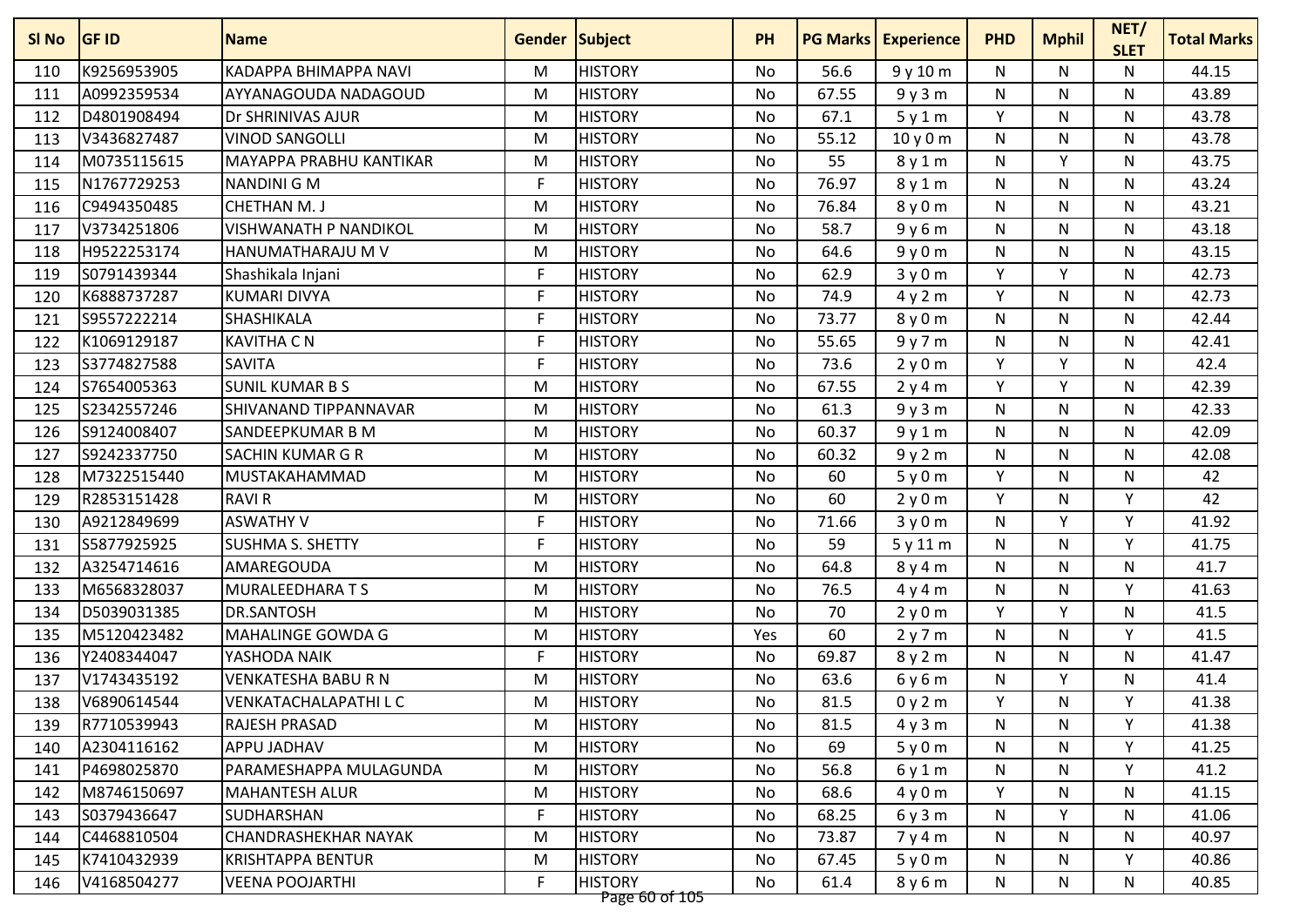| SI No | <b>GF ID</b> | <b>Name</b>                    | <b>Gender Subject</b> |                | <b>PH</b> | <b>PG Marks</b> | <b>Experience</b> | <b>PHD</b> | <b>Mphil</b> | NET/<br><b>SLET</b> | <b>Total Marks</b> |
|-------|--------------|--------------------------------|-----------------------|----------------|-----------|-----------------|-------------------|------------|--------------|---------------------|--------------------|
| 110   | K9256953905  | <b>KADAPPA BHIMAPPA NAVI</b>   | M                     | <b>HISTORY</b> | <b>No</b> | 56.6            | 9y10m             | N          | N            | N                   | 44.15              |
| 111   | A0992359534  | AYYANAGOUDA NADAGOUD           | M                     | <b>HISTORY</b> | No        | 67.55           | 9y3m              | N          | N            | N                   | 43.89              |
| 112   | D4801908494  | Dr SHRINIVAS AJUR              | M                     | <b>HISTORY</b> | No        | 67.1            | 5y1m              | Y          | N            | Ν                   | 43.78              |
| 113   | V3436827487  | <b>VINOD SANGOLLI</b>          | M                     | <b>HISTORY</b> | <b>No</b> | 55.12           | 10y0m             | N          | N            | N                   | 43.78              |
| 114   | M0735115615  | <b>MAYAPPA PRABHU KANTIKAR</b> | M                     | <b>HISTORY</b> | No        | 55              | 8y1m              | N          | Y            | N                   | 43.75              |
| 115   | N1767729253  | <b>NANDINI G M</b>             | F                     | <b>HISTORY</b> | No        | 76.97           | 8y1m              | N          | N            | N                   | 43.24              |
| 116   | C9494350485  | <b>CHETHAN M.J</b>             | M                     | <b>HISTORY</b> | No        | 76.84           | 8 y 0 m           | N          | N            | N                   | 43.21              |
| 117   | V3734251806  | <b>VISHWANATH P NANDIKOL</b>   | M                     | <b>HISTORY</b> | <b>No</b> | 58.7            | 9y6m              | N          | N            | N                   | 43.18              |
| 118   | H9522253174  | HANUMATHARAJU M V              | M                     | <b>HISTORY</b> | No        | 64.6            | 9y0m              | N          | N            | N                   | 43.15              |
| 119   | S0791439344  | Shashikala Injani              | F                     | <b>HISTORY</b> | <b>No</b> | 62.9            | 3y0m              | Y          | Y            | N                   | 42.73              |
| 120   | K6888737287  | <b>KUMARI DIVYA</b>            | F                     | <b>HISTORY</b> | No        | 74.9            | 4y2m              | Y          | N            | N                   | 42.73              |
| 121   | S9557222214  | SHASHIKALA                     | F                     | <b>HISTORY</b> | No        | 73.77           | 8y0m              | N          | N            | N                   | 42.44              |
| 122   | K1069129187  | <b>KAVITHA C N</b>             | F                     | <b>HISTORY</b> | No        | 55.65           | 9y7m              | N          | N            | N                   | 42.41              |
| 123   | S3774827588  | <b>SAVITA</b>                  | F                     | <b>HISTORY</b> | No        | 73.6            | 2y0m              | Y          | v            | N                   | 42.4               |
| 124   | S7654005363  | <b>SUNIL KUMAR B S</b>         | M                     | <b>HISTORY</b> | <b>No</b> | 67.55           | 2y4m              | Y          | Y            | N                   | 42.39              |
| 125   | S2342557246  | SHIVANAND TIPPANNAVAR          | M                     | <b>HISTORY</b> | No        | 61.3            | 9y3m              | N          | N            | N                   | 42.33              |
| 126   | S9124008407  | SANDEEPKUMAR B M               | M                     | <b>HISTORY</b> | No        | 60.37           | 9y1m              | N          | N            | N                   | 42.09              |
| 127   | S9242337750  | <b>SACHIN KUMAR G R</b>        | M                     | <b>HISTORY</b> | <b>No</b> | 60.32           | 9y2m              | N          | N            | N                   | 42.08              |
| 128   | M7322515440  | MUSTAKAHAMMAD                  | M                     | <b>HISTORY</b> | No        | 60              | 5y0m              | Y          | N            | N                   | 42                 |
| 129   | R2853151428  | <b>RAVIR</b>                   | M                     | <b>HISTORY</b> | No        | 60              | 2y0m              | Y          | N            | Υ                   | 42                 |
| 130   | A9212849699  | <b>ASWATHY V</b>               | F                     | <b>HISTORY</b> | No        | 71.66           | 3y0m              | N          | Y            | Y                   | 41.92              |
| 131   | S5877925925  | <b>SUSHMA S. SHETTY</b>        | F                     | <b>HISTORY</b> | <b>No</b> | 59              | 5y11m             | N          | N            | Y                   | 41.75              |
| 132   | A3254714616  | AMAREGOUDA                     | M                     | <b>HISTORY</b> | No        | 64.8            | 8y4m              | N          | N            | N                   | 41.7               |
| 133   | M6568328037  | <b>MURALEEDHARA TS</b>         | M                     | <b>HISTORY</b> | No        | 76.5            | 4y4m              | N          | N            | Y                   | 41.63              |
| 134   | D5039031385  | <b>DR.SANTOSH</b>              | M                     | <b>HISTORY</b> | No        | 70              | 2y0m              | Y          | V            | N                   | 41.5               |
| 135   | M5120423482  | <b>MAHALINGE GOWDA G</b>       | M                     | <b>HISTORY</b> | Yes       | 60              | 2y7m              | N          | N            | ٧                   | 41.5               |
| 136   | Y2408344047  | YASHODA NAIK                   | F                     | <b>HISTORY</b> | <b>No</b> | 69.87           | 8y2m              | N          | N            | N                   | 41.47              |
| 137   | V1743435192  | <b>VENKATESHA BABU R N</b>     | M                     | <b>HISTORY</b> | No        | 63.6            | 6y6m              | N          | Y            | N                   | 41.4               |
| 138   | V6890614544  | VENKATACHALAPATHI L C          | M                     | <b>HISTORY</b> | No        | 81.5            | 0y2m              | Y          | N            | Υ                   | 41.38              |
| 139   | R7710539943  | <b>RAJESH PRASAD</b>           | M                     | <b>HISTORY</b> | No        | 81.5            | 4y3m              | N          | N            | Y                   | 41.38              |
| 140   | A2304116162  | APPU JADHAV                    | M                     | <b>HISTORY</b> | No        | 69              | 5y0m              | N          | N            | Υ                   | 41.25              |
| 141   | P4698025870  | PARAMESHAPPA MULAGUNDA         | M                     | <b>HISTORY</b> | No        | 56.8            | 6y1m              | N          | N            | Y                   | 41.2               |
| 142   | M8746150697  | <b>MAHANTESH ALUR</b>          | M                     | <b>HISTORY</b> | No        | 68.6            | 4y0m              | Y          | N            | N                   | 41.15              |
| 143   | S0379436647  | SUDHARSHAN                     | F                     | <b>HISTORY</b> | No        | 68.25           | 6y3m              | N          | Y            | N                   | 41.06              |
| 144   | C4468810504  | CHANDRASHEKHAR NAYAK           | M                     | <b>HISTORY</b> | No        | 73.87           | 7y4m              | N          | N            | N                   | 40.97              |
| 145   | K7410432939  | <b>KRISHTAPPA BENTUR</b>       | M                     | <b>HISTORY</b> | No        | 67.45           | 5y0m              | N          | N            | Y                   | 40.86              |
| 146   | V4168504277  | <b>VEENA POOJARTHI</b>         | F                     | <b>HISTORY</b> | No        | 61.4            | 8y6m              | N          | N            | N                   | 40.85              |
|       |              |                                |                       | Page 60 of 105 |           |                 |                   |            |              |                     |                    |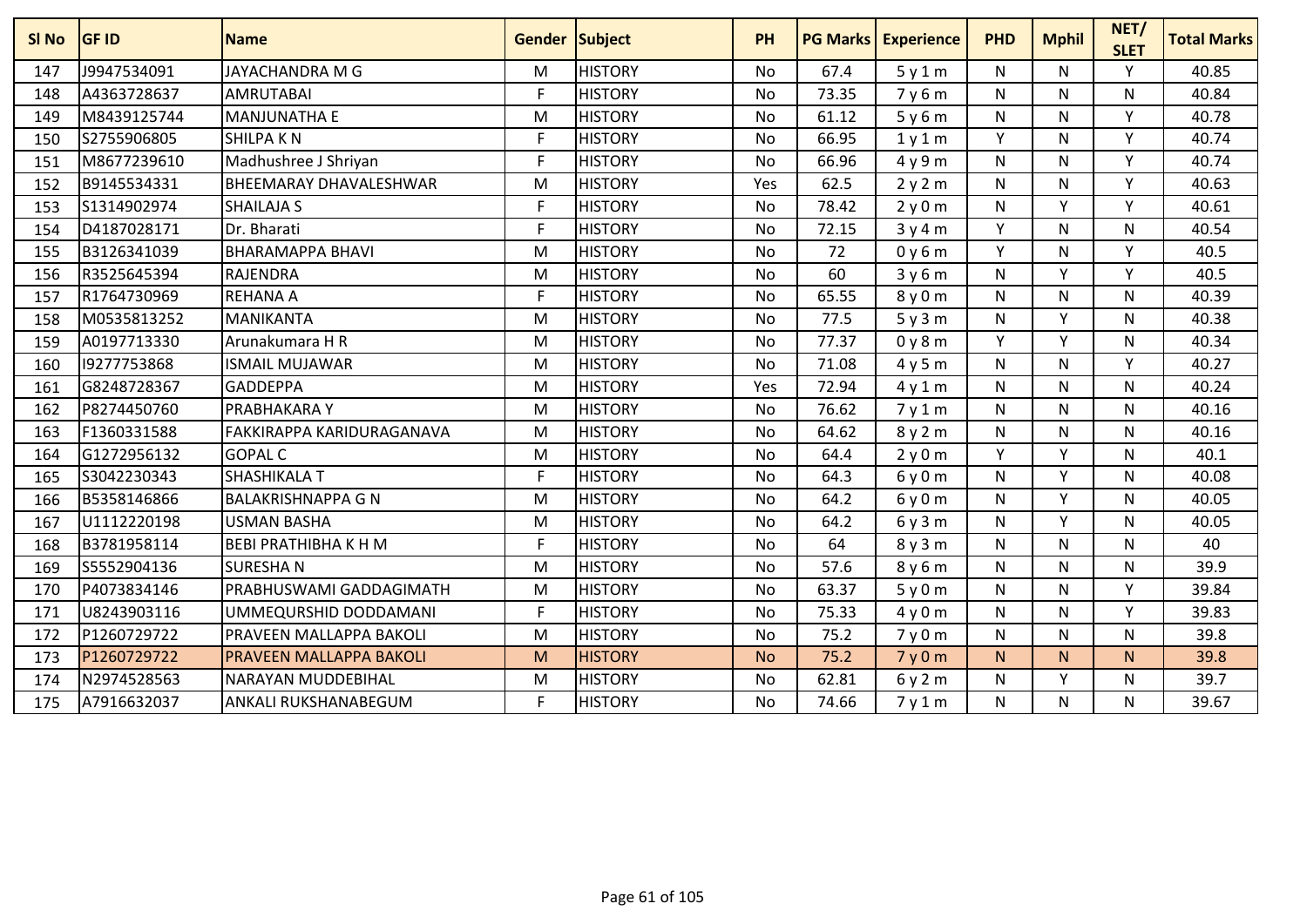| <b>SI No</b> | <b>GF ID</b> | <b>Name</b>                   | <b>Gender Subject</b> |                | <b>PH</b> | <b>PG Marks</b> | <b>Experience</b> | <b>PHD</b> | <b>Mphil</b> | NET/<br><b>SLET</b> | <b>Total Marks</b> |
|--------------|--------------|-------------------------------|-----------------------|----------------|-----------|-----------------|-------------------|------------|--------------|---------------------|--------------------|
| 147          | J9947534091  | <b>JAYACHANDRA M G</b>        | M                     | <b>HISTORY</b> | <b>No</b> | 67.4            | 5y1m              | N          | N            | v                   | 40.85              |
| 148          | A4363728637  | <b>AMRUTABAI</b>              | F                     | <b>HISTORY</b> | <b>No</b> | 73.35           | 7y6m              | N          | N            | N                   | 40.84              |
| 149          | M8439125744  | <b>MANJUNATHA E</b>           | M                     | <b>HISTORY</b> | <b>No</b> | 61.12           | 5y6m              | N          | N            | Y                   | 40.78              |
| 150          | S2755906805  | <b>SHILPAKN</b>               | F                     | <b>HISTORY</b> | <b>No</b> | 66.95           | 1y1m              | Y          | N            | Y                   | 40.74              |
| 151          | M8677239610  | Madhushree J Shriyan          | F                     | <b>HISTORY</b> | No        | 66.96           | 4y9m              | N          | N            | Y                   | 40.74              |
| 152          | B9145534331  | <b>BHEEMARAY DHAVALESHWAR</b> | M                     | <b>HISTORY</b> | Yes       | 62.5            | 2y2m              | N          | N            | Υ                   | 40.63              |
| 153          | S1314902974  | <b>SHAILAJA S</b>             | F                     | <b>HISTORY</b> | No        | 78.42           | 2y0m              | N          | $\checkmark$ | $\vee$              | 40.61              |
| 154          | D4187028171  | Dr. Bharati                   | F                     | <b>HISTORY</b> | <b>No</b> | 72.15           | 3y4m              | Y          | N            | N                   | 40.54              |
| 155          | B3126341039  | <b>BHARAMAPPA BHAVI</b>       | M                     | <b>HISTORY</b> | <b>No</b> | 72              | 0y6m              | Y          | N            | Υ                   | 40.5               |
| 156          | R3525645394  | <b>RAJENDRA</b>               | M                     | <b>HISTORY</b> | <b>No</b> | 60              | 3y6m              | N          | Y            | Y                   | 40.5               |
| 157          | R1764730969  | <b>REHANA A</b>               | F                     | <b>HISTORY</b> | <b>No</b> | 65.55           | 8y0m              | N          | N            | N                   | 40.39              |
| 158          | M0535813252  | <b>MANIKANTA</b>              | M                     | <b>HISTORY</b> | No        | 77.5            | 5y3m              | N          | $\vee$       | N                   | 40.38              |
| 159          | A0197713330  | Arunakumara H R               | M                     | <b>HISTORY</b> | <b>No</b> | 77.37           | 0y8m              | Y          | v            | N                   | 40.34              |
| 160          | 19277753868  | <b>ISMAIL MUJAWAR</b>         | M                     | <b>HISTORY</b> | <b>No</b> | 71.08           | 4y5m              | N          | N            | Y                   | 40.27              |
| 161          | G8248728367  | <b>GADDEPPA</b>               | M                     | <b>HISTORY</b> | Yes       | 72.94           | 4y1m              | N          | N            | N                   | 40.24              |
| 162          | P8274450760  | PRABHAKARA Y                  | M                     | <b>HISTORY</b> | No        | 76.62           | 7y1m              | N          | N            | N                   | 40.16              |
| 163          | F1360331588  | FAKKIRAPPA KARIDURAGANAVA     | M                     | <b>HISTORY</b> | No        | 64.62           | 8y2m              | N          | N            | N                   | 40.16              |
| 164          | G1272956132  | <b>GOPAL C</b>                | M                     | <b>HISTORY</b> | <b>No</b> | 64.4            | 2y0m              | Y          | $\mathsf{v}$ | N                   | 40.1               |
| 165          | S3042230343  | <b>SHASHIKALA T</b>           | F                     | <b>HISTORY</b> | <b>No</b> | 64.3            | 6y0m              | N          | v            | $\mathsf{N}$        | 40.08              |
| 166          | B5358146866  | <b>BALAKRISHNAPPA G N</b>     | M                     | <b>HISTORY</b> | <b>No</b> | 64.2            | 6y0m              | N          | Y            | Ν                   | 40.05              |
| 167          | U1112220198  | <b>USMAN BASHA</b>            | M                     | <b>HISTORY</b> | <b>No</b> | 64.2            | 6y3m              | N          | Y            | N                   | 40.05              |
| 168          | B3781958114  | <b>BEBI PRATHIBHA K H M</b>   | F                     | <b>HISTORY</b> | <b>No</b> | 64              | 8y3m              | N          | N            | N                   | 40                 |
| 169          | S5552904136  | <b>SURESHAN</b>               | M                     | <b>HISTORY</b> | <b>No</b> | 57.6            | 8y6m              | N          | N            | N                   | 39.9               |
| 170          | P4073834146  | PRABHUSWAMI GADDAGIMATH       | M                     | <b>HISTORY</b> | <b>No</b> | 63.37           | 5y0m              | N          | N            | v                   | 39.84              |
| 171          | U8243903116  | UMMEQURSHID DODDAMANI         | F                     | <b>HISTORY</b> | <b>No</b> | 75.33           | 4y0m              | N          | N            | Υ                   | 39.83              |
| 172          | P1260729722  | PRAVEEN MALLAPPA BAKOLI       | M                     | <b>HISTORY</b> | No        | 75.2            | 7y0m              | N          | N            | N                   | 39.8               |
| 173          | P1260729722  | PRAVEEN MALLAPPA BAKOLI       | M                     | <b>HISTORY</b> | <b>No</b> | 75.2            | 7y0m              | N.         | N.           | N.                  | 39.8               |
| 174          | N2974528563  | <b>NARAYAN MUDDEBIHAL</b>     | M                     | <b>HISTORY</b> | <b>No</b> | 62.81           | 6y2m              | N          | V            | N                   | 39.7               |
| 175          | A7916632037  | ANKALI RUKSHANABEGUM          | F                     | <b>HISTORY</b> | <b>No</b> | 74.66           | 7y1m              | N          | N            | N                   | 39.67              |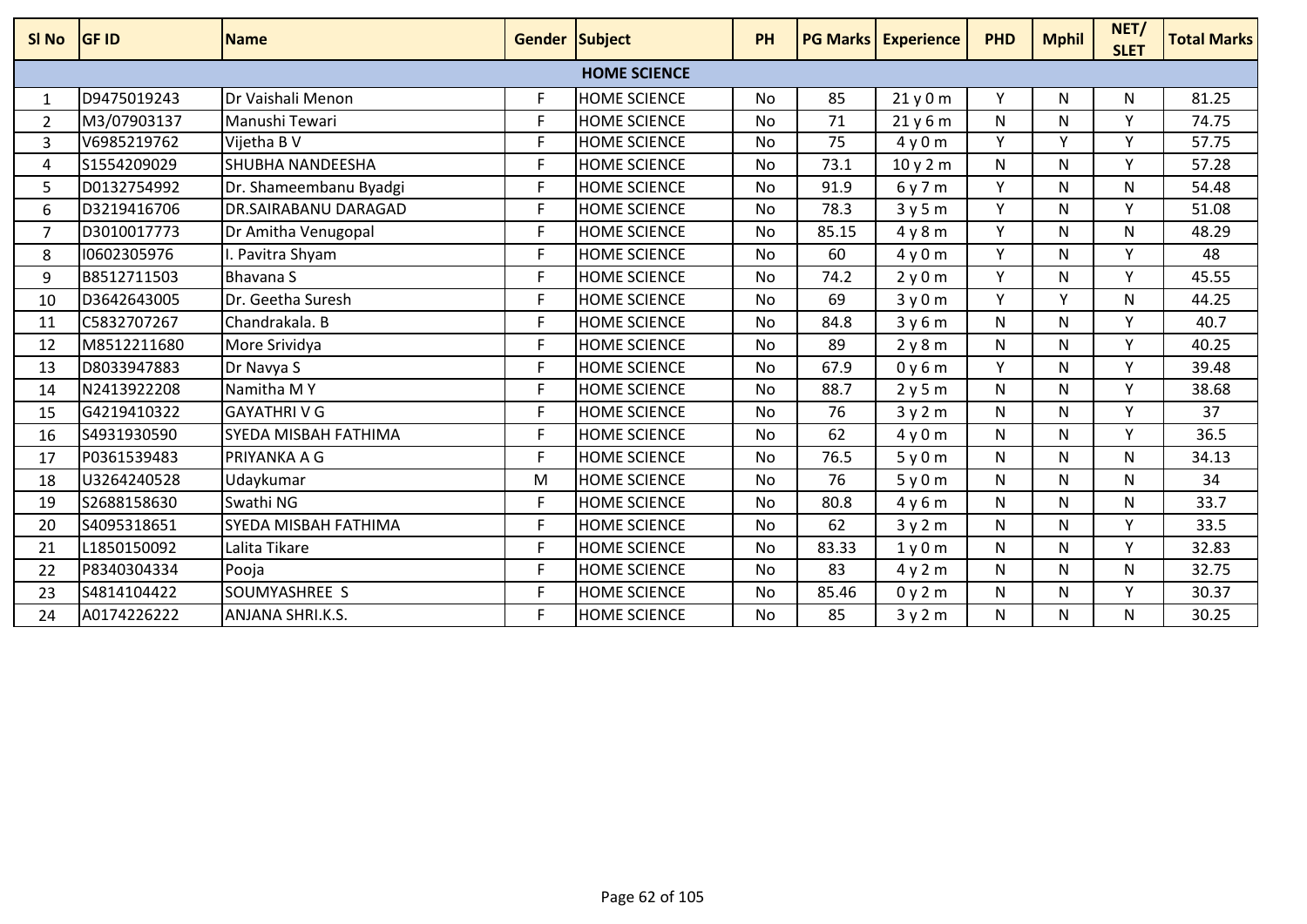| SI <sub>No</sub> | <b>GF ID</b> | <b>Name</b>               | Gender Subject |                     | <b>PH</b> |       | <b>PG Marks Experience</b> | <b>PHD</b> | <b>Mphil</b> | NET/<br><b>SLET</b> | <b>Total Marks</b> |
|------------------|--------------|---------------------------|----------------|---------------------|-----------|-------|----------------------------|------------|--------------|---------------------|--------------------|
|                  |              |                           |                | <b>HOME SCIENCE</b> |           |       |                            |            |              |                     |                    |
| $\mathbf{1}$     | D9475019243  | <b>IDr Vaishali Menon</b> | F              | <b>HOME SCIENCE</b> | No        | 85    | 21y0m                      | Υ          | N            | N                   | 81.25              |
| $\overline{2}$   | M3/07903137  | Manushi Tewari            | F              | <b>HOME SCIENCE</b> | <b>No</b> | 71    | 21y6m                      | N          | N            | Y                   | 74.75              |
| 3                | V6985219762  | Vijetha B V               | F              | <b>HOME SCIENCE</b> | No        | 75    | 4y0m                       | Υ          | Y            | Y                   | 57.75              |
| 4                | S1554209029  | <b>SHUBHA NANDEESHA</b>   | F              | <b>HOME SCIENCE</b> | <b>No</b> | 73.1  | 10y2m                      | N          | N            | v                   | 57.28              |
| 5                | D0132754992  | Dr. Shameembanu Byadgi    | F              | <b>HOME SCIENCE</b> | <b>No</b> | 91.9  | 6y7m                       | Y          | N            | N                   | 54.48              |
| 6                | D3219416706  | DR.SAIRABANU DARAGAD      | F              | <b>HOME SCIENCE</b> | <b>No</b> | 78.3  | 3y5m                       | Y          | N            | v                   | 51.08              |
| 7                | D3010017773  | Dr Amitha Venugopal       | F              | <b>HOME SCIENCE</b> | No        | 85.15 | 4y8m                       | Υ          | N            | N                   | 48.29              |
| 8                | 10602305976  | I. Pavitra Shyam          | F              | <b>HOME SCIENCE</b> | <b>No</b> | 60    | 4y0m                       | Υ          | N            | v                   | 48                 |
| 9                | B8512711503  | <b>Bhavana S</b>          | F              | <b>HOME SCIENCE</b> | <b>No</b> | 74.2  | 2y0m                       | Y          | N            | Y                   | 45.55              |
| 10               | D3642643005  | Dr. Geetha Suresh         | F              | <b>HOME SCIENCE</b> | <b>No</b> | 69    | 3y0m                       | Y          | $\vee$       | N                   | 44.25              |
| 11               | C5832707267  | Chandrakala. B            | F              | <b>HOME SCIENCE</b> | No        | 84.8  | 3y6m                       | N          | N            | Υ                   | 40.7               |
| 12               | M8512211680  | More Srividya             | F              | <b>HOME SCIENCE</b> | <b>No</b> | 89    | 2y8m                       | N          | N            | v                   | 40.25              |
| 13               | D8033947883  | Dr Navya S                | F              | <b>HOME SCIENCE</b> | <b>No</b> | 67.9  | 0y6m                       | Υ          | N            | Y                   | 39.48              |
| 14               | N2413922208  | Namitha MY                | F              | <b>HOME SCIENCE</b> | <b>No</b> | 88.7  | 2y5m                       | N          | N            | v                   | 38.68              |
| 15               | G4219410322  | <b>GAYATHRIVG</b>         | F              | <b>HOME SCIENCE</b> | No        | 76    | 3y2m                       | N          | N            | Υ                   | 37                 |
| 16               | S4931930590  | SYEDA MISBAH FATHIMA      | F              | <b>HOME SCIENCE</b> | <b>No</b> | 62    | 4y0m                       | N          | N            | v                   | 36.5               |
| 17               | P0361539483  | PRIYANKA A G              | F              | <b>HOME SCIENCE</b> | No        | 76.5  | 5y0m                       | N          | N            | N                   | 34.13              |
| 18               | U3264240528  | Udaykumar                 | M              | <b>HOME SCIENCE</b> | <b>No</b> | 76    | 5y0m                       | N          | N            | N                   | 34                 |
| 19               | S2688158630  | Swathi NG                 | F              | <b>HOME SCIENCE</b> | <b>No</b> | 80.8  | 4y6m                       | N          | N            | N                   | 33.7               |
| 20               | S4095318651  | SYEDA MISBAH FATHIMA      | F              | <b>HOME SCIENCE</b> | No        | 62    | 3y2m                       | N          | N            | ۷                   | 33.5               |
| 21               | L1850150092  | Lalita Tikare             | F              | <b>HOME SCIENCE</b> | <b>No</b> | 83.33 | 1y0m                       | N          | N            | <b>V</b>            | 32.83              |
| 22               | P8340304334  | Pooja                     | F              | <b>HOME SCIENCE</b> | <b>No</b> | 83    | 4y2m                       | N          | N            | N                   | 32.75              |
| 23               | S4814104422  | SOUMYASHREE S             | F              | <b>HOME SCIENCE</b> | <b>No</b> | 85.46 | 0y2m                       | N          | N            | Y                   | 30.37              |
| 24               | A0174226222  | <b>ANJANA SHRI.K.S.</b>   | F              | <b>HOME SCIENCE</b> | No        | 85    | 3y2m                       | N          | N            | N                   | 30.25              |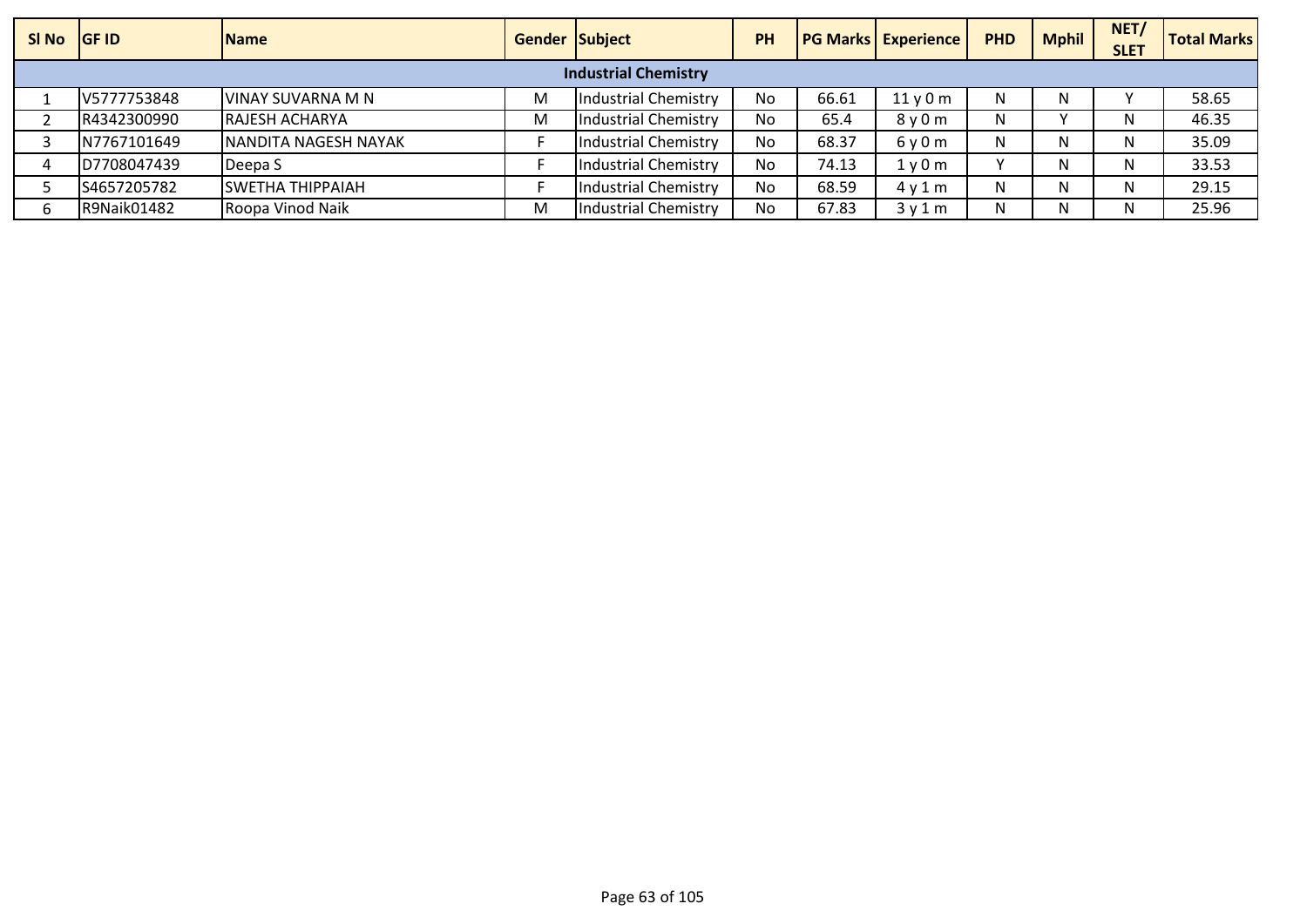| SI No | <b>IGF ID</b>               | <b>Name</b>             | <b>Gender Subject</b> |                      | PH |       | <b>PG Marks Experience</b> | <b>PHD</b> | <b>Mphil</b> | NET/<br><b>SLET</b> | <b>Total Marks</b> |
|-------|-----------------------------|-------------------------|-----------------------|----------------------|----|-------|----------------------------|------------|--------------|---------------------|--------------------|
|       | <b>Industrial Chemistry</b> |                         |                       |                      |    |       |                            |            |              |                     |                    |
|       | V5777753848                 | VINAY SUVARNA M N       | M                     | Industrial Chemistry | No | 66.61 | 11y0m                      | N          |              |                     | 58.65              |
|       | R4342300990                 | <b>RAJESH ACHARYA</b>   | M                     | Industrial Chemistry | No | 65.4  | 8 y 0 m                    | N          |              | N                   | 46.35              |
|       | N7767101649                 | NANDITA NAGESH NAYAK    |                       | Industrial Chemistry | No | 68.37 | 6y0m                       | N          |              | N                   | 35.09              |
|       | D7708047439                 | Deepa S                 |                       | Industrial Chemistry | No | 74.13 | 1v0m                       |            |              | N                   | 33.53              |
|       | S4657205782                 | <b>SWETHA THIPPAIAH</b> |                       | Industrial Chemistry | No | 68.59 | 4v1m                       | N          |              | N                   | 29.15              |
|       | R9Naik01482                 | Roopa Vinod Naik        | M                     | Industrial Chemistry | No | 67.83 | 3v1m                       | N          |              |                     | 25.96              |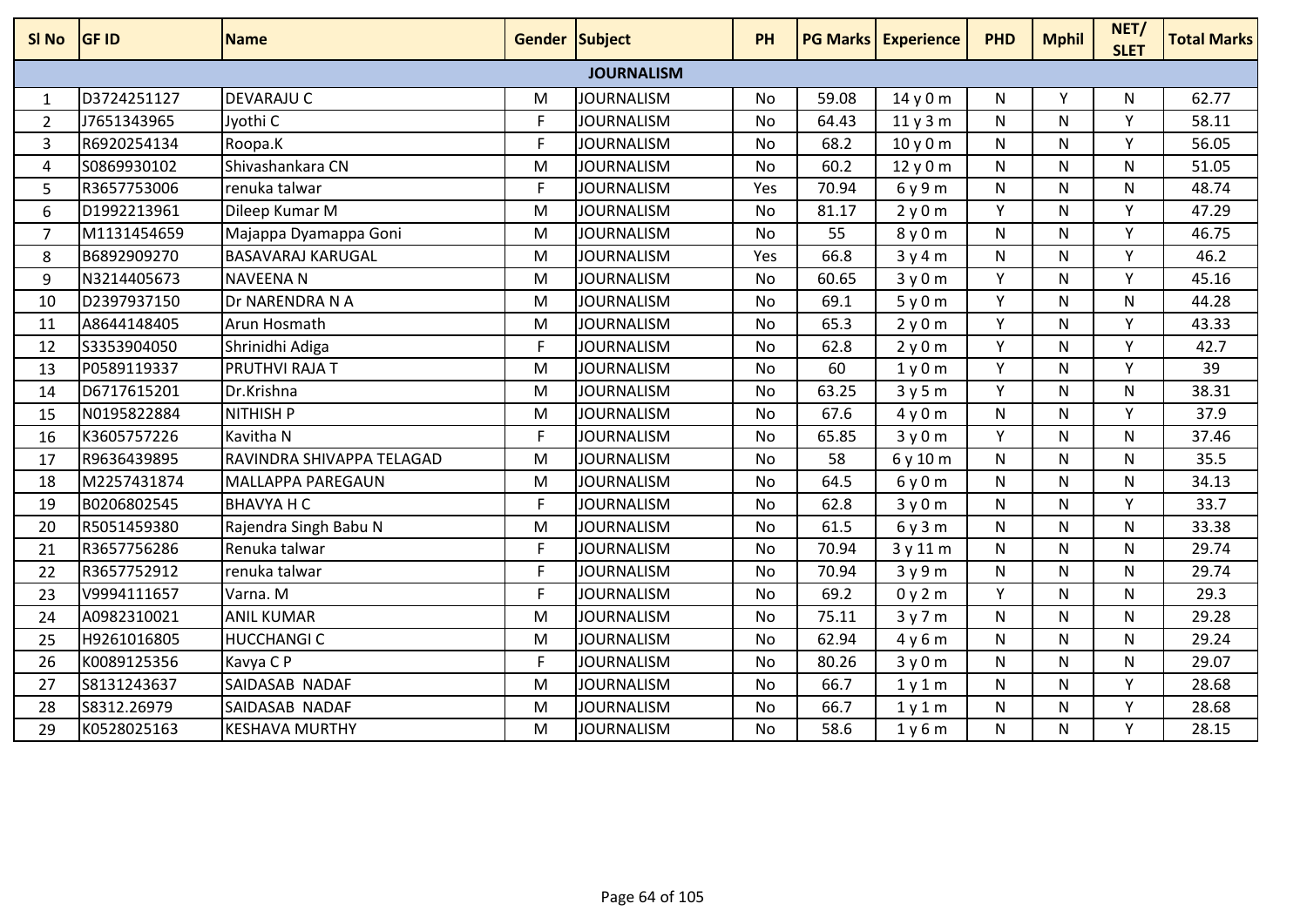| SI <sub>No</sub>  | <b>GF ID</b> | <b>Name</b>               | <b>Gender Subject</b> |                   | <b>PH</b> |       | <b>PG Marks Experience</b> | <b>PHD</b>   | <b>Mphil</b> | NET/<br><b>SLET</b> | <b>Total Marks</b> |
|-------------------|--------------|---------------------------|-----------------------|-------------------|-----------|-------|----------------------------|--------------|--------------|---------------------|--------------------|
| <b>JOURNALISM</b> |              |                           |                       |                   |           |       |                            |              |              |                     |                    |
| 1                 | D3724251127  | DEVARAJU C                | M                     | JOURNALISM        | No        | 59.08 | 14 y 0 m                   | N            | Υ            | N                   | 62.77              |
| $\overline{2}$    | J7651343965  | Jyothi C                  | F                     | <b>JOURNALISM</b> | <b>No</b> | 64.43 | 11y3m                      | N            | N            | $\mathsf{v}$        | 58.11              |
| 3                 | R6920254134  | Roopa.K                   | F                     | <b>JOURNALISM</b> | <b>No</b> | 68.2  | 10y0m                      | $\mathsf{N}$ | N.           | Y                   | 56.05              |
| 4                 | S0869930102  | Shivashankara CN          | M                     | <b>JOURNALISM</b> | No        | 60.2  | 12y0m                      | $\mathsf{N}$ | N            | N                   | 51.05              |
| 5                 | R3657753006  | renuka talwar             | F                     | <b>JOURNALISM</b> | Yes       | 70.94 | 6 y 9 m                    | N            | N            | N                   | 48.74              |
| 6                 | D1992213961  | Dileep Kumar M            | M                     | <b>JOURNALISM</b> | <b>No</b> | 81.17 | 2y0m                       | Y            | N            | Y                   | 47.29              |
| $\overline{7}$    | M1131454659  | Majappa Dyamappa Goni     | M                     | <b>JOURNALISM</b> | No        | 55    | 8 y 0 m                    | $\mathsf{N}$ | N            | Y                   | 46.75              |
| 8                 | B6892909270  | <b>BASAVARAJ KARUGAL</b>  | M                     | <b>JOURNALISM</b> | Yes       | 66.8  | 3y4m                       | N            | N            | Υ                   | 46.2               |
| 9                 | N3214405673  | <b>NAVEENAN</b>           | M                     | <b>JOURNALISM</b> | <b>No</b> | 60.65 | 3y0m                       | Y            | N            | Y                   | 45.16              |
| 10                | D2397937150  | Dr NARENDRA N A           | M                     | <b>JOURNALISM</b> | No        | 69.1  | 5y0m                       | Y            | N            | N                   | 44.28              |
| 11                | A8644148405  | Arun Hosmath              | M                     | <b>JOURNALISM</b> | <b>No</b> | 65.3  | 2y0m                       | Y            | N            | Y                   | 43.33              |
| 12                | S3353904050  | Shrinidhi Adiga           | F                     | <b>JOURNALISM</b> | <b>No</b> | 62.8  | 2y0m                       | Y            | N            | Y                   | 42.7               |
| 13                | P0589119337  | PRUTHVI RAJA T            | M                     | <b>JOURNALISM</b> | No        | 60    | 1y0m                       | Y            | N            | $\mathsf{v}$        | 39                 |
| 14                | D6717615201  | Dr.Krishna                | M                     | JOURNALISM        | <b>No</b> | 63.25 | 3y5m                       | Y            | N.           | N.                  | 38.31              |
| 15                | N0195822884  | <b>NITHISH P</b>          | M                     | <b>JOURNALISM</b> | <b>No</b> | 67.6  | 4y0m                       | $\mathsf{N}$ | N            | Y                   | 37.9               |
| 16                | K3605757226  | Kavitha N                 | F                     | <b>JOURNALISM</b> | No        | 65.85 | 3y0m                       | Y            | N            | N                   | 37.46              |
| 17                | R9636439895  | RAVINDRA SHIVAPPA TELAGAD | M                     | <b>JOURNALISM</b> | <b>No</b> | 58    | 6 y 10 m                   | $\mathsf{N}$ | N            | N                   | 35.5               |
| 18                | M2257431874  | <b>MALLAPPA PAREGAUN</b>  | M                     | <b>JOURNALISM</b> | <b>No</b> | 64.5  | 6y0m                       | $\mathsf{N}$ | N            | N                   | 34.13              |
| 19                | B0206802545  | <b>BHAVYA H C</b>         | F                     | <b>JOURNALISM</b> | No        | 62.8  | 3y0m                       | N            | N            | Y                   | 33.7               |
| 20                | R5051459380  | Rajendra Singh Babu N     | M                     | <b>JOURNALISM</b> | <b>No</b> | 61.5  | 6y3m                       | $\mathsf{N}$ | N            | N                   | 33.38              |
| 21                | R3657756286  | Renuka talwar             | F                     | <b>JOURNALISM</b> | <b>No</b> | 70.94 | 3 y 11 m                   | $\mathsf{N}$ | N            | N                   | 29.74              |
| 22                | R3657752912  | renuka talwar             | F                     | <b>JOURNALISM</b> | No        | 70.94 | 3y9m                       | $\mathsf{N}$ | N.           | $\mathsf{N}$        | 29.74              |
| 23                | V9994111657  | Varna. M                  | F                     | <b>JOURNALISM</b> | No        | 69.2  | 0y2m                       | Y            | N            | N                   | 29.3               |
| 24                | A0982310021  | <b>ANIL KUMAR</b>         | M                     | <b>JOURNALISM</b> | No        | 75.11 | 3y7m                       | N            | N            | N                   | 29.28              |
| 25                | H9261016805  | <b>HUCCHANGI C</b>        | M                     | <b>JOURNALISM</b> | <b>No</b> | 62.94 | 4y6m                       | $\mathsf{N}$ | N            | N                   | 29.24              |
| 26                | K0089125356  | Kavya C P                 | F                     | <b>JOURNALISM</b> | <b>No</b> | 80.26 | 3y0m                       | $\mathsf{N}$ | N            | N                   | 29.07              |
| 27                | S8131243637  | SAIDASAB NADAF            | M                     | <b>JOURNALISM</b> | No        | 66.7  | 1y1m                       | N            | N            | Y                   | 28.68              |
| 28                | S8312.26979  | SAIDASAB NADAF            | M                     | <b>JOURNALISM</b> | <b>No</b> | 66.7  | 1y1m                       | $\mathsf{N}$ | N            | Y                   | 28.68              |
| 29                | K0528025163  | <b>KESHAVA MURTHY</b>     | M                     | <b>JOURNALISM</b> | No        | 58.6  | 1y6m                       | N            | N            | Y                   | 28.15              |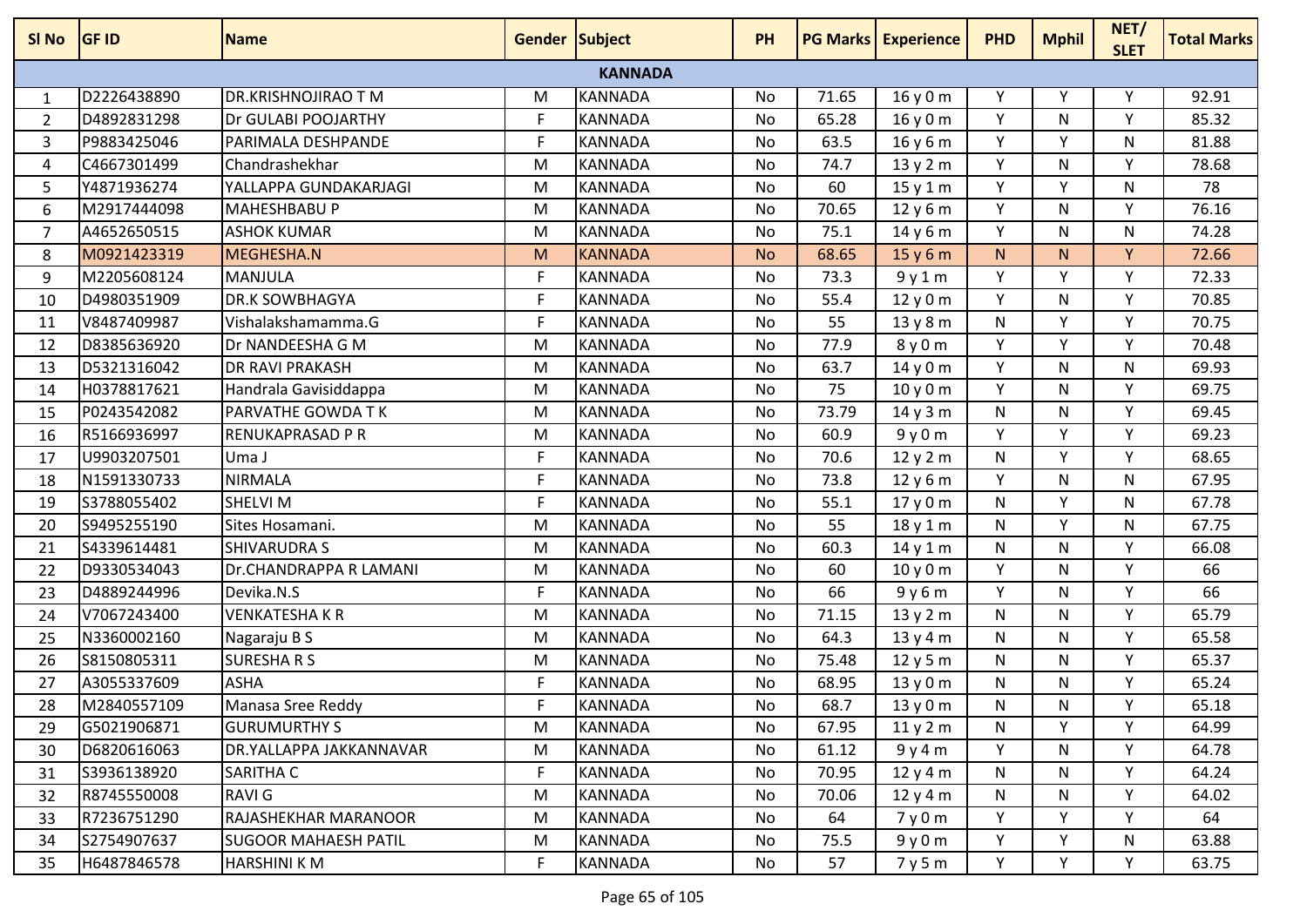| SI No          | <b>GF ID</b> | <b>Name</b>                 | Gender Subject |                | <b>PH</b> |       | <b>PG Marks   Experience</b> | <b>PHD</b> | <b>Mphil</b> | NET/<br><b>SLET</b> | <b>Total Marks</b> |
|----------------|--------------|-----------------------------|----------------|----------------|-----------|-------|------------------------------|------------|--------------|---------------------|--------------------|
|                |              |                             |                | <b>KANNADA</b> |           |       |                              |            |              |                     |                    |
| 1              | D2226438890  | DR.KRISHNOJIRAO T M         | M              | <b>KANNADA</b> | No        | 71.65 | 16 y 0 m                     | Y          | Υ            | Υ                   | 92.91              |
| $\overline{2}$ | D4892831298  | Dr GULABI POOJARTHY         | F              | <b>KANNADA</b> | No        | 65.28 | 16y0m                        | Y          | N            | Y                   | 85.32              |
| 3              | P9883425046  | PARIMALA DESHPANDE          | F.             | <b>KANNADA</b> | No        | 63.5  | 16y6m                        | Y          | Y            | N                   | 81.88              |
| 4              | C4667301499  | Chandrashekhar              | M              | <b>KANNADA</b> | No        | 74.7  | 13y2m                        | Y          | N            | Y                   | 78.68              |
| 5              | Y4871936274  | YALLAPPA GUNDAKARJAGI       | M              | <b>KANNADA</b> | No        | 60    | 15y1m                        | Y          | Y            | N                   | 78                 |
| 6              | M2917444098  | <b>MAHESHBABU P</b>         | M              | <b>KANNADA</b> | <b>No</b> | 70.65 | 12 y 6 m                     | Y          | N            | Y                   | 76.16              |
| $\overline{7}$ | A4652650515  | <b>ASHOK KUMAR</b>          | M              | <b>KANNADA</b> | No        | 75.1  | 14y6m                        | Y          | N            | N                   | 74.28              |
| 8              | M0921423319  | MEGHESHA.N                  | M              | <b>KANNADA</b> | <b>No</b> | 68.65 | 15y6m                        | N.         | N.           | Y.                  | 72.66              |
| 9              | M2205608124  | <b>MANJULA</b>              | F              | <b>KANNADA</b> | No        | 73.3  | 9y1m                         | Y          | Y            | Y                   | 72.33              |
| 10             | D4980351909  | <b>DR.K SOWBHAGYA</b>       | F              | <b>KANNADA</b> | No        | 55.4  | 12y0m                        | Y          | N            | Y                   | 70.85              |
| 11             | V8487409987  | Vishalakshamamma.G          | F              | <b>KANNADA</b> | No        | 55    | 13y8m                        | N          | Y            | Y                   | 70.75              |
| 12             | D8385636920  | Dr NANDEESHA G M            | M              | <b>KANNADA</b> | No        | 77.9  | 8y0m                         | Y          | v            | ۷                   | 70.48              |
| 13             | D5321316042  | DR RAVI PRAKASH             | M              | <b>KANNADA</b> | <b>No</b> | 63.7  | 14y0m                        | Y          | N            | N                   | 69.93              |
| 14             | H0378817621  | Handrala Gavisiddappa       | M              | <b>KANNADA</b> | <b>No</b> | 75    | 10y0m                        | Y          | N            | Y                   | 69.75              |
| 15             | P0243542082  | PARVATHE GOWDA TK           | M              | <b>KANNADA</b> | No        | 73.79 | 14y3m                        | N          | N            | Y                   | 69.45              |
| 16             | R5166936997  | RENUKAPRASAD P R            | M              | <b>KANNADA</b> | <b>No</b> | 60.9  | 9y0m                         | Y          | Y            | Y                   | 69.23              |
| 17             | U9903207501  | Uma J                       | F.             | <b>KANNADA</b> | No        | 70.6  | 12y2m                        | N          | Y            | Υ                   | 68.65              |
| 18             | N1591330733  | <b>NIRMALA</b>              | F              | <b>KANNADA</b> | No        | 73.8  | 12y6m                        | Y          | N            | N                   | 67.95              |
| 19             | S3788055402  | SHELVI M                    | F              | <b>KANNADA</b> | No        | 55.1  | 17y0m                        | N          | Y            | N                   | 67.78              |
| 20             | S9495255190  | Sites Hosamani.             | M              | <b>KANNADA</b> | <b>No</b> | 55    | 18y1m                        | N          | Y            | N                   | 67.75              |
| 21             | S4339614481  | <b>SHIVARUDRA S</b>         | M              | <b>KANNADA</b> | No        | 60.3  | 14y1m                        | N          | N            | Υ                   | 66.08              |
| 22             | D9330534043  | Dr.CHANDRAPPA R LAMANI      | M              | <b>KANNADA</b> | No        | 60    | 10y0m                        | Y          | N            | Y                   | 66                 |
| 23             | D4889244996  | Devika.N.S                  | F.             | <b>KANNADA</b> | No        | 66    | 9y6m                         | Y          | N            | Y                   | 66                 |
| 24             | V7067243400  | VENKATESHA K R              | M              | <b>KANNADA</b> | No        | 71.15 | 13y2m                        | N          | N            | Υ                   | 65.79              |
| 25             | N3360002160  | Nagaraju B S                | M              | <b>KANNADA</b> | No        | 64.3  | 13y4m                        | N          | N            | Y                   | 65.58              |
| 26             | S8150805311  | <b>SURESHARS</b>            | M              | <b>KANNADA</b> | No        | 75.48 | 12y5m                        | N          | N            | Υ                   | 65.37              |
| 27             | A3055337609  | <b>ASHA</b>                 | F              | <b>KANNADA</b> | No        | 68.95 | 13y0m                        | N          | N            | Υ                   | 65.24              |
| 28             | M2840557109  | Manasa Sree Reddy           | F              | <b>KANNADA</b> | No        | 68.7  | 13y0m                        | N          | N            | Υ                   | 65.18              |
| 29             | G5021906871  | <b>GURUMURTHY S</b>         | M              | <b>KANNADA</b> | No        | 67.95 | 11y2m                        | N          | Y            | Y                   | 64.99              |
| 30             | D6820616063  | DR.YALLAPPA JAKKANNAVAR     | M              | <b>KANNADA</b> | No        | 61.12 | 9y4m                         | Y          | N            | Y                   | 64.78              |
| 31             | S3936138920  | SARITHA C                   | F              | <b>KANNADA</b> | No        | 70.95 | 12y4m                        | N          | N            | Υ                   | 64.24              |
| 32             | R8745550008  | RAVI G                      | M              | <b>KANNADA</b> | No        | 70.06 | 12y4m                        | N          | N            | Y                   | 64.02              |
| 33             | R7236751290  | RAJASHEKHAR MARANOOR        | M              | <b>KANNADA</b> | No        | 64    | 7y0m                         | Y          | Y            | Y                   | 64                 |
| 34             | S2754907637  | <b>SUGOOR MAHAESH PATIL</b> | M              | <b>KANNADA</b> | No        | 75.5  | 9y0m                         | Y          | Y            | N                   | 63.88              |
| 35             | H6487846578  | <b>HARSHINI K M</b>         | F              | <b>KANNADA</b> | No        | 57    | 7y5m                         | Y          | Y            | Y                   | 63.75              |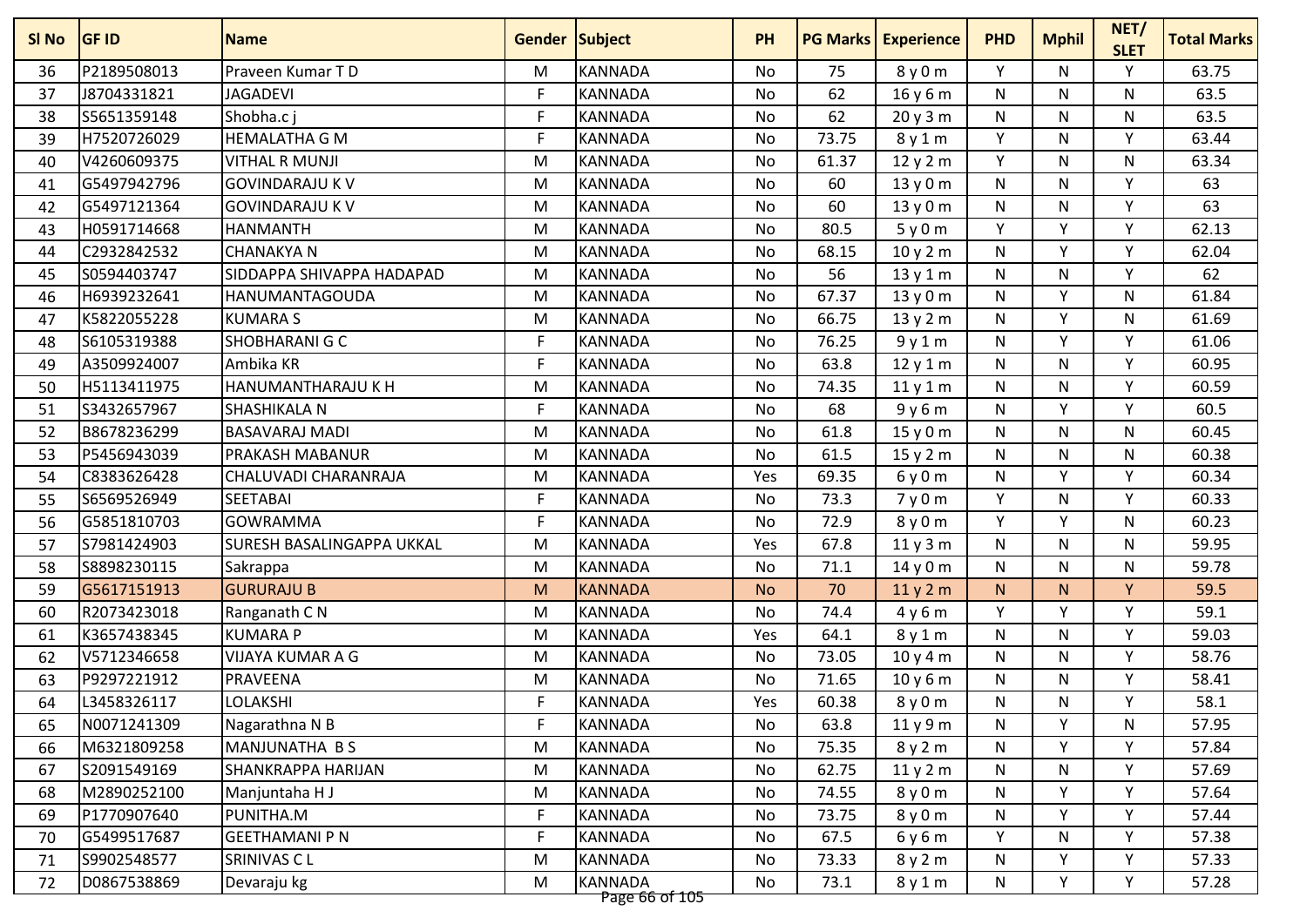| SI No | <b>GF ID</b> | <b>Name</b>                      | Gender Subject |                | <b>PH</b> | <b>PG Marks</b> | <b>Experience</b> | <b>PHD</b>   | <b>Mphil</b> | NET/<br><b>SLET</b> | <b>Total Marks</b> |
|-------|--------------|----------------------------------|----------------|----------------|-----------|-----------------|-------------------|--------------|--------------|---------------------|--------------------|
| 36    | P2189508013  | Praveen Kumar TD                 | M              | <b>KANNADA</b> | No        | 75              | 8 y 0 m           | Y            | N            | Y                   | 63.75              |
| 37    | J8704331821  | <b>JAGADEVI</b>                  | F              | <b>KANNADA</b> | No        | 62              | 16 y 6 m          | N            | N            | N                   | 63.5               |
| 38    | S5651359148  | Shobha.c i                       | F              | <b>KANNADA</b> | <b>No</b> | 62              | 20 y 3 m          | ${\sf N}$    | N            | N                   | 63.5               |
| 39    | H7520726029  | <b>HEMALATHA G M</b>             | F              | <b>KANNADA</b> | No        | 73.75           | 8y1m              | Y            | N            | Y                   | 63.44              |
| 40    | V4260609375  | <b>VITHAL R MUNJI</b>            | M              | <b>KANNADA</b> | No        | 61.37           | 12y2m             | Y            | N            | N                   | 63.34              |
| 41    | G5497942796  | <b>GOVINDARAJU K V</b>           | M              | <b>KANNADA</b> | No        | 60              | 13y0m             | N            | N            | Y                   | 63                 |
| 42    | G5497121364  | <b>GOVINDARAJU K V</b>           | M              | <b>KANNADA</b> | No        | 60              | 13y0m             | N            | N            | $\mathsf{v}$        | 63                 |
| 43    | H0591714668  | <b>HANMANTH</b>                  | M              | <b>KANNADA</b> | <b>No</b> | 80.5            | 5y0m              | Y            | Y            | Y                   | 62.13              |
| 44    | C2932842532  | <b>CHANAKYA N</b>                | M              | <b>KANNADA</b> | No        | 68.15           | 10y2m             | ${\sf N}$    | Υ            | Y                   | 62.04              |
| 45    | S0594403747  | SIDDAPPA SHIVAPPA HADAPAD        | M              | <b>KANNADA</b> | No        | 56              | 13y1m             | ${\sf N}$    | N            | Y                   | 62                 |
| 46    | H6939232641  | <b>HANUMANTAGOUDA</b>            | M              | <b>KANNADA</b> | No        | 67.37           | 13 y 0 m          | N            | Y            | N                   | 61.84              |
| 47    | K5822055228  | <b>KUMARA S</b>                  | M              | <b>KANNADA</b> | No        | 66.75           | 13y2m             | ${\sf N}$    | Y            | N                   | 61.69              |
| 48    | S6105319388  | SHOBHARANI G C                   | F.             | <b>KANNADA</b> | No        | 76.25           | 9y1m              | N            | v            | V                   | 61.06              |
| 49    | A3509924007  | Ambika KR                        | F              | <b>KANNADA</b> | No        | 63.8            | 12y1m             | N            | N            | v                   | 60.95              |
| 50    | H5113411975  | HANUMANTHARAJU K H               | M              | <b>KANNADA</b> | <b>No</b> | 74.35           | 11y1m             | ${\sf N}$    | N            | Y                   | 60.59              |
| 51    | S3432657967  | <b>SHASHIKALA N</b>              | F              | <b>KANNADA</b> | No        | 68              | 9y6m              | N            | Y            | Y                   | 60.5               |
| 52    | B8678236299  | <b>BASAVARAJ MADI</b>            | M              | <b>KANNADA</b> | No        | 61.8            | 15 y 0 m          | N            | N            | N                   | 60.45              |
| 53    | P5456943039  | <b>PRAKASH MABANUR</b>           | M              | <b>KANNADA</b> | <b>No</b> | 61.5            | 15y2m             | N            | N            | N                   | 60.38              |
| 54    | C8383626428  | CHALUVADI CHARANRAJA             | M              | <b>KANNADA</b> | Yes       | 69.35           | 6y0m              | N            | Υ            | v                   | 60.34              |
| 55    | S6569526949  | <b>SEETABAI</b>                  | F              | <b>KANNADA</b> | No        | 73.3            | 7y0m              | Υ            | N            | Y                   | 60.33              |
| 56    | G5851810703  | <b>GOWRAMMA</b>                  | F              | <b>KANNADA</b> | No        | 72.9            | 8y0m              | Y            | Y            | N                   | 60.23              |
| 57    | S7981424903  | <b>SURESH BASALINGAPPA UKKAL</b> | M              | <b>KANNADA</b> | Yes       | 67.8            | 11y3m             | ${\sf N}$    | N            | N                   | 59.95              |
| 58    | S8898230115  | Sakrappa                         | M              | <b>KANNADA</b> | No        | 71.1            | 14 y 0 m          | N            | N            | N                   | 59.78              |
| 59    | G5617151913  | <b>GURURAJU B</b>                | M              | <b>KANNADA</b> | <b>No</b> | 70              | 11y2m             | N            | N.           | Y                   | 59.5               |
| 60    | R2073423018  | Ranganath C N                    | M              | <b>KANNADA</b> | No        | 74.4            | 4y6m              | Y            | Y            | Υ                   | 59.1               |
| 61    | K3657438345  | <b>KUMARA P</b>                  | M              | <b>KANNADA</b> | Yes       | 64.1            | 8y1m              | N            | N            | $\mathsf{v}$        | 59.03              |
| 62    | V5712346658  | <b>VIJAYA KUMAR A G</b>          | M              | <b>KANNADA</b> | No        | 73.05           | 10y4m             | $\mathsf{N}$ | N            | Y                   | 58.76              |
| 63    | P9297221912  | <b>PRAVEENA</b>                  | M              | <b>KANNADA</b> | No        | 71.65           | 10y6m             | ${\sf N}$    | N            | Y                   | 58.41              |
| 64    | L3458326117  | <b>LOLAKSHI</b>                  | F              | <b>KANNADA</b> | Yes       | 60.38           | 8y0m              | N            | N            | Y                   | 58.1               |
| 65    | N0071241309  | Nagarathna N B                   | F              | <b>KANNADA</b> | No        | 63.8            | 11y9m             | N            | Y            | N                   | 57.95              |
| 66    | M6321809258  | MANJUNATHA B S                   | M              | <b>KANNADA</b> | No        | 75.35           | 8y2m              | N            | Υ            | Υ                   | 57.84              |
| 67    | S2091549169  | <b>SHANKRAPPA HARIJAN</b>        | M              | <b>KANNADA</b> | No        | 62.75           | 11y2m             | N            | N            | Y                   | 57.69              |
| 68    | M2890252100  | Manjuntaha H J                   | M              | <b>KANNADA</b> | No        | 74.55           | 8y0m              | N            | Υ            | Y                   | 57.64              |
| 69    | P1770907640  | PUNITHA.M                        | F              | <b>KANNADA</b> | No        | 73.75           | 8 y 0 m           | N            | Y            | Y                   | 57.44              |
| 70    | G5499517687  | <b>GEETHAMANI P N</b>            | $\mathsf{F}$   | <b>KANNADA</b> | No        | 67.5            | 6y6m              | Y            | N            | Υ                   | 57.38              |
| 71    | S9902548577  | <b>SRINIVAS CL</b>               | M              | <b>KANNADA</b> | No        | 73.33           | 8y2m              | N            | Y.           | Υ                   | 57.33              |
| 72    | D0867538869  | Devaraju kg                      | M              | <b>KANNADA</b> | No        | 73.1            | 8y1m              | N            | Υ            | Y                   | 57.28              |
|       |              |                                  |                | Page 66 of 105 |           |                 |                   |              |              |                     |                    |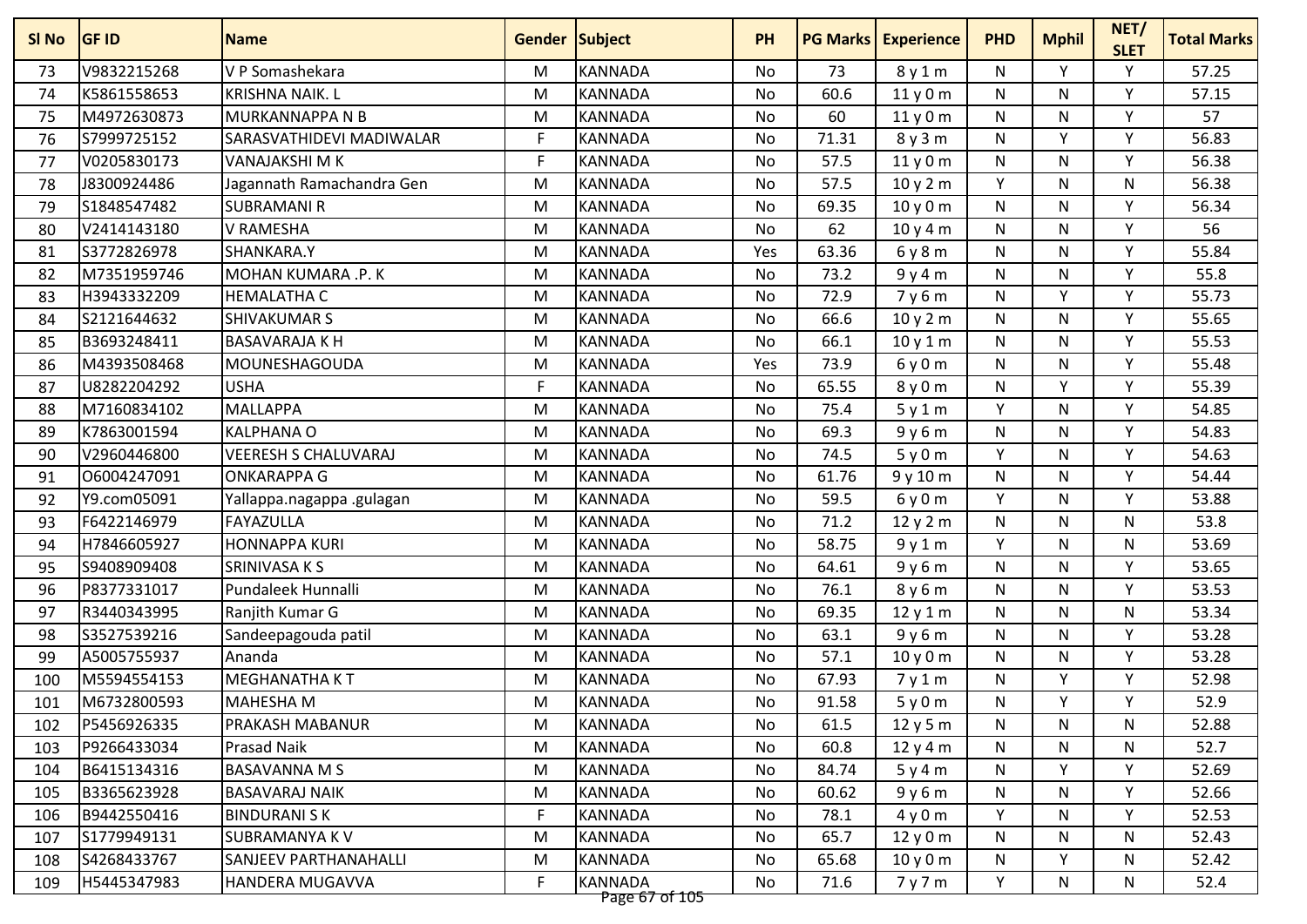| V9832215268<br>V P Somashekara<br><b>KANNADA</b><br>73<br>Υ<br>Y<br>57.25<br>73<br>8y1m<br>N<br>м<br>No<br>74<br>K5861558653<br><b>KRISHNA NAIK. L</b><br>M<br><b>KANNADA</b><br>No<br>60.6<br>N<br>N<br>Y<br>57.15<br>11y0m<br>57<br>M4972630873<br><b>MURKANNAPPA N B</b><br><b>KANNADA</b><br>60<br>${\sf N}$<br>Y<br>75<br><b>No</b><br>11y0m<br>N<br>M<br>F<br>Y<br>Y<br>S7999725152<br>SARASVATHIDEVI MADIWALAR<br><b>KANNADA</b><br>71.31<br>N<br>56.83<br>76<br>No<br>8y3m<br>V0205830173<br><b>VANAJAKSHI M K</b><br>F<br><b>KANNADA</b><br>N<br>N<br>Y<br>56.38<br>77<br>No<br>57.5<br>11y0m<br>Y<br>57.5<br>56.38<br>J8300924486<br>Jagannath Ramachandra Gen<br>M<br><b>KANNADA</b><br>N<br>78<br>No<br>10y2m<br>N<br>56.34<br>S1848547482<br><b>KANNADA</b><br>69.35<br>N<br>N<br>$\mathsf{v}$<br>79<br><b>SUBRAMANI R</b><br>M<br>No<br>10y0m<br>62<br>Y<br>56<br>V2414143180<br><b>V RAMESHA</b><br><b>KANNADA</b><br>$\mathsf{N}$<br>N<br>80<br>M<br><b>No</b><br>10y4m<br>S3772826978<br>63.36<br>Y<br>55.84<br>SHANKARA.Y<br>M<br><b>KANNADA</b><br>Yes<br>6y8m<br>${\sf N}$<br>N<br>81<br>M7351959746<br>MOHAN KUMARA .P. K<br><b>KANNADA</b><br>73.2<br>${\sf N}$<br>N<br>Y<br>55.8<br>No<br>9y4m<br>82<br>M<br>Υ<br>H3943332209<br><b>HEMALATHA C</b><br><b>KANNADA</b><br>72.9<br>7y6m<br>N<br>Y<br>55.73<br>83<br>M<br>No<br>$\mathsf{v}$<br>S2121644632<br><b>KANNADA</b><br>66.6<br>${\sf N}$<br>N<br>55.65<br>84<br><b>SHIVAKUMAR S</b><br>M<br>No<br>10y2m<br>B3693248411<br><b>KANNADA</b><br>66.1<br>Y<br>55.53<br><b>BASAVARAJA K H</b><br>N<br>N<br>85<br>M<br>No<br>10y1m<br>M4393508468<br>MOUNESHAGOUDA<br><b>KANNADA</b><br>73.9<br>N<br>N<br>v<br>55.48<br>86<br>M<br>Yes<br>6y0m<br>U8282204292<br>F<br>Y<br>55.39<br><b>USHA</b><br><b>KANNADA</b><br>65.55<br>8 y 0 m<br>${\sf N}$<br>Y<br>87<br>No<br><b>MALLAPPA</b><br>Y<br>M7160834102<br><b>KANNADA</b><br>75.4<br>N<br>Y<br>54.85<br>88<br>M<br>No<br>5y1m<br>K7863001594<br>$\mathsf{N}$<br>89<br><b>KALPHANA O</b><br><b>KANNADA</b><br>69.3<br>9y6m<br>N<br>Y<br>54.83<br>M<br>No<br>Y<br>74.5<br>Y<br>54.63<br>V2960446800<br><b>VEERESH S CHALUVARAJ</b><br><b>KANNADA</b><br>5y0m<br>N<br>90<br>M<br>No<br>06004247091<br><b>ONKARAPPA G</b><br><b>KANNADA</b><br>61.76<br>N<br>N<br>v<br>54.44<br>91<br>M<br>No<br>9y10m<br>Υ<br><b>KANNADA</b><br>59.5<br>Y<br>53.88<br>92<br>Y9.com05091<br>Yallappa.nagappa .gulagan<br>M<br>6y0m<br>N<br>No<br>53.8<br>71.2<br>F6422146979<br>FAYAZULLA<br>M<br><b>KANNADA</b><br>12 y 2 m<br>N<br>N<br>N<br>93<br>No<br>H7846605927<br>53.69<br><b>HONNAPPA KURI</b><br><b>KANNADA</b><br>58.75<br>Y<br>N<br>94<br>M<br>No<br>9y1m<br>N<br>95<br>S9408909408<br><b>SRINIVASA K S</b><br><b>KANNADA</b><br>64.61<br>9y6m<br>N<br>N<br>Y<br>53.65<br>M<br>No<br>P8377331017<br>Pundaleek Hunnalli<br><b>KANNADA</b><br>76.1<br>8y6m<br>N<br>N<br>Y<br>53.53<br>96<br>M<br>No<br>R3440343995<br>53.34<br>Ranjith Kumar G<br>M<br><b>KANNADA</b><br>69.35<br>N<br>N<br>N<br>97<br>No<br>12y1m<br>S3527539216<br>Sandeepagouda patil<br>63.1<br>N<br>N<br>$\mathsf{v}$<br>53.28<br>98<br>M<br><b>KANNADA</b><br>No<br>9y6m<br>53.28<br>A5005755937<br><b>KANNADA</b><br>57.1<br>$\mathsf{N}$<br>N<br>Y<br>99<br>Ananda<br>M<br><b>No</b><br>10y0m<br>M5594554153<br><b>MEGHANATHAKT</b><br><b>KANNADA</b><br>67.93<br>${\sf N}$<br>Υ<br>Y<br>52.98<br>100<br>M<br>No<br>7y1m<br>Y<br>52.9<br>M6732800593<br><b>MAHESHA M</b><br><b>KANNADA</b><br>91.58<br>5y0m<br>N<br>Υ<br>101<br>M<br>No<br>P5456926335<br><b>KANNADA</b><br>12y5m<br>N<br>N<br>52.88<br>102<br><b>PRAKASH MABANUR</b><br>M<br>No<br>61.5<br>N<br><b>KANNADA</b><br>103<br>P9266433034<br><b>Prasad Naik</b><br>M<br>No<br>60.8<br>N<br>N<br>52.7<br>12y4m<br>N<br>Y<br>B6415134316<br><b>BASAVANNA M S</b><br><b>KANNADA</b><br>Y<br>84.74<br>N<br>52.69<br>104<br>M<br>No<br>5y4m<br>B3365623928<br><b>BASAVARAJ NAIK</b><br>M<br><b>KANNADA</b><br>60.62<br>N<br>Y<br>52.66<br>105<br>No<br>9y6m<br>N<br><b>KANNADA</b><br>Y<br>Y<br>B9442550416<br><b>BINDURANI S K</b><br>F<br>78.1<br>N<br>52.53<br>106<br>No<br>4y0m<br>65.7<br>S1779949131<br><b>SUBRAMANYA K V</b><br><b>KANNADA</b><br>No<br>12y0m<br>N<br>N<br>N<br>52.43<br>107<br>M<br>S4268433767<br>KANNADA<br>Y.<br>108<br><b>SANJEEV PARTHANAHALLI</b><br>M<br>No<br>65.68<br>10y0m<br>N<br>N<br>52.42 | SI No | <b>GF ID</b> | <b>Name</b>     | <b>Gender Subject</b> |                | <b>PH</b> | <b>PG Marks</b> | <b>Experience</b> | <b>PHD</b> | <b>Mphil</b> | NET/<br><b>SLET</b> | <b>Total Marks</b> |
|--------------------------------------------------------------------------------------------------------------------------------------------------------------------------------------------------------------------------------------------------------------------------------------------------------------------------------------------------------------------------------------------------------------------------------------------------------------------------------------------------------------------------------------------------------------------------------------------------------------------------------------------------------------------------------------------------------------------------------------------------------------------------------------------------------------------------------------------------------------------------------------------------------------------------------------------------------------------------------------------------------------------------------------------------------------------------------------------------------------------------------------------------------------------------------------------------------------------------------------------------------------------------------------------------------------------------------------------------------------------------------------------------------------------------------------------------------------------------------------------------------------------------------------------------------------------------------------------------------------------------------------------------------------------------------------------------------------------------------------------------------------------------------------------------------------------------------------------------------------------------------------------------------------------------------------------------------------------------------------------------------------------------------------------------------------------------------------------------------------------------------------------------------------------------------------------------------------------------------------------------------------------------------------------------------------------------------------------------------------------------------------------------------------------------------------------------------------------------------------------------------------------------------------------------------------------------------------------------------------------------------------------------------------------------------------------------------------------------------------------------------------------------------------------------------------------------------------------------------------------------------------------------------------------------------------------------------------------------------------------------------------------------------------------------------------------------------------------------------------------------------------------------------------------------------------------------------------------------------------------------------------------------------------------------------------------------------------------------------------------------------------------------------------------------------------------------------------------------------------------------------------------------------------------------------------------------------------------------------------------------------------------------------------------------------------------------------------------------------------------------------------------------------------------------------------------------------------------------------------------------------------------------------------------------------------------------------------------------------------------------------------------------------------------------------------------------------------------------------------------------------------------------------------------------------------------------------------------------------------------------------------------------------------------------------------------------------------------------------------------------------|-------|--------------|-----------------|-----------------------|----------------|-----------|-----------------|-------------------|------------|--------------|---------------------|--------------------|
|                                                                                                                                                                                                                                                                                                                                                                                                                                                                                                                                                                                                                                                                                                                                                                                                                                                                                                                                                                                                                                                                                                                                                                                                                                                                                                                                                                                                                                                                                                                                                                                                                                                                                                                                                                                                                                                                                                                                                                                                                                                                                                                                                                                                                                                                                                                                                                                                                                                                                                                                                                                                                                                                                                                                                                                                                                                                                                                                                                                                                                                                                                                                                                                                                                                                                                                                                                                                                                                                                                                                                                                                                                                                                                                                                                                                                                                                                                                                                                                                                                                                                                                                                                                                                                                                                                                                                                                |       |              |                 |                       |                |           |                 |                   |            |              |                     |                    |
|                                                                                                                                                                                                                                                                                                                                                                                                                                                                                                                                                                                                                                                                                                                                                                                                                                                                                                                                                                                                                                                                                                                                                                                                                                                                                                                                                                                                                                                                                                                                                                                                                                                                                                                                                                                                                                                                                                                                                                                                                                                                                                                                                                                                                                                                                                                                                                                                                                                                                                                                                                                                                                                                                                                                                                                                                                                                                                                                                                                                                                                                                                                                                                                                                                                                                                                                                                                                                                                                                                                                                                                                                                                                                                                                                                                                                                                                                                                                                                                                                                                                                                                                                                                                                                                                                                                                                                                |       |              |                 |                       |                |           |                 |                   |            |              |                     |                    |
|                                                                                                                                                                                                                                                                                                                                                                                                                                                                                                                                                                                                                                                                                                                                                                                                                                                                                                                                                                                                                                                                                                                                                                                                                                                                                                                                                                                                                                                                                                                                                                                                                                                                                                                                                                                                                                                                                                                                                                                                                                                                                                                                                                                                                                                                                                                                                                                                                                                                                                                                                                                                                                                                                                                                                                                                                                                                                                                                                                                                                                                                                                                                                                                                                                                                                                                                                                                                                                                                                                                                                                                                                                                                                                                                                                                                                                                                                                                                                                                                                                                                                                                                                                                                                                                                                                                                                                                |       |              |                 |                       |                |           |                 |                   |            |              |                     |                    |
|                                                                                                                                                                                                                                                                                                                                                                                                                                                                                                                                                                                                                                                                                                                                                                                                                                                                                                                                                                                                                                                                                                                                                                                                                                                                                                                                                                                                                                                                                                                                                                                                                                                                                                                                                                                                                                                                                                                                                                                                                                                                                                                                                                                                                                                                                                                                                                                                                                                                                                                                                                                                                                                                                                                                                                                                                                                                                                                                                                                                                                                                                                                                                                                                                                                                                                                                                                                                                                                                                                                                                                                                                                                                                                                                                                                                                                                                                                                                                                                                                                                                                                                                                                                                                                                                                                                                                                                |       |              |                 |                       |                |           |                 |                   |            |              |                     |                    |
|                                                                                                                                                                                                                                                                                                                                                                                                                                                                                                                                                                                                                                                                                                                                                                                                                                                                                                                                                                                                                                                                                                                                                                                                                                                                                                                                                                                                                                                                                                                                                                                                                                                                                                                                                                                                                                                                                                                                                                                                                                                                                                                                                                                                                                                                                                                                                                                                                                                                                                                                                                                                                                                                                                                                                                                                                                                                                                                                                                                                                                                                                                                                                                                                                                                                                                                                                                                                                                                                                                                                                                                                                                                                                                                                                                                                                                                                                                                                                                                                                                                                                                                                                                                                                                                                                                                                                                                |       |              |                 |                       |                |           |                 |                   |            |              |                     |                    |
|                                                                                                                                                                                                                                                                                                                                                                                                                                                                                                                                                                                                                                                                                                                                                                                                                                                                                                                                                                                                                                                                                                                                                                                                                                                                                                                                                                                                                                                                                                                                                                                                                                                                                                                                                                                                                                                                                                                                                                                                                                                                                                                                                                                                                                                                                                                                                                                                                                                                                                                                                                                                                                                                                                                                                                                                                                                                                                                                                                                                                                                                                                                                                                                                                                                                                                                                                                                                                                                                                                                                                                                                                                                                                                                                                                                                                                                                                                                                                                                                                                                                                                                                                                                                                                                                                                                                                                                |       |              |                 |                       |                |           |                 |                   |            |              |                     |                    |
|                                                                                                                                                                                                                                                                                                                                                                                                                                                                                                                                                                                                                                                                                                                                                                                                                                                                                                                                                                                                                                                                                                                                                                                                                                                                                                                                                                                                                                                                                                                                                                                                                                                                                                                                                                                                                                                                                                                                                                                                                                                                                                                                                                                                                                                                                                                                                                                                                                                                                                                                                                                                                                                                                                                                                                                                                                                                                                                                                                                                                                                                                                                                                                                                                                                                                                                                                                                                                                                                                                                                                                                                                                                                                                                                                                                                                                                                                                                                                                                                                                                                                                                                                                                                                                                                                                                                                                                |       |              |                 |                       |                |           |                 |                   |            |              |                     |                    |
|                                                                                                                                                                                                                                                                                                                                                                                                                                                                                                                                                                                                                                                                                                                                                                                                                                                                                                                                                                                                                                                                                                                                                                                                                                                                                                                                                                                                                                                                                                                                                                                                                                                                                                                                                                                                                                                                                                                                                                                                                                                                                                                                                                                                                                                                                                                                                                                                                                                                                                                                                                                                                                                                                                                                                                                                                                                                                                                                                                                                                                                                                                                                                                                                                                                                                                                                                                                                                                                                                                                                                                                                                                                                                                                                                                                                                                                                                                                                                                                                                                                                                                                                                                                                                                                                                                                                                                                |       |              |                 |                       |                |           |                 |                   |            |              |                     |                    |
|                                                                                                                                                                                                                                                                                                                                                                                                                                                                                                                                                                                                                                                                                                                                                                                                                                                                                                                                                                                                                                                                                                                                                                                                                                                                                                                                                                                                                                                                                                                                                                                                                                                                                                                                                                                                                                                                                                                                                                                                                                                                                                                                                                                                                                                                                                                                                                                                                                                                                                                                                                                                                                                                                                                                                                                                                                                                                                                                                                                                                                                                                                                                                                                                                                                                                                                                                                                                                                                                                                                                                                                                                                                                                                                                                                                                                                                                                                                                                                                                                                                                                                                                                                                                                                                                                                                                                                                |       |              |                 |                       |                |           |                 |                   |            |              |                     |                    |
|                                                                                                                                                                                                                                                                                                                                                                                                                                                                                                                                                                                                                                                                                                                                                                                                                                                                                                                                                                                                                                                                                                                                                                                                                                                                                                                                                                                                                                                                                                                                                                                                                                                                                                                                                                                                                                                                                                                                                                                                                                                                                                                                                                                                                                                                                                                                                                                                                                                                                                                                                                                                                                                                                                                                                                                                                                                                                                                                                                                                                                                                                                                                                                                                                                                                                                                                                                                                                                                                                                                                                                                                                                                                                                                                                                                                                                                                                                                                                                                                                                                                                                                                                                                                                                                                                                                                                                                |       |              |                 |                       |                |           |                 |                   |            |              |                     |                    |
|                                                                                                                                                                                                                                                                                                                                                                                                                                                                                                                                                                                                                                                                                                                                                                                                                                                                                                                                                                                                                                                                                                                                                                                                                                                                                                                                                                                                                                                                                                                                                                                                                                                                                                                                                                                                                                                                                                                                                                                                                                                                                                                                                                                                                                                                                                                                                                                                                                                                                                                                                                                                                                                                                                                                                                                                                                                                                                                                                                                                                                                                                                                                                                                                                                                                                                                                                                                                                                                                                                                                                                                                                                                                                                                                                                                                                                                                                                                                                                                                                                                                                                                                                                                                                                                                                                                                                                                |       |              |                 |                       |                |           |                 |                   |            |              |                     |                    |
|                                                                                                                                                                                                                                                                                                                                                                                                                                                                                                                                                                                                                                                                                                                                                                                                                                                                                                                                                                                                                                                                                                                                                                                                                                                                                                                                                                                                                                                                                                                                                                                                                                                                                                                                                                                                                                                                                                                                                                                                                                                                                                                                                                                                                                                                                                                                                                                                                                                                                                                                                                                                                                                                                                                                                                                                                                                                                                                                                                                                                                                                                                                                                                                                                                                                                                                                                                                                                                                                                                                                                                                                                                                                                                                                                                                                                                                                                                                                                                                                                                                                                                                                                                                                                                                                                                                                                                                |       |              |                 |                       |                |           |                 |                   |            |              |                     |                    |
|                                                                                                                                                                                                                                                                                                                                                                                                                                                                                                                                                                                                                                                                                                                                                                                                                                                                                                                                                                                                                                                                                                                                                                                                                                                                                                                                                                                                                                                                                                                                                                                                                                                                                                                                                                                                                                                                                                                                                                                                                                                                                                                                                                                                                                                                                                                                                                                                                                                                                                                                                                                                                                                                                                                                                                                                                                                                                                                                                                                                                                                                                                                                                                                                                                                                                                                                                                                                                                                                                                                                                                                                                                                                                                                                                                                                                                                                                                                                                                                                                                                                                                                                                                                                                                                                                                                                                                                |       |              |                 |                       |                |           |                 |                   |            |              |                     |                    |
|                                                                                                                                                                                                                                                                                                                                                                                                                                                                                                                                                                                                                                                                                                                                                                                                                                                                                                                                                                                                                                                                                                                                                                                                                                                                                                                                                                                                                                                                                                                                                                                                                                                                                                                                                                                                                                                                                                                                                                                                                                                                                                                                                                                                                                                                                                                                                                                                                                                                                                                                                                                                                                                                                                                                                                                                                                                                                                                                                                                                                                                                                                                                                                                                                                                                                                                                                                                                                                                                                                                                                                                                                                                                                                                                                                                                                                                                                                                                                                                                                                                                                                                                                                                                                                                                                                                                                                                |       |              |                 |                       |                |           |                 |                   |            |              |                     |                    |
|                                                                                                                                                                                                                                                                                                                                                                                                                                                                                                                                                                                                                                                                                                                                                                                                                                                                                                                                                                                                                                                                                                                                                                                                                                                                                                                                                                                                                                                                                                                                                                                                                                                                                                                                                                                                                                                                                                                                                                                                                                                                                                                                                                                                                                                                                                                                                                                                                                                                                                                                                                                                                                                                                                                                                                                                                                                                                                                                                                                                                                                                                                                                                                                                                                                                                                                                                                                                                                                                                                                                                                                                                                                                                                                                                                                                                                                                                                                                                                                                                                                                                                                                                                                                                                                                                                                                                                                |       |              |                 |                       |                |           |                 |                   |            |              |                     |                    |
|                                                                                                                                                                                                                                                                                                                                                                                                                                                                                                                                                                                                                                                                                                                                                                                                                                                                                                                                                                                                                                                                                                                                                                                                                                                                                                                                                                                                                                                                                                                                                                                                                                                                                                                                                                                                                                                                                                                                                                                                                                                                                                                                                                                                                                                                                                                                                                                                                                                                                                                                                                                                                                                                                                                                                                                                                                                                                                                                                                                                                                                                                                                                                                                                                                                                                                                                                                                                                                                                                                                                                                                                                                                                                                                                                                                                                                                                                                                                                                                                                                                                                                                                                                                                                                                                                                                                                                                |       |              |                 |                       |                |           |                 |                   |            |              |                     |                    |
|                                                                                                                                                                                                                                                                                                                                                                                                                                                                                                                                                                                                                                                                                                                                                                                                                                                                                                                                                                                                                                                                                                                                                                                                                                                                                                                                                                                                                                                                                                                                                                                                                                                                                                                                                                                                                                                                                                                                                                                                                                                                                                                                                                                                                                                                                                                                                                                                                                                                                                                                                                                                                                                                                                                                                                                                                                                                                                                                                                                                                                                                                                                                                                                                                                                                                                                                                                                                                                                                                                                                                                                                                                                                                                                                                                                                                                                                                                                                                                                                                                                                                                                                                                                                                                                                                                                                                                                |       |              |                 |                       |                |           |                 |                   |            |              |                     |                    |
|                                                                                                                                                                                                                                                                                                                                                                                                                                                                                                                                                                                                                                                                                                                                                                                                                                                                                                                                                                                                                                                                                                                                                                                                                                                                                                                                                                                                                                                                                                                                                                                                                                                                                                                                                                                                                                                                                                                                                                                                                                                                                                                                                                                                                                                                                                                                                                                                                                                                                                                                                                                                                                                                                                                                                                                                                                                                                                                                                                                                                                                                                                                                                                                                                                                                                                                                                                                                                                                                                                                                                                                                                                                                                                                                                                                                                                                                                                                                                                                                                                                                                                                                                                                                                                                                                                                                                                                |       |              |                 |                       |                |           |                 |                   |            |              |                     |                    |
|                                                                                                                                                                                                                                                                                                                                                                                                                                                                                                                                                                                                                                                                                                                                                                                                                                                                                                                                                                                                                                                                                                                                                                                                                                                                                                                                                                                                                                                                                                                                                                                                                                                                                                                                                                                                                                                                                                                                                                                                                                                                                                                                                                                                                                                                                                                                                                                                                                                                                                                                                                                                                                                                                                                                                                                                                                                                                                                                                                                                                                                                                                                                                                                                                                                                                                                                                                                                                                                                                                                                                                                                                                                                                                                                                                                                                                                                                                                                                                                                                                                                                                                                                                                                                                                                                                                                                                                |       |              |                 |                       |                |           |                 |                   |            |              |                     |                    |
|                                                                                                                                                                                                                                                                                                                                                                                                                                                                                                                                                                                                                                                                                                                                                                                                                                                                                                                                                                                                                                                                                                                                                                                                                                                                                                                                                                                                                                                                                                                                                                                                                                                                                                                                                                                                                                                                                                                                                                                                                                                                                                                                                                                                                                                                                                                                                                                                                                                                                                                                                                                                                                                                                                                                                                                                                                                                                                                                                                                                                                                                                                                                                                                                                                                                                                                                                                                                                                                                                                                                                                                                                                                                                                                                                                                                                                                                                                                                                                                                                                                                                                                                                                                                                                                                                                                                                                                |       |              |                 |                       |                |           |                 |                   |            |              |                     |                    |
|                                                                                                                                                                                                                                                                                                                                                                                                                                                                                                                                                                                                                                                                                                                                                                                                                                                                                                                                                                                                                                                                                                                                                                                                                                                                                                                                                                                                                                                                                                                                                                                                                                                                                                                                                                                                                                                                                                                                                                                                                                                                                                                                                                                                                                                                                                                                                                                                                                                                                                                                                                                                                                                                                                                                                                                                                                                                                                                                                                                                                                                                                                                                                                                                                                                                                                                                                                                                                                                                                                                                                                                                                                                                                                                                                                                                                                                                                                                                                                                                                                                                                                                                                                                                                                                                                                                                                                                |       |              |                 |                       |                |           |                 |                   |            |              |                     |                    |
|                                                                                                                                                                                                                                                                                                                                                                                                                                                                                                                                                                                                                                                                                                                                                                                                                                                                                                                                                                                                                                                                                                                                                                                                                                                                                                                                                                                                                                                                                                                                                                                                                                                                                                                                                                                                                                                                                                                                                                                                                                                                                                                                                                                                                                                                                                                                                                                                                                                                                                                                                                                                                                                                                                                                                                                                                                                                                                                                                                                                                                                                                                                                                                                                                                                                                                                                                                                                                                                                                                                                                                                                                                                                                                                                                                                                                                                                                                                                                                                                                                                                                                                                                                                                                                                                                                                                                                                |       |              |                 |                       |                |           |                 |                   |            |              |                     |                    |
|                                                                                                                                                                                                                                                                                                                                                                                                                                                                                                                                                                                                                                                                                                                                                                                                                                                                                                                                                                                                                                                                                                                                                                                                                                                                                                                                                                                                                                                                                                                                                                                                                                                                                                                                                                                                                                                                                                                                                                                                                                                                                                                                                                                                                                                                                                                                                                                                                                                                                                                                                                                                                                                                                                                                                                                                                                                                                                                                                                                                                                                                                                                                                                                                                                                                                                                                                                                                                                                                                                                                                                                                                                                                                                                                                                                                                                                                                                                                                                                                                                                                                                                                                                                                                                                                                                                                                                                |       |              |                 |                       |                |           |                 |                   |            |              |                     |                    |
|                                                                                                                                                                                                                                                                                                                                                                                                                                                                                                                                                                                                                                                                                                                                                                                                                                                                                                                                                                                                                                                                                                                                                                                                                                                                                                                                                                                                                                                                                                                                                                                                                                                                                                                                                                                                                                                                                                                                                                                                                                                                                                                                                                                                                                                                                                                                                                                                                                                                                                                                                                                                                                                                                                                                                                                                                                                                                                                                                                                                                                                                                                                                                                                                                                                                                                                                                                                                                                                                                                                                                                                                                                                                                                                                                                                                                                                                                                                                                                                                                                                                                                                                                                                                                                                                                                                                                                                |       |              |                 |                       |                |           |                 |                   |            |              |                     |                    |
|                                                                                                                                                                                                                                                                                                                                                                                                                                                                                                                                                                                                                                                                                                                                                                                                                                                                                                                                                                                                                                                                                                                                                                                                                                                                                                                                                                                                                                                                                                                                                                                                                                                                                                                                                                                                                                                                                                                                                                                                                                                                                                                                                                                                                                                                                                                                                                                                                                                                                                                                                                                                                                                                                                                                                                                                                                                                                                                                                                                                                                                                                                                                                                                                                                                                                                                                                                                                                                                                                                                                                                                                                                                                                                                                                                                                                                                                                                                                                                                                                                                                                                                                                                                                                                                                                                                                                                                |       |              |                 |                       |                |           |                 |                   |            |              |                     |                    |
|                                                                                                                                                                                                                                                                                                                                                                                                                                                                                                                                                                                                                                                                                                                                                                                                                                                                                                                                                                                                                                                                                                                                                                                                                                                                                                                                                                                                                                                                                                                                                                                                                                                                                                                                                                                                                                                                                                                                                                                                                                                                                                                                                                                                                                                                                                                                                                                                                                                                                                                                                                                                                                                                                                                                                                                                                                                                                                                                                                                                                                                                                                                                                                                                                                                                                                                                                                                                                                                                                                                                                                                                                                                                                                                                                                                                                                                                                                                                                                                                                                                                                                                                                                                                                                                                                                                                                                                |       |              |                 |                       |                |           |                 |                   |            |              |                     |                    |
|                                                                                                                                                                                                                                                                                                                                                                                                                                                                                                                                                                                                                                                                                                                                                                                                                                                                                                                                                                                                                                                                                                                                                                                                                                                                                                                                                                                                                                                                                                                                                                                                                                                                                                                                                                                                                                                                                                                                                                                                                                                                                                                                                                                                                                                                                                                                                                                                                                                                                                                                                                                                                                                                                                                                                                                                                                                                                                                                                                                                                                                                                                                                                                                                                                                                                                                                                                                                                                                                                                                                                                                                                                                                                                                                                                                                                                                                                                                                                                                                                                                                                                                                                                                                                                                                                                                                                                                |       |              |                 |                       |                |           |                 |                   |            |              |                     |                    |
|                                                                                                                                                                                                                                                                                                                                                                                                                                                                                                                                                                                                                                                                                                                                                                                                                                                                                                                                                                                                                                                                                                                                                                                                                                                                                                                                                                                                                                                                                                                                                                                                                                                                                                                                                                                                                                                                                                                                                                                                                                                                                                                                                                                                                                                                                                                                                                                                                                                                                                                                                                                                                                                                                                                                                                                                                                                                                                                                                                                                                                                                                                                                                                                                                                                                                                                                                                                                                                                                                                                                                                                                                                                                                                                                                                                                                                                                                                                                                                                                                                                                                                                                                                                                                                                                                                                                                                                |       |              |                 |                       |                |           |                 |                   |            |              |                     |                    |
|                                                                                                                                                                                                                                                                                                                                                                                                                                                                                                                                                                                                                                                                                                                                                                                                                                                                                                                                                                                                                                                                                                                                                                                                                                                                                                                                                                                                                                                                                                                                                                                                                                                                                                                                                                                                                                                                                                                                                                                                                                                                                                                                                                                                                                                                                                                                                                                                                                                                                                                                                                                                                                                                                                                                                                                                                                                                                                                                                                                                                                                                                                                                                                                                                                                                                                                                                                                                                                                                                                                                                                                                                                                                                                                                                                                                                                                                                                                                                                                                                                                                                                                                                                                                                                                                                                                                                                                |       |              |                 |                       |                |           |                 |                   |            |              |                     |                    |
|                                                                                                                                                                                                                                                                                                                                                                                                                                                                                                                                                                                                                                                                                                                                                                                                                                                                                                                                                                                                                                                                                                                                                                                                                                                                                                                                                                                                                                                                                                                                                                                                                                                                                                                                                                                                                                                                                                                                                                                                                                                                                                                                                                                                                                                                                                                                                                                                                                                                                                                                                                                                                                                                                                                                                                                                                                                                                                                                                                                                                                                                                                                                                                                                                                                                                                                                                                                                                                                                                                                                                                                                                                                                                                                                                                                                                                                                                                                                                                                                                                                                                                                                                                                                                                                                                                                                                                                |       |              |                 |                       |                |           |                 |                   |            |              |                     |                    |
|                                                                                                                                                                                                                                                                                                                                                                                                                                                                                                                                                                                                                                                                                                                                                                                                                                                                                                                                                                                                                                                                                                                                                                                                                                                                                                                                                                                                                                                                                                                                                                                                                                                                                                                                                                                                                                                                                                                                                                                                                                                                                                                                                                                                                                                                                                                                                                                                                                                                                                                                                                                                                                                                                                                                                                                                                                                                                                                                                                                                                                                                                                                                                                                                                                                                                                                                                                                                                                                                                                                                                                                                                                                                                                                                                                                                                                                                                                                                                                                                                                                                                                                                                                                                                                                                                                                                                                                |       |              |                 |                       |                |           |                 |                   |            |              |                     |                    |
|                                                                                                                                                                                                                                                                                                                                                                                                                                                                                                                                                                                                                                                                                                                                                                                                                                                                                                                                                                                                                                                                                                                                                                                                                                                                                                                                                                                                                                                                                                                                                                                                                                                                                                                                                                                                                                                                                                                                                                                                                                                                                                                                                                                                                                                                                                                                                                                                                                                                                                                                                                                                                                                                                                                                                                                                                                                                                                                                                                                                                                                                                                                                                                                                                                                                                                                                                                                                                                                                                                                                                                                                                                                                                                                                                                                                                                                                                                                                                                                                                                                                                                                                                                                                                                                                                                                                                                                |       |              |                 |                       |                |           |                 |                   |            |              |                     |                    |
|                                                                                                                                                                                                                                                                                                                                                                                                                                                                                                                                                                                                                                                                                                                                                                                                                                                                                                                                                                                                                                                                                                                                                                                                                                                                                                                                                                                                                                                                                                                                                                                                                                                                                                                                                                                                                                                                                                                                                                                                                                                                                                                                                                                                                                                                                                                                                                                                                                                                                                                                                                                                                                                                                                                                                                                                                                                                                                                                                                                                                                                                                                                                                                                                                                                                                                                                                                                                                                                                                                                                                                                                                                                                                                                                                                                                                                                                                                                                                                                                                                                                                                                                                                                                                                                                                                                                                                                |       |              |                 |                       |                |           |                 |                   |            |              |                     |                    |
|                                                                                                                                                                                                                                                                                                                                                                                                                                                                                                                                                                                                                                                                                                                                                                                                                                                                                                                                                                                                                                                                                                                                                                                                                                                                                                                                                                                                                                                                                                                                                                                                                                                                                                                                                                                                                                                                                                                                                                                                                                                                                                                                                                                                                                                                                                                                                                                                                                                                                                                                                                                                                                                                                                                                                                                                                                                                                                                                                                                                                                                                                                                                                                                                                                                                                                                                                                                                                                                                                                                                                                                                                                                                                                                                                                                                                                                                                                                                                                                                                                                                                                                                                                                                                                                                                                                                                                                |       |              |                 |                       |                |           |                 |                   |            |              |                     |                    |
|                                                                                                                                                                                                                                                                                                                                                                                                                                                                                                                                                                                                                                                                                                                                                                                                                                                                                                                                                                                                                                                                                                                                                                                                                                                                                                                                                                                                                                                                                                                                                                                                                                                                                                                                                                                                                                                                                                                                                                                                                                                                                                                                                                                                                                                                                                                                                                                                                                                                                                                                                                                                                                                                                                                                                                                                                                                                                                                                                                                                                                                                                                                                                                                                                                                                                                                                                                                                                                                                                                                                                                                                                                                                                                                                                                                                                                                                                                                                                                                                                                                                                                                                                                                                                                                                                                                                                                                |       |              |                 |                       |                |           |                 |                   |            |              |                     |                    |
|                                                                                                                                                                                                                                                                                                                                                                                                                                                                                                                                                                                                                                                                                                                                                                                                                                                                                                                                                                                                                                                                                                                                                                                                                                                                                                                                                                                                                                                                                                                                                                                                                                                                                                                                                                                                                                                                                                                                                                                                                                                                                                                                                                                                                                                                                                                                                                                                                                                                                                                                                                                                                                                                                                                                                                                                                                                                                                                                                                                                                                                                                                                                                                                                                                                                                                                                                                                                                                                                                                                                                                                                                                                                                                                                                                                                                                                                                                                                                                                                                                                                                                                                                                                                                                                                                                                                                                                |       |              |                 |                       |                |           |                 |                   |            |              |                     |                    |
| Page 67 of 105                                                                                                                                                                                                                                                                                                                                                                                                                                                                                                                                                                                                                                                                                                                                                                                                                                                                                                                                                                                                                                                                                                                                                                                                                                                                                                                                                                                                                                                                                                                                                                                                                                                                                                                                                                                                                                                                                                                                                                                                                                                                                                                                                                                                                                                                                                                                                                                                                                                                                                                                                                                                                                                                                                                                                                                                                                                                                                                                                                                                                                                                                                                                                                                                                                                                                                                                                                                                                                                                                                                                                                                                                                                                                                                                                                                                                                                                                                                                                                                                                                                                                                                                                                                                                                                                                                                                                                 | 109   | H5445347983  | HANDERA MUGAVVA | F.                    | <b>KANNADA</b> | No        | 71.6            | 7y7m              | Y          | N            | N                   | 52.4               |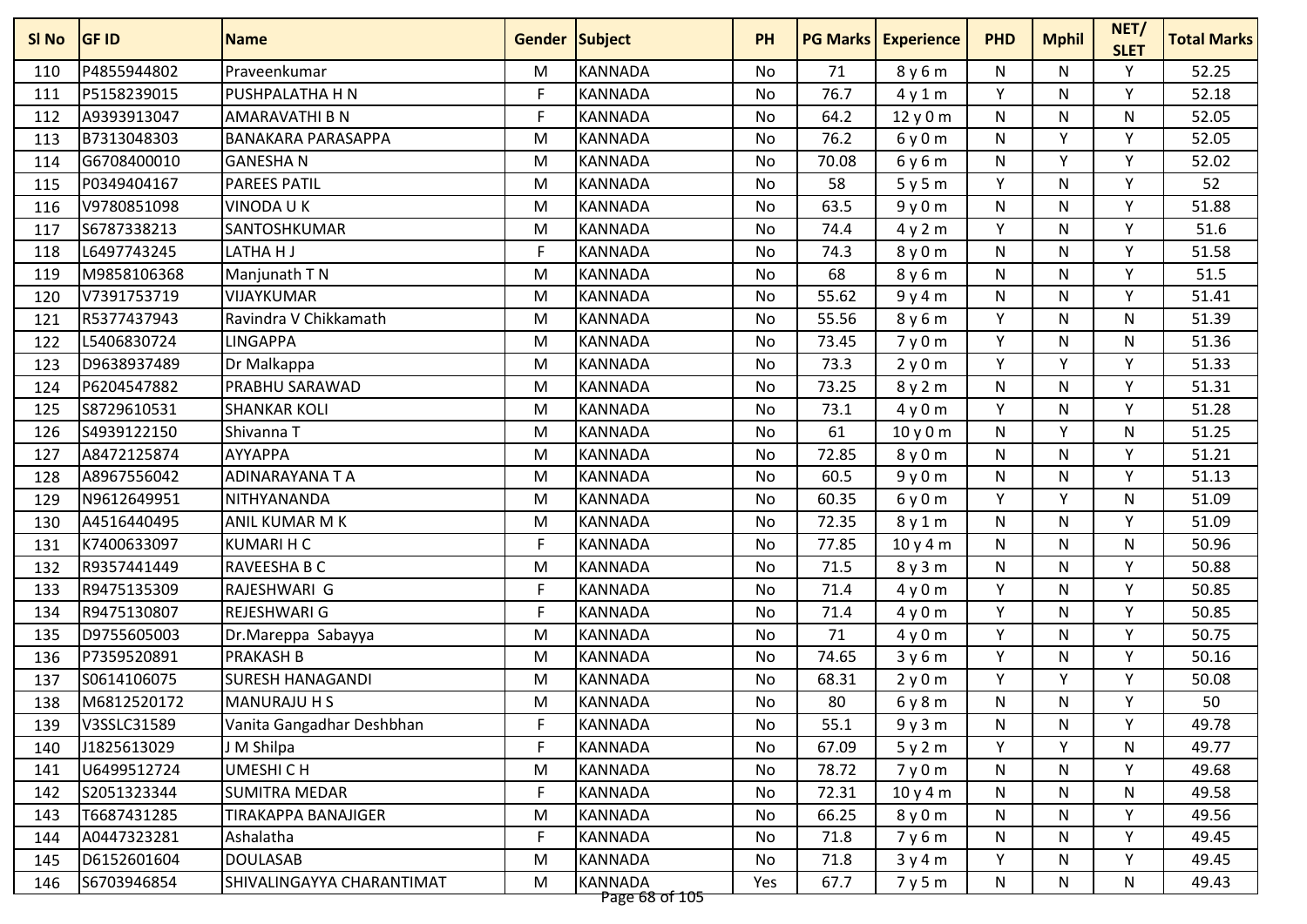| SI No | <b>GF ID</b> | <b>Name</b>                | <b>Gender Subject</b> |                                  | <b>PH</b> |       | <b>PG Marks   Experience</b> | <b>PHD</b> | <b>Mphil</b> | NET/<br><b>SLET</b> | <b>Total Marks</b> |
|-------|--------------|----------------------------|-----------------------|----------------------------------|-----------|-------|------------------------------|------------|--------------|---------------------|--------------------|
| 110   | P4855944802  | Praveenkumar               | M                     | <b>KANNADA</b>                   | <b>No</b> | 71    | 8y6m                         | N          | N            | Y                   | 52.25              |
| 111   | P5158239015  | PUSHPALATHA H N            | F                     | <b>KANNADA</b>                   | No        | 76.7  | 4y1m                         | Y          | N            | Y                   | 52.18              |
| 112   | A9393913047  | AMARAVATHI B N             | F                     | <b>KANNADA</b>                   | No        | 64.2  | 12y0m                        | ${\sf N}$  | N            | N                   | 52.05              |
| 113   | B7313048303  | <b>BANAKARA PARASAPPA</b>  | M                     | <b>KANNADA</b>                   | <b>No</b> | 76.2  | 6y0m                         | N          | Y            | Y                   | 52.05              |
| 114   | G6708400010  | <b>GANESHAN</b>            | M                     | <b>KANNADA</b>                   | No        | 70.08 | 6y6m                         | N          | Y            | Y                   | 52.02              |
| 115   | P0349404167  | <b>PAREES PATIL</b>        | M                     | <b>KANNADA</b>                   | No        | 58    | 5y5m                         | Y          | N            | Y                   | 52                 |
| 116   | V9780851098  | <b>VINODAUK</b>            | M                     | <b>KANNADA</b>                   | No        | 63.5  | 9y0m                         | N          | N            | $\mathsf{v}$        | 51.88              |
| 117   | S6787338213  | SANTOSHKUMAR               | M                     | <b>KANNADA</b>                   | <b>No</b> | 74.4  | 4y2m                         | Y          | N            | Y                   | 51.6               |
| 118   | L6497743245  | LATHA H J                  | F                     | <b>KANNADA</b>                   | No        | 74.3  | 8y0m                         | ${\sf N}$  | N            | Y                   | 51.58              |
| 119   | M9858106368  | Manjunath T N              | M                     | <b>KANNADA</b>                   | No        | 68    | 8y6m                         | N          | N            | Y                   | 51.5               |
| 120   | V7391753719  | VIJAYKUMAR                 | M                     | <b>KANNADA</b>                   | No        | 55.62 | 9y4m                         | N          | N.           | Y                   | 51.41              |
| 121   | R5377437943  | Ravindra V Chikkamath      | M                     | <b>KANNADA</b>                   | No        | 55.56 | 8y6m                         | Y          | N            | N                   | 51.39              |
| 122   | L5406830724  | <b>LINGAPPA</b>            | M                     | <b>KANNADA</b>                   | No        | 73.45 | 7y0m                         | Y          | N            | N                   | 51.36              |
| 123   | D9638937489  | Dr Malkappa                | M                     | <b>KANNADA</b>                   | No        | 73.3  | 2y0m                         | Y          | ٧            | Y                   | 51.33              |
| 124   | P6204547882  | PRABHU SARAWAD             | M                     | <b>KANNADA</b>                   | No        | 73.25 | 8y2m                         | ${\sf N}$  | N            | Y                   | 51.31              |
| 125   | S8729610531  | <b>SHANKAR KOLI</b>        | M                     | <b>KANNADA</b>                   | No        | 73.1  | 4y0m                         | Y          | N.           | Y                   | 51.28              |
| 126   | S4939122150  | Shivanna T                 | M                     | <b>KANNADA</b>                   | No        | 61    | 10 y 0 m                     | N          | Y            | N                   | 51.25              |
| 127   | A8472125874  | <b>AYYAPPA</b>             | M                     | <b>KANNADA</b>                   | <b>No</b> | 72.85 | 8y0m                         | N          | N.           | Υ                   | 51.21              |
| 128   | A8967556042  | ADINARAYANA T A            | M                     | <b>KANNADA</b>                   | No        | 60.5  | 9y0m                         | ${\sf N}$  | N            | $\mathsf{v}$        | 51.13              |
| 129   | N9612649951  | NITHYANANDA                | M                     | <b>KANNADA</b>                   | <b>No</b> | 60.35 | 6y0m                         | Y          | v            | N                   | 51.09              |
| 130   | A4516440495  | ANIL KUMAR M K             | M                     | <b>KANNADA</b>                   | No        | 72.35 | 8y1m                         | N          | N.           | Y                   | 51.09              |
| 131   | K7400633097  | <b>KUMARIHC</b>            | F                     | <b>KANNADA</b>                   | No        | 77.85 | 10y4m                        | ${\sf N}$  | N            | ${\sf N}$           | 50.96              |
| 132   | R9357441449  | RAVEESHA B C               | M                     | <b>KANNADA</b>                   | <b>No</b> | 71.5  | 8y3m                         | N          | N.           | Y                   | 50.88              |
| 133   | R9475135309  | RAJESHWARI G               | F                     | <b>KANNADA</b>                   | No        | 71.4  | 4y0m                         | Y          | N            | Y                   | 50.85              |
| 134   | R9475130807  | REJESHWARI G               | F                     | <b>KANNADA</b>                   | No        | 71.4  | 4y0m                         | Y          | N            | Υ                   | 50.85              |
| 135   | D9755605003  | Dr.Mareppa Sabayya         | M                     | <b>KANNADA</b>                   | No        | 71    | 4y0m                         | Υ          | N            | $\mathsf{v}$        | 50.75              |
| 136   | P7359520891  | <b>PRAKASH B</b>           | M                     | <b>KANNADA</b>                   | <b>No</b> | 74.65 | 3y6m                         | Y          | N            | Y                   | 50.16              |
| 137   | S0614106075  | <b>SURESH HANAGANDI</b>    | M                     | <b>KANNADA</b>                   | No        | 68.31 | 2y0m                         | Y          | ٧            | Υ                   | 50.08              |
| 138   | M6812520172  | <b>MANURAJU H S</b>        | M                     | <b>KANNADA</b>                   | No        | 80    | 6y8m                         | N          | N            | Υ                   | 50                 |
| 139   | V3SSLC31589  | Vanita Gangadhar Deshbhan  | F                     | <b>KANNADA</b>                   | No        | 55.1  | 9y3m                         | N          | N            | Y                   | 49.78              |
| 140   | J1825613029  | J M Shilpa                 | F                     | KANNADA                          | No        | 67.09 | 5y2m                         | Υ          | Y            | N                   | 49.77              |
| 141   | U6499512724  | UMESHI C H                 | M                     | <b>KANNADA</b>                   | No        | 78.72 | 7y0m                         | N          | N            | Υ                   | 49.68              |
| 142   | S2051323344  | <b>SUMITRA MEDAR</b>       | F                     | KANNADA                          | No        | 72.31 | 10y4m                        | N          | N            | N                   | 49.58              |
| 143   | T6687431285  | <b>TIRAKAPPA BANAJIGER</b> | M                     | <b>KANNADA</b>                   | No        | 66.25 | 8y0m                         | N          | N            | Y                   | 49.56              |
| 144   | A0447323281  | Ashalatha                  | F                     | KANNADA                          | No        | 71.8  | 7y6m                         | N          | N            | Y                   | 49.45              |
| 145   | D6152601604  | <b>DOULASAB</b>            | M                     | <b>KANNADA</b>                   | No        | 71.8  | 3y4m                         | Y          | N            | Y                   | 49.45              |
| 146   | S6703946854  | SHIVALINGAYYA CHARANTIMAT  | M                     | <b>KANNADA</b><br>Page 68 of 105 | Yes       | 67.7  | 7y5m                         | N          | N            | N                   | 49.43              |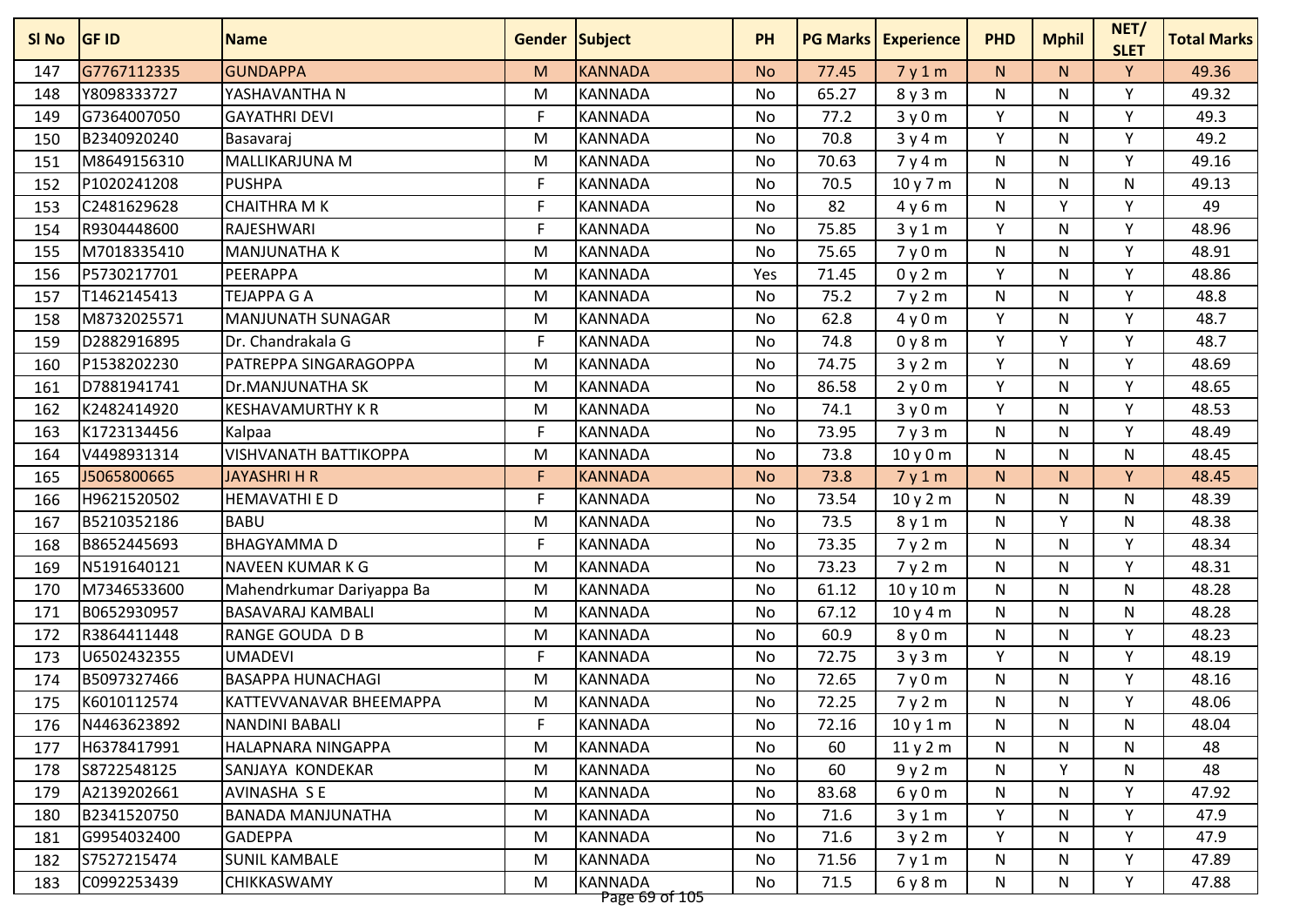| G7767112335<br>147<br>Y8098333727<br>148<br>G7364007050<br>149 | <b>Name</b>                  |   | <b>Gender Subject</b>            | <b>PH</b> |       | <b>PG Marks   Experience</b> | <b>PHD</b>   | <b>Mphil</b> | NET/<br><b>SLET</b> | <b>Total Marks</b> |
|----------------------------------------------------------------|------------------------------|---|----------------------------------|-----------|-------|------------------------------|--------------|--------------|---------------------|--------------------|
|                                                                | <b>GUNDAPPA</b>              | M | <b>KANNADA</b>                   | <b>No</b> | 77.45 | 7y1m                         | N.           | N.           | Y                   | 49.36              |
|                                                                | YASHAVANTHA N                | M | <b>KANNADA</b>                   | No        | 65.27 | 8y3m                         | N            | N            | Υ                   | 49.32              |
|                                                                | <b>GAYATHRI DEVI</b>         | F | <b>KANNADA</b>                   | No        | 77.2  | 3y0m                         | Y            | N            | Y                   | 49.3               |
| B2340920240<br>150                                             | Basavaraj                    | M | <b>KANNADA</b>                   | <b>No</b> | 70.8  | 3y4m                         | Y            | N.           | Y                   | 49.2               |
| M8649156310<br>151                                             | MALLIKARJUNA M               | M | <b>KANNADA</b>                   | No        | 70.63 | 7y4m                         | N            | N            | Y                   | 49.16              |
| P1020241208<br>152                                             | <b>PUSHPA</b>                | F | <b>KANNADA</b>                   | No        | 70.5  | 10 y 7 m                     | N            | N            | N                   | 49.13              |
| C2481629628<br>153                                             | <b>CHAITHRA M K</b>          | F | <b>KANNADA</b>                   | No        | 82    | 4y6m                         | ${\sf N}$    | v            | $\mathsf{v}$        | 49                 |
| R9304448600<br>154                                             | RAJESHWARI                   | F | <b>KANNADA</b>                   | <b>No</b> | 75.85 | 3y1m                         | Y            | N            | Y                   | 48.96              |
| M7018335410<br>155                                             | <b>MANJUNATHA K</b>          | M | <b>KANNADA</b>                   | No        | 75.65 | 7y0m                         | ${\sf N}$    | N            | Y                   | 48.91              |
| P5730217701<br>156                                             | PEERAPPA                     | M | <b>KANNADA</b>                   | Yes       | 71.45 | 0y2m                         | Y            | N            | Y                   | 48.86              |
| T1462145413<br>157                                             | <b>TEJAPPA G A</b>           | M | <b>KANNADA</b>                   | No        | 75.2  | 7y2m                         | N            | N            | Y                   | 48.8               |
| M8732025571<br>158                                             | MANJUNATH SUNAGAR            | M | <b>KANNADA</b>                   | No        | 62.8  | 4y0m                         | Y            | N            | Y                   | 48.7               |
| D2882916895<br>159                                             | Dr. Chandrakala G            | F | <b>KANNADA</b>                   | No        | 74.8  | 0y8m                         | Y            | v            | Υ                   | 48.7               |
| P1538202230<br>160                                             | PATREPPA SINGARAGOPPA        | M | <b>KANNADA</b>                   | No        | 74.75 | 3y2m                         | Y            | N            | Y                   | 48.69              |
| D7881941741<br>161                                             | Dr.MANJUNATHA SK             | M | <b>KANNADA</b>                   | No        | 86.58 | 2y0m                         | Y            | N            | Y                   | 48.65              |
| K2482414920<br>162                                             | <b>KESHAVAMURTHY K R</b>     | M | <b>KANNADA</b>                   | No        | 74.1  | 3y0m                         | Y            | N            | Y                   | 48.53              |
| K1723134456<br>163                                             | Kalpaa                       | F | <b>KANNADA</b>                   | No        | 73.95 | 7y3m                         | N            | N            | Y                   | 48.49              |
| V4498931314<br>164                                             | <b>VISHVANATH BATTIKOPPA</b> | M | <b>KANNADA</b>                   | <b>No</b> | 73.8  | 10y0m                        | N            | N.           | N                   | 48.45              |
| J5065800665<br>165                                             | <b>JAYASHRI H R</b>          | F | <b>KANNADA</b>                   | <b>No</b> | 73.8  | 7y1m                         | N.           | N            | Y                   | 48.45              |
| H9621520502<br>166                                             | <b>HEMAVATHI E D</b>         | F | <b>KANNADA</b>                   | <b>No</b> | 73.54 | 10y2m                        | N            | N            | N                   | 48.39              |
| B5210352186<br>167                                             | <b>BABU</b>                  | M | <b>KANNADA</b>                   | No        | 73.5  | 8y1m                         | N            | v            | N                   | 48.38              |
| B8652445693<br>168                                             | <b>BHAGYAMMAD</b>            | F | <b>KANNADA</b>                   | No        | 73.35 | 7y2m                         | ${\sf N}$    | N            | Y                   | 48.34              |
| N5191640121<br>169                                             | NAVEEN KUMAR K G             | M | <b>KANNADA</b>                   | <b>No</b> | 73.23 | 7y2m                         | N            | N.           | Y                   | 48.31              |
| M7346533600<br>170                                             | Mahendrkumar Dariyappa Ba    | M | <b>KANNADA</b>                   | No        | 61.12 | 10 y 10 m                    | N            | N            | $\mathsf{N}$        | 48.28              |
| B0652930957<br>171                                             | <b>BASAVARAJ KAMBALI</b>     | M | <b>KANNADA</b>                   | <b>No</b> | 67.12 | 10y4m                        | $\mathsf{N}$ | N            | N                   | 48.28              |
| R3864411448<br>172                                             | RANGE GOUDA D B              | M | <b>KANNADA</b>                   | No        | 60.9  | 8y0m                         | ${\sf N}$    | N            | $\mathsf{v}$        | 48.23              |
| U6502432355<br>173                                             | <b>UMADEVI</b>               | F | <b>KANNADA</b>                   | <b>No</b> | 72.75 | 3y3m                         | Y            | N            | Y                   | 48.19              |
| B5097327466<br>174                                             | <b>BASAPPA HUNACHAGI</b>     | M | <b>KANNADA</b>                   | No        | 72.65 | 7y0m                         | N            | N            | Υ                   | 48.16              |
| 175<br>K6010112574                                             | KATTEVVANAVAR BHEEMAPPA      | M | <b>KANNADA</b>                   | No        | 72.25 | 7y2m                         | N            | N            | Υ                   | 48.06              |
| N4463623892<br>176                                             | <b>NANDINI BABALI</b>        | F | <b>KANNADA</b>                   | No        | 72.16 | 10y1m                        | N            | N            | N                   | 48.04              |
| H6378417991<br>177                                             | HALAPNARA NINGAPPA           | M | <b>KANNADA</b>                   | No        | 60    | 11y2m                        | N            | N            | N                   | 48                 |
| S8722548125<br>178                                             | SANJAYA KONDEKAR             | M | <b>KANNADA</b>                   | No        | 60    | 9y2m                         | N            | Y            | N                   | 48                 |
| A2139202661<br>179                                             | AVINASHA SE                  | M | <b>KANNADA</b>                   | No        | 83.68 | 6y0m                         | N            | N            | Υ                   | 47.92              |
| B2341520750<br>180                                             | <b>BANADA MANJUNATHA</b>     | M | <b>KANNADA</b>                   | No        | 71.6  | 3y1m                         | Y            | N            | Y                   | 47.9               |
| G9954032400<br>181                                             | <b>GADEPPA</b>               | M | <b>KANNADA</b>                   | No        | 71.6  | 3y2m                         | Y            | N            | Υ                   | 47.9               |
| 182<br>S7527215474                                             | <b>SUNIL KAMBALE</b>         | M | <b>KANNADA</b>                   | No        | 71.56 | 7y1m                         | N            | N            | Y                   | 47.89              |
| C0992253439<br>183                                             | CHIKKASWAMY                  | M | <b>KANNADA</b><br>Page 69 of 105 | No        | 71.5  | 6y8m                         | N            | N.           | Y                   | 47.88              |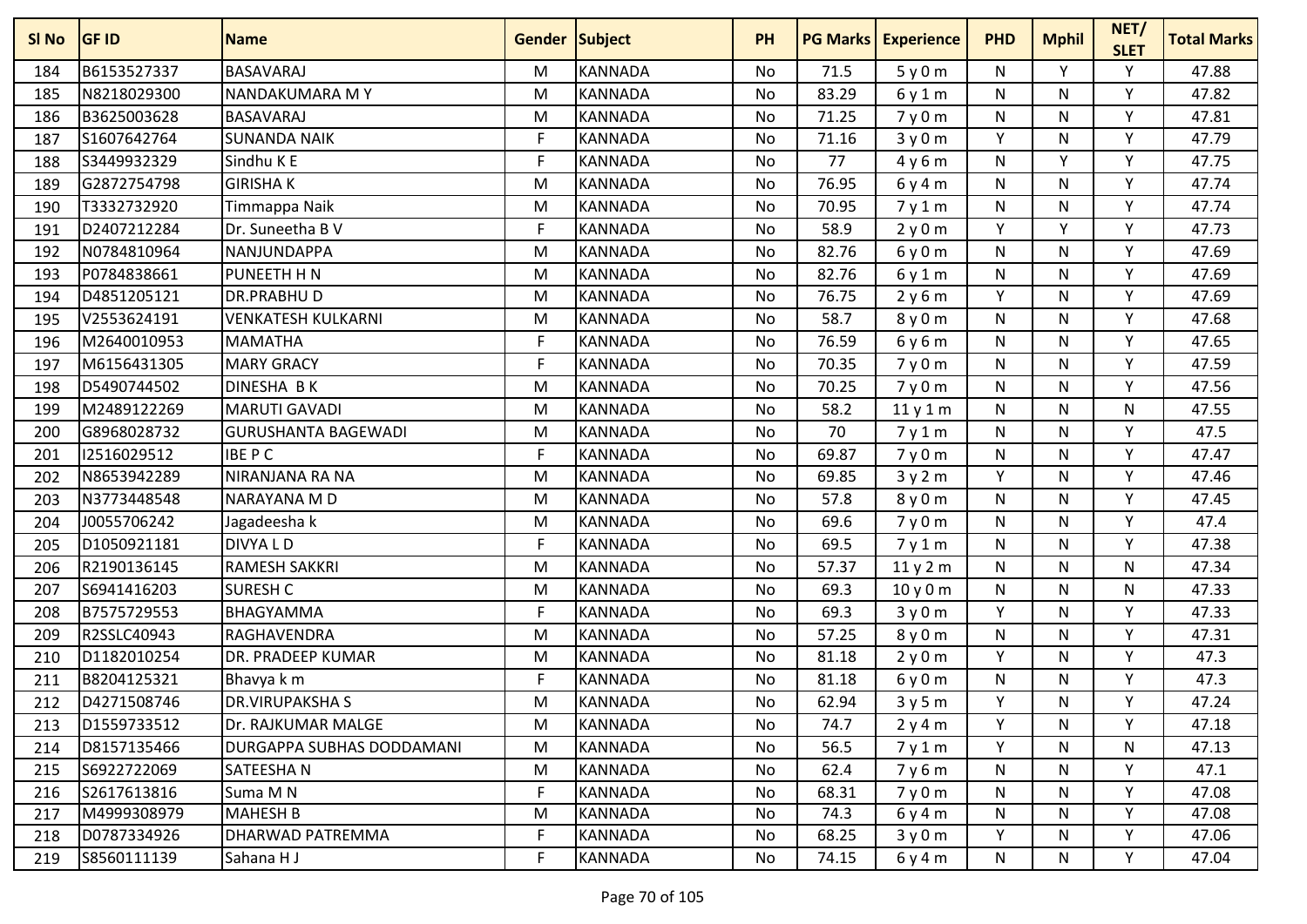| SI No | <b>GF ID</b> | <b>Name</b>                | <b>Gender Subject</b> |                | <b>PH</b> | <b>PG Marks</b> | <b>Experience</b> | <b>PHD</b> | <b>Mphil</b> | NET/<br><b>SLET</b> | <b>Total Marks</b> |
|-------|--------------|----------------------------|-----------------------|----------------|-----------|-----------------|-------------------|------------|--------------|---------------------|--------------------|
| 184   | B6153527337  | <b>BASAVARAJ</b>           | M                     | <b>KANNADA</b> | <b>No</b> | 71.5            | 5y0m              | N          | Y            | Υ                   | 47.88              |
| 185   | N8218029300  | NANDAKUMARA MY             | M                     | <b>KANNADA</b> | <b>No</b> | 83.29           | 6y1m              | N          | N            | Υ                   | 47.82              |
| 186   | B3625003628  | <b>BASAVARAJ</b>           | M                     | <b>KANNADA</b> | No        | 71.25           | 7y0m              | N          | N            | Y                   | 47.81              |
| 187   | S1607642764  | <b>SUNANDA NAIK</b>        | F                     | <b>KANNADA</b> | <b>No</b> | 71.16           | 3y0m              | Y          | N            | Y                   | 47.79              |
| 188   | S3449932329  | Sindhu K E                 | F                     | <b>KANNADA</b> | No        | 77              | 4y6m              | N          | Y            | Y                   | 47.75              |
| 189   | G2872754798  | <b>GIRISHAK</b>            | M                     | <b>KANNADA</b> | No        | 76.95           | 6y4m              | N          | N            | Y                   | 47.74              |
| 190   | T3332732920  | Timmappa Naik              | M                     | <b>KANNADA</b> | No        | 70.95           | 7y1m              | N          | N            | v                   | 47.74              |
| 191   | D2407212284  | Dr. Suneetha B V           | F                     | <b>KANNADA</b> | <b>No</b> | 58.9            | 2y0m              | Y          | Y            | Y                   | 47.73              |
| 192   | N0784810964  | NANJUNDAPPA                | M                     | <b>KANNADA</b> | No        | 82.76           | 6y0m              | N          | N            | Υ                   | 47.69              |
| 193   | P0784838661  | PUNEETH H N                | M                     | <b>KANNADA</b> | No        | 82.76           | 6y1m              | N          | N            | Y                   | 47.69              |
| 194   | D4851205121  | <b>DR.PRABHUD</b>          | M                     | <b>KANNADA</b> | No        | 76.75           | 2y6m              | Y          | N            | Υ                   | 47.69              |
| 195   | V2553624191  | <b>VENKATESH KULKARNI</b>  | M                     | <b>KANNADA</b> | No        | 58.7            | 8y0m              | N          | N            | Y                   | 47.68              |
| 196   | M2640010953  | <b>MAMATHA</b>             | F                     | <b>KANNADA</b> | No        | 76.59           | 6y6m              | N          | N            | Y                   | 47.65              |
| 197   | M6156431305  | <b>MARY GRACY</b>          | F                     | <b>KANNADA</b> | No        | 70.35           | 7y0m              | N          | N            | Y                   | 47.59              |
| 198   | D5490744502  | <b>DINESHA BK</b>          | M                     | <b>KANNADA</b> | No        | 70.25           | 7y0m              | N          | N            | Y                   | 47.56              |
| 199   | M2489122269  | <b>MARUTI GAVADI</b>       | M                     | <b>KANNADA</b> | No        | 58.2            | 11y1m             | N          | N            | N                   | 47.55              |
| 200   | G8968028732  | <b>GURUSHANTA BAGEWADI</b> | M                     | <b>KANNADA</b> | No        | 70              | 7y1m              | N          | N            | Y                   | 47.5               |
| 201   | 12516029512  | <b>IBEPC</b>               | F                     | <b>KANNADA</b> | <b>No</b> | 69.87           | 7y0m              | N          | N            | Y                   | 47.47              |
| 202   | N8653942289  | NIRANJANA RA NA            | M                     | <b>KANNADA</b> | No        | 69.85           | 3y2m              | Y          | N            | Y                   | 47.46              |
| 203   | N3773448548  | NARAYANA M D               | M                     | <b>KANNADA</b> | <b>No</b> | 57.8            | 8y0m              | N          | N            | Υ                   | 47.45              |
| 204   | J0055706242  | Jagadeesha k               | M                     | <b>KANNADA</b> | No        | 69.6            | 7y0m              | N          | N            | Y                   | 47.4               |
| 205   | D1050921181  | DIVYA L D                  | F                     | <b>KANNADA</b> | No        | 69.5            | 7y1m              | N          | N            | Y                   | 47.38              |
| 206   | R2190136145  | <b>RAMESH SAKKRI</b>       | M                     | <b>KANNADA</b> | <b>No</b> | 57.37           | 11y2m             | N          | N            | N                   | 47.34              |
| 207   | S6941416203  | <b>SURESH C</b>            | M                     | <b>KANNADA</b> | No        | 69.3            | 10y0m             | N          | N            | N                   | 47.33              |
| 208   | B7575729553  | <b>BHAGYAMMA</b>           | F                     | <b>KANNADA</b> | No        | 69.3            | 3y0m              | Y          | N            | Υ                   | 47.33              |
| 209   | R2SSLC40943  | RAGHAVENDRA                | M                     | <b>KANNADA</b> | No        | 57.25           | 8y0m              | N          | N            | ٧                   | 47.31              |
| 210   | D1182010254  | DR. PRADEEP KUMAR          | M                     | <b>KANNADA</b> | <b>No</b> | 81.18           | 2y0m              | Y          | N            | Y                   | 47.3               |
| 211   | B8204125321  | Bhavya k m                 | F                     | <b>KANNADA</b> | No        | 81.18           | 6y0m              | N          | N            | Υ                   | 47.3               |
| 212   | D4271508746  | <b>DR.VIRUPAKSHAS</b>      | M                     | <b>KANNADA</b> | No        | 62.94           | 3y5m              | Y          | N            | Y                   | 47.24              |
| 213   | D1559733512  | Dr. RAJKUMAR MALGE         | M                     | <b>KANNADA</b> | No        | 74.7            | 2y4m              | Y          | N            | Y                   | 47.18              |
| 214   | D8157135466  | DURGAPPA SUBHAS DODDAMANI  | M                     | <b>KANNADA</b> | No        | 56.5            | 7y1m              | Y          | N            | N                   | 47.13              |
| 215   | S6922722069  | SATEESHAN                  | M                     | <b>KANNADA</b> | No        | 62.4            | 7y6m              | N          | N            | Y                   | 47.1               |
| 216   | S2617613816  | Suma M N                   | F                     | <b>KANNADA</b> | No        | 68.31           | 7y0m              | N          | N.           | Υ                   | 47.08              |
| 217   | M4999308979  | <b>MAHESH B</b>            | M                     | <b>KANNADA</b> | No        | 74.3            | 6y4m              | N          | N            | Y                   | 47.08              |
| 218   | D0787334926  | DHARWAD PATREMMA           | F                     | <b>KANNADA</b> | No        | 68.25           | 3y0m              | Y          | N            | Y                   | 47.06              |
| 219   | S8560111139  | Sahana H J                 | F                     | <b>KANNADA</b> | No        | 74.15           | 6y4m              | N          | N            | Υ                   | 47.04              |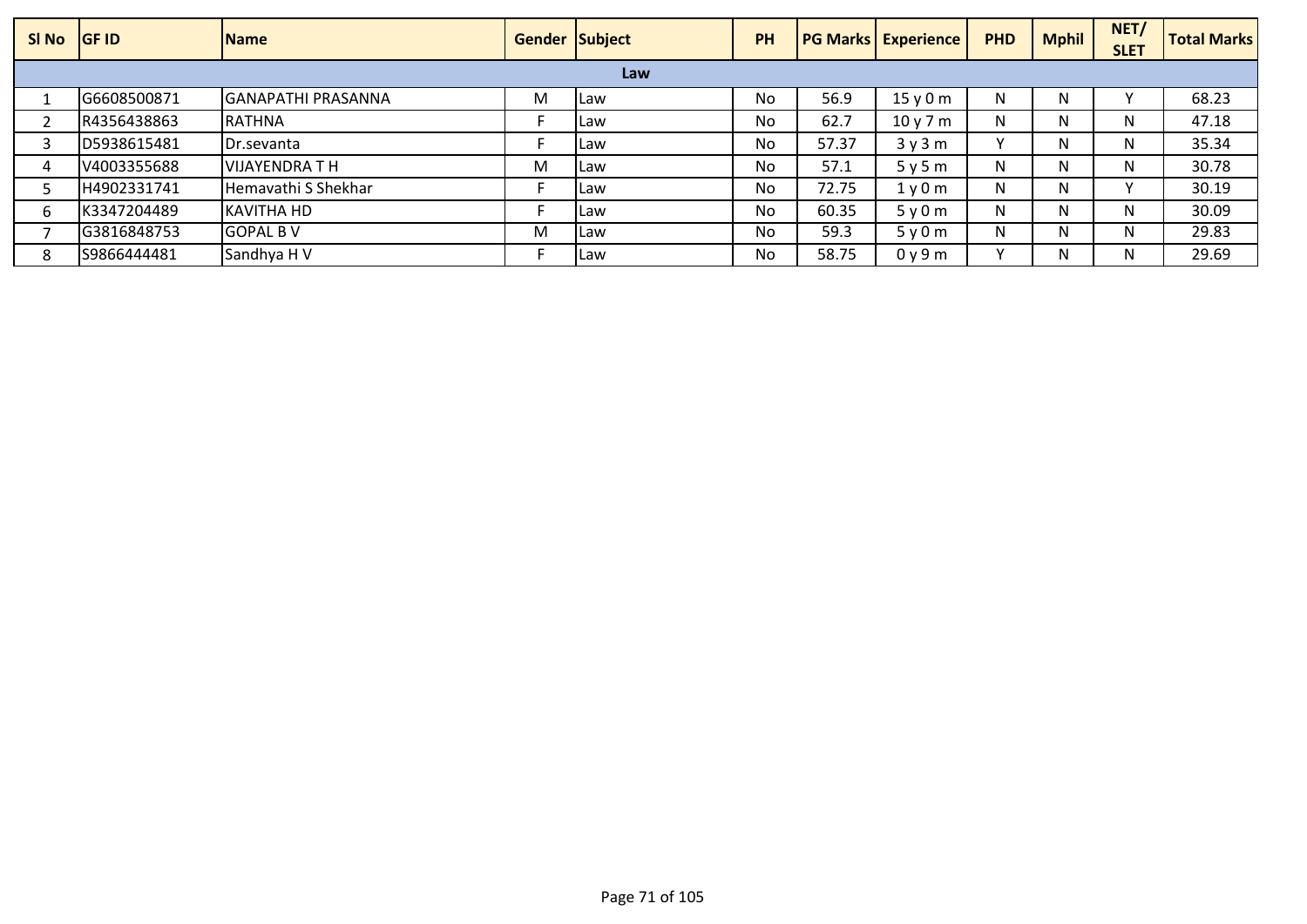| SI No | <b>IGF ID</b> | <b>Name</b>               | <b>Gender Subject</b> |             | <b>PH</b> |       | <b>PG Marks   Experience</b> | <b>PHD</b> | <b>Mphil</b> | NET/<br><b>SLET</b> | <b>Total Marks</b> |
|-------|---------------|---------------------------|-----------------------|-------------|-----------|-------|------------------------------|------------|--------------|---------------------|--------------------|
|       |               |                           |                       | Law         |           |       |                              |            |              |                     |                    |
|       | G6608500871   | <b>GANAPATHI PRASANNA</b> | M                     | <b>ILaw</b> | <b>No</b> | 56.9  | 15v0m                        | N          | N            |                     | 68.23              |
|       | R4356438863   | <b>RATHNA</b>             |                       | l Law       | No        | 62.7  | 10y7m                        | N          | N            | N.                  | 47.18              |
|       | D5938615481   | <b>IDr.sevanta</b>        |                       | ILaw        | No        | 57.37 | 3y3m                         | $\lambda$  | Ν            | N.                  | 35.34              |
|       | V4003355688   | VIJAYENDRA T H            | M                     | l Law       | No        | 57.1  | 5y5m                         | N          | N            | N                   | 30.78              |
|       | H4902331741   | Hemavathi S Shekhar       |                       | l Law       | No        | 72.75 | 1y0m                         | N          | N            |                     | 30.19              |
|       | K3347204489   | KAVITHA HD                |                       | ILaw        | <b>No</b> | 60.35 | 5y0m                         | N          | Ν            | N                   | 30.09              |
|       | G3816848753   | <b>IGOPAL B V</b>         | M                     | ILaw        | No        | 59.3  | 5y0m                         | N          | N            | N                   | 29.83              |
|       | S9866444481   | Sandhya H V               |                       | ILaw        | No        | 58.75 | 0y9m                         |            | Ν            | N.                  | 29.69              |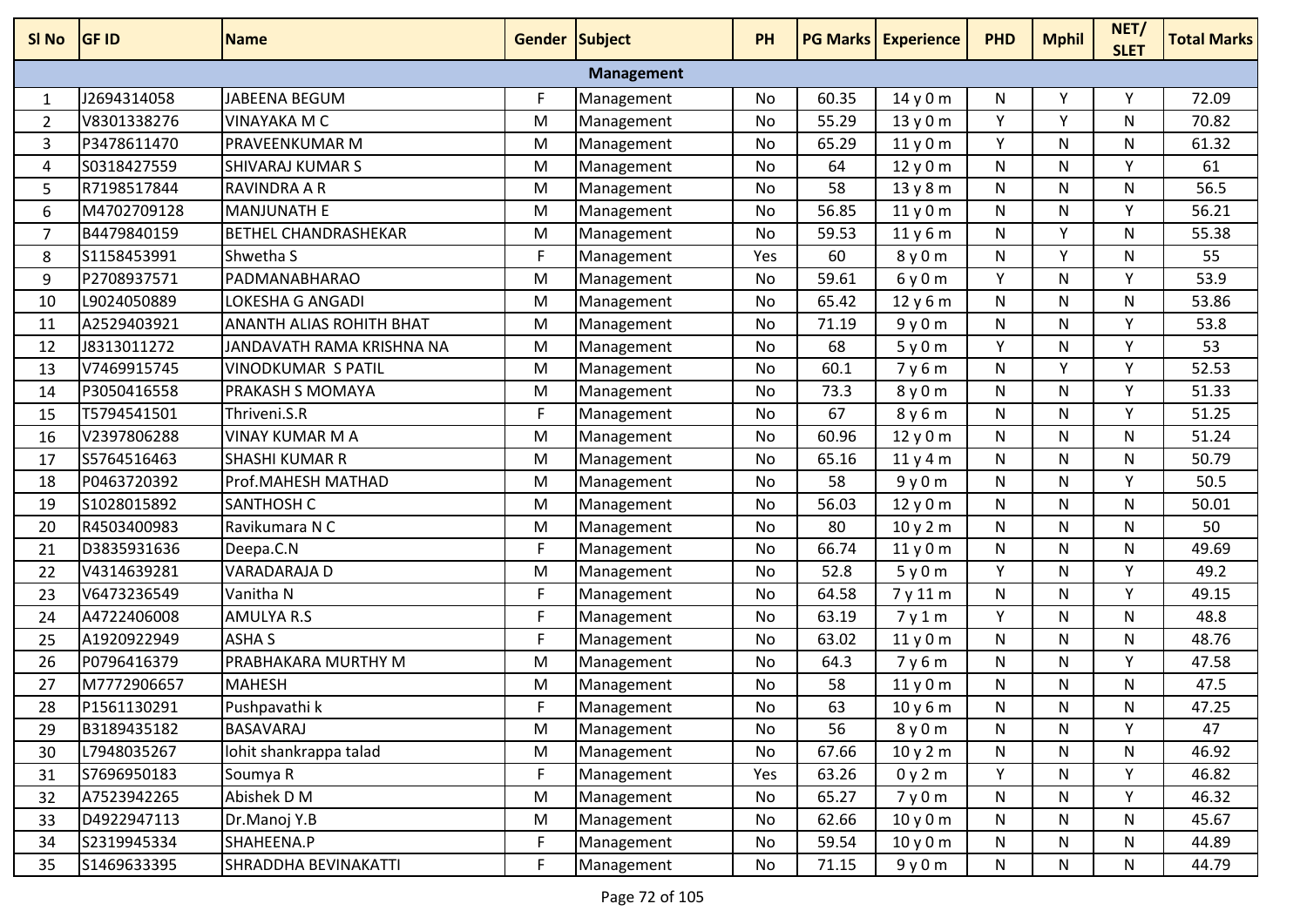| SI No | <b>GF ID</b> | <b>Name</b>                 | <b>Gender Subject</b> |                   | PH        |       | <b>PG Marks Experience</b> | <b>PHD</b> | <b>Mphil</b> | NET/<br><b>SLET</b> | <b>Total Marks</b> |
|-------|--------------|-----------------------------|-----------------------|-------------------|-----------|-------|----------------------------|------------|--------------|---------------------|--------------------|
|       |              |                             |                       | <b>Management</b> |           |       |                            |            |              |                     |                    |
| 1     | J2694314058  | JABEENA BEGUM               | F                     | Management        | No        | 60.35 | 14y0m                      | N          | Υ            | Υ                   | 72.09              |
| 2     | V8301338276  | <b>VINAYAKA M C</b>         | M                     | Management        | No        | 55.29 | 13y0m                      | Y          | Y            | N                   | 70.82              |
| 3     | P3478611470  | <b>PRAVEENKUMAR M</b>       | M                     | Management        | No        | 65.29 | 11y0m                      | Y          | N            | N                   | 61.32              |
| 4     | S0318427559  | <b>SHIVARAJ KUMAR S</b>     | M                     | Management        | No        | 64    | 12y0m                      | N          | N            | Y                   | 61                 |
| 5     | R7198517844  | <b>RAVINDRA A R</b>         | M                     | Management        | No        | 58    | 13y8m                      | N          | N            | N                   | 56.5               |
| 6     | M4702709128  | <b>MANJUNATH E</b>          | M                     | Management        | No        | 56.85 | 11y0m                      | N          | N            | Υ                   | 56.21              |
| 7     | B4479840159  | <b>BETHEL CHANDRASHEKAR</b> | M                     | Management        | No        | 59.53 | 11y6m                      | N          | Y            | N                   | 55.38              |
| 8     | S1158453991  | Shwetha S                   | F                     | Management        | Yes       | 60    | 8y0m                       | N          | Y            | N                   | 55                 |
| 9     | P2708937571  | PADMANABHARAO               | M                     | Management        | No        | 59.61 | 6y0m                       | Y          | N            | Υ                   | 53.9               |
| 10    | L9024050889  | LOKESHA G ANGADI            | M                     | Management        | No        | 65.42 | 12y6m                      | N          | N            | N                   | 53.86              |
| 11    | A2529403921  | ANANTH ALIAS ROHITH BHAT    | M                     | Management        | No        | 71.19 | 9y0m                       | N          | N            | Y                   | 53.8               |
| 12    | J8313011272  | JANDAVATH RAMA KRISHNA NA   | M                     | Management        | No        | 68    | 5y0m                       | Y          | N            | Υ                   | 53                 |
| 13    | V7469915745  | <b>VINODKUMAR S PATIL</b>   | M                     | Management        | No        | 60.1  | 7y6m                       | N          | Y            | Y                   | 52.53              |
| 14    | P3050416558  | PRAKASH S MOMAYA            | M                     | Management        | No        | 73.3  | 8y0m                       | N          | N            | Y                   | 51.33              |
| 15    | T5794541501  | Thriveni.S.R                | F                     | Management        | <b>No</b> | 67    | 8y6m                       | N          | N            | Y                   | 51.25              |
| 16    | V2397806288  | <b>VINAY KUMAR M A</b>      | M                     | Management        | No        | 60.96 | 12y0m                      | N          | N            | N                   | 51.24              |
| 17    | S5764516463  | <b>SHASHI KUMAR R</b>       | M                     | Management        | No        | 65.16 | 11y4m                      | N          | N            | N                   | 50.79              |
| 18    | P0463720392  | Prof.MAHESH MATHAD          | M                     | Management        | No        | 58    | 9y0m                       | N          | N            | Υ                   | 50.5               |
| 19    | S1028015892  | <b>SANTHOSH C</b>           | M                     | Management        | No        | 56.03 | 12y0m                      | N          | N            | N                   | 50.01              |
| 20    | R4503400983  | Ravikumara N C              | M                     | Management        | No        | 80    | 10y2m                      | N          | N            | N                   | 50                 |
| 21    | D3835931636  | Deepa.C.N                   | F                     | Management        | No        | 66.74 | 11y0m                      | N          | N            | N                   | 49.69              |
| 22    | V4314639281  | VARADARAJA D                | M                     | Management        | No        | 52.8  | 5y0m                       | Y.         | N            | Y                   | 49.2               |
| 23    | V6473236549  | Vanitha N                   | F                     | Management        | No        | 64.58 | 7y11m                      | N          | N            | Y                   | 49.15              |
| 24    | A4722406008  | AMULYA R.S                  | F                     | Management        | No        | 63.19 | 7y1m                       | Y          | N            | N                   | 48.8               |
| 25    | A1920922949  | <b>ASHA S</b>               | F                     | Management        | No        | 63.02 | 11y0m                      | N          | N            | N                   | 48.76              |
| 26    | P0796416379  | PRABHAKARA MURTHY M         | M                     | Management        | No        | 64.3  | 7y6m                       | N          | N            | Υ                   | 47.58              |
| 27    | M7772906657  | <b>MAHESH</b>               | M                     | Management        | No        | 58    | 11y0m                      | Ν          | N            | N                   | 47.5               |
| 28    | P1561130291  | Pushpavathi k               | F                     | Management        | No        | 63    | 10y6m                      | N          | N            | N                   | 47.25              |
| 29    | B3189435182  | <b>BASAVARAJ</b>            | M                     | Management        | No        | 56    | 8y0m                       | N          | N            | Υ                   | 47                 |
| 30    | L7948035267  | lohit shankrappa talad      | M                     | Management        | No        | 67.66 | 10y2m                      | N          | N            | N                   | 46.92              |
| 31    | S7696950183  | Soumya R                    | F.                    | Management        | Yes       | 63.26 | 0y2m                       | Y          | N            | Y                   | 46.82              |
| 32    | A7523942265  | Abishek D M                 | M                     | Management        | No        | 65.27 | 7y0m                       | N          | N            | Y                   | 46.32              |
| 33    | D4922947113  | Dr.Manoj Y.B                | M                     | Management        | No        | 62.66 | 10y0m                      | N          | N            | N                   | 45.67              |
| 34    | S2319945334  | SHAHEENA.P                  | F                     | Management        | No        | 59.54 | 10y0m                      | N          | N            | N                   | 44.89              |
| 35    | S1469633395  | SHRADDHA BEVINAKATTI        | F                     | Management        | No        | 71.15 | 9y0m                       | N          | N            | N                   | 44.79              |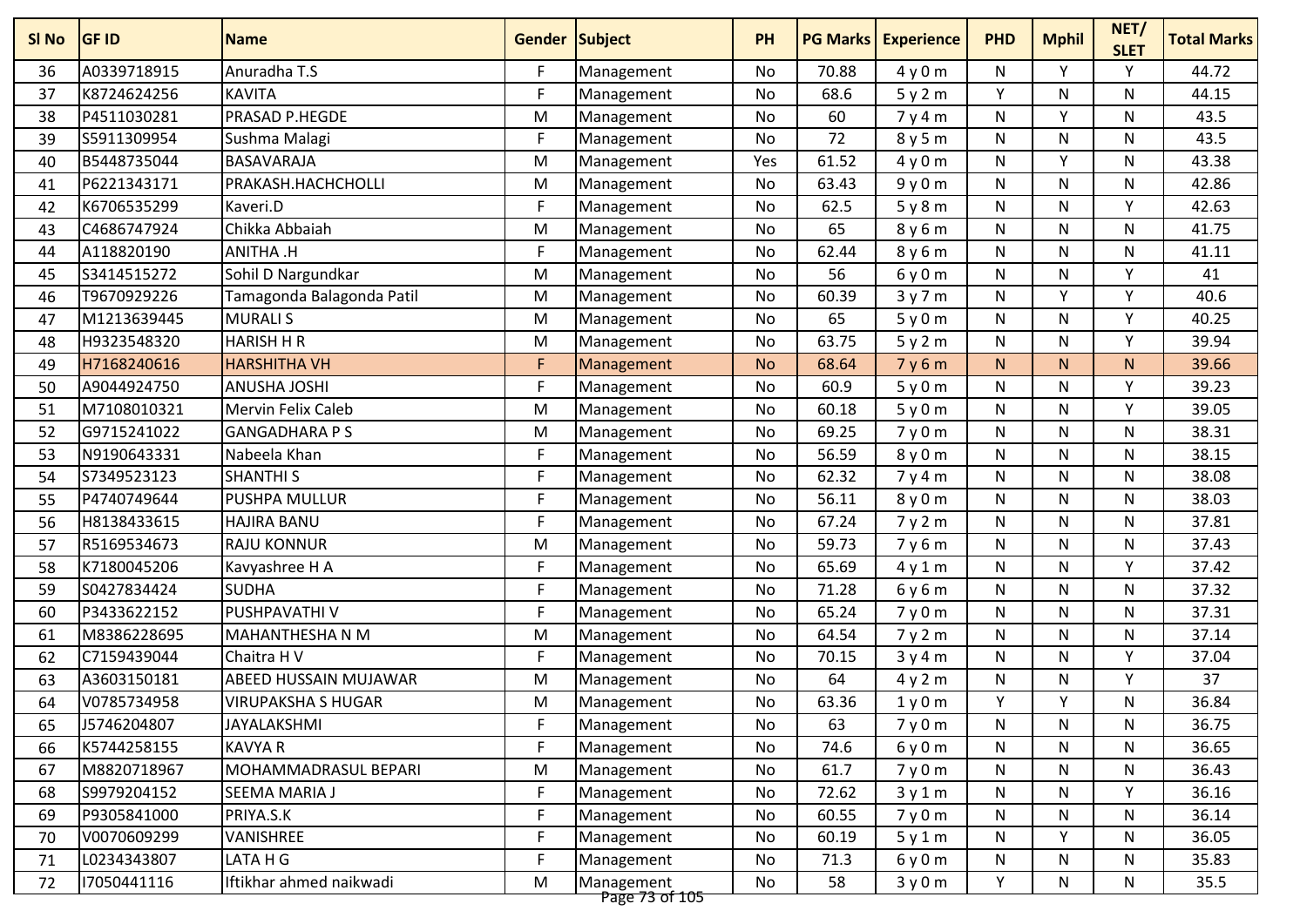| SI No | <b>GF ID</b> | <b>Name</b>               | <b>Gender Subject</b> |                              | PH        | <b>PG Marks</b> | <b>Experience</b> | <b>PHD</b>   | <b>Mphil</b> | NET/<br><b>SLET</b> | <b>Total Marks</b> |
|-------|--------------|---------------------------|-----------------------|------------------------------|-----------|-----------------|-------------------|--------------|--------------|---------------------|--------------------|
| 36    | A0339718915  | Anuradha T.S              | F.                    | Management                   | No        | 70.88           | 4y0m              | N            | Υ            | Y                   | 44.72              |
| 37    | K8724624256  | <b>KAVITA</b>             | F                     | Management                   | No        | 68.6            | 5y2m              | Υ            | N            | N                   | 44.15              |
| 38    | P4511030281  | PRASAD P.HEGDE            | M                     | Management                   | No        | 60              | 7y4m              | ${\sf N}$    | Y            | N                   | 43.5               |
| 39    | S5911309954  | Sushma Malagi             | F                     | Management                   | No        | 72              | 8y5m              | N            | N            | N                   | 43.5               |
| 40    | B5448735044  | <b>BASAVARAJA</b>         | M                     | Management                   | Yes       | 61.52           | 4y0m              | ${\sf N}$    | Υ            | N                   | 43.38              |
| 41    | P6221343171  | PRAKASH.HACHCHOLLI        | M                     | Management                   | No        | 63.43           | 9y0m              | N            | N            | N                   | 42.86              |
| 42    | K6706535299  | Kaveri.D                  | F                     | Management                   | No        | 62.5            | 5y8m              | N            | N            | $\mathsf{v}$        | 42.63              |
| 43    | C4686747924  | Chikka Abbaiah            | M                     | Management                   | <b>No</b> | 65              | 8y6m              | $\mathsf{N}$ | N            | N                   | 41.75              |
| 44    | A118820190   | <b>ANITHA.H</b>           | F                     | Management                   | No        | 62.44           | 8y6m              | ${\sf N}$    | N            | N                   | 41.11              |
| 45    | S3414515272  | Sohil D Nargundkar        | M                     | Management                   | No        | 56              | 6y0m              | ${\sf N}$    | N            | Y                   | 41                 |
| 46    | T9670929226  | Tamagonda Balagonda Patil | M                     | Management                   | No        | 60.39           | 3y7m              | N            | Υ            | Y                   | 40.6               |
| 47    | M1213639445  | <b>MURALIS</b>            | M                     | Management                   | No        | 65              | 5y0m              | ${\sf N}$    | N            | $\mathsf{v}$        | 40.25              |
| 48    | H9323548320  | <b>HARISH H R</b>         | M                     | Management                   | No        | 63.75           | 5y2m              | N            | N            | Y                   | 39.94              |
| 49    | H7168240616  | <b>HARSHITHA VH</b>       | F                     | Management                   | <b>No</b> | 68.64           | 7y6m              | N            | N.           | N                   | 39.66              |
| 50    | A9044924750  | <b>ANUSHA JOSHI</b>       | F                     | Management                   | No        | 60.9            | 5y0m              | ${\sf N}$    | N            | Υ                   | 39.23              |
| 51    | M7108010321  | <b>Mervin Felix Caleb</b> | M                     | Management                   | No        | 60.18           | 5y0m              | ${\sf N}$    | N            | Y                   | 39.05              |
| 52    | G9715241022  | <b>GANGADHARA P S</b>     | M                     | Management                   | No        | 69.25           | 7y0m              | N            | N            | N                   | 38.31              |
| 53    | N9190643331  | Nabeela Khan              | F.                    | Management                   | No        | 56.59           | 8y0m              | N            | N            | N                   | 38.15              |
| 54    | S7349523123  | <b>SHANTHI S</b>          | F                     | Management                   | No        | 62.32           | 7y4m              | N            | N            | N                   | 38.08              |
| 55    | P4740749644  | <b>PUSHPA MULLUR</b>      | F                     | Management                   | No        | 56.11           | 8y0m              | N            | N            | N                   | 38.03              |
| 56    | H8138433615  | <b>HAJIRA BANU</b>        | F                     | Management                   | No        | 67.24           | 7y2m              | N            | N            | N                   | 37.81              |
| 57    | R5169534673  | <b>RAJU KONNUR</b>        | M                     | Management                   | No        | 59.73           | 7y6m              | ${\sf N}$    | N            | N                   | 37.43              |
| 58    | K7180045206  | Kavyashree H A            | F                     | Management                   | No        | 65.69           | 4y1m              | N            | N            | Y                   | 37.42              |
| 59    | S0427834424  | <b>SUDHA</b>              | F                     | Management                   | No        | 71.28           | 6y6m              | ${\sf N}$    | N            | N                   | 37.32              |
| 60    | P3433622152  | PUSHPAVATHI V             | F                     | Management                   | No        | 65.24           | 7y0m              | N            | N            | N                   | 37.31              |
| 61    | M8386228695  | <b>MAHANTHESHA N M</b>    | M                     | Management                   | No        | 64.54           | 7y2m              | N            | N            | N                   | 37.14              |
| 62    | C7159439044  | Chaitra H V               | F                     | Management                   | No        | 70.15           | 3y4m              | $\mathsf{N}$ | N            | Y                   | 37.04              |
| 63    | A3603150181  | ABEED HUSSAIN MUJAWAR     | M                     | Management                   | No        | 64              | 4y2m              | N            | N            | Υ                   | 37                 |
| 64    | V0785734958  | <b>VIRUPAKSHA S HUGAR</b> | M                     | Management                   | No        | 63.36           | 1y0m              | Υ            | Υ            | N                   | 36.84              |
| 65    | J5746204807  | JAYALAKSHMI               | F                     | Management                   | No        | 63              | 7y0m              | N            | N            | N                   | 36.75              |
| 66    | K5744258155  | <b>KAVYA R</b>            | F                     | Management                   | No        | 74.6            | 6y0m              | N            | N            | N                   | 36.65              |
| 67    | M8820718967  | MOHAMMADRASUL BEPARI      | M                     | Management                   | No        | 61.7            | 7y0m              | N            | N            | N                   | 36.43              |
| 68    | S9979204152  | SEEMA MARIA J             | F                     | Management                   | No        | 72.62           | 3y1m              | N            | N            | Y                   | 36.16              |
| 69    | P9305841000  | PRIYA.S.K                 | F                     | Management                   | No        | 60.55           | 7y0m              | N            | N            | N                   | 36.14              |
| 70    | V0070609299  | VANISHREE                 | F                     | Management                   | No        | 60.19           | 5y1m              | N            | Y.           | N                   | 36.05              |
| 71    | L0234343807  | LATA H G                  | F                     | Management                   | No        | 71.3            | 6y0m              | N            | N            | N                   | 35.83              |
| 72    | 17050441116  | Iftikhar ahmed naikwadi   | M                     | Management<br>Page 73 of 105 | No        | 58              | 3y0m              | Y            | N            | N                   | 35.5               |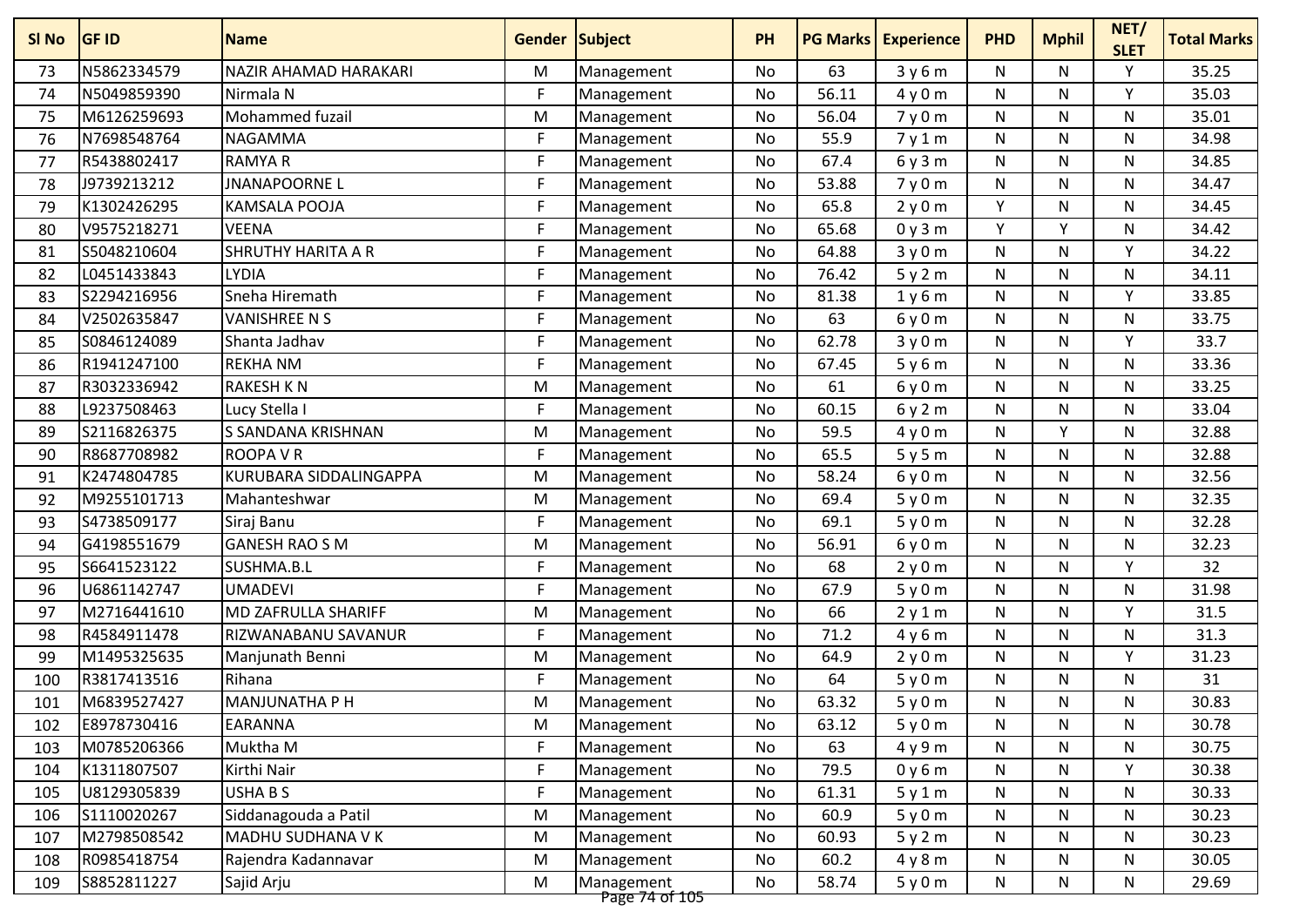| N5862334579<br>NAZIR AHAMAD HARAKARI<br>63<br>N<br>N<br>73<br>M<br>No<br>3y6m<br>Management<br>56.11<br>N5049859390<br>Nirmala N<br>F.<br>N<br>N<br>74<br>No<br>4y0m<br>Management<br>M6126259693<br>Mohammed fuzail<br>75<br>No<br>56.04<br>7y0m<br>N<br>N<br>M<br>Management<br>F.<br>N7698548764<br><b>NAGAMMA</b><br>55.9<br>N<br>N<br>N<br>76<br>No<br>Management<br>7y1m | Υ<br>35.25<br>٧<br>35.03<br>35.01<br>N<br>34.98<br>34.85<br>34.47 |
|--------------------------------------------------------------------------------------------------------------------------------------------------------------------------------------------------------------------------------------------------------------------------------------------------------------------------------------------------------------------------------|-------------------------------------------------------------------|
|                                                                                                                                                                                                                                                                                                                                                                                |                                                                   |
|                                                                                                                                                                                                                                                                                                                                                                                |                                                                   |
|                                                                                                                                                                                                                                                                                                                                                                                |                                                                   |
|                                                                                                                                                                                                                                                                                                                                                                                |                                                                   |
| R5438802417<br><b>RAMYAR</b><br>F.<br>67.4<br>N<br>N<br>77<br>Management<br>No<br>6y3m<br>N                                                                                                                                                                                                                                                                                    |                                                                   |
| <b>JNANAPOORNEL</b><br>F<br>J9739213212<br>53.88<br>N<br>N<br>78<br>No<br>7y0m<br>N<br>Management                                                                                                                                                                                                                                                                              |                                                                   |
| F<br>Υ<br>K1302426295<br>65.8<br>N<br>79<br>KAMSALA POOJA<br>No<br>2y0m<br>N<br>Management                                                                                                                                                                                                                                                                                     | 34.45                                                             |
| F<br>Y<br>V<br>V9575218271<br>65.68<br>80<br><b>VEENA</b><br><b>No</b><br>0y3m<br>N<br>Management                                                                                                                                                                                                                                                                              | 34.42                                                             |
| F<br>S5048210604<br><b>SHRUTHY HARITA A R</b><br>No<br>64.88<br>N<br>N<br>Υ<br>81<br>3y0m<br>Management                                                                                                                                                                                                                                                                        | 34.22                                                             |
| L0451433843<br>F<br><b>LYDIA</b><br>No<br>76.42<br>5y2m<br>N<br>N<br>82<br>Management                                                                                                                                                                                                                                                                                          | N<br>34.11                                                        |
| Sneha Hiremath<br>F<br>S2294216956<br>81.38<br>N<br>Υ<br>83<br>No<br>1y6m<br>N<br>Management                                                                                                                                                                                                                                                                                   | 33.85                                                             |
| F<br>V2502635847<br><b>VANISHREE N S</b><br>63<br>N<br>N<br>84<br>No<br>6y0m<br>N<br>Management                                                                                                                                                                                                                                                                                | 33.75                                                             |
| S0846124089<br>F.<br>62.78<br>Y<br>Shanta Jadhav<br>N<br>N<br>85<br>No<br>3y0m<br>Management                                                                                                                                                                                                                                                                                   | 33.7                                                              |
| R1941247100<br><b>REKHA NM</b><br>F<br>N<br>N<br>N<br>86<br>No<br>67.45<br>Management<br>5y6m                                                                                                                                                                                                                                                                                  | 33.36                                                             |
| R3032336942<br><b>RAKESH KN</b><br>M<br>61<br>N<br>N<br>N<br>87<br>No<br>6y0m<br>Management                                                                                                                                                                                                                                                                                    | 33.25                                                             |
| F<br>L9237508463<br>N<br>N<br>88<br>Lucy Stella I<br>No<br>60.15<br>6y2m<br>N<br>Management                                                                                                                                                                                                                                                                                    | 33.04                                                             |
| Y<br>89<br>S2116826375<br>S SANDANA KRISHNAN<br>59.5<br>N<br>M<br>Management<br>No<br>4y0m                                                                                                                                                                                                                                                                                     | 32.88<br>N                                                        |
| F.<br>65.5<br>R8687708982<br><b>ROOPA V R</b><br>N<br>N<br>90<br>Management<br>No<br>5y5m<br>N                                                                                                                                                                                                                                                                                 | 32.88                                                             |
| K2474804785<br>M<br>58.24<br>N<br>KURUBARA SIDDALINGAPPA<br>No<br>6y0m<br>N<br>N<br>91<br>Management                                                                                                                                                                                                                                                                           | 32.56                                                             |
| 92<br>M9255101713<br>69.4<br>N<br>N<br>N<br>Mahanteshwar<br>M<br>No<br>5y0m<br>Management                                                                                                                                                                                                                                                                                      | 32.35                                                             |
| F<br>S4738509177<br>69.1<br>N<br>N<br>N<br>93<br>Siraj Banu<br>No<br>5y0m<br>Management                                                                                                                                                                                                                                                                                        | 32.28                                                             |
| G4198551679<br><b>GANESH RAO S M</b><br>56.91<br>94<br>M<br>No<br>6y0m<br>N<br>N<br>Management                                                                                                                                                                                                                                                                                 | 32.23<br>N                                                        |
| F<br>S6641523122<br>SUSHMA.B.L<br>68<br>N<br>Υ<br>95<br>No<br>2y0m<br>N<br>Management                                                                                                                                                                                                                                                                                          | 32                                                                |
| U6861142747<br><b>UMADEVI</b><br>F.<br>67.9<br>N<br>96<br>Management<br>No<br>5y0m<br>N                                                                                                                                                                                                                                                                                        | 31.98<br>N                                                        |
| M2716441610<br><b>MD ZAFRULLA SHARIFF</b><br>66<br>M<br>N<br>N<br>97<br>No<br>Management<br>2y1m                                                                                                                                                                                                                                                                               | v<br>31.5                                                         |
| R4584911478<br>F<br>N<br>RIZWANABANU SAVANUR<br>No<br>71.2<br>N<br>N<br>98<br>Management<br>4y6m                                                                                                                                                                                                                                                                               | 31.3                                                              |
| M1495325635<br>64.9<br>N<br>N<br>99<br>Manjunath Benni<br>M<br><b>No</b><br>2y0m<br>Management                                                                                                                                                                                                                                                                                 | Υ<br>31.23                                                        |
| R3817413516<br>F<br>64<br>N<br>100<br>Rihana<br>No<br>5y0m<br>N<br>N<br>Management                                                                                                                                                                                                                                                                                             | 31                                                                |
| M6839527427<br>MANJUNATHA P H<br>N<br>101<br>M<br>No<br>63.32<br>5y0m<br>N<br>Management                                                                                                                                                                                                                                                                                       | 30.83<br>N                                                        |
| E8978730416<br><b>EARANNA</b><br>63.12<br>5y0m<br>N<br>N<br>N<br>102<br>M<br>Management<br>No                                                                                                                                                                                                                                                                                  | 30.78                                                             |
| M0785206366<br>Muktha M<br>F<br>103<br>Management<br>No<br>63<br>4y9m<br>N<br>N                                                                                                                                                                                                                                                                                                | N<br>30.75                                                        |
| F<br>79.5<br>K1311807507<br>Kirthi Nair<br>N<br>N<br>104<br>Management<br>No<br>0y6m                                                                                                                                                                                                                                                                                           | Y<br>30.38                                                        |
| U8129305839<br>USHA B S<br>F<br>61.31<br>Management<br>No<br>N<br>N<br>N<br>105<br>5y1m                                                                                                                                                                                                                                                                                        | 30.33                                                             |
| S1110020267<br>60.9<br>Siddanagouda a Patil<br>M<br>Management<br>No<br>5y0m<br>N<br>N<br>106                                                                                                                                                                                                                                                                                  | N<br>30.23                                                        |
| M2798508542<br>60.93<br>MADHU SUDHANA V K<br>M<br>Management<br>No<br>5y2m<br>N<br>N<br>N<br>107                                                                                                                                                                                                                                                                               | 30.23                                                             |
| R0985418754<br>Rajendra Kadannavar<br>Management<br>60.2<br>4y8m<br>108<br>M<br>No<br>N<br>N                                                                                                                                                                                                                                                                                   | 30.05<br>N                                                        |
| S8852811227<br>58.74<br>Sajid Arju<br>M<br>Management<br>No<br>5y0m<br>N<br>N<br>N<br>109<br>Page 74 of 105                                                                                                                                                                                                                                                                    | 29.69                                                             |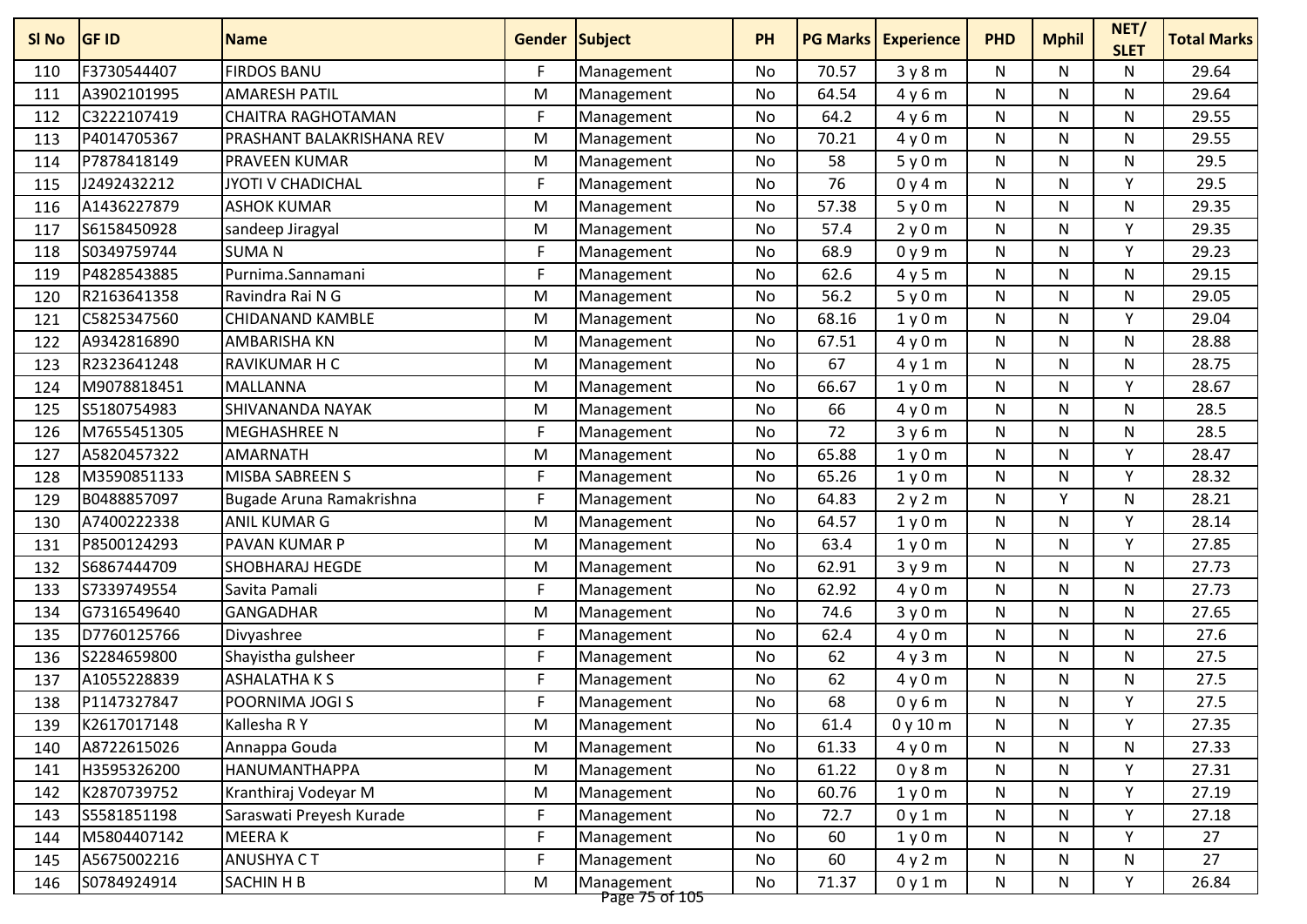| SI No | <b>GF ID</b> | <b>Name</b>               | <b>Gender Subject</b> |                              | <b>PH</b> |       | <b>PG Marks   Experience</b> | <b>PHD</b>   | <b>Mphil</b> | NET/<br><b>SLET</b> | <b>Total Marks</b> |
|-------|--------------|---------------------------|-----------------------|------------------------------|-----------|-------|------------------------------|--------------|--------------|---------------------|--------------------|
| 110   | F3730544407  | <b>FIRDOS BANU</b>        | F                     | Management                   | No        | 70.57 | 3y8m                         | N            | N            | N                   | 29.64              |
| 111   | A3902101995  | <b>AMARESH PATIL</b>      | M                     | Management                   | No        | 64.54 | 4y6m                         | N            | N            | N                   | 29.64              |
| 112   | C3222107419  | <b>CHAITRA RAGHOTAMAN</b> | F                     | Management                   | No        | 64.2  | 4y6m                         | N            | N            | N                   | 29.55              |
| 113   | P4014705367  | PRASHANT BALAKRISHANA REV | M                     | Management                   | No        | 70.21 | 4y0m                         | N            | N            | N                   | 29.55              |
| 114   | P7878418149  | PRAVEEN KUMAR             | M                     | Management                   | No        | 58    | 5y0m                         | ${\sf N}$    | N            | N                   | 29.5               |
| 115   | J2492432212  | <b>JYOTI V CHADICHAL</b>  | F                     | Management                   | No        | 76    | 0y4m                         | N            | N            | Υ                   | 29.5               |
| 116   | A1436227879  | <b>ASHOK KUMAR</b>        | M                     | Management                   | No        | 57.38 | 5y0m                         | N            | N            | N                   | 29.35              |
| 117   | S6158450928  | sandeep Jiragyal          | M                     | Management                   | No        | 57.4  | 2y0m                         | N            | N            | Y                   | 29.35              |
| 118   | S0349759744  | <b>SUMAN</b>              | F                     | Management                   | No        | 68.9  | 0y9m                         | N            | N            | Y                   | 29.23              |
| 119   | P4828543885  | Purnima.Sannamani         | F                     | Management                   | No        | 62.6  | 4y5m                         | N            | N            | N                   | 29.15              |
| 120   | R2163641358  | Ravindra Rai N G          | M                     | Management                   | No        | 56.2  | 5y0m                         | N            | N            | N                   | 29.05              |
| 121   | C5825347560  | CHIDANAND KAMBLE          | M                     | Management                   | No        | 68.16 | 1y0m                         | N            | N            | Υ                   | 29.04              |
| 122   | A9342816890  | AMBARISHA KN              | M                     | Management                   | No        | 67.51 | 4y0m                         | N            | N            | N                   | 28.88              |
| 123   | R2323641248  | RAVIKUMAR H C             | M                     | Management                   | No        | 67    | 4y1m                         | N            | N            | N                   | 28.75              |
| 124   | M9078818451  | <b>MALLANNA</b>           | M                     | Management                   | <b>No</b> | 66.67 | 1y0m                         | N            | N            | Y                   | 28.67              |
| 125   | S5180754983  | SHIVANANDA NAYAK          | M                     | Management                   | No        | 66    | 4y0m                         | N            | N            | N                   | 28.5               |
| 126   | M7655451305  | <b>MEGHASHREE N</b>       | F                     | Management                   | No        | 72    | 3y6m                         | N            | N            | N                   | 28.5               |
| 127   | A5820457322  | <b>AMARNATH</b>           | M                     | Management                   | No        | 65.88 | 1y0m                         | N            | N            | Υ                   | 28.47              |
| 128   | M3590851133  | MISBA SABREEN S           | F                     | Management                   | No        | 65.26 | 1y0m                         | N            | N            | Υ                   | 28.32              |
| 129   | B0488857097  | Bugade Aruna Ramakrishna  | F                     | Management                   | No        | 64.83 | 2y2m                         | N            | v            | N                   | 28.21              |
| 130   | A7400222338  | ANIL KUMAR G              | M                     | Management                   | No        | 64.57 | 1y0m                         | N            | N            | $\mathsf{v}$        | 28.14              |
| 131   | P8500124293  | PAVAN KUMAR P             | M                     | Management                   | No        | 63.4  | 1y0m                         | N            | N            | Y                   | 27.85              |
| 132   | S6867444709  | SHOBHARAJ HEGDE           | M                     | Management                   | No        | 62.91 | 3y9m                         | N            | N            | N                   | 27.73              |
| 133   | S7339749554  | Savita Pamali             | F                     | Management                   | No        | 62.92 | 4y0m                         | ${\sf N}$    | N            | N                   | 27.73              |
| 134   | G7316549640  | <b>GANGADHAR</b>          | M                     | Management                   | No        | 74.6  | 3y0m                         | N            | N            | N                   | 27.65              |
| 135   | D7760125766  | Divyashree                | F                     | Management                   | No        | 62.4  | 4y0m                         | N            | N            | N                   | 27.6               |
| 136   | S2284659800  | Shayistha gulsheer        | F                     | Management                   | No        | 62    | 4y3m                         | N            | N            | N                   | 27.5               |
| 137   | A1055228839  | <b>ASHALATHAKS</b>        | F                     | Management                   | No        | 62    | 4y0m                         | N            | N            | N                   | 27.5               |
| 138   | P1147327847  | POORNIMA JOGI S           | F                     | Management                   | No        | 68    | 0y6m                         | N            | N            | Υ                   | 27.5               |
| 139   | K2617017148  | Kallesha R Y              | M                     | Management                   | No        | 61.4  | 0y10m                        | N            | N            | Υ                   | 27.35              |
| 140   | A8722615026  | Annappa Gouda             | M                     | Management                   | No        | 61.33 | 4y0m                         | N            | N            | N                   | 27.33              |
| 141   | H3595326200  | HANUMANTHAPPA             | M                     | Management                   | No        | 61.22 | 0y8m                         | N            | N            | Y                   | 27.31              |
| 142   | K2870739752  | Kranthiraj Vodeyar M      | M                     | Management                   | No        | 60.76 | 1y0m                         | N            | N            | Y                   | 27.19              |
| 143   | S5581851198  | Saraswati Preyesh Kurade  | F                     | Management                   | No        | 72.7  | 0y1m                         | $\mathsf{N}$ | N            | Y                   | 27.18              |
| 144   | M5804407142  | MEERA K                   | F                     | Management                   | No        | 60    | 1y0m                         | N            | N            | Y                   | 27                 |
| 145   | A5675002216  | ANUSHYA CT                | F                     | Management                   | No        | 60    | 4y2m                         | N            | N            | N                   | 27                 |
| 146   | S0784924914  | SACHIN H B                | M                     | Management<br>Page 75 of 105 | No        | 71.37 | 0y1m                         | N            | N            | Υ                   | 26.84              |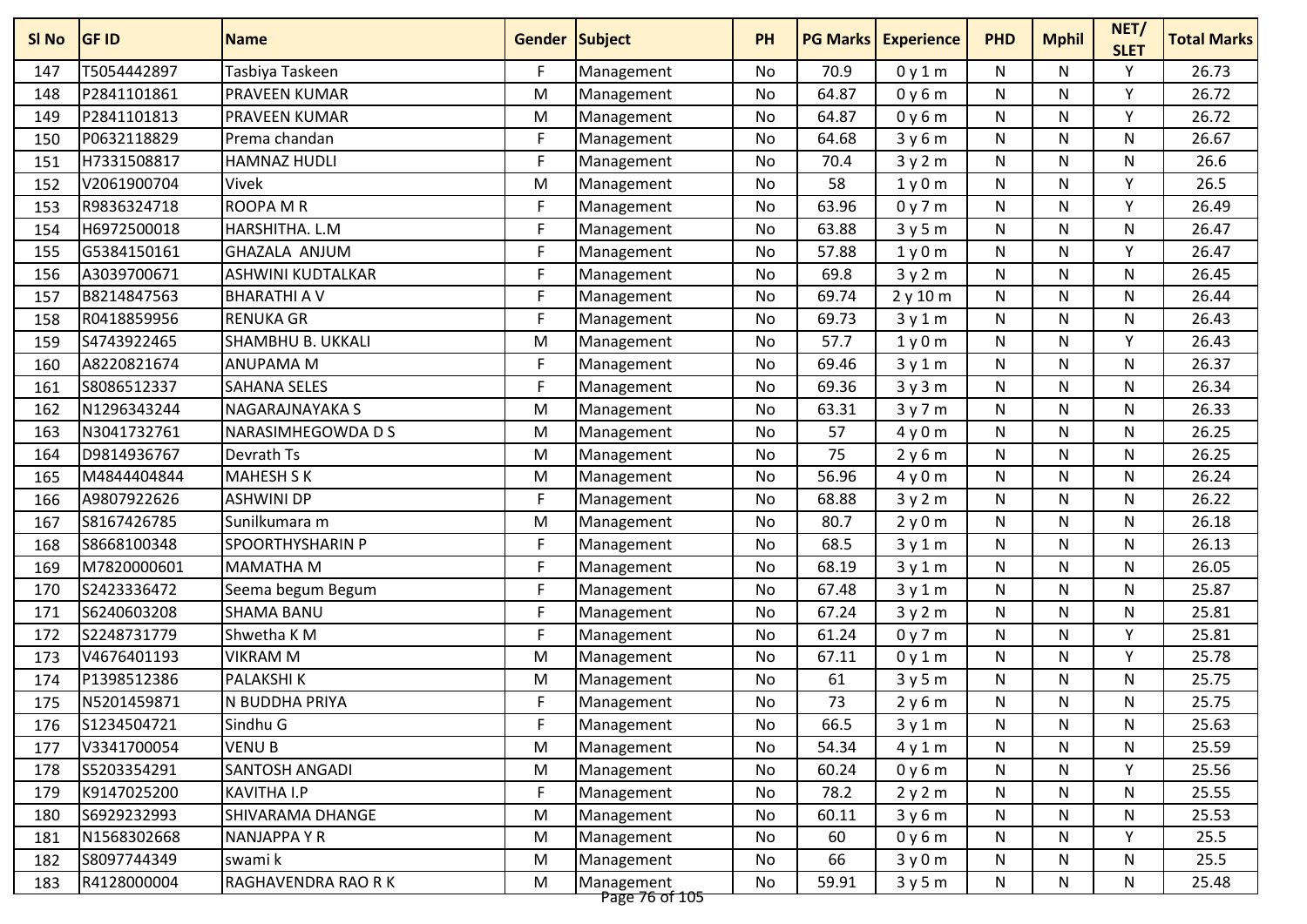| SI No | <b>GF ID</b> | <b>Name</b>          | <b>Gender Subject</b> |                              | <b>PH</b> |       | <b>PG Marks Experience</b> | <b>PHD</b>   | <b>Mphil</b> | NET/<br><b>SLET</b> | <b>Total Marks</b> |
|-------|--------------|----------------------|-----------------------|------------------------------|-----------|-------|----------------------------|--------------|--------------|---------------------|--------------------|
| 147   | T5054442897  | Tasbiya Taskeen      | F                     | Management                   | No        | 70.9  | 0y1m                       | N            | N            | Υ                   | 26.73              |
| 148   | P2841101861  | PRAVEEN KUMAR        | M                     | Management                   | No        | 64.87 | 0y6m                       | N            | N            | $\mathsf{v}$        | 26.72              |
| 149   | P2841101813  | PRAVEEN KUMAR        | M                     | Management                   | <b>No</b> | 64.87 | 0y6m                       | N            | N            | Y                   | 26.72              |
| 150   | P0632118829  | Prema chandan        | F                     | Management                   | No        | 64.68 | 3y6m                       | N            | N            | N                   | 26.67              |
| 151   | H7331508817  | HAMNAZ HUDLI         | F                     | Management                   | No        | 70.4  | 3y2m                       | N            | N            | N                   | 26.6               |
| 152   | V2061900704  | Vivek                | M                     | Management                   | No        | 58    | 1y0m                       | N            | N            | Υ                   | 26.5               |
| 153   | R9836324718  | <b>ROOPA M R</b>     | F                     | Management                   | No        | 63.96 | 0y7m                       | N            | N            | $\mathsf{v}$        | 26.49              |
| 154   | H6972500018  | HARSHITHA. L.M       | F                     | Management                   | No        | 63.88 | 3y5m                       | N            | N            | N                   | 26.47              |
| 155   | G5384150161  | <b>GHAZALA ANJUM</b> | F                     | Management                   | No        | 57.88 | 1y0m                       | N            | N            | Y                   | 26.47              |
| 156   | A3039700671  | ASHWINI KUDTALKAR    | F                     | Management                   | No        | 69.8  | 3y2m                       | N            | N            | N                   | 26.45              |
| 157   | B8214847563  | <b>BHARATHI A V</b>  | F                     | Management                   | No        | 69.74 | 2y10m                      | N            | N            | N                   | 26.44              |
| 158   | R0418859956  | <b>RENUKA GR</b>     | F                     | Management                   | No        | 69.73 | 3y1m                       | N            | N            | N                   | 26.43              |
| 159   | S4743922465  | SHAMBHU B. UKKALI    | M                     | Management                   | No        | 57.7  | 1y0m                       | N            | N            | Y                   | 26.43              |
| 160   | A8220821674  | <b>ANUPAMA M</b>     | F                     | Management                   | No        | 69.46 | 3y1m                       | N            | N            | N                   | 26.37              |
| 161   | S8086512337  | <b>SAHANA SELES</b>  | F                     | Management                   | <b>No</b> | 69.36 | 3y3m                       | N            | N            | N                   | 26.34              |
| 162   | N1296343244  | NAGARAJNAYAKA S      | M                     | Management                   | No        | 63.31 | 3y7m                       | N            | N            | $\mathsf{N}$        | 26.33              |
| 163   | N3041732761  | NARASIMHEGOWDA D S   | M                     | Management                   | No        | 57    | 4y0m                       | N            | N            | N                   | 26.25              |
| 164   | D9814936767  | Devrath Ts           | M                     | Management                   | No        | 75    | 2y6m                       | N            | N            | N                   | 26.25              |
| 165   | M4844404844  | <b>MAHESH S K</b>    | M                     | Management                   | No        | 56.96 | 4y0m                       | N            | N            | N                   | 26.24              |
| 166   | A9807922626  | <b>ASHWINI DP</b>    | F                     | Management                   | No        | 68.88 | 3y2m                       | N            | N            | N                   | 26.22              |
| 167   | S8167426785  | Sunilkumara m        | M                     | Management                   | No        | 80.7  | 2y0m                       | N            | N            | N                   | 26.18              |
| 168   | S8668100348  | SPOORTHYSHARIN P     | F                     | Management                   | <b>No</b> | 68.5  | 3y1m                       | N            | N            | $\mathsf{N}$        | 26.13              |
| 169   | M7820000601  | <b>MAMATHA M</b>     | F                     | Management                   | No        | 68.19 | 3y1m                       | N            | N            | N                   | 26.05              |
| 170   | S2423336472  | Seema begum Begum    | F                     | Management                   | No        | 67.48 | 3y1m                       | N            | N            | N                   | 25.87              |
| 171   | S6240603208  | <b>SHAMA BANU</b>    | F                     | Management                   | No        | 67.24 | 3y2m                       | N            | N            | N                   | 25.81              |
| 172   | S2248731779  | Shwetha K M          | F                     | Management                   | No        | 61.24 | 0y7m                       | N            | N            | Y                   | 25.81              |
| 173   | V4676401193  | <b>VIKRAM M</b>      | M                     | Management                   | <b>No</b> | 67.11 | 0y1m                       | N            | N            | Y                   | 25.78              |
| 174   | P1398512386  | <b>PALAKSHIK</b>     | M                     | Management                   | No        | 61    | 3y5m                       | N            | N            | N                   | 25.75              |
| 175   | N5201459871  | N BUDDHA PRIYA       | F                     | Management                   | No        | 73    | 2y6m                       | N            | N            | N                   | 25.75              |
| 176   | S1234504721  | Sindhu G             | F                     | Management                   | No        | 66.5  | 3y1m                       | N            | N            | N                   | 25.63              |
| 177   | V3341700054  | <b>VENUB</b>         | M                     | Management                   | No        | 54.34 | 4y1m                       | N            | N            | N                   | 25.59              |
| 178   | S5203354291  | SANTOSH ANGADI       | M                     | Management                   | No        | 60.24 | 0y6m                       | N            | N            | Y                   | 25.56              |
| 179   | K9147025200  | KAVITHA I.P          | F                     | Management                   | No        | 78.2  | 2y2m                       | N            | N            | N                   | 25.55              |
| 180   | S6929232993  | SHIVARAMA DHANGE     | M                     | Management                   | No        | 60.11 | 3y6m                       | $\mathsf{N}$ | N            | $\mathsf{N}$        | 25.53              |
| 181   | N1568302668  | NANJAPPA Y R         | M                     | Management                   | No        | 60    | 0y6m                       | N            | N            | Υ                   | 25.5               |
| 182   | S8097744349  | swami k              | M                     | Management                   | No        | 66    | 3y0m                       | N            | N            | N                   | 25.5               |
| 183   | R4128000004  | RAGHAVENDRA RAO R K  | M                     | Management<br>Page 76 of 105 | No        | 59.91 | 3y5m                       | N            | N            | N                   | 25.48              |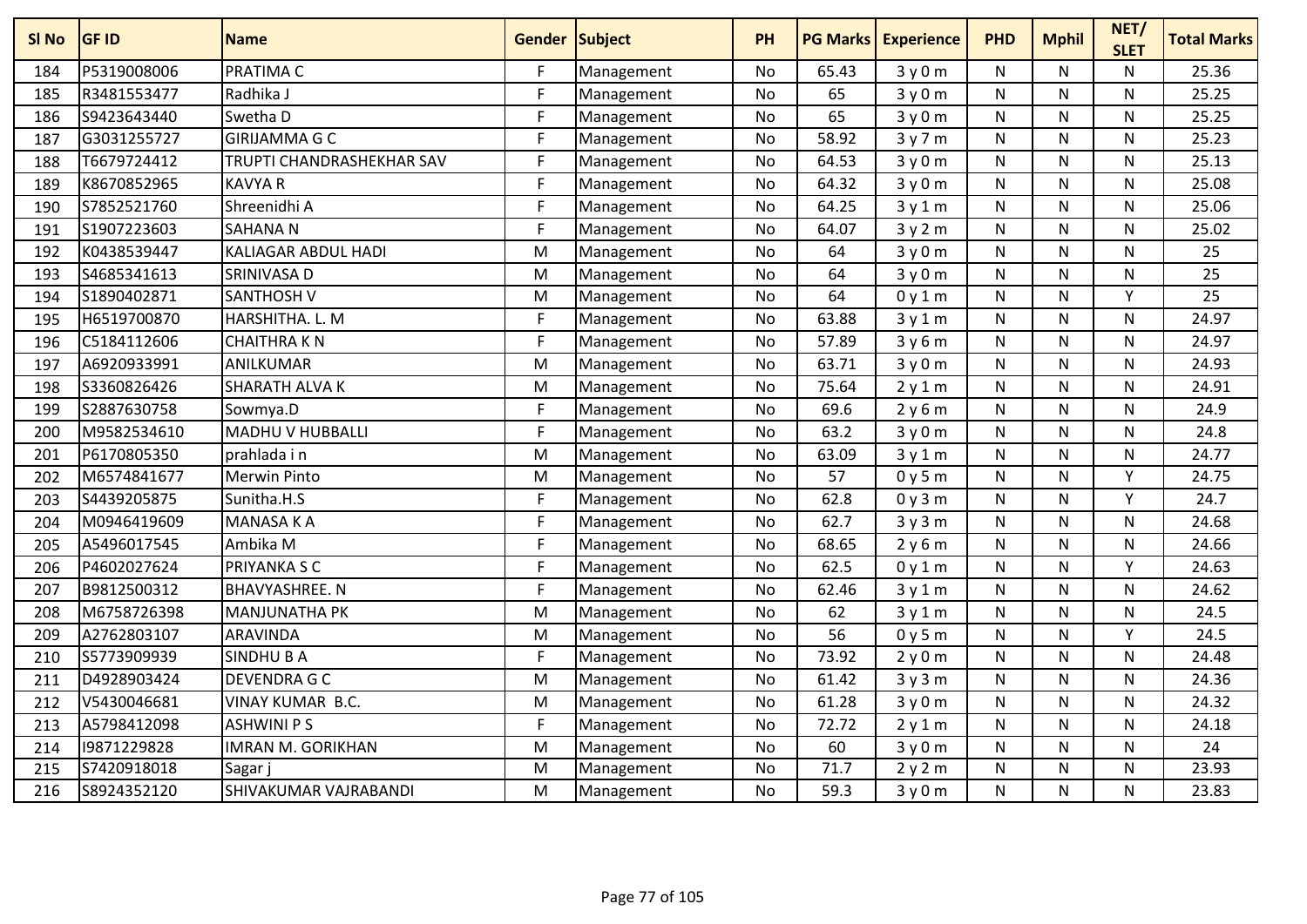| SI No | <b>GF ID</b> | <b>Name</b>               | <b>Gender Subject</b> |            | PH        | <b>PG Marks</b> | <b>Experience</b> | <b>PHD</b> | <b>Mphil</b> | NET/<br><b>SLET</b> | <b>Total Marks</b> |
|-------|--------------|---------------------------|-----------------------|------------|-----------|-----------------|-------------------|------------|--------------|---------------------|--------------------|
| 184   | P5319008006  | PRATIMA C                 | F                     | Management | No        | 65.43           | 3y0m              | N          | N            | N                   | 25.36              |
| 185   | R3481553477  | Radhika J                 | F                     | Management | No        | 65              | 3y0m              | N          | N            | N                   | 25.25              |
| 186   | S9423643440  | Swetha D                  | F                     | Management | No        | 65              | 3y0m              | N          | N            | N                   | 25.25              |
| 187   | G3031255727  | <b>GIRIJAMMA G C</b>      | F                     | Management | <b>No</b> | 58.92           | 3y7m              | N          | N            | N                   | 25.23              |
| 188   | T6679724412  | TRUPTI CHANDRASHEKHAR SAV | F                     | Management | No        | 64.53           | 3y0m              | N          | N            | N                   | 25.13              |
| 189   | K8670852965  | <b>KAVYA R</b>            | F                     | Management | No        | 64.32           | 3y0m              | N          | N            | N                   | 25.08              |
| 190   | S7852521760  | Shreenidhi A              | F                     | Management | <b>No</b> | 64.25           | 3y1m              | N          | N            | N                   | 25.06              |
| 191   | S1907223603  | <b>SAHANAN</b>            | F                     | Management | No        | 64.07           | 3y2m              | N          | N            | N                   | 25.02              |
| 192   | K0438539447  | KALIAGAR ABDUL HADI       | M                     | Management | No        | 64              | 3y0m              | N          | N            | N                   | 25                 |
| 193   | S4685341613  | SRINIVASA D               | M                     | Management | No        | 64              | 3y0m              | N          | N            | N                   | 25                 |
| 194   | S1890402871  | <b>SANTHOSH V</b>         | M                     | Management | No        | 64              | 0y1m              | N          | N            | Y                   | 25                 |
| 195   | H6519700870  | HARSHITHA. L. M           | F                     | Management | No        | 63.88           | 3y1m              | N          | N            | Ν                   | 24.97              |
| 196   | C5184112606  | <b>CHAITHRAKN</b>         | F                     | Management | No        | 57.89           | 3y6m              | N          | N            | N                   | 24.97              |
| 197   | A6920933991  | ANILKUMAR                 | M                     | Management | <b>No</b> | 63.71           | 3y0m              | N          | N            | Ν                   | 24.93              |
| 198   | S3360826426  | SHARATH ALVA K            | M                     | Management | <b>No</b> | 75.64           | 2y1m              | N          | N            | N                   | 24.91              |
| 199   | S2887630758  | Sowmya.D                  | F                     | Management | No        | 69.6            | 2y6m              | N          | N            | N                   | 24.9               |
| 200   | M9582534610  | <b>MADHU V HUBBALLI</b>   | F                     | Management | <b>No</b> | 63.2            | 3y0m              | N          | N            | N                   | 24.8               |
| 201   | P6170805350  | prahlada i n              | M                     | Management | No        | 63.09           | 3y1m              | N          | N            | $\mathsf{N}$        | 24.77              |
| 202   | M6574841677  | <b>Merwin Pinto</b>       | M                     | Management | No        | 57              | 0y5m              | N          | N            | Y                   | 24.75              |
| 203   | S4439205875  | Sunitha.H.S               | F                     | Management | No        | 62.8            | 0y3m              | N          | N            | Y                   | 24.7               |
| 204   | M0946419609  | MANASA K A                | F                     | Management | No        | 62.7            | 3y3m              | N          | N            | Ν                   | 24.68              |
| 205   | A5496017545  | Ambika M                  | F                     | Management | No        | 68.65           | 2y6m              | N          | N            | N                   | 24.66              |
| 206   | P4602027624  | PRIYANKA S C              | F                     | Management | No        | 62.5            | 0y1m              | N          | N            | Υ                   | 24.63              |
| 207   | B9812500312  | <b>BHAVYASHREE. N</b>     | F                     | Management | No        | 62.46           | 3y1m              | N          | N            | N                   | 24.62              |
| 208   | M6758726398  | <b>MANJUNATHA PK</b>      | M                     | Management | <b>No</b> | 62              | 3y1m              | N          | N            | N                   | 24.5               |
| 209   | A2762803107  | <b>ARAVINDA</b>           | M                     | Management | No        | 56              | 0y5m              | N          | N            | Y                   | 24.5               |
| 210   | S5773909939  | SINDHU B A                | F                     | Management | No        | 73.92           | 2y0m              | N          | N            | Ν                   | 24.48              |
| 211   | D4928903424  | <b>DEVENDRA G C</b>       | M                     | Management | No        | 61.42           | 3y3m              | N          | N            | N                   | 24.36              |
| 212   | V5430046681  | VINAY KUMAR B.C.          | M                     | Management | <b>No</b> | 61.28           | 3y0m              | N          | N            | $\mathsf{N}$        | 24.32              |
| 213   | A5798412098  | ASHWINI P S               | F                     | Management | No        | 72.72           | 2y1m              | N          | N            | Ν                   | 24.18              |
| 214   | 19871229828  | IMRAN M. GORIKHAN         | M                     | Management | No        | 60              | 3y0m              | N          | N            | N                   | 24                 |
| 215   | S7420918018  | Sagar                     | M                     | Management | <b>No</b> | 71.7            | 2y2m              | N          | N            | N                   | 23.93              |
| 216   | S8924352120  | SHIVAKUMAR VAJRABANDI     | M                     | Management | No        | 59.3            | 3y0m              | N          | N            | Ν                   | 23.83              |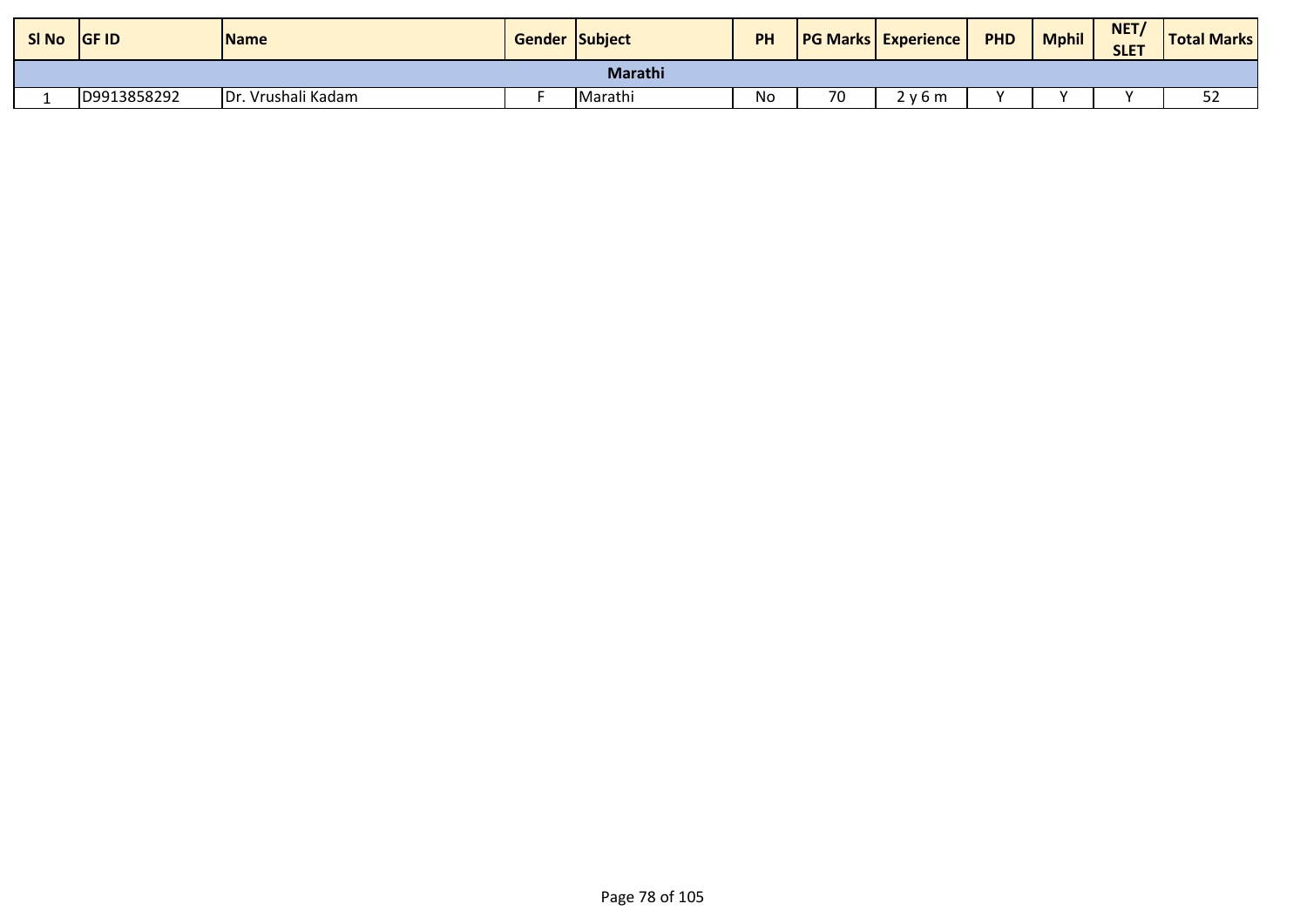| <b>SI No</b> | <b>GF ID</b> | <b>Name</b>        | <b>Gender Subject</b> |         | PH |    | <b>PG Marks Experience</b> | <b>PHD</b> | <b>Mphil</b> | NET/<br><b>SLET</b> | <b>Total Marks</b> |
|--------------|--------------|--------------------|-----------------------|---------|----|----|----------------------------|------------|--------------|---------------------|--------------------|
| Marathi      |              |                    |                       |         |    |    |                            |            |              |                     |                    |
|              | D9913858292  | Dr. Vrushali Kadam |                       | Marathi | No | 70 | ! v 6 m                    |            |              |                     | <u>.</u><br>ےر     |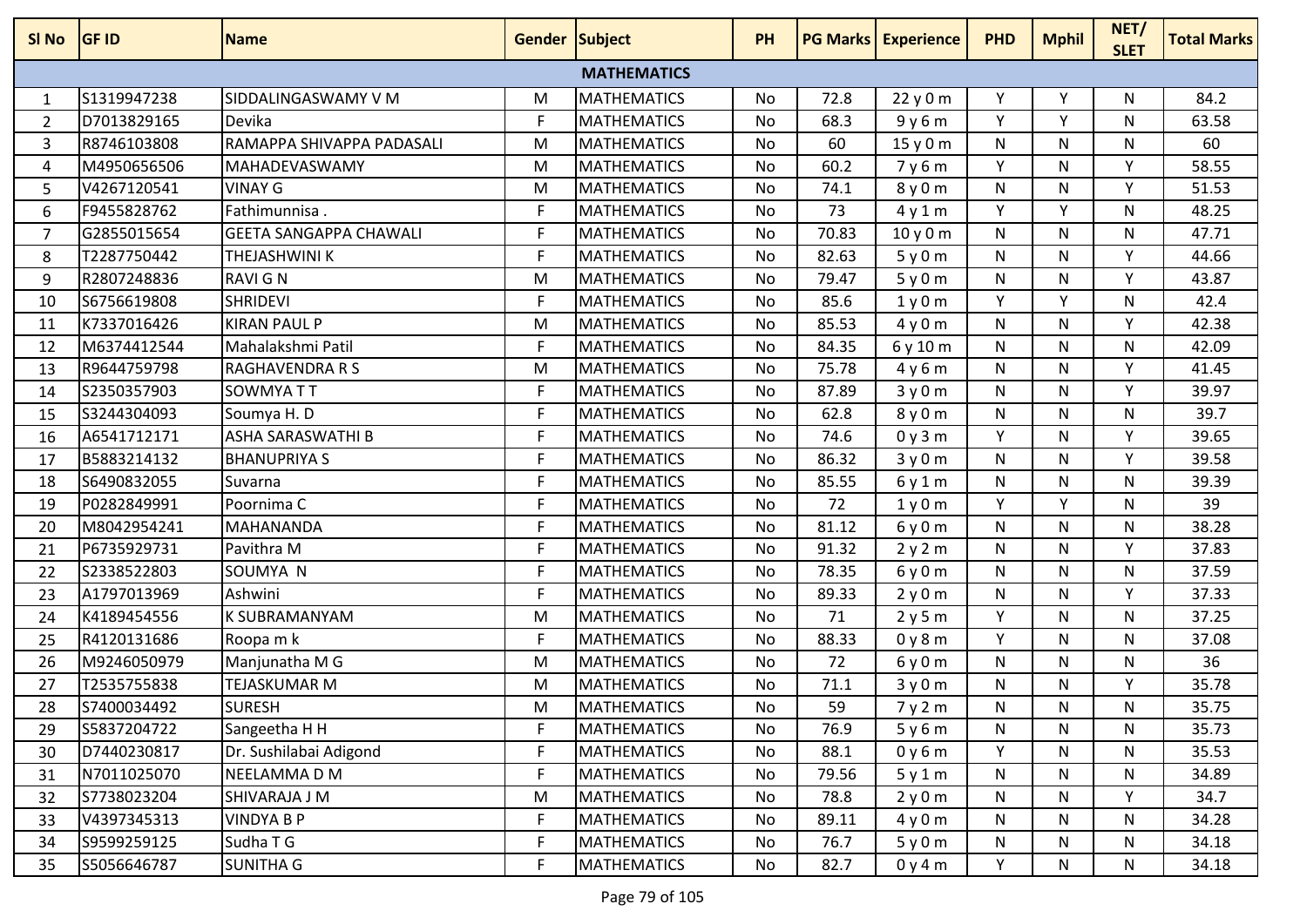| SI No | <b>GF ID</b> | <b>Name</b>                   | <b>Gender Subject</b> |                    | PH        |       | <b>PG Marks Experience</b> | <b>PHD</b> | <b>Mphil</b> | NET/<br><b>SLET</b> | <b>Total Marks</b> |
|-------|--------------|-------------------------------|-----------------------|--------------------|-----------|-------|----------------------------|------------|--------------|---------------------|--------------------|
|       |              |                               |                       | <b>MATHEMATICS</b> |           |       |                            |            |              |                     |                    |
| 1     | S1319947238  | SIDDALINGASWAMY V M           | M                     | <b>MATHEMATICS</b> | No        | 72.8  | 22y0m                      | Υ          | Υ            | N                   | 84.2               |
| 2     | D7013829165  | Devika                        | F                     | <b>MATHEMATICS</b> | No        | 68.3  | 9y6m                       | Y          | Y            | N                   | 63.58              |
| 3     | R8746103808  | RAMAPPA SHIVAPPA PADASALI     | M                     | <b>MATHEMATICS</b> | No        | 60    | 15 y 0 m                   | N          | N            | N                   | 60                 |
| 4     | M4950656506  | MAHADEVASWAMY                 | M                     | <b>MATHEMATICS</b> | No        | 60.2  | 7y6m                       | Y          | N            | Y                   | 58.55              |
| 5     | V4267120541  | <b>VINAY G</b>                | M                     | <b>MATHEMATICS</b> | No        | 74.1  | 8y0m                       | N          | N            | Y                   | 51.53              |
| 6     | F9455828762  | Fathimunnisa.                 | F                     | <b>MATHEMATICS</b> | <b>No</b> | 73    | 4y1m                       | Y          | Y            | N                   | 48.25              |
| 7     | G2855015654  | <b>GEETA SANGAPPA CHAWALI</b> | F                     | <b>MATHEMATICS</b> | No        | 70.83 | 10y0m                      | N          | N            | N                   | 47.71              |
| 8     | T2287750442  | THEJASHWINI K                 | F                     | <b>MATHEMATICS</b> | No        | 82.63 | 5y0m                       | N          | N            | Y                   | 44.66              |
| 9     | R2807248836  | <b>RAVIGN</b>                 | M                     | <b>MATHEMATICS</b> | No        | 79.47 | 5y0m                       | N          | N            | Υ                   | 43.87              |
| 10    | S6756619808  | <b>SHRIDEVI</b>               | F                     | <b>MATHEMATICS</b> | No        | 85.6  | 1y0m                       | Y          | Y            | N                   | 42.4               |
| 11    | K7337016426  | <b>KIRAN PAUL P</b>           | M                     | <b>MATHEMATICS</b> | No        | 85.53 | 4y0m                       | N          | N            | Y                   | 42.38              |
| 12    | M6374412544  | Mahalakshmi Patil             | F                     | <b>MATHEMATICS</b> | No        | 84.35 | 6 y 10 m                   | N          | N            | N                   | 42.09              |
| 13    | R9644759798  | <b>RAGHAVENDRA R S</b>        | M                     | <b>MATHEMATICS</b> | No        | 75.78 | 4y6m                       | N          | N            | Y                   | 41.45              |
| 14    | S2350357903  | SOWMYA TT                     | F                     | <b>MATHEMATICS</b> | No        | 87.89 | 3y0m                       | N          | N            | Y                   | 39.97              |
| 15    | S3244304093  | Soumya H.D                    | F                     | <b>MATHEMATICS</b> | <b>No</b> | 62.8  | 8y0m                       | N          | N            | N                   | 39.7               |
| 16    | A6541712171  | ASHA SARASWATHI B             | F                     | <b>MATHEMATICS</b> | No        | 74.6  | 0y3m                       | Y          | N            | Υ                   | 39.65              |
| 17    | B5883214132  | <b>BHANUPRIYA S</b>           | F                     | MATHEMATICS        | No        | 86.32 | 3y0m                       | N          | N            | Y                   | 39.58              |
| 18    | S6490832055  | Suvarna                       | F                     | <b>MATHEMATICS</b> | No        | 85.55 | 6y1m                       | N          | N            | N                   | 39.39              |
| 19    | P0282849991  | Poornima C                    | F                     | MATHEMATICS        | No        | 72    | 1y0m                       | Y          | Υ            | N                   | 39                 |
| 20    | M8042954241  | <b>MAHANANDA</b>              | F                     | <b>MATHEMATICS</b> | No        | 81.12 | 6y0m                       | N          | N            | N                   | 38.28              |
| 21    | P6735929731  | Pavithra M                    | F                     | <b>MATHEMATICS</b> | No        | 91.32 | 2y2m                       | N          | N            | Υ                   | 37.83              |
| 22    | S2338522803  | SOUMYA N                      | F                     | MATHEMATICS        | No        | 78.35 | 6y0m                       | N          | N            | N                   | 37.59              |
| 23    | A1797013969  | Ashwini                       | F                     | <b>MATHEMATICS</b> | No        | 89.33 | 2y0m                       | N          | N            | Y                   | 37.33              |
| 24    | K4189454556  | <b>K SUBRAMANYAM</b>          | M                     | <b>MATHEMATICS</b> | No        | 71    | 2y5m                       | Y          | N            | N                   | 37.25              |
| 25    | R4120131686  | Roopa m k                     | F                     | <b>MATHEMATICS</b> | No        | 88.33 | 0y8m                       | Y          | N            | N                   | 37.08              |
| 26    | M9246050979  | Manjunatha M G                | M                     | <b>MATHEMATICS</b> | No        | 72    | 6y0m                       | N          | N            | N                   | 36                 |
| 27    | T2535755838  | TEJASKUMAR M                  | M                     | <b>MATHEMATICS</b> | No        | 71.1  | 3y0m                       | N          | N            | Υ                   | 35.78              |
| 28    | S7400034492  | <b>SURESH</b>                 | M                     | <b>MATHEMATICS</b> | No        | 59    | 7y2m                       | N          | N            | N                   | 35.75              |
| 29    | S5837204722  | Sangeetha H H                 | F                     | <b>MATHEMATICS</b> | No        | 76.9  | 5y6m                       | N          | N            | N                   | 35.73              |
| 30    | D7440230817  | Dr. Sushilabai Adigond        | $\mathsf F$           | <b>MATHEMATICS</b> | No        | 88.1  | 0y6m                       | Y          | N            | N                   | 35.53              |
| 31    | N7011025070  | NEELAMMA D M                  | F                     | <b>MATHEMATICS</b> | No        | 79.56 | 5y1m                       | N          | N            | N                   | 34.89              |
| 32    | S7738023204  | SHIVARAJA J M                 | M                     | <b>MATHEMATICS</b> | No        | 78.8  | 2y0m                       | N          | N            | Y                   | 34.7               |
| 33    | V4397345313  | <b>VINDYA B P</b>             | F                     | <b>MATHEMATICS</b> | No        | 89.11 | 4y0m                       | N          | N            | N                   | 34.28              |
| 34    | S9599259125  | Sudha T G                     | F                     | <b>MATHEMATICS</b> | No        | 76.7  | 5y0m                       | N          | N            | N                   | 34.18              |
| 35    | S5056646787  | <b>SUNITHA G</b>              | F                     | <b>MATHEMATICS</b> | No        | 82.7  | 0y4m                       | Y          | N            | N                   | 34.18              |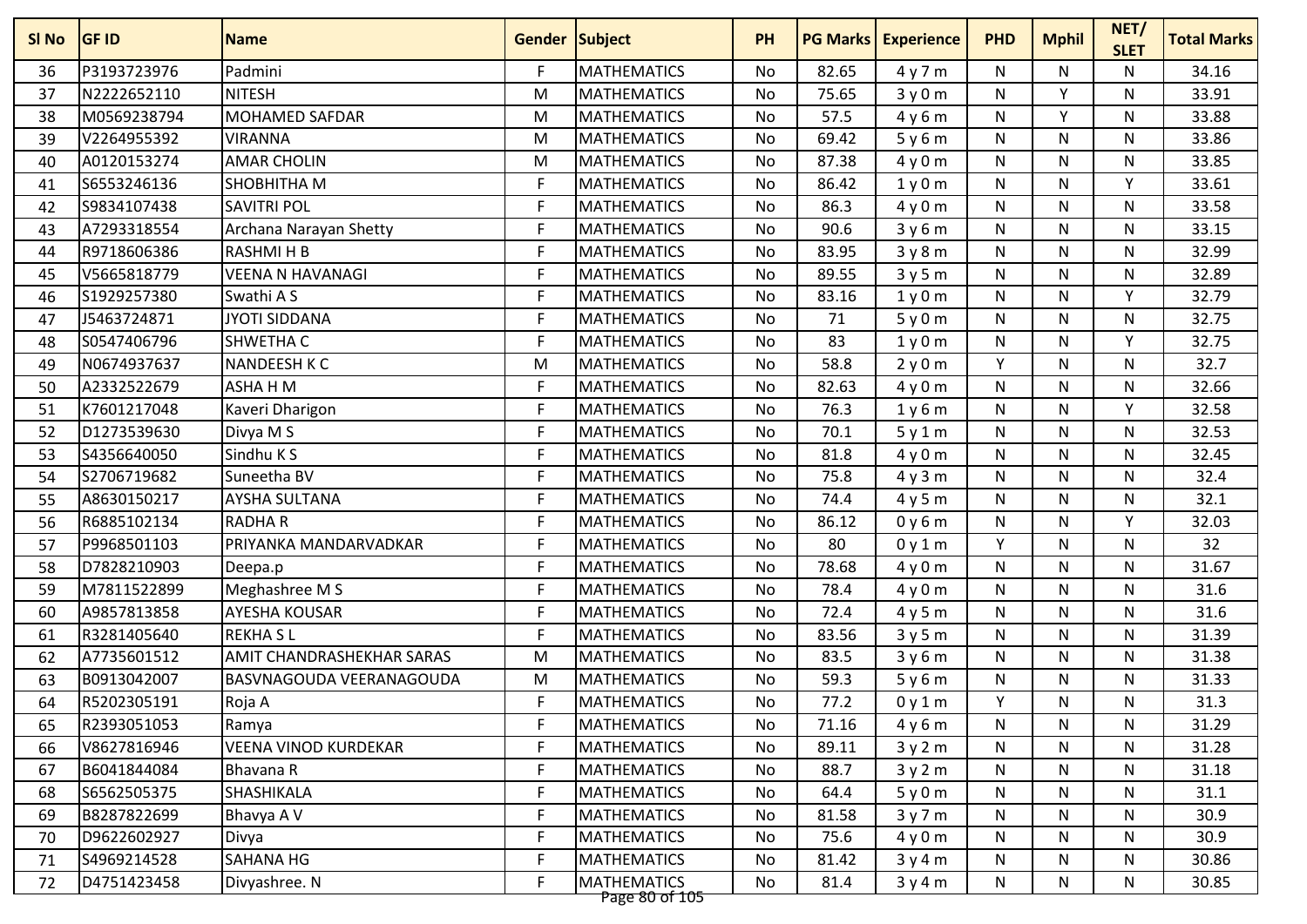| SI <sub>No</sub> | <b>GF ID</b> | <b>Name</b>                      | <b>Gender Subject</b> |                                      | <b>PH</b> |       | <b>PG Marks Experience</b> | <b>PHD</b>   | <b>Mphil</b> | NET/<br><b>SLET</b> | <b>Total Marks</b> |
|------------------|--------------|----------------------------------|-----------------------|--------------------------------------|-----------|-------|----------------------------|--------------|--------------|---------------------|--------------------|
| 36               | P3193723976  | Padmini                          | F.                    | <b>MATHEMATICS</b>                   | <b>No</b> | 82.65 | 4y7m                       | N            | N            | N                   | 34.16              |
| 37               | N2222652110  | <b>NITESH</b>                    | M                     | <b>MATHEMATICS</b>                   | No        | 75.65 | 3y0m                       | N            | $\checkmark$ | N                   | 33.91              |
| 38               | M0569238794  | <b>MOHAMED SAFDAR</b>            | M                     | <b>MATHEMATICS</b>                   | No        | 57.5  | 4y6m                       | $\mathsf{N}$ | Y            | N                   | 33.88              |
| 39               | V2264955392  | <b>VIRANNA</b>                   | M                     | <b>MATHEMATICS</b>                   | No        | 69.42 | 5y6m                       | N            | $\mathsf{N}$ | N                   | 33.86              |
| 40               | A0120153274  | <b>AMAR CHOLIN</b>               | M                     | <b>MATHEMATICS</b>                   | No        | 87.38 | 4y0m                       | N            | $\mathsf{N}$ | N                   | 33.85              |
| 41               | S6553246136  | <b>SHOBHITHA M</b>               | F                     | <b>MATHEMATICS</b>                   | <b>No</b> | 86.42 | 1y0m                       | N            | N            | Y                   | 33.61              |
| 42               | S9834107438  | <b>SAVITRI POL</b>               | F                     | <b>MATHEMATICS</b>                   | No        | 86.3  | 4y0m                       | N            | N            | N                   | 33.58              |
| 43               | A7293318554  | Archana Narayan Shetty           | F                     | <b>MATHEMATICS</b>                   | <b>No</b> | 90.6  | 3y6m                       | $\mathsf{N}$ | N            | N                   | 33.15              |
| 44               | R9718606386  | <b>RASHMIHB</b>                  | F                     | <b>MATHEMATICS</b>                   | No        | 83.95 | 3y8m                       | $\mathsf{N}$ | $\mathsf{N}$ | N                   | 32.99              |
| 45               | V5665818779  | <b>VEENA N HAVANAGI</b>          | F                     | <b>MATHEMATICS</b>                   | No        | 89.55 | 3y5m                       | $\mathsf{N}$ | $\mathsf{N}$ | N                   | 32.89              |
| 46               | S1929257380  | Swathi A S                       | F.                    | <b>MATHEMATICS</b>                   | No        | 83.16 | 1y0m                       | N            | N            | Y                   | 32.79              |
| 47               | J5463724871  | <b>JYOTI SIDDANA</b>             | F                     | <b>MATHEMATICS</b>                   | No        | 71    | 5y0m                       | N            | N            | N                   | 32.75              |
| 48               | S0547406796  | <b>SHWETHA C</b>                 | F                     | <b>MATHEMATICS</b>                   | <b>No</b> | 83    | 1y0m                       | $\mathsf{N}$ | $\mathsf{N}$ | Y                   | 32.75              |
| 49               | N0674937637  | <b>NANDEESH K C</b>              | M                     | <b>MATHEMATICS</b>                   | No        | 58.8  | 2y0m                       | Y            | N            | N                   | 32.7               |
| 50               | A2332522679  | ASHA H M                         | F                     | <b>MATHEMATICS</b>                   | <b>No</b> | 82.63 | 4y0m                       | $\mathsf{N}$ | $\mathsf{N}$ | $\mathsf{N}$        | 32.66              |
| 51               | K7601217048  | Kaveri Dharigon                  | F                     | <b>MATHEMATICS</b>                   | No        | 76.3  | 1y6m                       | N            | N            | Υ                   | 32.58              |
| 52               | D1273539630  | Divya M S                        | F                     | <b>MATHEMATICS</b>                   | No        | 70.1  | 5y1m                       | N            | N            | N                   | 32.53              |
| 53               | S4356640050  | Sindhu K S                       | F                     | <b>MATHEMATICS</b>                   | No        | 81.8  | 4y0m                       | N            | N            | N                   | 32.45              |
| 54               | S2706719682  | Suneetha BV                      | F                     | <b>MATHEMATICS</b>                   | No        | 75.8  | 4y3m                       | N            | N            | N                   | 32.4               |
| 55               | A8630150217  | <b>AYSHA SULTANA</b>             | F                     | <b>MATHEMATICS</b>                   | <b>No</b> | 74.4  | 4y5m                       | N            | N            | N                   | 32.1               |
| 56               | R6885102134  | <b>RADHAR</b>                    | F                     | <b>MATHEMATICS</b>                   | No        | 86.12 | 0y6m                       | N            | N            | $\mathsf{v}$        | 32.03              |
| 57               | P9968501103  | PRIYANKA MANDARVADKAR            | F                     | <b>MATHEMATICS</b>                   | No        | 80    | 0y1m                       | Y            | $\mathsf{N}$ | N                   | 32                 |
| 58               | D7828210903  | Deepa.p                          | F                     | <b>MATHEMATICS</b>                   | No        | 78.68 | 4y0m                       | N            | $\mathsf{N}$ | N                   | 31.67              |
| 59               | M7811522899  | Meghashree M S                   | F                     | <b>MATHEMATICS</b>                   | No        | 78.4  | 4y0m                       | N            | N            | N                   | 31.6               |
| 60               | A9857813858  | <b>AYESHA KOUSAR</b>             | F                     | <b>MATHEMATICS</b>                   | No        | 72.4  | 4y5m                       | N            | N            | N                   | 31.6               |
| 61               | R3281405640  | <b>REKHASL</b>                   | F                     | <b>MATHEMATICS</b>                   | No        | 83.56 | 3y5m                       | N            | N            | N                   | 31.39              |
| 62               | A7735601512  | <b>AMIT CHANDRASHEKHAR SARAS</b> | M                     | <b>MATHEMATICS</b>                   | No        | 83.5  | 3y6m                       | N            | $\mathsf{N}$ | N                   | 31.38              |
| 63               | B0913042007  | BASVNAGOUDA VEERANAGOUDA         | M                     | <b>MATHEMATICS</b>                   | No        | 59.3  | 5y6m                       | N            | N            | N                   | 31.33              |
| 64               | R5202305191  | Roja A                           | F                     | <b>MATHEMATICS</b>                   | No        | 77.2  | 0y1m                       | Y            | N            | N                   | 31.3               |
| 65               | R2393051053  | Ramya                            | F                     | <b>MATHEMATICS</b>                   | No        | 71.16 | 4y6m                       | N            | N            | N                   | 31.29              |
| 66               | V8627816946  | <b>VEENA VINOD KURDEKAR</b>      | F.                    | <b>MATHEMATICS</b>                   | No        | 89.11 | 3y2m                       | N            | N            | N                   | 31.28              |
| 67               | B6041844084  | Bhavana R                        | F                     | <b>MATHEMATICS</b>                   | No        | 88.7  | 3y2m                       | N            | $\mathsf{N}$ | N                   | 31.18              |
| 68               | S6562505375  | SHASHIKALA                       | F                     | <b>MATHEMATICS</b>                   | No        | 64.4  | 5y0m                       | N            | N.           | N                   | 31.1               |
| 69               | B8287822699  | Bhavya A V                       | F                     | <b>MATHEMATICS</b>                   | No        | 81.58 | 3y7m                       | $\mathsf{N}$ | $\mathsf{N}$ | N                   | 30.9               |
| 70               | D9622602927  | Divya                            | F                     | <b>MATHEMATICS</b>                   | No        | 75.6  | 4y0m                       | N            | N            | N                   | 30.9               |
| 71               | S4969214528  | SAHANA HG                        | F                     | <b>MATHEMATICS</b>                   | No        | 81.42 | 3y4m                       | N            | N            | N                   | 30.86              |
| 72               | D4751423458  | Divyashree. N                    | F                     | <b>MATHEMATICS</b><br>Page 80 of 105 | No        | 81.4  | 3y4m                       | N            | N            | N                   | 30.85              |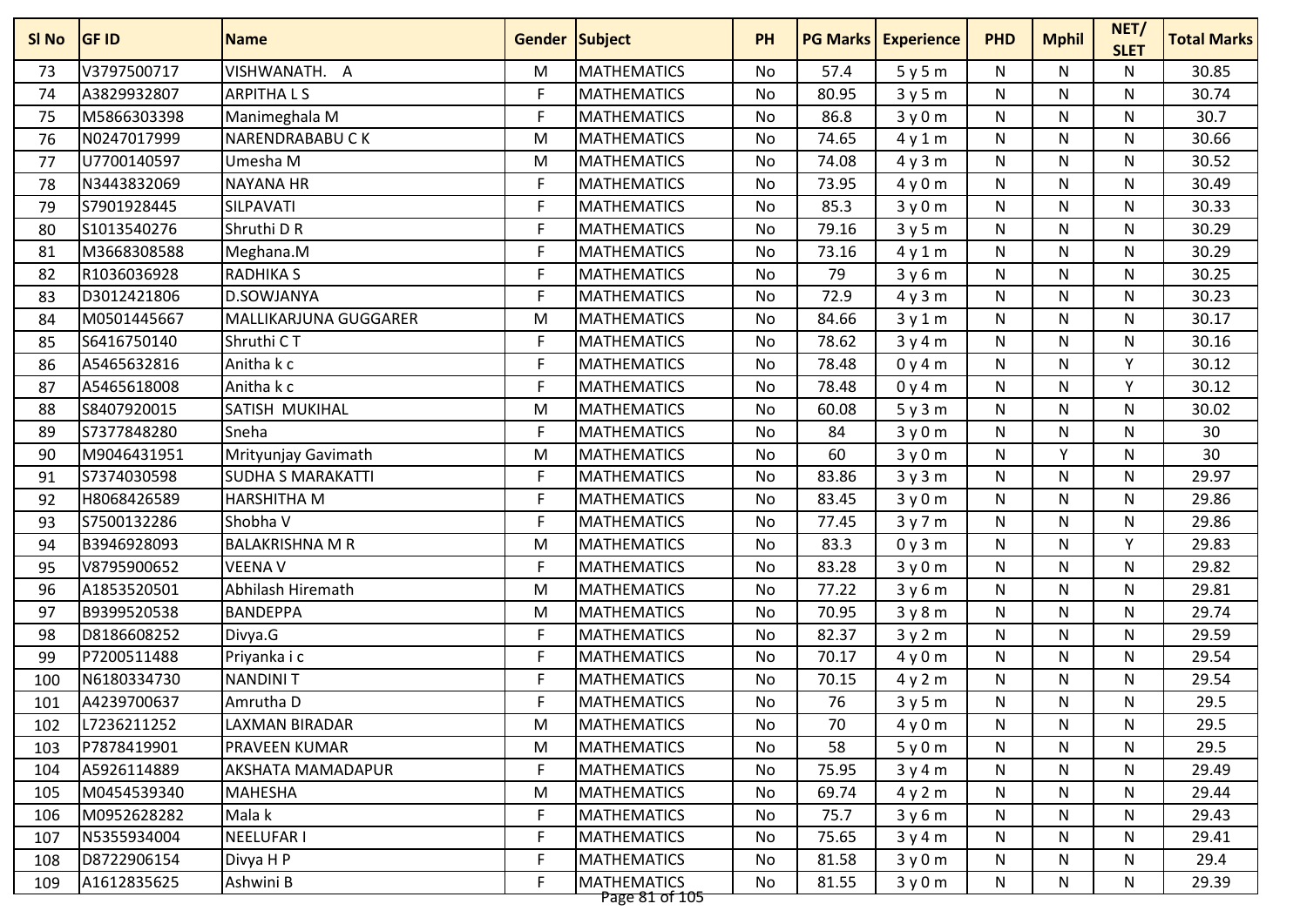| V3797500717<br>VISHWANATH. A<br><b>MATHEMATICS</b><br>57.4<br>M<br>5y5m<br>N<br>N<br>N<br>73<br>No<br><b>ARPITHALS</b><br>F<br>A3829932807<br><b>MATHEMATICS</b><br>80.95<br>N<br>N<br>74<br>No<br>3y5m<br>N<br>86.8<br>M5866303398<br>Manimeghala M<br>F<br><b>MATHEMATICS</b><br>${\sf N}$<br>N<br>$\mathsf{N}$<br>75<br><b>No</b><br>3y0m<br>N0247017999<br><b>MATHEMATICS</b><br>74.65<br>NARENDRABABUCK<br>No<br>${\sf N}$<br>N<br>N<br>76<br>M<br>4y1m<br><b>MATHEMATICS</b><br>77<br>U7700140597<br>Umesha M<br>No<br>74.08<br>4y3m<br>${\sf N}$<br>N<br>N<br>M<br>N3443832069<br><b>NAYANA HR</b><br>F<br><b>MATHEMATICS</b><br>73.95<br>N<br>78<br>No<br>4y0m<br>N.<br>N<br>F<br>S7901928445<br>SILPAVATI<br><b>MATHEMATICS</b><br>85.3<br>${\sf N}$<br>N<br>79<br>No<br>3y0m<br>N | 30.85<br>30.74<br>30.7<br>30.66<br>30.52<br>30.49<br>30.33<br>30.29<br>30.29<br>30.25<br>30.23<br>30.17<br>30.16 |
|---------------------------------------------------------------------------------------------------------------------------------------------------------------------------------------------------------------------------------------------------------------------------------------------------------------------------------------------------------------------------------------------------------------------------------------------------------------------------------------------------------------------------------------------------------------------------------------------------------------------------------------------------------------------------------------------------------------------------------------------------------------------------------------------|------------------------------------------------------------------------------------------------------------------|
|                                                                                                                                                                                                                                                                                                                                                                                                                                                                                                                                                                                                                                                                                                                                                                                             |                                                                                                                  |
|                                                                                                                                                                                                                                                                                                                                                                                                                                                                                                                                                                                                                                                                                                                                                                                             |                                                                                                                  |
|                                                                                                                                                                                                                                                                                                                                                                                                                                                                                                                                                                                                                                                                                                                                                                                             |                                                                                                                  |
|                                                                                                                                                                                                                                                                                                                                                                                                                                                                                                                                                                                                                                                                                                                                                                                             |                                                                                                                  |
|                                                                                                                                                                                                                                                                                                                                                                                                                                                                                                                                                                                                                                                                                                                                                                                             |                                                                                                                  |
|                                                                                                                                                                                                                                                                                                                                                                                                                                                                                                                                                                                                                                                                                                                                                                                             |                                                                                                                  |
|                                                                                                                                                                                                                                                                                                                                                                                                                                                                                                                                                                                                                                                                                                                                                                                             |                                                                                                                  |
| S1013540276<br>Shruthi D R<br>F<br><b>MATHEMATICS</b><br>79.16<br>80<br><b>No</b><br>N<br>N<br>N<br>3y5m                                                                                                                                                                                                                                                                                                                                                                                                                                                                                                                                                                                                                                                                                    |                                                                                                                  |
| F<br>M3668308588<br><b>MATHEMATICS</b><br>No<br>73.16<br>N<br>N<br>N<br>81<br>Meghana.M<br>4y1m                                                                                                                                                                                                                                                                                                                                                                                                                                                                                                                                                                                                                                                                                             |                                                                                                                  |
| R1036036928<br><b>RADHIKA S</b><br>F<br><b>MATHEMATICS</b><br>79<br>${\sf N}$<br>N<br>82<br>No<br>3y6m<br>N                                                                                                                                                                                                                                                                                                                                                                                                                                                                                                                                                                                                                                                                                 |                                                                                                                  |
| D3012421806<br>D.SOWJANYA<br>F<br><b>MATHEMATICS</b><br>72.9<br>No<br>${\sf N}$<br>N<br>N<br>83<br>4y3m                                                                                                                                                                                                                                                                                                                                                                                                                                                                                                                                                                                                                                                                                     |                                                                                                                  |
| M0501445667<br>MALLIKARJUNA GUGGARER<br><b>MATHEMATICS</b><br>84.66<br>N<br>$\mathsf{N}$<br>84<br>M<br>No<br>3y1m<br>N                                                                                                                                                                                                                                                                                                                                                                                                                                                                                                                                                                                                                                                                      |                                                                                                                  |
| S6416750140<br>Shruthi CT<br>F<br><b>MATHEMATICS</b><br>78.62<br><b>No</b><br>${\sf N}$<br>N<br>N<br>85<br>3y4m                                                                                                                                                                                                                                                                                                                                                                                                                                                                                                                                                                                                                                                                             |                                                                                                                  |
| F<br>A5465632816<br>Anitha k c<br><b>MATHEMATICS</b><br>78.48<br>${\sf N}$<br>N<br>Y<br>86<br>No<br>0y4m                                                                                                                                                                                                                                                                                                                                                                                                                                                                                                                                                                                                                                                                                    | 30.12                                                                                                            |
| Anitha k c<br>F<br>A5465618008<br><b>MATHEMATICS</b><br>78.48<br>$\mathsf{N}$<br>N<br>Υ<br>87<br><b>No</b><br>0y4m                                                                                                                                                                                                                                                                                                                                                                                                                                                                                                                                                                                                                                                                          | 30.12                                                                                                            |
| S8407920015<br>SATISH MUKIHAL<br><b>MATHEMATICS</b><br>60.08<br>N<br>N<br>N<br>88<br>M<br>No<br>5y3m                                                                                                                                                                                                                                                                                                                                                                                                                                                                                                                                                                                                                                                                                        | 30.02                                                                                                            |
| S7377848280<br>Sneha<br><b>MATHEMATICS</b><br>84<br>89<br>F<br>No<br>3y0m<br>N<br>N<br>N                                                                                                                                                                                                                                                                                                                                                                                                                                                                                                                                                                                                                                                                                                    | 30                                                                                                               |
| 60<br>Y<br>M9046431951<br>Mrityunjay Gavimath<br><b>MATHEMATICS</b><br><b>No</b><br>3y0m<br>N<br>N<br>90<br>M                                                                                                                                                                                                                                                                                                                                                                                                                                                                                                                                                                                                                                                                               | 30                                                                                                               |
| S7374030598<br>F<br>83.86<br>N<br>91<br><b>SUDHA S MARAKATTI</b><br><b>MATHEMATICS</b><br>No<br>3y3m<br>N<br>N                                                                                                                                                                                                                                                                                                                                                                                                                                                                                                                                                                                                                                                                              | 29.97                                                                                                            |
| H8068426589<br>F<br><b>MATHEMATICS</b><br>83.45<br><b>HARSHITHA M</b><br>3y0m<br>N<br>N<br>N<br>92<br>No                                                                                                                                                                                                                                                                                                                                                                                                                                                                                                                                                                                                                                                                                    | 29.86                                                                                                            |
| F<br>S7500132286<br>Shobha V<br><b>MATHEMATICS</b><br>77.45<br>N<br>N<br>N<br>93<br>No<br>3y7m                                                                                                                                                                                                                                                                                                                                                                                                                                                                                                                                                                                                                                                                                              | 29.86                                                                                                            |
| B3946928093<br><b>BALAKRISHNA M R</b><br><b>MATHEMATICS</b><br>83.3<br>${\sf N}$<br>N<br>Y<br>94<br>M<br><b>No</b><br>0y3m                                                                                                                                                                                                                                                                                                                                                                                                                                                                                                                                                                                                                                                                  | 29.83                                                                                                            |
| V8795900652<br>F<br><b>MATHEMATICS</b><br>83.28<br><b>VEENA V</b><br>No<br>${\sf N}$<br>N.<br>N<br>95<br>3y0m                                                                                                                                                                                                                                                                                                                                                                                                                                                                                                                                                                                                                                                                               | 29.82                                                                                                            |
| Abhilash Hiremath<br><b>MATHEMATICS</b><br>96<br>A1853520501<br>77.22<br>${\sf N}$<br>N<br>N<br>M<br>No<br>3y6m                                                                                                                                                                                                                                                                                                                                                                                                                                                                                                                                                                                                                                                                             | 29.81                                                                                                            |
| B9399520538<br><b>BANDEPPA</b><br><b>MATHEMATICS</b><br>70.95<br>N<br>97<br>M<br>No<br>3y8m<br>N.<br>N.                                                                                                                                                                                                                                                                                                                                                                                                                                                                                                                                                                                                                                                                                     | 29.74                                                                                                            |
| D8186608252<br>F<br><b>MATHEMATICS</b><br>82.37<br>${\sf N}$<br>N<br>98<br>Divya.G<br>No<br>3y2m<br>N                                                                                                                                                                                                                                                                                                                                                                                                                                                                                                                                                                                                                                                                                       | 29.59                                                                                                            |
| F<br><b>MATHEMATICS</b><br>70.17<br>99<br>P7200511488<br><b>No</b><br>N<br>N<br>N<br>Priyanka i c<br>4y0m                                                                                                                                                                                                                                                                                                                                                                                                                                                                                                                                                                                                                                                                                   | 29.54                                                                                                            |
| F<br>N6180334730<br><b>NANDINIT</b><br><b>MATHEMATICS</b><br>70.15<br>${\sf N}$<br>N<br>N<br>100<br>No<br>4y2m                                                                                                                                                                                                                                                                                                                                                                                                                                                                                                                                                                                                                                                                              | 29.54                                                                                                            |
| A4239700637<br>F<br><b>MATHEMATICS</b><br>76<br>Amrutha D<br>N<br>N<br>N<br>101<br>No<br>3y5m                                                                                                                                                                                                                                                                                                                                                                                                                                                                                                                                                                                                                                                                                               | 29.5                                                                                                             |
| L7236211252<br>LAXMAN BIRADAR<br><b>MATHEMATICS</b><br>No<br>4y0m<br>N<br>N<br>102<br>M<br>70<br>N                                                                                                                                                                                                                                                                                                                                                                                                                                                                                                                                                                                                                                                                                          | 29.5                                                                                                             |
| P7878419901<br><b>MATHEMATICS</b><br>103<br>PRAVEEN KUMAR<br>M<br>No<br>58<br>5y0m<br>N<br>N<br>N                                                                                                                                                                                                                                                                                                                                                                                                                                                                                                                                                                                                                                                                                           | 29.5                                                                                                             |
| F<br>A5926114889<br><b>MATHEMATICS</b><br>75.95<br>N<br>AKSHATA MAMADAPUR<br>No<br>N<br>N<br>104<br>3y4m                                                                                                                                                                                                                                                                                                                                                                                                                                                                                                                                                                                                                                                                                    | 29.49                                                                                                            |
| M0454539340<br><b>MAHESHA</b><br>M<br><b>MATHEMATICS</b><br>69.74<br>N<br>105<br>No<br>4y2m<br>N<br>N                                                                                                                                                                                                                                                                                                                                                                                                                                                                                                                                                                                                                                                                                       | 29.44                                                                                                            |
| F<br>${\sf N}$<br>$\mathsf{N}$<br>$\mathsf{N}$<br>M0952628282<br>Mala k<br><b>MATHEMATICS</b><br>75.7<br>106<br>No<br>3y6m                                                                                                                                                                                                                                                                                                                                                                                                                                                                                                                                                                                                                                                                  | 29.43                                                                                                            |
| N5355934004<br>F<br><b>MATHEMATICS</b><br><b>NEELUFARI</b><br>No<br>75.65<br>N<br>N<br>N<br>107<br>3y4m                                                                                                                                                                                                                                                                                                                                                                                                                                                                                                                                                                                                                                                                                     | 29.41                                                                                                            |
| D8722906154<br>Divya H P<br>F<br><b>MATHEMATICS</b><br>81.58<br>108<br>No<br>3y0m<br>N<br>N<br>N                                                                                                                                                                                                                                                                                                                                                                                                                                                                                                                                                                                                                                                                                            | 29.4                                                                                                             |
| F<br><b>MATHEMATICS</b><br>A1612835625<br>Ashwini B<br>81.55<br>N<br>N<br>No<br>3y0m<br>N.<br>109<br>Page 81 of 105                                                                                                                                                                                                                                                                                                                                                                                                                                                                                                                                                                                                                                                                         | 29.39                                                                                                            |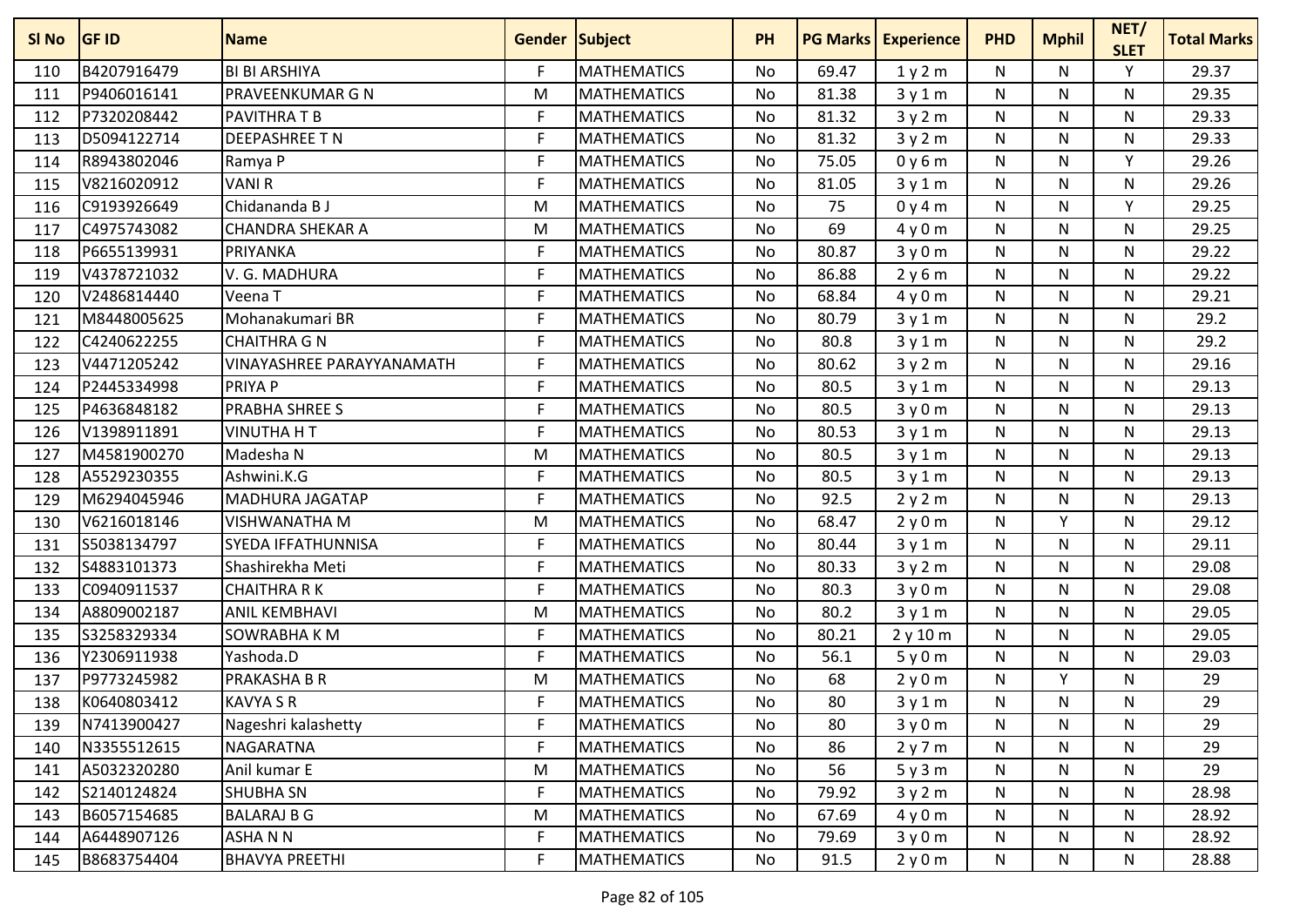| SI <sub>No</sub> | <b>GF ID</b> | <b>Name</b>               | <b>Gender Subject</b> |                    | <b>PH</b> | <b>PG Marks</b> | <b>Experience</b> | <b>PHD</b>   | <b>Mphil</b> | NET/<br><b>SLET</b> | <b>Total Marks</b> |
|------------------|--------------|---------------------------|-----------------------|--------------------|-----------|-----------------|-------------------|--------------|--------------|---------------------|--------------------|
| 110              | B4207916479  | <b>BI BI ARSHIYA</b>      | F                     | <b>MATHEMATICS</b> | <b>No</b> | 69.47           | 1y2m              | N            | N            | Υ                   | 29.37              |
| 111              | P9406016141  | PRAVEENKUMAR G N          | M                     | <b>MATHEMATICS</b> | No        | 81.38           | 3y1m              | N            | N            | N                   | 29.35              |
| 112              | P7320208442  | <b>PAVITHRA T B</b>       | F                     | <b>MATHEMATICS</b> | <b>No</b> | 81.32           | 3y2m              | N            | N            | N                   | 29.33              |
| 113              | D5094122714  | <b>DEEPASHREE T N</b>     | F                     | <b>MATHEMATICS</b> | <b>No</b> | 81.32           | 3y2m              | N            | N.           | N                   | 29.33              |
| 114              | R8943802046  | Ramya P                   | F                     | <b>MATHEMATICS</b> | No        | 75.05           | 0y6m              | N            | N            | Y                   | 29.26              |
| 115              | V8216020912  | <b>VANIR</b>              | F                     | <b>MATHEMATICS</b> | No        | 81.05           | 3y1m              | N            | N.           | N                   | 29.26              |
| 116              | C9193926649  | Chidananda B J            | M                     | <b>MATHEMATICS</b> | No        | 75              | 0y4m              | N            | N            | Y                   | 29.25              |
| 117              | C4975743082  | <b>CHANDRA SHEKAR A</b>   | M                     | <b>MATHEMATICS</b> | <b>No</b> | 69              | 4y0m              | N            | N            | N                   | 29.25              |
| 118              | P6655139931  | PRIYANKA                  | F                     | <b>MATHEMATICS</b> | <b>No</b> | 80.87           | 3y0m              | N            | N            | N                   | 29.22              |
| 119              | V4378721032  | V. G. MADHURA             | F                     | <b>MATHEMATICS</b> | No        | 86.88           | 2y6m              | N            | N            | N                   | 29.22              |
| 120              | V2486814440  | Veena T                   | F                     | <b>MATHEMATICS</b> | No        | 68.84           | 4y0m              | N            | N.           | N                   | 29.21              |
| 121              | M8448005625  | Mohanakumari BR           | F                     | <b>MATHEMATICS</b> | No        | 80.79           | 3y1m              | $\mathsf{N}$ | N            | N                   | 29.2               |
| 122              | C4240622255  | <b>CHAITHRA G N</b>       | F                     | <b>MATHEMATICS</b> | No        | 80.8            | 3y1m              | N            | N            | N                   | 29.2               |
| 123              | V4471205242  | VINAYASHREE PARAYYANAMATH | F                     | <b>MATHEMATICS</b> | No        | 80.62           | 3y2m              | N            | N            | N                   | 29.16              |
| 124              | P2445334998  | <b>PRIYA P</b>            | F                     | <b>MATHEMATICS</b> | <b>No</b> | 80.5            | 3y1m              | $\mathsf{N}$ | N            | N                   | 29.13              |
| 125              | P4636848182  | PRABHA SHREE S            | F                     | <b>MATHEMATICS</b> | No        | 80.5            | 3y0m              | N            | N            | N                   | 29.13              |
| 126              | V1398911891  | <b>VINUTHA H T</b>        | F                     | <b>MATHEMATICS</b> | No        | 80.53           | 3y1m              | N            | N            | N                   | 29.13              |
| 127              | M4581900270  | Madesha N                 | M                     | <b>MATHEMATICS</b> | No        | 80.5            | 3y1m              | N            | N.           | N                   | 29.13              |
| 128              | A5529230355  | Ashwini.K.G               | F                     | <b>MATHEMATICS</b> | No        | 80.5            | 3y1m              | N            | N            | N                   | 29.13              |
| 129              | M6294045946  | <b>MADHURA JAGATAP</b>    | F                     | <b>MATHEMATICS</b> | No        | 92.5            | 2y2m              | N            | N            | N                   | 29.13              |
| 130              | V6216018146  | <b>VISHWANATHA M</b>      | M                     | <b>MATHEMATICS</b> | No        | 68.47           | 2y0m              | N            | $\checkmark$ | N                   | 29.12              |
| 131              | S5038134797  | SYEDA IFFATHUNNISA        | F                     | <b>MATHEMATICS</b> | <b>No</b> | 80.44           | 3y1m              | N            | N            | N                   | 29.11              |
| 132              | S4883101373  | Shashirekha Meti          | F                     | <b>MATHEMATICS</b> | <b>No</b> | 80.33           | 3y2m              | N            | N.           | N                   | 29.08              |
| 133              | C0940911537  | <b>CHAITHRA R K</b>       | F                     | <b>MATHEMATICS</b> | No        | 80.3            | 3y0m              | N            | N            | N                   | 29.08              |
| 134              | A8809002187  | <b>ANIL KEMBHAVI</b>      | M                     | <b>MATHEMATICS</b> | No        | 80.2            | 3y1m              | N            | N.           | N                   | 29.05              |
| 135              | S3258329334  | SOWRABHA K M              | F                     | <b>MATHEMATICS</b> | No        | 80.21           | 2y10m             | N            | N            | N                   | 29.05              |
| 136              | Y2306911938  | Yashoda.D                 | F                     | <b>MATHEMATICS</b> | <b>No</b> | 56.1            | 5y0m              | N            | N            | N                   | 29.03              |
| 137              | P9773245982  | PRAKASHA B R              | M                     | <b>MATHEMATICS</b> | No        | 68              | 2y0m              | N            | ٧            | N                   | 29                 |
| 138              | K0640803412  | <b>KAVYA S R</b>          | F                     | <b>MATHEMATICS</b> | No        | 80              | 3y1m              | N            | N            | N                   | 29                 |
| 139              | N7413900427  | Nageshri kalashetty       | F                     | <b>MATHEMATICS</b> | No        | 80              | 3y0m              | N            | N            | N                   | 29                 |
| 140              | N3355512615  | <b>NAGARATNA</b>          | $\mathsf F$           | <b>MATHEMATICS</b> | No        | 86              | 2y7m              | N            | N            | N                   | 29                 |
| 141              | A5032320280  | Anil kumar E              | M                     | <b>MATHEMATICS</b> | No        | 56              | 5y3m              | N            | N            | N                   | 29                 |
| 142              | S2140124824  | <b>SHUBHA SN</b>          | F.                    | <b>MATHEMATICS</b> | No        | 79.92           | 3y2m              | N            | N            | N                   | 28.98              |
| 143              | B6057154685  | <b>BALARAJ B G</b>        | M                     | <b>MATHEMATICS</b> | No        | 67.69           | 4y0m              | N            | N            | $\mathsf{N}$        | 28.92              |
| 144              | A6448907126  | ASHA N N                  | F                     | <b>MATHEMATICS</b> | No        | 79.69           | 3y0m              | N            | N            | N                   | 28.92              |
| 145              | B8683754404  | <b>BHAVYA PREETHI</b>     | F                     | <b>MATHEMATICS</b> | No        | 91.5            | 2y0m              | N            | N            | N                   | 28.88              |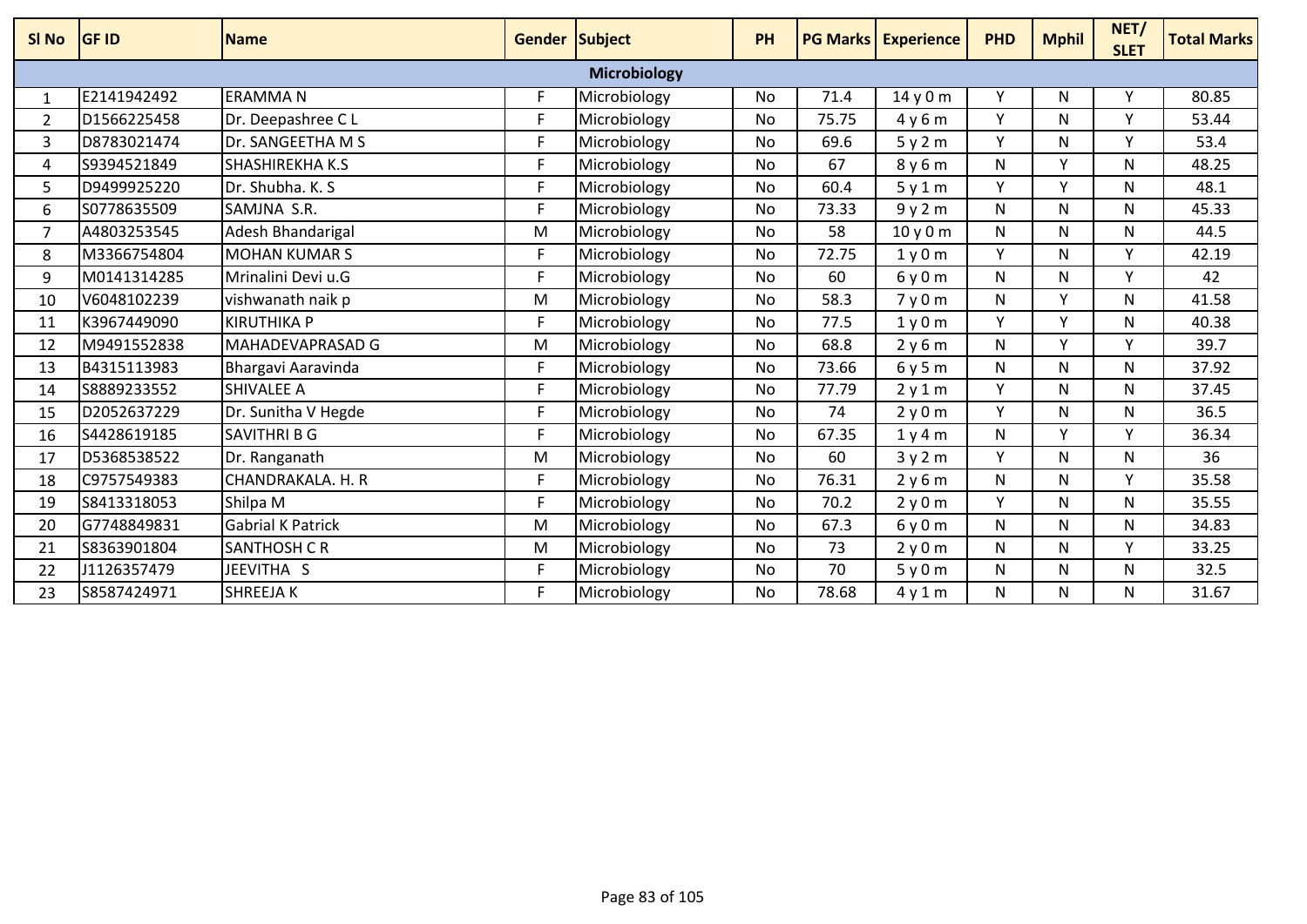| SI <sub>No</sub> | <b>GF ID</b> | Name                     | Gender Subject |                     | PH        | <b>PG Marks</b> | <b>Experience</b> | <b>PHD</b>   | <b>Mphil</b> | NET/<br><b>SLET</b> | <b>Total Marks</b> |
|------------------|--------------|--------------------------|----------------|---------------------|-----------|-----------------|-------------------|--------------|--------------|---------------------|--------------------|
|                  |              |                          |                | <b>Microbiology</b> |           |                 |                   |              |              |                     |                    |
| $\mathbf{1}$     | E2141942492  | <b>ERAMMAN</b>           | F              | Microbiology        | No        | 71.4            | 14y0m             | Υ            | N            | v                   | 80.85              |
| 2                | D1566225458  | Dr. Deepashree CL        | F              | Microbiology        | No        | 75.75           | 4y6m              | Υ            | N            | $\checkmark$        | 53.44              |
| 3                | D8783021474  | Dr. SANGEETHA M S        | F.             | Microbiology        | No        | 69.6            | 5y2m              | Y            | N            | v                   | 53.4               |
| 4                | S9394521849  | <b>SHASHIREKHA K.S</b>   | F.             | Microbiology        | No        | 67              | 8y6m              | N            | v            | N                   | 48.25              |
| 5                | D9499925220  | Dr. Shubha. K. S.        | F              | Microbiology        | <b>No</b> | 60.4            | 5y1m              | Y            | v            | N.                  | 48.1               |
| 6                | S0778635509  | SAMJNA S.R.              | F.             | Microbiology        | No        | 73.33           | 9y2m              | N            | N            | N                   | 45.33              |
| 7                | A4803253545  | Adesh Bhandarigal        | M              | Microbiology        | No        | 58              | 10y0m             | N            | N            | N                   | 44.5               |
| 8                | M3366754804  | <b>MOHAN KUMAR S</b>     | F              | Microbiology        | No        | 72.75           | 1y0m              | Υ            | N            | $\mathsf{v}$        | 42.19              |
| 9                | M0141314285  | Mrinalini Devi u.G       | E              | Microbiology        | <b>No</b> | 60              | 6y0m              | N            | N            | $\checkmark$        | 42                 |
| 10               | V6048102239  | vishwanath naik p        | M              | Microbiology        | No        | 58.3            | 7y0m              | $\mathsf{N}$ | v            | N                   | 41.58              |
| 11               | K3967449090  | <b>KIRUTHIKA P</b>       | F.             | Microbiology        | No        | 77.5            | 1y0m              | Y            | v            | N                   | 40.38              |
| 12               | M9491552838  | MAHADEVAPRASAD G         | M              | Microbiology        | No        | 68.8            | 2y6m              | $\mathsf{N}$ | v            | $\mathsf{v}$        | 39.7               |
| 13               | B4315113983  | Bhargavi Aaravinda       | F.             | Microbiology        | No        | 73.66           | 6y5m              | N            | N            | N                   | 37.92              |
| 14               | S8889233552  | <b>SHIVALEE A</b>        | F.             | Microbiology        | No        | 77.79           | 2y1m              | Υ            | N            | N                   | 37.45              |
| 15               | D2052637229  | Dr. Sunitha V Hegde      | F              | Microbiology        | No        | 74              | 2y0m              | Υ            | N            | N                   | 36.5               |
| 16               | S4428619185  | <b>SAVITHRI B G</b>      | F.             | Microbiology        | No        | 67.35           | 1y4m              | N            | v            | $\checkmark$        | 36.34              |
| 17               | D5368538522  | Dr. Ranganath            | M              | Microbiology        | <b>No</b> | 60              | 3y2m              | Y            | N            | $\mathsf{N}$        | 36                 |
| 18               | C9757549383  | CHANDRAKALA. H. R        | F              | Microbiology        | No        | 76.31           | 2y6m              | N            | N            | v                   | 35.58              |
| 19               | S8413318053  | Shilpa M                 | F              | Microbiology        | No        | 70.2            | 2y0m              | Y            | N            | $\mathsf{N}$        | 35.55              |
| 20               | G7748849831  | <b>Gabrial K Patrick</b> | M              | Microbiology        | <b>No</b> | 67.3            | 6y0m              | N            | N            | N.                  | 34.83              |
| 21               | S8363901804  | <b>SANTHOSH C R</b>      | M              | Microbiology        | <b>No</b> | 73              | 2y0m              | $\mathsf{N}$ | N            | V                   | 33.25              |
| 22               | J1126357479  | JEEVITHA S               | F              | Microbiology        | No        | 70              | 5y0m              | N            | N            | N                   | 32.5               |
| 23               | S8587424971  | <b>SHREEJAK</b>          | F              | Microbiology        | <b>No</b> | 78.68           | 4y1m              | N            | N            | N                   | 31.67              |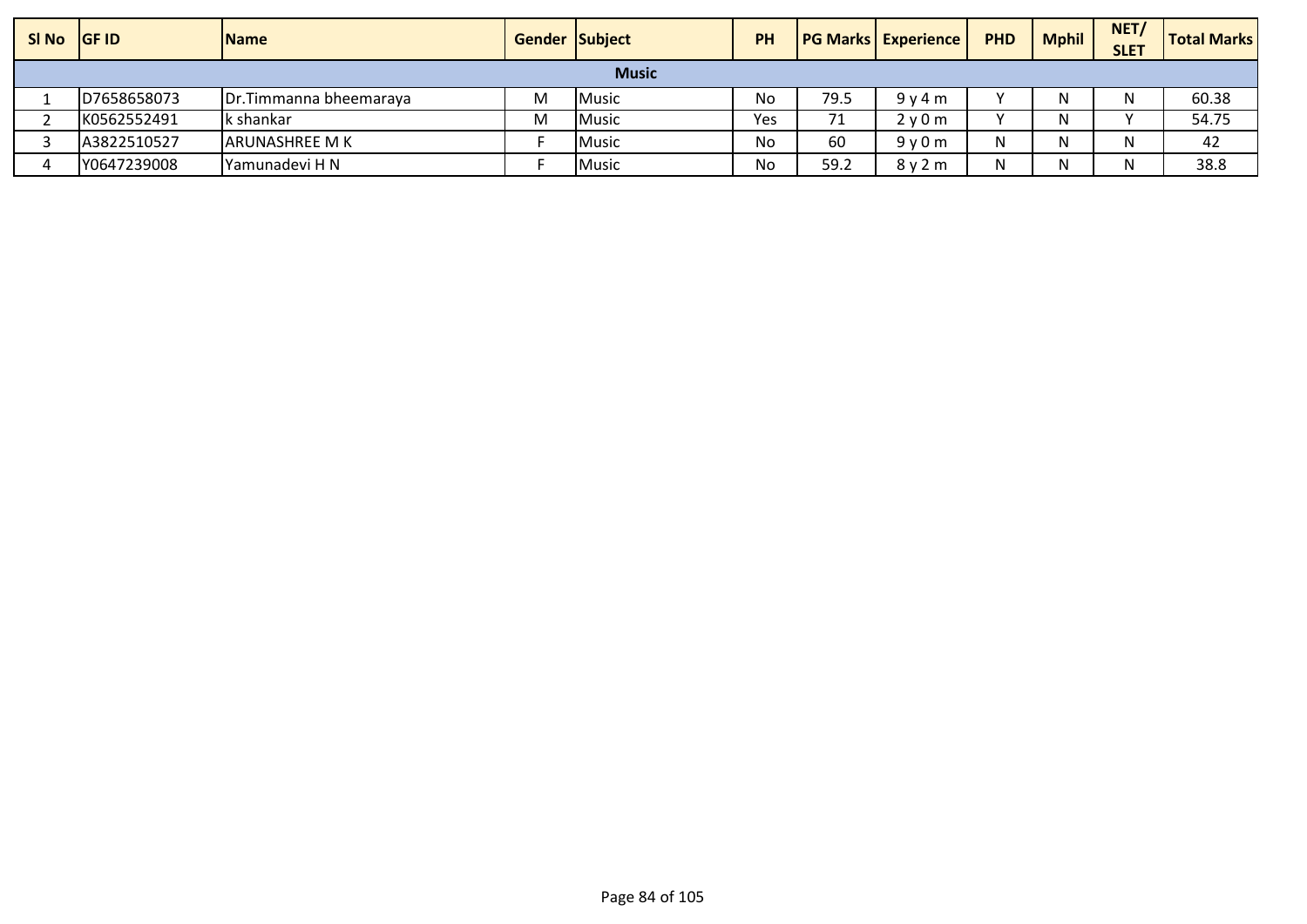| SI No GF ID |             | <b>Name</b>            | <b>Gender Subject</b> |              | <b>PH</b> |      | <b>PG Marks   Experience  </b> | <b>PHD</b> | <b>Mphil</b> | NET/<br><b>SLET</b> | <b>Total Marks</b> |
|-------------|-------------|------------------------|-----------------------|--------------|-----------|------|--------------------------------|------------|--------------|---------------------|--------------------|
|             |             |                        |                       | <b>Music</b> |           |      |                                |            |              |                     |                    |
|             | D7658658073 | Dr.Timmanna bheemaraya | M                     | <b>Music</b> | No        | 79.5 | 9v4m                           | $\cdot$    |              |                     | 60.38              |
|             | K0562552491 | k shankar              | M                     | <b>Music</b> | Yes       | 71   | 2v0m                           |            |              |                     | 54.75              |
|             | A3822510527 | larunashree m k        |                       | Music        | No        | 60   | 9v0m                           | N          |              |                     | 42                 |
|             | Y0647239008 | Yamunadevi H N         |                       | <b>Music</b> | No        | 59.2 | 8y2m                           | N          |              |                     | 38.8               |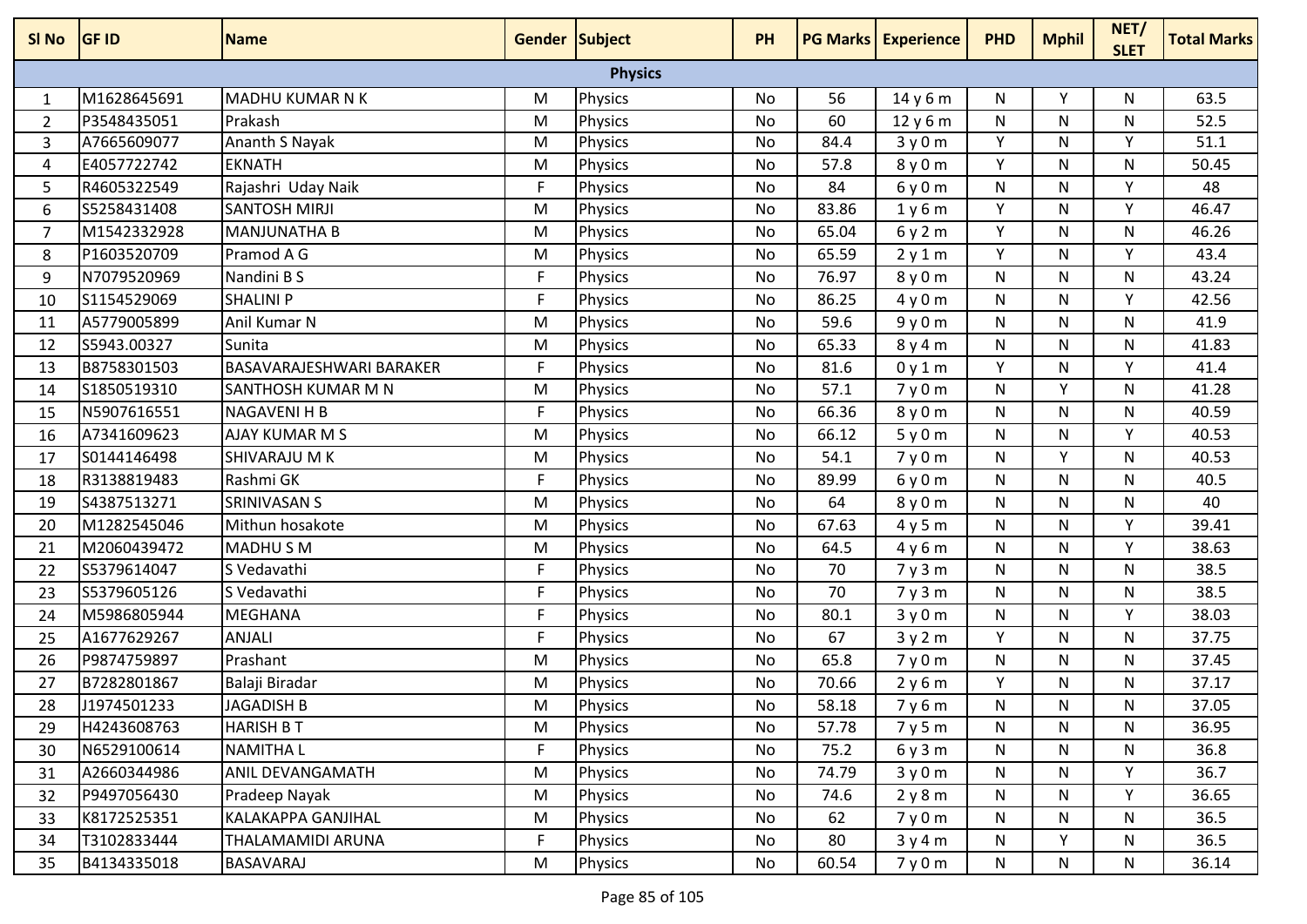| SI No          | <b>GF ID</b> | <b>Name</b>              | Gender Subject |                | <b>PH</b> |       | <b>PG Marks Experience</b> | <b>PHD</b>   | <b>Mphil</b> | NET/<br><b>SLET</b> | <b>Total Marks</b> |
|----------------|--------------|--------------------------|----------------|----------------|-----------|-------|----------------------------|--------------|--------------|---------------------|--------------------|
|                |              |                          |                | <b>Physics</b> |           |       |                            |              |              |                     |                    |
| 1              | M1628645691  | <b>MADHU KUMAR N K</b>   | M              | <b>Physics</b> | No        | 56    | 14 y 6 m                   | N            | Y            | N                   | 63.5               |
| 2              | P3548435051  | Prakash                  | M              | <b>Physics</b> | No        | 60    | 12y6m                      | N            | N            | N                   | 52.5               |
| 3              | A7665609077  | Ananth S Nayak           | M              | <b>Physics</b> | No        | 84.4  | 3y0m                       | Y            | N            | Υ                   | 51.1               |
| 4              | E4057722742  | <b>EKNATH</b>            | M              | <b>Physics</b> | No        | 57.8  | 8y0m                       | Y            | N            | N                   | 50.45              |
| 5              | R4605322549  | Rajashri Uday Naik       | F              | Physics        | No        | 84    | 6y0m                       | $\mathsf{N}$ | N            | Y                   | 48                 |
| 6              | S5258431408  | <b>SANTOSH MIRJI</b>     | M              | <b>Physics</b> | No        | 83.86 | 1y6m                       | Y            | N            | Y                   | 46.47              |
| $\overline{7}$ | M1542332928  | <b>MANJUNATHA B</b>      | M              | <b>Physics</b> | No        | 65.04 | 6y2m                       | Y            | N            | N                   | 46.26              |
| 8              | P1603520709  | Pramod A G               | M              | Physics        | No        | 65.59 | 2y1m                       | Y            | N            | Y                   | 43.4               |
| 9              | N7079520969  | Nandini B S              | F              | <b>Physics</b> | No        | 76.97 | 8y0m                       | N            | N            | N                   | 43.24              |
| 10             | S1154529069  | <b>SHALINI P</b>         | $\mathsf F$    | Physics        | No        | 86.25 | 4y0m                       | N            | N            | Y                   | 42.56              |
| 11             | A5779005899  | Anil Kumar N             | M              | <b>Physics</b> | No        | 59.6  | 9y0m                       | N            | N            | N                   | 41.9               |
| 12             | S5943.00327  | Sunita                   | M              | <b>Physics</b> | No        | 65.33 | 8y4m                       | N            | N            | N                   | 41.83              |
| 13             | B8758301503  | BASAVARAJESHWARI BARAKER | $\mathsf{F}$   | Physics        | No        | 81.6  | 0y1m                       | Y            | N            | Υ                   | 41.4               |
| 14             | S1850519310  | SANTHOSH KUMAR M N       | M              | <b>Physics</b> | No        | 57.1  | 7y0m                       | N            | $\mathsf{v}$ | N                   | 41.28              |
| 15             | N5907616551  | <b>NAGAVENI H B</b>      | $\mathsf{F}$   | <b>Physics</b> | No        | 66.36 | 8y0m                       | $\mathsf{N}$ | N            | N                   | 40.59              |
| 16             | A7341609623  | <b>AJAY KUMAR M S</b>    | M              | <b>Physics</b> | No        | 66.12 | 5y0m                       | N            | N            | Y                   | 40.53              |
| 17             | S0144146498  | <b>SHIVARAJU M K</b>     | M              | Physics        | No        | 54.1  | 7y0m                       | $\mathsf{N}$ | Y            | $\mathsf{N}$        | 40.53              |
| 18             | R3138819483  | Rashmi GK                | F              | <b>Physics</b> | No        | 89.99 | 6y0m                       | N            | N            | N                   | 40.5               |
| 19             | S4387513271  | SRINIVASAN S             | M              | Physics        | No        | 64    | 8y0m                       | N            | N            | N                   | 40                 |
| 20             | M1282545046  | Mithun hosakote          | M              | Physics        | <b>No</b> | 67.63 | 4y5m                       | $\mathsf{N}$ | N            | Υ                   | 39.41              |
| 21             | M2060439472  | MADHU S M                | M              | <b>Physics</b> | No        | 64.5  | 4y6m                       | N            | N            | Υ                   | 38.63              |
| 22             | S5379614047  | S Vedavathi              | F              | <b>Physics</b> | No        | 70    | 7y3m                       | $\mathsf{N}$ | N            | $\mathsf{N}$        | 38.5               |
| 23             | S5379605126  | S Vedavathi              | F              | Physics        | No        | 70    | 7y3m                       | N            | N            | N                   | 38.5               |
| 24             | M5986805944  | <b>MEGHANA</b>           | F              | Physics        | No        | 80.1  | 3y0m                       | N            | N            | v                   | 38.03              |
| 25             | A1677629267  | <b>ANJALI</b>            | F.             | Physics        | No        | 67    | 3y2m                       | Y            | N            | N                   | 37.75              |
| 26             | P9874759897  | Prashant                 | M              | <b>Physics</b> | No        | 65.8  | 7y0m                       | N            | N            | N                   | 37.45              |
| 27             | B7282801867  | Balaji Biradar           | M              | <b>Physics</b> | No        | 70.66 | 2y6m                       | Y            | N            | N                   | 37.17              |
| 28             | J1974501233  | <b>JAGADISH B</b>        | M              | Physics        | No        | 58.18 | 7y6m                       | N            | N            | N                   | 37.05              |
| 29             | H4243608763  | <b>HARISH B T</b>        | M              | Physics        | No        | 57.78 | 7y5m                       | N            | N            | N                   | 36.95              |
| 30             | N6529100614  | <b>NAMITHAL</b>          | $\mathsf{F}$   | <b>Physics</b> | No        | 75.2  | 6y3m                       | N            | N            | N                   | 36.8               |
| 31             | A2660344986  | ANIL DEVANGAMATH         | M              | <b>Physics</b> | No        | 74.79 | 3y0m                       | N            | N            | Y                   | 36.7               |
| 32             | P9497056430  | Pradeep Nayak            | M              | Physics        | No        | 74.6  | 2y8m                       | $\mathsf{N}$ | N            | Y                   | 36.65              |
| 33             | K8172525351  | KALAKAPPA GANJIHAL       | M              | <b>Physics</b> | No        | 62    | 7y0m                       | N            | N            | N                   | 36.5               |
| 34             | T3102833444  | THALAMAMIDI ARUNA        | F              | Physics        | No        | 80    | 3y4m                       | N            | Y            | N                   | 36.5               |
| 35             | B4134335018  | BASAVARAJ                | M              | <b>Physics</b> | No        | 60.54 | 7y0m                       | N            | N            | N                   | 36.14              |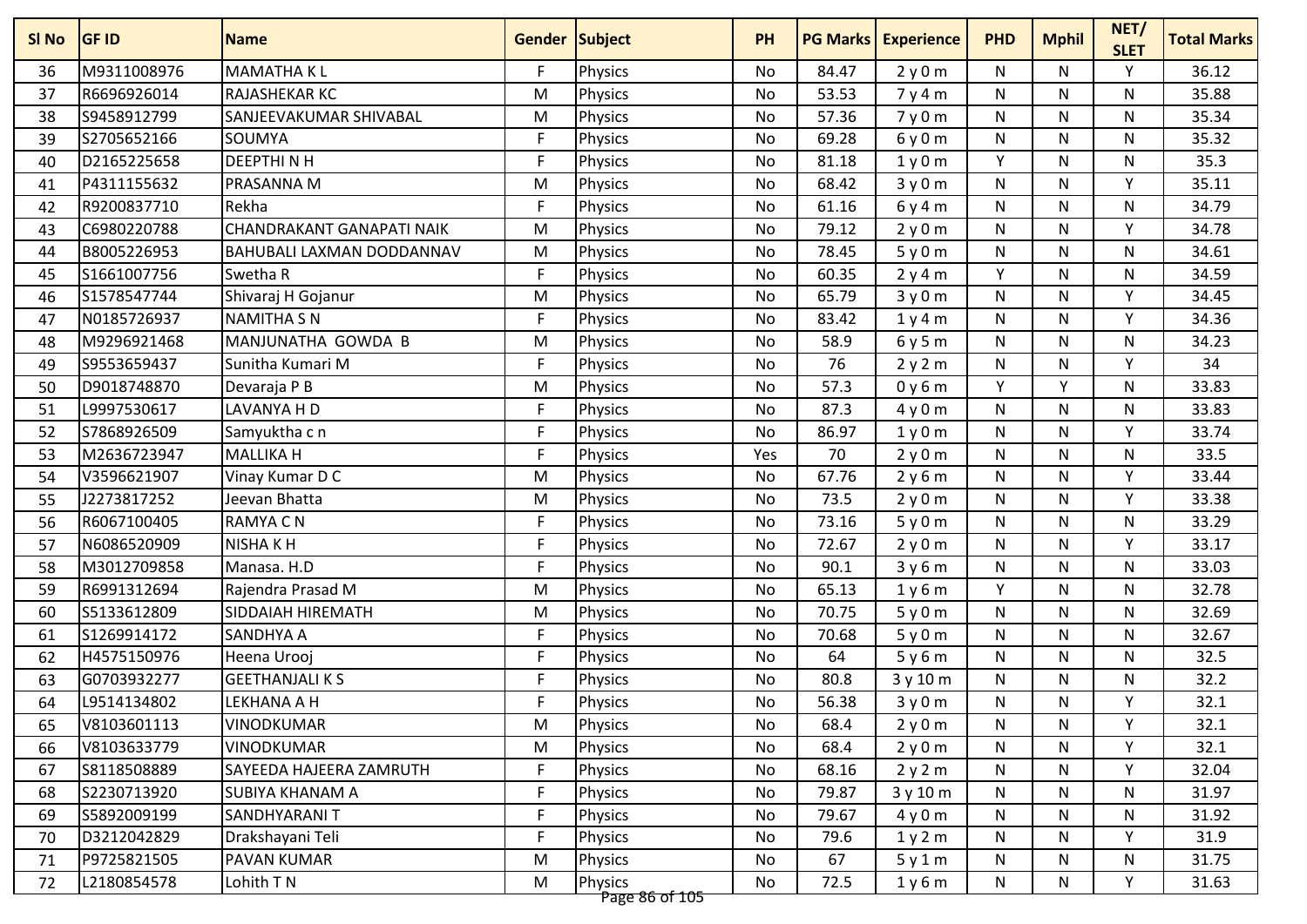| SI No | <b>GF ID</b> | <b>Name</b>                      | Gender Subject |                | <b>PH</b> | <b>PG Marks</b> | <b>Experience</b> | <b>PHD</b>   | <b>Mphil</b> | NET/<br><b>SLET</b> | <b>Total Marks</b> |
|-------|--------------|----------------------------------|----------------|----------------|-----------|-----------------|-------------------|--------------|--------------|---------------------|--------------------|
| 36    | M9311008976  | <b>MAMATHAKL</b>                 | F.             | <b>Physics</b> | No        | 84.47           | 2y0m              | N            | N            | Y                   | 36.12              |
| 37    | R6696926014  | RAJASHEKAR KC                    | M              | <b>Physics</b> | No        | 53.53           | 7y4m              | N            | N            | N                   | 35.88              |
| 38    | S9458912799  | SANJEEVAKUMAR SHIVABAL           | M              | <b>Physics</b> | <b>No</b> | 57.36           | 7y0m              | N            | N            | $\mathsf{N}$        | 35.34              |
| 39    | S2705652166  | SOUMYA                           | F.             | <b>Physics</b> | No        | 69.28           | 6y0m              | N            | N            | N                   | 35.32              |
| 40    | D2165225658  | <b>DEEPTHINH</b>                 | F              | Physics        | No        | 81.18           | 1y0m              | Y            | N            | N                   | 35.3               |
| 41    | P4311155632  | PRASANNA M                       | M              | <b>Physics</b> | No        | 68.42           | 3y0m              | $\mathsf{N}$ | N            | Y                   | 35.11              |
| 42    | R9200837710  | Rekha                            | F              | <b>Physics</b> | No        | 61.16           | 6y4m              | N            | N            | N                   | 34.79              |
| 43    | C6980220788  | <b>CHANDRAKANT GANAPATI NAIK</b> | M              | Physics        | No        | 79.12           | 2y0m              | $\mathsf{N}$ | N            | Y                   | 34.78              |
| 44    | B8005226953  | BAHUBALI LAXMAN DODDANNAV        | M              | <b>Physics</b> | No        | 78.45           | 5y0m              | $\mathsf{N}$ | N            | N                   | 34.61              |
| 45    | S1661007756  | Swetha R                         | F              | Physics        | No        | 60.35           | 2y4m              | Y            | N            | N                   | 34.59              |
| 46    | S1578547744  | Shivaraj H Gojanur               | M              | <b>Physics</b> | No        | 65.79           | 3y0m              | N            | N            | Y                   | 34.45              |
| 47    | N0185726937  | <b>NAMITHA SN</b>                | F              | <b>Physics</b> | No        | 83.42           | 1y4m              | N            | N            | Y                   | 34.36              |
| 48    | M9296921468  | MANJUNATHA GOWDA B               | M              | <b>Physics</b> | No        | 58.9            | 6y5m              | N            | N            | N                   | 34.23              |
| 49    | S9553659437  | Sunitha Kumari M                 | F              | Physics        | No        | 76              | 2y2m              | N            | N            | Y                   | 34                 |
| 50    | D9018748870  | Devaraja P B                     | M              | <b>Physics</b> | No        | 57.3            | 0y6m              | Y            | Υ            | N                   | 33.83              |
| 51    | L9997530617  | LAVANYA H D                      | F              | Physics        | No        | 87.3            | 4y0m              | N            | N            | N                   | 33.83              |
| 52    | S7868926509  | Samyuktha c n                    | F              | Physics        | No        | 86.97           | 1y0m              | N            | N            | Y                   | 33.74              |
| 53    | M2636723947  | <b>MALLIKA H</b>                 | F              | Physics        | Yes       | 70              | 2y0m              | N            | N            | N                   | 33.5               |
| 54    | V3596621907  | Vinay Kumar D C                  | M              | <b>Physics</b> | No        | 67.76           | 2y6m              | N            | N            | Y                   | 33.44              |
| 55    | J2273817252  | Jeevan Bhatta                    | M              | Physics        | No        | 73.5            | 2y0m              | N            | N            | Y                   | 33.38              |
| 56    | R6067100405  | RAMYA C N                        | F              | <b>Physics</b> | No        | 73.16           | 5y0m              | N            | N            | N                   | 33.29              |
| 57    | N6086520909  | <b>NISHAKH</b>                   | F.             | Physics        | <b>No</b> | 72.67           | 2y0m              | N            | N            | Y                   | 33.17              |
| 58    | M3012709858  | Manasa. H.D                      | F.             | <b>Physics</b> | No        | 90.1            | 3y6m              | N            | N            | N                   | 33.03              |
| 59    | R6991312694  | Rajendra Prasad M                | M              | Physics        | No        | 65.13           | 1y6m              | Y            | N            | N                   | 32.78              |
| 60    | S5133612809  | <b>SIDDAIAH HIREMATH</b>         | M              | <b>Physics</b> | No        | 70.75           | 5y0m              | N            | N            | N                   | 32.69              |
| 61    | S1269914172  | SANDHYA A                        | F              | <b>Physics</b> | No        | 70.68           | 5y0m              | N            | N            | N                   | 32.67              |
| 62    | H4575150976  | Heena Urooj                      | F              | Physics        | No        | 64              | 5y6m              | N            | N            | N                   | 32.5               |
| 63    | G0703932277  | <b>GEETHANJALI K S</b>           | F              | <b>Physics</b> | No        | 80.8            | 3 y 10 m          | N            | N            | N                   | 32.2               |
| 64    | L9514134802  | LEKHANA A H                      | F              | <b>Physics</b> | No        | 56.38           | 3y0m              | N            | N            | Υ                   | 32.1               |
| 65    | V8103601113  | <b>VINODKUMAR</b>                | M              | Physics        | No        | 68.4            | 2y0m              | N            | N            | Y                   | 32.1               |
| 66    | V8103633779  | <b>VINODKUMAR</b>                | M              | <b>Physics</b> | No        | 68.4            | 2y0m              | N            | N            | Y                   | 32.1               |
| 67    | S8118508889  | <b>SAYEEDA HAJEERA ZAMRUTH</b>   | $\mathsf F$    | <b>Physics</b> | No        | 68.16           | 2y2m              | N            | N            | Y                   | 32.04              |
| 68    | S2230713920  | SUBIYA KHANAM A                  | F              | <b>Physics</b> | No        | 79.87           | 3y10m             | N            | N            | N.                  | 31.97              |
| 69    | S5892009199  | <b>SANDHYARANIT</b>              | F              | <b>Physics</b> | No        | 79.67           | 4y0m              | N            | N            | $\mathsf{N}$        | 31.92              |
| 70    | D3212042829  | Drakshayani Teli                 | F              | <b>Physics</b> | No        | 79.6            | 1y2m              | N            | N            | Y                   | 31.9               |
| 71    | P9725821505  | PAVAN KUMAR                      | M              | <b>Physics</b> | No        | 67              | 5y1m              | N            | N            | N                   | 31.75              |
| 72    | L2180854578  | Lohith T N                       | M              | <b>Physics</b> | No        | 72.5            | 1y6m              | N            | N            | Υ                   | 31.63              |
|       |              |                                  |                | Page 86 of 105 |           |                 |                   |              |              |                     |                    |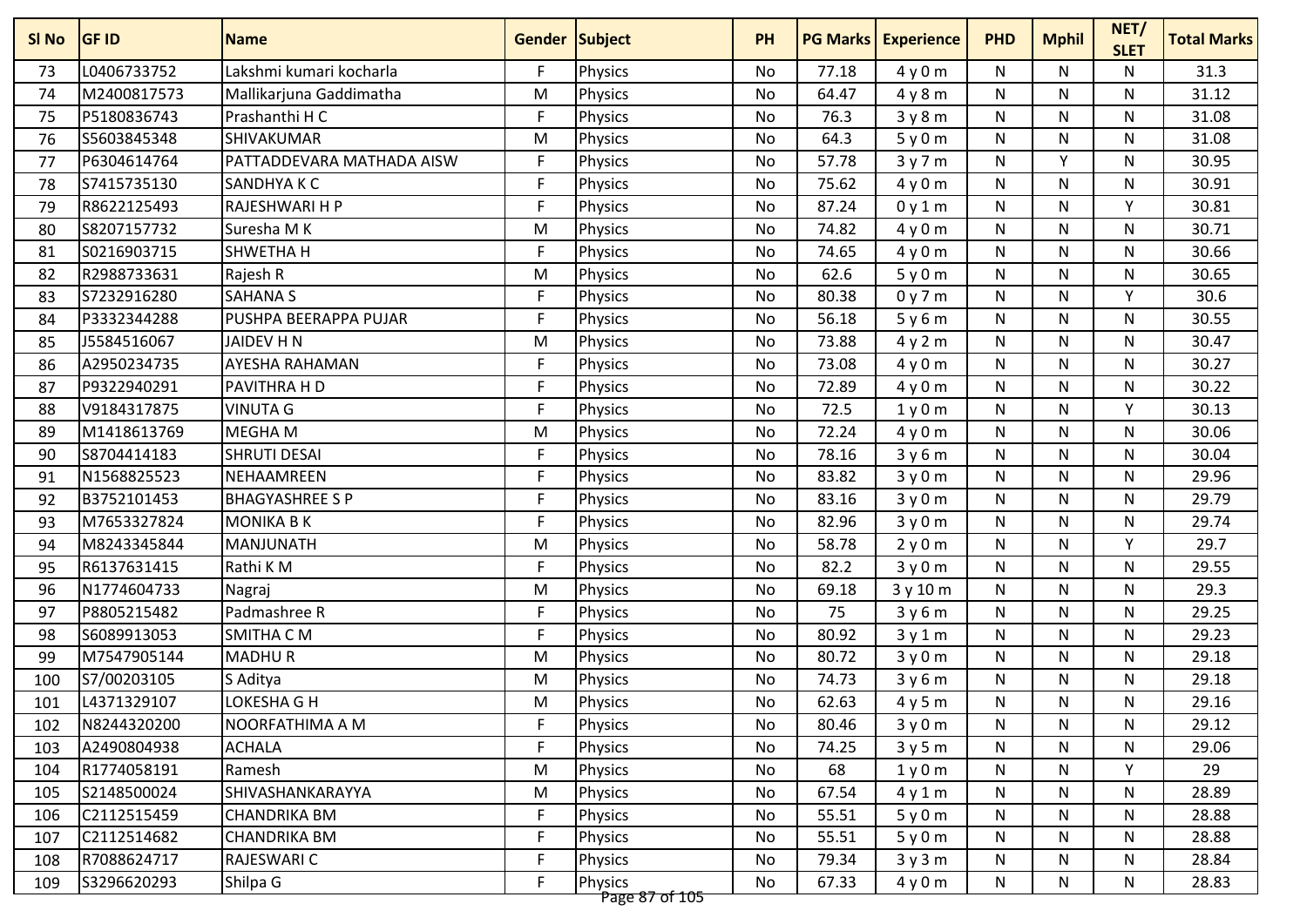| L0406733752<br>Lakshmi kumari kocharla<br>F.<br>31.3<br>77.18<br>4y0m<br>N<br>N<br>73<br><b>Physics</b><br>No<br>N<br>M2400817573<br>Mallikarjuna Gaddimatha<br>64.47<br>N<br>N<br>N<br>31.12<br>M<br><b>Physics</b><br>No<br>4y8m<br>74<br>P5180836743<br>F<br>76.3<br>Prashanthi H C<br>Physics<br>${\sf N}$<br>N<br>$\mathsf{N}$<br>31.08<br>75<br><b>No</b><br>3y8m<br>\$5603845348<br>64.3<br>31.08<br><b>SHIVAKUMAR</b><br>No<br>5y0m<br>${\sf N}$<br>N<br>N<br>76<br>M<br><b>Physics</b><br>P6304614764<br>Y<br>PATTADDEVARA MATHADA AISW<br>F<br><b>Physics</b><br>57.78<br>3y7m<br>N<br>$\mathsf{N}$<br>30.95<br>77<br>No<br>F<br>75.62<br>S7415735130<br><b>SANDHYAKC</b><br>Physics<br>4y0m<br>N<br>N<br>30.91<br>78<br>No<br>N<br>F<br>R8622125493<br>RAJESHWARI H P<br>Physics<br>87.24<br>${\sf N}$<br>N<br>v<br>30.81<br>79<br>No<br>0y1m<br>S8207157732<br>Suresha M K<br>74.82<br>$\mathsf{N}$<br>N<br>N<br>30.71<br>80<br>M<br>Physics<br>No<br>4y0m<br>F<br>74.65<br>$\mathsf{N}$<br>30.66<br>S0216903715<br>SHWETHA H<br>No<br>N<br>N<br>81<br><b>Physics</b><br>4y0m<br>R2988733631<br>Rajesh R<br>62.6<br>${\sf N}$<br>N<br>30.65<br>82<br>M<br><b>Physics</b><br>No<br>5y0m<br>N<br>S7232916280<br>F<br>80.38<br>30.6<br><b>SAHANA S</b><br>0y7m<br>N<br>N<br>Y<br>83<br><b>Physics</b><br>No<br>P3332344288<br>PUSHPA BEERAPPA PUJAR<br>F<br>Physics<br>56.18<br>$\mathsf{N}$<br>N<br>30.55<br>84<br>No<br>5y6m<br>N<br>J5584516067<br>73.88<br>JAIDEV H N<br>M<br>N<br>N<br>N<br>30.47<br>85<br><b>Physics</b><br>No<br>4y2m<br>F<br>73.08<br>30.27<br>A2950234735<br><b>AYESHA RAHAMAN</b><br>N<br>N<br>N<br><b>Physics</b><br>No<br>4y0m<br>86<br>P9322940291<br>PAVITHRA H D<br>F.<br>Physics<br>72.89<br>$\mathsf{N}$<br>N<br>30.22<br>87<br><b>No</b><br>4y0m<br>N<br><b>VINUTA G</b><br>F<br>V9184317875<br>72.5<br>${\sf N}$<br>N<br>Υ<br>30.13<br>88<br>Physics<br>No<br>1y0m<br>M1418613769<br><b>MEGHAM</b><br>72.24<br>30.06<br>89<br>M<br><b>Physics</b><br>4y0m<br>N<br>N<br>N<br>No<br>S8704414183<br>F<br>30.04<br><b>SHRUTI DESAI</b><br>Physics<br>No<br>78.16<br>3y6m<br>N<br>N<br>N<br>90<br>F<br>N1568825523<br>NEHAAMREEN<br>83.82<br>3y0m<br>${\sf N}$<br>N<br>N<br>29.96<br>91<br><b>Physics</b><br>No<br>F.<br>29.79<br>B3752101453<br><b>BHAGYASHREE S P</b><br>83.16<br><b>Physics</b><br>3y0m<br>N<br>N<br>N<br>92<br>No<br>M7653327824<br>F<br><b>MONIKA B K</b><br>82.96<br>N<br>N<br>N<br>29.74<br>93<br><b>Physics</b><br>No<br>3y0m<br>29.7<br>M8243345844<br>MANJUNATH<br>58.78<br>${\sf N}$<br>N<br>Y<br>94<br>M<br><b>Physics</b><br><b>No</b><br>2y0m<br>R6137631415<br>F<br>82.2<br>29.55<br>Rathi KM<br>No<br>3y0m<br>${\sf N}$<br>N<br>N<br>95<br><b>Physics</b><br>N1774604733<br>96<br>Physics<br>69.18<br>3 y 10 m<br>N<br>N<br>N<br>29.3<br>Nagraj<br>M<br>No<br>F.<br>75<br>29.25<br>P8805215482<br>Padmashree R<br>Physics<br>N<br>N<br>N<br>97<br>No<br>3y6m<br>F<br>S6089913053<br><b>SMITHA CM</b><br>Physics<br>80.92<br>${\sf N}$<br>N<br>N<br>29.23<br>98<br>No<br>3y1m<br><b>MADHUR</b><br>80.72<br>29.18<br>99<br>M7547905144<br>M<br>Physics<br>N<br>N<br>N<br>No<br>3y0m<br>74.73<br>29.18<br>S7/00203105<br>M<br>N<br>N<br>N<br>100<br>S Aditya<br><b>Physics</b><br>No<br>3y6m<br>L4371329107<br>LOKESHA G H<br>Physics<br>62.63<br>29.16<br>M<br>4y5m<br>${\sf N}$<br>N<br>N<br>101<br>No<br>N8244320200<br>F<br>Physics<br>29.12<br>NOORFATHIMA A M<br>80.46<br>3y0m<br>N<br>N<br>N<br>102<br>No<br>F.<br>A2490804938<br>Physics<br>74.25<br>29.06<br>103<br><b>ACHALA</b><br>No<br>3y5m<br>N<br>N<br>N<br>Y<br>R1774058191<br>M<br><b>Physics</b><br>68<br>N<br>N<br>29<br>Ramesh<br>No<br>1y0m<br>104<br>S2148500024<br>28.89<br>SHIVASHANKARAYYA<br>M<br><b>Physics</b><br>No<br>67.54<br>N<br>N<br>N.<br>105<br>4y1m<br>$\mathsf F$<br>C2112515459<br>55.51<br>${\sf N}$<br>N<br>$\mathsf{N}$<br>28.88<br><b>CHANDRIKA BM</b><br><b>Physics</b><br>106<br>No<br>5y0m<br>F<br>C2112514682<br>55.51<br>N<br>N<br>28.88<br><b>CHANDRIKA BM</b><br>No<br>5y0m<br>N<br>107<br><b>Physics</b><br>F<br>R7088624717<br>RAJESWARI C<br>79.34<br>N<br>N<br>28.84<br>108<br><b>Physics</b><br>No<br>3y3m<br>N | SI No | <b>GF ID</b> | <b>Name</b> | <b>Gender Subject</b> |                | <b>PH</b> | <b>PG Marks</b> | <b>Experience</b> | <b>PHD</b> | <b>Mphil</b> | NET/<br><b>SLET</b> | <b>Total Marks</b> |
|--------------------------------------------------------------------------------------------------------------------------------------------------------------------------------------------------------------------------------------------------------------------------------------------------------------------------------------------------------------------------------------------------------------------------------------------------------------------------------------------------------------------------------------------------------------------------------------------------------------------------------------------------------------------------------------------------------------------------------------------------------------------------------------------------------------------------------------------------------------------------------------------------------------------------------------------------------------------------------------------------------------------------------------------------------------------------------------------------------------------------------------------------------------------------------------------------------------------------------------------------------------------------------------------------------------------------------------------------------------------------------------------------------------------------------------------------------------------------------------------------------------------------------------------------------------------------------------------------------------------------------------------------------------------------------------------------------------------------------------------------------------------------------------------------------------------------------------------------------------------------------------------------------------------------------------------------------------------------------------------------------------------------------------------------------------------------------------------------------------------------------------------------------------------------------------------------------------------------------------------------------------------------------------------------------------------------------------------------------------------------------------------------------------------------------------------------------------------------------------------------------------------------------------------------------------------------------------------------------------------------------------------------------------------------------------------------------------------------------------------------------------------------------------------------------------------------------------------------------------------------------------------------------------------------------------------------------------------------------------------------------------------------------------------------------------------------------------------------------------------------------------------------------------------------------------------------------------------------------------------------------------------------------------------------------------------------------------------------------------------------------------------------------------------------------------------------------------------------------------------------------------------------------------------------------------------------------------------------------------------------------------------------------------------------------------------------------------------------------------------------------------------------------------------------------------------------------------------------------------------------------------------------------------------------------------------------------------------------------------------------------------------------------------------------------------------------------------------------------------------------------------------------------------------------------------------|-------|--------------|-------------|-----------------------|----------------|-----------|-----------------|-------------------|------------|--------------|---------------------|--------------------|
|                                                                                                                                                                                                                                                                                                                                                                                                                                                                                                                                                                                                                                                                                                                                                                                                                                                                                                                                                                                                                                                                                                                                                                                                                                                                                                                                                                                                                                                                                                                                                                                                                                                                                                                                                                                                                                                                                                                                                                                                                                                                                                                                                                                                                                                                                                                                                                                                                                                                                                                                                                                                                                                                                                                                                                                                                                                                                                                                                                                                                                                                                                                                                                                                                                                                                                                                                                                                                                                                                                                                                                                                                                                                                                                                                                                                                                                                                                                                                                                                                                                                                                                                                                                            |       |              |             |                       |                |           |                 |                   |            |              |                     |                    |
|                                                                                                                                                                                                                                                                                                                                                                                                                                                                                                                                                                                                                                                                                                                                                                                                                                                                                                                                                                                                                                                                                                                                                                                                                                                                                                                                                                                                                                                                                                                                                                                                                                                                                                                                                                                                                                                                                                                                                                                                                                                                                                                                                                                                                                                                                                                                                                                                                                                                                                                                                                                                                                                                                                                                                                                                                                                                                                                                                                                                                                                                                                                                                                                                                                                                                                                                                                                                                                                                                                                                                                                                                                                                                                                                                                                                                                                                                                                                                                                                                                                                                                                                                                                            |       |              |             |                       |                |           |                 |                   |            |              |                     |                    |
|                                                                                                                                                                                                                                                                                                                                                                                                                                                                                                                                                                                                                                                                                                                                                                                                                                                                                                                                                                                                                                                                                                                                                                                                                                                                                                                                                                                                                                                                                                                                                                                                                                                                                                                                                                                                                                                                                                                                                                                                                                                                                                                                                                                                                                                                                                                                                                                                                                                                                                                                                                                                                                                                                                                                                                                                                                                                                                                                                                                                                                                                                                                                                                                                                                                                                                                                                                                                                                                                                                                                                                                                                                                                                                                                                                                                                                                                                                                                                                                                                                                                                                                                                                                            |       |              |             |                       |                |           |                 |                   |            |              |                     |                    |
|                                                                                                                                                                                                                                                                                                                                                                                                                                                                                                                                                                                                                                                                                                                                                                                                                                                                                                                                                                                                                                                                                                                                                                                                                                                                                                                                                                                                                                                                                                                                                                                                                                                                                                                                                                                                                                                                                                                                                                                                                                                                                                                                                                                                                                                                                                                                                                                                                                                                                                                                                                                                                                                                                                                                                                                                                                                                                                                                                                                                                                                                                                                                                                                                                                                                                                                                                                                                                                                                                                                                                                                                                                                                                                                                                                                                                                                                                                                                                                                                                                                                                                                                                                                            |       |              |             |                       |                |           |                 |                   |            |              |                     |                    |
|                                                                                                                                                                                                                                                                                                                                                                                                                                                                                                                                                                                                                                                                                                                                                                                                                                                                                                                                                                                                                                                                                                                                                                                                                                                                                                                                                                                                                                                                                                                                                                                                                                                                                                                                                                                                                                                                                                                                                                                                                                                                                                                                                                                                                                                                                                                                                                                                                                                                                                                                                                                                                                                                                                                                                                                                                                                                                                                                                                                                                                                                                                                                                                                                                                                                                                                                                                                                                                                                                                                                                                                                                                                                                                                                                                                                                                                                                                                                                                                                                                                                                                                                                                                            |       |              |             |                       |                |           |                 |                   |            |              |                     |                    |
|                                                                                                                                                                                                                                                                                                                                                                                                                                                                                                                                                                                                                                                                                                                                                                                                                                                                                                                                                                                                                                                                                                                                                                                                                                                                                                                                                                                                                                                                                                                                                                                                                                                                                                                                                                                                                                                                                                                                                                                                                                                                                                                                                                                                                                                                                                                                                                                                                                                                                                                                                                                                                                                                                                                                                                                                                                                                                                                                                                                                                                                                                                                                                                                                                                                                                                                                                                                                                                                                                                                                                                                                                                                                                                                                                                                                                                                                                                                                                                                                                                                                                                                                                                                            |       |              |             |                       |                |           |                 |                   |            |              |                     |                    |
|                                                                                                                                                                                                                                                                                                                                                                                                                                                                                                                                                                                                                                                                                                                                                                                                                                                                                                                                                                                                                                                                                                                                                                                                                                                                                                                                                                                                                                                                                                                                                                                                                                                                                                                                                                                                                                                                                                                                                                                                                                                                                                                                                                                                                                                                                                                                                                                                                                                                                                                                                                                                                                                                                                                                                                                                                                                                                                                                                                                                                                                                                                                                                                                                                                                                                                                                                                                                                                                                                                                                                                                                                                                                                                                                                                                                                                                                                                                                                                                                                                                                                                                                                                                            |       |              |             |                       |                |           |                 |                   |            |              |                     |                    |
|                                                                                                                                                                                                                                                                                                                                                                                                                                                                                                                                                                                                                                                                                                                                                                                                                                                                                                                                                                                                                                                                                                                                                                                                                                                                                                                                                                                                                                                                                                                                                                                                                                                                                                                                                                                                                                                                                                                                                                                                                                                                                                                                                                                                                                                                                                                                                                                                                                                                                                                                                                                                                                                                                                                                                                                                                                                                                                                                                                                                                                                                                                                                                                                                                                                                                                                                                                                                                                                                                                                                                                                                                                                                                                                                                                                                                                                                                                                                                                                                                                                                                                                                                                                            |       |              |             |                       |                |           |                 |                   |            |              |                     |                    |
|                                                                                                                                                                                                                                                                                                                                                                                                                                                                                                                                                                                                                                                                                                                                                                                                                                                                                                                                                                                                                                                                                                                                                                                                                                                                                                                                                                                                                                                                                                                                                                                                                                                                                                                                                                                                                                                                                                                                                                                                                                                                                                                                                                                                                                                                                                                                                                                                                                                                                                                                                                                                                                                                                                                                                                                                                                                                                                                                                                                                                                                                                                                                                                                                                                                                                                                                                                                                                                                                                                                                                                                                                                                                                                                                                                                                                                                                                                                                                                                                                                                                                                                                                                                            |       |              |             |                       |                |           |                 |                   |            |              |                     |                    |
|                                                                                                                                                                                                                                                                                                                                                                                                                                                                                                                                                                                                                                                                                                                                                                                                                                                                                                                                                                                                                                                                                                                                                                                                                                                                                                                                                                                                                                                                                                                                                                                                                                                                                                                                                                                                                                                                                                                                                                                                                                                                                                                                                                                                                                                                                                                                                                                                                                                                                                                                                                                                                                                                                                                                                                                                                                                                                                                                                                                                                                                                                                                                                                                                                                                                                                                                                                                                                                                                                                                                                                                                                                                                                                                                                                                                                                                                                                                                                                                                                                                                                                                                                                                            |       |              |             |                       |                |           |                 |                   |            |              |                     |                    |
|                                                                                                                                                                                                                                                                                                                                                                                                                                                                                                                                                                                                                                                                                                                                                                                                                                                                                                                                                                                                                                                                                                                                                                                                                                                                                                                                                                                                                                                                                                                                                                                                                                                                                                                                                                                                                                                                                                                                                                                                                                                                                                                                                                                                                                                                                                                                                                                                                                                                                                                                                                                                                                                                                                                                                                                                                                                                                                                                                                                                                                                                                                                                                                                                                                                                                                                                                                                                                                                                                                                                                                                                                                                                                                                                                                                                                                                                                                                                                                                                                                                                                                                                                                                            |       |              |             |                       |                |           |                 |                   |            |              |                     |                    |
|                                                                                                                                                                                                                                                                                                                                                                                                                                                                                                                                                                                                                                                                                                                                                                                                                                                                                                                                                                                                                                                                                                                                                                                                                                                                                                                                                                                                                                                                                                                                                                                                                                                                                                                                                                                                                                                                                                                                                                                                                                                                                                                                                                                                                                                                                                                                                                                                                                                                                                                                                                                                                                                                                                                                                                                                                                                                                                                                                                                                                                                                                                                                                                                                                                                                                                                                                                                                                                                                                                                                                                                                                                                                                                                                                                                                                                                                                                                                                                                                                                                                                                                                                                                            |       |              |             |                       |                |           |                 |                   |            |              |                     |                    |
|                                                                                                                                                                                                                                                                                                                                                                                                                                                                                                                                                                                                                                                                                                                                                                                                                                                                                                                                                                                                                                                                                                                                                                                                                                                                                                                                                                                                                                                                                                                                                                                                                                                                                                                                                                                                                                                                                                                                                                                                                                                                                                                                                                                                                                                                                                                                                                                                                                                                                                                                                                                                                                                                                                                                                                                                                                                                                                                                                                                                                                                                                                                                                                                                                                                                                                                                                                                                                                                                                                                                                                                                                                                                                                                                                                                                                                                                                                                                                                                                                                                                                                                                                                                            |       |              |             |                       |                |           |                 |                   |            |              |                     |                    |
|                                                                                                                                                                                                                                                                                                                                                                                                                                                                                                                                                                                                                                                                                                                                                                                                                                                                                                                                                                                                                                                                                                                                                                                                                                                                                                                                                                                                                                                                                                                                                                                                                                                                                                                                                                                                                                                                                                                                                                                                                                                                                                                                                                                                                                                                                                                                                                                                                                                                                                                                                                                                                                                                                                                                                                                                                                                                                                                                                                                                                                                                                                                                                                                                                                                                                                                                                                                                                                                                                                                                                                                                                                                                                                                                                                                                                                                                                                                                                                                                                                                                                                                                                                                            |       |              |             |                       |                |           |                 |                   |            |              |                     |                    |
|                                                                                                                                                                                                                                                                                                                                                                                                                                                                                                                                                                                                                                                                                                                                                                                                                                                                                                                                                                                                                                                                                                                                                                                                                                                                                                                                                                                                                                                                                                                                                                                                                                                                                                                                                                                                                                                                                                                                                                                                                                                                                                                                                                                                                                                                                                                                                                                                                                                                                                                                                                                                                                                                                                                                                                                                                                                                                                                                                                                                                                                                                                                                                                                                                                                                                                                                                                                                                                                                                                                                                                                                                                                                                                                                                                                                                                                                                                                                                                                                                                                                                                                                                                                            |       |              |             |                       |                |           |                 |                   |            |              |                     |                    |
|                                                                                                                                                                                                                                                                                                                                                                                                                                                                                                                                                                                                                                                                                                                                                                                                                                                                                                                                                                                                                                                                                                                                                                                                                                                                                                                                                                                                                                                                                                                                                                                                                                                                                                                                                                                                                                                                                                                                                                                                                                                                                                                                                                                                                                                                                                                                                                                                                                                                                                                                                                                                                                                                                                                                                                                                                                                                                                                                                                                                                                                                                                                                                                                                                                                                                                                                                                                                                                                                                                                                                                                                                                                                                                                                                                                                                                                                                                                                                                                                                                                                                                                                                                                            |       |              |             |                       |                |           |                 |                   |            |              |                     |                    |
|                                                                                                                                                                                                                                                                                                                                                                                                                                                                                                                                                                                                                                                                                                                                                                                                                                                                                                                                                                                                                                                                                                                                                                                                                                                                                                                                                                                                                                                                                                                                                                                                                                                                                                                                                                                                                                                                                                                                                                                                                                                                                                                                                                                                                                                                                                                                                                                                                                                                                                                                                                                                                                                                                                                                                                                                                                                                                                                                                                                                                                                                                                                                                                                                                                                                                                                                                                                                                                                                                                                                                                                                                                                                                                                                                                                                                                                                                                                                                                                                                                                                                                                                                                                            |       |              |             |                       |                |           |                 |                   |            |              |                     |                    |
|                                                                                                                                                                                                                                                                                                                                                                                                                                                                                                                                                                                                                                                                                                                                                                                                                                                                                                                                                                                                                                                                                                                                                                                                                                                                                                                                                                                                                                                                                                                                                                                                                                                                                                                                                                                                                                                                                                                                                                                                                                                                                                                                                                                                                                                                                                                                                                                                                                                                                                                                                                                                                                                                                                                                                                                                                                                                                                                                                                                                                                                                                                                                                                                                                                                                                                                                                                                                                                                                                                                                                                                                                                                                                                                                                                                                                                                                                                                                                                                                                                                                                                                                                                                            |       |              |             |                       |                |           |                 |                   |            |              |                     |                    |
|                                                                                                                                                                                                                                                                                                                                                                                                                                                                                                                                                                                                                                                                                                                                                                                                                                                                                                                                                                                                                                                                                                                                                                                                                                                                                                                                                                                                                                                                                                                                                                                                                                                                                                                                                                                                                                                                                                                                                                                                                                                                                                                                                                                                                                                                                                                                                                                                                                                                                                                                                                                                                                                                                                                                                                                                                                                                                                                                                                                                                                                                                                                                                                                                                                                                                                                                                                                                                                                                                                                                                                                                                                                                                                                                                                                                                                                                                                                                                                                                                                                                                                                                                                                            |       |              |             |                       |                |           |                 |                   |            |              |                     |                    |
|                                                                                                                                                                                                                                                                                                                                                                                                                                                                                                                                                                                                                                                                                                                                                                                                                                                                                                                                                                                                                                                                                                                                                                                                                                                                                                                                                                                                                                                                                                                                                                                                                                                                                                                                                                                                                                                                                                                                                                                                                                                                                                                                                                                                                                                                                                                                                                                                                                                                                                                                                                                                                                                                                                                                                                                                                                                                                                                                                                                                                                                                                                                                                                                                                                                                                                                                                                                                                                                                                                                                                                                                                                                                                                                                                                                                                                                                                                                                                                                                                                                                                                                                                                                            |       |              |             |                       |                |           |                 |                   |            |              |                     |                    |
|                                                                                                                                                                                                                                                                                                                                                                                                                                                                                                                                                                                                                                                                                                                                                                                                                                                                                                                                                                                                                                                                                                                                                                                                                                                                                                                                                                                                                                                                                                                                                                                                                                                                                                                                                                                                                                                                                                                                                                                                                                                                                                                                                                                                                                                                                                                                                                                                                                                                                                                                                                                                                                                                                                                                                                                                                                                                                                                                                                                                                                                                                                                                                                                                                                                                                                                                                                                                                                                                                                                                                                                                                                                                                                                                                                                                                                                                                                                                                                                                                                                                                                                                                                                            |       |              |             |                       |                |           |                 |                   |            |              |                     |                    |
|                                                                                                                                                                                                                                                                                                                                                                                                                                                                                                                                                                                                                                                                                                                                                                                                                                                                                                                                                                                                                                                                                                                                                                                                                                                                                                                                                                                                                                                                                                                                                                                                                                                                                                                                                                                                                                                                                                                                                                                                                                                                                                                                                                                                                                                                                                                                                                                                                                                                                                                                                                                                                                                                                                                                                                                                                                                                                                                                                                                                                                                                                                                                                                                                                                                                                                                                                                                                                                                                                                                                                                                                                                                                                                                                                                                                                                                                                                                                                                                                                                                                                                                                                                                            |       |              |             |                       |                |           |                 |                   |            |              |                     |                    |
|                                                                                                                                                                                                                                                                                                                                                                                                                                                                                                                                                                                                                                                                                                                                                                                                                                                                                                                                                                                                                                                                                                                                                                                                                                                                                                                                                                                                                                                                                                                                                                                                                                                                                                                                                                                                                                                                                                                                                                                                                                                                                                                                                                                                                                                                                                                                                                                                                                                                                                                                                                                                                                                                                                                                                                                                                                                                                                                                                                                                                                                                                                                                                                                                                                                                                                                                                                                                                                                                                                                                                                                                                                                                                                                                                                                                                                                                                                                                                                                                                                                                                                                                                                                            |       |              |             |                       |                |           |                 |                   |            |              |                     |                    |
|                                                                                                                                                                                                                                                                                                                                                                                                                                                                                                                                                                                                                                                                                                                                                                                                                                                                                                                                                                                                                                                                                                                                                                                                                                                                                                                                                                                                                                                                                                                                                                                                                                                                                                                                                                                                                                                                                                                                                                                                                                                                                                                                                                                                                                                                                                                                                                                                                                                                                                                                                                                                                                                                                                                                                                                                                                                                                                                                                                                                                                                                                                                                                                                                                                                                                                                                                                                                                                                                                                                                                                                                                                                                                                                                                                                                                                                                                                                                                                                                                                                                                                                                                                                            |       |              |             |                       |                |           |                 |                   |            |              |                     |                    |
|                                                                                                                                                                                                                                                                                                                                                                                                                                                                                                                                                                                                                                                                                                                                                                                                                                                                                                                                                                                                                                                                                                                                                                                                                                                                                                                                                                                                                                                                                                                                                                                                                                                                                                                                                                                                                                                                                                                                                                                                                                                                                                                                                                                                                                                                                                                                                                                                                                                                                                                                                                                                                                                                                                                                                                                                                                                                                                                                                                                                                                                                                                                                                                                                                                                                                                                                                                                                                                                                                                                                                                                                                                                                                                                                                                                                                                                                                                                                                                                                                                                                                                                                                                                            |       |              |             |                       |                |           |                 |                   |            |              |                     |                    |
|                                                                                                                                                                                                                                                                                                                                                                                                                                                                                                                                                                                                                                                                                                                                                                                                                                                                                                                                                                                                                                                                                                                                                                                                                                                                                                                                                                                                                                                                                                                                                                                                                                                                                                                                                                                                                                                                                                                                                                                                                                                                                                                                                                                                                                                                                                                                                                                                                                                                                                                                                                                                                                                                                                                                                                                                                                                                                                                                                                                                                                                                                                                                                                                                                                                                                                                                                                                                                                                                                                                                                                                                                                                                                                                                                                                                                                                                                                                                                                                                                                                                                                                                                                                            |       |              |             |                       |                |           |                 |                   |            |              |                     |                    |
|                                                                                                                                                                                                                                                                                                                                                                                                                                                                                                                                                                                                                                                                                                                                                                                                                                                                                                                                                                                                                                                                                                                                                                                                                                                                                                                                                                                                                                                                                                                                                                                                                                                                                                                                                                                                                                                                                                                                                                                                                                                                                                                                                                                                                                                                                                                                                                                                                                                                                                                                                                                                                                                                                                                                                                                                                                                                                                                                                                                                                                                                                                                                                                                                                                                                                                                                                                                                                                                                                                                                                                                                                                                                                                                                                                                                                                                                                                                                                                                                                                                                                                                                                                                            |       |              |             |                       |                |           |                 |                   |            |              |                     |                    |
|                                                                                                                                                                                                                                                                                                                                                                                                                                                                                                                                                                                                                                                                                                                                                                                                                                                                                                                                                                                                                                                                                                                                                                                                                                                                                                                                                                                                                                                                                                                                                                                                                                                                                                                                                                                                                                                                                                                                                                                                                                                                                                                                                                                                                                                                                                                                                                                                                                                                                                                                                                                                                                                                                                                                                                                                                                                                                                                                                                                                                                                                                                                                                                                                                                                                                                                                                                                                                                                                                                                                                                                                                                                                                                                                                                                                                                                                                                                                                                                                                                                                                                                                                                                            |       |              |             |                       |                |           |                 |                   |            |              |                     |                    |
|                                                                                                                                                                                                                                                                                                                                                                                                                                                                                                                                                                                                                                                                                                                                                                                                                                                                                                                                                                                                                                                                                                                                                                                                                                                                                                                                                                                                                                                                                                                                                                                                                                                                                                                                                                                                                                                                                                                                                                                                                                                                                                                                                                                                                                                                                                                                                                                                                                                                                                                                                                                                                                                                                                                                                                                                                                                                                                                                                                                                                                                                                                                                                                                                                                                                                                                                                                                                                                                                                                                                                                                                                                                                                                                                                                                                                                                                                                                                                                                                                                                                                                                                                                                            |       |              |             |                       |                |           |                 |                   |            |              |                     |                    |
|                                                                                                                                                                                                                                                                                                                                                                                                                                                                                                                                                                                                                                                                                                                                                                                                                                                                                                                                                                                                                                                                                                                                                                                                                                                                                                                                                                                                                                                                                                                                                                                                                                                                                                                                                                                                                                                                                                                                                                                                                                                                                                                                                                                                                                                                                                                                                                                                                                                                                                                                                                                                                                                                                                                                                                                                                                                                                                                                                                                                                                                                                                                                                                                                                                                                                                                                                                                                                                                                                                                                                                                                                                                                                                                                                                                                                                                                                                                                                                                                                                                                                                                                                                                            |       |              |             |                       |                |           |                 |                   |            |              |                     |                    |
|                                                                                                                                                                                                                                                                                                                                                                                                                                                                                                                                                                                                                                                                                                                                                                                                                                                                                                                                                                                                                                                                                                                                                                                                                                                                                                                                                                                                                                                                                                                                                                                                                                                                                                                                                                                                                                                                                                                                                                                                                                                                                                                                                                                                                                                                                                                                                                                                                                                                                                                                                                                                                                                                                                                                                                                                                                                                                                                                                                                                                                                                                                                                                                                                                                                                                                                                                                                                                                                                                                                                                                                                                                                                                                                                                                                                                                                                                                                                                                                                                                                                                                                                                                                            |       |              |             |                       |                |           |                 |                   |            |              |                     |                    |
|                                                                                                                                                                                                                                                                                                                                                                                                                                                                                                                                                                                                                                                                                                                                                                                                                                                                                                                                                                                                                                                                                                                                                                                                                                                                                                                                                                                                                                                                                                                                                                                                                                                                                                                                                                                                                                                                                                                                                                                                                                                                                                                                                                                                                                                                                                                                                                                                                                                                                                                                                                                                                                                                                                                                                                                                                                                                                                                                                                                                                                                                                                                                                                                                                                                                                                                                                                                                                                                                                                                                                                                                                                                                                                                                                                                                                                                                                                                                                                                                                                                                                                                                                                                            |       |              |             |                       |                |           |                 |                   |            |              |                     |                    |
|                                                                                                                                                                                                                                                                                                                                                                                                                                                                                                                                                                                                                                                                                                                                                                                                                                                                                                                                                                                                                                                                                                                                                                                                                                                                                                                                                                                                                                                                                                                                                                                                                                                                                                                                                                                                                                                                                                                                                                                                                                                                                                                                                                                                                                                                                                                                                                                                                                                                                                                                                                                                                                                                                                                                                                                                                                                                                                                                                                                                                                                                                                                                                                                                                                                                                                                                                                                                                                                                                                                                                                                                                                                                                                                                                                                                                                                                                                                                                                                                                                                                                                                                                                                            |       |              |             |                       |                |           |                 |                   |            |              |                     |                    |
|                                                                                                                                                                                                                                                                                                                                                                                                                                                                                                                                                                                                                                                                                                                                                                                                                                                                                                                                                                                                                                                                                                                                                                                                                                                                                                                                                                                                                                                                                                                                                                                                                                                                                                                                                                                                                                                                                                                                                                                                                                                                                                                                                                                                                                                                                                                                                                                                                                                                                                                                                                                                                                                                                                                                                                                                                                                                                                                                                                                                                                                                                                                                                                                                                                                                                                                                                                                                                                                                                                                                                                                                                                                                                                                                                                                                                                                                                                                                                                                                                                                                                                                                                                                            |       |              |             |                       |                |           |                 |                   |            |              |                     |                    |
|                                                                                                                                                                                                                                                                                                                                                                                                                                                                                                                                                                                                                                                                                                                                                                                                                                                                                                                                                                                                                                                                                                                                                                                                                                                                                                                                                                                                                                                                                                                                                                                                                                                                                                                                                                                                                                                                                                                                                                                                                                                                                                                                                                                                                                                                                                                                                                                                                                                                                                                                                                                                                                                                                                                                                                                                                                                                                                                                                                                                                                                                                                                                                                                                                                                                                                                                                                                                                                                                                                                                                                                                                                                                                                                                                                                                                                                                                                                                                                                                                                                                                                                                                                                            |       |              |             |                       |                |           |                 |                   |            |              |                     |                    |
|                                                                                                                                                                                                                                                                                                                                                                                                                                                                                                                                                                                                                                                                                                                                                                                                                                                                                                                                                                                                                                                                                                                                                                                                                                                                                                                                                                                                                                                                                                                                                                                                                                                                                                                                                                                                                                                                                                                                                                                                                                                                                                                                                                                                                                                                                                                                                                                                                                                                                                                                                                                                                                                                                                                                                                                                                                                                                                                                                                                                                                                                                                                                                                                                                                                                                                                                                                                                                                                                                                                                                                                                                                                                                                                                                                                                                                                                                                                                                                                                                                                                                                                                                                                            |       |              |             |                       |                |           |                 |                   |            |              |                     |                    |
| Page 87 of 105                                                                                                                                                                                                                                                                                                                                                                                                                                                                                                                                                                                                                                                                                                                                                                                                                                                                                                                                                                                                                                                                                                                                                                                                                                                                                                                                                                                                                                                                                                                                                                                                                                                                                                                                                                                                                                                                                                                                                                                                                                                                                                                                                                                                                                                                                                                                                                                                                                                                                                                                                                                                                                                                                                                                                                                                                                                                                                                                                                                                                                                                                                                                                                                                                                                                                                                                                                                                                                                                                                                                                                                                                                                                                                                                                                                                                                                                                                                                                                                                                                                                                                                                                                             | 109   | S3296620293  | Shilpa G    | F                     | <b>Physics</b> | No        | 67.33           | 4y0m              | N          | N            | N                   | 28.83              |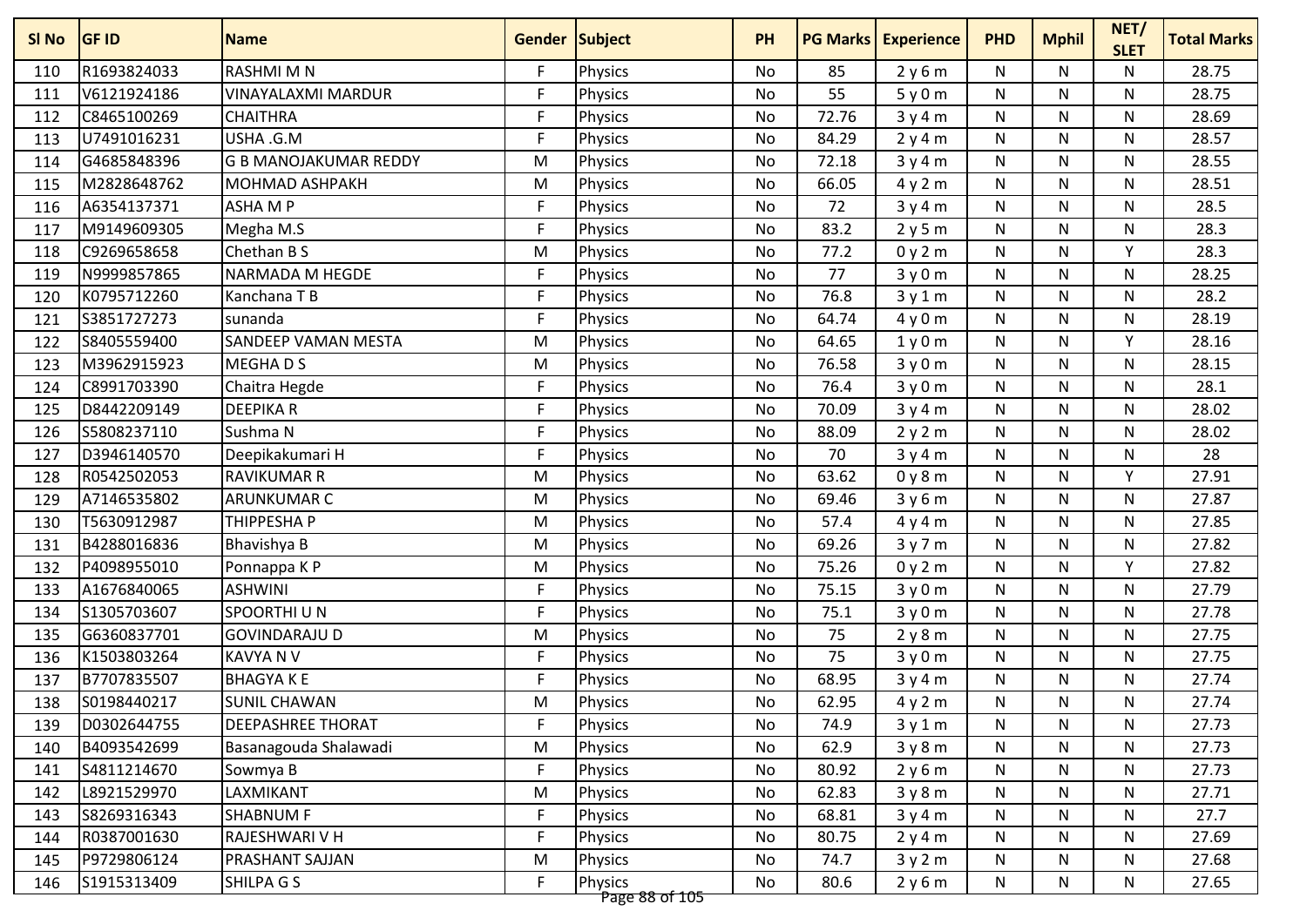| SI No | <b>GF ID</b> | <b>Name</b>                  | <b>Gender Subject</b> |                                  | <b>PH</b> |       | <b>PG Marks   Experience</b> | <b>PHD</b>   | <b>Mphil</b> | NET/<br><b>SLET</b> | <b>Total Marks</b> |
|-------|--------------|------------------------------|-----------------------|----------------------------------|-----------|-------|------------------------------|--------------|--------------|---------------------|--------------------|
| 110   | R1693824033  | <b>RASHMIMN</b>              | F.                    | <b>Physics</b>                   | No        | 85    | 2y6m                         | N            | N            | N                   | 28.75              |
| 111   | V6121924186  | VINAYALAXMI MARDUR           | F                     | <b>Physics</b>                   | No        | 55    | 5y0m                         | N            | N            | N                   | 28.75              |
| 112   | C8465100269  | <b>CHAITHRA</b>              | F                     | Physics                          | No        | 72.76 | 3y4m                         | ${\sf N}$    | N            | N                   | 28.69              |
| 113   | U7491016231  | USHA .G.M                    | F.                    | <b>Physics</b>                   | No        | 84.29 | 2y4m                         | ${\sf N}$    | N            | N                   | 28.57              |
| 114   | G4685848396  | <b>G B MANOJAKUMAR REDDY</b> | M                     | Physics                          | No        | 72.18 | 3y4m                         | ${\sf N}$    | N            | N                   | 28.55              |
| 115   | M2828648762  | <b>MOHMAD ASHPAKH</b>        | M                     | <b>Physics</b>                   | No        | 66.05 | 4y2m                         | N            | N            | N                   | 28.51              |
| 116   | A6354137371  | <b>ASHAMP</b>                | F                     | <b>Physics</b>                   | No        | 72    | 3y4m                         | ${\sf N}$    | N            | N                   | 28.5               |
| 117   | M9149609305  | Megha M.S                    | F.                    | <b>Physics</b>                   | <b>No</b> | 83.2  | 2y5m                         | N            | N            | N                   | 28.3               |
| 118   | C9269658658  | Chethan B S                  | M                     | <b>Physics</b>                   | No        | 77.2  | 0y2m                         | $\mathsf{N}$ | N            | Y                   | 28.3               |
| 119   | N9999857865  | NARMADA M HEGDE              | F                     | <b>Physics</b>                   | No        | 77    | 3y0m                         | ${\sf N}$    | N            | N                   | 28.25              |
| 120   | K0795712260  | Kanchana T B                 | F.                    | <b>Physics</b>                   | No        | 76.8  | 3y1m                         | ${\sf N}$    | N            | N                   | 28.2               |
| 121   | S3851727273  | sunanda                      | F.                    | <b>Physics</b>                   | No        | 64.74 | 4y0m                         | N            | N            | $\mathsf{N}$        | 28.19              |
| 122   | S8405559400  | <b>SANDEEP VAMAN MESTA</b>   | M                     | <b>Physics</b>                   | No        | 64.65 | 1y0m                         | N            | N            | Υ                   | 28.16              |
| 123   | M3962915923  | MEGHAD <sub>S</sub>          | M                     | <b>Physics</b>                   | No        | 76.58 | 3y0m                         | N            | N            | N                   | 28.15              |
| 124   | C8991703390  | Chaitra Hegde                | F                     | Physics                          | No        | 76.4  | 3y0m                         | $\mathsf{N}$ | N            | $\mathsf{N}$        | 28.1               |
| 125   | D8442209149  | <b>DEEPIKAR</b>              | F                     | Physics                          | No        | 70.09 | 3y4m                         | ${\sf N}$    | N            | N                   | 28.02              |
| 126   | S5808237110  | Sushma N                     | F                     | <b>Physics</b>                   | No        | 88.09 | 2y2m                         | N            | N            | N                   | 28.02              |
| 127   | D3946140570  | Deepikakumari H              | F                     | <b>Physics</b>                   | <b>No</b> | 70    | 3y4m                         | N            | N            | N                   | 28                 |
| 128   | R0542502053  | <b>RAVIKUMAR R</b>           | M                     | <b>Physics</b>                   | No        | 63.62 | 0y8m                         | N            | N            | Υ                   | 27.91              |
| 129   | A7146535802  | <b>ARUNKUMAR C</b>           | M                     | <b>Physics</b>                   | No        | 69.46 | 3y6m                         | N            | N            | N                   | 27.87              |
| 130   | T5630912987  | THIPPESHA P                  | M                     | <b>Physics</b>                   | No        | 57.4  | 4y4m                         | N            | N            | N                   | 27.85              |
| 131   | B4288016836  | Bhavishya B                  | M                     | <b>Physics</b>                   | No        | 69.26 | 3y7m                         | ${\sf N}$    | N            | N                   | 27.82              |
| 132   | P4098955010  | Ponnappa K P                 | M                     | <b>Physics</b>                   | No        | 75.26 | 0y2m                         | ${\sf N}$    | N            | Y                   | 27.82              |
| 133   | A1676840065  | <b>ASHWINI</b>               | F.                    | <b>Physics</b>                   | No        | 75.15 | 3y0m                         | ${\sf N}$    | N            | N                   | 27.79              |
| 134   | S1305703607  | SPOORTHI U N                 | F                     | <b>Physics</b>                   | No        | 75.1  | 3y0m                         | N            | N            | N.                  | 27.78              |
| 135   | G6360837701  | <b>GOVINDARAJU D</b>         | M                     | <b>Physics</b>                   | No        | 75    | 2y8m                         | ${\sf N}$    | N            | N                   | 27.75              |
| 136   | K1503803264  | <b>KAVYA N V</b>             | F.                    | <b>Physics</b>                   | No        | 75    | 3y0m                         | N            | N            | N                   | 27.75              |
| 137   | B7707835507  | <b>BHAGYAKE</b>              | F                     | <b>Physics</b>                   | No        | 68.95 | 3y4m                         | ${\sf N}$    | N            | N                   | 27.74              |
| 138   | S0198440217  | <b>SUNIL CHAWAN</b>          | M                     | Physics                          | No        | 62.95 | 4y2m                         | N            | N            | N                   | 27.74              |
| 139   | D0302644755  | <b>DEEPASHREE THORAT</b>     | F                     | Physics                          | No        | 74.9  | 3y1m                         | N            | N            | N                   | 27.73              |
| 140   | B4093542699  | Basanagouda Shalawadi        | M                     | <b>Physics</b>                   | No        | 62.9  | 3y8m                         | N            | N            | N                   | 27.73              |
| 141   | S4811214670  | Sowmya B                     | F                     | <b>Physics</b>                   | No        | 80.92 | 2y6m                         | N            | N            | N                   | 27.73              |
| 142   | L8921529970  | LAXMIKANT                    | M                     | <b>Physics</b>                   | No        | 62.83 | 3y8m                         | N            | N            | N                   | 27.71              |
| 143   | S8269316343  | <b>SHABNUM F</b>             | F                     | Physics                          | No        | 68.81 | 3y4m                         | ${\sf N}$    | N            | N                   | 27.7               |
| 144   | R0387001630  | RAJESHWARI V H               | F                     | <b>Physics</b>                   | No        | 80.75 | 2y4m                         | N            | N            | N                   | 27.69              |
| 145   | P9729806124  | PRASHANT SAJJAN              | M                     | Physics                          | No        | 74.7  | 3y2m                         | N            | N            | N                   | 27.68              |
| 146   | S1915313409  | SHILPA G S                   | F                     | <b>Physics</b><br>Page 88 of 105 | No        | 80.6  | 2y6m                         | N            | N            | N                   | 27.65              |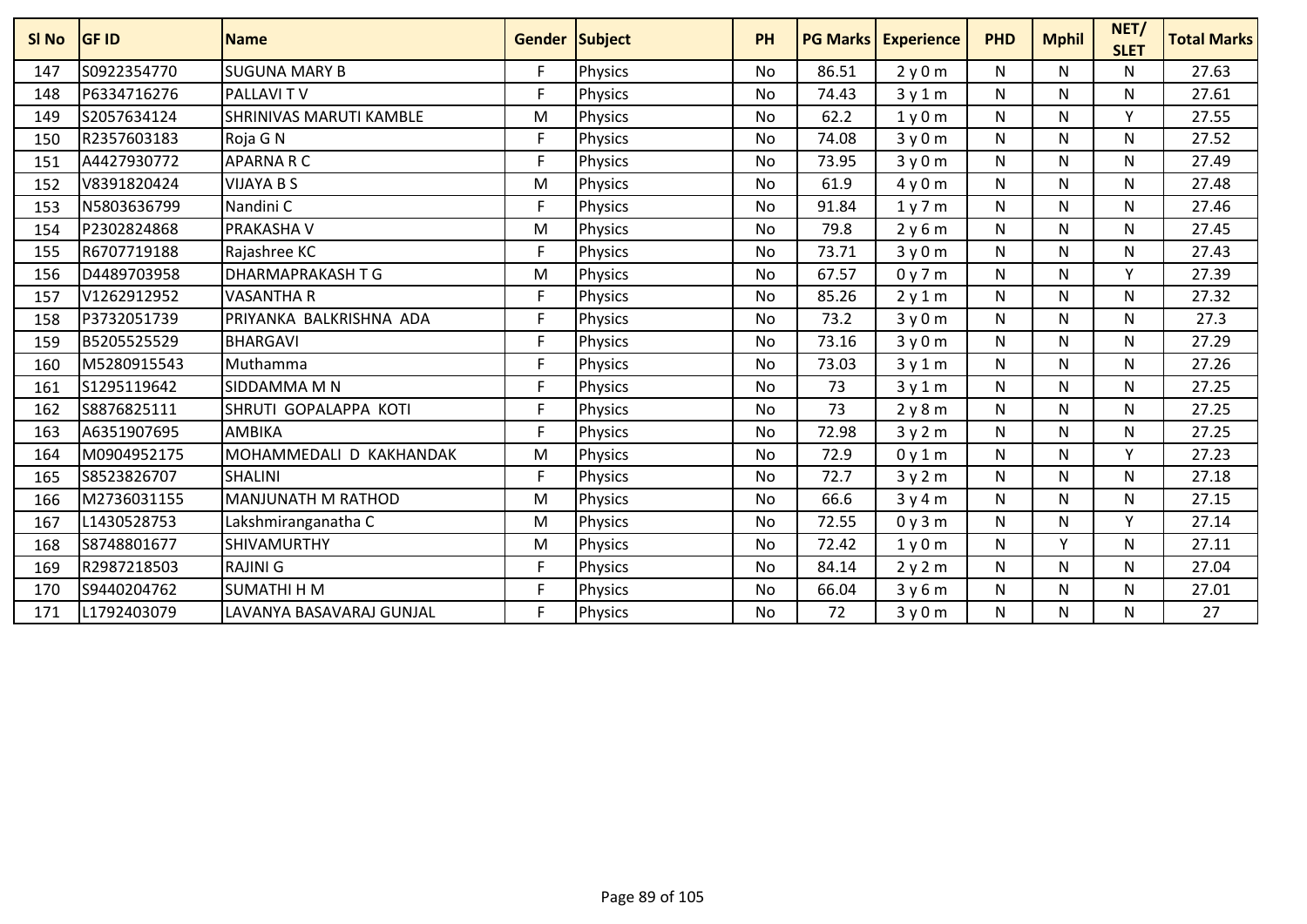| SI <sub>No</sub> | <b>GF ID</b> | <b>Name</b>               | <b>Gender Subject</b> |                | PH             | <b>PG Marks</b> | <b>Experience</b> | <b>PHD</b> | <b>Mphil</b> | NET/<br><b>SLET</b> | <b>Total Marks</b> |
|------------------|--------------|---------------------------|-----------------------|----------------|----------------|-----------------|-------------------|------------|--------------|---------------------|--------------------|
| 147              | S0922354770  | <b>SUGUNA MARY B</b>      | F                     | <b>Physics</b> | <b>No</b>      | 86.51           | 2y0m              | N          | N            | N                   | 27.63              |
| 148              | P6334716276  | <b>PALLAVITV</b>          | F                     | Physics        | <b>No</b>      | 74.43           | 3y1m              | N          | N            | N                   | 27.61              |
| 149              | S2057634124  | SHRINIVAS MARUTI KAMBLE   | M                     | Physics        | <b>No</b>      | 62.2            | 1y0m              | N          | N            | v                   | 27.55              |
| 150              | R2357603183  | Roja G N                  | F                     | <b>Physics</b> | No             | 74.08           | 3y0m              | N          | N            | N                   | 27.52              |
| 151              | A4427930772  | <b>APARNARC</b>           | F                     | Physics        | <b>No</b>      | 73.95           | 3y0m              | N          | N            | N                   | 27.49              |
| 152              | V8391820424  | <b>VIJAYA B S</b>         | M                     | Physics        | <b>No</b>      | 61.9            | 4y0m              | N          | N            | N                   | 27.48              |
| 153              | N5803636799  | Nandini C                 | F                     | <b>Physics</b> | N <sub>o</sub> | 91.84           | 1y7m              | N          | N            | N                   | 27.46              |
| 154              | P2302824868  | PRAKASHA V                | M                     | <b>Physics</b> | <b>No</b>      | 79.8            | 2y6m              | N          | N            | N                   | 27.45              |
| 155              | R6707719188  | Rajashree KC              | F                     | Physics        | No             | 73.71           | 3y0m              | N          | N            | N                   | 27.43              |
| 156              | D4489703958  | DHARMAPRAKASH T G         | M                     | <b>Physics</b> | <b>No</b>      | 67.57           | 0y7m              | N          | N            | v                   | 27.39              |
| 157              | V1262912952  | <b>VASANTHA R</b>         | F                     | <b>Physics</b> | <b>No</b>      | 85.26           | 2y1m              | N          | N            | N                   | 27.32              |
| 158              | P3732051739  | PRIYANKA BALKRISHNA ADA   | F                     | <b>Physics</b> | No             | 73.2            | 3y0m              | N          | N            | Ν                   | 27.3               |
| 159              | B5205525529  | <b>BHARGAVI</b>           | F                     | Physics        | No             | 73.16           | 3y0m              | N          | N            | N                   | 27.29              |
| 160              | M5280915543  | Muthamma                  | F                     | Physics        | <b>No</b>      | 73.03           | 3y1m              | N          | N            | N                   | 27.26              |
| 161              | S1295119642  | SIDDAMMA M N              | F                     | <b>Physics</b> | <b>No</b>      | 73              | 3y1m              | N          | N            | N                   | 27.25              |
| 162              | S8876825111  | SHRUTI GOPALAPPA KOTI     | F                     | Physics        | No             | 73              | 2y8m              | N          | N            | N                   | 27.25              |
| 163              | A6351907695  | AMBIKA                    | F                     | Physics        | <b>No</b>      | 72.98           | 3y2m              | N          | N            | N                   | 27.25              |
| 164              | M0904952175  | MOHAMMEDALI D KAKHANDAK   | M                     | <b>Physics</b> | <b>No</b>      | 72.9            | 0y1m              | N          | N            | Y                   | 27.23              |
| 165              | S8523826707  | <b>SHALINI</b>            | F                     | <b>Physics</b> | <b>No</b>      | 72.7            | 3y2m              | N          | N            | N                   | 27.18              |
| 166              | M2736031155  | <b>MANJUNATH M RATHOD</b> | M                     | <b>Physics</b> | No             | 66.6            | 3y4m              | N          | N            | N                   | 27.15              |
| 167              | L1430528753  | Lakshmiranganatha C       | M                     | Physics        | No             | 72.55           | 0y3m              | N          | N            | Y                   | 27.14              |
| 168              | S8748801677  | <b>SHIVAMURTHY</b>        | M                     | Physics        | <b>No</b>      | 72.42           | 1y0m              | N          | $\vee$       | N                   | 27.11              |
| 169              | R2987218503  | <b>RAJINI G</b>           | F                     | Physics        | No             | 84.14           | 2y2m              | N          | N            | N                   | 27.04              |
| 170              | S9440204762  | <b>SUMATHI H M</b>        | F                     | <b>Physics</b> | <b>No</b>      | 66.04           | 3y6m              | N          | N            | N                   | 27.01              |
| 171              | L1792403079  | LAVANYA BASAVARAJ GUNJAL  | F                     | <b>Physics</b> | No.            | 72              | 3y0m              | N          | N            | N                   | 27                 |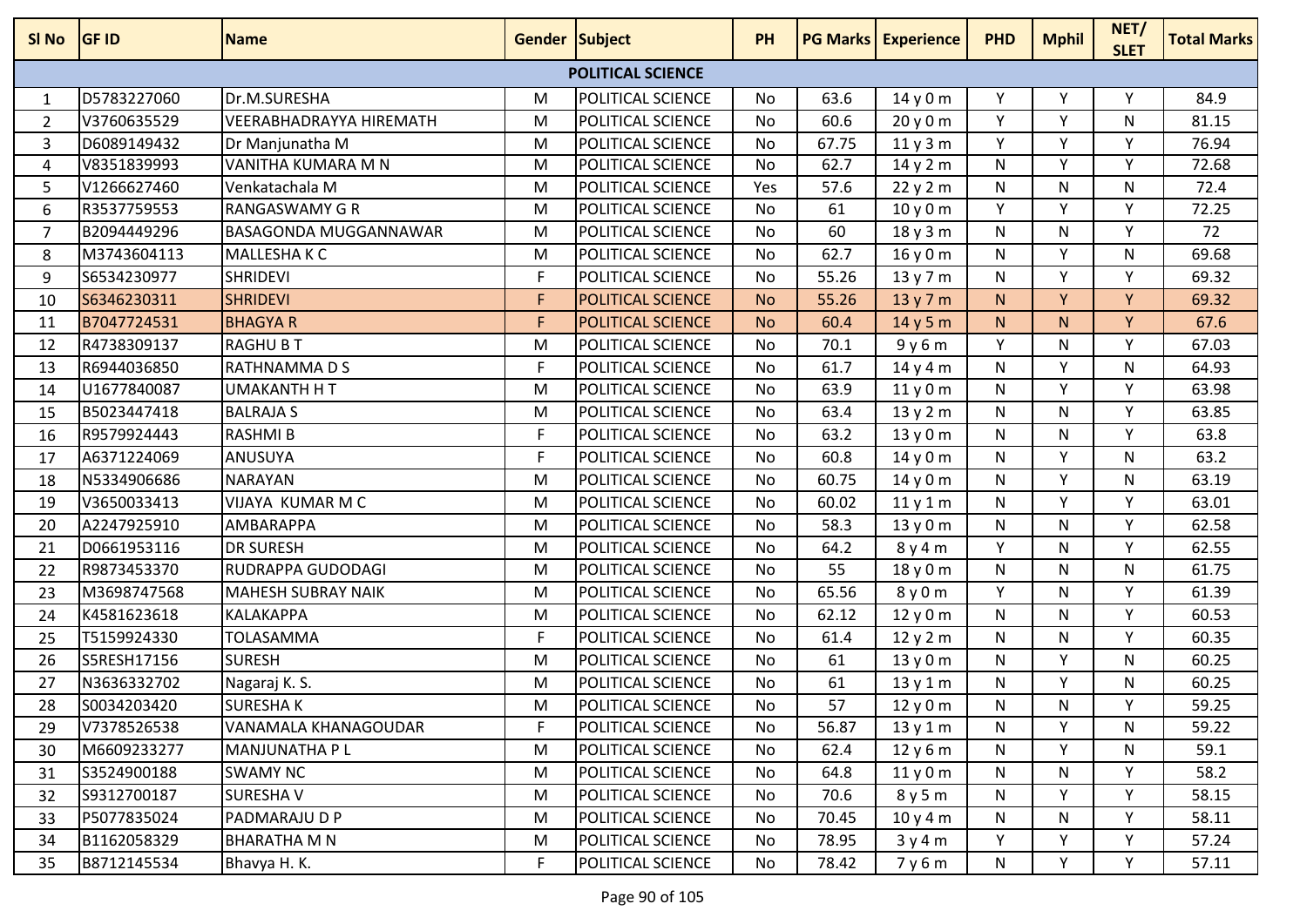| SI No          | <b>GF ID</b> | <b>Name</b>               | <b>Gender Subject</b> |                          | <b>PH</b> |       | <b>PG Marks Experience</b> | <b>PHD</b>   | <b>Mphil</b> | NET/<br><b>SLET</b> | <b>Total Marks</b> |
|----------------|--------------|---------------------------|-----------------------|--------------------------|-----------|-------|----------------------------|--------------|--------------|---------------------|--------------------|
|                |              |                           |                       | <b>POLITICAL SCIENCE</b> |           |       |                            |              |              |                     |                    |
| 1              | D5783227060  | Dr.M.SURESHA              | M                     | <b>POLITICAL SCIENCE</b> | No        | 63.6  | 14 y 0 m                   | Υ            | Υ            | Υ                   | 84.9               |
| $\overline{2}$ | V3760635529  | VEERABHADRAYYA HIREMATH   | M                     | POLITICAL SCIENCE        | <b>No</b> | 60.6  | 20y0m                      | Y            | $\mathsf{v}$ | N                   | 81.15              |
| $\mathbf{3}$   | D6089149432  | Dr Manjunatha M           | M                     | POLITICAL SCIENCE        | No        | 67.75 | 11y3m                      | Y            | Y            | Y                   | 76.94              |
| 4              | V8351839993  | VANITHA KUMARA M N        | M                     | POLITICAL SCIENCE        | No        | 62.7  | 14 y 2 m                   | N            | <b>V</b>     | Υ                   | 72.68              |
| 5              | V1266627460  | Venkatachala M            | M                     | POLITICAL SCIENCE        | Yes       | 57.6  | 22y2m                      | N            | N            | N                   | 72.4               |
| 6              | R3537759553  | <b>RANGASWAMY G R</b>     | M                     | <b>POLITICAL SCIENCE</b> | <b>No</b> | 61    | 10y0m                      | Y            | Y            | Y                   | 72.25              |
| $\overline{7}$ | B2094449296  | BASAGONDA MUGGANNAWAR     | M                     | POLITICAL SCIENCE        | No        | 60    | 18 y 3 m                   | N            | N            | Y                   | 72                 |
| 8              | M3743604113  | <b>MALLESHAKC</b>         | M                     | POLITICAL SCIENCE        | No        | 62.7  | 16 y 0 m                   | N            | Y            | $\mathsf{N}$        | 69.68              |
| 9              | S6534230977  | <b>SHRIDEVI</b>           | F                     | <b>POLITICAL SCIENCE</b> | No        | 55.26 | 13 y 7 m                   | N            | Y            | Y                   | 69.32              |
| 10             | S6346230311  | <b>SHRIDEVI</b>           | F                     | <b>POLITICAL SCIENCE</b> | <b>No</b> | 55.26 | 13y7m                      | N.           | $\vee$       | Y                   | 69.32              |
| 11             | B7047724531  | <b>BHAGYAR</b>            | F                     | <b>POLITICAL SCIENCE</b> | <b>No</b> | 60.4  | 14y5m                      | N.           | N.           | Y                   | 67.6               |
| 12             | R4738309137  | <b>RAGHU B T</b>          | M                     | <b>POLITICAL SCIENCE</b> | No        | 70.1  | 9y6m                       | Y            | N            | Y                   | 67.03              |
| 13             | R6944036850  | RATHNAMMA D S             | $\mathsf F$           | POLITICAL SCIENCE        | No        | 61.7  | 14 y 4 m                   | ${\sf N}$    | Υ            | ${\sf N}$           | 64.93              |
| 14             | U1677840087  | <b>UMAKANTH H T</b>       | M                     | POLITICAL SCIENCE        | No        | 63.9  | 11y0m                      | N            | Υ            | Y                   | 63.98              |
| 15             | B5023447418  | <b>BALRAJA S</b>          | M                     | <b>POLITICAL SCIENCE</b> | No        | 63.4  | 13y2m                      | N            | N            | Υ                   | 63.85              |
| 16             | R9579924443  | <b>RASHMIB</b>            | $\mathsf{F}$          | POLITICAL SCIENCE        | No        | 63.2  | 13 y 0 m                   | ${\sf N}$    | N            | Υ                   | 63.8               |
| 17             | A6371224069  | ANUSUYA                   | F                     | POLITICAL SCIENCE        | No        | 60.8  | 14 y 0 m                   | N            | $\vee$       | N                   | 63.2               |
| 18             | N5334906686  | <b>NARAYAN</b>            | M                     | <b>POLITICAL SCIENCE</b> | <b>No</b> | 60.75 | 14 y 0 m                   | N            | <b>V</b>     | N                   | 63.19              |
| 19             | V3650033413  | VIJAYA KUMAR M C          | M                     | POLITICAL SCIENCE        | No        | 60.02 | 11y1m                      | N            | $\vee$       | Υ                   | 63.01              |
| 20             | A2247925910  | AMBARAPPA                 | M                     | POLITICAL SCIENCE        | No        | 58.3  | 13 y 0 m                   | $\mathsf{N}$ | N            | Y                   | 62.58              |
| 21             | D0661953116  | <b>DR SURESH</b>          | M                     | <b>POLITICAL SCIENCE</b> | No        | 64.2  | 8y4m                       | Y            | N            | Y                   | 62.55              |
| 22             | R9873453370  | RUDRAPPA GUDODAGI         | M                     | POLITICAL SCIENCE        | No        | 55    | 18 y 0 m                   | $\mathsf{N}$ | N            | $\mathsf{N}$        | 61.75              |
| 23             | M3698747568  | <b>MAHESH SUBRAY NAIK</b> | M                     | POLITICAL SCIENCE        | No        | 65.56 | 8y0m                       | Y            | N            | Υ                   | 61.39              |
| 24             | K4581623618  | KALAKAPPA                 | M                     | POLITICAL SCIENCE        | No        | 62.12 | 12y0m                      | N            | N            | Y                   | 60.53              |
| 25             | T5159924330  | TOLASAMMA                 | $\mathsf F$           | POLITICAL SCIENCE        | <b>No</b> | 61.4  | 12y2m                      | ${\sf N}$    | N            | Y                   | 60.35              |
| 26             | S5RESH17156  | <b>SURESH</b>             | M                     | POLITICAL SCIENCE        | No        | 61    | 13 y 0 m                   | N            | Y            | N                   | 60.25              |
| 27             | N3636332702  | Nagaraj K. S.             | M                     | POLITICAL SCIENCE        | No        | 61    | 13 y 1 m                   | N            | Y            | N                   | 60.25              |
| 28             | S0034203420  | <b>SURESHAK</b>           | M                     | <b>POLITICAL SCIENCE</b> | No        | 57    | 12y0m                      | N            | N            | Υ                   | 59.25              |
| 29             | V7378526538  | VANAMALA KHANAGOUDAR      | F                     | <b>POLITICAL SCIENCE</b> | No        | 56.87 | 13y1m                      | N            | Y            | N                   | 59.22              |
| 30             | M6609233277  | MANJUNATHA P L            | M                     | POLITICAL SCIENCE        | No        | 62.4  | 12 y 6 m                   | $\mathsf{N}$ | Y            | $\mathsf{N}$        | 59.1               |
| 31             | S3524900188  | SWAMY NC                  | M                     | POLITICAL SCIENCE        | No        | 64.8  | 11y0m                      | N            | N            | Y                   | 58.2               |
| 32             | S9312700187  | SURESHAV                  | M                     | POLITICAL SCIENCE        | No        | 70.6  | 8y5m                       | N            | Y            | Υ                   | 58.15              |
| 33             | P5077835024  | PADMARAJU D P             | M                     | POLITICAL SCIENCE        | No        | 70.45 | 10y4m                      | N            | N            | Y                   | 58.11              |
| 34             | B1162058329  | <b>BHARATHA M N</b>       | M                     | <b>POLITICAL SCIENCE</b> | No        | 78.95 | 3y4m                       | Y            | Y            | Υ                   | 57.24              |
| 35             | B8712145534  | Bhavya H. K.              | F                     | POLITICAL SCIENCE        | No        | 78.42 | 7y6m                       | N            | Y            | Y                   | 57.11              |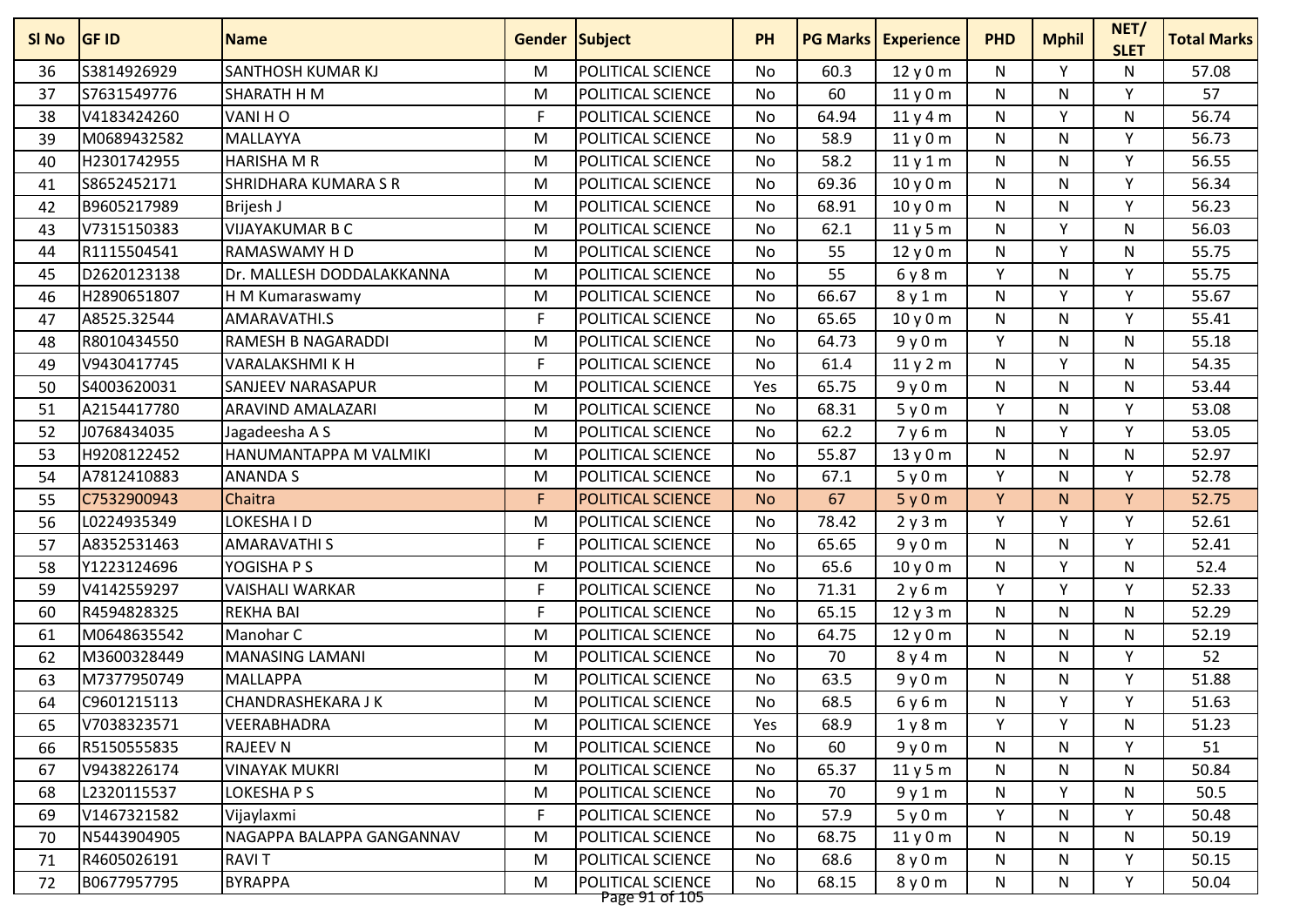| S3814926929<br>SANTHOSH KUMAR KJ<br>POLITICAL SCIENCE<br>Υ<br>60.3<br>12y0m<br>N<br>N<br>м<br>No<br>36<br>S7631549776<br>POLITICAL SCIENCE<br>SHARATH H M<br>M<br>60<br>N<br>v<br>37<br>No<br>11y0m<br>N<br>$\mathsf{F}$<br>POLITICAL SCIENCE<br><b>V</b><br>V4183424260<br>VANI HO<br>64.94<br>${\sf N}$<br>38<br><b>No</b><br>11y4m<br>N<br>M0689432582<br><b>POLITICAL SCIENCE</b><br>58.9<br>Y<br>MALLAYYA<br>11y0m<br>N<br>N<br>39<br>M<br>No<br>H2301742955<br><b>HARISHA M R</b><br><b>POLITICAL SCIENCE</b><br>Y<br>58.2<br>N<br>N<br>40<br>M<br>No<br>11y1m | 57.08<br>57<br>56.74<br>56.73<br>56.55<br>56.34<br>56.23<br>56.03<br>55.75 |
|----------------------------------------------------------------------------------------------------------------------------------------------------------------------------------------------------------------------------------------------------------------------------------------------------------------------------------------------------------------------------------------------------------------------------------------------------------------------------------------------------------------------------------------------------------------------|----------------------------------------------------------------------------|
|                                                                                                                                                                                                                                                                                                                                                                                                                                                                                                                                                                      |                                                                            |
|                                                                                                                                                                                                                                                                                                                                                                                                                                                                                                                                                                      |                                                                            |
|                                                                                                                                                                                                                                                                                                                                                                                                                                                                                                                                                                      |                                                                            |
|                                                                                                                                                                                                                                                                                                                                                                                                                                                                                                                                                                      |                                                                            |
|                                                                                                                                                                                                                                                                                                                                                                                                                                                                                                                                                                      |                                                                            |
| Υ<br>S8652452171<br><b>SHRIDHARA KUMARA S R</b><br>POLITICAL SCIENCE<br>69.36<br>10y0m<br>N<br>M<br>No<br>N<br>41                                                                                                                                                                                                                                                                                                                                                                                                                                                    |                                                                            |
| B9605217989<br>POLITICAL SCIENCE<br>68.91<br>${\sf N}$<br>N<br>٧<br>42<br>Brijesh J<br>M<br>No<br>10y0m                                                                                                                                                                                                                                                                                                                                                                                                                                                              |                                                                            |
| <b>VIJAYAKUMAR B C</b><br>V7315150383<br><b>POLITICAL SCIENCE</b><br>62.1<br>$\vee$<br>M<br>N<br>N<br>43<br>No<br>11y5m                                                                                                                                                                                                                                                                                                                                                                                                                                              |                                                                            |
| R1115504541<br>55<br>$\vee$<br>RAMASWAMY H D<br>M<br><b>POLITICAL SCIENCE</b><br>N<br>N<br>No<br>12y0m<br>44                                                                                                                                                                                                                                                                                                                                                                                                                                                         |                                                                            |
| POLITICAL SCIENCE<br>D2620123138<br>Dr. MALLESH DODDALAKKANNA<br>55<br>Y<br>N<br>Y<br>M<br><b>No</b><br>6y8m<br>45                                                                                                                                                                                                                                                                                                                                                                                                                                                   | 55.75                                                                      |
| POLITICAL SCIENCE<br>Υ<br>Y<br>H2890651807<br>66.67<br>N<br>H M Kumaraswamy<br>M<br>No<br>8y1m<br>46                                                                                                                                                                                                                                                                                                                                                                                                                                                                 | 55.67                                                                      |
| A8525.32544<br>AMARAVATHI.S<br>F<br>POLITICAL SCIENCE<br>65.65<br>$\mathsf{N}$<br>Υ<br>47<br>No<br>10y0m<br>N                                                                                                                                                                                                                                                                                                                                                                                                                                                        | 55.41                                                                      |
| Y<br>POLITICAL SCIENCE<br>R8010434550<br><b>RAMESH B NAGARADDI</b><br>64.73<br>N<br>48<br>M<br>No<br>9y0m<br>N                                                                                                                                                                                                                                                                                                                                                                                                                                                       | 55.18                                                                      |
| F<br>POLITICAL SCIENCE<br>$\vee$<br>V9430417745<br>VARALAKSHMI K H<br>61.4<br>N<br>N<br>No<br>11y2m<br>49                                                                                                                                                                                                                                                                                                                                                                                                                                                            | 54.35                                                                      |
| S4003620031<br><b>SANJEEV NARASAPUR</b><br><b>POLITICAL SCIENCE</b><br>65.75<br>$\mathsf{N}$<br>N<br>M<br>Yes<br>9y0m<br>N<br>50                                                                                                                                                                                                                                                                                                                                                                                                                                     | 53.44                                                                      |
| A2154417780<br>POLITICAL SCIENCE<br>Y<br>ARAVIND AMALAZARI<br>68.31<br>N<br>Υ<br>51<br>M<br>No<br>5y0m                                                                                                                                                                                                                                                                                                                                                                                                                                                               | 53.08                                                                      |
| POLITICAL SCIENCE<br>J0768434035<br>62.2<br>Y<br>Y<br>Jagadeesha A S<br>7y6m<br>$\mathsf{N}$<br>52<br>M<br>No                                                                                                                                                                                                                                                                                                                                                                                                                                                        | 53.05                                                                      |
| <b>POLITICAL SCIENCE</b><br>55.87<br>H9208122452<br>HANUMANTAPPA M VALMIKI<br>M<br>N<br>N<br>N<br>53<br>No<br>13 y 0 m                                                                                                                                                                                                                                                                                                                                                                                                                                               | 52.97                                                                      |
| Y<br>Y<br>A7812410883<br><b>ANANDA S</b><br><b>POLITICAL SCIENCE</b><br>67.1<br>N<br>54<br>M<br>No<br>5y0m                                                                                                                                                                                                                                                                                                                                                                                                                                                           | 52.78                                                                      |
| Y<br>C7532900943<br>F.<br><b>POLITICAL SCIENCE</b><br>67<br>Y<br>Chaitra<br>N.<br>55<br>5y0m<br><b>No</b>                                                                                                                                                                                                                                                                                                                                                                                                                                                            | 52.75                                                                      |
| Y<br>L0224935349<br>OKESHA I D<br>POLITICAL SCIENCE<br>78.42<br>v<br>Υ<br>56<br>M<br>No<br>2y3m                                                                                                                                                                                                                                                                                                                                                                                                                                                                      | 52.61                                                                      |
| $\mathsf{F}$<br>57<br>A8352531463<br><b>AMARAVATHI S</b><br>POLITICAL SCIENCE<br>65.65<br>$\mathsf{N}$<br>N<br>Y<br><b>No</b><br>9y0m                                                                                                                                                                                                                                                                                                                                                                                                                                | 52.41                                                                      |
| POLITICAL SCIENCE<br>65.6<br>Y<br>Y1223124696<br>YOGISHA P S<br>10 y 0 m<br>N<br>N<br>58<br>M<br>No                                                                                                                                                                                                                                                                                                                                                                                                                                                                  | 52.4                                                                       |
| POLITICAL SCIENCE<br>Y<br>Y<br>Y<br>59<br>V4142559297<br><b>VAISHALI WARKAR</b><br>F<br>71.31<br>No<br>2y6m                                                                                                                                                                                                                                                                                                                                                                                                                                                          | 52.33                                                                      |
| F<br>R4594828325<br><b>REKHA BAI</b><br><b>POLITICAL SCIENCE</b><br>65.15<br>12y3m<br>N<br>N<br>N<br>60<br>No                                                                                                                                                                                                                                                                                                                                                                                                                                                        | 52.29                                                                      |
| M0648635542<br>Manohar C<br>M<br>POLITICAL SCIENCE<br>64.75<br>N<br>N<br>61<br>No<br>12y0m<br>N                                                                                                                                                                                                                                                                                                                                                                                                                                                                      | 52.19                                                                      |
| <b>MANASING LAMANI</b><br>POLITICAL SCIENCE<br>70<br>Υ<br>62<br>M3600328449<br>N<br>N<br>M<br>No<br>8y4m                                                                                                                                                                                                                                                                                                                                                                                                                                                             | 52                                                                         |
| Y<br>M7377950749<br><b>MALLAPPA</b><br>M<br><b>POLITICAL SCIENCE</b><br>63.5<br>N<br>N<br>63<br>No<br>9y0m                                                                                                                                                                                                                                                                                                                                                                                                                                                           | 51.88                                                                      |
| C9601215113<br><b>POLITICAL SCIENCE</b><br>68.5<br>Υ<br>CHANDRASHEKARA J K<br>M<br>N<br>Υ<br>64<br>No<br>6y6m                                                                                                                                                                                                                                                                                                                                                                                                                                                        | 51.63                                                                      |
| POLITICAL SCIENCE<br>Υ<br>V7038323571<br>VEERABHADRA<br>68.9<br>1y8m<br>Y<br>N<br>65<br>M<br>Yes                                                                                                                                                                                                                                                                                                                                                                                                                                                                     | 51.23                                                                      |
| R5150555835<br><b>POLITICAL SCIENCE</b><br>60<br>9y0m<br>Y<br>66<br><b>RAJEEV N</b><br>M<br>No<br>N<br>N                                                                                                                                                                                                                                                                                                                                                                                                                                                             | 51                                                                         |
| V9438226174<br><b>VINAYAK MUKRI</b><br>POLITICAL SCIENCE<br>65.37<br>$\mathsf{N}$<br>N<br>67<br>M<br>No<br>11y5m<br>N                                                                                                                                                                                                                                                                                                                                                                                                                                                | 50.84                                                                      |
| L2320115537<br><b>POLITICAL SCIENCE</b><br>Υ<br>LOKESHA P S<br>70<br>N<br>N<br>68<br>M<br>No<br>9y1m                                                                                                                                                                                                                                                                                                                                                                                                                                                                 | 50.5                                                                       |
| Y<br>Y<br>V1467321582<br>$\mathsf{F}$<br>57.9<br>N<br><b>POLITICAL SCIENCE</b><br>No<br>69<br>Vijaylaxmi<br>5y0m                                                                                                                                                                                                                                                                                                                                                                                                                                                     | 50.48                                                                      |
| N5443904905<br>POLITICAL SCIENCE<br>68.75<br>${\sf N}$<br>NAGAPPA BALAPPA GANGANNAV<br>M<br>No<br>11y0m<br>N<br>N<br>70                                                                                                                                                                                                                                                                                                                                                                                                                                              | 50.19                                                                      |
| R4605026191<br><b>RAVIT</b><br>POLITICAL SCIENCE<br>68.6<br>N<br>Y<br>71<br>M<br>No<br>8y0m<br>N                                                                                                                                                                                                                                                                                                                                                                                                                                                                     | 50.15                                                                      |
| <b>BYRAPPA</b><br><b>POLITICAL SCIENCE</b><br>Υ<br>72<br>B0677957795<br>M<br>68.15<br>8y0m<br>N<br>N<br>No<br>Page 91 of 105                                                                                                                                                                                                                                                                                                                                                                                                                                         | 50.04                                                                      |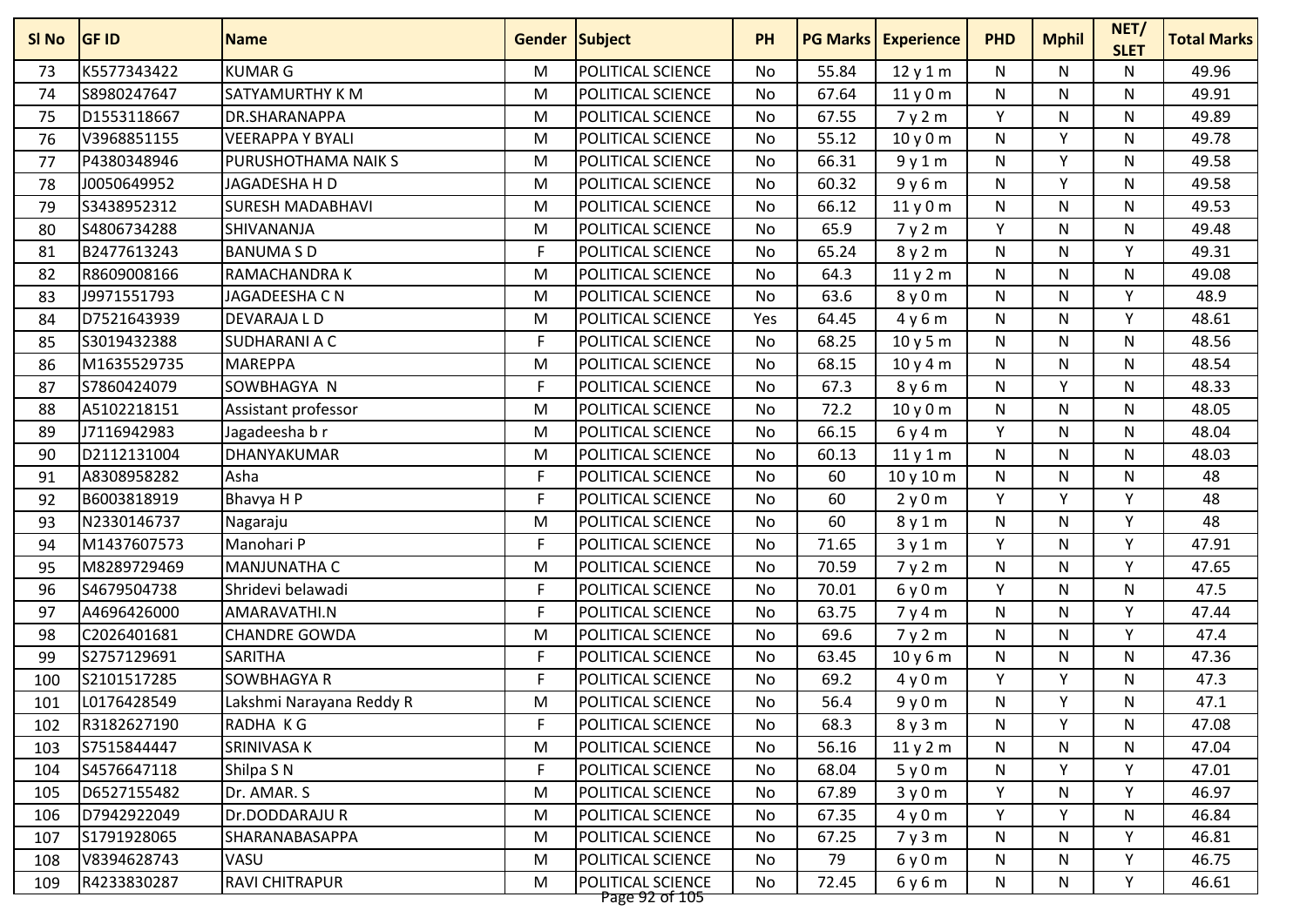| SI No | <b>GF ID</b> | <b>Name</b>              | Gender Subject |                                     | <b>PH</b> | <b>PG Marks</b> | <b>Experience</b> | <b>PHD</b> | <b>Mphil</b> | NET/<br><b>SLET</b> | <b>Total Marks</b> |
|-------|--------------|--------------------------|----------------|-------------------------------------|-----------|-----------------|-------------------|------------|--------------|---------------------|--------------------|
| 73    | K5577343422  | <b>KUMAR G</b>           | M              | POLITICAL SCIENCE                   | No        | 55.84           | 12y1m             | N          | N            | N                   | 49.96              |
| 74    | S8980247647  | SATYAMURTHY K M          | M              | POLITICAL SCIENCE                   | No        | 67.64           | 11y0m             | N          | N            | N                   | 49.91              |
| 75    | D1553118667  | DR.SHARANAPPA            | M              | POLITICAL SCIENCE                   | No        | 67.55           | 7y2m              | Y          | N            | N                   | 49.89              |
| 76    | V3968851155  | <b>VEERAPPA Y BYALI</b>  | M              | POLITICAL SCIENCE                   | No        | 55.12           | 10 y 0 m          | N          | Y            | N                   | 49.78              |
| 77    | P4380348946  | PURUSHOTHAMA NAIK S      | M              | POLITICAL SCIENCE                   | No        | 66.31           | 9y1m              | N          | Y            | N                   | 49.58              |
| 78    | J0050649952  | JAGADESHA H D            | M              | POLITICAL SCIENCE                   | No        | 60.32           | 9y6m              | N          | Y            | N                   | 49.58              |
| 79    | S3438952312  | <b>SURESH MADABHAVI</b>  | M              | POLITICAL SCIENCE                   | No        | 66.12           | 11y0m             | N          | N            | N                   | 49.53              |
| 80    | S4806734288  | SHIVANANJA               | M              | POLITICAL SCIENCE                   | No        | 65.9            | 7y2m              | Y          | N            | N                   | 49.48              |
| 81    | B2477613243  | <b>BANUMA S D</b>        | F              | POLITICAL SCIENCE                   | No        | 65.24           | 8y2m              | N          | N            | Υ                   | 49.31              |
| 82    | R8609008166  | RAMACHANDRA K            | M              | POLITICAL SCIENCE                   | <b>No</b> | 64.3            | 11y2m             | N          | N            | N                   | 49.08              |
| 83    | J9971551793  | JAGADEESHA C N           | M              | POLITICAL SCIENCE                   | No        | 63.6            | 8y0m              | N          | N            | Υ                   | 48.9               |
| 84    | D7521643939  | DEVARAJA L D             | M              | <b>POLITICAL SCIENCE</b>            | Yes       | 64.45           | 4y6m              | N          | N            | Y                   | 48.61              |
| 85    | S3019432388  | <b>SUDHARANI A C</b>     | F              | POLITICAL SCIENCE                   | No        | 68.25           | 10y5m             | N          | N            | N                   | 48.56              |
| 86    | M1635529735  | <b>MAREPPA</b>           | M              | POLITICAL SCIENCE                   | No        | 68.15           | 10y4m             | N          | N            | N                   | 48.54              |
| 87    | S7860424079  | SOWBHAGYA N              | F              | POLITICAL SCIENCE                   | No        | 67.3            | 8 y 6 m           | N          | V            | N                   | 48.33              |
| 88    | A5102218151  | Assistant professor      | M              | POLITICAL SCIENCE                   | No        | 72.2            | 10y0m             | N          | N            | N                   | 48.05              |
| 89    | J7116942983  | Jagadeesha b r           | M              | POLITICAL SCIENCE                   | No        | 66.15           | 6y4m              | Y          | N            | N                   | 48.04              |
| 90    | D2112131004  | DHANYAKUMAR              | M              | POLITICAL SCIENCE                   | No        | 60.13           | 11y1m             | N          | N            | N                   | 48.03              |
| 91    | A8308958282  | Asha                     | F              | POLITICAL SCIENCE                   | No        | 60              | 10 y 10 m         | N          | N            | N                   | 48                 |
| 92    | B6003818919  | Bhavya H P               | F              | POLITICAL SCIENCE                   | No        | 60              | 2y0m              | Y          | V            | Υ                   | 48                 |
| 93    | N2330146737  | Nagaraju                 | M              | POLITICAL SCIENCE                   | No        | 60              | 8 y 1 m           | N          | N            | Y                   | 48                 |
| 94    | M1437607573  | Manohari P               | F              | POLITICAL SCIENCE                   | No        | 71.65           | 3y1m              | Y          | N            | Υ                   | 47.91              |
| 95    | M8289729469  | MANJUNATHA C             | M              | POLITICAL SCIENCE                   | <b>No</b> | 70.59           | 7y2m              | N          | N            | Υ                   | 47.65              |
| 96    | S4679504738  | Shridevi belawadi        | F              | POLITICAL SCIENCE                   | <b>No</b> | 70.01           | 6y0m              | Y          | N            | N                   | 47.5               |
| 97    | A4696426000  | AMARAVATHI.N             | F              | POLITICAL SCIENCE                   | No        | 63.75           | 7y4m              | N          | N            | Y                   | 47.44              |
| 98    | C2026401681  | <b>CHANDRE GOWDA</b>     | M              | POLITICAL SCIENCE                   | No        | 69.6            | 7y2m              | N          | N            | Υ                   | 47.4               |
| 99    | S2757129691  | <b>SARITHA</b>           | F              | POLITICAL SCIENCE                   | No        | 63.45           | 10y6m             | N          | N            | N                   | 47.36              |
| 100   | S2101517285  | <b>SOWBHAGYA R</b>       | F              | POLITICAL SCIENCE                   | No        | 69.2            | 4y0m              | Y          | v            | N                   | 47.3               |
| 101   | L0176428549  | Lakshmi Narayana Reddy R | M              | <b>POLITICAL SCIENCE</b>            | No        | 56.4            | 9y0m              | N          | Y            | Ν                   | 47.1               |
| 102   | R3182627190  | RADHA KG                 | F              | POLITICAL SCIENCE                   | No        | 68.3            | 8y3m              | N          | Y            | Ν                   | 47.08              |
| 103   | S7515844447  | SRINIVASA K              | M              | POLITICAL SCIENCE                   | No        | 56.16           | 11y2m             | N          | N            | N                   | 47.04              |
| 104   | S4576647118  | Shilpa S N               | F              | <b>POLITICAL SCIENCE</b>            | No        | 68.04           | 5y0m              | N          | Y            | Y                   | 47.01              |
| 105   | D6527155482  | Dr. AMAR. S              | M              | POLITICAL SCIENCE                   | No        | 67.89           | 3y0m              | Y          | N            | Υ                   | 46.97              |
| 106   | D7942922049  | Dr.DODDARAJUR            | M              | <b>POLITICAL SCIENCE</b>            | No        | 67.35           | 4y0m              | Y          | Y            | N                   | 46.84              |
| 107   | S1791928065  | SHARANABASAPPA           | M              | <b>POLITICAL SCIENCE</b>            | No        | 67.25           | 7y3m              | N          | N            | Y                   | 46.81              |
| 108   | V8394628743  | VASU                     | M              | POLITICAL SCIENCE                   | No        | 79              | 6y0m              | N          | N            | Y                   | 46.75              |
| 109   | R4233830287  | RAVI CHITRAPUR           | M              | POLITICAL SCIENCE<br>Page 92 of 105 | No        | 72.45           | 6y6m              | N          | N            | Y                   | 46.61              |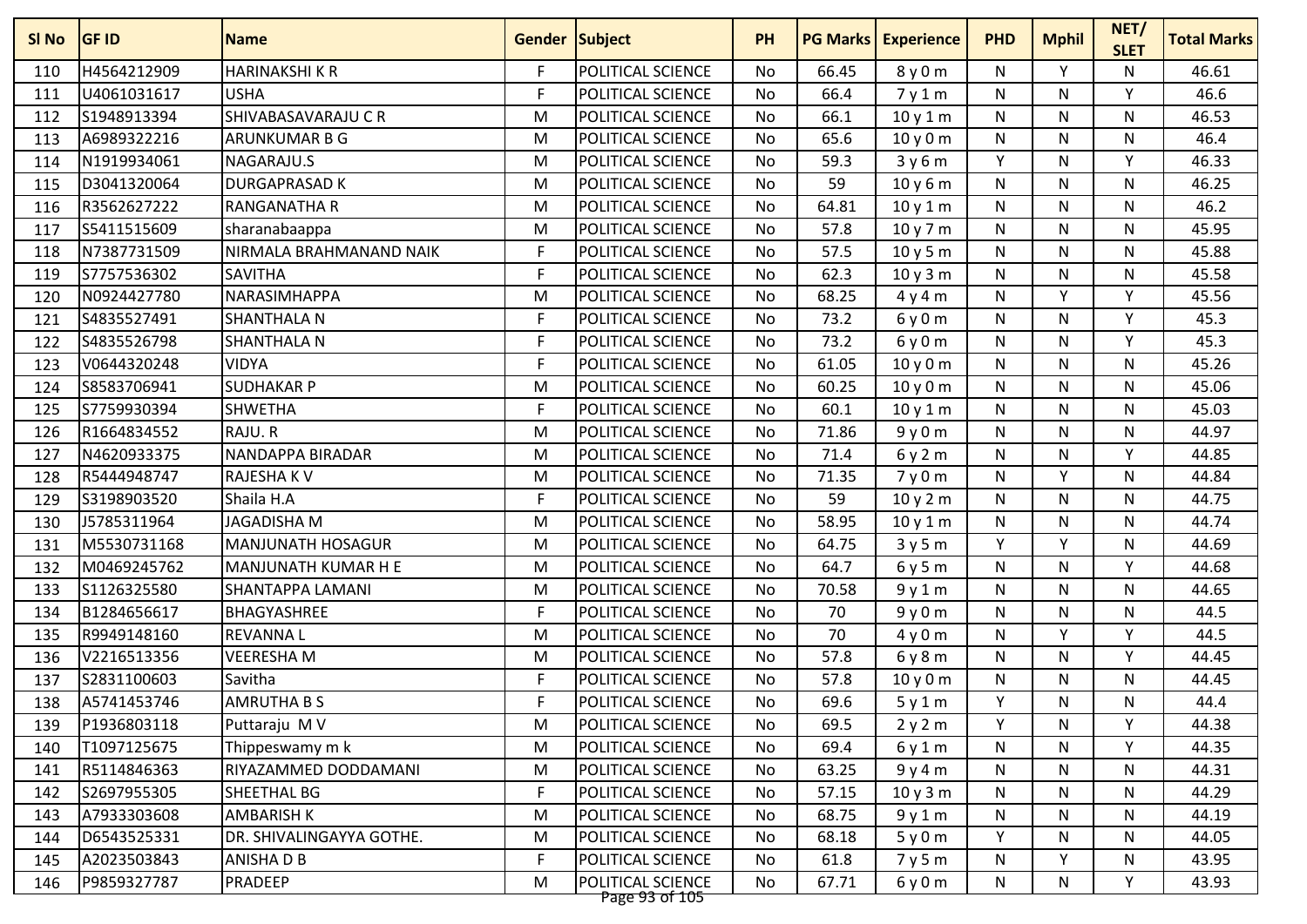| SI <sub>No</sub> | <b>GF ID</b> | <b>Name</b>              | <b>Gender Subject</b> |                                     | <b>PH</b> |       | <b>PG Marks   Experience</b> | <b>PHD</b>   | <b>Mphil</b> | NET/<br><b>SLET</b> | <b>Total Marks</b> |
|------------------|--------------|--------------------------|-----------------------|-------------------------------------|-----------|-------|------------------------------|--------------|--------------|---------------------|--------------------|
| 110              | H4564212909  | <b>HARINAKSHIKR</b>      | F                     | POLITICAL SCIENCE                   | No        | 66.45 | 8y0m                         | N            | Y            | N                   | 46.61              |
| 111              | U4061031617  | <b>USHA</b>              | F                     | POLITICAL SCIENCE                   | No        | 66.4  | 7y1m                         | N            | N            | Y                   | 46.6               |
| 112              | S1948913394  | SHIVABASAVARAJU C R      | M                     | POLITICAL SCIENCE                   | <b>No</b> | 66.1  | 10y1m                        | N            | N            | N                   | 46.53              |
| 113              | A6989322216  | ARUNKUMAR B G            | M                     | POLITICAL SCIENCE                   | No        | 65.6  | 10y0m                        | N            | N            | N                   | 46.4               |
| 114              | N1919934061  | NAGARAJU.S               | M                     | POLITICAL SCIENCE                   | <b>No</b> | 59.3  | 3y6m                         | Y            | N            | Y                   | 46.33              |
| 115              | D3041320064  | <b>DURGAPRASAD K</b>     | M                     | POLITICAL SCIENCE                   | No        | 59    | 10 y 6 m                     | N            | N            | N                   | 46.25              |
| 116              | R3562627222  | <b>RANGANATHA R</b>      | M                     | POLITICAL SCIENCE                   | No        | 64.81 | 10y1m                        | ${\sf N}$    | N            | N                   | 46.2               |
| 117              | S5411515609  | sharanabaappa            | M                     | POLITICAL SCIENCE                   | No        | 57.8  | 10y7m                        | N            | N            | N                   | 45.95              |
| 118              | N7387731509  | NIRMALA BRAHMANAND NAIK  | F                     | POLITICAL SCIENCE                   | No        | 57.5  | 10y5m                        | N            | N            | N                   | 45.88              |
| 119              | S7757536302  | <b>SAVITHA</b>           | F                     | POLITICAL SCIENCE                   | <b>No</b> | 62.3  | 10y3m                        | $\mathsf{N}$ | N            | $\mathsf{N}$        | 45.58              |
| 120              | N0924427780  | NARASIMHAPPA             | M                     | POLITICAL SCIENCE                   | No        | 68.25 | 4y4m                         | N            | v            | Y                   | 45.56              |
| 121              | S4835527491  | <b>SHANTHALA N</b>       | F                     | POLITICAL SCIENCE                   | No        | 73.2  | 6y0m                         | N            | N.           | Y                   | 45.3               |
| 122              | S4835526798  | <b>SHANTHALA N</b>       | F                     | POLITICAL SCIENCE                   | No        | 73.2  | 6y0m                         | N            | N.           | Y                   | 45.3               |
| 123              | V0644320248  | <b>VIDYA</b>             | F                     | POLITICAL SCIENCE                   | No        | 61.05 | 10y0m                        | ${\sf N}$    | N            | N                   | 45.26              |
| 124              | S8583706941  | <b>SUDHAKAR P</b>        | M                     | POLITICAL SCIENCE                   | <b>No</b> | 60.25 | 10y0m                        | $\mathsf{N}$ | N            | N                   | 45.06              |
| 125              | S7759930394  | <b>SHWETHA</b>           | F                     | POLITICAL SCIENCE                   | <b>No</b> | 60.1  | 10y1m                        | N            | N            | N                   | 45.03              |
| 126              | R1664834552  | RAJU.R                   | M                     | POLITICAL SCIENCE                   | No        | 71.86 | 9y0m                         | ${\sf N}$    | N            | N                   | 44.97              |
| 127              | N4620933375  | NANDAPPA BIRADAR         | M                     | POLITICAL SCIENCE                   | <b>No</b> | 71.4  | 6y2m                         | N            | N.           | Y                   | 44.85              |
| 128              | R5444948747  | RAJESHA K V              | M                     | POLITICAL SCIENCE                   | No        | 71.35 | 7y0m                         | N            | Y            | N                   | 44.84              |
| 129              | S3198903520  | Shaila H.A               | F                     | POLITICAL SCIENCE                   | No        | 59    | 10y2m                        | $\mathsf{N}$ | N            | N                   | 44.75              |
| 130              | J5785311964  | <b>JAGADISHA M</b>       | M                     | POLITICAL SCIENCE                   | No        | 58.95 | 10y1m                        | ${\sf N}$    | N            | N                   | 44.74              |
| 131              | M5530731168  | <b>MANJUNATH HOSAGUR</b> | M                     | POLITICAL SCIENCE                   | <b>No</b> | 64.75 | 3y5m                         | Y            | Y            | N                   | 44.69              |
| 132              | M0469245762  | MANJUNATH KUMAR H E      | M                     | POLITICAL SCIENCE                   | No        | 64.7  | 6y5m                         | N            | N            | Y                   | 44.68              |
| 133              | S1126325580  | SHANTAPPA LAMANI         | M                     | POLITICAL SCIENCE                   | <b>No</b> | 70.58 | 9y1m                         | N            | N            | N                   | 44.65              |
| 134              | B1284656617  | BHAGYASHREE              | F                     | POLITICAL SCIENCE                   | No        | 70    | 9y0m                         | N            | N.           | N                   | 44.5               |
| 135              | R9949148160  | <b>REVANNAL</b>          | M                     | POLITICAL SCIENCE                   | No        | 70    | 4y0m                         | ${\sf N}$    | ٧            | Υ                   | 44.5               |
| 136              | V2216513356  | <b>VEERESHAM</b>         | M                     | POLITICAL SCIENCE                   | No        | 57.8  | 6y8m                         | N            | N            | Υ                   | 44.45              |
| 137              | S2831100603  | Savitha                  | F                     | POLITICAL SCIENCE                   | No        | 57.8  | 10y0m                        | N            | N            | N                   | 44.45              |
| 138              | A5741453746  | <b>AMRUTHA B S</b>       | F                     | POLITICAL SCIENCE                   | No        | 69.6  | 5y1m                         | Y            | N            | N                   | 44.4               |
| 139              | P1936803118  | Puttaraju M V            | M                     | POLITICAL SCIENCE                   | No        | 69.5  | 2y2m                         | Y            | N            | Y                   | 44.38              |
| 140              | T1097125675  | Thippeswamy m k          | M                     | POLITICAL SCIENCE                   | No        | 69.4  | 6y1m                         | N            | N            | Y                   | 44.35              |
| 141              | R5114846363  | RIYAZAMMED DODDAMANI     | M                     | <b>POLITICAL SCIENCE</b>            | No        | 63.25 | 9y4m                         | N            | N            | N                   | 44.31              |
| 142              | S2697955305  | SHEETHAL BG              | F                     | POLITICAL SCIENCE                   | No        | 57.15 | 10y3m                        | N            | N            | N                   | 44.29              |
| 143              | A7933303608  | <b>AMBARISH K</b>        | M                     | POLITICAL SCIENCE                   | No        | 68.75 | 9y1m                         | N            | N            | N                   | 44.19              |
| 144              | D6543525331  | DR. SHIVALINGAYYA GOTHE. | M                     | <b>POLITICAL SCIENCE</b>            | No        | 68.18 | 5y0m                         | Y            | N            | N                   | 44.05              |
| 145              | A2023503843  | ANISHA D B               | F                     | POLITICAL SCIENCE                   | No        | 61.8  | 7y5m                         | N            | Y            | N                   | 43.95              |
| 146              | P9859327787  | PRADEEP                  | M                     | POLITICAL SCIENCE<br>Page 93 of 105 | No        | 67.71 | 6y0m                         | N            | N            | Y                   | 43.93              |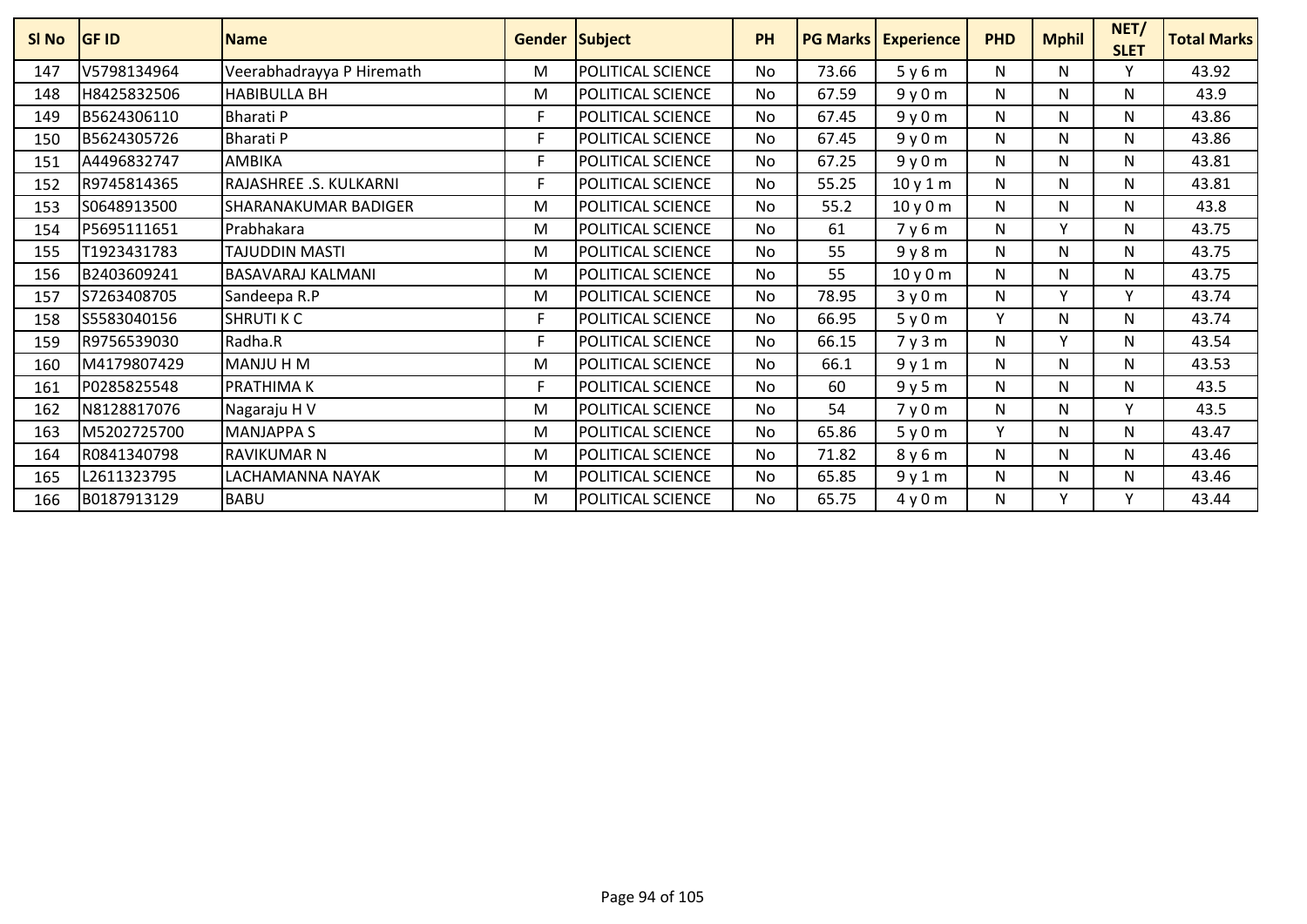| <b>SI No</b> | <b>IGF ID</b> | <b>Name</b>                 | Gender Subject |                   | <b>PH</b> |       | <b>PG Marks   Experience</b> | <b>PHD</b> | <b>Mphil</b> | NET/<br><b>SLET</b> | <b>Total Marks</b> |
|--------------|---------------|-----------------------------|----------------|-------------------|-----------|-------|------------------------------|------------|--------------|---------------------|--------------------|
| 147          | V5798134964   | Veerabhadrayya P Hiremath   | м              | POLITICAL SCIENCE | <b>No</b> | 73.66 | 5y6m                         | N          | N            | Y                   | 43.92              |
| 148          | H8425832506   | <b>HABIBULLA BH</b>         | M              | POLITICAL SCIENCE | <b>No</b> | 67.59 | 9y0m                         | N          | N            | N                   | 43.9               |
| 149          | B5624306110   | <b>Bharati P</b>            | F              | POLITICAL SCIENCE | No.       | 67.45 | 9y0m                         | N          | N            | N                   | 43.86              |
| 150          | B5624305726   | <b>Bharati P</b>            | F              | POLITICAL SCIENCE | <b>No</b> | 67.45 | 9y0m                         | N          | N            | N                   | 43.86              |
| 151          | A4496832747   | AMBIKA                      | F              | POLITICAL SCIENCE | <b>No</b> | 67.25 | 9y0m                         | N          | N            | $\mathsf{N}$        | 43.81              |
| 152          | R9745814365   | RAJASHREE .S. KULKARNI      | F              | POLITICAL SCIENCE | <b>No</b> | 55.25 | 10y1m                        | N          | N            | N                   | 43.81              |
| 153          | S0648913500   | <b>SHARANAKUMAR BADIGER</b> | м              | POLITICAL SCIENCE | <b>No</b> | 55.2  | 10y0m                        | N          | N            | $\mathsf{N}$        | 43.8               |
| 154          | P5695111651   | Prabhakara                  | M              | POLITICAL SCIENCE | <b>No</b> | 61    | 7y6m                         | N          | $\mathbf v$  | N                   | 43.75              |
| 155          | T1923431783   | <b>TAJUDDIN MASTI</b>       | M              | POLITICAL SCIENCE | <b>No</b> | 55    | 9y8m                         | N          | N            | N                   | 43.75              |
| 156          | B2403609241   | <b>BASAVARAJ KALMANI</b>    | M              | POLITICAL SCIENCE | <b>No</b> | 55    | 10y0m                        | N          | N            | N                   | 43.75              |
| 157          | S7263408705   | Sandeepa R.P                | M              | POLITICAL SCIENCE | No        | 78.95 | 3y0m                         | Ν          | $\mathbf v$  | $\checkmark$        | 43.74              |
| 158          | S5583040156   | <b>SHRUTI K C</b>           | F              | POLITICAL SCIENCE | <b>No</b> | 66.95 | 5y0m                         | Y          | N            | N                   | 43.74              |
| 159          | R9756539030   | Radha.R                     | F              | POLITICAL SCIENCE | <b>No</b> | 66.15 | 7y3m                         | N          |              | N                   | 43.54              |
| 160          | M4179807429   | MANJU H M                   | M              | POLITICAL SCIENCE | <b>No</b> | 66.1  | 9y1m                         | N          | N            | N                   | 43.53              |
| 161          | P0285825548   | <b>PRATHIMAK</b>            | F              | POLITICAL SCIENCE | <b>No</b> | 60    | 9y5m                         | N          | N            | N                   | 43.5               |
| 162          | N8128817076   | Nagaraju H V                | M              | POLITICAL SCIENCE | No        | 54    | 7y0m                         | N          | N            | $\mathsf{v}$        | 43.5               |
| 163          | M5202725700   | <b>MANJAPPA S</b>           | M              | POLITICAL SCIENCE | <b>No</b> | 65.86 | 5y0m                         | Y          | N            | N                   | 43.47              |
| 164          | R0841340798   | <b>RAVIKUMAR N</b>          | M              | POLITICAL SCIENCE | <b>No</b> | 71.82 | 8y6m                         | N          | N            | N                   | 43.46              |
| 165          | L2611323795   | LACHAMANNA NAYAK            | м              | POLITICAL SCIENCE | <b>No</b> | 65.85 | 9y1m                         | N          | N            | N                   | 43.46              |
| 166          | B0187913129   | <b>BABU</b>                 | м              | POLITICAL SCIENCE | No        | 65.75 | 4y0m                         | N          | $\mathbf v$  | v                   | 43.44              |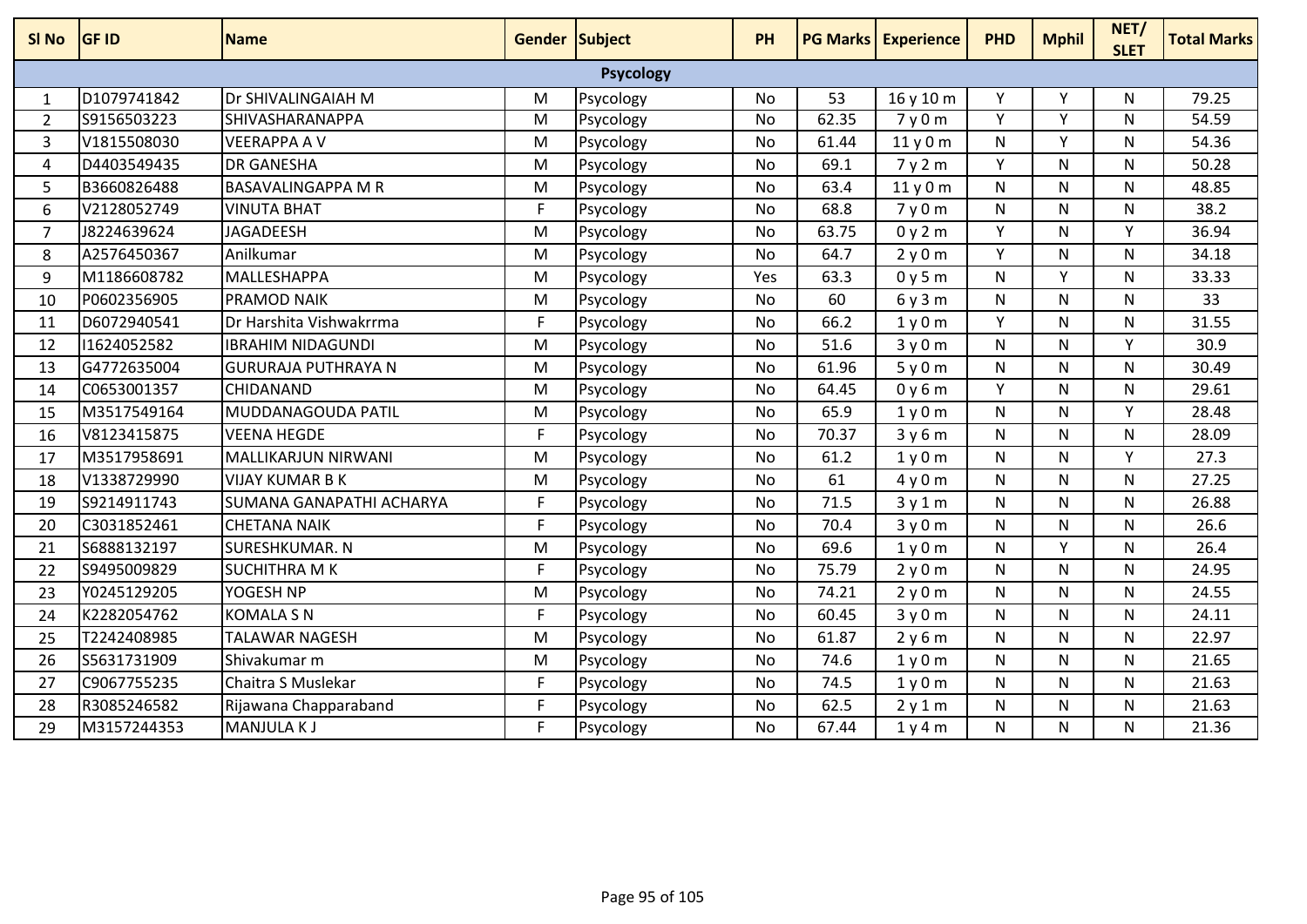| SI <sub>No</sub> | <b>GF ID</b> | <b>Name</b>                | <b>Gender Subject</b> |                  | <b>PH</b> |       | <b>PG Marks Experience</b> | <b>PHD</b>   | <b>Mphil</b> | NET/<br><b>SLET</b> | <b>Total Marks</b> |
|------------------|--------------|----------------------------|-----------------------|------------------|-----------|-------|----------------------------|--------------|--------------|---------------------|--------------------|
|                  |              |                            |                       | <b>Psycology</b> |           |       |                            |              |              |                     |                    |
| $\mathbf{1}$     | D1079741842  | <b>Dr SHIVALINGAIAH M</b>  | M                     | Psycology        | No        | 53    | 16 y 10 m                  | Υ            | Υ            | N                   | 79.25              |
| $\overline{2}$   | S9156503223  | SHIVASHARANAPPA            | $\overline{M}$        | Psycology        | <b>No</b> | 62.35 | 7y0m                       | Ÿ            | <b>V</b>     | N                   | 54.59              |
| 3                | V1815508030  | <b>VEERAPPA A V</b>        | M                     | Psycology        | <b>No</b> | 61.44 | 11y0m                      | $\mathsf{N}$ | Y            | $\mathsf{N}$        | 54.36              |
| 4                | D4403549435  | <b>DR GANESHA</b>          | M                     | Psycology        | No        | 69.1  | 7y2m                       | Y            | N            | N                   | 50.28              |
| 5                | B3660826488  | <b>BASAVALINGAPPA M R</b>  | M                     | Psycology        | <b>No</b> | 63.4  | 11y0m                      | $\mathsf{N}$ | N            | $\mathsf{N}$        | 48.85              |
| 6                | V2128052749  | <b>VINUTA BHAT</b>         | F                     | Psycology        | <b>No</b> | 68.8  | 7y0m                       | $\mathsf{N}$ | N            | N                   | 38.2               |
| $\overline{7}$   | J8224639624  | JAGADEESH                  | M                     | Psycology        | No        | 63.75 | 0y2m                       | Y            | N            | v                   | 36.94              |
| 8                | A2576450367  | Anilkumar                  | M                     | Psycology        | <b>No</b> | 64.7  | 2y0m                       | Y            | N            | N                   | 34.18              |
| 9                | M1186608782  | MALLESHAPPA                | M                     | Psycology        | Yes       | 63.3  | 0y5m                       | N            | v            | N                   | 33.33              |
| 10               | P0602356905  | PRAMOD NAIK                | M                     | Psycology        | <b>No</b> | 60    | 6y3m                       | $\mathsf{N}$ | N            | N                   | 33                 |
| 11               | D6072940541  | Dr Harshita Vishwakrrma    | $\mathsf F$           | Psycology        | <b>No</b> | 66.2  | 1y0m                       | Y            | N            | N                   | 31.55              |
| 12               | 11624052582  | <b>IBRAHIM NIDAGUNDI</b>   | M                     | Psycology        | <b>No</b> | 51.6  | 3y0m                       | N            | N            | Υ                   | 30.9               |
| 13               | G4772635004  | <b>GURURAJA PUTHRAYA N</b> | M                     | Psycology        | No        | 61.96 | 5y0m                       | $\mathsf{N}$ | N            | $\mathsf{N}$        | 30.49              |
| 14               | C0653001357  | CHIDANAND                  | M                     | Psycology        | <b>No</b> | 64.45 | 0y6m                       | Y            | N            | N                   | 29.61              |
| 15               | M3517549164  | MUDDANAGOUDA PATIL         | M                     | Psycology        | <b>No</b> | 65.9  | 1y0m                       | N            | N            | $\mathsf{v}$        | 28.48              |
| 16               | V8123415875  | <b>VEENA HEGDE</b>         | F                     | Psycology        | No        | 70.37 | 3y6m                       | $\mathsf{N}$ | N            | N                   | 28.09              |
| 17               | M3517958691  | MALLIKARJUN NIRWANI        | M                     | Psycology        | No        | 61.2  | 1y0m                       | N            | N            | Y                   | 27.3               |
| 18               | V1338729990  | <b>VIJAY KUMAR B K</b>     | M                     | Psycology        | <b>No</b> | 61    | 4y0m                       | N            | N            | $\mathsf{N}$        | 27.25              |
| 19               | S9214911743  | SUMANA GANAPATHI ACHARYA   | $\mathsf F$           | Psycology        | <b>No</b> | 71.5  | 3y1m                       | $\mathsf{N}$ | N            | $\mathsf{N}$        | 26.88              |
| 20               | C3031852461  | <b>CHETANA NAIK</b>        | F                     | Psycology        | No        | 70.4  | 3y0m                       | N            | N            | N                   | 26.6               |
| 21               | S6888132197  | <b>SURESHKUMAR. N</b>      | M                     | Psycology        | No        | 69.6  | 1y0m                       | N            | Y            | N                   | 26.4               |
| 22               | S9495009829  | <b>SUCHITHRA M K</b>       | F                     | Psycology        | No        | 75.79 | 2y0m                       | $\mathsf{N}$ | N            | $\mathsf{N}$        | 24.95              |
| 23               | Y0245129205  | YOGESH NP                  | M                     | Psycology        | <b>No</b> | 74.21 | 2y0m                       | $\mathsf{N}$ | N            | N                   | 24.55              |
| 24               | K2282054762  | <b>KOMALA SN</b>           | F                     | Psycology        | No        | 60.45 | 3y0m                       | $\mathsf{N}$ | N            | N                   | 24.11              |
| 25               | T2242408985  | TALAWAR NAGESH             | M                     | Psycology        | No        | 61.87 | 2y6m                       | N            | N            | N                   | 22.97              |
| 26               | S5631731909  | Shivakumar m               | M                     | Psycology        | <b>No</b> | 74.6  | 1y0m                       | $\mathsf{N}$ | N            | N                   | 21.65              |
| 27               | C9067755235  | Chaitra S Muslekar         | $\mathsf F$           | Psycology        | No        | 74.5  | 1y0m                       | $\mathsf{N}$ | N            | $\mathsf{N}$        | 21.63              |
| 28               | R3085246582  | Rijawana Chapparaband      | F                     | Psycology        | <b>No</b> | 62.5  | 2y1m                       | N            | N            | N                   | 21.63              |
| 29               | M3157244353  | <b>MANJULAKJ</b>           | F                     | Psycology        | No        | 67.44 | 1y4m                       | N            | N            | N                   | 21.36              |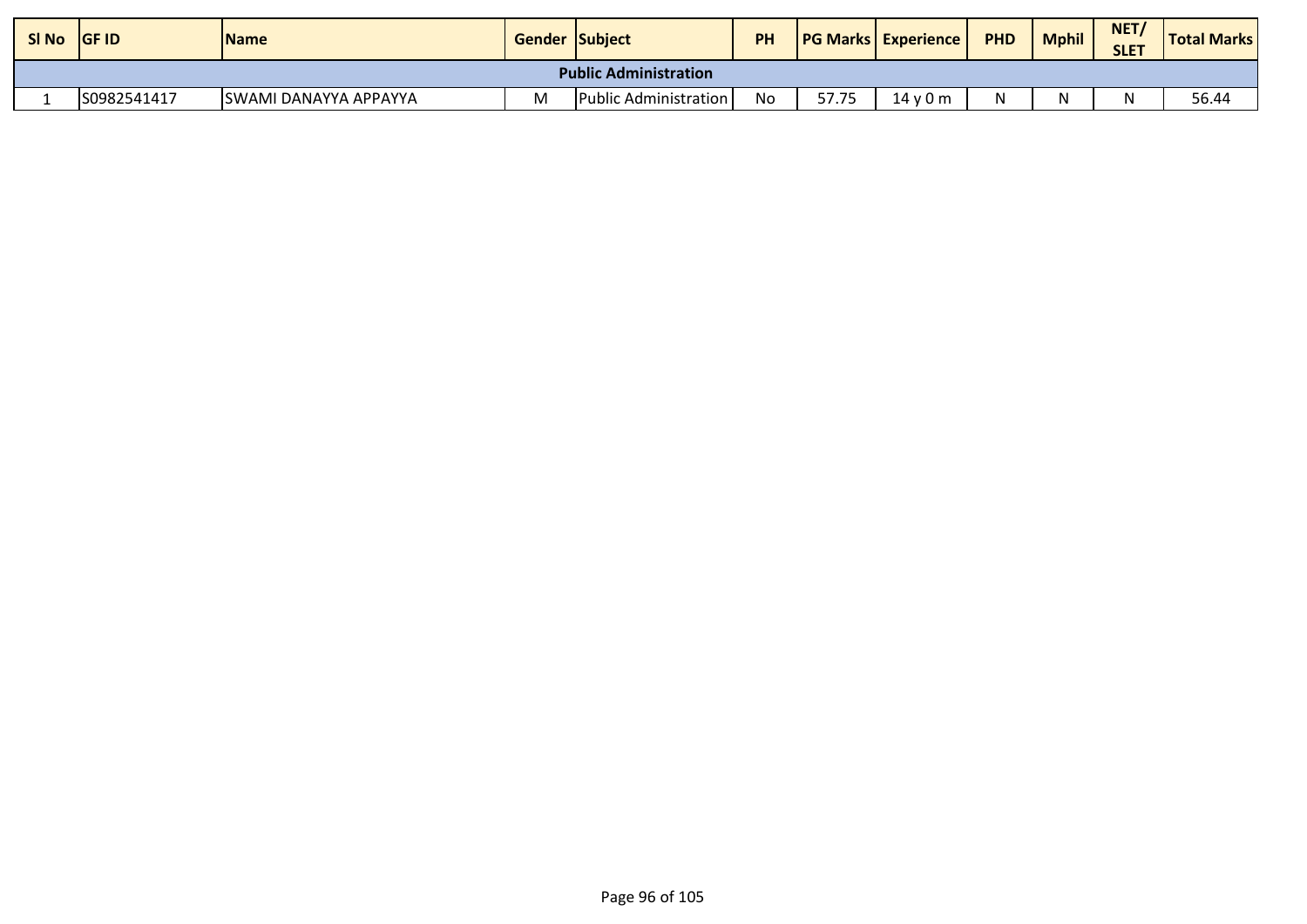| SI No | <b>IGF ID</b>                | <b>Name</b>            | <b>Gender Subject</b> |                              | PH |       | <b>IPG Marks Experience</b> | <b>PHD</b> | <b>Mphil</b> | NET/<br><b>SLET</b> | <b>Total Marks</b> |  |
|-------|------------------------------|------------------------|-----------------------|------------------------------|----|-------|-----------------------------|------------|--------------|---------------------|--------------------|--|
|       | <b>Public Administration</b> |                        |                       |                              |    |       |                             |            |              |                     |                    |  |
|       | S0982541417                  | ISWAMI DANAYYA APPAYYA | M                     | <b>Public Administration</b> | No | 57.75 | 14v0m                       |            |              |                     | 56.44              |  |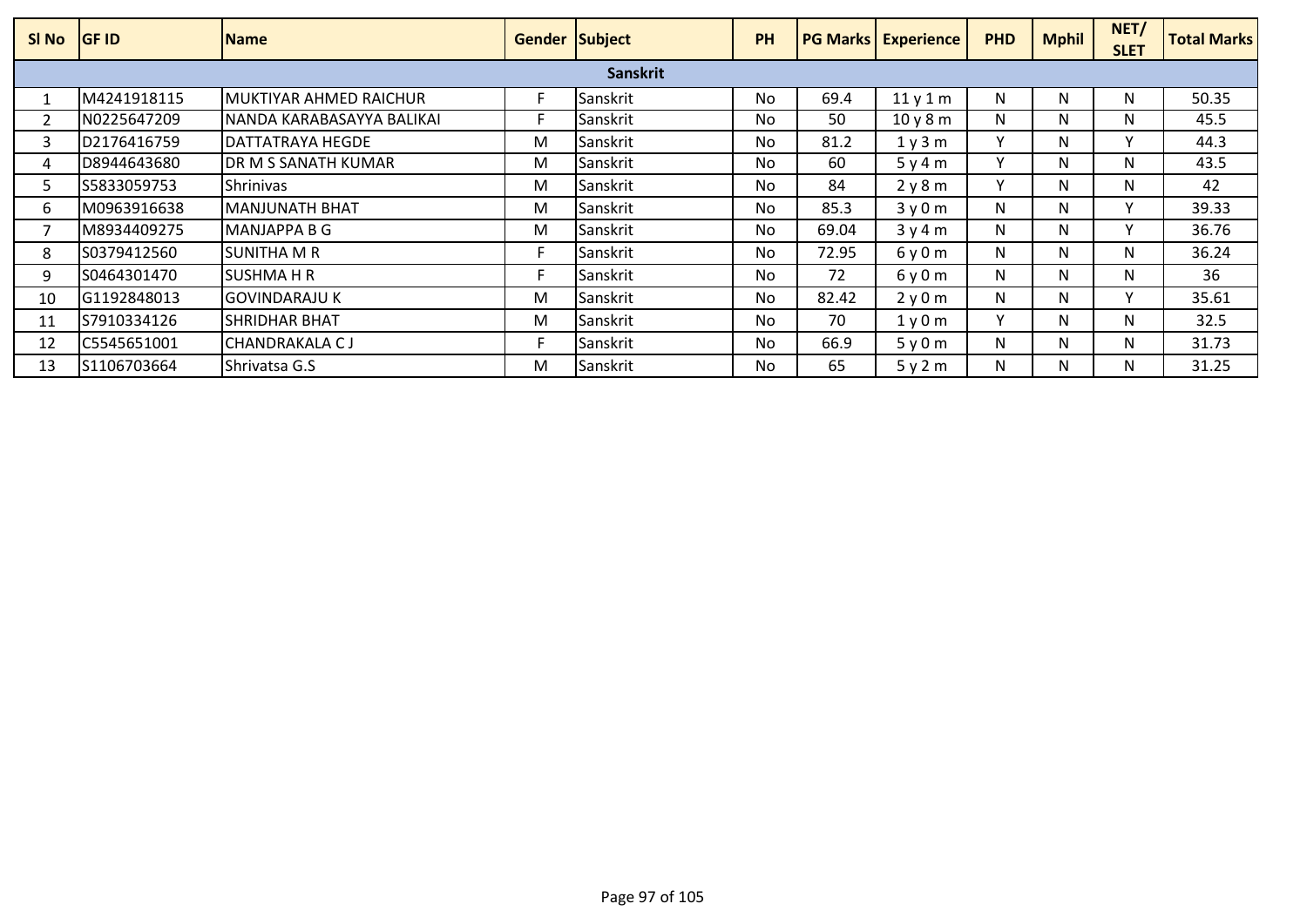| SI <sub>No</sub> | <b>GF ID</b> | <b>Name</b>               | <b>Gender Subject</b> |          | <b>PH</b> |       | <b>PG Marks   Experience</b> | <b>PHD</b>   | <b>Mphil</b> | NET/<br><b>SLET</b> | <b>Total Marks</b> |
|------------------|--------------|---------------------------|-----------------------|----------|-----------|-------|------------------------------|--------------|--------------|---------------------|--------------------|
| <b>Sanskrit</b>  |              |                           |                       |          |           |       |                              |              |              |                     |                    |
|                  | M4241918115  | MUKTIYAR AHMED RAICHUR    |                       | Sanskrit | No        | 69.4  | 11y1m                        | N            | N            | N.                  | 50.35              |
|                  | N0225647209  | NANDA KARABASAYYA BALIKAI |                       | Sanskrit | No        | 50    | 10y8m                        | N            | N            | N.                  | 45.5               |
| 3                | D2176416759  | DATTATRAYA HEGDE          | M                     | Sanskrit | <b>No</b> | 81.2  | 1y3m                         | $\checkmark$ | N            |                     | 44.3               |
| 4                | D8944643680  | DR M S SANATH KUMAR       | M                     | Sanskrit | <b>No</b> | 60    | 5y4m                         | v            | N            | N                   | 43.5               |
| 5.               | S5833059753  | <b>Shrinivas</b>          | M                     | Sanskrit | No.       | 84    | 2y8m                         | v            | N            | N                   | 42                 |
| 6                | M0963916638  | MANJUNATH BHAT            | M                     | Sanskrit | No.       | 85.3  | 3y0m                         | N            | N            |                     | 39.33              |
|                  | M8934409275  | MANJAPPA B G              | M                     | Sanskrit | No.       | 69.04 | 3y4m                         | N            | N.           |                     | 36.76              |
| 8                | S0379412560  | <b>SUNITHA M R</b>        |                       | Sanskrit | No        | 72.95 | 6y0m                         | N            | N            | N.                  | 36.24              |
| 9                | S0464301470  | <b>SUSHMA H R</b>         |                       | Sanskrit | <b>No</b> | 72    | 6y0m                         | N            | N            | N                   | 36                 |
| 10               | G1192848013  | <b>GOVINDARAJU K</b>      | M                     | Sanskrit | <b>No</b> | 82.42 | 2y0m                         | N            | N            |                     | 35.61              |
| 11               | S7910334126  | ISHRIDHAR BHAT            | M                     | Sanskrit | No.       | 70    | 1y0m                         | v            | N            | N.                  | 32.5               |
| 12               | C5545651001  | CHANDRAKALA C J           |                       | Sanskrit | <b>No</b> | 66.9  | 5y0m                         | N            | N            | N                   | 31.73              |
| 13               | S1106703664  | Shrivatsa G.S             | M                     | Sanskrit | No.       | 65    | 5y2m                         | N            | N.           | N.                  | 31.25              |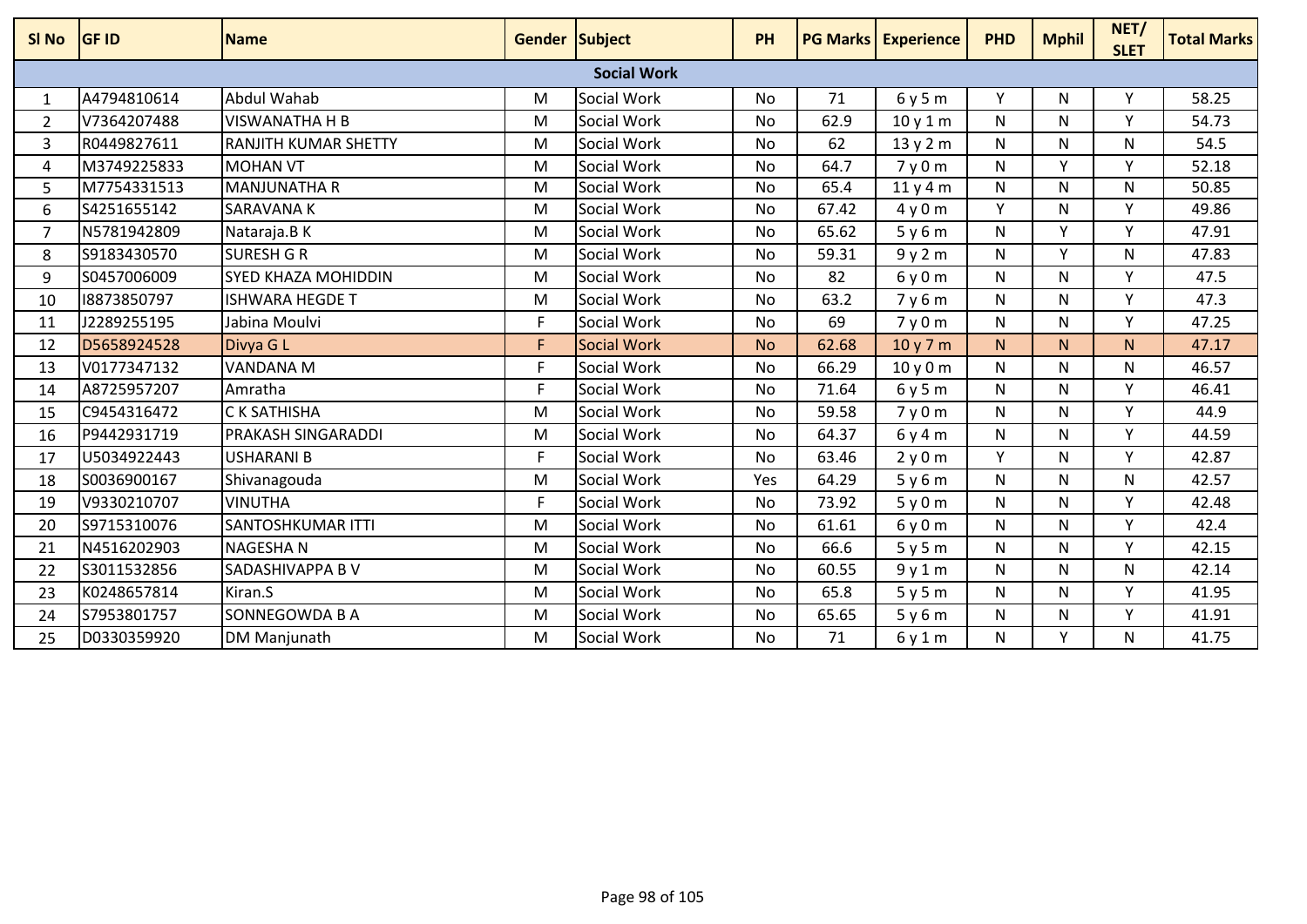| SI No          | <b>GF ID</b> | <b>Name</b>                 | Gender Subject |                    | PH        |       | <b>PG Marks Experience</b> | <b>PHD</b> | <b>Mphil</b> | NET/<br><b>SLET</b> | <b>Total Marks</b> |
|----------------|--------------|-----------------------------|----------------|--------------------|-----------|-------|----------------------------|------------|--------------|---------------------|--------------------|
|                |              |                             |                | <b>Social Work</b> |           |       |                            |            |              |                     |                    |
| $\mathbf{1}$   | A4794810614  | <b>Abdul Wahab</b>          | M              | Social Work        | <b>No</b> | 71    | 6y5m                       | Y          | N            | Y                   | 58.25              |
| $\overline{2}$ | V7364207488  | <b>VISWANATHA H B</b>       | M              | Social Work        | No        | 62.9  | 10y1m                      | N          | N            | Υ                   | 54.73              |
| 3              | R0449827611  | <b>RANJITH KUMAR SHETTY</b> | M              | Social Work        | No        | 62    | 13y2m                      | N          | N            | N                   | 54.5               |
| 4              | M3749225833  | <b>MOHAN VT</b>             | M              | Social Work        | <b>No</b> | 64.7  | 7y0m                       | N          | Y            | <b>V</b>            | 52.18              |
| 5              | M7754331513  | <b>MANJUNATHA R</b>         | M              | Social Work        | No        | 65.4  | 11y4m                      | N          | N            | N                   | 50.85              |
| 6              | S4251655142  | <b>SARAVANAK</b>            | M              | Social Work        | No        | 67.42 | 4y0m                       | Y          | N            | Y                   | 49.86              |
| $\overline{7}$ | N5781942809  | Nataraja.B K                | M              | Social Work        | <b>No</b> | 65.62 | 5y6m                       | N          | Y            | Y.                  | 47.91              |
| 8              | S9183430570  | <b>SURESH G R</b>           | M              | Social Work        | <b>No</b> | 59.31 | 9y2m                       | N          | <b>V</b>     | N                   | 47.83              |
| 9              | S0457006009  | <b>SYED KHAZA MOHIDDIN</b>  | M              | Social Work        | <b>No</b> | 82    | 6y0m                       | N          | N            | Y                   | 47.5               |
| 10             | 18873850797  | <b>ISHWARA HEGDE T</b>      | M              | Social Work        | No        | 63.2  | 7y6m                       | N          | N            | Y.                  | 47.3               |
| 11             | J2289255195  | Jabina Moulvi               | F.             | Social Work        | No        | 69    | 7y0m                       | N          | N            | Y                   | 47.25              |
| 12             | D5658924528  | Divya G L                   | F.             | Social Work        | <b>No</b> | 62.68 | 10y7m                      | N.         | N.           | N.                  | 47.17              |
| 13             | V0177347132  | <b>VANDANA M</b>            | F              | Social Work        | <b>No</b> | 66.29 | 10y0m                      | N          | N            | N                   | 46.57              |
| 14             | A8725957207  | Amratha                     | F              | Social Work        | <b>No</b> | 71.64 | 6y5m                       | N          | N            | <b>V</b>            | 46.41              |
| 15             | C9454316472  | <b>CK SATHISHA</b>          | M              | Social Work        | <b>No</b> | 59.58 | 7y0m                       | N          | N            | Y                   | 44.9               |
| 16             | P9442931719  | <b>PRAKASH SINGARADDI</b>   | M              | Social Work        | No        | 64.37 | 6y4m                       | N          | N            | Y                   | 44.59              |
| 17             | U5034922443  | USHARANI B                  | F.             | Social Work        | No        | 63.46 | 2y0m                       | Y          | N            | <b>V</b>            | 42.87              |
| 18             | S0036900167  | Shivanagouda                | M              | Social Work        | Yes       | 64.29 | 5y6m                       | N          | N            | N                   | 42.57              |
| 19             | V9330210707  | <b>VINUTHA</b>              | F              | Social Work        | <b>No</b> | 73.92 | 5y0m                       | N          | N            | Y                   | 42.48              |
| 20             | S9715310076  | <b>SANTOSHKUMAR ITTI</b>    | M              | Social Work        | No        | 61.61 | 6y0m                       | N          | N            | v.                  | 42.4               |
| 21             | N4516202903  | <b>NAGESHAN</b>             | M              | Social Work        | <b>No</b> | 66.6  | 5y5m                       | N          | N            | <b>V</b>            | 42.15              |
| 22             | S3011532856  | SADASHIVAPPA B V            | M              | Social Work        | No        | 60.55 | 9y1m                       | N          | N            | N                   | 42.14              |
| 23             | K0248657814  | Kiran.S                     | M              | Social Work        | No        | 65.8  | 5y5m                       | N          | N            | Y                   | 41.95              |
| 24             | S7953801757  | SONNEGOWDA B A              | M              | Social Work        | <b>No</b> | 65.65 | 5y6m                       | N          | N            | Y                   | 41.91              |
| 25             | D0330359920  | DM Manjunath                | M              | Social Work        | No        | 71    | 6y1m                       | N          | Y            | N                   | 41.75              |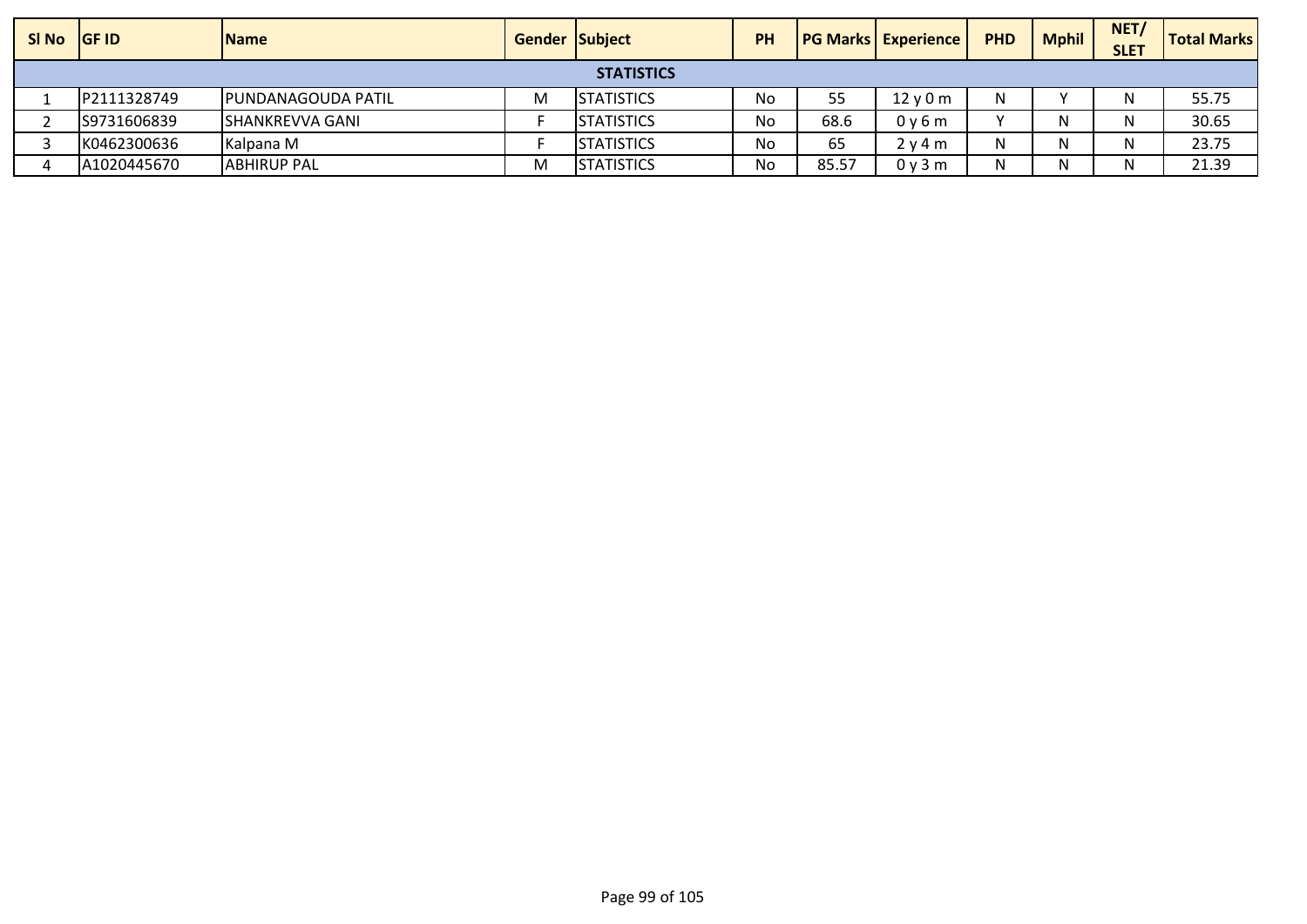| SI No GF ID       |             | <b>Name</b>            | <b>Gender Subject</b> |                   | <b>PH</b> |       | <b>PG Marks   Experience /</b> | <b>PHD</b> | Mphil | NET <sub>/</sub><br><b>SLET</b> | <b>Total Marks</b> |
|-------------------|-------------|------------------------|-----------------------|-------------------|-----------|-------|--------------------------------|------------|-------|---------------------------------|--------------------|
| <b>STATISTICS</b> |             |                        |                       |                   |           |       |                                |            |       |                                 |                    |
|                   | P2111328749 | IPUNDANAGOUDA PATIL    | M                     | <b>STATISTICS</b> | No        | 55    | $12$ v 0 m                     | N          |       | Ν                               | 55.75              |
|                   | S9731606839 | <b>SHANKREVVA GANI</b> |                       | <b>STATISTICS</b> | No        | 68.6  | 0v6m                           |            |       | N                               | 30.65              |
|                   | K0462300636 | Kalpana M              |                       | <b>STATISTICS</b> | No        | 65    | 2 v 4 m                        | N          |       | N                               | 23.75              |
|                   | A1020445670 | <b>ABHIRUP PAL</b>     | M                     | <b>STATISTICS</b> | No        | 85.57 | 0v3m                           | N          |       | N                               | 21.39              |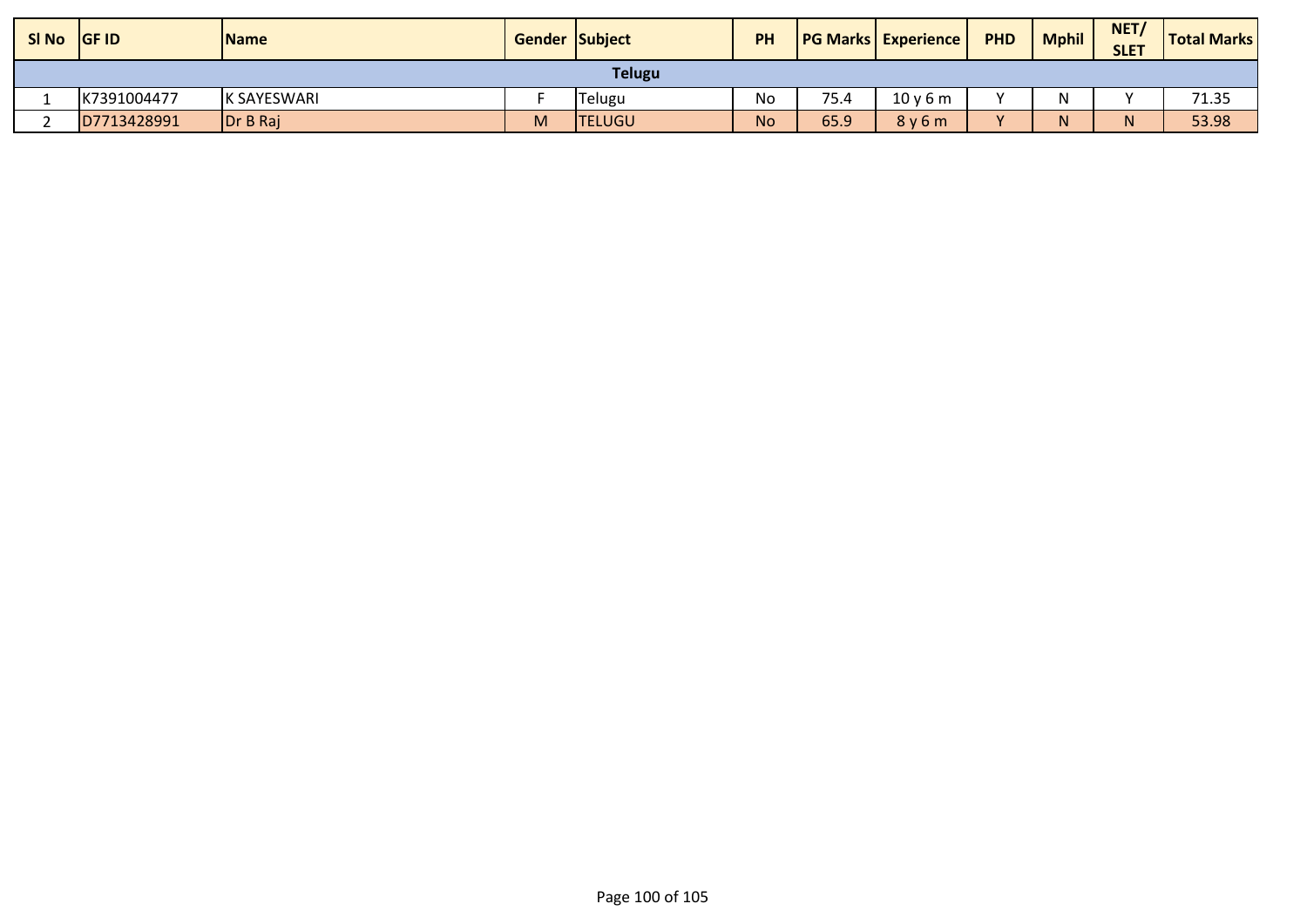| SI No | <b>GF ID</b> | <b>Name</b> | <b>Gender Subject</b> |               | <b>PH</b> |      | <b>PG Marks Experience</b> | <b>PHD</b> | <b>Mphil</b> | NET/<br><b>SLET</b> | <b>Total Marks</b> |
|-------|--------------|-------------|-----------------------|---------------|-----------|------|----------------------------|------------|--------------|---------------------|--------------------|
|       |              |             |                       | <b>Telugu</b> |           |      |                            |            |              |                     |                    |
|       | K7391004477  | K SAYESWARI |                       | Telugu        | No        | 75.4 | 10y6m                      |            | N            |                     | 71.35              |
|       | D7713428991  | Dr B Raj    | M                     | <b>TELUGU</b> | <b>No</b> | 65.9 | 8y6m                       |            | N.           |                     | 53.98              |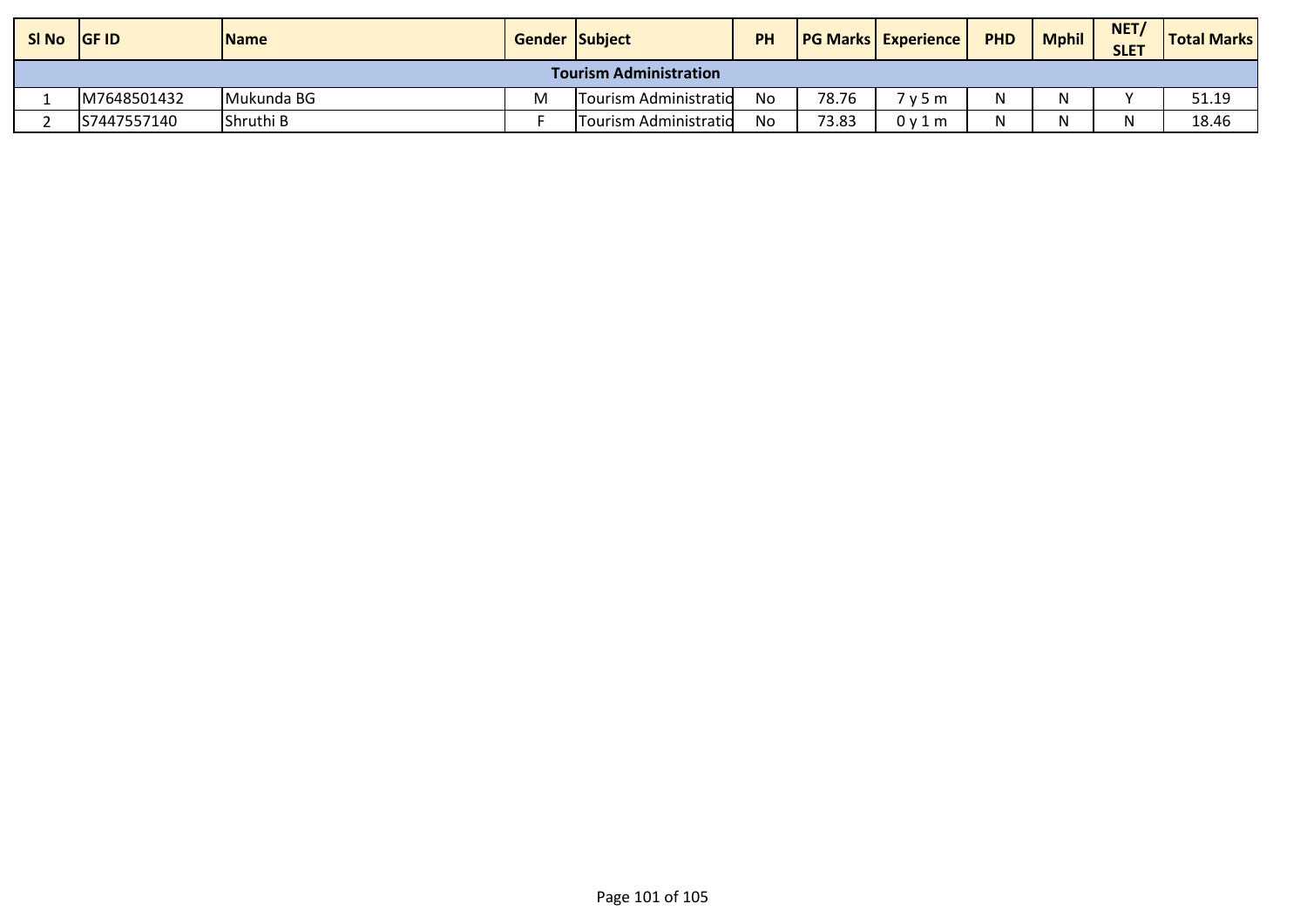| SI No                         | <b>IGF ID</b> | <b>Name</b> | <b>Gender Subject</b> |                       | <b>PH</b> |       | <b>PG Marks Experience</b> | <b>PHD</b> | <b>Mphil</b> | NET/<br><b>SLET</b> | <b>Total Marks</b> |
|-------------------------------|---------------|-------------|-----------------------|-----------------------|-----------|-------|----------------------------|------------|--------------|---------------------|--------------------|
| <b>Tourism Administration</b> |               |             |                       |                       |           |       |                            |            |              |                     |                    |
|                               | M7648501432   | Mukunda BG  | M                     | Tourism Administratid | No        | 78.76 | 7 v 5 m                    |            | N            |                     | 51.19              |
|                               | IS7447557140  | Shruthi B   |                       | Tourism Administratid | No        | 73.83 | 0y1m                       |            |              |                     | 18.46              |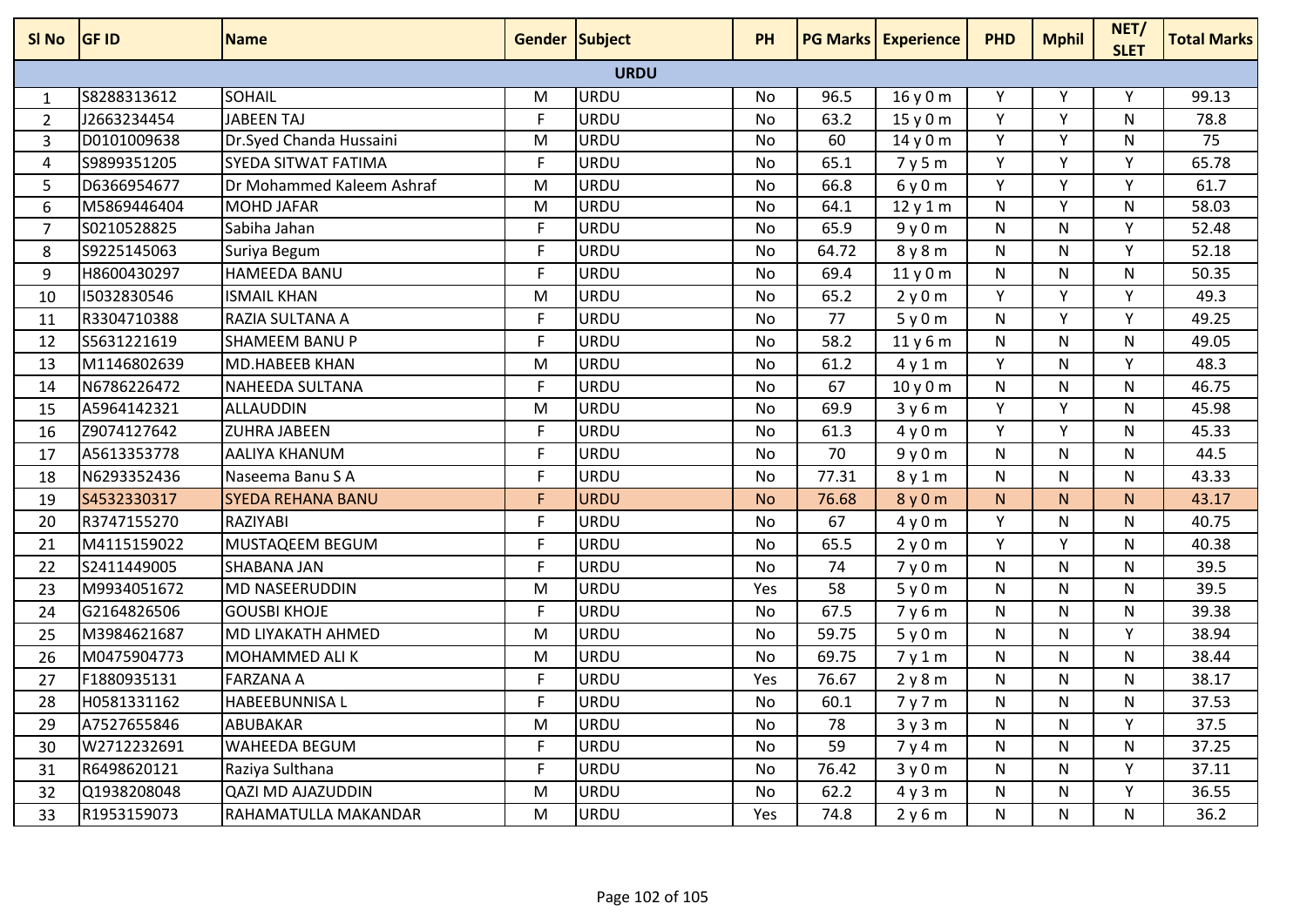| SI No          | <b>GF ID</b> | <b>Name</b>               | <b>Gender Subject</b> |             | <b>PH</b> |                 | <b>PG Marks Experience</b> | <b>PHD</b> | <b>Mphil</b> | NET/<br><b>SLET</b> | <b>Total Marks</b> |
|----------------|--------------|---------------------------|-----------------------|-------------|-----------|-----------------|----------------------------|------------|--------------|---------------------|--------------------|
|                |              |                           |                       | <b>URDU</b> |           |                 |                            |            |              |                     |                    |
| $\mathbf{1}$   | S8288313612  | <b>SOHAIL</b>             | M                     | <b>URDU</b> | No        | 96.5            | 16 y 0 m                   | Υ          | ۷            |                     | 99.13              |
| $\overline{2}$ | J2663234454  | <b>JABEEN TAJ</b>         | F                     | <b>URDU</b> | <b>No</b> | 63.2            | 15y0m                      | Y          | Y            | N                   | 78.8               |
| $\overline{3}$ | D0101009638  | Dr.Syed Chanda Hussaini   | M                     | <b>URDU</b> | No        | $\overline{60}$ | 14 y 0 m                   | Y          | Y            | N                   | 75                 |
| $\overline{4}$ | S9899351205  | SYEDA SITWAT FATIMA       | F                     | <b>URDU</b> | <b>No</b> | 65.1            | 7y5m                       | Y          | Y            | Υ                   | 65.78              |
| 5              | D6366954677  | Dr Mohammed Kaleem Ashraf | M                     | <b>URDU</b> | No        | 66.8            | 6y0m                       | Y          | Y            | Υ                   | 61.7               |
| 6              | M5869446404  | <b>MOHD JAFAR</b>         | M                     | <b>URDU</b> | No        | 64.1            | 12 y 1 m                   | N          | Y            | N                   | 58.03              |
| $\overline{7}$ | S0210528825  | Sabiha Jahan              | F                     | <b>URDU</b> | <b>No</b> | 65.9            | 9y0m                       | N          | N            | Y                   | 52.48              |
| 8              | S9225145063  | Suriya Begum              | F                     | <b>URDU</b> | No        | 64.72           | 8y8m                       | N          | N            | Y                   | 52.18              |
| 9              | H8600430297  | <b>HAMEEDA BANU</b>       | $\mathsf F$           | <b>URDU</b> | No        | 69.4            | 11y0m                      | N          | N            | N                   | 50.35              |
| 10             | 15032830546  | <b>ISMAIL KHAN</b>        | M                     | <b>URDU</b> | No        | 65.2            | 2y0m                       | Y          | Y            | Y                   | 49.3               |
| 11             | R3304710388  | RAZIA SULTANA A           | F                     | <b>URDU</b> | No        | 77              | 5y0m                       | N          | Y            | Υ                   | 49.25              |
| 12             | S5631221619  | <b>SHAMEEM BANUP</b>      | F                     | <b>URDU</b> | No        | 58.2            | 11 y 6 m                   | N          | N            | N                   | 49.05              |
| 13             | M1146802639  | MD.HABEEB KHAN            | M                     | <b>URDU</b> | No        | 61.2            | 4y1m                       | Y          | N            | Y                   | 48.3               |
| 14             | N6786226472  | NAHEEDA SULTANA           | F                     | <b>URDU</b> | <b>No</b> | 67              | 10y0m                      | N          | N            | N                   | 46.75              |
| 15             | A5964142321  | <b>ALLAUDDIN</b>          | M                     | URDU        | No        | 69.9            | 3y6m                       | Y          | Y            | N                   | 45.98              |
| 16             | Z9074127642  | <b>ZUHRA JABEEN</b>       | F                     | <b>URDU</b> | No        | 61.3            | 4y0m                       | Y          | Y            | N                   | 45.33              |
| 17             | A5613353778  | AALIYA KHANUM             | F                     | <b>URDU</b> | No        | 70              | 9y0m                       | N          | N            | N                   | 44.5               |
| 18             | N6293352436  | Naseema Banu S A          | F                     | <b>URDU</b> | <b>No</b> | 77.31           | 8y1m                       | N          | N            | N                   | 43.33              |
| 19             | S4532330317  | <b>SYEDA REHANA BANU</b>  | F                     | <b>URDU</b> | <b>No</b> | 76.68           | 8 y 0 m                    | N          | N            | N                   | 43.17              |
| 20             | R3747155270  | <b>RAZIYABI</b>           | F                     | <b>URDU</b> | No        | 67              | 4y0m                       | Y          | N            | N                   | 40.75              |
| 21             | M4115159022  | <b>MUSTAQEEM BEGUM</b>    | F                     | URDU        | No        | 65.5            | 2y0m                       | Y          | Y            | N                   | 40.38              |
| 22             | S2411449005  | <b>SHABANA JAN</b>        | $\mathsf{F}$          | <b>URDU</b> | No        | 74              | 7y0m                       | N          | N            | N                   | 39.5               |
| 23             | M9934051672  | <b>MD NASEERUDDIN</b>     | M                     | <b>URDU</b> | Yes       | 58              | 5y0m                       | N          | N            | N.                  | 39.5               |
| 24             | G2164826506  | <b>GOUSBI KHOJE</b>       | F                     | <b>URDU</b> | No        | 67.5            | 7y6m                       | N          | N            | N                   | 39.38              |
| 25             | M3984621687  | MD LIYAKATH AHMED         | M                     | <b>URDU</b> | <b>No</b> | 59.75           | 5y0m                       | N          | N            | Y                   | 38.94              |
| 26             | M0475904773  | <b>MOHAMMED ALI K</b>     | M                     | <b>URDU</b> | No        | 69.75           | 7y1m                       | N          | N            | N                   | 38.44              |
| 27             | F1880935131  | <b>FARZANA A</b>          | F                     | <b>URDU</b> | Yes       | 76.67           | 2y8m                       | N          | N            | N                   | 38.17              |
| 28             | H0581331162  | <b>HABEEBUNNISA L</b>     | F                     | URDU        | No        | 60.1            | 7y7m                       | N          | N            | N                   | 37.53              |
| 29             | A7527655846  | ABUBAKAR                  | M                     | <b>URDU</b> | No        | 78              | 3y3m                       | N          | N            | Y                   | 37.5               |
| 30             | W2712232691  | <b>WAHEEDA BEGUM</b>      | F                     | <b>URDU</b> | No        | 59              | 7y4m                       | N          | N            | N                   | 37.25              |
| 31             | R6498620121  | Raziya Sulthana           | F                     | <b>URDU</b> | No        | 76.42           | 3y0m                       | N          | N            | Υ                   | 37.11              |
| 32             | Q1938208048  | <b>QAZI MD AJAZUDDIN</b>  | M                     | <b>URDU</b> | No        | 62.2            | 4y3m                       | N          | N            | Υ                   | 36.55              |
| 33             | R1953159073  | RAHAMATULLA MAKANDAR      | M                     | <b>URDU</b> | Yes       | 74.8            | 2y6m                       | N          | N            | N                   | 36.2               |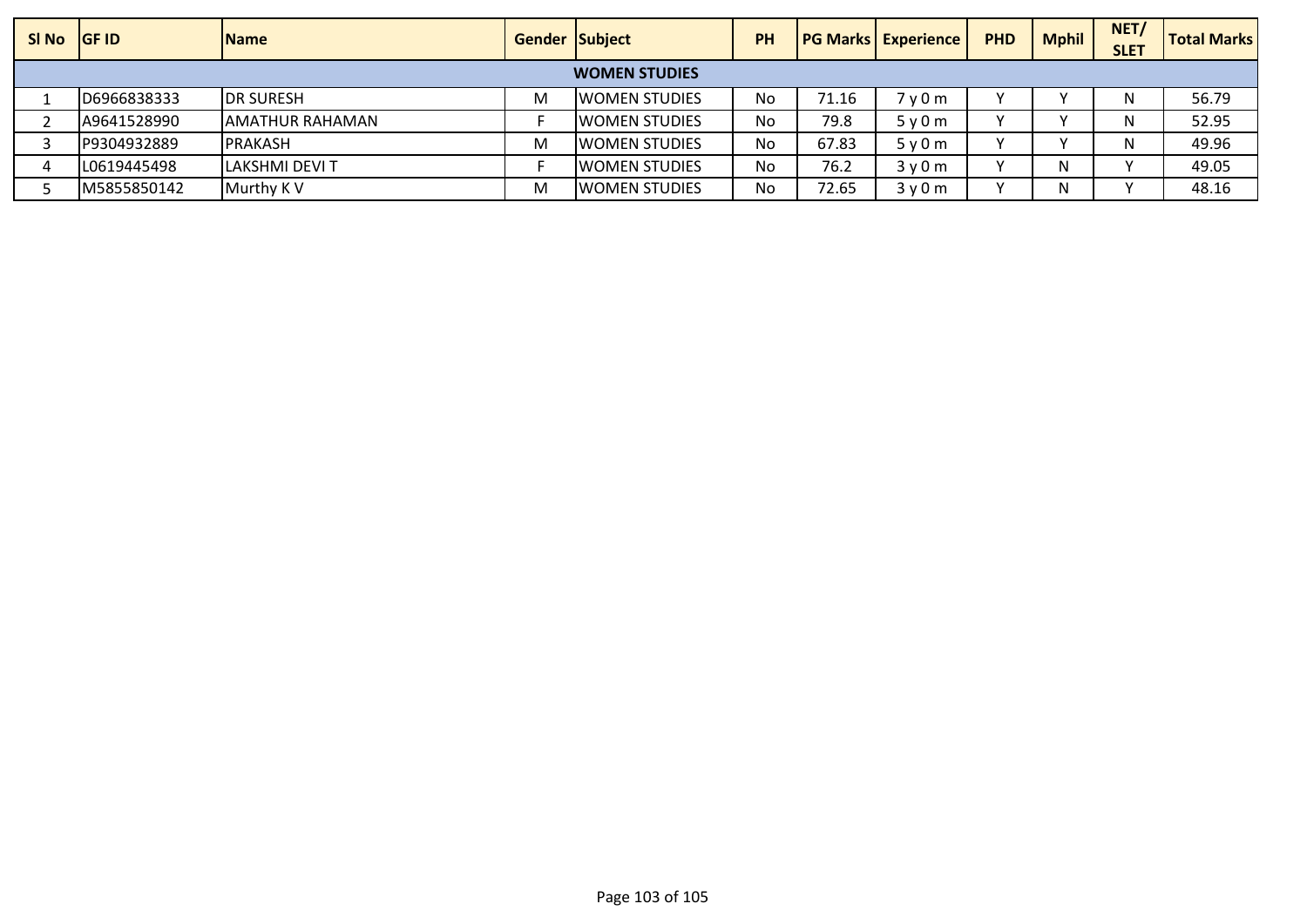| SI No                | <b>IGF ID</b> | <b>IName</b>           | <b>Gender Subject</b> |                       | <b>PH</b> |       | <b>PG Marks Experience</b> | <b>PHD</b> | <b>Mphil</b> | NET/<br><b>SLET</b> | <b>Total Marks</b> |
|----------------------|---------------|------------------------|-----------------------|-----------------------|-----------|-------|----------------------------|------------|--------------|---------------------|--------------------|
| <b>WOMEN STUDIES</b> |               |                        |                       |                       |           |       |                            |            |              |                     |                    |
|                      | D6966838333   | <b>IDR SURESH</b>      | М                     | <b>IWOMEN STUDIES</b> | No        | 71.16 | 7y0m                       |            |              |                     | 56.79              |
|                      | A9641528990   | IAMATHUR RAHAMAN       |                       | <b>IWOMEN STUDIES</b> | No        | 79.8  | 5y0m                       | $\lambda$  |              |                     | 52.95              |
|                      | P9304932889   | <b>IPRAKASH</b>        | M                     | <b>IWOMEN STUDIES</b> | No        | 67.83 | 5y0m                       | $\lambda$  |              |                     | 49.96              |
|                      | L0619445498   | <b>ILAKSHMI DEVI T</b> |                       | <b>IWOMEN STUDIES</b> | No        | 76.2  | 3y0m                       |            | N            |                     | 49.05              |
|                      | M5855850142   | Murthy K V             | M                     | <b>WOMEN STUDIES</b>  | No        | 72.65 | 3y0m                       | $\lambda$  | Ν            |                     | 48.16              |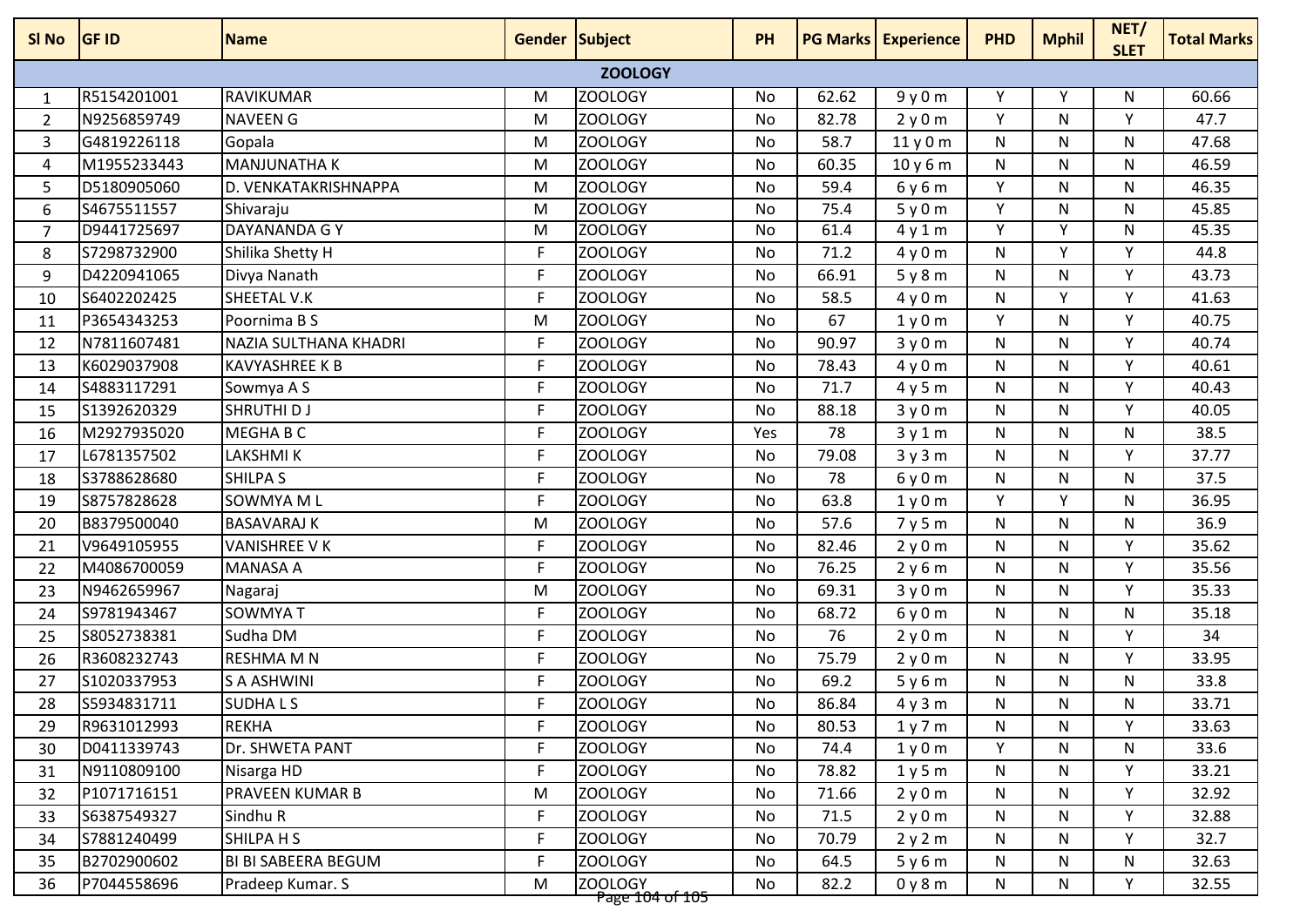| 1<br>$\overline{2}$<br>3<br>4 | <b>GF ID</b> | <b>Name</b>                | <b>Gender Subject</b> |                                       | PH        |       | <b>PG Marks Experience</b> | <b>PHD</b> | <b>Mphil</b> | NET/<br><b>SLET</b> | <b>Total Marks</b> |
|-------------------------------|--------------|----------------------------|-----------------------|---------------------------------------|-----------|-------|----------------------------|------------|--------------|---------------------|--------------------|
|                               |              |                            |                       | <b>ZOOLOGY</b>                        |           |       |                            |            |              |                     |                    |
|                               | R5154201001  | <b>RAVIKUMAR</b>           | M                     | <b>ZOOLOGY</b>                        | No        | 62.62 | 9y0m                       | Y          | Υ            | N                   | 60.66              |
|                               | N9256859749  | <b>NAVEEN G</b>            | M                     | <b>ZOOLOGY</b>                        | No        | 82.78 | 2y0m                       | Y          | N            | Y                   | 47.7               |
|                               | G4819226118  | Gopala                     | M                     | <b>ZOOLOGY</b>                        | No        | 58.7  | 11y0m                      | N          | N            | N                   | 47.68              |
|                               | M1955233443  | <b>MANJUNATHA K</b>        | M                     | ZOOLOGY                               | No        | 60.35 | 10y6m                      | N          | N            | N                   | 46.59              |
| 5                             | D5180905060  | D. VENKATAKRISHNAPPA       | M                     | ZOOLOGY                               | No        | 59.4  | 6y6m                       | Y          | N            | N                   | 46.35              |
| 6                             | S4675511557  | Shivaraju                  | M                     | <b>ZOOLOGY</b>                        | <b>No</b> | 75.4  | 5y0m                       | Y          | N            | N                   | 45.85              |
| $\overline{7}$                | D9441725697  | DAYANANDA G Y              | M                     | <b>ZOOLOGY</b>                        | <b>No</b> | 61.4  | 4y1m                       | Y          | Y            | N                   | 45.35              |
| 8                             | S7298732900  | Shilika Shetty H           | F                     | ZOOLOGY                               | No        | 71.2  | 4y0m                       | N          | Y            | Υ                   | 44.8               |
| 9                             | D4220941065  | Divya Nanath               | F.                    | <b>ZOOLOGY</b>                        | No        | 66.91 | 5y8m                       | N          | N            | Y                   | 43.73              |
| 10                            | S6402202425  | SHEETAL V.K                | F                     | ZOOLOGY                               | No        | 58.5  | 4y0m                       | N          | Y            | Υ                   | 41.63              |
| 11                            | P3654343253  | Poornima B S               | M                     | <b>ZOOLOGY</b>                        | <b>No</b> | 67    | 1y0m                       | Y          | N            | Y                   | 40.75              |
| 12                            | N7811607481  | NAZIA SULTHANA KHADRI      | F                     | <b>ZOOLOGY</b>                        | No        | 90.97 | 3y0m                       | N          | N            | Y                   | 40.74              |
| 13                            | K6029037908  | <b>KAVYASHREE K B</b>      | F                     | <b>ZOOLOGY</b>                        | No        | 78.43 | 4y0m                       | N          | N            | Y                   | 40.61              |
| 14                            | S4883117291  | Sowmya A S                 | F                     | <b>ZOOLOGY</b>                        | No        | 71.7  | 4y5m                       | N          | N            | Y                   | 40.43              |
| 15                            | S1392620329  | SHRUTHI D J                | F                     | ZOOLOGY                               | No        | 88.18 | 3y0m                       | N          | N            | Υ                   | 40.05              |
| 16                            | M2927935020  | MEGHA B C                  | F                     | <b>ZOOLOGY</b>                        | Yes       | 78    | 3y1m                       | N          | N            | N                   | 38.5               |
| 17                            | L6781357502  | LAKSHMI K                  | F                     | ZOOLOGY                               | No        | 79.08 | 3y3m                       | N          | N            | Υ                   | 37.77              |
| 18                            | S3788628680  | <b>SHILPA S</b>            | F                     | <b>ZOOLOGY</b>                        | No        | 78    | 6y0m                       | N          | N            | N                   | 37.5               |
| 19                            | S8757828628  | SOWMYA ML                  | F                     | <b>ZOOLOGY</b>                        | No        | 63.8  | 1y0m                       | Y          | Y            | N                   | 36.95              |
| 20                            | B8379500040  | <b>BASAVARAJ K</b>         | M                     | <b>ZOOLOGY</b>                        | No        | 57.6  | 7y5m                       | N          | N            | N                   | 36.9               |
| 21                            | V9649105955  | <b>VANISHREE V K</b>       | F                     | <b>ZOOLOGY</b>                        | No        | 82.46 | 2y0m                       | N          | N            | Y                   | 35.62              |
| 22                            | M4086700059  | <b>MANASA A</b>            | F                     | ZOOLOGY                               | No        | 76.25 | 2y6m                       | N          | N            | Y                   | 35.56              |
| 23                            | N9462659967  | Nagaraj                    | M                     | ZOOLOGY                               | <b>No</b> | 69.31 | 3y0m                       | N          | N            | Y                   | 35.33              |
| 24                            | S9781943467  | <b>SOWMYAT</b>             | F                     | ZOOLOGY                               | No        | 68.72 | 6y0m                       | N          | N            | N                   | 35.18              |
| 25                            | S8052738381  | Sudha DM                   | F                     | <b>ZOOLOGY</b>                        | No        | 76    | 2y0m                       | N          | N            | Y                   | 34                 |
| 26                            | R3608232743  | <b>RESHMA M N</b>          | F                     | <b>ZOOLOGY</b>                        | No        | 75.79 | 2y0m                       | N          | N            | Y                   | 33.95              |
| 27                            | S1020337953  | <b>S A ASHWINI</b>         | F                     | ZOOLOGY                               | No        | 69.2  | 5y6m                       | N          | N            | N                   | 33.8               |
| 28                            | S5934831711  | <b>SUDHALS</b>             | F                     | <b>ZOOLOGY</b>                        | No        | 86.84 | 4y3m                       | N          | N            | N                   | 33.71              |
| 29                            | R9631012993  | <b>REKHA</b>               | F                     | <b>ZOOLOGY</b>                        | No        | 80.53 | 1y7m                       | N          | N            | Υ                   | 33.63              |
| 30                            | D0411339743  | Dr. SHWETA PANT            | F                     | <b>ZOOLOGY</b>                        | No        | 74.4  | 1y0m                       | Y.         | N            | N                   | 33.6               |
| 31                            | N9110809100  | Nisarga HD                 | F                     | <b>ZOOLOGY</b>                        | No        | 78.82 | 1y5m                       | N          | N            | Y                   | 33.21              |
| 32                            | P1071716151  | <b>PRAVEEN KUMAR B</b>     | M                     | ZOOLOGY                               | No        | 71.66 | 2y0m                       | N          | N            | Y                   | 32.92              |
| 33                            | S6387549327  | Sindhu R                   | F.                    | ZOOLOGY                               | No        | 71.5  | 2y0m                       | N          | N            | Y                   | 32.88              |
| 34                            | S7881240499  | SHILPA H S                 | F                     | ZOOLOGY                               | No        | 70.79 | 2y2m                       | N          | N            | Υ                   | 32.7               |
| 35                            | B2702900602  | <b>BI BI SABEERA BEGUM</b> | F.                    | ZOOLOGY                               | No        | 64.5  | 5y6m                       | N          | N            | N                   | 32.63              |
| 36                            | P7044558696  | Pradeep Kumar. S           | M                     | ZOOLOGY<br><del>Pave 104 of 105</del> | No        | 82.2  | 0y8m                       | N          | N            | Y                   | 32.55              |